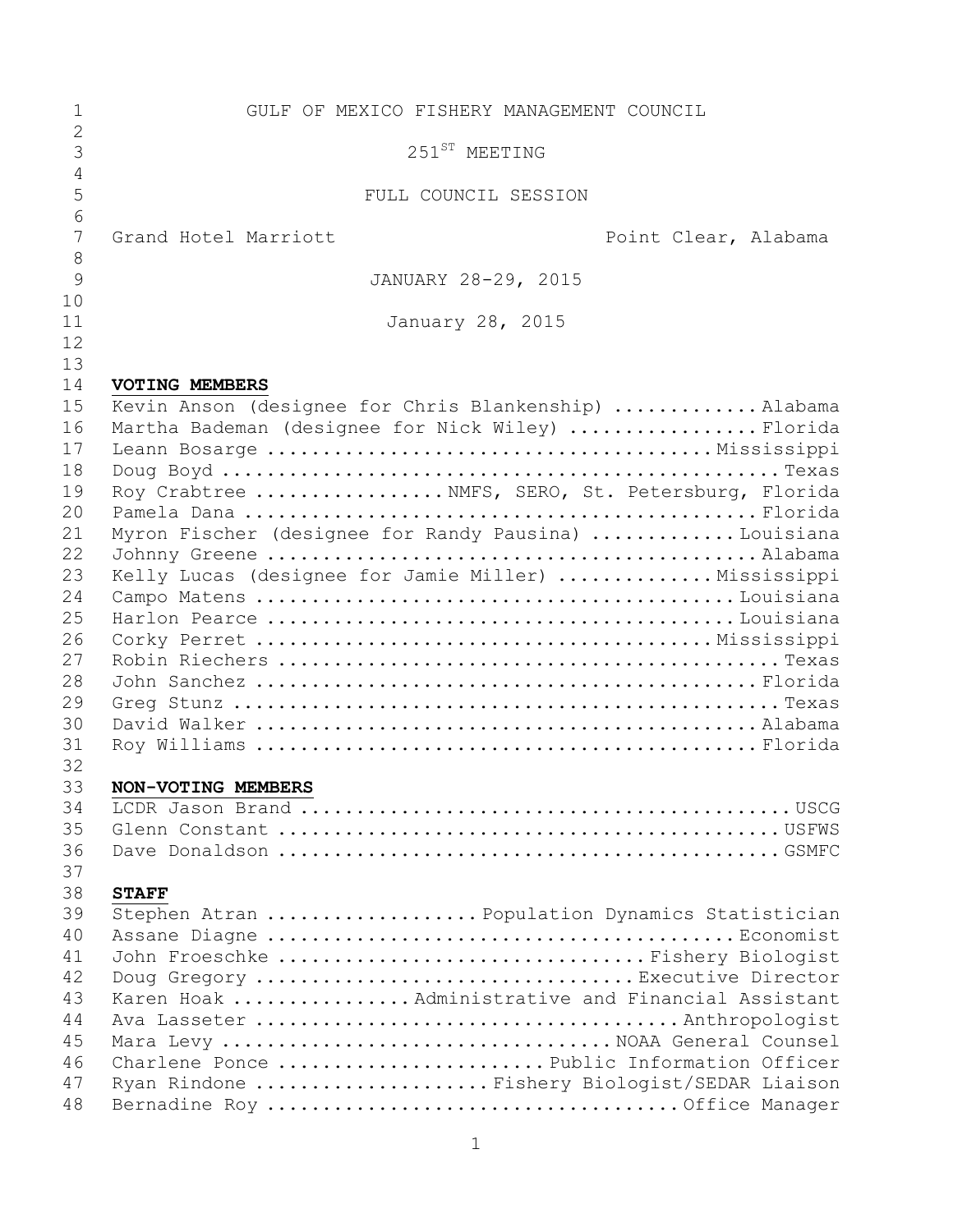| 1                   | GULF OF MEXICO FISHERY MANAGEMENT COUNCIL            |
|---------------------|------------------------------------------------------|
| $\overline{2}$<br>3 | 251 <sup>ST</sup> MEETING                            |
| 4                   |                                                      |
| 5                   | FULL COUNCIL SESSION                                 |
| 6<br>7              | Grand Hotel Marriott<br>Point Clear, Alabama         |
| 8                   |                                                      |
| 9                   | JANUARY 28-29, 2015                                  |
| 10                  |                                                      |
| 11                  | January 28, 2015                                     |
| 12                  |                                                      |
| 13                  |                                                      |
| 14                  | <b>VOTING MEMBERS</b>                                |
| 15                  | Kevin Anson (designee for Chris Blankenship) Alabama |
| 16<br>17            | Martha Bademan (designee for Nick Wiley) Florida     |
| 18                  |                                                      |
| 19                  | Roy Crabtree  NMFS, SERO, St. Petersburg, Florida    |
| 20                  |                                                      |
| 21                  | Myron Fischer (designee for Randy Pausina) Louisiana |
| 22                  |                                                      |
| 23                  | Kelly Lucas (designee for Jamie Miller)  Mississippi |
| 24                  |                                                      |
| 25                  |                                                      |
| 26                  |                                                      |
| 27                  |                                                      |
| 28                  |                                                      |
| 29                  |                                                      |
| 30                  |                                                      |
| 31                  |                                                      |
| 32                  |                                                      |
| 33                  | NON-VOTING MEMBERS                                   |
| 34<br>35            |                                                      |
| 36                  |                                                      |
| 37                  |                                                      |
| 38                  | <b>STAFF</b>                                         |
| 39                  | Stephen Atran  Population Dynamics Statistician      |
| 40                  |                                                      |
| 41                  | John Froeschke Fishery Biologist                     |
| 42                  | Doug Gregory Executive Director                      |
| 43                  | Karen Hoak  Administrative and Financial Assistant   |
| 44                  |                                                      |
| 45                  | Mara Levy  NOAA General Counsel                      |
| 46                  | Charlene Ponce Public Information Officer            |
| 47                  | Ryan Rindone  Fishery Biologist/SEDAR Liaison        |
| 48                  |                                                      |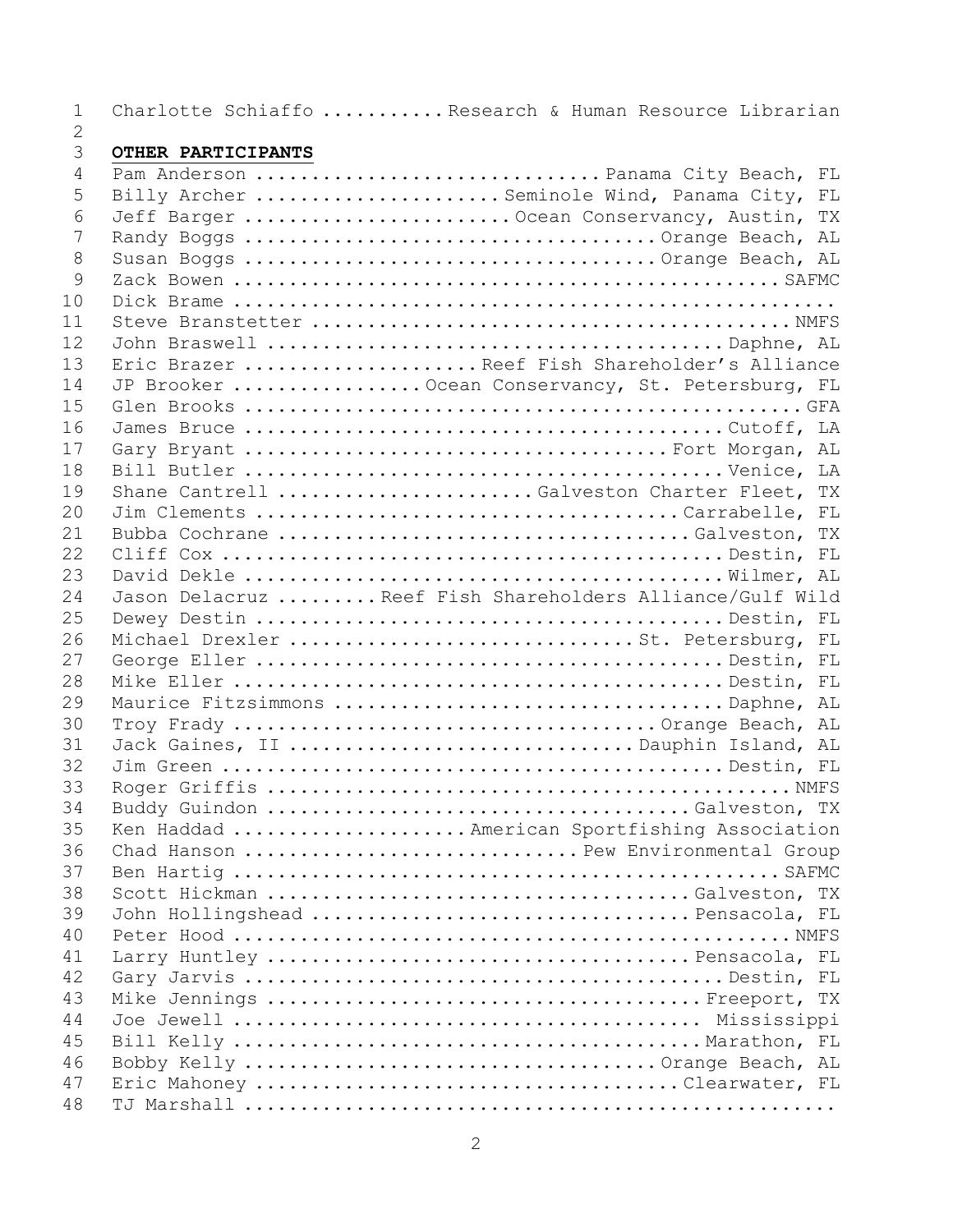Charlotte Schiaffo ........... Research & Human Resource Librarian

## $\frac{2}{3}$ **OTHER PARTICIPANTS**

| 4  | Pam Anderson  Panama City Beach, FL                       |
|----|-----------------------------------------------------------|
| 5  | Billy Archer  Seminole Wind, Panama City, FL              |
| 6  | Jeff Barger  Ocean Conservancy, Austin, TX                |
| 7  |                                                           |
| 8  |                                                           |
| 9  |                                                           |
| 10 |                                                           |
| 11 |                                                           |
| 12 |                                                           |
| 13 | Eric Brazer Reef Fish Shareholder's Alliance              |
| 14 | JP Brooker  Ocean Conservancy, St. Petersburg, FL         |
| 15 |                                                           |
| 16 |                                                           |
| 17 |                                                           |
| 18 |                                                           |
| 19 | Shane Cantrell Galveston Charter Fleet, TX                |
| 20 |                                                           |
| 21 |                                                           |
| 22 |                                                           |
| 23 |                                                           |
| 24 | Jason Delacruz  Reef Fish Shareholders Alliance/Gulf Wild |
| 25 |                                                           |
| 26 | Michael Drexler St. Petersburg, FL                        |
| 27 |                                                           |
| 28 |                                                           |
| 29 | Maurice Fitzsimmons Daphne, AL                            |
| 30 |                                                           |
| 31 | Jack Gaines, II Dauphin Island, AL                        |
| 32 |                                                           |
| 33 |                                                           |
| 34 |                                                           |
| 35 | Ken Haddad  American Sportfishing Association             |
| 36 | Chad Hanson  Pew Environmental Group                      |
| 37 |                                                           |
| 38 |                                                           |
| 39 | John Hollingshead Pensacola, FL                           |
| 40 |                                                           |
| 41 |                                                           |
| 42 |                                                           |
| 43 |                                                           |
| 44 |                                                           |
| 45 |                                                           |
| 46 |                                                           |
| 47 | Eric Mahoney Clearwater, FL                               |
| 48 |                                                           |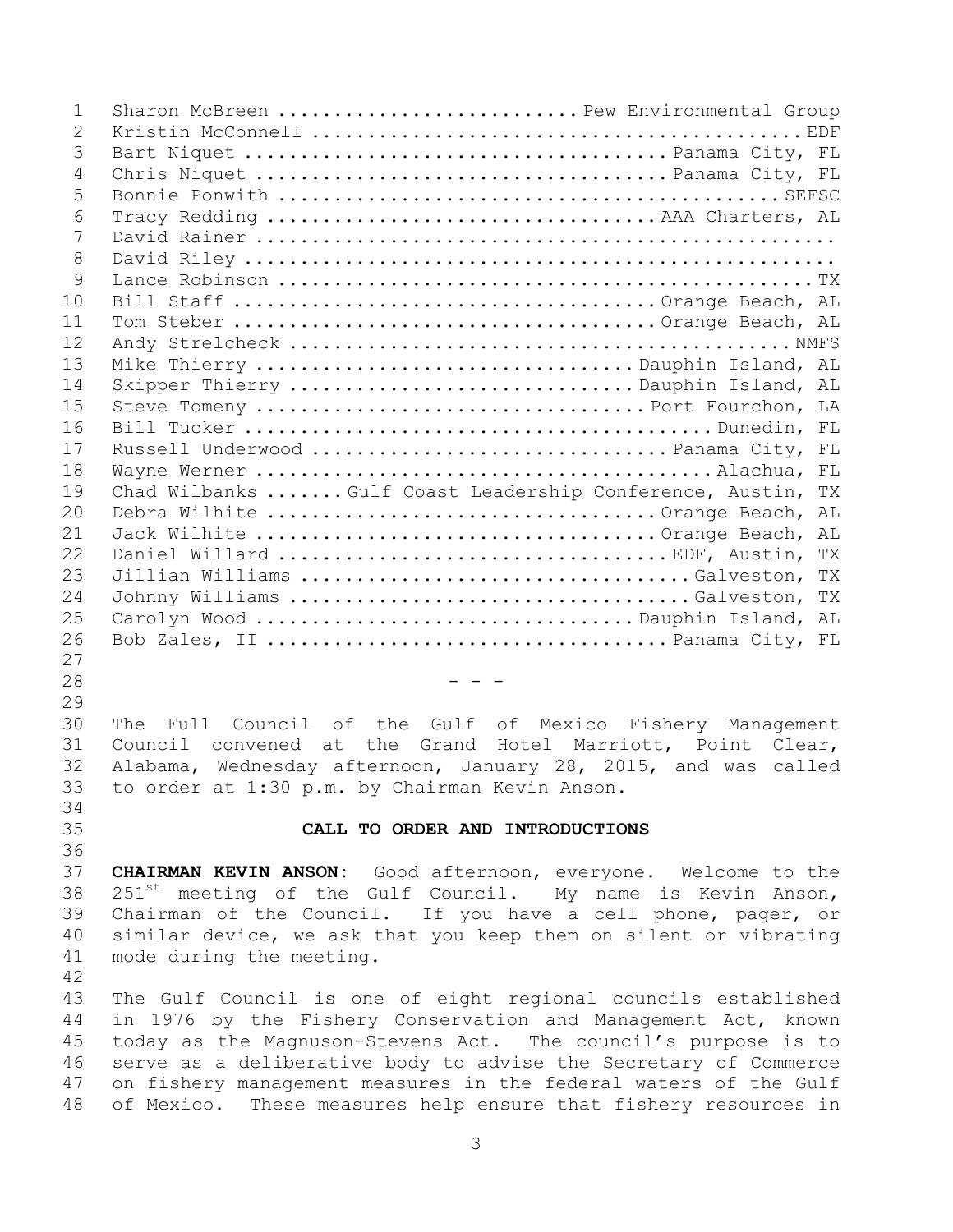| $\mathbf{1}$   | Sharon McBreen  Pew Environmental Group                                |
|----------------|------------------------------------------------------------------------|
| $\overline{2}$ |                                                                        |
| 3              |                                                                        |
| $\overline{4}$ |                                                                        |
| 5              |                                                                        |
| 6              |                                                                        |
| 7              |                                                                        |
| 8              |                                                                        |
| 9              |                                                                        |
| 10             |                                                                        |
| 11             |                                                                        |
| 12             |                                                                        |
| 13             | Mike Thierry Dauphin Island, AL                                        |
| 14             | Skipper Thierry Dauphin Island, AL                                     |
| 15             |                                                                        |
| 16             |                                                                        |
| 17             |                                                                        |
| 18             |                                                                        |
| 19             | Chad Wilbanks  Gulf Coast Leadership Conference, Austin, TX            |
| 20             |                                                                        |
| 21             |                                                                        |
| 22             |                                                                        |
| 23             | Jillian Williams Galveston, TX                                         |
| 24             | Johnny Williams Galveston, TX                                          |
| 25             |                                                                        |
| 26             |                                                                        |
| 27             |                                                                        |
| 28             | - - -                                                                  |
| 29             |                                                                        |
| 30             | The Full Council of the Gulf of Mexico Fishery Management              |
| 31             | Council convened at the Grand Hotel Marriott, Point Clear,             |
| 32             | Alabama, Wednesday afternoon, January 28, 2015, and was called         |
| 33             | to order at 1:30 p.m. by Chairman Kevin Anson.                         |
| 34             |                                                                        |
| 35             | CALL TO ORDER AND INTRODUCTIONS                                        |
| 36             |                                                                        |
| 37             | <b>CHAIRMAN KEVIN ANSON:</b> Good afternoon, everyone. Welcome to the  |
| 38             | 251 <sup>st</sup> meeting of the Gulf Council. My name is Kevin Anson, |
| 39             | Chairman of the Council. If you have a cell phone, pager, or           |
| 40             | similar device, we ask that you keep them on silent or vibrating       |
| 41             | mode during the meeting.                                               |
| 42             |                                                                        |
| 43             | The Gulf Council is one of eight regional councils established         |
| 44             | in 1976 by the Fishery Conservation and Management Act, known          |
| 45             | today as the Magnuson-Stevens Act. The council's purpose is to         |
| 46             | serve as a deliberative body to advise the Secretary of Commerce       |
| 47             | on fishery management measures in the federal waters of the Gulf       |
| 48             | of Mexico. These measures help ensure that fishery resources in        |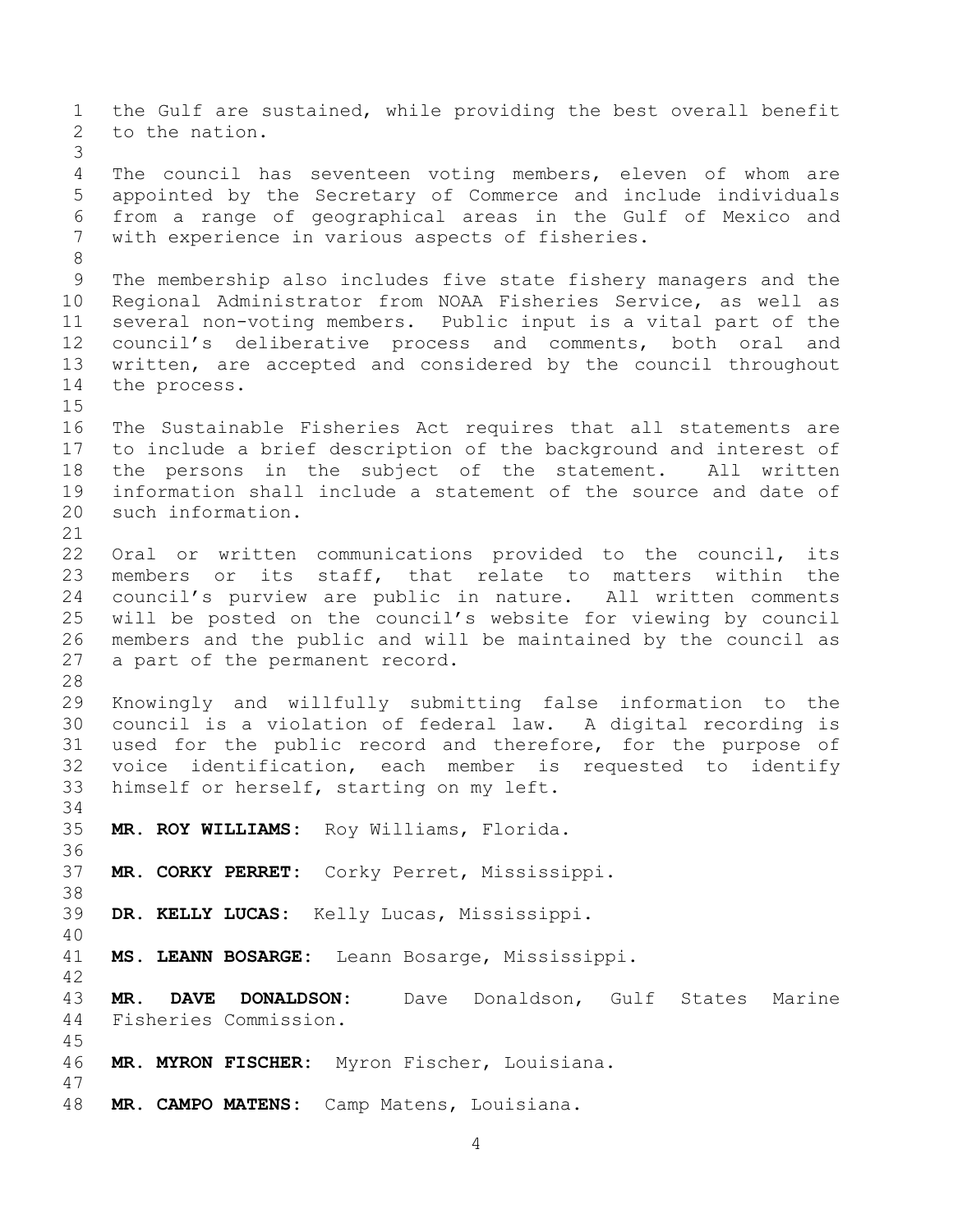the Gulf are sustained, while providing the best overall benefit to the nation. The council has seventeen voting members, eleven of whom are appointed by the Secretary of Commerce and include individuals from a range of geographical areas in the Gulf of Mexico and with experience in various aspects of fisheries. The membership also includes five state fishery managers and the Regional Administrator from NOAA Fisheries Service, as well as several non-voting members. Public input is a vital part of the council's deliberative process and comments, both oral and written, are accepted and considered by the council throughout the process. The Sustainable Fisheries Act requires that all statements are to include a brief description of the background and interest of the persons in the subject of the statement. All written information shall include a statement of the source and date of such information. Oral or written communications provided to the council, its members or its staff, that relate to matters within the council's purview are public in nature. All written comments will be posted on the council's website for viewing by council members and the public and will be maintained by the council as a part of the permanent record. Knowingly and willfully submitting false information to the council is a violation of federal law. A digital recording is used for the public record and therefore, for the purpose of voice identification, each member is requested to identify himself or herself, starting on my left. **MR. ROY WILLIAMS:** Roy Williams, Florida. **MR. CORKY PERRET:** Corky Perret, Mississippi. **DR. KELLY LUCAS:** Kelly Lucas, Mississippi. **MS. LEANN BOSARGE:** Leann Bosarge, Mississippi. **MR. DAVE DONALDSON:** Dave Donaldson, Gulf States Marine Fisheries Commission. **MR. MYRON FISCHER:** Myron Fischer, Louisiana. **MR. CAMPO MATENS:** Camp Matens, Louisiana.

```
4
```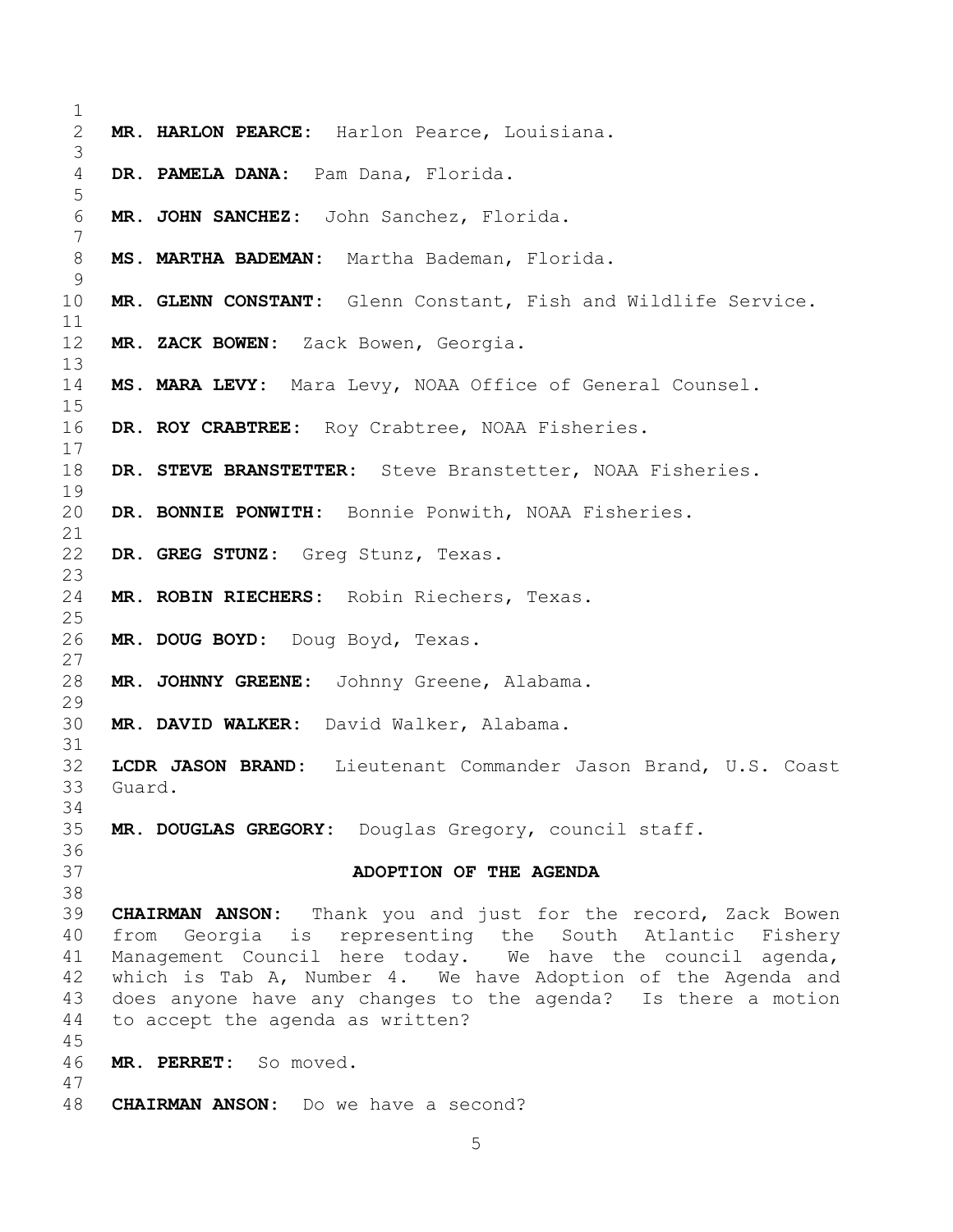**MR. HARLON PEARCE:** Harlon Pearce, Louisiana. **DR. PAMELA DANA:** Pam Dana, Florida. **MR. JOHN SANCHEZ:** John Sanchez, Florida. **MS. MARTHA BADEMAN:** Martha Bademan, Florida. **MR. GLENN CONSTANT:** Glenn Constant, Fish and Wildlife Service. **MR. ZACK BOWEN:** Zack Bowen, Georgia. **MS. MARA LEVY:** Mara Levy, NOAA Office of General Counsel. **DR. ROY CRABTREE:** Roy Crabtree, NOAA Fisheries. **DR. STEVE BRANSTETTER:** Steve Branstetter, NOAA Fisheries. **DR. BONNIE PONWITH:** Bonnie Ponwith, NOAA Fisheries. **DR. GREG STUNZ:** Greg Stunz, Texas. **MR. ROBIN RIECHERS:** Robin Riechers, Texas. **MR. DOUG BOYD:** Doug Boyd, Texas. **MR. JOHNNY GREENE:** Johnny Greene, Alabama. **MR. DAVID WALKER:** David Walker, Alabama. **LCDR JASON BRAND:** Lieutenant Commander Jason Brand, U.S. Coast Guard. **MR. DOUGLAS GREGORY:** Douglas Gregory, council staff. **ADOPTION OF THE AGENDA CHAIRMAN ANSON:** Thank you and just for the record, Zack Bowen from Georgia is representing the South Atlantic Fishery Management Council here today. We have the council agenda, which is Tab A, Number 4. We have Adoption of the Agenda and does anyone have any changes to the agenda? Is there a motion to accept the agenda as written? **MR. PERRET:** So moved. **CHAIRMAN ANSON:** Do we have a second?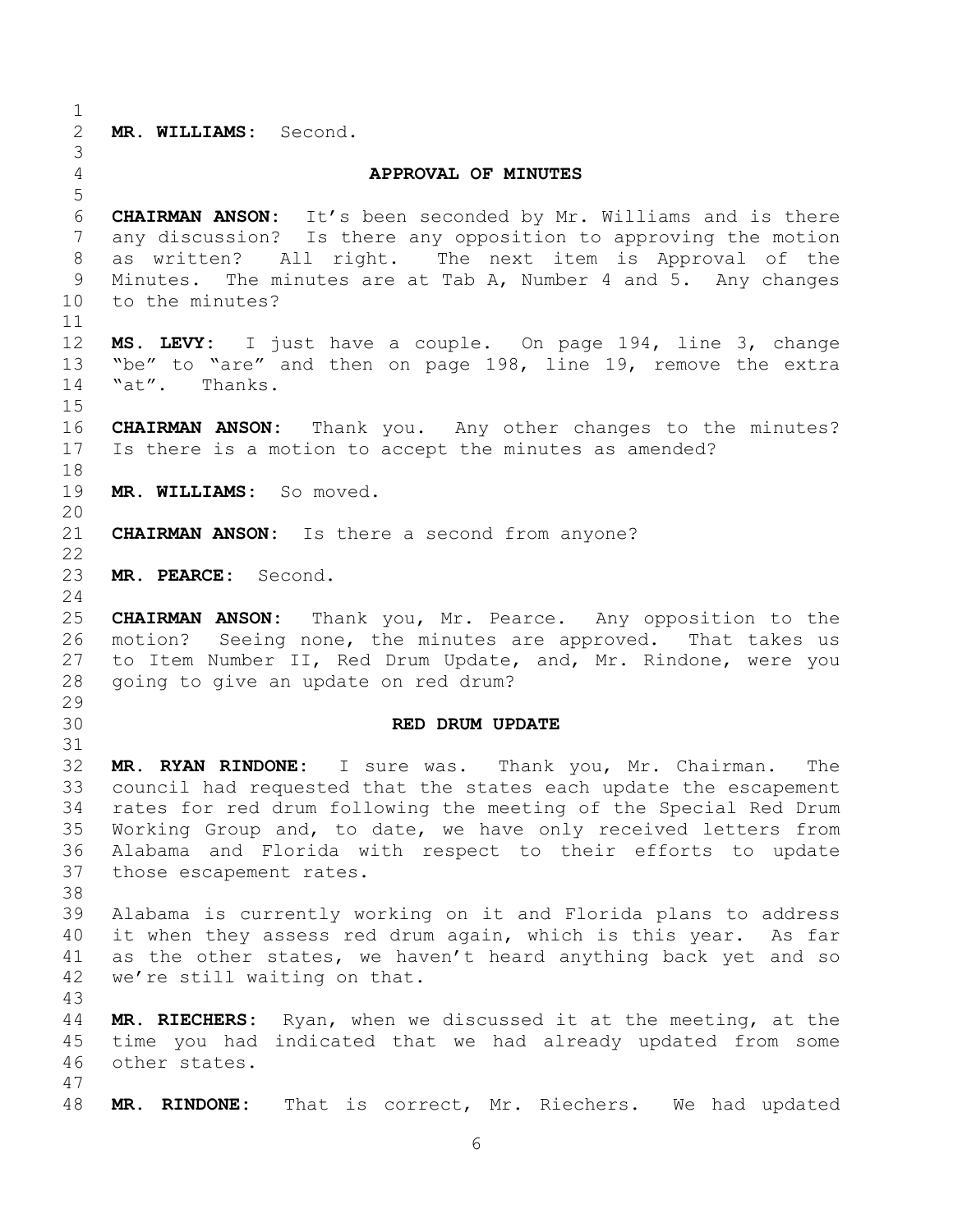**MR. WILLIAMS:** Second. **APPROVAL OF MINUTES CHAIRMAN ANSON:** It's been seconded by Mr. Williams and is there any discussion? Is there any opposition to approving the motion as written? All right. The next item is Approval of the Minutes. The minutes are at Tab A, Number 4 and 5. Any changes to the minutes? **MS. LEVY:** I just have a couple. On page 194, line 3, change "be" to "are" and then on page 198, line 19, remove the extra "at". Thanks. **CHAIRMAN ANSON:** Thank you. Any other changes to the minutes? Is there is a motion to accept the minutes as amended? **MR. WILLIAMS:** So moved. **CHAIRMAN ANSON:** Is there a second from anyone? **MR. PEARCE:** Second. **CHAIRMAN ANSON:** Thank you, Mr. Pearce. Any opposition to the motion? Seeing none, the minutes are approved. That takes us to Item Number II, Red Drum Update, and, Mr. Rindone, were you going to give an update on red drum? **RED DRUM UPDATE MR. RYAN RINDONE:** I sure was. Thank you, Mr. Chairman. The council had requested that the states each update the escapement rates for red drum following the meeting of the Special Red Drum Working Group and, to date, we have only received letters from Alabama and Florida with respect to their efforts to update those escapement rates. Alabama is currently working on it and Florida plans to address it when they assess red drum again, which is this year. As far as the other states, we haven't heard anything back yet and so we're still waiting on that. **MR. RIECHERS:** Ryan, when we discussed it at the meeting, at the time you had indicated that we had already updated from some other states. **MR. RINDONE:** That is correct, Mr. Riechers. We had updated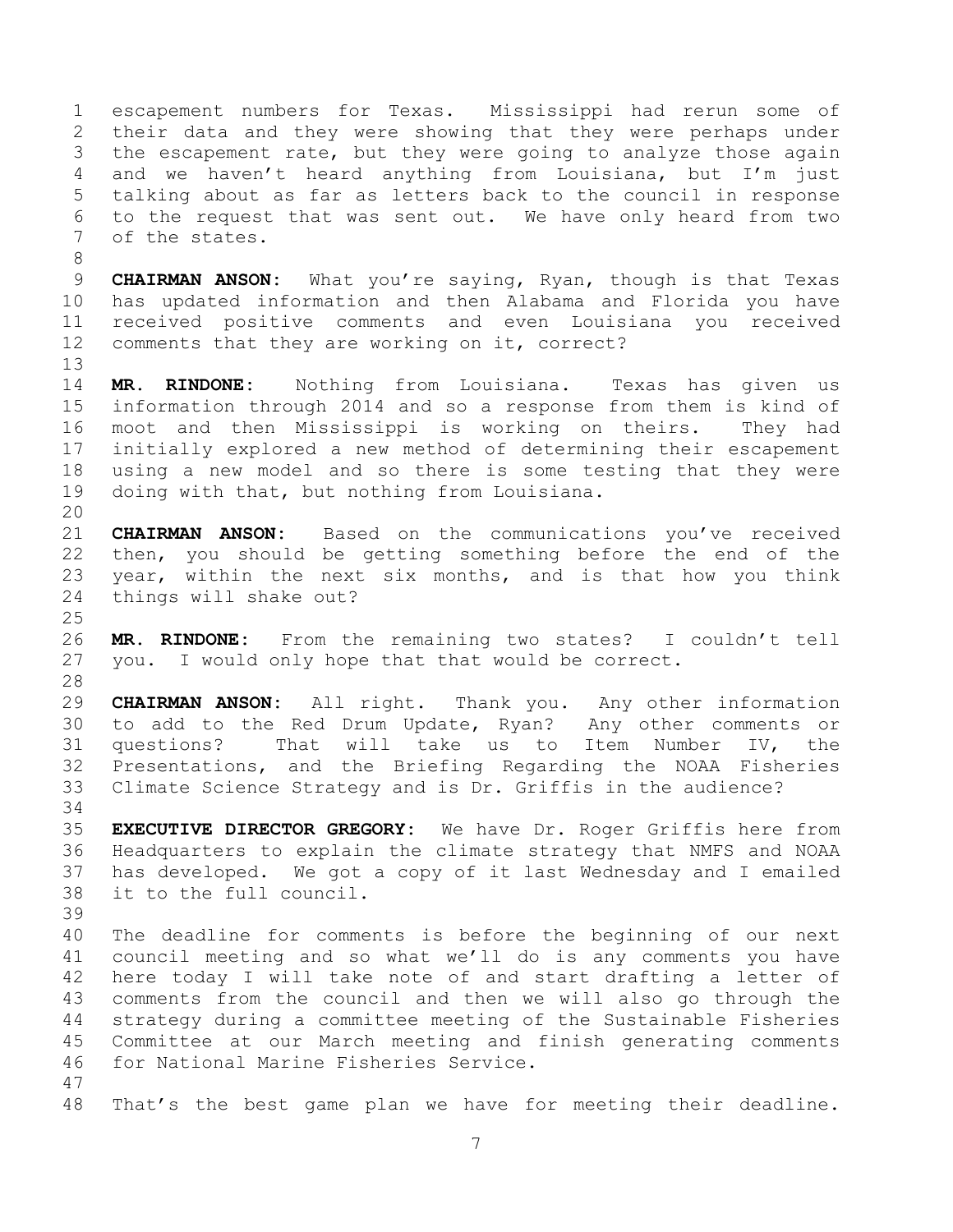escapement numbers for Texas. Mississippi had rerun some of their data and they were showing that they were perhaps under the escapement rate, but they were going to analyze those again and we haven't heard anything from Louisiana, but I'm just talking about as far as letters back to the council in response to the request that was sent out. We have only heard from two of the states.

 **CHAIRMAN ANSON:** What you're saying, Ryan, though is that Texas has updated information and then Alabama and Florida you have received positive comments and even Louisiana you received comments that they are working on it, correct?

 **MR. RINDONE:** Nothing from Louisiana. Texas has given us information through 2014 and so a response from them is kind of moot and then Mississippi is working on theirs. They had initially explored a new method of determining their escapement using a new model and so there is some testing that they were doing with that, but nothing from Louisiana.

 **CHAIRMAN ANSON:** Based on the communications you've received then, you should be getting something before the end of the year, within the next six months, and is that how you think things will shake out?

 **MR. RINDONE:** From the remaining two states? I couldn't tell you. I would only hope that that would be correct. 

 **CHAIRMAN ANSON:** All right. Thank you. Any other information to add to the Red Drum Update, Ryan? Any other comments or questions? That will take us to Item Number IV, the Presentations, and the Briefing Regarding the NOAA Fisheries Climate Science Strategy and is Dr. Griffis in the audience?

 **EXECUTIVE DIRECTOR GREGORY:** We have Dr. Roger Griffis here from Headquarters to explain the climate strategy that NMFS and NOAA has developed. We got a copy of it last Wednesday and I emailed it to the full council.

 The deadline for comments is before the beginning of our next council meeting and so what we'll do is any comments you have here today I will take note of and start drafting a letter of comments from the council and then we will also go through the strategy during a committee meeting of the Sustainable Fisheries Committee at our March meeting and finish generating comments for National Marine Fisheries Service.

That's the best game plan we have for meeting their deadline.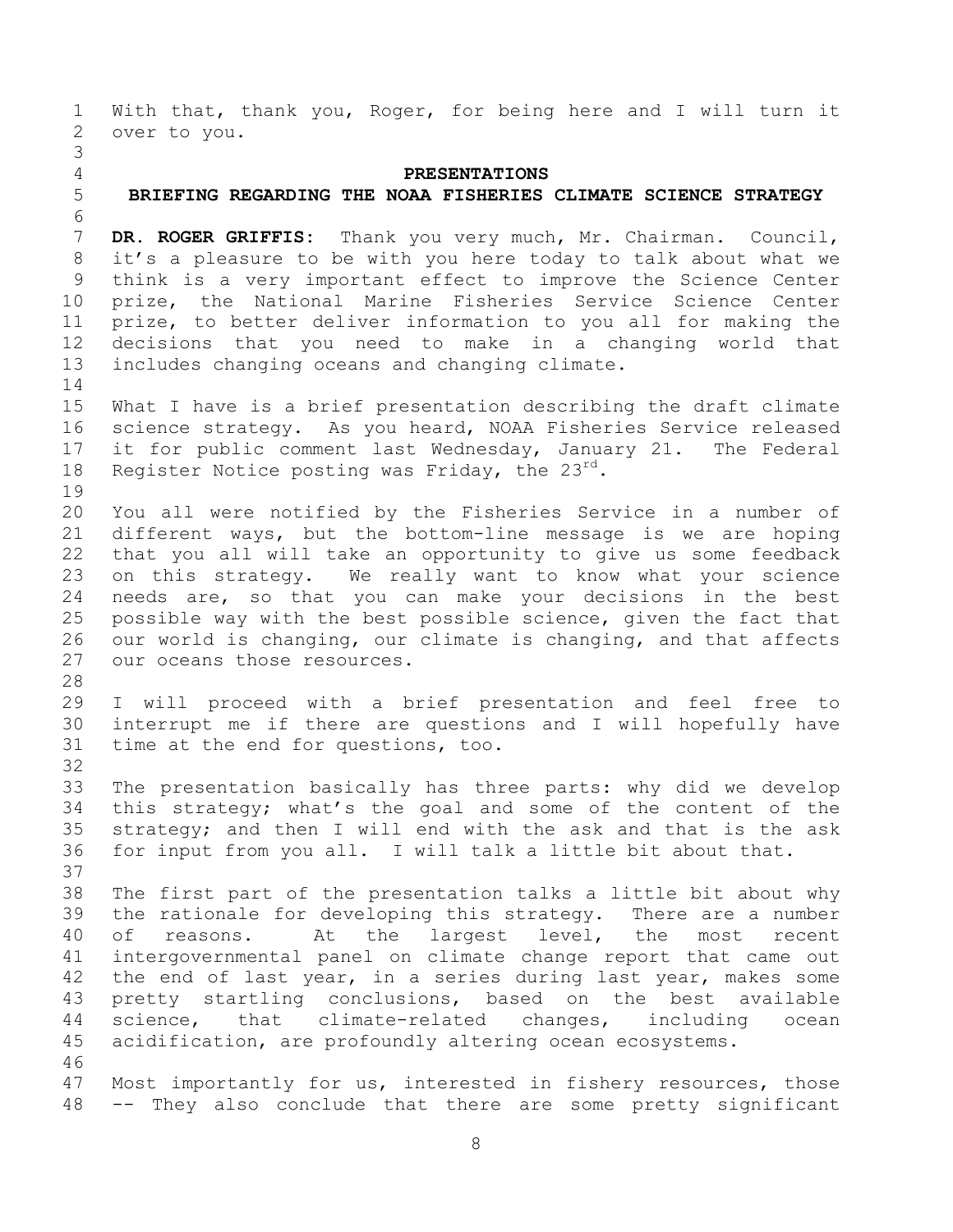With that, thank you, Roger, for being here and I will turn it over to you. 

## **PRESENTATIONS**

## **BRIEFING REGARDING THE NOAA FISHERIES CLIMATE SCIENCE STRATEGY**

 **DR. ROGER GRIFFIS:** Thank you very much, Mr. Chairman. Council, it's a pleasure to be with you here today to talk about what we think is a very important effect to improve the Science Center prize, the National Marine Fisheries Service Science Center prize, to better deliver information to you all for making the decisions that you need to make in a changing world that includes changing oceans and changing climate.

 What I have is a brief presentation describing the draft climate science strategy. As you heard, NOAA Fisheries Service released it for public comment last Wednesday, January 21. The Federal 18 Register Notice posting was Friday, the  $23^{\text{rd}}$ .

 You all were notified by the Fisheries Service in a number of different ways, but the bottom-line message is we are hoping that you all will take an opportunity to give us some feedback on this strategy. We really want to know what your science needs are, so that you can make your decisions in the best possible way with the best possible science, given the fact that our world is changing, our climate is changing, and that affects our oceans those resources.

 I will proceed with a brief presentation and feel free to interrupt me if there are questions and I will hopefully have time at the end for questions, too.

 The presentation basically has three parts: why did we develop this strategy; what's the goal and some of the content of the strategy; and then I will end with the ask and that is the ask for input from you all. I will talk a little bit about that. 

 The first part of the presentation talks a little bit about why the rationale for developing this strategy. There are a number of reasons. At the largest level, the most recent intergovernmental panel on climate change report that came out the end of last year, in a series during last year, makes some pretty startling conclusions, based on the best available science, that climate-related changes, including ocean acidification, are profoundly altering ocean ecosystems. 

 Most importantly for us, interested in fishery resources, those -- They also conclude that there are some pretty significant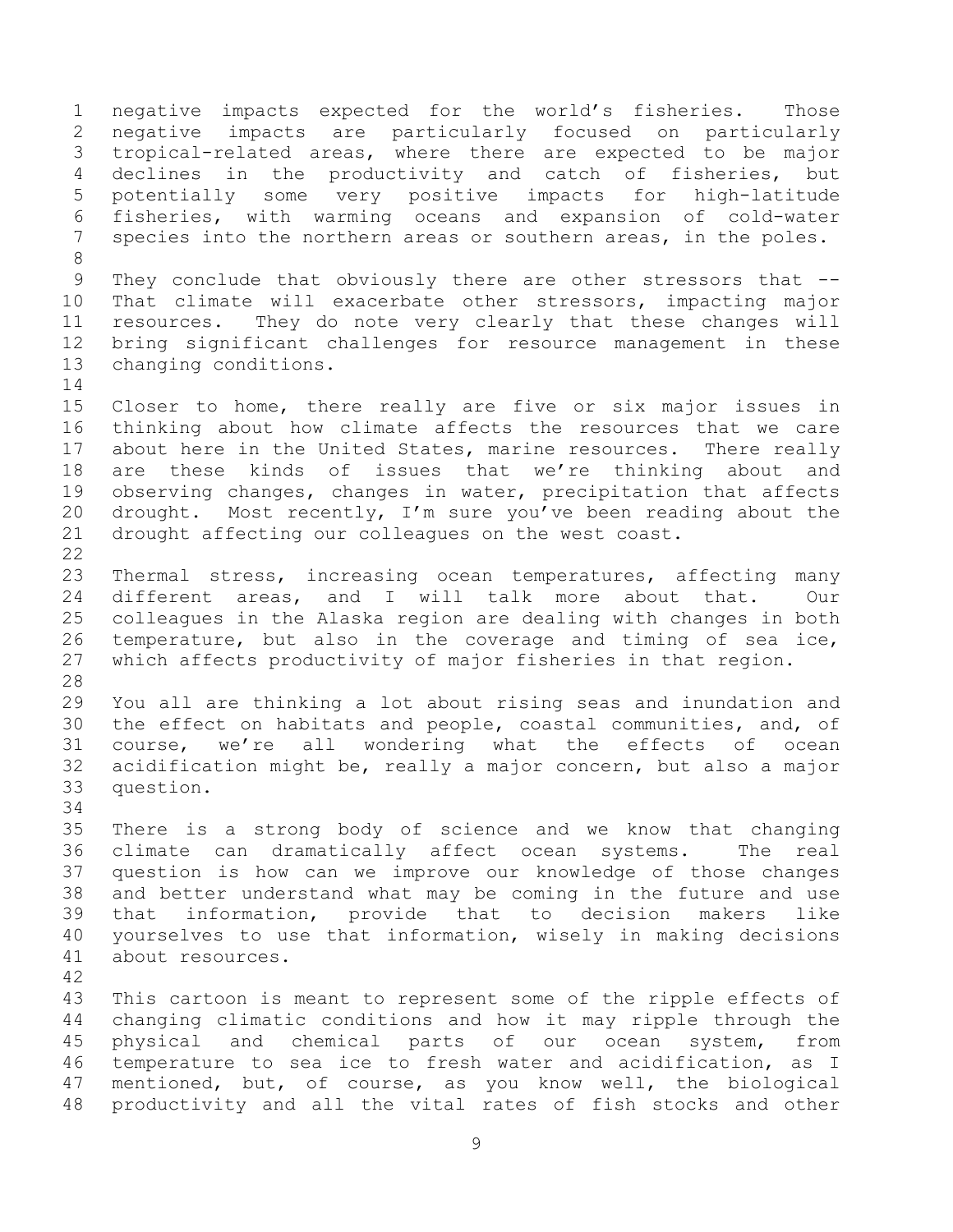negative impacts expected for the world's fisheries. Those negative impacts are particularly focused on particularly tropical-related areas, where there are expected to be major declines in the productivity and catch of fisheries, but potentially some very positive impacts for high-latitude fisheries, with warming oceans and expansion of cold-water species into the northern areas or southern areas, in the poles. 9 They conclude that obviously there are other stressors that -- That climate will exacerbate other stressors, impacting major resources. They do note very clearly that these changes will bring significant challenges for resource management in these changing conditions. Closer to home, there really are five or six major issues in thinking about how climate affects the resources that we care 17 about here in the United States, marine resources. There really are these kinds of issues that we're thinking about and observing changes, changes in water, precipitation that affects drought. Most recently, I'm sure you've been reading about the drought affecting our colleagues on the west coast. Thermal stress, increasing ocean temperatures, affecting many different areas, and I will talk more about that. Our colleagues in the Alaska region are dealing with changes in both temperature, but also in the coverage and timing of sea ice, which affects productivity of major fisheries in that region. You all are thinking a lot about rising seas and inundation and the effect on habitats and people, coastal communities, and, of course, we're all wondering what the effects of ocean acidification might be, really a major concern, but also a major question. There is a strong body of science and we know that changing climate can dramatically affect ocean systems. The real question is how can we improve our knowledge of those changes and better understand what may be coming in the future and use that information, provide that to decision makers like yourselves to use that information, wisely in making decisions about resources. This cartoon is meant to represent some of the ripple effects of changing climatic conditions and how it may ripple through the physical and chemical parts of our ocean system, from temperature to sea ice to fresh water and acidification, as I mentioned, but, of course, as you know well, the biological productivity and all the vital rates of fish stocks and other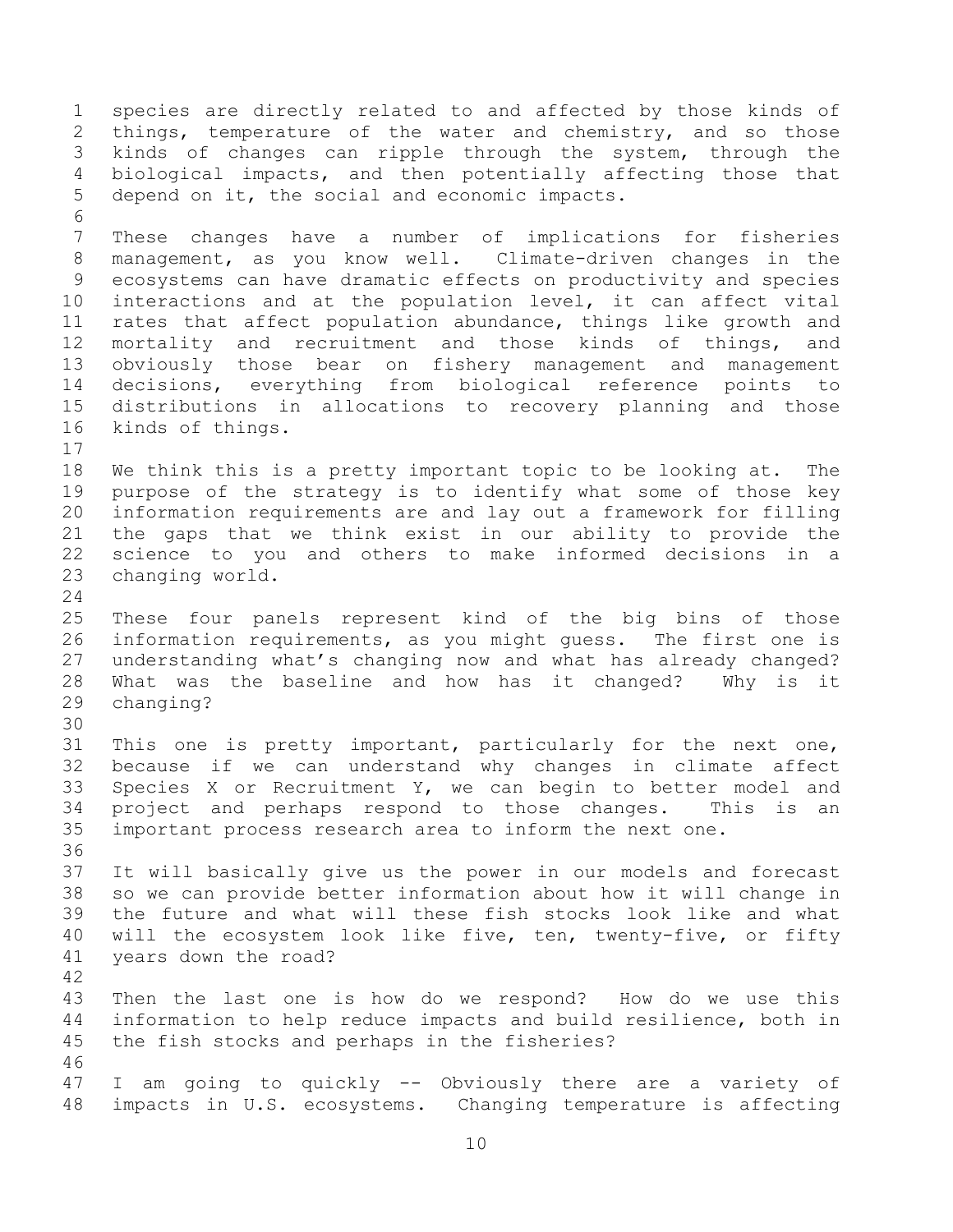species are directly related to and affected by those kinds of 2 things, temperature of the water and chemistry, and so those kinds of changes can ripple through the system, through the biological impacts, and then potentially affecting those that depend on it, the social and economic impacts. These changes have a number of implications for fisheries management, as you know well. Climate-driven changes in the ecosystems can have dramatic effects on productivity and species interactions and at the population level, it can affect vital rates that affect population abundance, things like growth and mortality and recruitment and those kinds of things, and obviously those bear on fishery management and management decisions, everything from biological reference points to distributions in allocations to recovery planning and those kinds of things. We think this is a pretty important topic to be looking at. The purpose of the strategy is to identify what some of those key information requirements are and lay out a framework for filling the gaps that we think exist in our ability to provide the science to you and others to make informed decisions in a changing world. These four panels represent kind of the big bins of those information requirements, as you might guess. The first one is understanding what's changing now and what has already changed? What was the baseline and how has it changed? Why is it changing? This one is pretty important, particularly for the next one, because if we can understand why changes in climate affect Species X or Recruitment Y, we can begin to better model and project and perhaps respond to those changes. This is an important process research area to inform the next one. It will basically give us the power in our models and forecast so we can provide better information about how it will change in the future and what will these fish stocks look like and what will the ecosystem look like five, ten, twenty-five, or fifty years down the road? Then the last one is how do we respond? How do we use this information to help reduce impacts and build resilience, both in the fish stocks and perhaps in the fisheries? I am going to quickly -- Obviously there are a variety of impacts in U.S. ecosystems. Changing temperature is affecting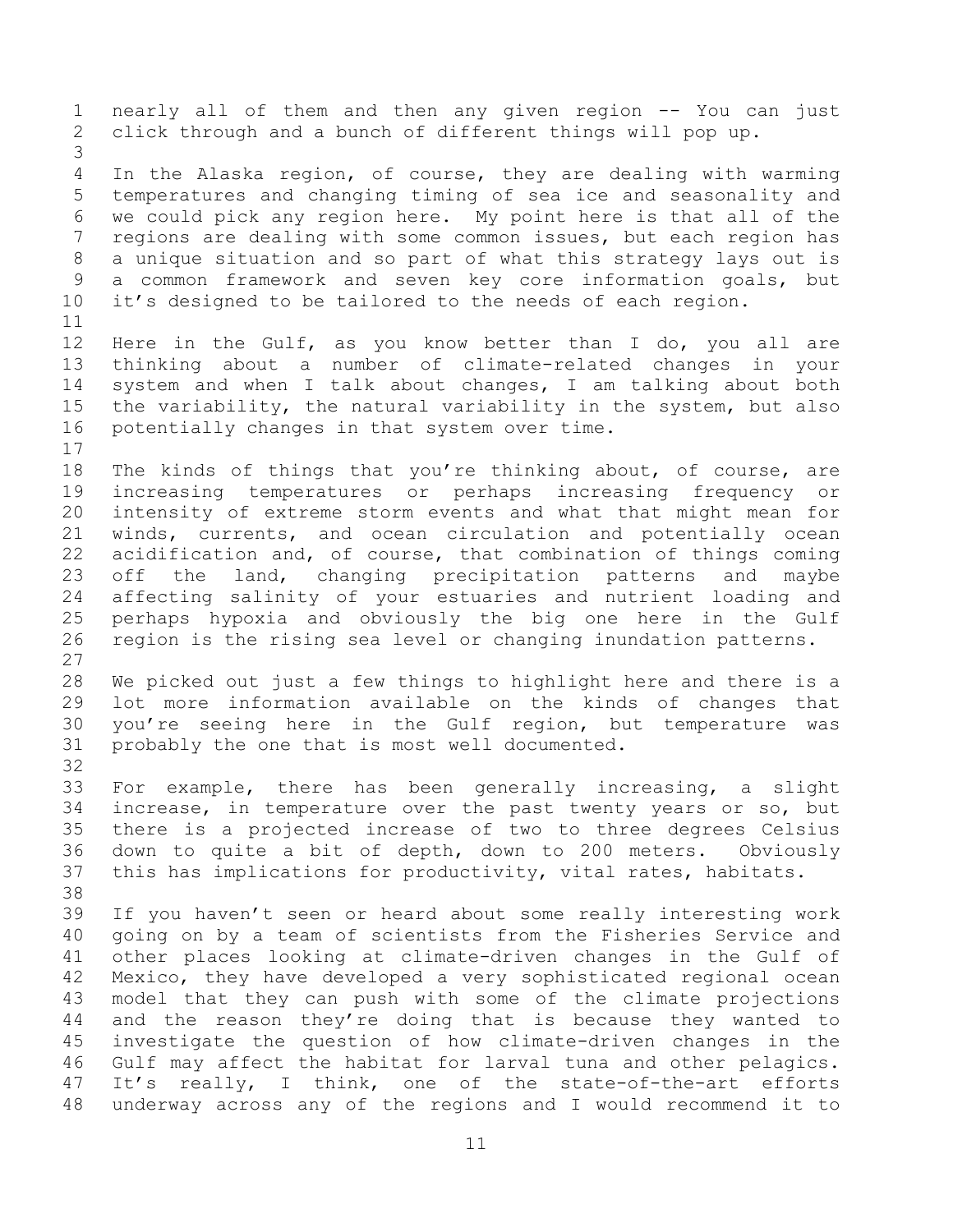nearly all of them and then any given region -- You can just click through and a bunch of different things will pop up. In the Alaska region, of course, they are dealing with warming temperatures and changing timing of sea ice and seasonality and we could pick any region here. My point here is that all of the regions are dealing with some common issues, but each region has a unique situation and so part of what this strategy lays out is a common framework and seven key core information goals, but it's designed to be tailored to the needs of each region. Here in the Gulf, as you know better than I do, you all are thinking about a number of climate-related changes in your system and when I talk about changes, I am talking about both the variability, the natural variability in the system, but also potentially changes in that system over time. The kinds of things that you're thinking about, of course, are increasing temperatures or perhaps increasing frequency or intensity of extreme storm events and what that might mean for winds, currents, and ocean circulation and potentially ocean 22 acidification and, of course, that combination of things coming<br>23 off the land, changing precipitation patterns and mavbe off the land, changing precipitation patterns and maybe affecting salinity of your estuaries and nutrient loading and perhaps hypoxia and obviously the big one here in the Gulf region is the rising sea level or changing inundation patterns. We picked out just a few things to highlight here and there is a lot more information available on the kinds of changes that you're seeing here in the Gulf region, but temperature was probably the one that is most well documented. For example, there has been generally increasing, a slight increase, in temperature over the past twenty years or so, but there is a projected increase of two to three degrees Celsius down to quite a bit of depth, down to 200 meters. Obviously this has implications for productivity, vital rates, habitats. If you haven't seen or heard about some really interesting work going on by a team of scientists from the Fisheries Service and other places looking at climate-driven changes in the Gulf of Mexico, they have developed a very sophisticated regional ocean model that they can push with some of the climate projections and the reason they're doing that is because they wanted to investigate the question of how climate-driven changes in the Gulf may affect the habitat for larval tuna and other pelagics. It's really, I think, one of the state-of-the-art efforts underway across any of the regions and I would recommend it to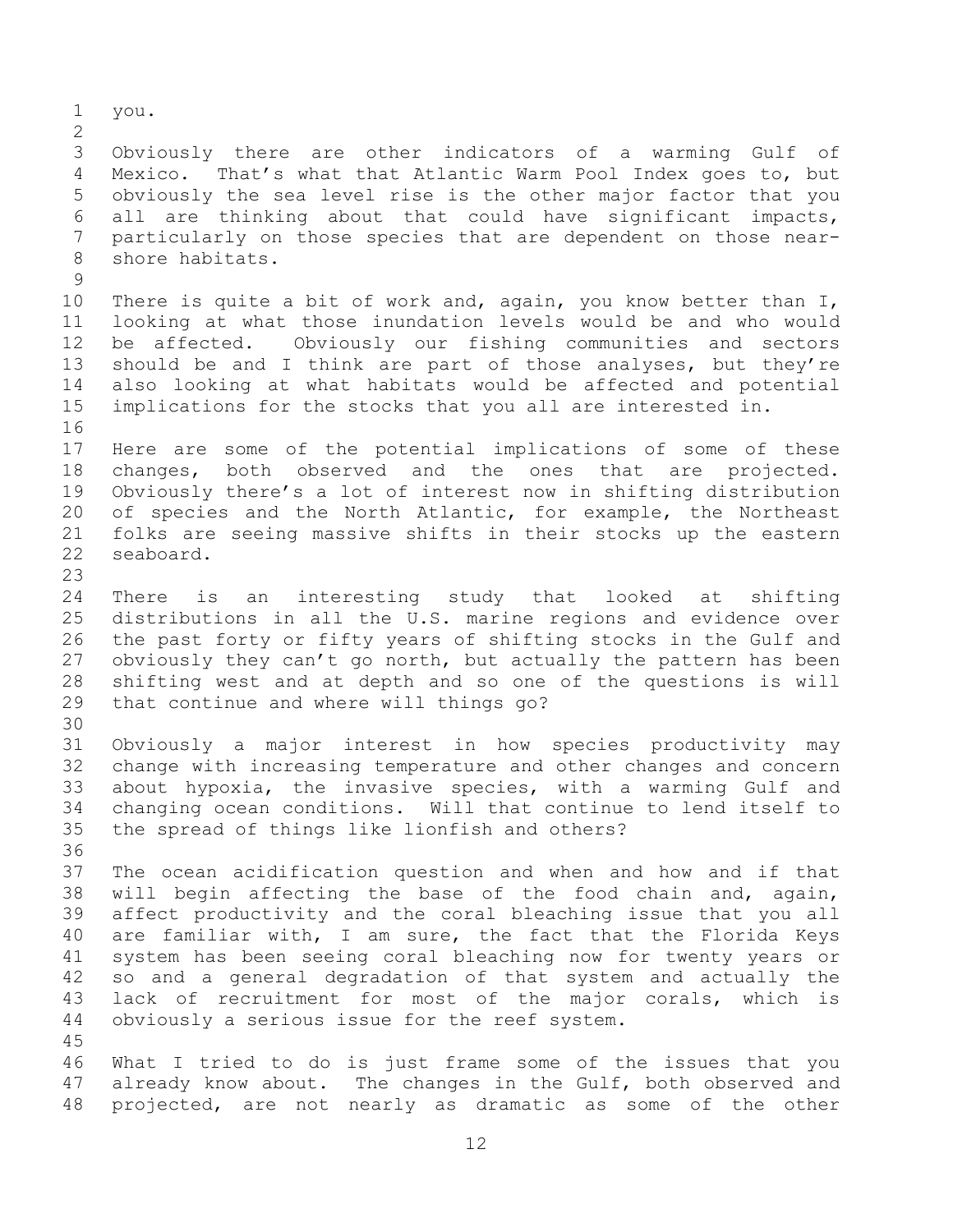you. Obviously there are other indicators of a warming Gulf of Mexico. That's what that Atlantic Warm Pool Index goes to, but obviously the sea level rise is the other major factor that you all are thinking about that could have significant impacts, particularly on those species that are dependent on those near- shore habitats. There is quite a bit of work and, again, you know better than I, looking at what those inundation levels would be and who would be affected. Obviously our fishing communities and sectors should be and I think are part of those analyses, but they're also looking at what habitats would be affected and potential implications for the stocks that you all are interested in. Here are some of the potential implications of some of these changes, both observed and the ones that are projected. Obviously there's a lot of interest now in shifting distribution of species and the North Atlantic, for example, the Northeast folks are seeing massive shifts in their stocks up the eastern seaboard. There is an interesting study that looked at shifting distributions in all the U.S. marine regions and evidence over the past forty or fifty years of shifting stocks in the Gulf and obviously they can't go north, but actually the pattern has been shifting west and at depth and so one of the questions is will that continue and where will things go? Obviously a major interest in how species productivity may change with increasing temperature and other changes and concern about hypoxia, the invasive species, with a warming Gulf and changing ocean conditions. Will that continue to lend itself to the spread of things like lionfish and others? The ocean acidification question and when and how and if that will begin affecting the base of the food chain and, again, affect productivity and the coral bleaching issue that you all are familiar with, I am sure, the fact that the Florida Keys system has been seeing coral bleaching now for twenty years or so and a general degradation of that system and actually the lack of recruitment for most of the major corals, which is obviously a serious issue for the reef system. What I tried to do is just frame some of the issues that you already know about. The changes in the Gulf, both observed and projected, are not nearly as dramatic as some of the other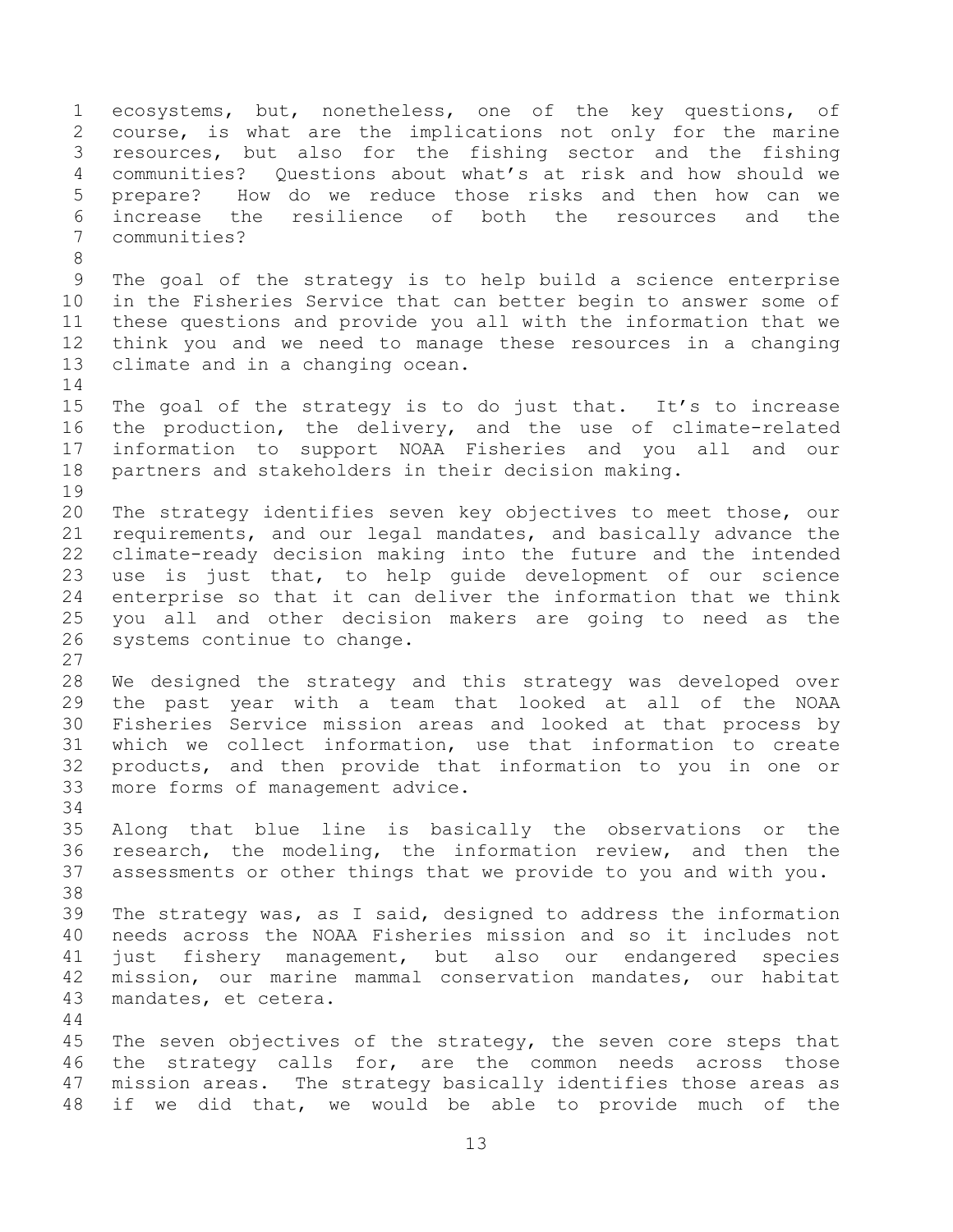ecosystems, but, nonetheless, one of the key questions, of course, is what are the implications not only for the marine resources, but also for the fishing sector and the fishing communities? Questions about what's at risk and how should we prepare? How do we reduce those risks and then how can we increase the resilience of both the resources and the communities? The goal of the strategy is to help build a science enterprise in the Fisheries Service that can better begin to answer some of these questions and provide you all with the information that we think you and we need to manage these resources in a changing climate and in a changing ocean. The goal of the strategy is to do just that. It's to increase the production, the delivery, and the use of climate-related information to support NOAA Fisheries and you all and our partners and stakeholders in their decision making. The strategy identifies seven key objectives to meet those, our requirements, and our legal mandates, and basically advance the climate-ready decision making into the future and the intended use is just that, to help guide development of our science enterprise so that it can deliver the information that we think you all and other decision makers are going to need as the systems continue to change. We designed the strategy and this strategy was developed over the past year with a team that looked at all of the NOAA Fisheries Service mission areas and looked at that process by which we collect information, use that information to create products, and then provide that information to you in one or more forms of management advice. Along that blue line is basically the observations or the research, the modeling, the information review, and then the assessments or other things that we provide to you and with you. The strategy was, as I said, designed to address the information needs across the NOAA Fisheries mission and so it includes not just fishery management, but also our endangered species mission, our marine mammal conservation mandates, our habitat mandates, et cetera. 45 The seven objectives of the strategy, the seven core steps that the strategy calls for, are the common needs across those mission areas. The strategy basically identifies those areas as if we did that, we would be able to provide much of the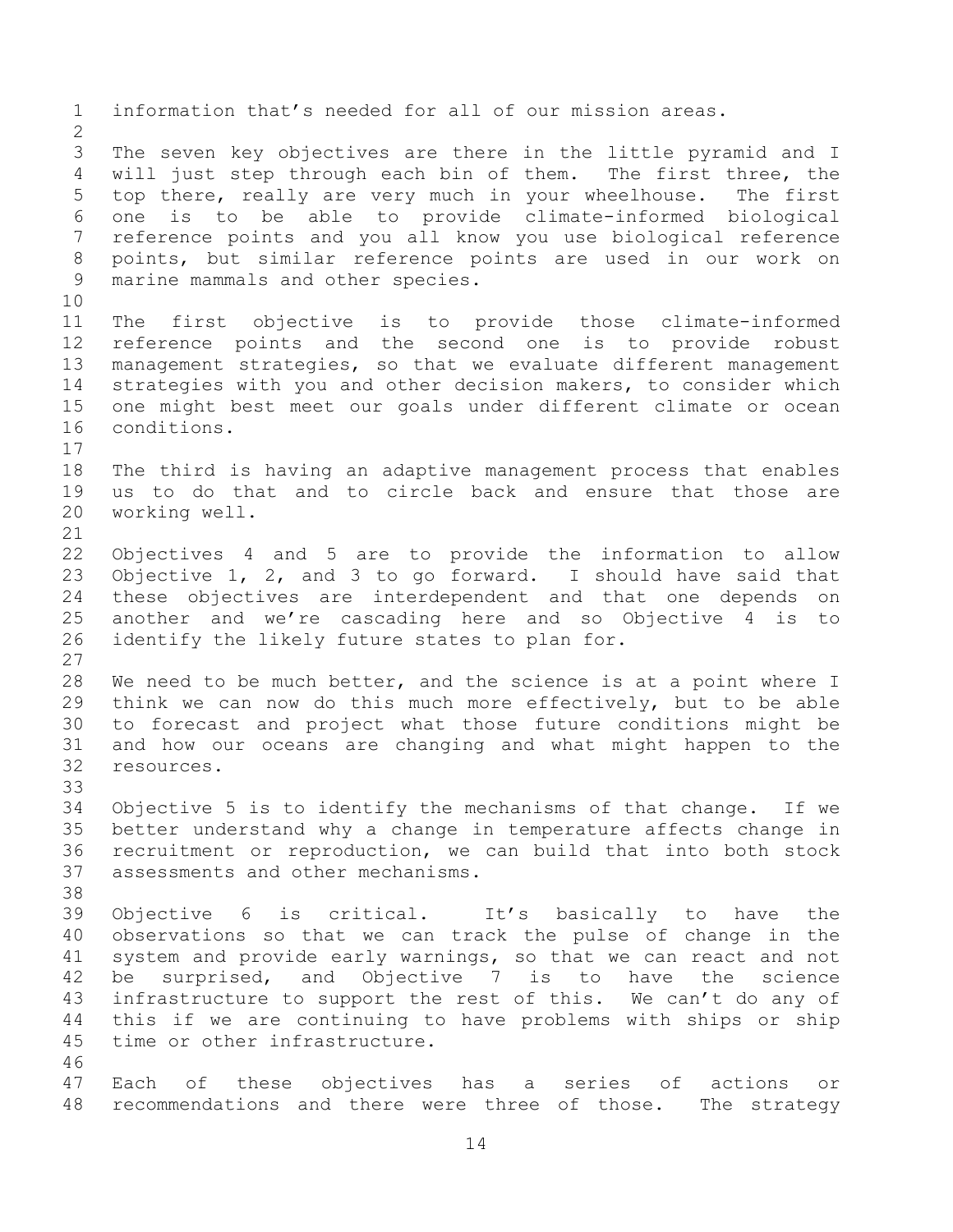information that's needed for all of our mission areas. The seven key objectives are there in the little pyramid and I will just step through each bin of them. The first three, the top there, really are very much in your wheelhouse. The first one is to be able to provide climate-informed biological reference points and you all know you use biological reference points, but similar reference points are used in our work on marine mammals and other species. The first objective is to provide those climate-informed reference points and the second one is to provide robust management strategies, so that we evaluate different management strategies with you and other decision makers, to consider which one might best meet our goals under different climate or ocean conditions. The third is having an adaptive management process that enables us to do that and to circle back and ensure that those are working well. Objectives 4 and 5 are to provide the information to allow Objective 1, 2, and 3 to go forward. I should have said that these objectives are interdependent and that one depends on another and we're cascading here and so Objective 4 is to identify the likely future states to plan for. We need to be much better, and the science is at a point where I think we can now do this much more effectively, but to be able to forecast and project what those future conditions might be and how our oceans are changing and what might happen to the resources. Objective 5 is to identify the mechanisms of that change. If we better understand why a change in temperature affects change in recruitment or reproduction, we can build that into both stock assessments and other mechanisms. Objective 6 is critical. It's basically to have the observations so that we can track the pulse of change in the system and provide early warnings, so that we can react and not be surprised, and Objective 7 is to have the science infrastructure to support the rest of this. We can't do any of this if we are continuing to have problems with ships or ship time or other infrastructure. Each of these objectives has a series of actions or recommendations and there were three of those. The strategy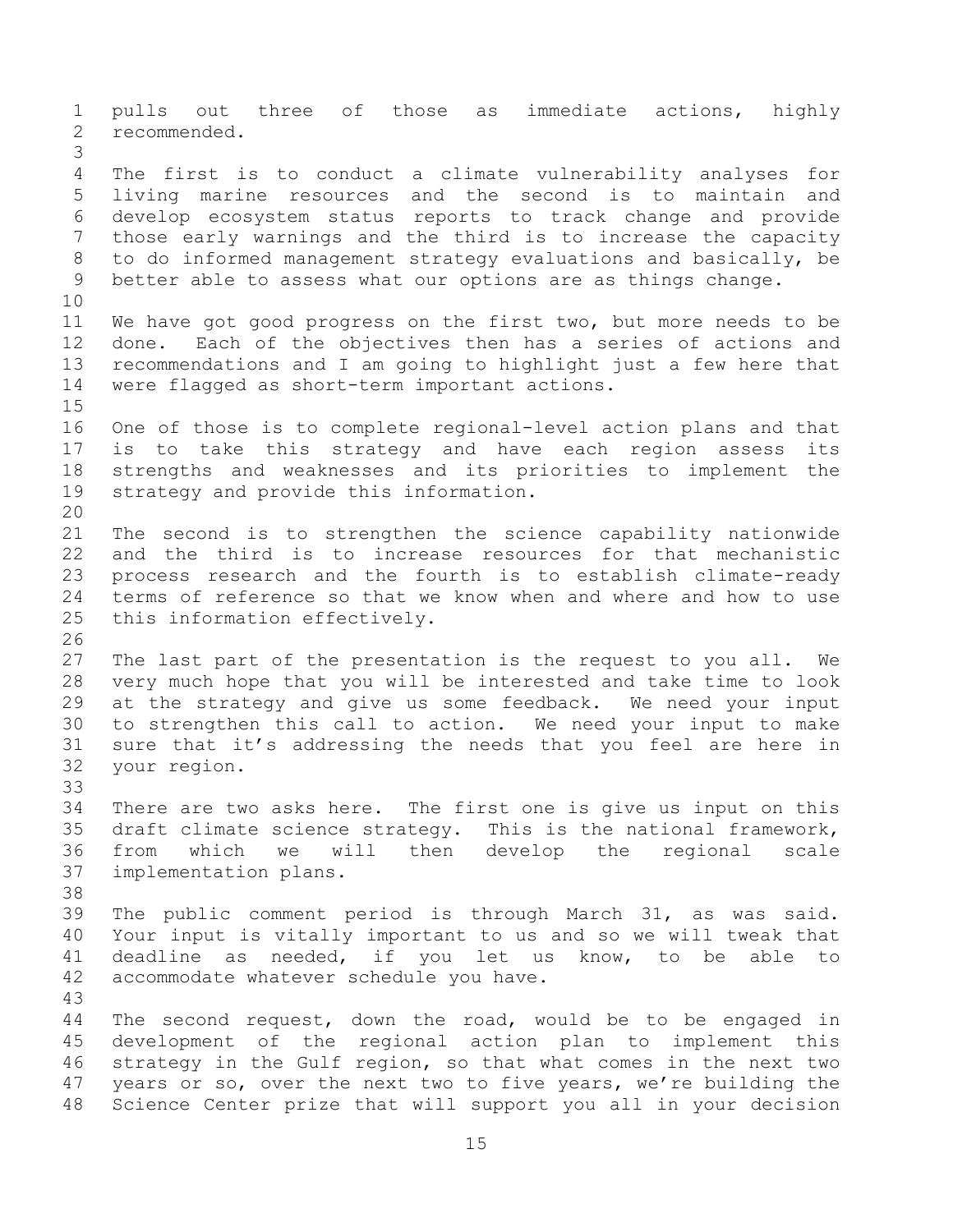pulls out three of those as immediate actions, highly recommended. The first is to conduct a climate vulnerability analyses for living marine resources and the second is to maintain and develop ecosystem status reports to track change and provide those early warnings and the third is to increase the capacity to do informed management strategy evaluations and basically, be better able to assess what our options are as things change. We have got good progress on the first two, but more needs to be done. Each of the objectives then has a series of actions and recommendations and I am going to highlight just a few here that were flagged as short-term important actions. One of those is to complete regional-level action plans and that is to take this strategy and have each region assess its strengths and weaknesses and its priorities to implement the strategy and provide this information. The second is to strengthen the science capability nationwide and the third is to increase resources for that mechanistic process research and the fourth is to establish climate-ready terms of reference so that we know when and where and how to use this information effectively. The last part of the presentation is the request to you all. We very much hope that you will be interested and take time to look at the strategy and give us some feedback. We need your input to strengthen this call to action. We need your input to make sure that it's addressing the needs that you feel are here in your region. There are two asks here. The first one is give us input on this draft climate science strategy. This is the national framework, from which we will then develop the regional scale implementation plans. The public comment period is through March 31, as was said. Your input is vitally important to us and so we will tweak that deadline as needed, if you let us know, to be able to accommodate whatever schedule you have. The second request, down the road, would be to be engaged in development of the regional action plan to implement this strategy in the Gulf region, so that what comes in the next two years or so, over the next two to five years, we're building the Science Center prize that will support you all in your decision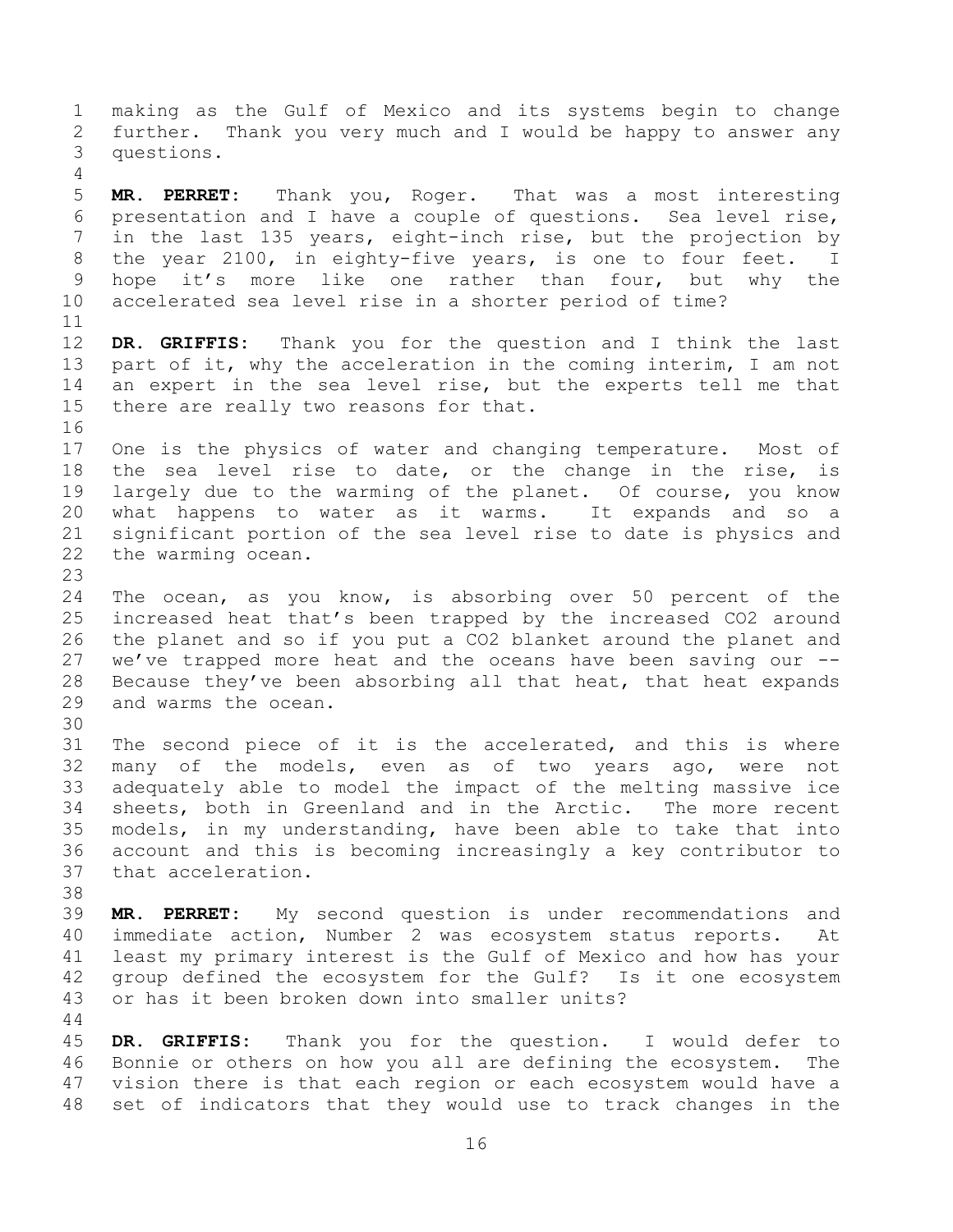making as the Gulf of Mexico and its systems begin to change further. Thank you very much and I would be happy to answer any questions. **MR. PERRET:** Thank you, Roger. That was a most interesting presentation and I have a couple of questions. Sea level rise, in the last 135 years, eight-inch rise, but the projection by the year 2100, in eighty-five years, is one to four feet. I hope it's more like one rather than four, but why the accelerated sea level rise in a shorter period of time? **DR. GRIFFIS:** Thank you for the question and I think the last 13 part of it, why the acceleration in the coming interim, I am not an expert in the sea level rise, but the experts tell me that there are really two reasons for that. One is the physics of water and changing temperature. Most of the sea level rise to date, or the change in the rise, is largely due to the warming of the planet. Of course, you know what happens to water as it warms. It expands and so a significant portion of the sea level rise to date is physics and the warming ocean. The ocean, as you know, is absorbing over 50 percent of the increased heat that's been trapped by the increased CO2 around the planet and so if you put a CO2 blanket around the planet and we've trapped more heat and the oceans have been saving our -- Because they've been absorbing all that heat, that heat expands and warms the ocean. The second piece of it is the accelerated, and this is where many of the models, even as of two years ago, were not adequately able to model the impact of the melting massive ice sheets, both in Greenland and in the Arctic. The more recent models, in my understanding, have been able to take that into account and this is becoming increasingly a key contributor to that acceleration. **MR. PERRET:** My second question is under recommendations and immediate action, Number 2 was ecosystem status reports. At least my primary interest is the Gulf of Mexico and how has your group defined the ecosystem for the Gulf? Is it one ecosystem or has it been broken down into smaller units? **DR. GRIFFIS:** Thank you for the question. I would defer to Bonnie or others on how you all are defining the ecosystem. The vision there is that each region or each ecosystem would have a set of indicators that they would use to track changes in the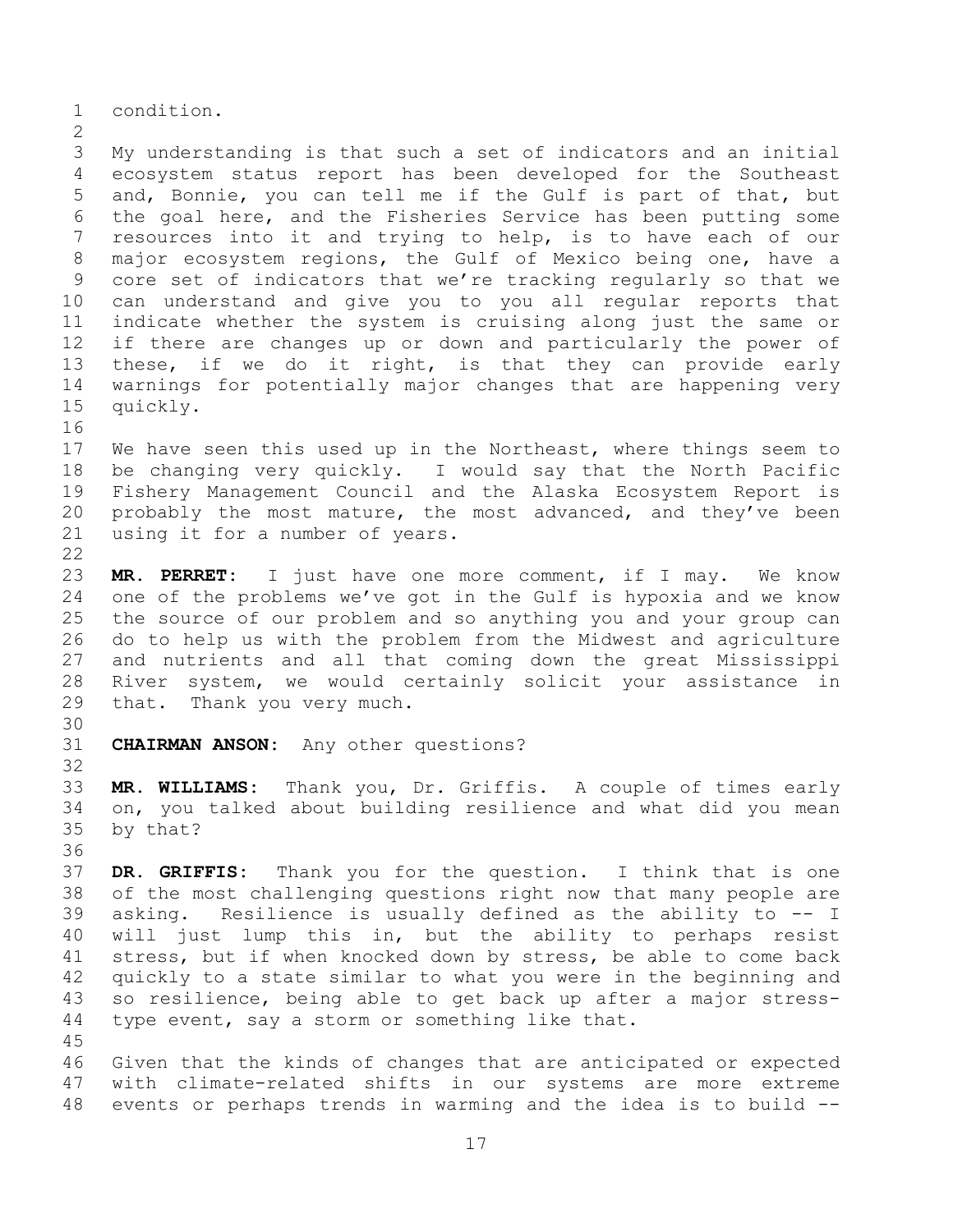condition.

 My understanding is that such a set of indicators and an initial ecosystem status report has been developed for the Southeast and, Bonnie, you can tell me if the Gulf is part of that, but the goal here, and the Fisheries Service has been putting some resources into it and trying to help, is to have each of our major ecosystem regions, the Gulf of Mexico being one, have a core set of indicators that we're tracking regularly so that we can understand and give you to you all regular reports that indicate whether the system is cruising along just the same or if there are changes up or down and particularly the power of these, if we do it right, is that they can provide early warnings for potentially major changes that are happening very quickly. 

 We have seen this used up in the Northeast, where things seem to be changing very quickly. I would say that the North Pacific Fishery Management Council and the Alaska Ecosystem Report is probably the most mature, the most advanced, and they've been using it for a number of years.

 **MR. PERRET:** I just have one more comment, if I may. We know one of the problems we've got in the Gulf is hypoxia and we know the source of our problem and so anything you and your group can do to help us with the problem from the Midwest and agriculture and nutrients and all that coming down the great Mississippi River system, we would certainly solicit your assistance in that. Thank you very much.

**CHAIRMAN ANSON:** Any other questions?

 **MR. WILLIAMS:** Thank you, Dr. Griffis. A couple of times early on, you talked about building resilience and what did you mean by that?

 **DR. GRIFFIS:** Thank you for the question. I think that is one of the most challenging questions right now that many people are asking. Resilience is usually defined as the ability to -- I will just lump this in, but the ability to perhaps resist stress, but if when knocked down by stress, be able to come back quickly to a state similar to what you were in the beginning and so resilience, being able to get back up after a major stress- type event, say a storm or something like that. 

 Given that the kinds of changes that are anticipated or expected with climate-related shifts in our systems are more extreme events or perhaps trends in warming and the idea is to build --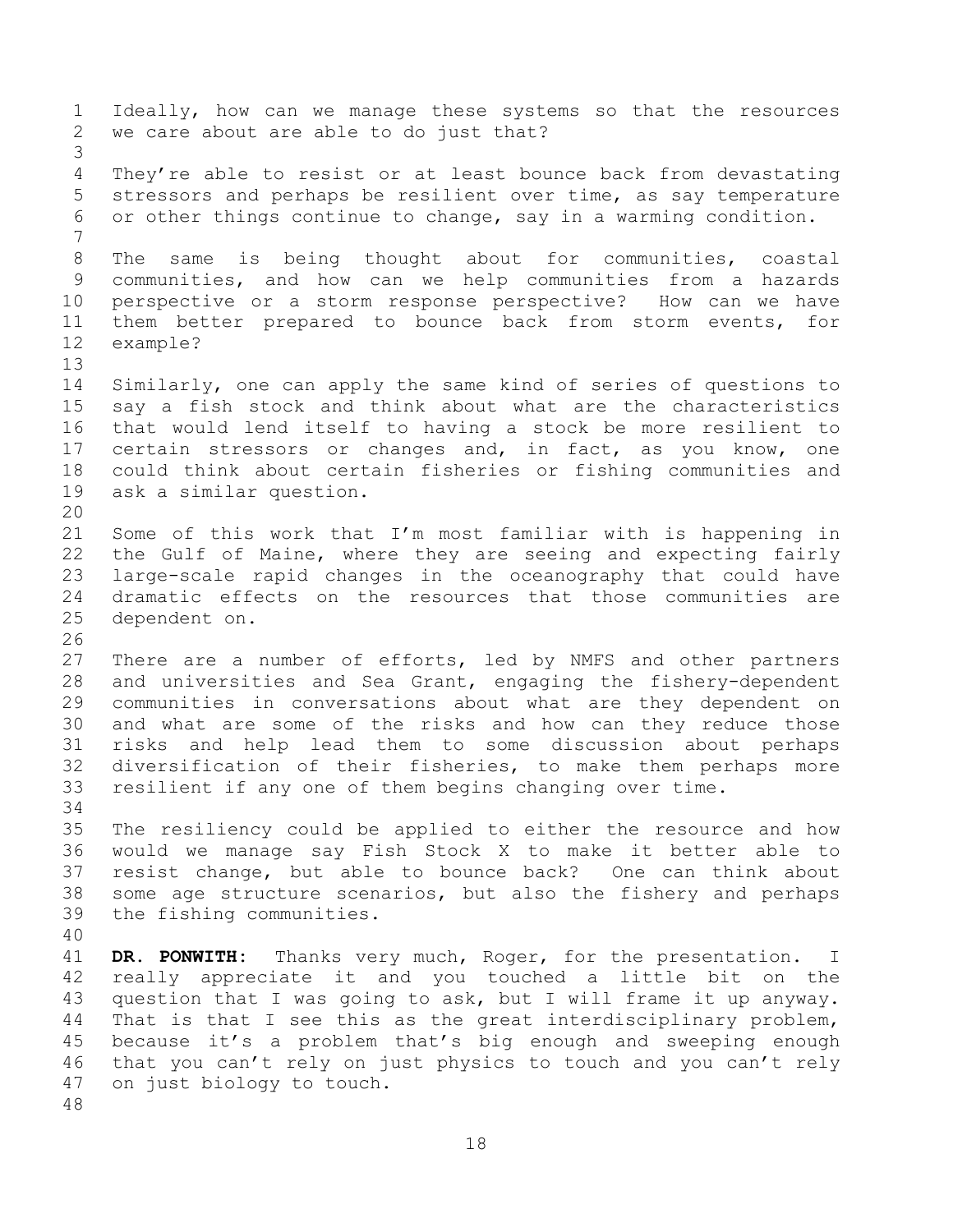Ideally, how can we manage these systems so that the resources we care about are able to do just that? They're able to resist or at least bounce back from devastating stressors and perhaps be resilient over time, as say temperature or other things continue to change, say in a warming condition. The same is being thought about for communities, coastal communities, and how can we help communities from a hazards perspective or a storm response perspective? How can we have them better prepared to bounce back from storm events, for example? Similarly, one can apply the same kind of series of questions to say a fish stock and think about what are the characteristics that would lend itself to having a stock be more resilient to certain stressors or changes and, in fact, as you know, one could think about certain fisheries or fishing communities and ask a similar question. Some of this work that I'm most familiar with is happening in the Gulf of Maine, where they are seeing and expecting fairly large-scale rapid changes in the oceanography that could have dramatic effects on the resources that those communities are dependent on. There are a number of efforts, led by NMFS and other partners and universities and Sea Grant, engaging the fishery-dependent communities in conversations about what are they dependent on and what are some of the risks and how can they reduce those risks and help lead them to some discussion about perhaps diversification of their fisheries, to make them perhaps more resilient if any one of them begins changing over time. The resiliency could be applied to either the resource and how would we manage say Fish Stock X to make it better able to resist change, but able to bounce back? One can think about some age structure scenarios, but also the fishery and perhaps the fishing communities. **DR. PONWITH:** Thanks very much, Roger, for the presentation. I really appreciate it and you touched a little bit on the question that I was going to ask, but I will frame it up anyway. That is that I see this as the great interdisciplinary problem, because it's a problem that's big enough and sweeping enough that you can't rely on just physics to touch and you can't rely on just biology to touch.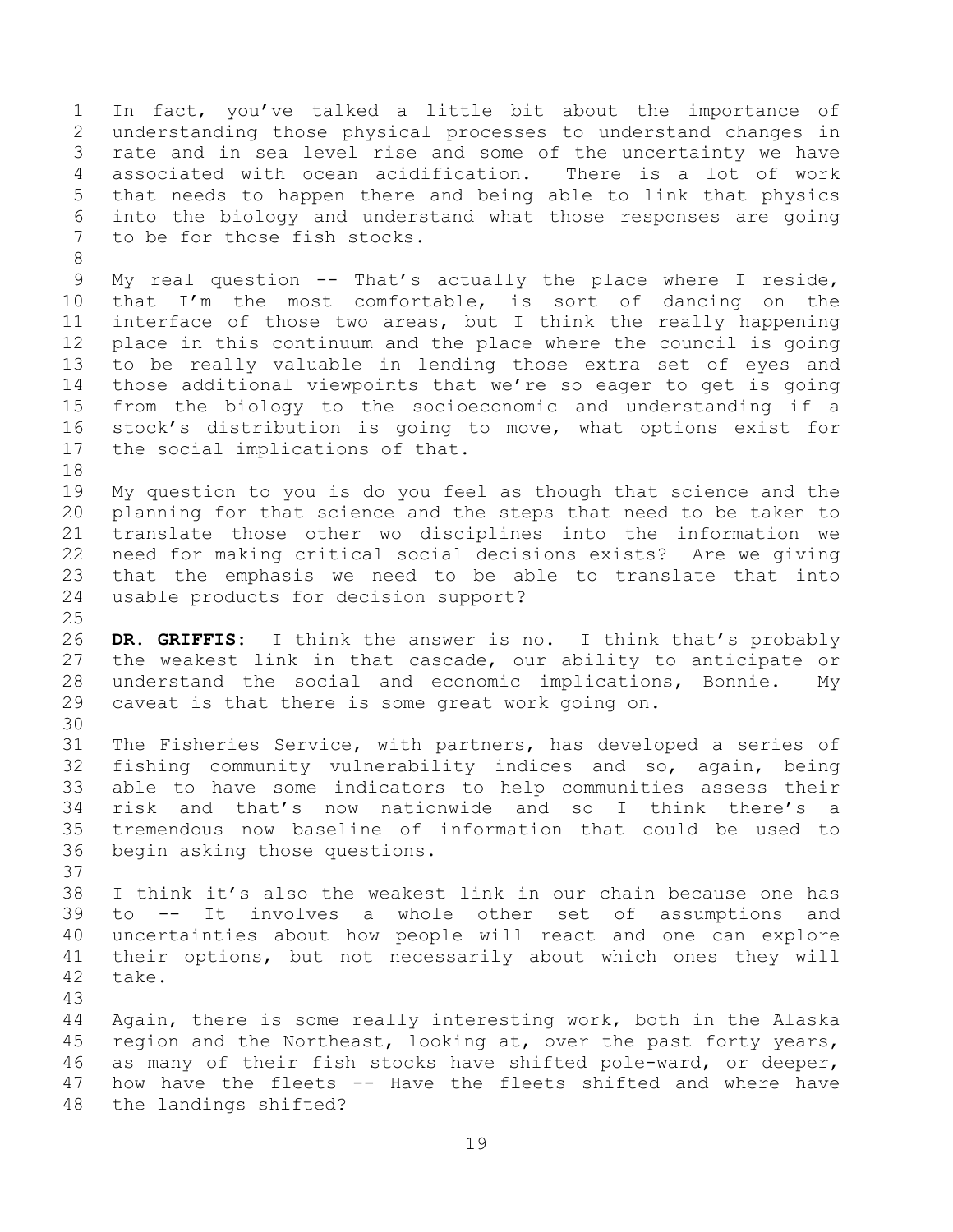In fact, you've talked a little bit about the importance of understanding those physical processes to understand changes in rate and in sea level rise and some of the uncertainty we have associated with ocean acidification. There is a lot of work that needs to happen there and being able to link that physics into the biology and understand what those responses are going to be for those fish stocks.

 My real question -- That's actually the place where I reside, that I'm the most comfortable, is sort of dancing on the interface of those two areas, but I think the really happening place in this continuum and the place where the council is going to be really valuable in lending those extra set of eyes and those additional viewpoints that we're so eager to get is going from the biology to the socioeconomic and understanding if a stock's distribution is going to move, what options exist for the social implications of that.

 My question to you is do you feel as though that science and the planning for that science and the steps that need to be taken to translate those other wo disciplines into the information we need for making critical social decisions exists? Are we giving that the emphasis we need to be able to translate that into usable products for decision support?

 **DR. GRIFFIS:** I think the answer is no. I think that's probably the weakest link in that cascade, our ability to anticipate or understand the social and economic implications, Bonnie. My caveat is that there is some great work going on.

 The Fisheries Service, with partners, has developed a series of fishing community vulnerability indices and so, again, being able to have some indicators to help communities assess their risk and that's now nationwide and so I think there's a tremendous now baseline of information that could be used to begin asking those questions.

 I think it's also the weakest link in our chain because one has to -- It involves a whole other set of assumptions and uncertainties about how people will react and one can explore their options, but not necessarily about which ones they will take.

 Again, there is some really interesting work, both in the Alaska 45 region and the Northeast, looking at, over the past forty years, as many of their fish stocks have shifted pole-ward, or deeper, how have the fleets -- Have the fleets shifted and where have the landings shifted?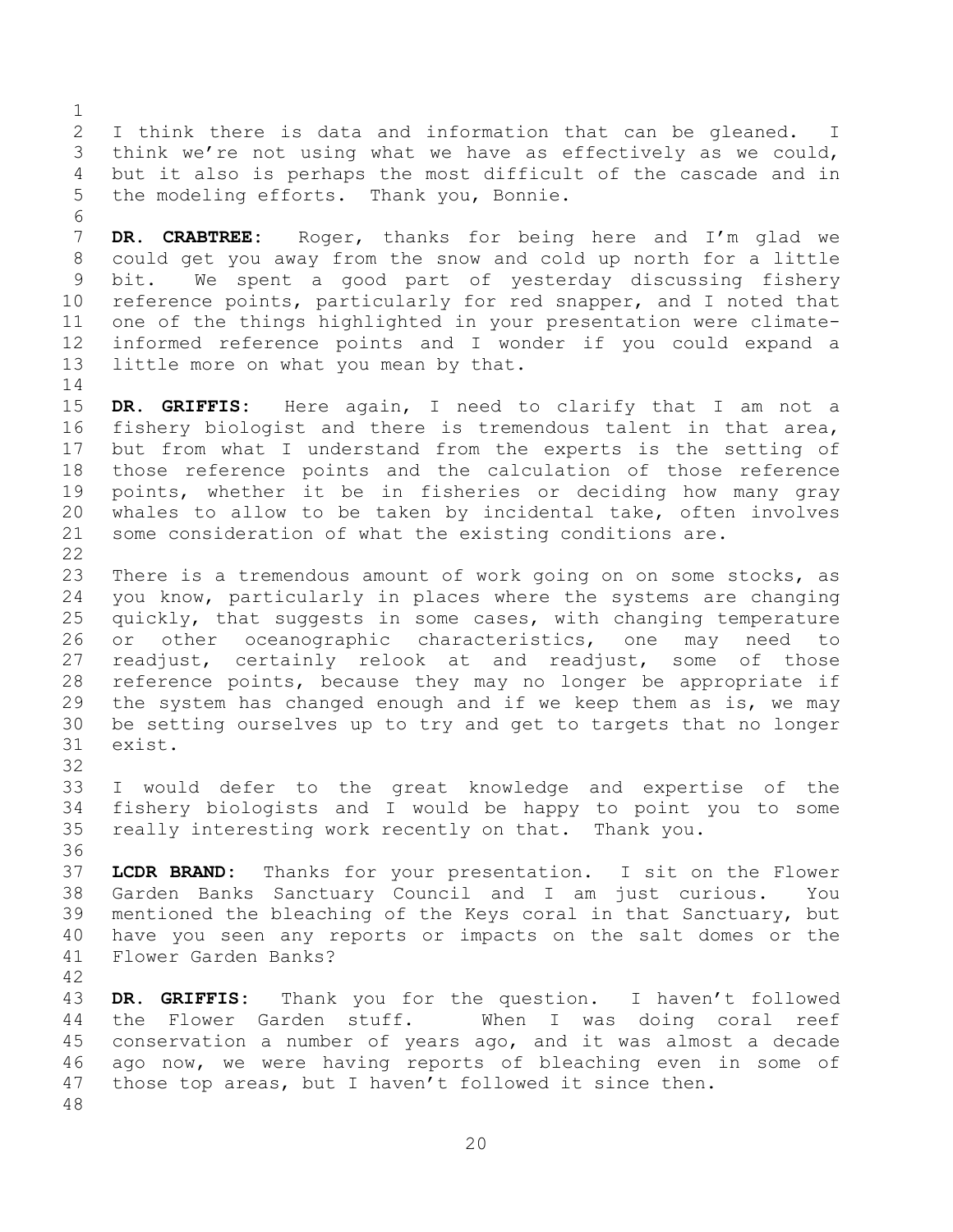I think there is data and information that can be gleaned. I think we're not using what we have as effectively as we could, but it also is perhaps the most difficult of the cascade and in the modeling efforts. Thank you, Bonnie.

 **DR. CRABTREE:** Roger, thanks for being here and I'm glad we could get you away from the snow and cold up north for a little bit. We spent a good part of yesterday discussing fishery reference points, particularly for red snapper, and I noted that one of the things highlighted in your presentation were climate- informed reference points and I wonder if you could expand a little more on what you mean by that.

 **DR. GRIFFIS:** Here again, I need to clarify that I am not a fishery biologist and there is tremendous talent in that area, but from what I understand from the experts is the setting of those reference points and the calculation of those reference points, whether it be in fisheries or deciding how many gray whales to allow to be taken by incidental take, often involves some consideration of what the existing conditions are. 

 There is a tremendous amount of work going on on some stocks, as you know, particularly in places where the systems are changing quickly, that suggests in some cases, with changing temperature or other oceanographic characteristics, one may need to readjust, certainly relook at and readjust, some of those reference points, because they may no longer be appropriate if the system has changed enough and if we keep them as is, we may be setting ourselves up to try and get to targets that no longer exist.

 I would defer to the great knowledge and expertise of the fishery biologists and I would be happy to point you to some really interesting work recently on that. Thank you.

 **LCDR BRAND:** Thanks for your presentation. I sit on the Flower Garden Banks Sanctuary Council and I am just curious. You mentioned the bleaching of the Keys coral in that Sanctuary, but have you seen any reports or impacts on the salt domes or the Flower Garden Banks?

 **DR. GRIFFIS:** Thank you for the question. I haven't followed the Flower Garden stuff. When I was doing coral reef conservation a number of years ago, and it was almost a decade ago now, we were having reports of bleaching even in some of those top areas, but I haven't followed it since then.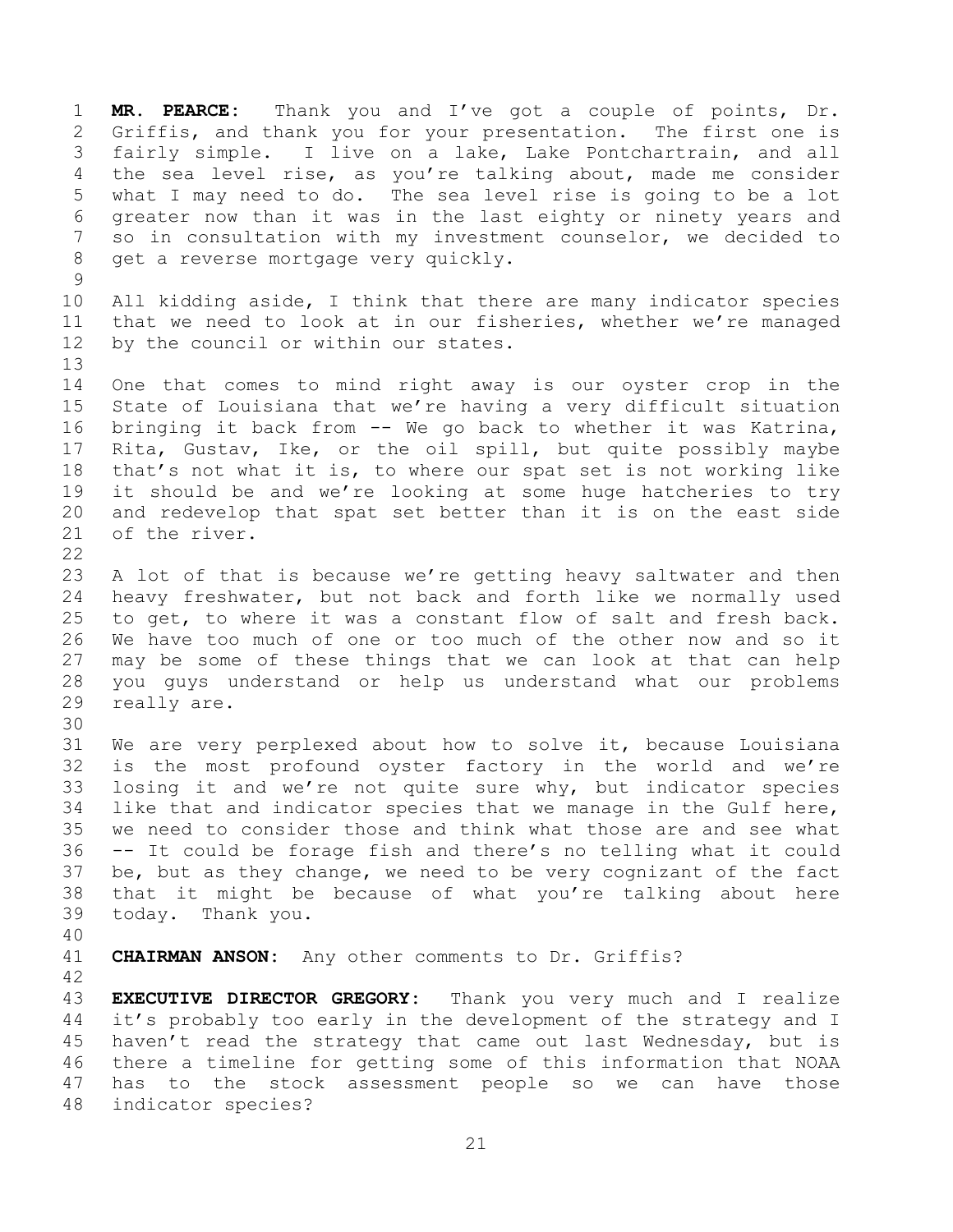**MR. PEARCE:** Thank you and I've got a couple of points, Dr. Griffis, and thank you for your presentation. The first one is fairly simple. I live on a lake, Lake Pontchartrain, and all the sea level rise, as you're talking about, made me consider what I may need to do. The sea level rise is going to be a lot greater now than it was in the last eighty or ninety years and so in consultation with my investment counselor, we decided to get a reverse mortgage very quickly. 

 All kidding aside, I think that there are many indicator species that we need to look at in our fisheries, whether we're managed by the council or within our states.

 One that comes to mind right away is our oyster crop in the State of Louisiana that we're having a very difficult situation bringing it back from -- We go back to whether it was Katrina, Rita, Gustav, Ike, or the oil spill, but quite possibly maybe that's not what it is, to where our spat set is not working like it should be and we're looking at some huge hatcheries to try and redevelop that spat set better than it is on the east side of the river. 

 A lot of that is because we're getting heavy saltwater and then heavy freshwater, but not back and forth like we normally used to get, to where it was a constant flow of salt and fresh back. We have too much of one or too much of the other now and so it may be some of these things that we can look at that can help you guys understand or help us understand what our problems really are.

 We are very perplexed about how to solve it, because Louisiana is the most profound oyster factory in the world and we're losing it and we're not quite sure why, but indicator species like that and indicator species that we manage in the Gulf here, we need to consider those and think what those are and see what -- It could be forage fish and there's no telling what it could be, but as they change, we need to be very cognizant of the fact that it might be because of what you're talking about here today. Thank you.

**CHAIRMAN ANSON:** Any other comments to Dr. Griffis?

 **EXECUTIVE DIRECTOR GREGORY:** Thank you very much and I realize it's probably too early in the development of the strategy and I haven't read the strategy that came out last Wednesday, but is there a timeline for getting some of this information that NOAA has to the stock assessment people so we can have those indicator species?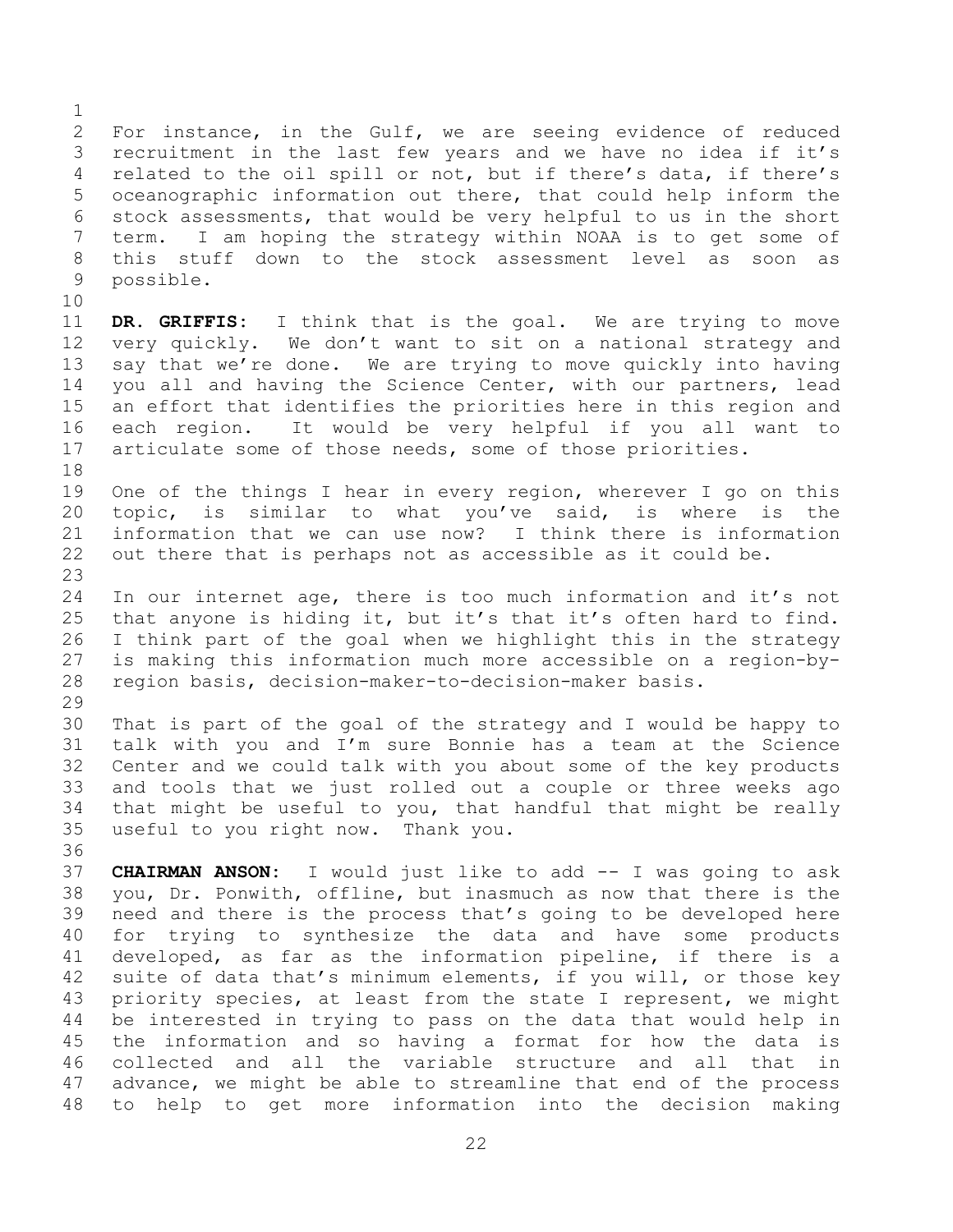For instance, in the Gulf, we are seeing evidence of reduced recruitment in the last few years and we have no idea if it's related to the oil spill or not, but if there's data, if there's oceanographic information out there, that could help inform the stock assessments, that would be very helpful to us in the short term. I am hoping the strategy within NOAA is to get some of this stuff down to the stock assessment level as soon as possible. **DR. GRIFFIS:** I think that is the goal. We are trying to move very quickly. We don't want to sit on a national strategy and say that we're done. We are trying to move quickly into having you all and having the Science Center, with our partners, lead an effort that identifies the priorities here in this region and each region. It would be very helpful if you all want to articulate some of those needs, some of those priorities. One of the things I hear in every region, wherever I go on this topic, is similar to what you've said, is where is the information that we can use now? I think there is information out there that is perhaps not as accessible as it could be. In our internet age, there is too much information and it's not that anyone is hiding it, but it's that it's often hard to find. I think part of the goal when we highlight this in the strategy is making this information much more accessible on a region-by- region basis, decision-maker-to-decision-maker basis. That is part of the goal of the strategy and I would be happy to talk with you and I'm sure Bonnie has a team at the Science Center and we could talk with you about some of the key products and tools that we just rolled out a couple or three weeks ago that might be useful to you, that handful that might be really useful to you right now. Thank you. **CHAIRMAN ANSON:** I would just like to add -- I was going to ask you, Dr. Ponwith, offline, but inasmuch as now that there is the need and there is the process that's going to be developed here for trying to synthesize the data and have some products developed, as far as the information pipeline, if there is a suite of data that's minimum elements, if you will, or those key

 priority species, at least from the state I represent, we might be interested in trying to pass on the data that would help in the information and so having a format for how the data is collected and all the variable structure and all that in advance, we might be able to streamline that end of the process to help to get more information into the decision making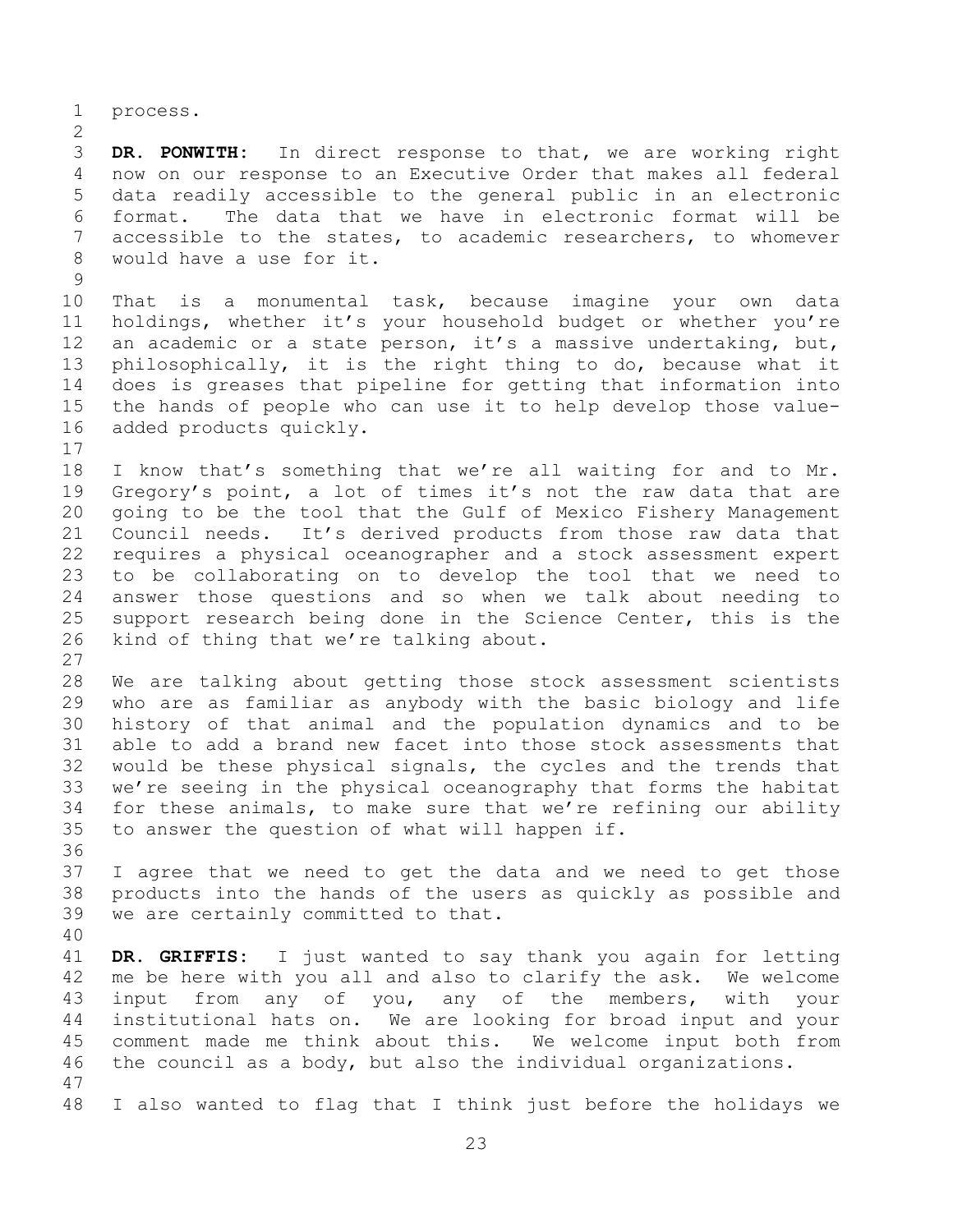process.

 **DR. PONWITH:** In direct response to that, we are working right now on our response to an Executive Order that makes all federal data readily accessible to the general public in an electronic format. The data that we have in electronic format will be accessible to the states, to academic researchers, to whomever would have a use for it.

 That is a monumental task, because imagine your own data holdings, whether it's your household budget or whether you're 12 an academic or a state person, it's a massive undertaking, but, philosophically, it is the right thing to do, because what it does is greases that pipeline for getting that information into the hands of people who can use it to help develop those value-added products quickly.

 I know that's something that we're all waiting for and to Mr. Gregory's point, a lot of times it's not the raw data that are going to be the tool that the Gulf of Mexico Fishery Management Council needs. It's derived products from those raw data that requires a physical oceanographer and a stock assessment expert to be collaborating on to develop the tool that we need to answer those questions and so when we talk about needing to support research being done in the Science Center, this is the kind of thing that we're talking about.

 We are talking about getting those stock assessment scientists who are as familiar as anybody with the basic biology and life history of that animal and the population dynamics and to be able to add a brand new facet into those stock assessments that would be these physical signals, the cycles and the trends that we're seeing in the physical oceanography that forms the habitat for these animals, to make sure that we're refining our ability to answer the question of what will happen if.

 I agree that we need to get the data and we need to get those products into the hands of the users as quickly as possible and we are certainly committed to that.

 **DR. GRIFFIS:** I just wanted to say thank you again for letting me be here with you all and also to clarify the ask. We welcome input from any of you, any of the members, with your institutional hats on. We are looking for broad input and your comment made me think about this. We welcome input both from the council as a body, but also the individual organizations. 

I also wanted to flag that I think just before the holidays we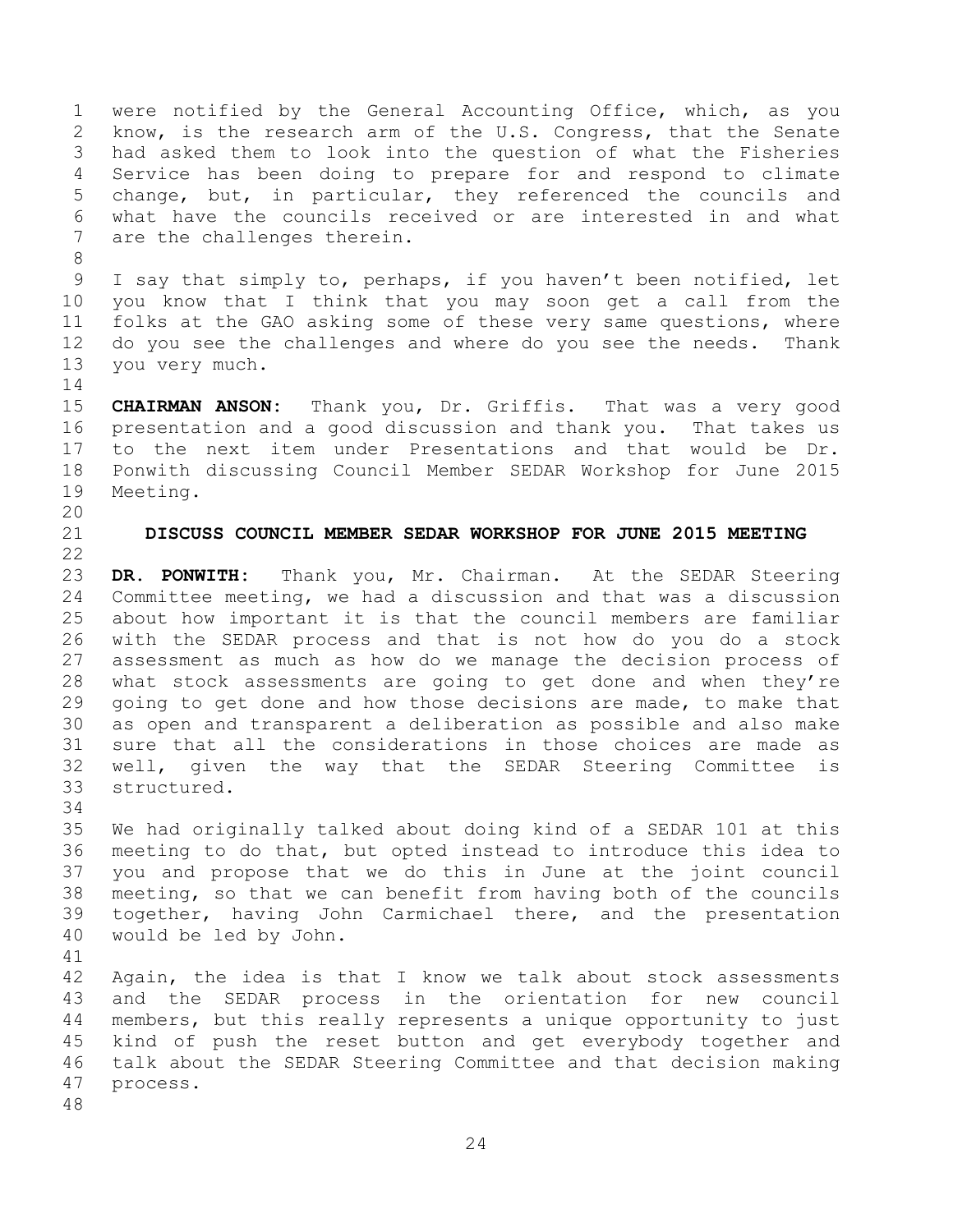were notified by the General Accounting Office, which, as you know, is the research arm of the U.S. Congress, that the Senate had asked them to look into the question of what the Fisheries Service has been doing to prepare for and respond to climate change, but, in particular, they referenced the councils and what have the councils received or are interested in and what are the challenges therein.

 I say that simply to, perhaps, if you haven't been notified, let you know that I think that you may soon get a call from the folks at the GAO asking some of these very same questions, where do you see the challenges and where do you see the needs. Thank you very much.

 **CHAIRMAN ANSON:** Thank you, Dr. Griffis. That was a very good presentation and a good discussion and thank you. That takes us to the next item under Presentations and that would be Dr. Ponwith discussing Council Member SEDAR Workshop for June 2015 Meeting. 

## **DISCUSS COUNCIL MEMBER SEDAR WORKSHOP FOR JUNE 2015 MEETING**

 **DR. PONWITH:** Thank you, Mr. Chairman. At the SEDAR Steering Committee meeting, we had a discussion and that was a discussion about how important it is that the council members are familiar with the SEDAR process and that is not how do you do a stock assessment as much as how do we manage the decision process of what stock assessments are going to get done and when they're going to get done and how those decisions are made, to make that as open and transparent a deliberation as possible and also make sure that all the considerations in those choices are made as well, given the way that the SEDAR Steering Committee is structured.

 We had originally talked about doing kind of a SEDAR 101 at this meeting to do that, but opted instead to introduce this idea to you and propose that we do this in June at the joint council meeting, so that we can benefit from having both of the councils together, having John Carmichael there, and the presentation would be led by John.

 Again, the idea is that I know we talk about stock assessments and the SEDAR process in the orientation for new council members, but this really represents a unique opportunity to just kind of push the reset button and get everybody together and talk about the SEDAR Steering Committee and that decision making process.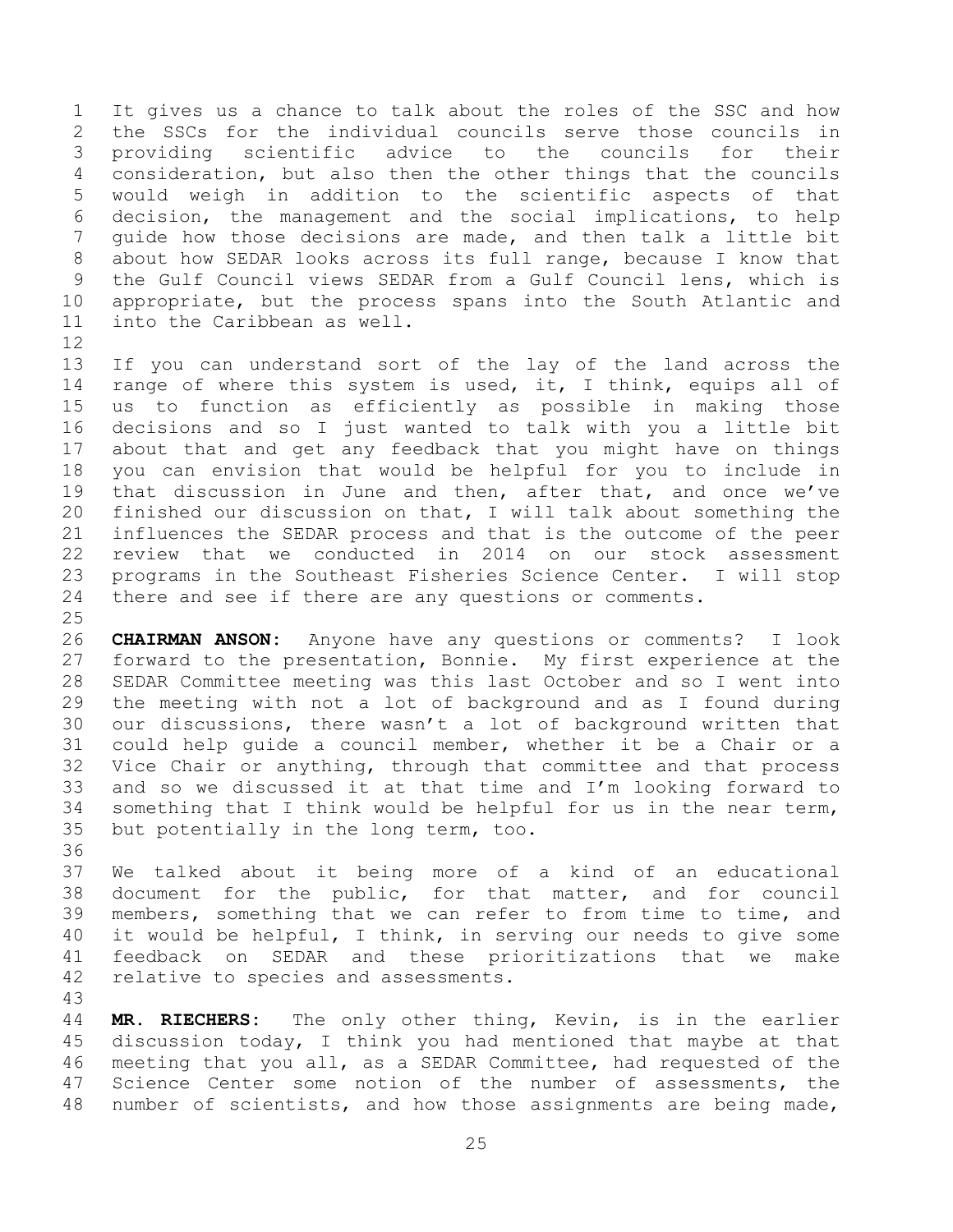It gives us a chance to talk about the roles of the SSC and how the SSCs for the individual councils serve those councils in providing scientific advice to the councils for their consideration, but also then the other things that the councils would weigh in addition to the scientific aspects of that decision, the management and the social implications, to help guide how those decisions are made, and then talk a little bit about how SEDAR looks across its full range, because I know that the Gulf Council views SEDAR from a Gulf Council lens, which is appropriate, but the process spans into the South Atlantic and into the Caribbean as well.

 If you can understand sort of the lay of the land across the range of where this system is used, it, I think, equips all of us to function as efficiently as possible in making those decisions and so I just wanted to talk with you a little bit about that and get any feedback that you might have on things you can envision that would be helpful for you to include in that discussion in June and then, after that, and once we've finished our discussion on that, I will talk about something the influences the SEDAR process and that is the outcome of the peer review that we conducted in 2014 on our stock assessment programs in the Southeast Fisheries Science Center. I will stop there and see if there are any questions or comments. 

 **CHAIRMAN ANSON:** Anyone have any questions or comments? I look forward to the presentation, Bonnie. My first experience at the SEDAR Committee meeting was this last October and so I went into the meeting with not a lot of background and as I found during our discussions, there wasn't a lot of background written that could help guide a council member, whether it be a Chair or a Vice Chair or anything, through that committee and that process and so we discussed it at that time and I'm looking forward to something that I think would be helpful for us in the near term, but potentially in the long term, too.

 We talked about it being more of a kind of an educational document for the public, for that matter, and for council members, something that we can refer to from time to time, and it would be helpful, I think, in serving our needs to give some feedback on SEDAR and these prioritizations that we make relative to species and assessments.

 **MR. RIECHERS:** The only other thing, Kevin, is in the earlier discussion today, I think you had mentioned that maybe at that meeting that you all, as a SEDAR Committee, had requested of the 47 Science Center some notion of the number of assessments, the number of scientists, and how those assignments are being made,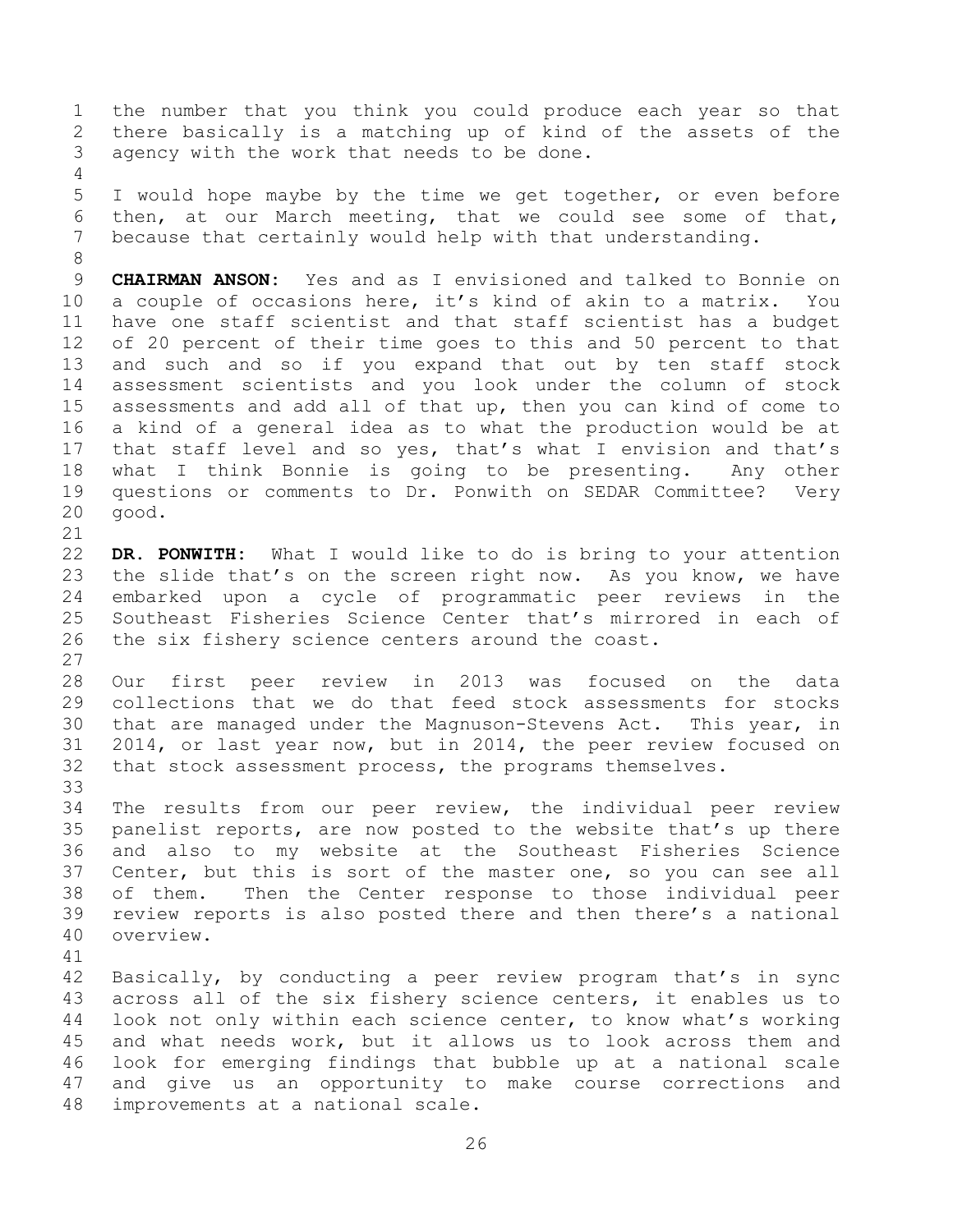the number that you think you could produce each year so that there basically is a matching up of kind of the assets of the agency with the work that needs to be done.

 I would hope maybe by the time we get together, or even before then, at our March meeting, that we could see some of that, because that certainly would help with that understanding.

 **CHAIRMAN ANSON:** Yes and as I envisioned and talked to Bonnie on a couple of occasions here, it's kind of akin to a matrix. You have one staff scientist and that staff scientist has a budget of 20 percent of their time goes to this and 50 percent to that and such and so if you expand that out by ten staff stock assessment scientists and you look under the column of stock assessments and add all of that up, then you can kind of come to a kind of a general idea as to what the production would be at that staff level and so yes, that's what I envision and that's what I think Bonnie is going to be presenting. Any other questions or comments to Dr. Ponwith on SEDAR Committee? Very good.

 **DR. PONWITH:** What I would like to do is bring to your attention the slide that's on the screen right now. As you know, we have embarked upon a cycle of programmatic peer reviews in the Southeast Fisheries Science Center that's mirrored in each of the six fishery science centers around the coast. 

 Our first peer review in 2013 was focused on the data collections that we do that feed stock assessments for stocks that are managed under the Magnuson-Stevens Act. This year, in 2014, or last year now, but in 2014, the peer review focused on that stock assessment process, the programs themselves. 

 The results from our peer review, the individual peer review panelist reports, are now posted to the website that's up there and also to my website at the Southeast Fisheries Science Center, but this is sort of the master one, so you can see all of them. Then the Center response to those individual peer review reports is also posted there and then there's a national overview.

 Basically, by conducting a peer review program that's in sync across all of the six fishery science centers, it enables us to look not only within each science center, to know what's working and what needs work, but it allows us to look across them and look for emerging findings that bubble up at a national scale and give us an opportunity to make course corrections and improvements at a national scale.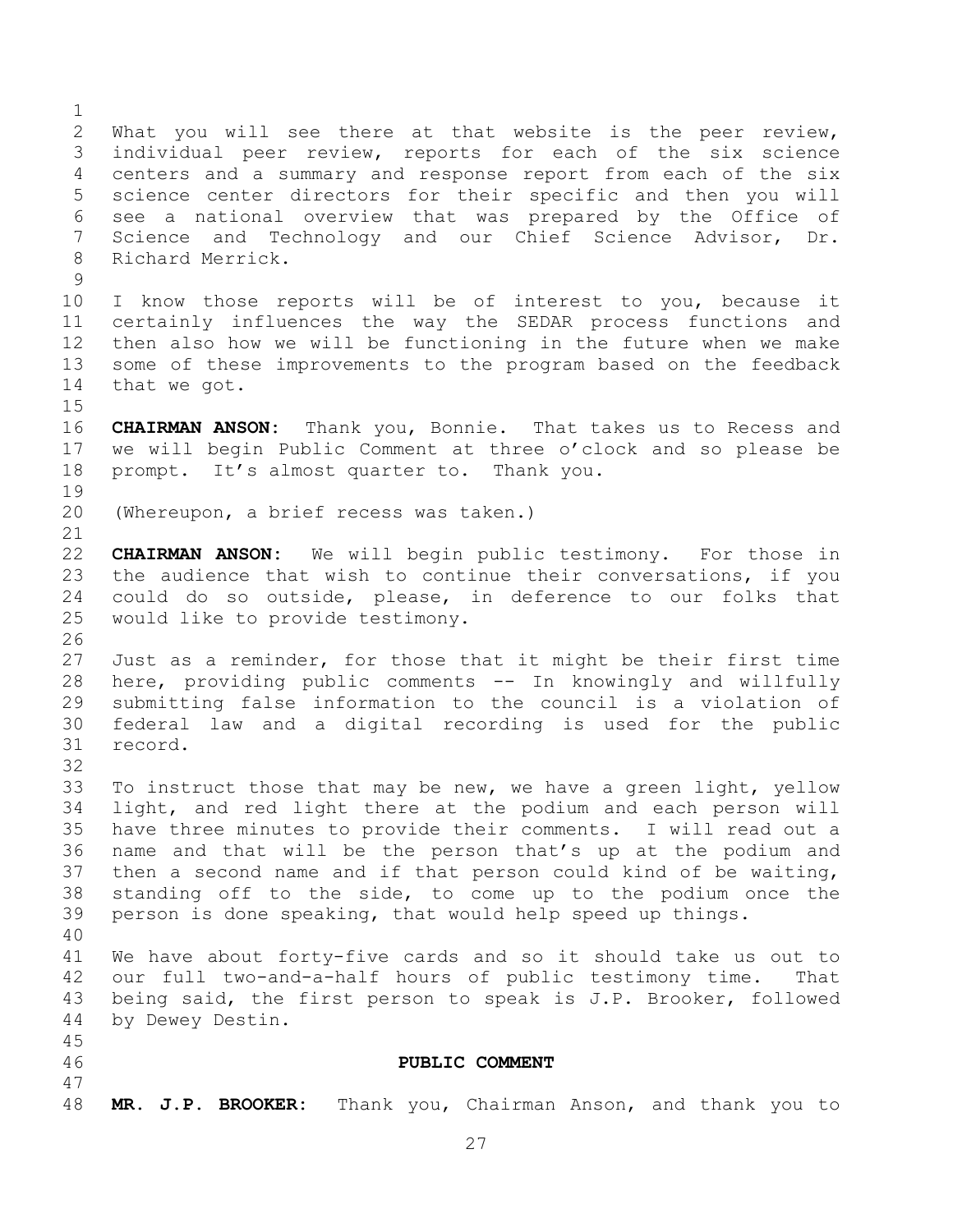What you will see there at that website is the peer review, individual peer review, reports for each of the six science centers and a summary and response report from each of the six science center directors for their specific and then you will see a national overview that was prepared by the Office of Science and Technology and our Chief Science Advisor, Dr. Richard Merrick. I know those reports will be of interest to you, because it certainly influences the way the SEDAR process functions and then also how we will be functioning in the future when we make some of these improvements to the program based on the feedback that we got. **CHAIRMAN ANSON:** Thank you, Bonnie. That takes us to Recess and we will begin Public Comment at three o'clock and so please be prompt. It's almost quarter to. Thank you. (Whereupon, a brief recess was taken.) **CHAIRMAN ANSON:** We will begin public testimony. For those in the audience that wish to continue their conversations, if you could do so outside, please, in deference to our folks that would like to provide testimony. Just as a reminder, for those that it might be their first time here, providing public comments -- In knowingly and willfully submitting false information to the council is a violation of federal law and a digital recording is used for the public record. To instruct those that may be new, we have a green light, yellow light, and red light there at the podium and each person will have three minutes to provide their comments. I will read out a name and that will be the person that's up at the podium and then a second name and if that person could kind of be waiting, standing off to the side, to come up to the podium once the person is done speaking, that would help speed up things. We have about forty-five cards and so it should take us out to our full two-and-a-half hours of public testimony time. That being said, the first person to speak is J.P. Brooker, followed by Dewey Destin. **PUBLIC COMMENT MR. J.P. BROOKER:** Thank you, Chairman Anson, and thank you to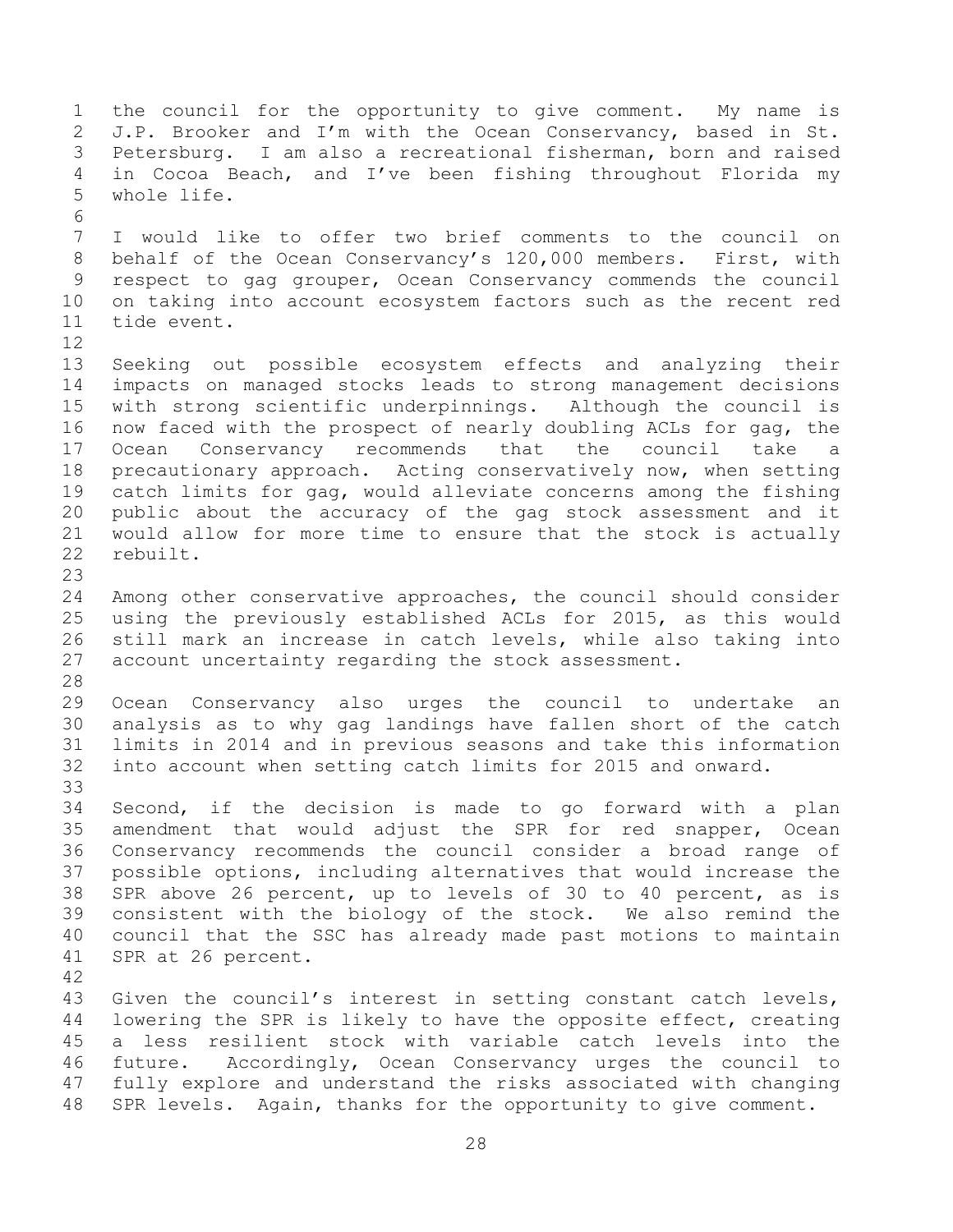the council for the opportunity to give comment. My name is J.P. Brooker and I'm with the Ocean Conservancy, based in St. Petersburg. I am also a recreational fisherman, born and raised in Cocoa Beach, and I've been fishing throughout Florida my whole life. I would like to offer two brief comments to the council on behalf of the Ocean Conservancy's 120,000 members. First, with respect to gag grouper, Ocean Conservancy commends the council on taking into account ecosystem factors such as the recent red tide event. Seeking out possible ecosystem effects and analyzing their impacts on managed stocks leads to strong management decisions with strong scientific underpinnings. Although the council is now faced with the prospect of nearly doubling ACLs for gag, the Ocean Conservancy recommends that the council take a precautionary approach. Acting conservatively now, when setting catch limits for gag, would alleviate concerns among the fishing public about the accuracy of the gag stock assessment and it would allow for more time to ensure that the stock is actually rebuilt. Among other conservative approaches, the council should consider using the previously established ACLs for 2015, as this would still mark an increase in catch levels, while also taking into account uncertainty regarding the stock assessment. Ocean Conservancy also urges the council to undertake an analysis as to why gag landings have fallen short of the catch limits in 2014 and in previous seasons and take this information into account when setting catch limits for 2015 and onward. Second, if the decision is made to go forward with a plan amendment that would adjust the SPR for red snapper, Ocean Conservancy recommends the council consider a broad range of possible options, including alternatives that would increase the SPR above 26 percent, up to levels of 30 to 40 percent, as is consistent with the biology of the stock. We also remind the council that the SSC has already made past motions to maintain SPR at 26 percent. Given the council's interest in setting constant catch levels, lowering the SPR is likely to have the opposite effect, creating a less resilient stock with variable catch levels into the future. Accordingly, Ocean Conservancy urges the council to fully explore and understand the risks associated with changing SPR levels. Again, thanks for the opportunity to give comment.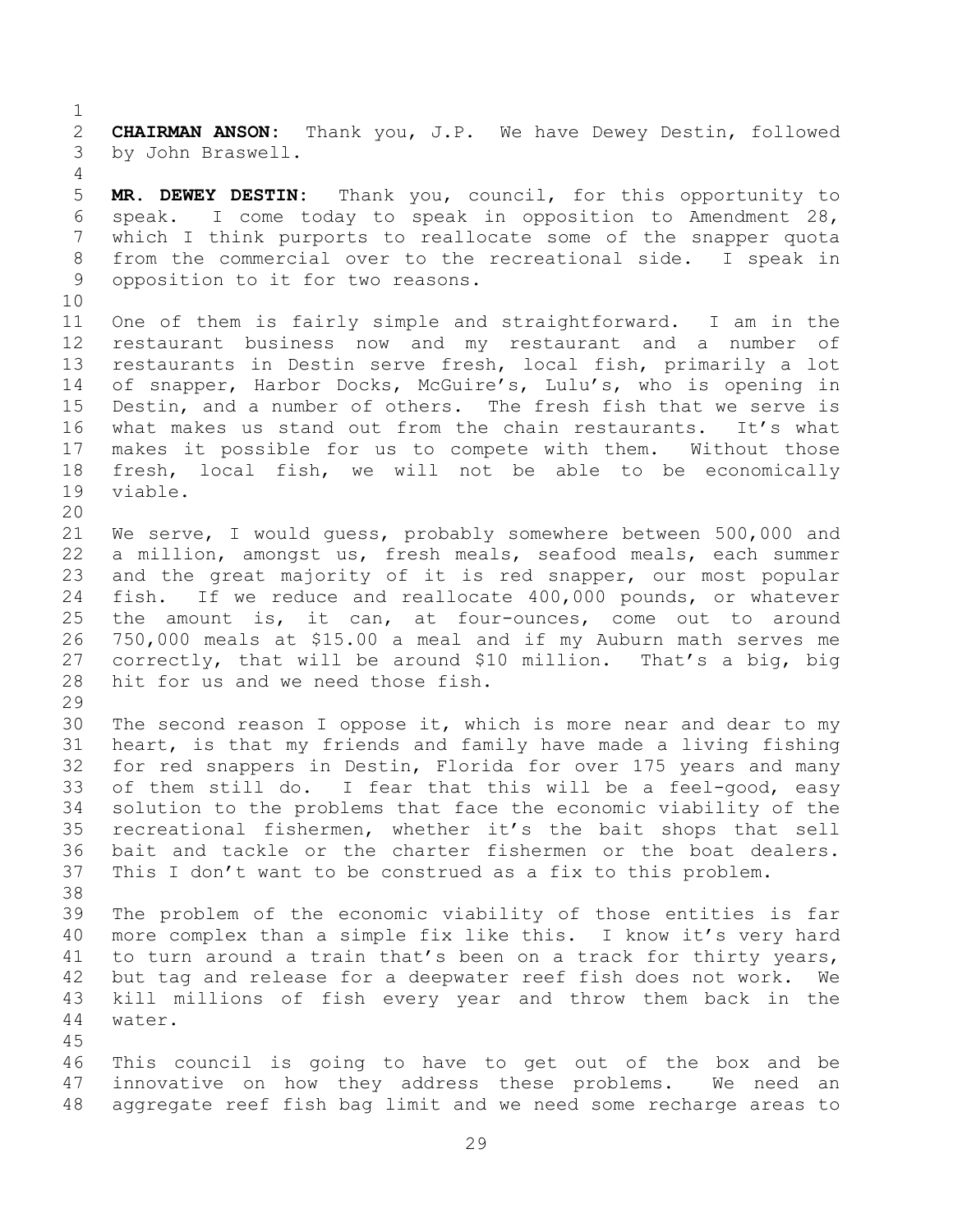**CHAIRMAN ANSON:** Thank you, J.P. We have Dewey Destin, followed by John Braswell.

 **MR. DEWEY DESTIN:** Thank you, council, for this opportunity to speak. I come today to speak in opposition to Amendment 28, which I think purports to reallocate some of the snapper quota from the commercial over to the recreational side. I speak in opposition to it for two reasons.

 One of them is fairly simple and straightforward. I am in the restaurant business now and my restaurant and a number of restaurants in Destin serve fresh, local fish, primarily a lot of snapper, Harbor Docks, McGuire's, Lulu's, who is opening in Destin, and a number of others. The fresh fish that we serve is what makes us stand out from the chain restaurants. It's what makes it possible for us to compete with them. Without those fresh, local fish, we will not be able to be economically viable.

 We serve, I would guess, probably somewhere between 500,000 and a million, amongst us, fresh meals, seafood meals, each summer and the great majority of it is red snapper, our most popular fish. If we reduce and reallocate 400,000 pounds, or whatever the amount is, it can, at four-ounces, come out to around 750,000 meals at \$15.00 a meal and if my Auburn math serves me correctly, that will be around \$10 million. That's a big, big hit for us and we need those fish.

 The second reason I oppose it, which is more near and dear to my heart, is that my friends and family have made a living fishing for red snappers in Destin, Florida for over 175 years and many of them still do. I fear that this will be a feel-good, easy solution to the problems that face the economic viability of the recreational fishermen, whether it's the bait shops that sell bait and tackle or the charter fishermen or the boat dealers. This I don't want to be construed as a fix to this problem. 

 The problem of the economic viability of those entities is far more complex than a simple fix like this. I know it's very hard to turn around a train that's been on a track for thirty years, but tag and release for a deepwater reef fish does not work. We kill millions of fish every year and throw them back in the water.

 This council is going to have to get out of the box and be innovative on how they address these problems. We need an aggregate reef fish bag limit and we need some recharge areas to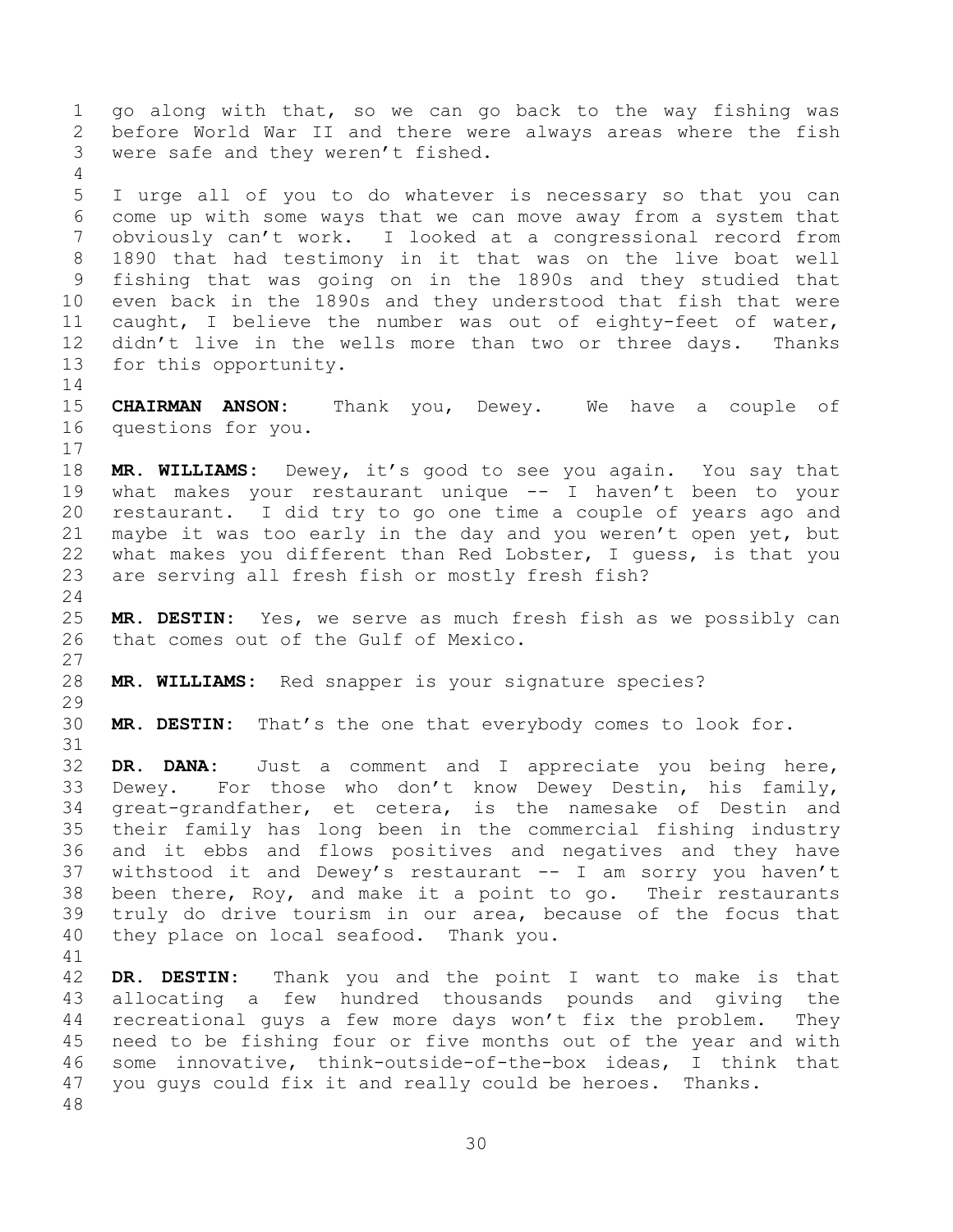before World War II and there were always areas where the fish were safe and they weren't fished. I urge all of you to do whatever is necessary so that you can come up with some ways that we can move away from a system that obviously can't work. I looked at a congressional record from 1890 that had testimony in it that was on the live boat well fishing that was going on in the 1890s and they studied that even back in the 1890s and they understood that fish that were

go along with that, so we can go back to the way fishing was

 caught, I believe the number was out of eighty-feet of water, 12 didn't live in the wells more than two or three days. Thanks for this opportunity. 

 **CHAIRMAN ANSON:** Thank you, Dewey. We have a couple of questions for you. 

 **MR. WILLIAMS:** Dewey, it's good to see you again. You say that what makes your restaurant unique -- I haven't been to your restaurant. I did try to go one time a couple of years ago and maybe it was too early in the day and you weren't open yet, but what makes you different than Red Lobster, I guess, is that you are serving all fresh fish or mostly fresh fish?

 **MR. DESTIN:** Yes, we serve as much fresh fish as we possibly can that comes out of the Gulf of Mexico.

**MR. WILLIAMS:** Red snapper is your signature species?

**MR. DESTIN:** That's the one that everybody comes to look for.

 **DR. DANA:** Just a comment and I appreciate you being here, Dewey. For those who don't know Dewey Destin, his family, great-grandfather, et cetera, is the namesake of Destin and their family has long been in the commercial fishing industry and it ebbs and flows positives and negatives and they have withstood it and Dewey's restaurant -- I am sorry you haven't been there, Roy, and make it a point to go. Their restaurants truly do drive tourism in our area, because of the focus that they place on local seafood. Thank you.

 **DR. DESTIN:** Thank you and the point I want to make is that allocating a few hundred thousands pounds and giving the recreational guys a few more days won't fix the problem. They need to be fishing four or five months out of the year and with some innovative, think-outside-of-the-box ideas, I think that you guys could fix it and really could be heroes. Thanks.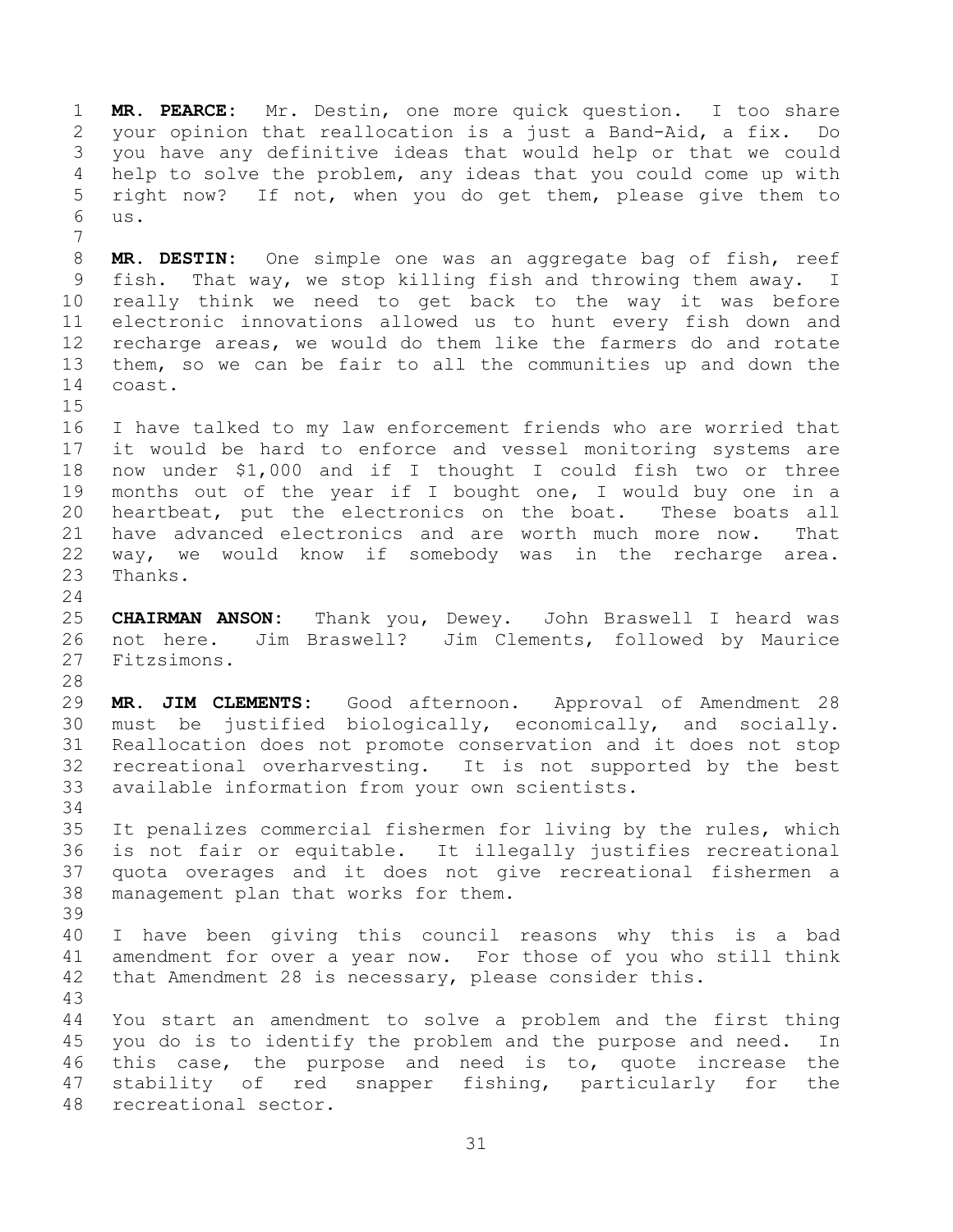**MR. PEARCE:** Mr. Destin, one more quick question. I too share your opinion that reallocation is a just a Band-Aid, a fix. Do you have any definitive ideas that would help or that we could help to solve the problem, any ideas that you could come up with right now? If not, when you do get them, please give them to us. 

 **MR. DESTIN:** One simple one was an aggregate bag of fish, reef fish. That way, we stop killing fish and throwing them away. I really think we need to get back to the way it was before electronic innovations allowed us to hunt every fish down and recharge areas, we would do them like the farmers do and rotate them, so we can be fair to all the communities up and down the coast.

 I have talked to my law enforcement friends who are worried that it would be hard to enforce and vessel monitoring systems are now under \$1,000 and if I thought I could fish two or three months out of the year if I bought one, I would buy one in a heartbeat, put the electronics on the boat. These boats all have advanced electronics and are worth much more now. That way, we would know if somebody was in the recharge area. Thanks.

 **CHAIRMAN ANSON:** Thank you, Dewey. John Braswell I heard was not here. Jim Braswell? Jim Clements, followed by Maurice Fitzsimons.

 **MR. JIM CLEMENTS:** Good afternoon. Approval of Amendment 28 must be justified biologically, economically, and socially. Reallocation does not promote conservation and it does not stop recreational overharvesting. It is not supported by the best available information from your own scientists.

 It penalizes commercial fishermen for living by the rules, which is not fair or equitable. It illegally justifies recreational quota overages and it does not give recreational fishermen a management plan that works for them.

 I have been giving this council reasons why this is a bad amendment for over a year now. For those of you who still think that Amendment 28 is necessary, please consider this.

 You start an amendment to solve a problem and the first thing you do is to identify the problem and the purpose and need. In this case, the purpose and need is to, quote increase the stability of red snapper fishing, particularly for the recreational sector.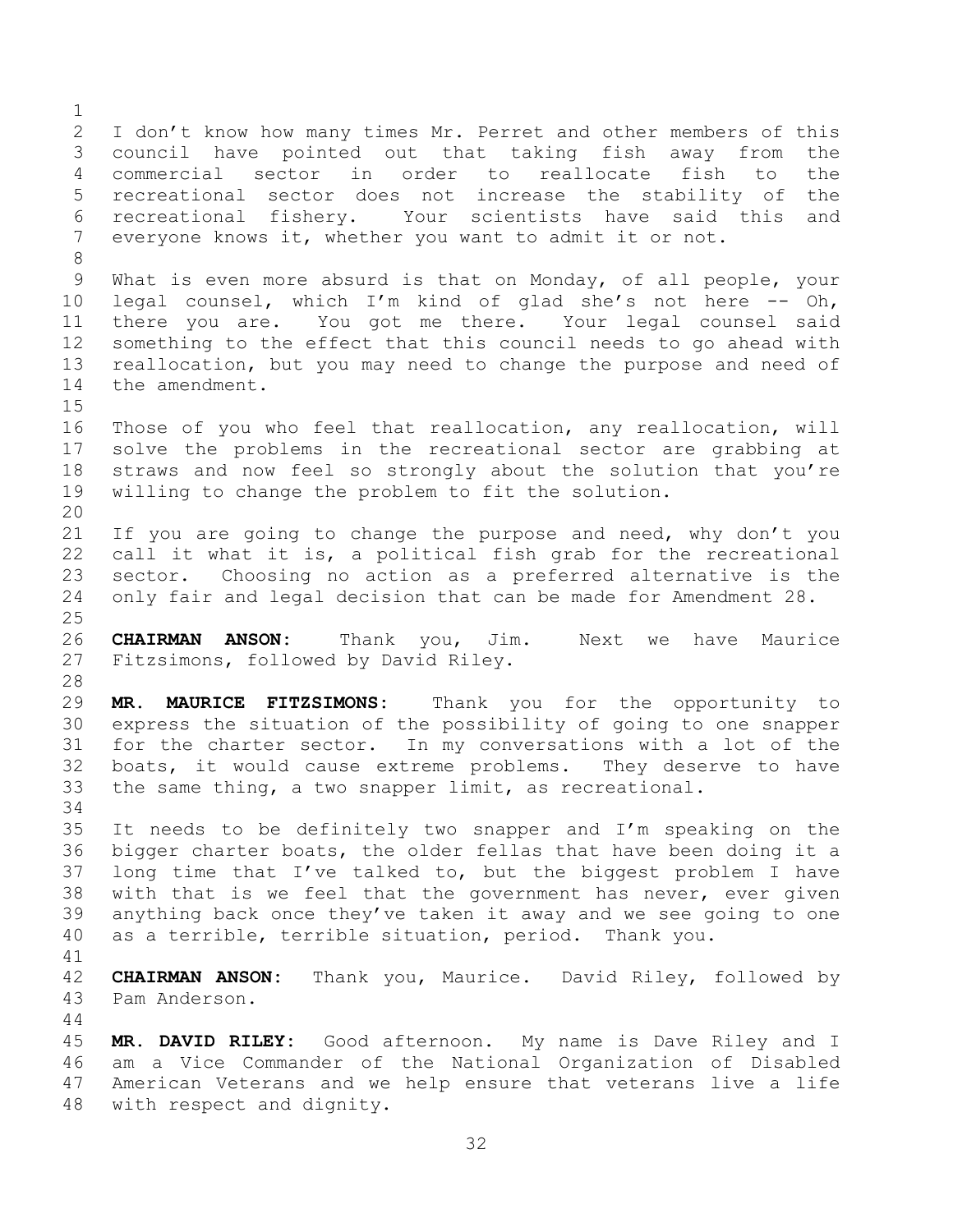I don't know how many times Mr. Perret and other members of this council have pointed out that taking fish away from the commercial sector in order to reallocate fish to the recreational sector does not increase the stability of the recreational fishery. Your scientists have said this and everyone knows it, whether you want to admit it or not. What is even more absurd is that on Monday, of all people, your legal counsel, which I'm kind of glad she's not here -- Oh, there you are. You got me there. Your legal counsel said something to the effect that this council needs to go ahead with reallocation, but you may need to change the purpose and need of the amendment. Those of you who feel that reallocation, any reallocation, will solve the problems in the recreational sector are grabbing at straws and now feel so strongly about the solution that you're willing to change the problem to fit the solution. 21 If you are going to change the purpose and need, why don't you call it what it is, a political fish grab for the recreational sector. Choosing no action as a preferred alternative is the only fair and legal decision that can be made for Amendment 28. **CHAIRMAN ANSON:** Thank you, Jim. Next we have Maurice Fitzsimons, followed by David Riley. **MR. MAURICE FITZSIMONS:** Thank you for the opportunity to express the situation of the possibility of going to one snapper for the charter sector. In my conversations with a lot of the boats, it would cause extreme problems. They deserve to have the same thing, a two snapper limit, as recreational. It needs to be definitely two snapper and I'm speaking on the bigger charter boats, the older fellas that have been doing it a long time that I've talked to, but the biggest problem I have with that is we feel that the government has never, ever given anything back once they've taken it away and we see going to one as a terrible, terrible situation, period. Thank you. **CHAIRMAN ANSON:** Thank you, Maurice. David Riley, followed by Pam Anderson. **MR. DAVID RILEY:** Good afternoon. My name is Dave Riley and I am a Vice Commander of the National Organization of Disabled American Veterans and we help ensure that veterans live a life with respect and dignity.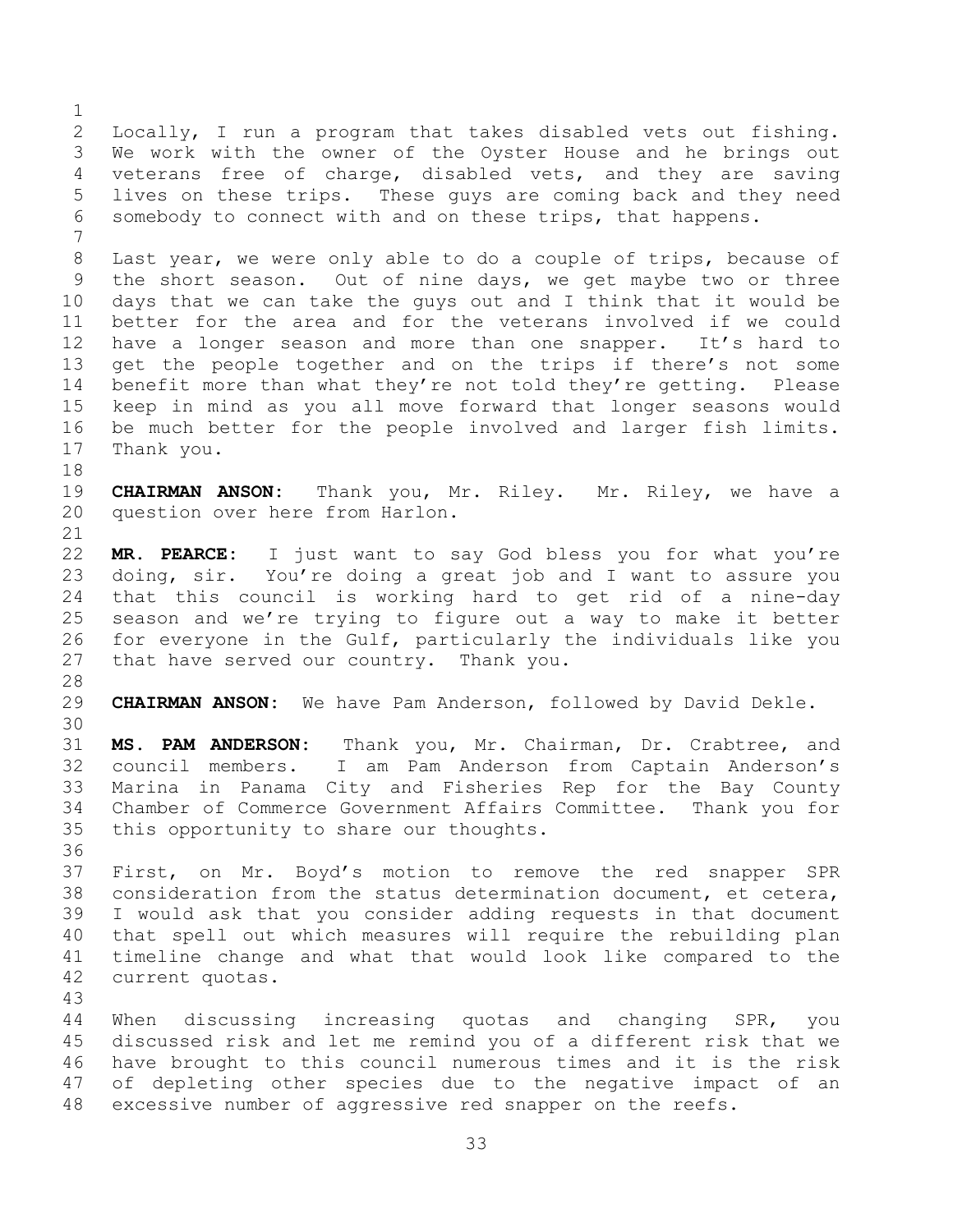Locally, I run a program that takes disabled vets out fishing. We work with the owner of the Oyster House and he brings out veterans free of charge, disabled vets, and they are saving lives on these trips. These guys are coming back and they need somebody to connect with and on these trips, that happens. Last year, we were only able to do a couple of trips, because of the short season. Out of nine days, we get maybe two or three days that we can take the guys out and I think that it would be better for the area and for the veterans involved if we could have a longer season and more than one snapper. It's hard to get the people together and on the trips if there's not some benefit more than what they're not told they're getting. Please keep in mind as you all move forward that longer seasons would be much better for the people involved and larger fish limits. Thank you. **CHAIRMAN ANSON:** Thank you, Mr. Riley. Mr. Riley, we have a question over here from Harlon. **MR. PEARCE:** I just want to say God bless you for what you're doing, sir. You're doing a great job and I want to assure you that this council is working hard to get rid of a nine-day season and we're trying to figure out a way to make it better for everyone in the Gulf, particularly the individuals like you that have served our country. Thank you. **CHAIRMAN ANSON:** We have Pam Anderson, followed by David Dekle. **MS. PAM ANDERSON:** Thank you, Mr. Chairman, Dr. Crabtree, and council members. I am Pam Anderson from Captain Anderson's Marina in Panama City and Fisheries Rep for the Bay County Chamber of Commerce Government Affairs Committee. Thank you for this opportunity to share our thoughts. First, on Mr. Boyd's motion to remove the red snapper SPR consideration from the status determination document, et cetera, I would ask that you consider adding requests in that document that spell out which measures will require the rebuilding plan timeline change and what that would look like compared to the current quotas. When discussing increasing quotas and changing SPR, you discussed risk and let me remind you of a different risk that we have brought to this council numerous times and it is the risk of depleting other species due to the negative impact of an excessive number of aggressive red snapper on the reefs.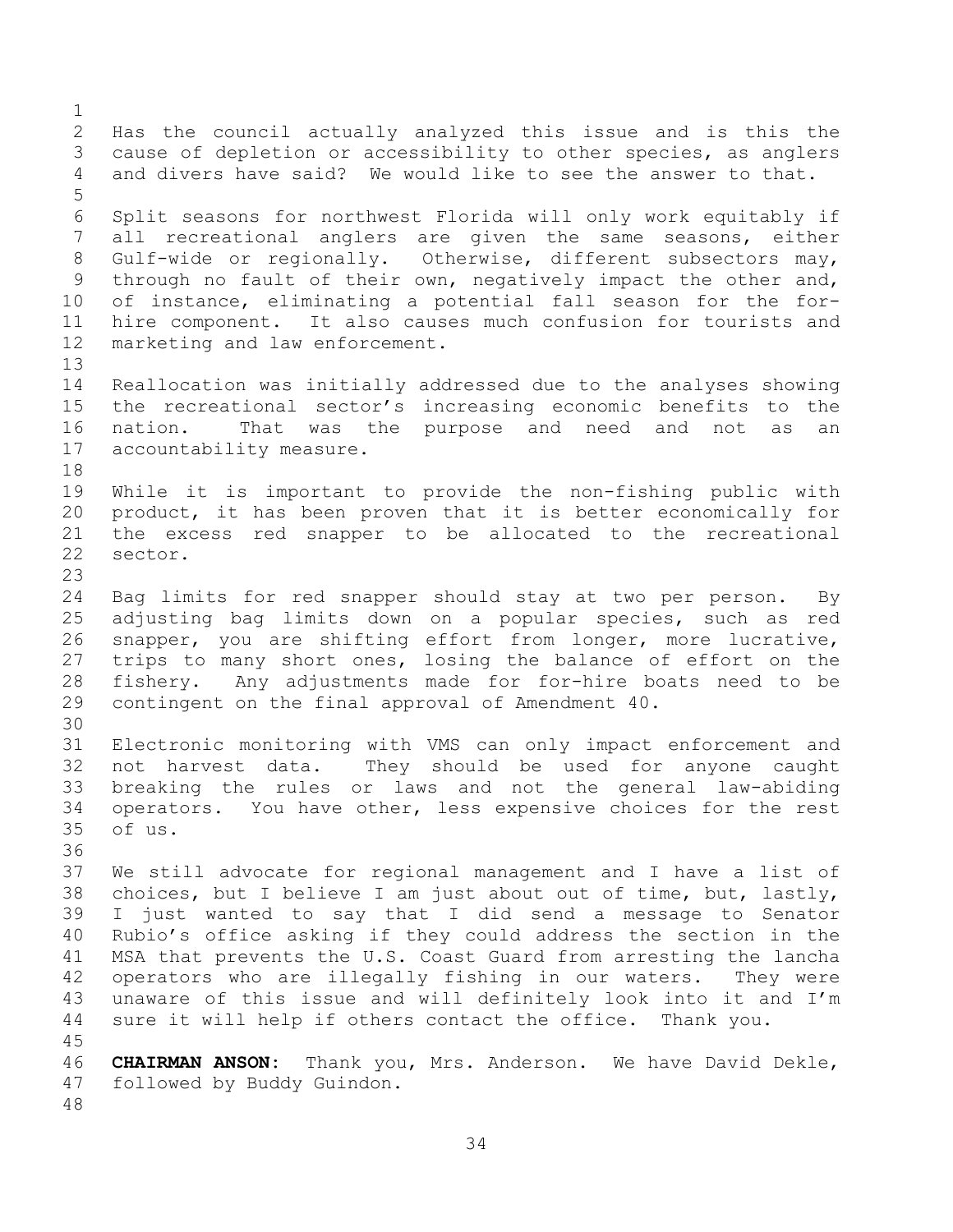Has the council actually analyzed this issue and is this the cause of depletion or accessibility to other species, as anglers and divers have said? We would like to see the answer to that. Split seasons for northwest Florida will only work equitably if all recreational anglers are given the same seasons, either Gulf-wide or regionally. Otherwise, different subsectors may, through no fault of their own, negatively impact the other and, of instance, eliminating a potential fall season for the for- hire component. It also causes much confusion for tourists and marketing and law enforcement. Reallocation was initially addressed due to the analyses showing the recreational sector's increasing economic benefits to the nation. That was the purpose and need and not as an accountability measure. While it is important to provide the non-fishing public with product, it has been proven that it is better economically for the excess red snapper to be allocated to the recreational sector. Bag limits for red snapper should stay at two per person. By adjusting bag limits down on a popular species, such as red snapper, you are shifting effort from longer, more lucrative, trips to many short ones, losing the balance of effort on the fishery. Any adjustments made for for-hire boats need to be contingent on the final approval of Amendment 40. Electronic monitoring with VMS can only impact enforcement and not harvest data. They should be used for anyone caught breaking the rules or laws and not the general law-abiding operators. You have other, less expensive choices for the rest of us. We still advocate for regional management and I have a list of choices, but I believe I am just about out of time, but, lastly, I just wanted to say that I did send a message to Senator Rubio's office asking if they could address the section in the MSA that prevents the U.S. Coast Guard from arresting the lancha operators who are illegally fishing in our waters. They were unaware of this issue and will definitely look into it and I'm sure it will help if others contact the office. Thank you. **CHAIRMAN ANSON:** Thank you, Mrs. Anderson. We have David Dekle, followed by Buddy Guindon.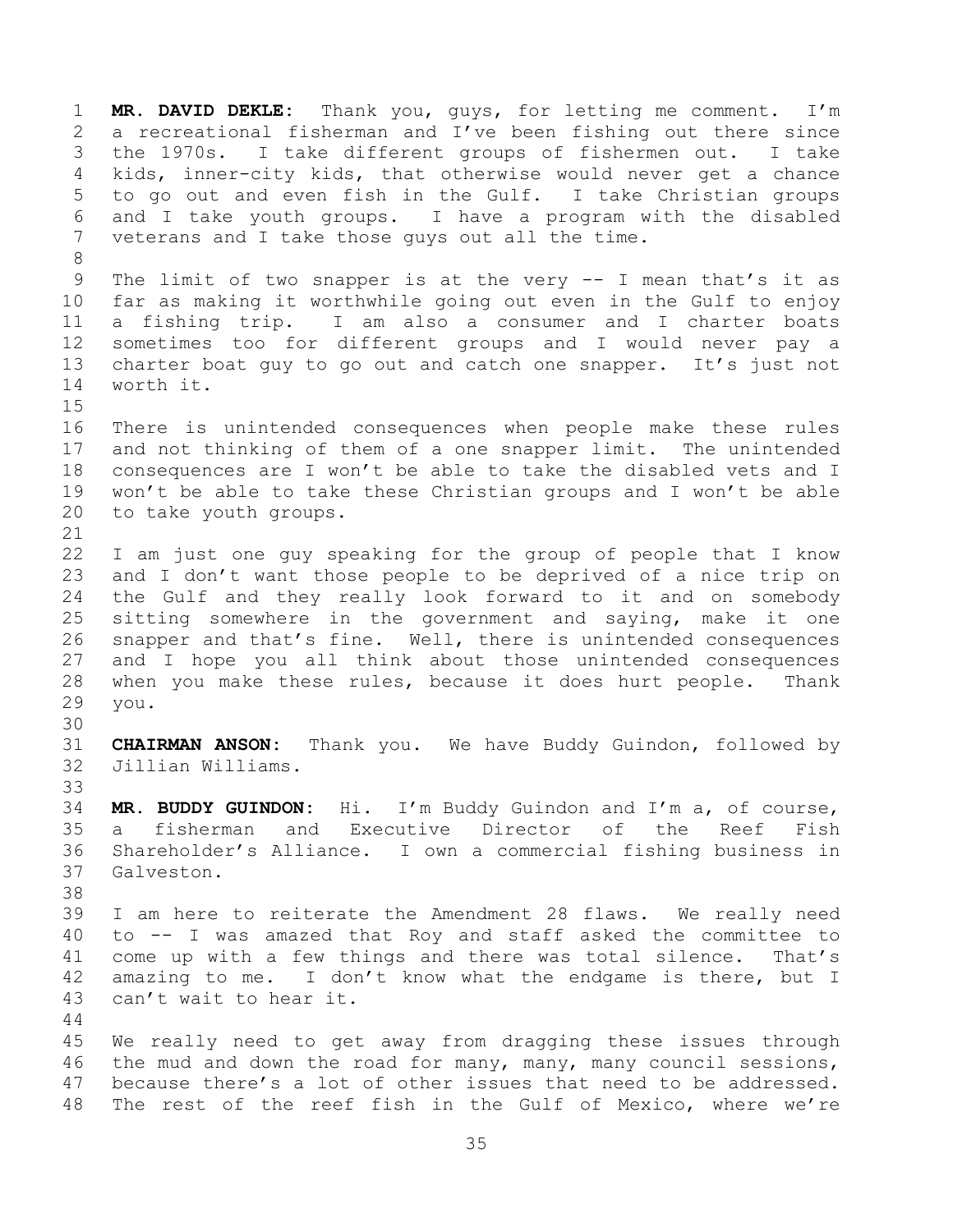**MR. DAVID DEKLE:** Thank you, guys, for letting me comment. I'm a recreational fisherman and I've been fishing out there since the 1970s. I take different groups of fishermen out. I take kids, inner-city kids, that otherwise would never get a chance to go out and even fish in the Gulf. I take Christian groups and I take youth groups. I have a program with the disabled veterans and I take those guys out all the time. The limit of two snapper is at the very -- I mean that's it as far as making it worthwhile going out even in the Gulf to enjoy a fishing trip. I am also a consumer and I charter boats sometimes too for different groups and I would never pay a 13 charter boat guy to go out and catch one snapper. It's just not worth it. There is unintended consequences when people make these rules and not thinking of them of a one snapper limit. The unintended consequences are I won't be able to take the disabled vets and I won't be able to take these Christian groups and I won't be able to take youth groups. I am just one guy speaking for the group of people that I know and I don't want those people to be deprived of a nice trip on the Gulf and they really look forward to it and on somebody sitting somewhere in the government and saying, make it one snapper and that's fine. Well, there is unintended consequences and I hope you all think about those unintended consequences when you make these rules, because it does hurt people. Thank you. **CHAIRMAN ANSON:** Thank you. We have Buddy Guindon, followed by Jillian Williams. **MR. BUDDY GUINDON:** Hi. I'm Buddy Guindon and I'm a, of course, a fisherman and Executive Director of the Reef Fish Shareholder's Alliance. I own a commercial fishing business in Galveston. I am here to reiterate the Amendment 28 flaws. We really need to -- I was amazed that Roy and staff asked the committee to come up with a few things and there was total silence. That's amazing to me. I don't know what the endgame is there, but I can't wait to hear it. We really need to get away from dragging these issues through the mud and down the road for many, many, many council sessions, because there's a lot of other issues that need to be addressed. The rest of the reef fish in the Gulf of Mexico, where we're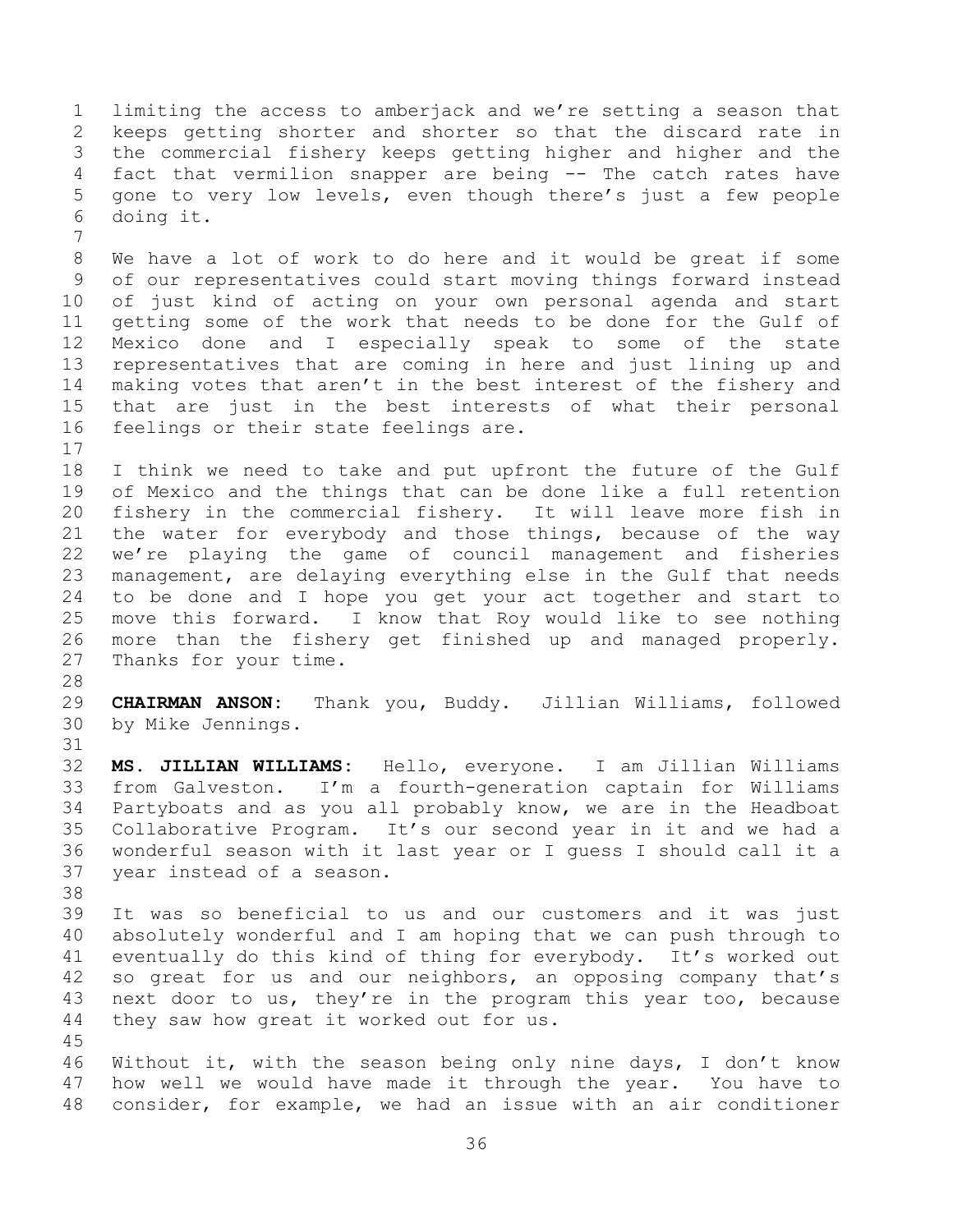limiting the access to amberjack and we're setting a season that keeps getting shorter and shorter so that the discard rate in the commercial fishery keeps getting higher and higher and the fact that vermilion snapper are being -- The catch rates have gone to very low levels, even though there's just a few people doing it. 

 We have a lot of work to do here and it would be great if some of our representatives could start moving things forward instead of just kind of acting on your own personal agenda and start getting some of the work that needs to be done for the Gulf of Mexico done and I especially speak to some of the state representatives that are coming in here and just lining up and making votes that aren't in the best interest of the fishery and that are just in the best interests of what their personal feelings or their state feelings are.

 I think we need to take and put upfront the future of the Gulf of Mexico and the things that can be done like a full retention fishery in the commercial fishery. It will leave more fish in the water for everybody and those things, because of the way we're playing the game of council management and fisheries management, are delaying everything else in the Gulf that needs to be done and I hope you get your act together and start to move this forward. I know that Roy would like to see nothing more than the fishery get finished up and managed properly. Thanks for your time.

 **CHAIRMAN ANSON:** Thank you, Buddy. Jillian Williams, followed by Mike Jennings. 

 **MS. JILLIAN WILLIAMS:** Hello, everyone. I am Jillian Williams from Galveston. I'm a fourth-generation captain for Williams Partyboats and as you all probably know, we are in the Headboat Collaborative Program. It's our second year in it and we had a wonderful season with it last year or I guess I should call it a year instead of a season.

 It was so beneficial to us and our customers and it was just absolutely wonderful and I am hoping that we can push through to eventually do this kind of thing for everybody. It's worked out so great for us and our neighbors, an opposing company that's next door to us, they're in the program this year too, because they saw how great it worked out for us.

 Without it, with the season being only nine days, I don't know how well we would have made it through the year. You have to consider, for example, we had an issue with an air conditioner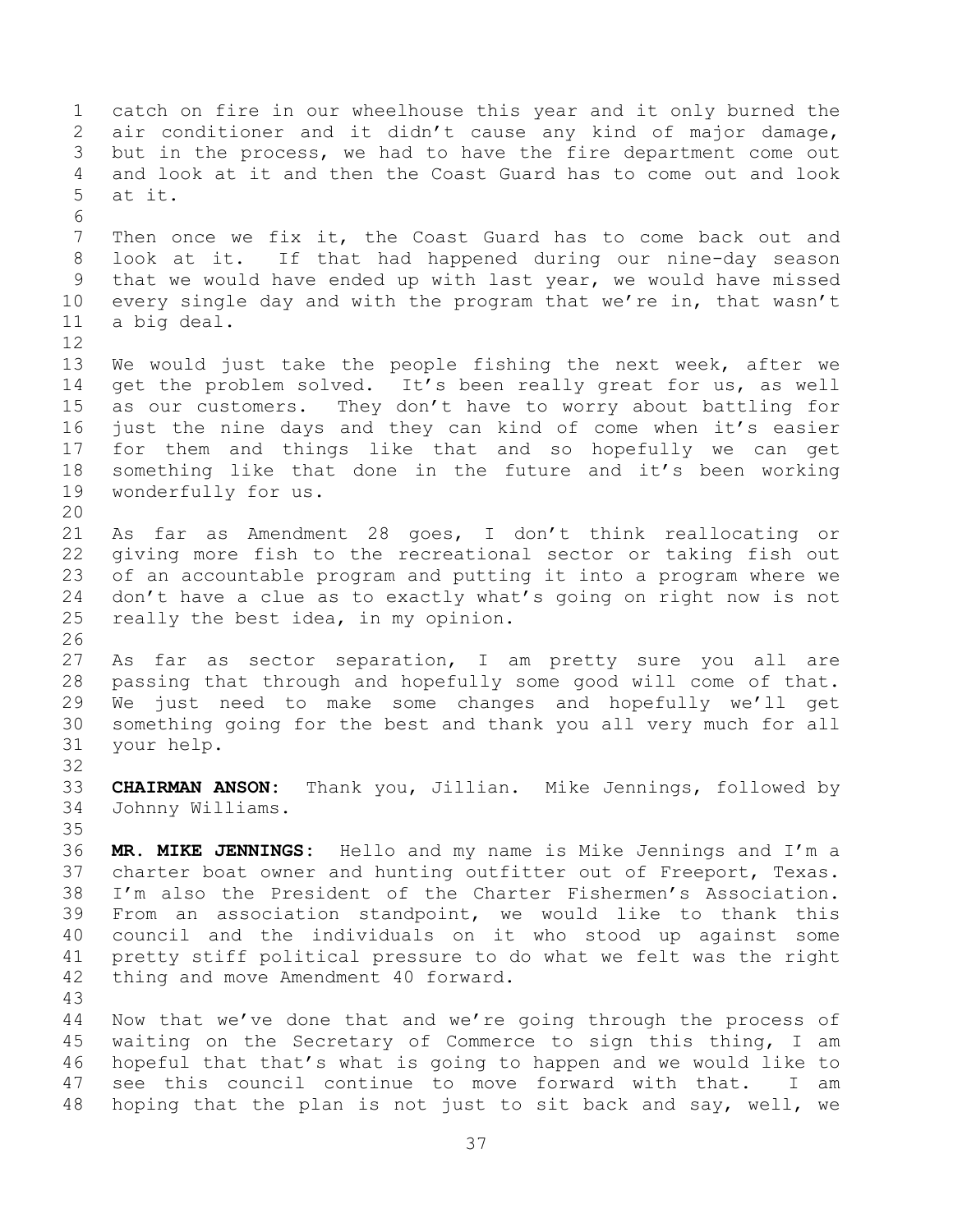catch on fire in our wheelhouse this year and it only burned the air conditioner and it didn't cause any kind of major damage, but in the process, we had to have the fire department come out and look at it and then the Coast Guard has to come out and look at it. Then once we fix it, the Coast Guard has to come back out and look at it. If that had happened during our nine-day season that we would have ended up with last year, we would have missed every single day and with the program that we're in, that wasn't a big deal. We would just take the people fishing the next week, after we get the problem solved. It's been really great for us, as well as our customers. They don't have to worry about battling for just the nine days and they can kind of come when it's easier for them and things like that and so hopefully we can get something like that done in the future and it's been working wonderfully for us. As far as Amendment 28 goes, I don't think reallocating or giving more fish to the recreational sector or taking fish out of an accountable program and putting it into a program where we don't have a clue as to exactly what's going on right now is not really the best idea, in my opinion. As far as sector separation, I am pretty sure you all are passing that through and hopefully some good will come of that. We just need to make some changes and hopefully we'll get something going for the best and thank you all very much for all your help. **CHAIRMAN ANSON:** Thank you, Jillian. Mike Jennings, followed by Johnny Williams. **MR. MIKE JENNINGS:** Hello and my name is Mike Jennings and I'm a charter boat owner and hunting outfitter out of Freeport, Texas. I'm also the President of the Charter Fishermen's Association. From an association standpoint, we would like to thank this council and the individuals on it who stood up against some pretty stiff political pressure to do what we felt was the right thing and move Amendment 40 forward. Now that we've done that and we're going through the process of waiting on the Secretary of Commerce to sign this thing, I am hopeful that that's what is going to happen and we would like to see this council continue to move forward with that. I am hoping that the plan is not just to sit back and say, well, we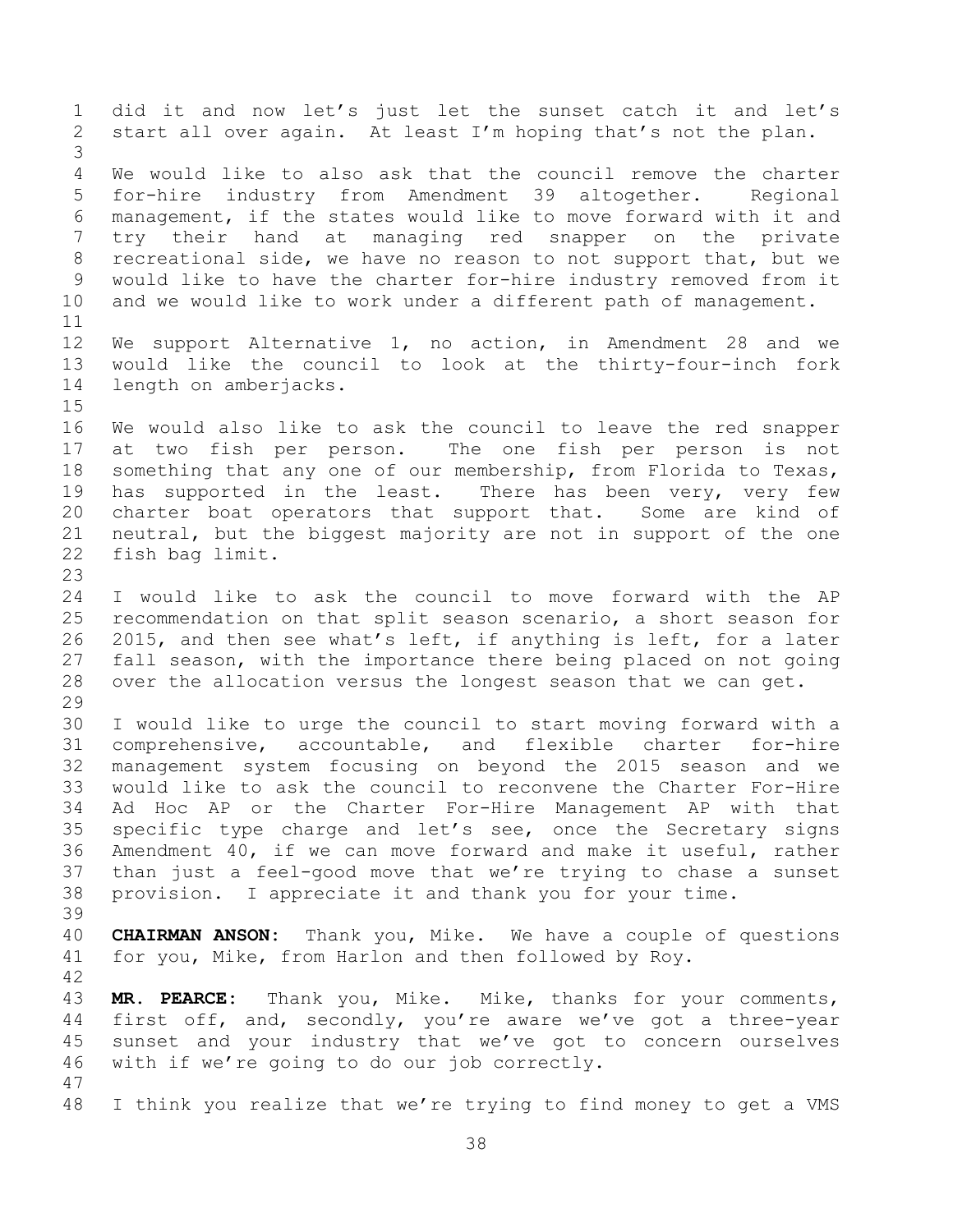did it and now let's just let the sunset catch it and let's start all over again. At least I'm hoping that's not the plan. We would like to also ask that the council remove the charter for-hire industry from Amendment 39 altogether. Regional management, if the states would like to move forward with it and try their hand at managing red snapper on the private recreational side, we have no reason to not support that, but we would like to have the charter for-hire industry removed from it and we would like to work under a different path of management. We support Alternative 1, no action, in Amendment 28 and we would like the council to look at the thirty-four-inch fork length on amberjacks. We would also like to ask the council to leave the red snapper at two fish per person. The one fish per person is not something that any one of our membership, from Florida to Texas, 19 has supported in the least. There has been very, very few charter boat operators that support that. Some are kind of neutral, but the biggest majority are not in support of the one fish bag limit. I would like to ask the council to move forward with the AP recommendation on that split season scenario, a short season for 2015, and then see what's left, if anything is left, for a later fall season, with the importance there being placed on not going over the allocation versus the longest season that we can get. I would like to urge the council to start moving forward with a comprehensive, accountable, and flexible charter for-hire management system focusing on beyond the 2015 season and we would like to ask the council to reconvene the Charter For-Hire Ad Hoc AP or the Charter For-Hire Management AP with that specific type charge and let's see, once the Secretary signs Amendment 40, if we can move forward and make it useful, rather than just a feel-good move that we're trying to chase a sunset provision. I appreciate it and thank you for your time. **CHAIRMAN ANSON:** Thank you, Mike. We have a couple of questions for you, Mike, from Harlon and then followed by Roy. **MR. PEARCE:** Thank you, Mike. Mike, thanks for your comments, first off, and, secondly, you're aware we've got a three-year sunset and your industry that we've got to concern ourselves with if we're going to do our job correctly. I think you realize that we're trying to find money to get a VMS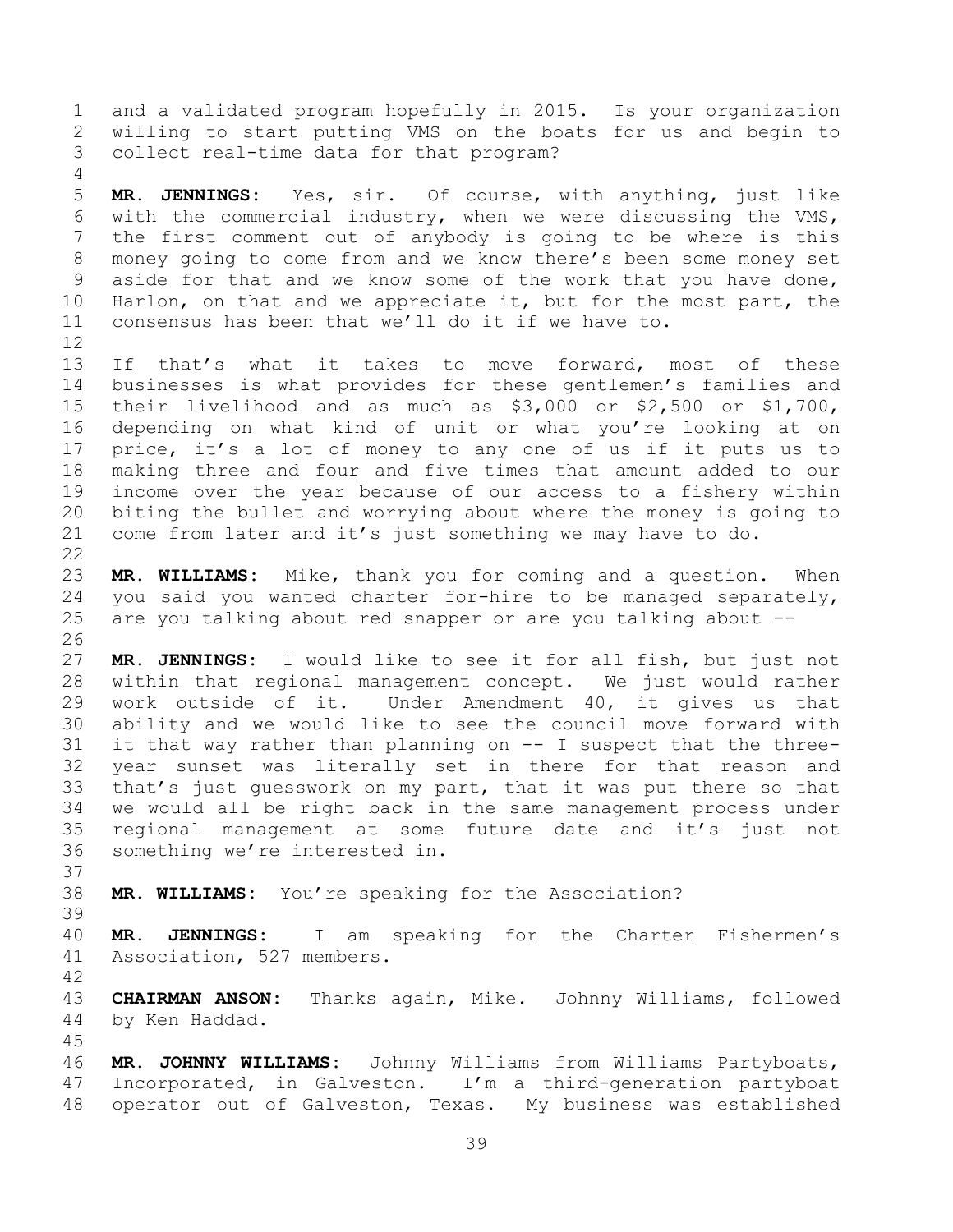and a validated program hopefully in 2015. Is your organization willing to start putting VMS on the boats for us and begin to collect real-time data for that program?

 **MR. JENNINGS:** Yes, sir. Of course, with anything, just like with the commercial industry, when we were discussing the VMS, the first comment out of anybody is going to be where is this money going to come from and we know there's been some money set aside for that and we know some of the work that you have done, Harlon, on that and we appreciate it, but for the most part, the consensus has been that we'll do it if we have to.

 If that's what it takes to move forward, most of these businesses is what provides for these gentlemen's families and their livelihood and as much as \$3,000 or \$2,500 or \$1,700, depending on what kind of unit or what you're looking at on price, it's a lot of money to any one of us if it puts us to making three and four and five times that amount added to our income over the year because of our access to a fishery within biting the bullet and worrying about where the money is going to come from later and it's just something we may have to do. 

 **MR. WILLIAMS:** Mike, thank you for coming and a question. When you said you wanted charter for-hire to be managed separately, are you talking about red snapper or are you talking about --

 **MR. JENNINGS:** I would like to see it for all fish, but just not within that regional management concept. We just would rather work outside of it. Under Amendment 40, it gives us that ability and we would like to see the council move forward with it that way rather than planning on -- I suspect that the three- year sunset was literally set in there for that reason and that's just guesswork on my part, that it was put there so that we would all be right back in the same management process under regional management at some future date and it's just not something we're interested in.

**MR. WILLIAMS:** You're speaking for the Association?

 **MR. JENNINGS:** I am speaking for the Charter Fishermen's Association, 527 members.

 **CHAIRMAN ANSON:** Thanks again, Mike. Johnny Williams, followed by Ken Haddad.

 **MR. JOHNNY WILLIAMS:** Johnny Williams from Williams Partyboats, Incorporated, in Galveston. I'm a third-generation partyboat operator out of Galveston, Texas. My business was established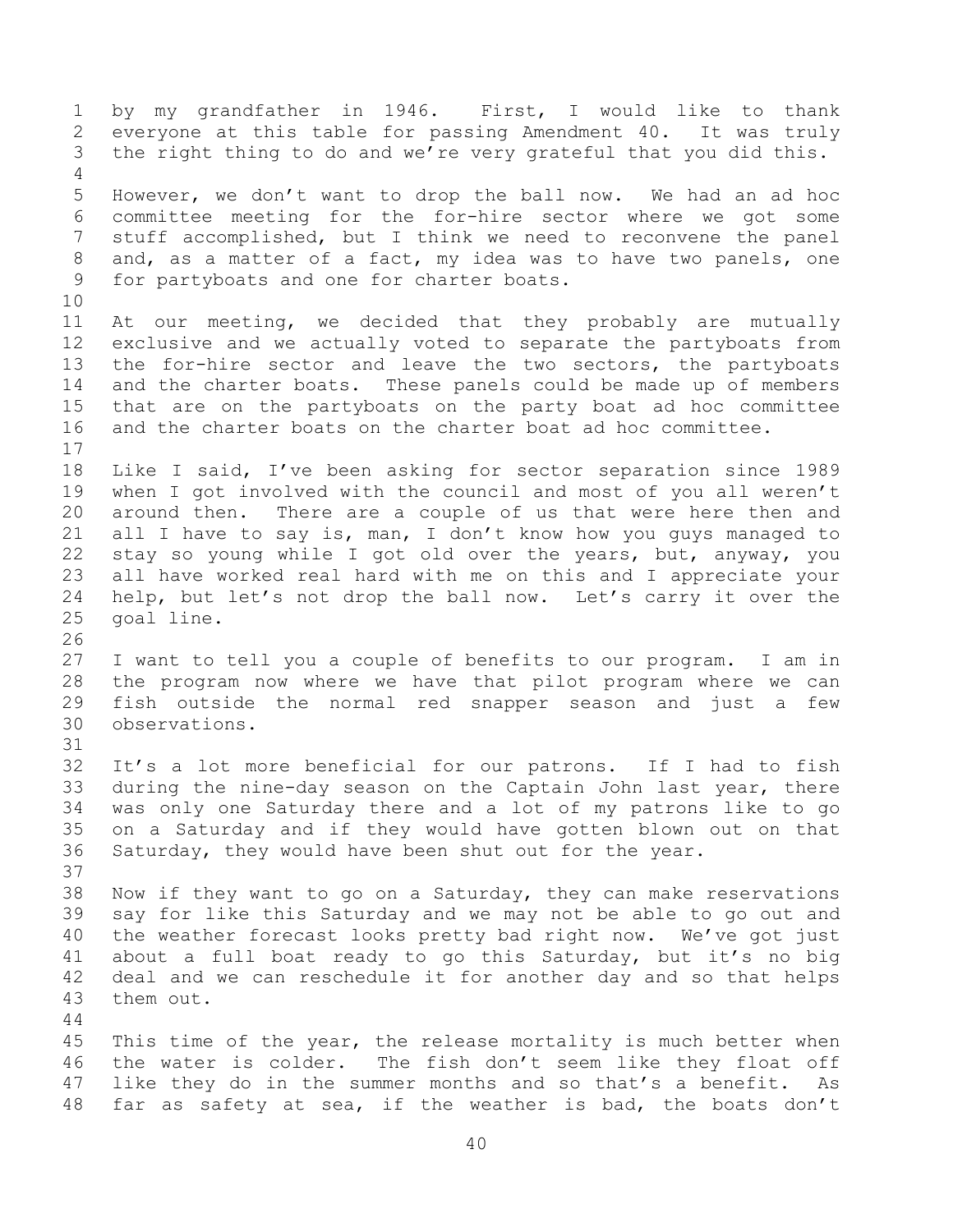by my grandfather in 1946. First, I would like to thank everyone at this table for passing Amendment 40. It was truly the right thing to do and we're very grateful that you did this. However, we don't want to drop the ball now. We had an ad hoc committee meeting for the for-hire sector where we got some stuff accomplished, but I think we need to reconvene the panel and, as a matter of a fact, my idea was to have two panels, one for partyboats and one for charter boats. At our meeting, we decided that they probably are mutually exclusive and we actually voted to separate the partyboats from the for-hire sector and leave the two sectors, the partyboats and the charter boats. These panels could be made up of members that are on the partyboats on the party boat ad hoc committee and the charter boats on the charter boat ad hoc committee. Like I said, I've been asking for sector separation since 1989 when I got involved with the council and most of you all weren't around then. There are a couple of us that were here then and all I have to say is, man, I don't know how you guys managed to stay so young while I got old over the years, but, anyway, you all have worked real hard with me on this and I appreciate your help, but let's not drop the ball now. Let's carry it over the goal line. I want to tell you a couple of benefits to our program. I am in the program now where we have that pilot program where we can fish outside the normal red snapper season and just a few observations. It's a lot more beneficial for our patrons. If I had to fish during the nine-day season on the Captain John last year, there was only one Saturday there and a lot of my patrons like to go on a Saturday and if they would have gotten blown out on that Saturday, they would have been shut out for the year. Now if they want to go on a Saturday, they can make reservations say for like this Saturday and we may not be able to go out and the weather forecast looks pretty bad right now. We've got just about a full boat ready to go this Saturday, but it's no big deal and we can reschedule it for another day and so that helps them out. 45 This time of the year, the release mortality is much better when the water is colder. The fish don't seem like they float off like they do in the summer months and so that's a benefit. As far as safety at sea, if the weather is bad, the boats don't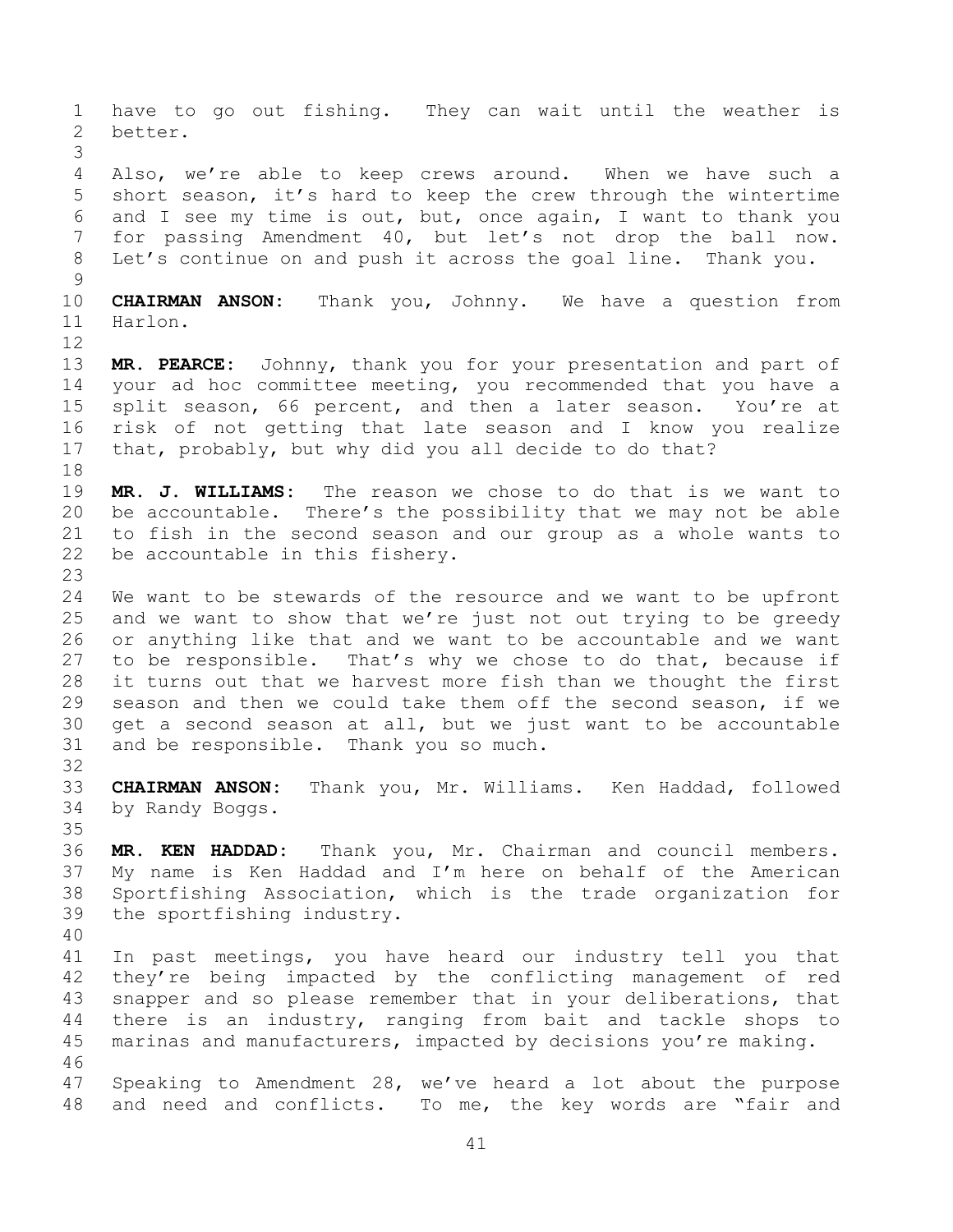have to go out fishing. They can wait until the weather is better. Also, we're able to keep crews around. When we have such a short season, it's hard to keep the crew through the wintertime and I see my time is out, but, once again, I want to thank you for passing Amendment 40, but let's not drop the ball now. Let's continue on and push it across the goal line. Thank you. **CHAIRMAN ANSON:** Thank you, Johnny. We have a question from Harlon. **MR. PEARCE:** Johnny, thank you for your presentation and part of your ad hoc committee meeting, you recommended that you have a split season, 66 percent, and then a later season. You're at risk of not getting that late season and I know you realize that, probably, but why did you all decide to do that? **MR. J. WILLIAMS:** The reason we chose to do that is we want to be accountable. There's the possibility that we may not be able to fish in the second season and our group as a whole wants to be accountable in this fishery. We want to be stewards of the resource and we want to be upfront and we want to show that we're just not out trying to be greedy or anything like that and we want to be accountable and we want to be responsible. That's why we chose to do that, because if it turns out that we harvest more fish than we thought the first season and then we could take them off the second season, if we get a second season at all, but we just want to be accountable and be responsible. Thank you so much. **CHAIRMAN ANSON:** Thank you, Mr. Williams. Ken Haddad, followed by Randy Boggs. **MR. KEN HADDAD:** Thank you, Mr. Chairman and council members. My name is Ken Haddad and I'm here on behalf of the American Sportfishing Association, which is the trade organization for the sportfishing industry. In past meetings, you have heard our industry tell you that they're being impacted by the conflicting management of red snapper and so please remember that in your deliberations, that there is an industry, ranging from bait and tackle shops to marinas and manufacturers, impacted by decisions you're making. Speaking to Amendment 28, we've heard a lot about the purpose and need and conflicts. To me, the key words are "fair and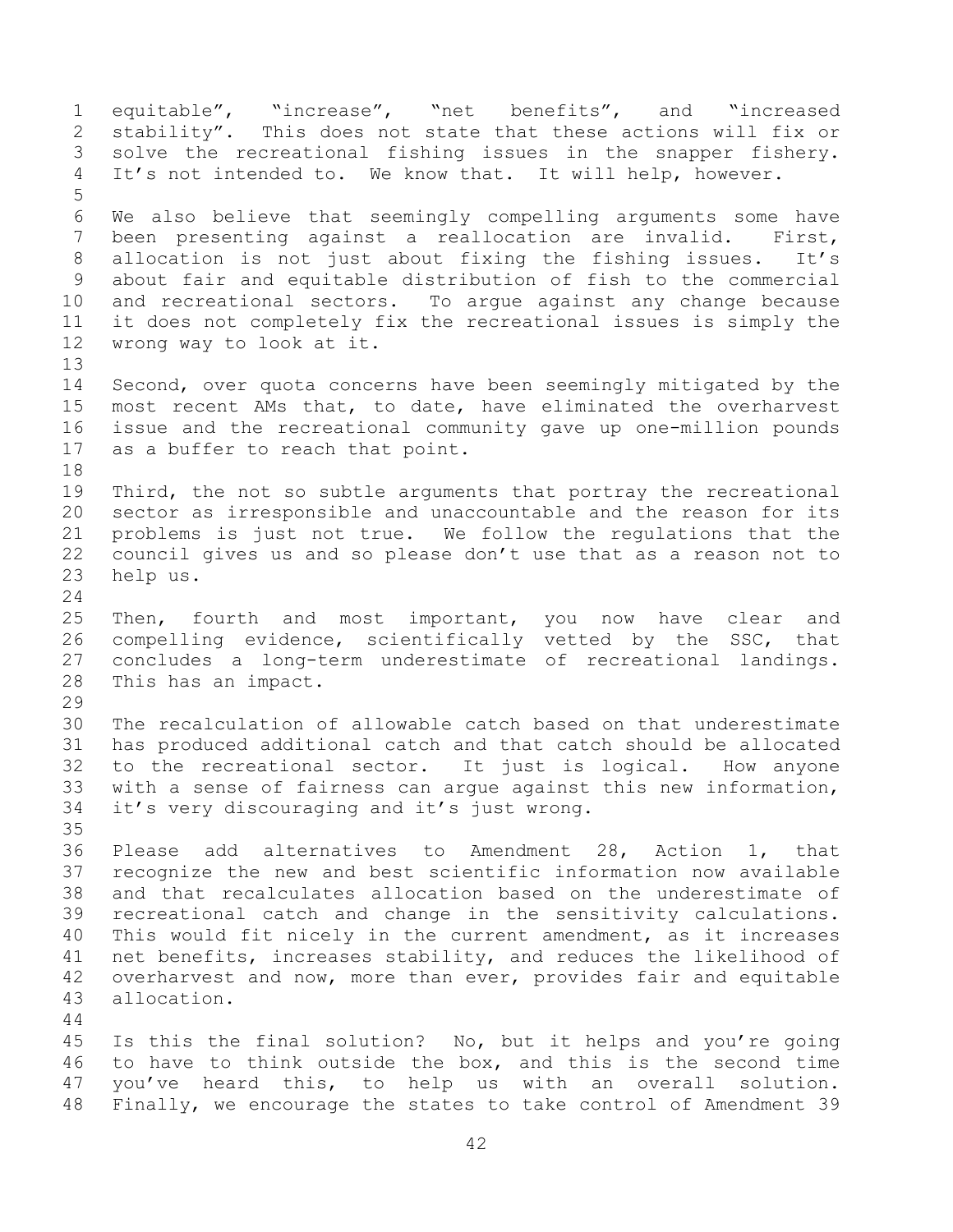equitable", "increase", "net benefits", and "increased stability". This does not state that these actions will fix or solve the recreational fishing issues in the snapper fishery. It's not intended to. We know that. It will help, however. We also believe that seemingly compelling arguments some have been presenting against a reallocation are invalid. First, allocation is not just about fixing the fishing issues. It's about fair and equitable distribution of fish to the commercial and recreational sectors. To argue against any change because it does not completely fix the recreational issues is simply the wrong way to look at it. Second, over quota concerns have been seemingly mitigated by the most recent AMs that, to date, have eliminated the overharvest issue and the recreational community gave up one-million pounds as a buffer to reach that point. 19 Third, the not so subtle arguments that portray the recreational sector as irresponsible and unaccountable and the reason for its problems is just not true. We follow the regulations that the council gives us and so please don't use that as a reason not to help us. Then, fourth and most important, you now have clear and compelling evidence, scientifically vetted by the SSC, that concludes a long-term underestimate of recreational landings. This has an impact. The recalculation of allowable catch based on that underestimate has produced additional catch and that catch should be allocated to the recreational sector. It just is logical. How anyone with a sense of fairness can argue against this new information, it's very discouraging and it's just wrong. Please add alternatives to Amendment 28, Action 1, that recognize the new and best scientific information now available and that recalculates allocation based on the underestimate of recreational catch and change in the sensitivity calculations. This would fit nicely in the current amendment, as it increases net benefits, increases stability, and reduces the likelihood of overharvest and now, more than ever, provides fair and equitable allocation. Is this the final solution? No, but it helps and you're going to have to think outside the box, and this is the second time you've heard this, to help us with an overall solution. Finally, we encourage the states to take control of Amendment 39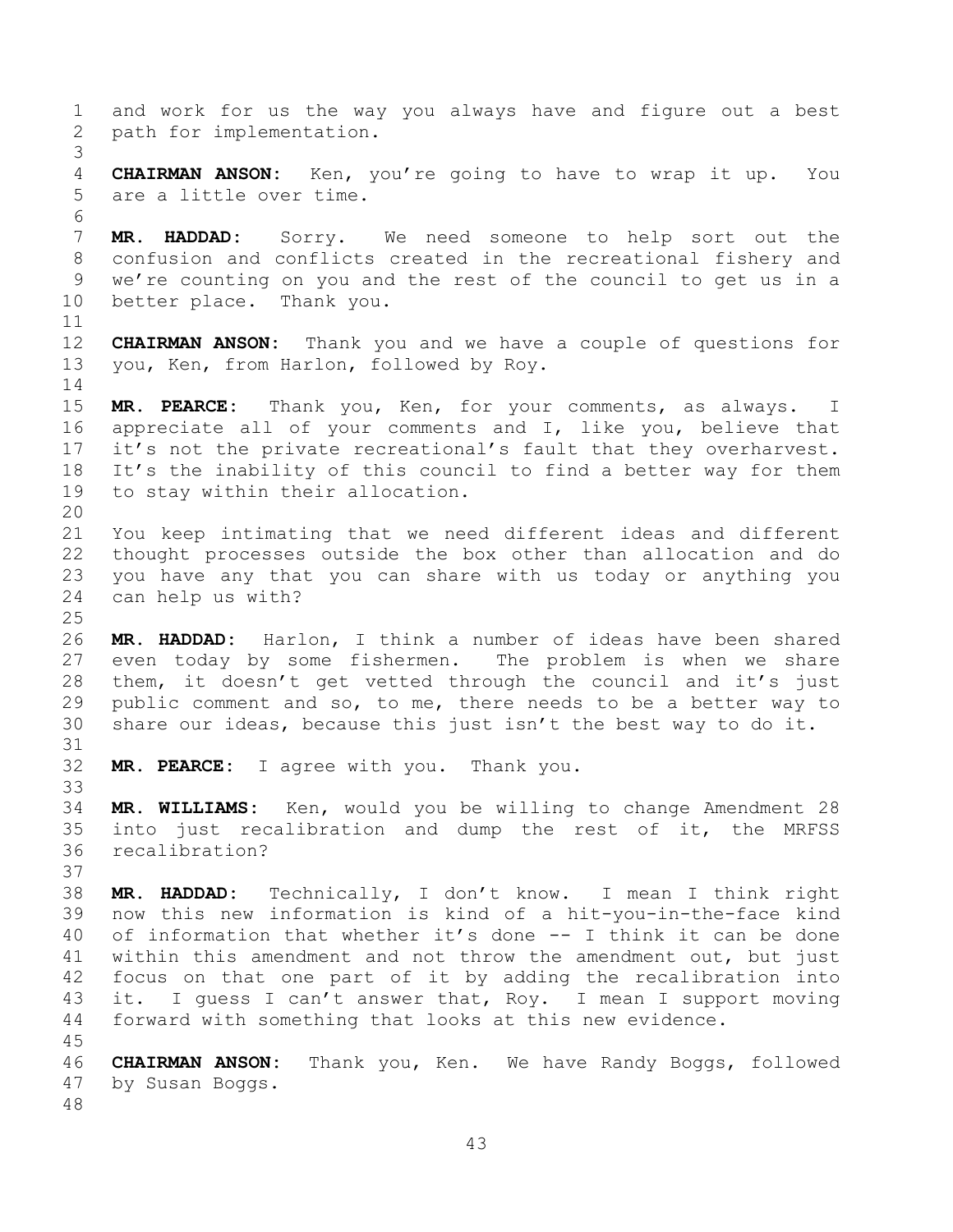and work for us the way you always have and figure out a best path for implementation. **CHAIRMAN ANSON:** Ken, you're going to have to wrap it up. You are a little over time. **MR. HADDAD:** Sorry. We need someone to help sort out the confusion and conflicts created in the recreational fishery and we're counting on you and the rest of the council to get us in a better place. Thank you. **CHAIRMAN ANSON:** Thank you and we have a couple of questions for you, Ken, from Harlon, followed by Roy. **MR. PEARCE:** Thank you, Ken, for your comments, as always. I appreciate all of your comments and I, like you, believe that it's not the private recreational's fault that they overharvest. It's the inability of this council to find a better way for them to stay within their allocation. You keep intimating that we need different ideas and different thought processes outside the box other than allocation and do you have any that you can share with us today or anything you can help us with? **MR. HADDAD:** Harlon, I think a number of ideas have been shared even today by some fishermen. The problem is when we share them, it doesn't get vetted through the council and it's just public comment and so, to me, there needs to be a better way to share our ideas, because this just isn't the best way to do it. **MR. PEARCE:** I agree with you. Thank you. **MR. WILLIAMS:** Ken, would you be willing to change Amendment 28 into just recalibration and dump the rest of it, the MRFSS recalibration? **MR. HADDAD:** Technically, I don't know. I mean I think right now this new information is kind of a hit-you-in-the-face kind of information that whether it's done -- I think it can be done within this amendment and not throw the amendment out, but just focus on that one part of it by adding the recalibration into it. I guess I can't answer that, Roy. I mean I support moving forward with something that looks at this new evidence. **CHAIRMAN ANSON:** Thank you, Ken. We have Randy Boggs, followed by Susan Boggs.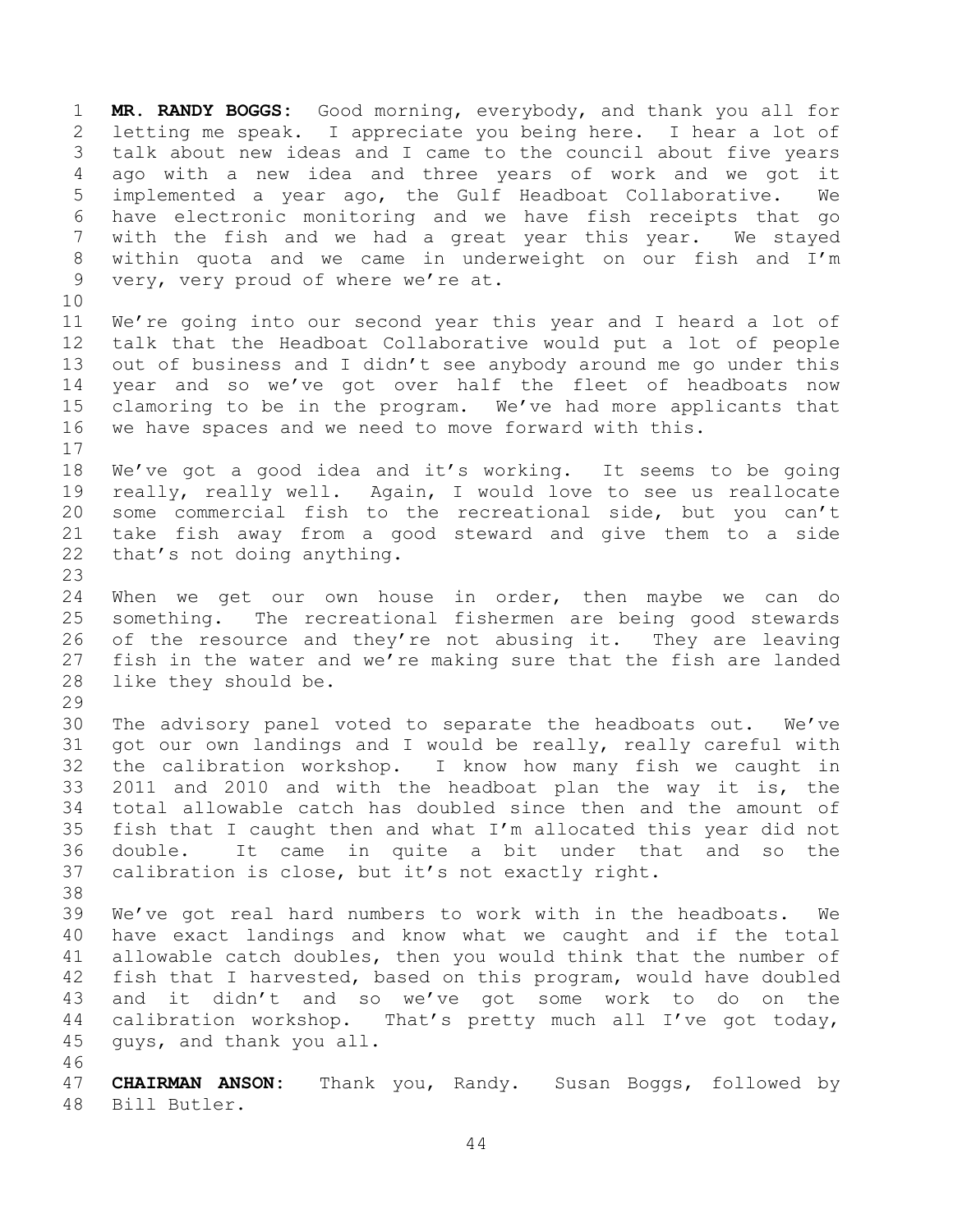**MR. RANDY BOGGS:** Good morning, everybody, and thank you all for letting me speak. I appreciate you being here. I hear a lot of talk about new ideas and I came to the council about five years ago with a new idea and three years of work and we got it implemented a year ago, the Gulf Headboat Collaborative. We have electronic monitoring and we have fish receipts that go with the fish and we had a great year this year. We stayed within quota and we came in underweight on our fish and I'm very, very proud of where we're at.

 We're going into our second year this year and I heard a lot of talk that the Headboat Collaborative would put a lot of people out of business and I didn't see anybody around me go under this year and so we've got over half the fleet of headboats now clamoring to be in the program. We've had more applicants that we have spaces and we need to move forward with this. 

 We've got a good idea and it's working. It seems to be going really, really well. Again, I would love to see us reallocate some commercial fish to the recreational side, but you can't take fish away from a good steward and give them to a side that's not doing anything.

 When we get our own house in order, then maybe we can do something. The recreational fishermen are being good stewards of the resource and they're not abusing it. They are leaving fish in the water and we're making sure that the fish are landed like they should be.

 The advisory panel voted to separate the headboats out. We've got our own landings and I would be really, really careful with the calibration workshop. I know how many fish we caught in 2011 and 2010 and with the headboat plan the way it is, the total allowable catch has doubled since then and the amount of fish that I caught then and what I'm allocated this year did not double. It came in quite a bit under that and so the calibration is close, but it's not exactly right.

 We've got real hard numbers to work with in the headboats. We have exact landings and know what we caught and if the total allowable catch doubles, then you would think that the number of fish that I harvested, based on this program, would have doubled and it didn't and so we've got some work to do on the calibration workshop. That's pretty much all I've got today, guys, and thank you all.

 **CHAIRMAN ANSON:** Thank you, Randy. Susan Boggs, followed by Bill Butler.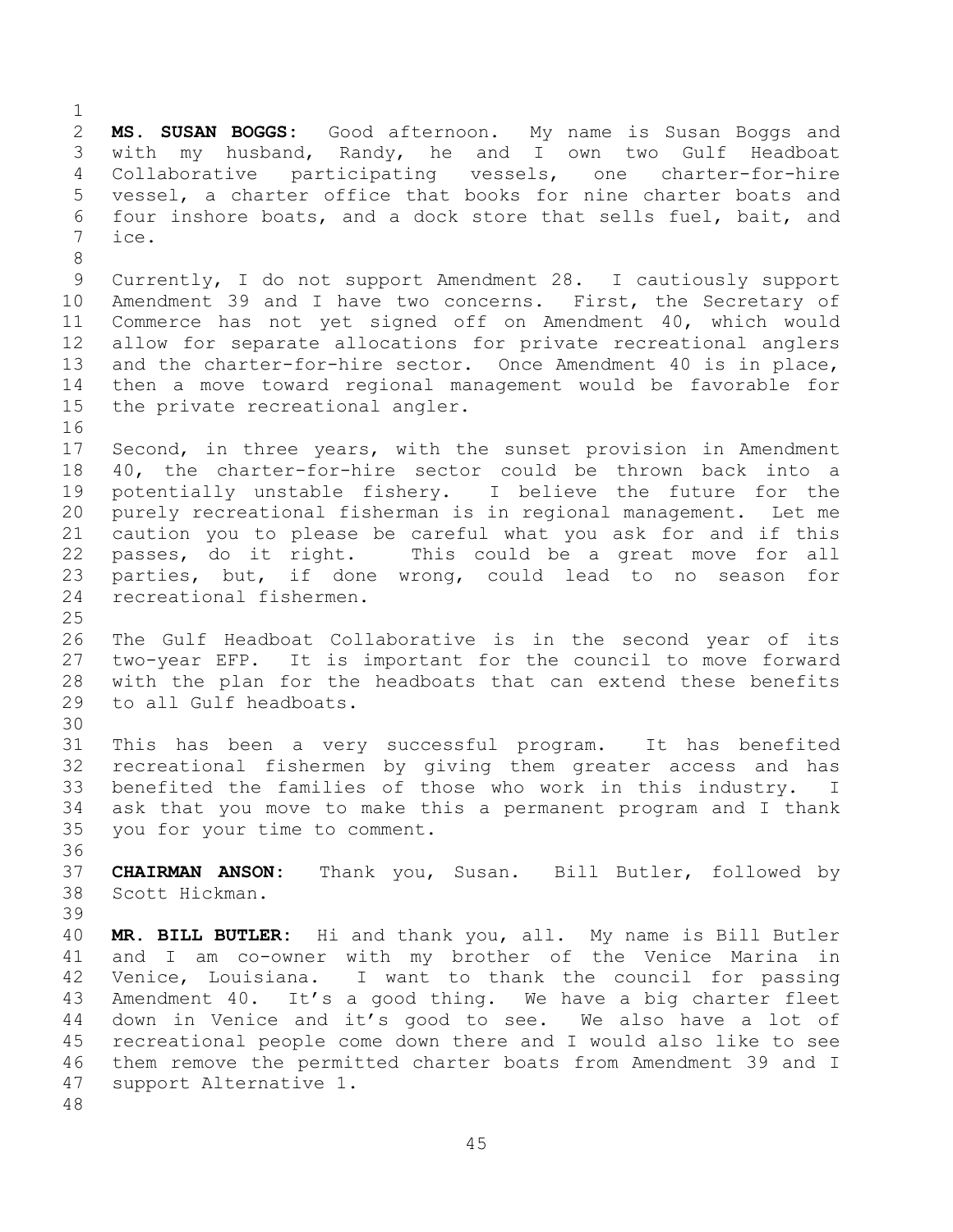**MS. SUSAN BOGGS:** Good afternoon. My name is Susan Boggs and with my husband, Randy, he and I own two Gulf Headboat Collaborative participating vessels, one charter-for-hire vessel, a charter office that books for nine charter boats and four inshore boats, and a dock store that sells fuel, bait, and ice. Currently, I do not support Amendment 28. I cautiously support Amendment 39 and I have two concerns. First, the Secretary of Commerce has not yet signed off on Amendment 40, which would allow for separate allocations for private recreational anglers and the charter-for-hire sector. Once Amendment 40 is in place, then a move toward regional management would be favorable for the private recreational angler. Second, in three years, with the sunset provision in Amendment 40, the charter-for-hire sector could be thrown back into a potentially unstable fishery. I believe the future for the purely recreational fisherman is in regional management. Let me caution you to please be careful what you ask for and if this passes, do it right. This could be a great move for all parties, but, if done wrong, could lead to no season for recreational fishermen. The Gulf Headboat Collaborative is in the second year of its two-year EFP. It is important for the council to move forward with the plan for the headboats that can extend these benefits to all Gulf headboats. This has been a very successful program. It has benefited recreational fishermen by giving them greater access and has benefited the families of those who work in this industry. I ask that you move to make this a permanent program and I thank you for your time to comment. **CHAIRMAN ANSON:** Thank you, Susan. Bill Butler, followed by Scott Hickman. **MR. BILL BUTLER:** Hi and thank you, all. My name is Bill Butler and I am co-owner with my brother of the Venice Marina in Venice, Louisiana. I want to thank the council for passing Amendment 40. It's a good thing. We have a big charter fleet down in Venice and it's good to see. We also have a lot of recreational people come down there and I would also like to see them remove the permitted charter boats from Amendment 39 and I support Alternative 1.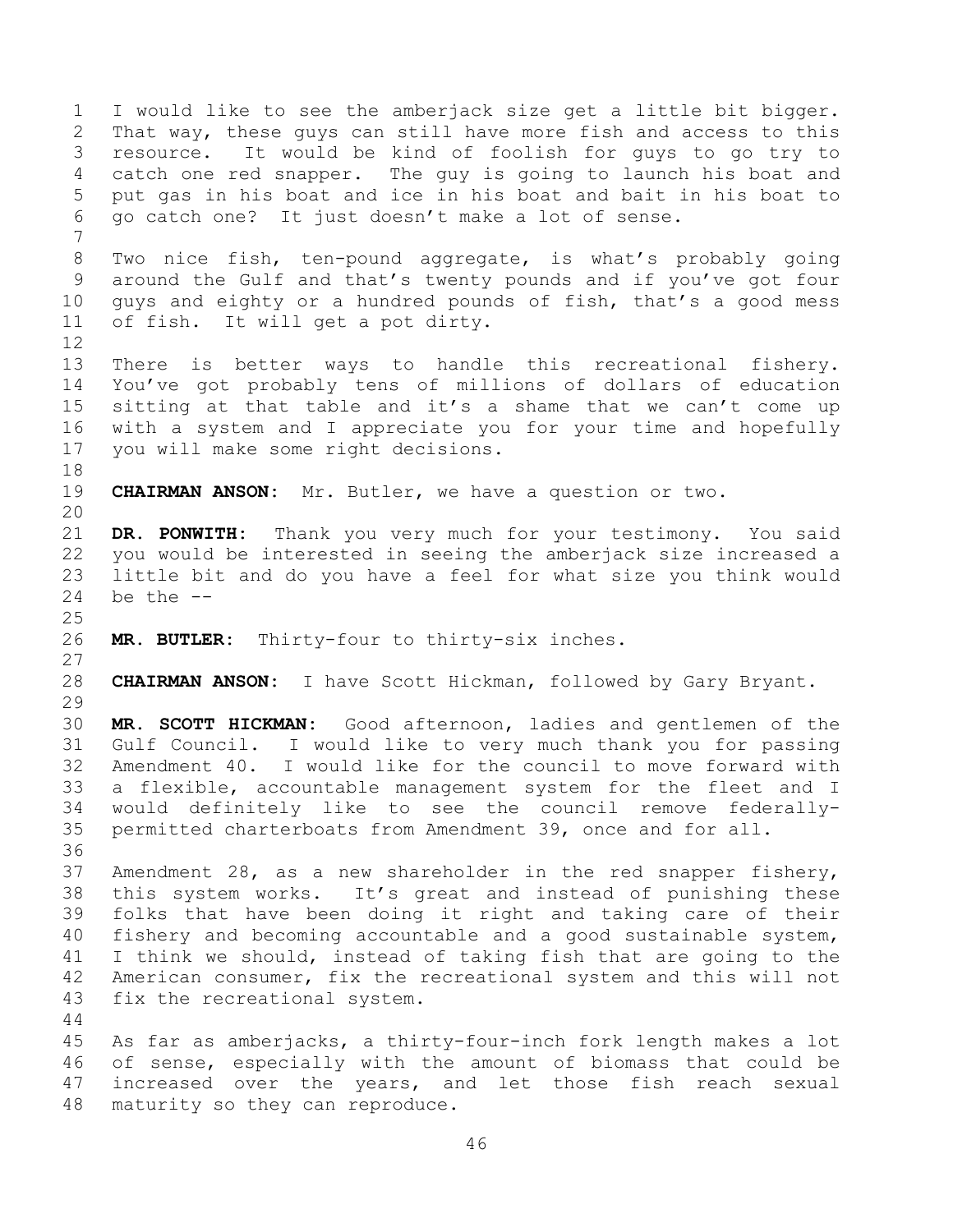I would like to see the amberjack size get a little bit bigger. That way, these guys can still have more fish and access to this resource. It would be kind of foolish for guys to go try to catch one red snapper. The guy is going to launch his boat and put gas in his boat and ice in his boat and bait in his boat to go catch one? It just doesn't make a lot of sense. Two nice fish, ten-pound aggregate, is what's probably going around the Gulf and that's twenty pounds and if you've got four guys and eighty or a hundred pounds of fish, that's a good mess of fish. It will get a pot dirty. There is better ways to handle this recreational fishery. You've got probably tens of millions of dollars of education sitting at that table and it's a shame that we can't come up with a system and I appreciate you for your time and hopefully you will make some right decisions. **CHAIRMAN ANSON:** Mr. Butler, we have a question or two. **DR. PONWITH:** Thank you very much for your testimony. You said you would be interested in seeing the amberjack size increased a little bit and do you have a feel for what size you think would be the  $-$  **MR. BUTLER:** Thirty-four to thirty-six inches. **CHAIRMAN ANSON:** I have Scott Hickman, followed by Gary Bryant. **MR. SCOTT HICKMAN:** Good afternoon, ladies and gentlemen of the Gulf Council. I would like to very much thank you for passing Amendment 40. I would like for the council to move forward with a flexible, accountable management system for the fleet and I would definitely like to see the council remove federally- permitted charterboats from Amendment 39, once and for all. Amendment 28, as a new shareholder in the red snapper fishery, this system works. It's great and instead of punishing these folks that have been doing it right and taking care of their fishery and becoming accountable and a good sustainable system, I think we should, instead of taking fish that are going to the American consumer, fix the recreational system and this will not fix the recreational system. As far as amberjacks, a thirty-four-inch fork length makes a lot of sense, especially with the amount of biomass that could be increased over the years, and let those fish reach sexual maturity so they can reproduce.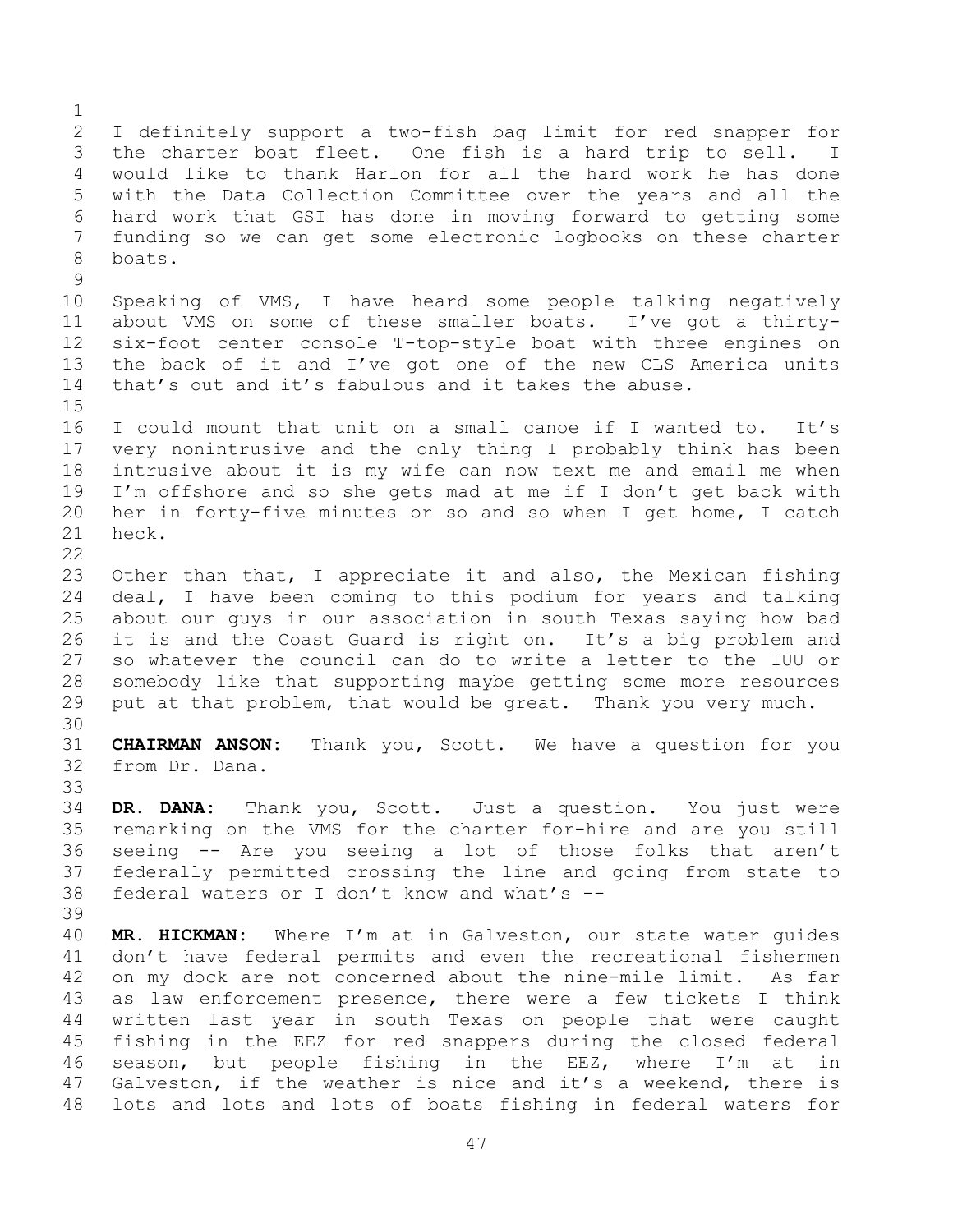I definitely support a two-fish bag limit for red snapper for the charter boat fleet. One fish is a hard trip to sell. I would like to thank Harlon for all the hard work he has done with the Data Collection Committee over the years and all the hard work that GSI has done in moving forward to getting some funding so we can get some electronic logbooks on these charter boats. Speaking of VMS, I have heard some people talking negatively about VMS on some of these smaller boats. I've got a thirty- six-foot center console T-top-style boat with three engines on the back of it and I've got one of the new CLS America units that's out and it's fabulous and it takes the abuse. I could mount that unit on a small canoe if I wanted to. It's very nonintrusive and the only thing I probably think has been intrusive about it is my wife can now text me and email me when I'm offshore and so she gets mad at me if I don't get back with her in forty-five minutes or so and so when I get home, I catch heck. Other than that, I appreciate it and also, the Mexican fishing deal, I have been coming to this podium for years and talking about our guys in our association in south Texas saying how bad it is and the Coast Guard is right on. It's a big problem and so whatever the council can do to write a letter to the IUU or somebody like that supporting maybe getting some more resources put at that problem, that would be great. Thank you very much. **CHAIRMAN ANSON:** Thank you, Scott. We have a question for you from Dr. Dana. **DR. DANA:** Thank you, Scott. Just a question. You just were remarking on the VMS for the charter for-hire and are you still seeing -- Are you seeing a lot of those folks that aren't federally permitted crossing the line and going from state to federal waters or I don't know and what's -- **MR. HICKMAN:** Where I'm at in Galveston, our state water guides don't have federal permits and even the recreational fishermen on my dock are not concerned about the nine-mile limit. As far as law enforcement presence, there were a few tickets I think written last year in south Texas on people that were caught fishing in the EEZ for red snappers during the closed federal

 season, but people fishing in the EEZ, where I'm at in Galveston, if the weather is nice and it's a weekend, there is lots and lots and lots of boats fishing in federal waters for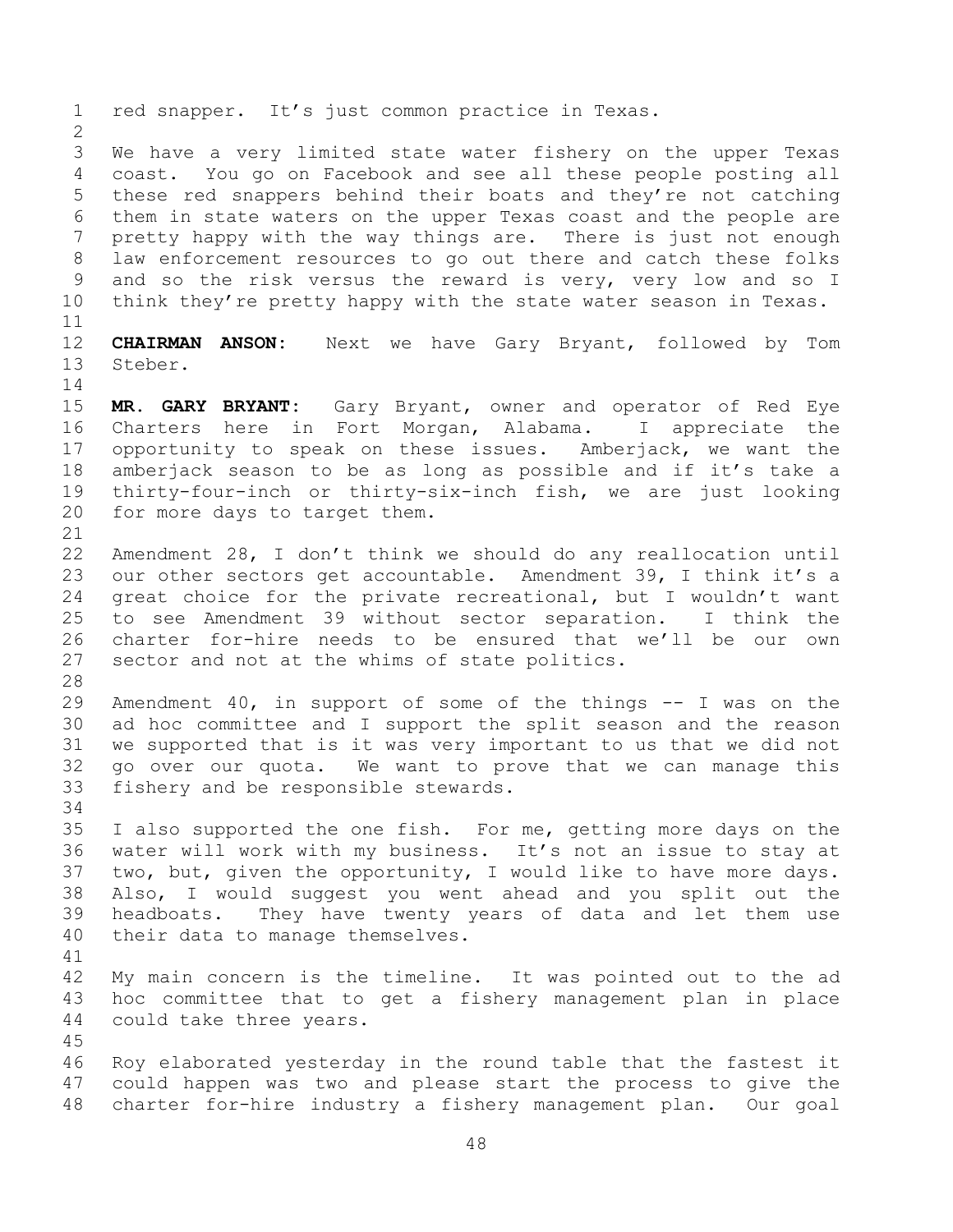red snapper. It's just common practice in Texas. We have a very limited state water fishery on the upper Texas coast. You go on Facebook and see all these people posting all these red snappers behind their boats and they're not catching them in state waters on the upper Texas coast and the people are pretty happy with the way things are. There is just not enough law enforcement resources to go out there and catch these folks and so the risk versus the reward is very, very low and so I 10 think they're pretty happy with the state water season in Texas. **CHAIRMAN ANSON:** Next we have Gary Bryant, followed by Tom Steber. **MR. GARY BRYANT:** Gary Bryant, owner and operator of Red Eye Charters here in Fort Morgan, Alabama. I appreciate the opportunity to speak on these issues. Amberjack, we want the amberjack season to be as long as possible and if it's take a thirty-four-inch or thirty-six-inch fish, we are just looking for more days to target them. Amendment 28, I don't think we should do any reallocation until our other sectors get accountable. Amendment 39, I think it's a great choice for the private recreational, but I wouldn't want to see Amendment 39 without sector separation. I think the charter for-hire needs to be ensured that we'll be our own sector and not at the whims of state politics. Amendment 40, in support of some of the things -- I was on the ad hoc committee and I support the split season and the reason we supported that is it was very important to us that we did not go over our quota. We want to prove that we can manage this fishery and be responsible stewards. I also supported the one fish. For me, getting more days on the water will work with my business. It's not an issue to stay at two, but, given the opportunity, I would like to have more days. Also, I would suggest you went ahead and you split out the headboats. They have twenty years of data and let them use their data to manage themselves. My main concern is the timeline. It was pointed out to the ad hoc committee that to get a fishery management plan in place could take three years. Roy elaborated yesterday in the round table that the fastest it could happen was two and please start the process to give the charter for-hire industry a fishery management plan. Our goal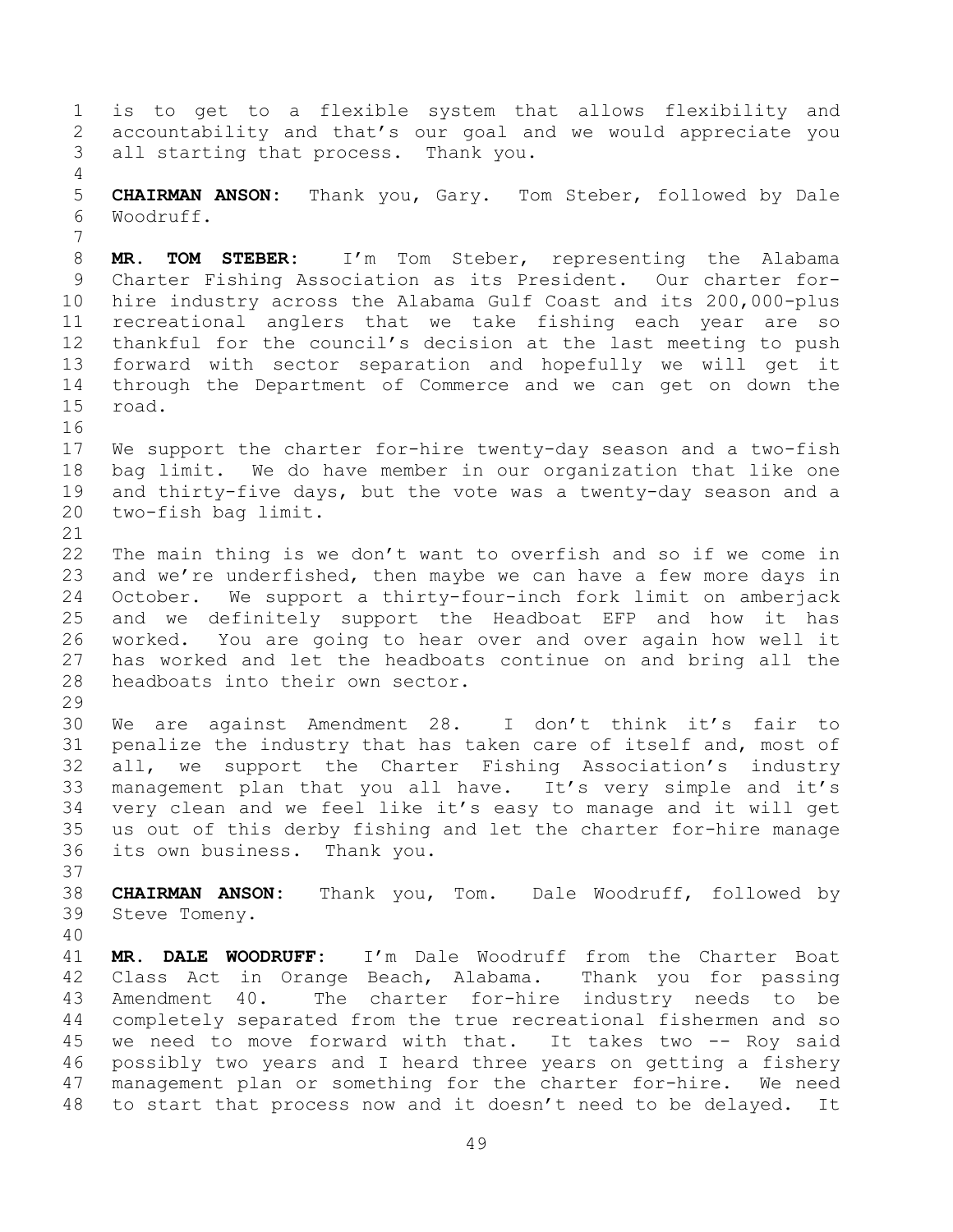is to get to a flexible system that allows flexibility and accountability and that's our goal and we would appreciate you all starting that process. Thank you. **CHAIRMAN ANSON:** Thank you, Gary. Tom Steber, followed by Dale Woodruff. **MR. TOM STEBER:** I'm Tom Steber, representing the Alabama Charter Fishing Association as its President. Our charter for- hire industry across the Alabama Gulf Coast and its 200,000-plus recreational anglers that we take fishing each year are so thankful for the council's decision at the last meeting to push forward with sector separation and hopefully we will get it through the Department of Commerce and we can get on down the road. We support the charter for-hire twenty-day season and a two-fish bag limit. We do have member in our organization that like one and thirty-five days, but the vote was a twenty-day season and a two-fish bag limit. The main thing is we don't want to overfish and so if we come in 23 and we're underfished, then maybe we can have a few more days in October. We support a thirty-four-inch fork limit on amberjack and we definitely support the Headboat EFP and how it has worked. You are going to hear over and over again how well it has worked and let the headboats continue on and bring all the headboats into their own sector. We are against Amendment 28. I don't think it's fair to penalize the industry that has taken care of itself and, most of all, we support the Charter Fishing Association's industry management plan that you all have. It's very simple and it's very clean and we feel like it's easy to manage and it will get us out of this derby fishing and let the charter for-hire manage its own business. Thank you. **CHAIRMAN ANSON:** Thank you, Tom. Dale Woodruff, followed by Steve Tomeny. **MR. DALE WOODRUFF:** I'm Dale Woodruff from the Charter Boat Class Act in Orange Beach, Alabama. Thank you for passing Amendment 40. The charter for-hire industry needs to be completely separated from the true recreational fishermen and so 45 we need to move forward with that. It takes two -- Roy said possibly two years and I heard three years on getting a fishery management plan or something for the charter for-hire. We need to start that process now and it doesn't need to be delayed. It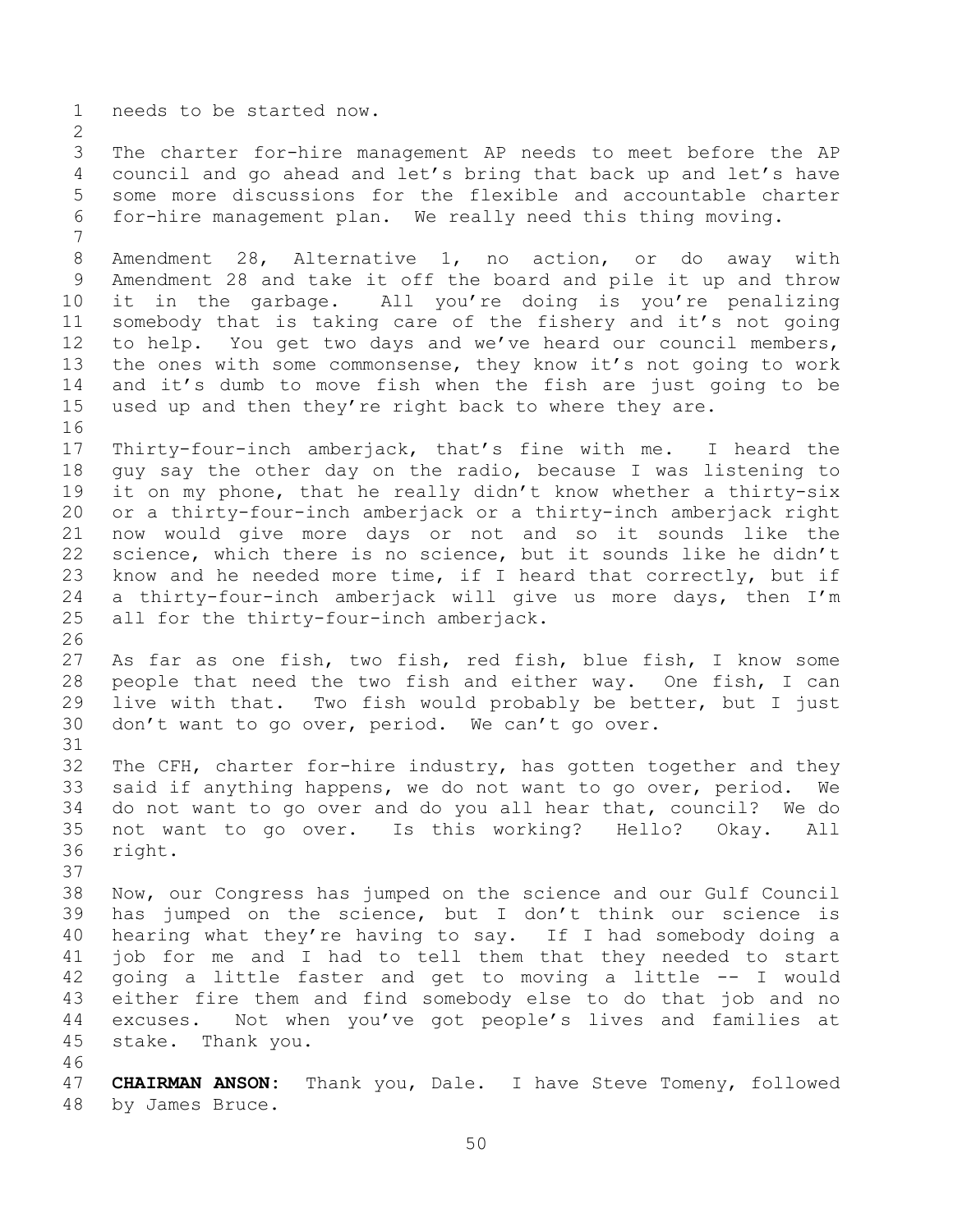needs to be started now.

 The charter for-hire management AP needs to meet before the AP council and go ahead and let's bring that back up and let's have some more discussions for the flexible and accountable charter for-hire management plan. We really need this thing moving.

 Amendment 28, Alternative 1, no action, or do away with Amendment 28 and take it off the board and pile it up and throw it in the garbage. All you're doing is you're penalizing somebody that is taking care of the fishery and it's not going to help. You get two days and we've heard our council members, the ones with some commonsense, they know it's not going to work and it's dumb to move fish when the fish are just going to be used up and then they're right back to where they are.

 Thirty-four-inch amberjack, that's fine with me. I heard the guy say the other day on the radio, because I was listening to it on my phone, that he really didn't know whether a thirty-six or a thirty-four-inch amberjack or a thirty-inch amberjack right now would give more days or not and so it sounds like the science, which there is no science, but it sounds like he didn't know and he needed more time, if I heard that correctly, but if a thirty-four-inch amberjack will give us more days, then I'm all for the thirty-four-inch amberjack.

 As far as one fish, two fish, red fish, blue fish, I know some people that need the two fish and either way. One fish, I can live with that. Two fish would probably be better, but I just don't want to go over, period. We can't go over.

 The CFH, charter for-hire industry, has gotten together and they said if anything happens, we do not want to go over, period. We do not want to go over and do you all hear that, council? We do not want to go over. Is this working? Hello? Okay. All right.

 Now, our Congress has jumped on the science and our Gulf Council has jumped on the science, but I don't think our science is hearing what they're having to say. If I had somebody doing a job for me and I had to tell them that they needed to start going a little faster and get to moving a little -- I would either fire them and find somebody else to do that job and no excuses. Not when you've got people's lives and families at stake. Thank you.

 **CHAIRMAN ANSON:** Thank you, Dale. I have Steve Tomeny, followed by James Bruce.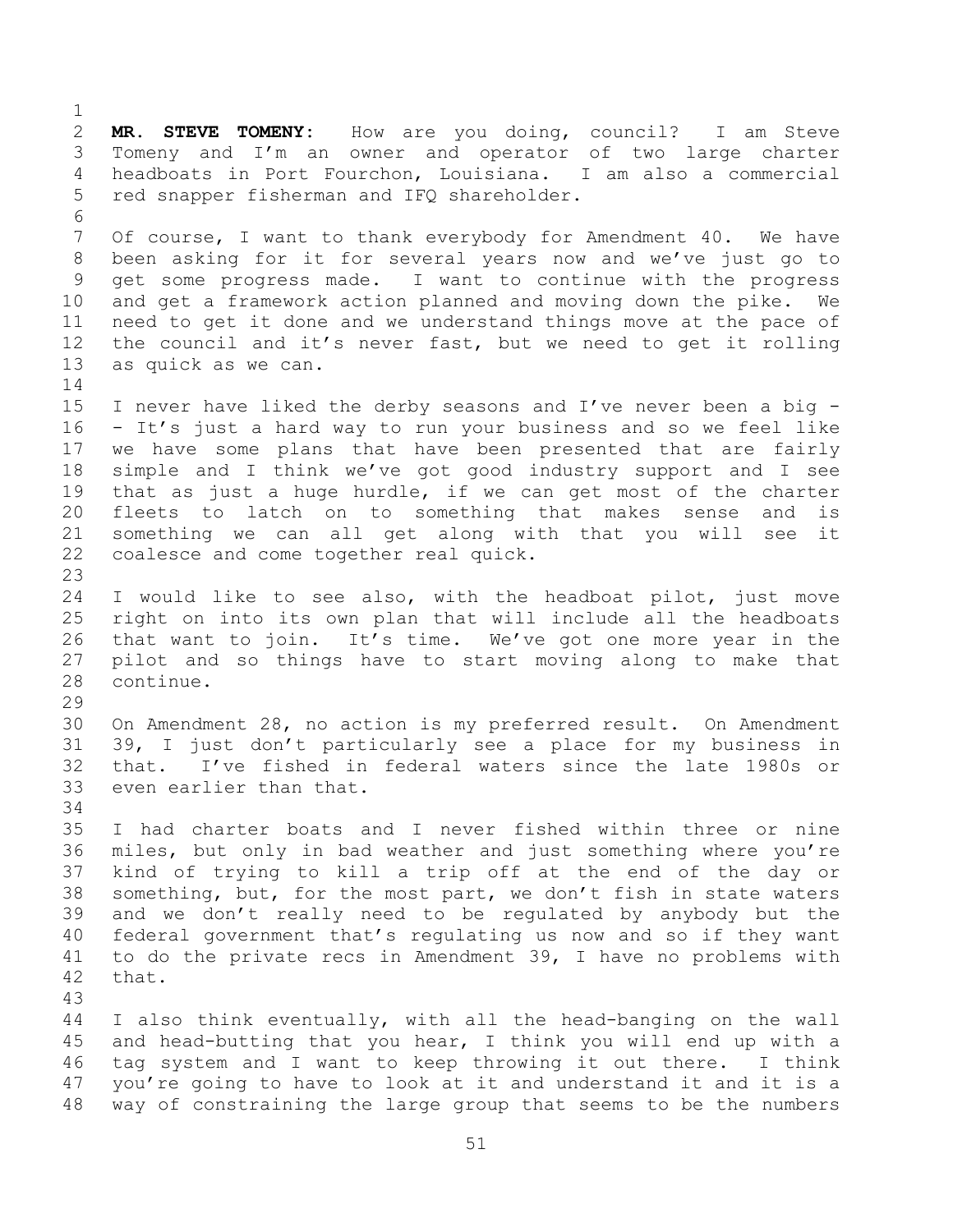**MR. STEVE TOMENY:** How are you doing, council? I am Steve Tomeny and I'm an owner and operator of two large charter headboats in Port Fourchon, Louisiana. I am also a commercial red snapper fisherman and IFQ shareholder. Of course, I want to thank everybody for Amendment 40. We have been asking for it for several years now and we've just go to get some progress made. I want to continue with the progress and get a framework action planned and moving down the pike. We need to get it done and we understand things move at the pace of the council and it's never fast, but we need to get it rolling as quick as we can. I never have liked the derby seasons and I've never been a big - - It's just a hard way to run your business and so we feel like we have some plans that have been presented that are fairly simple and I think we've got good industry support and I see that as just a huge hurdle, if we can get most of the charter fleets to latch on to something that makes sense and is something we can all get along with that you will see it coalesce and come together real quick. I would like to see also, with the headboat pilot, just move right on into its own plan that will include all the headboats that want to join. It's time. We've got one more year in the pilot and so things have to start moving along to make that continue. On Amendment 28, no action is my preferred result. On Amendment 39, I just don't particularly see a place for my business in that. I've fished in federal waters since the late 1980s or even earlier than that. I had charter boats and I never fished within three or nine miles, but only in bad weather and just something where you're kind of trying to kill a trip off at the end of the day or something, but, for the most part, we don't fish in state waters and we don't really need to be regulated by anybody but the federal government that's regulating us now and so if they want to do the private recs in Amendment 39, I have no problems with that. I also think eventually, with all the head-banging on the wall and head-butting that you hear, I think you will end up with a tag system and I want to keep throwing it out there. I think you're going to have to look at it and understand it and it is a way of constraining the large group that seems to be the numbers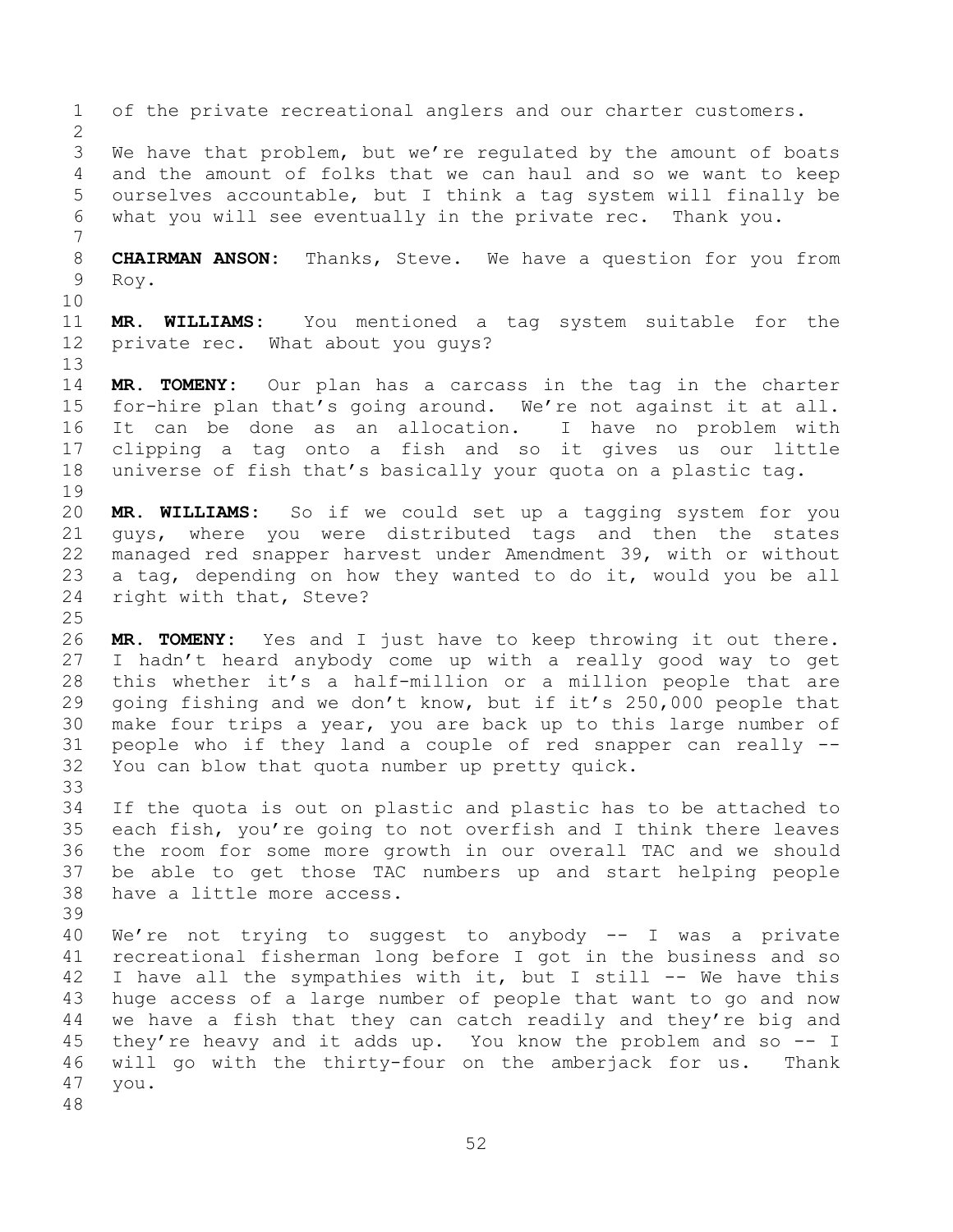of the private recreational anglers and our charter customers. We have that problem, but we're regulated by the amount of boats and the amount of folks that we can haul and so we want to keep ourselves accountable, but I think a tag system will finally be what you will see eventually in the private rec. Thank you. **CHAIRMAN ANSON:** Thanks, Steve. We have a question for you from Roy. **MR. WILLIAMS:** You mentioned a tag system suitable for the private rec. What about you guys? **MR. TOMENY:** Our plan has a carcass in the tag in the charter for-hire plan that's going around. We're not against it at all. It can be done as an allocation. I have no problem with clipping a tag onto a fish and so it gives us our little universe of fish that's basically your quota on a plastic tag. **MR. WILLIAMS:** So if we could set up a tagging system for you guys, where you were distributed tags and then the states managed red snapper harvest under Amendment 39, with or without a tag, depending on how they wanted to do it, would you be all right with that, Steve? **MR. TOMENY:** Yes and I just have to keep throwing it out there. I hadn't heard anybody come up with a really good way to get this whether it's a half-million or a million people that are going fishing and we don't know, but if it's 250,000 people that make four trips a year, you are back up to this large number of people who if they land a couple of red snapper can really -- You can blow that quota number up pretty quick. If the quota is out on plastic and plastic has to be attached to each fish, you're going to not overfish and I think there leaves the room for some more growth in our overall TAC and we should be able to get those TAC numbers up and start helping people have a little more access. We're not trying to suggest to anybody -- I was a private recreational fisherman long before I got in the business and so I have all the sympathies with it, but I still -- We have this huge access of a large number of people that want to go and now we have a fish that they can catch readily and they're big and they're heavy and it adds up. You know the problem and so -- I will go with the thirty-four on the amberjack for us. Thank you.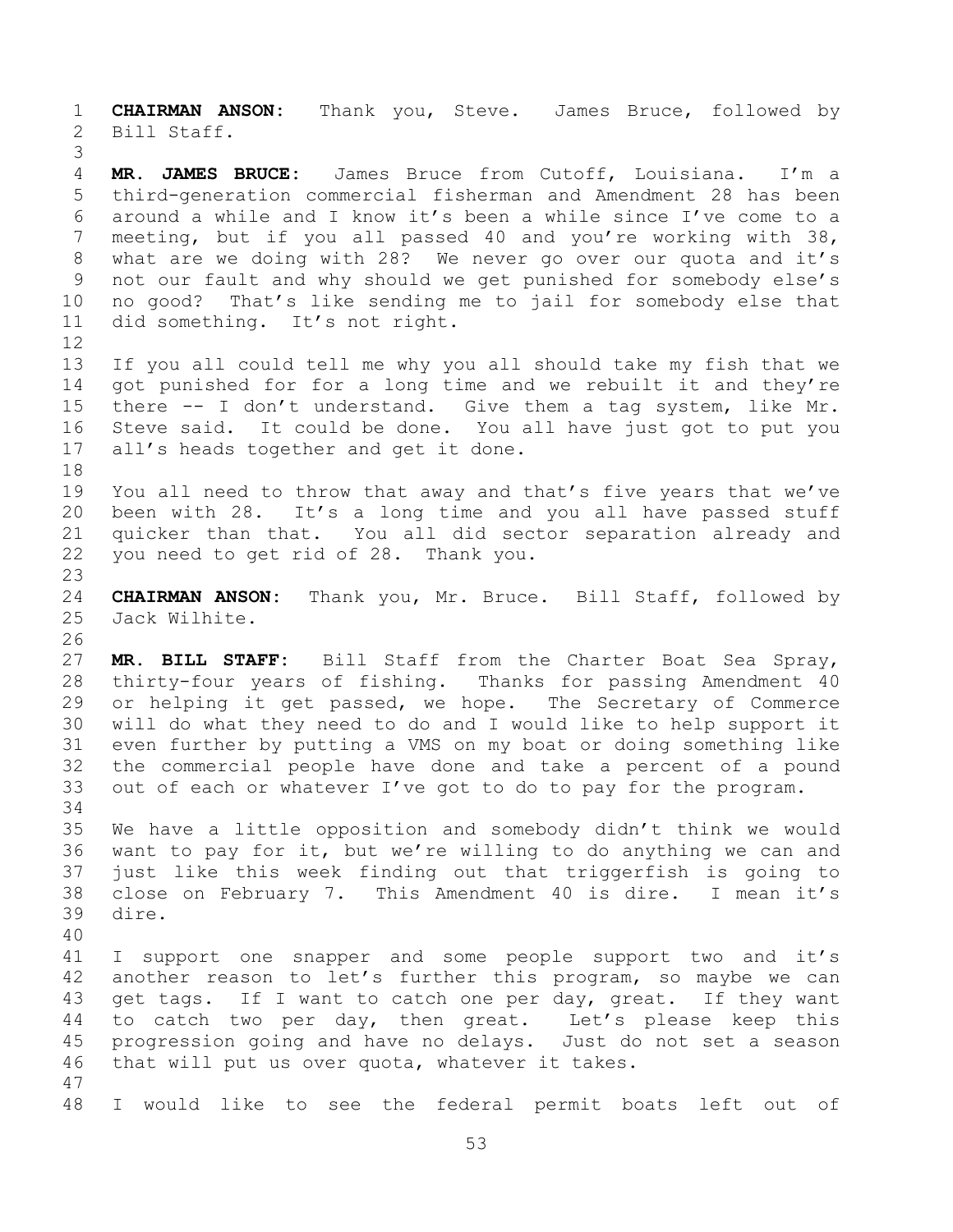**CHAIRMAN ANSON:** Thank you, Steve. James Bruce, followed by Bill Staff.

 **MR. JAMES BRUCE:** James Bruce from Cutoff, Louisiana. I'm a third-generation commercial fisherman and Amendment 28 has been around a while and I know it's been a while since I've come to a meeting, but if you all passed 40 and you're working with 38, what are we doing with 28? We never go over our quota and it's not our fault and why should we get punished for somebody else's no good? That's like sending me to jail for somebody else that did something. It's not right. 

 If you all could tell me why you all should take my fish that we got punished for for a long time and we rebuilt it and they're there -- I don't understand. Give them a tag system, like Mr. Steve said. It could be done. You all have just got to put you all's heads together and get it done.

 You all need to throw that away and that's five years that we've been with 28. It's a long time and you all have passed stuff quicker than that. You all did sector separation already and you need to get rid of 28. Thank you.

 **CHAIRMAN ANSON:** Thank you, Mr. Bruce. Bill Staff, followed by Jack Wilhite.

 **MR. BILL STAFF:** Bill Staff from the Charter Boat Sea Spray, thirty-four years of fishing. Thanks for passing Amendment 40 29 or helping it get passed, we hope. The Secretary of Commerce will do what they need to do and I would like to help support it even further by putting a VMS on my boat or doing something like the commercial people have done and take a percent of a pound out of each or whatever I've got to do to pay for the program. 

 We have a little opposition and somebody didn't think we would want to pay for it, but we're willing to do anything we can and just like this week finding out that triggerfish is going to close on February 7. This Amendment 40 is dire. I mean it's dire.

 I support one snapper and some people support two and it's another reason to let's further this program, so maybe we can get tags. If I want to catch one per day, great. If they want to catch two per day, then great. Let's please keep this progression going and have no delays. Just do not set a season that will put us over quota, whatever it takes. 

I would like to see the federal permit boats left out of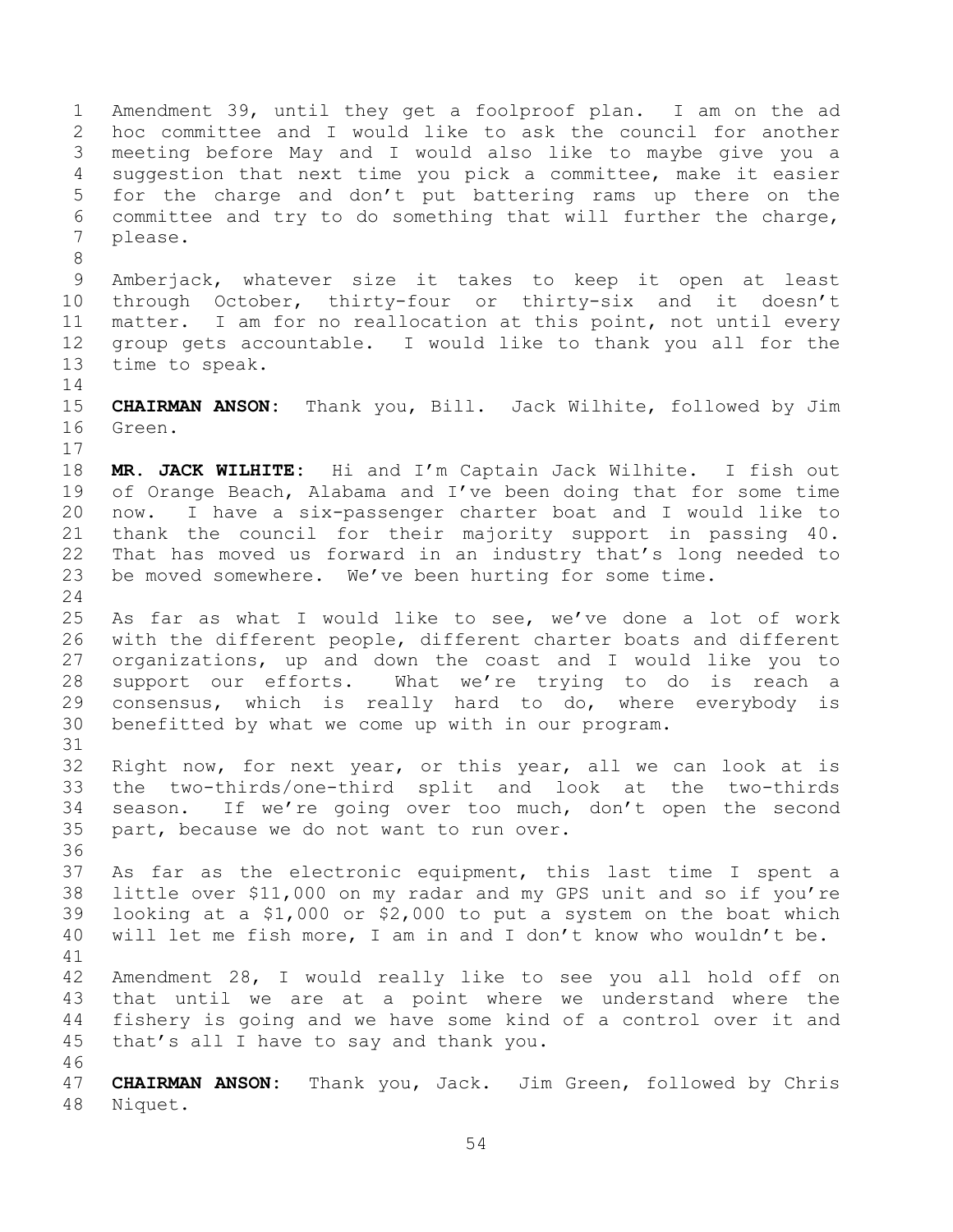Amendment 39, until they get a foolproof plan. I am on the ad hoc committee and I would like to ask the council for another meeting before May and I would also like to maybe give you a suggestion that next time you pick a committee, make it easier for the charge and don't put battering rams up there on the committee and try to do something that will further the charge, please. Amberjack, whatever size it takes to keep it open at least through October, thirty-four or thirty-six and it doesn't matter. I am for no reallocation at this point, not until every group gets accountable. I would like to thank you all for the time to speak. **CHAIRMAN ANSON:** Thank you, Bill. Jack Wilhite, followed by Jim Green. **MR. JACK WILHITE:** Hi and I'm Captain Jack Wilhite. I fish out of Orange Beach, Alabama and I've been doing that for some time now. I have a six-passenger charter boat and I would like to thank the council for their majority support in passing 40. That has moved us forward in an industry that's long needed to be moved somewhere. We've been hurting for some time. As far as what I would like to see, we've done a lot of work with the different people, different charter boats and different organizations, up and down the coast and I would like you to support our efforts. What we're trying to do is reach a consensus, which is really hard to do, where everybody is benefitted by what we come up with in our program. Right now, for next year, or this year, all we can look at is the two-thirds/one-third split and look at the two-thirds season. If we're going over too much, don't open the second part, because we do not want to run over. As far as the electronic equipment, this last time I spent a little over \$11,000 on my radar and my GPS unit and so if you're looking at a \$1,000 or \$2,000 to put a system on the boat which will let me fish more, I am in and I don't know who wouldn't be. Amendment 28, I would really like to see you all hold off on that until we are at a point where we understand where the fishery is going and we have some kind of a control over it and that's all I have to say and thank you. **CHAIRMAN ANSON:** Thank you, Jack. Jim Green, followed by Chris Niquet.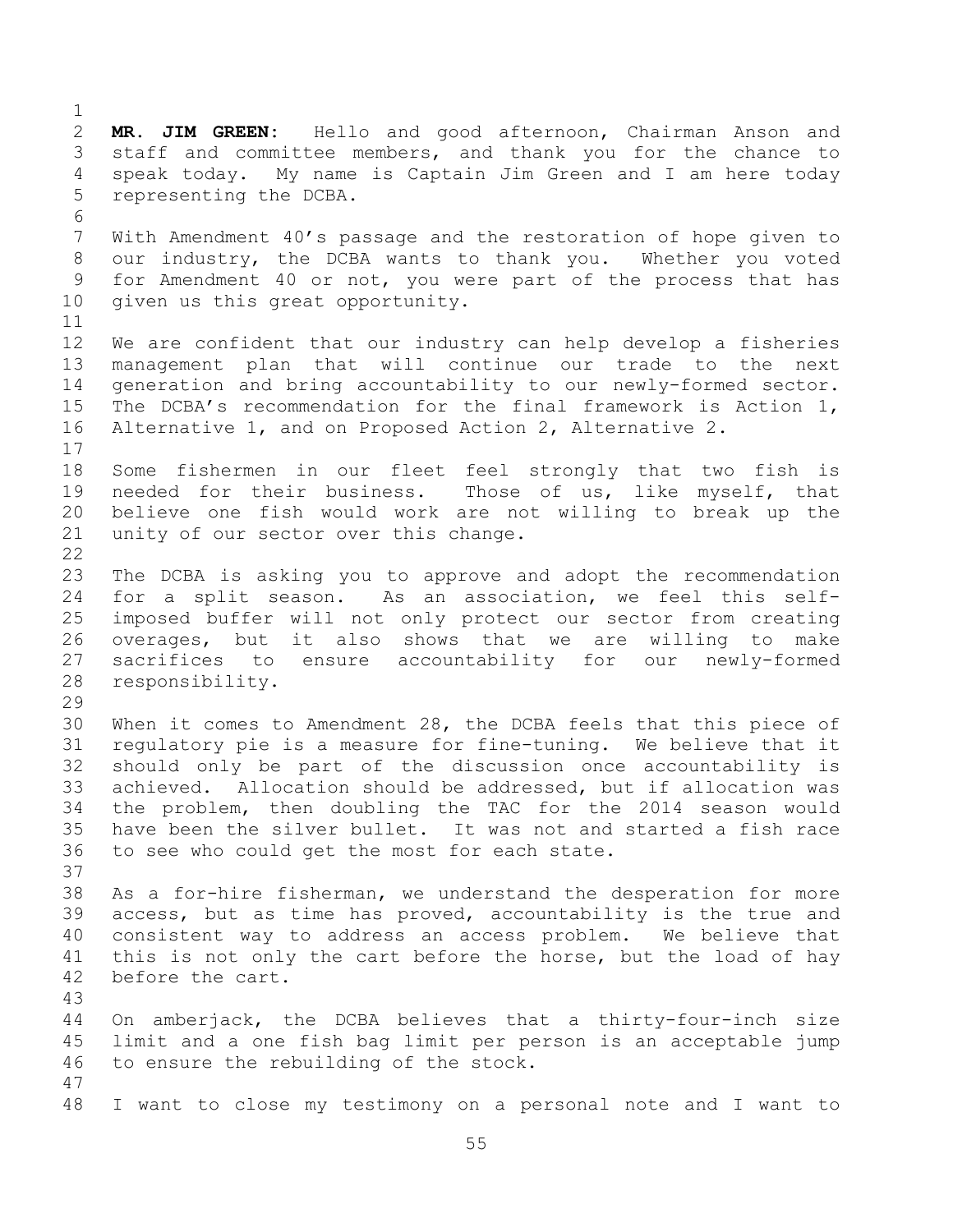**MR. JIM GREEN:** Hello and good afternoon, Chairman Anson and staff and committee members, and thank you for the chance to speak today. My name is Captain Jim Green and I am here today representing the DCBA. With Amendment 40's passage and the restoration of hope given to our industry, the DCBA wants to thank you. Whether you voted for Amendment 40 or not, you were part of the process that has given us this great opportunity. We are confident that our industry can help develop a fisheries management plan that will continue our trade to the next generation and bring accountability to our newly-formed sector. The DCBA's recommendation for the final framework is Action 1, Alternative 1, and on Proposed Action 2, Alternative 2. Some fishermen in our fleet feel strongly that two fish is needed for their business. Those of us, like myself, that believe one fish would work are not willing to break up the unity of our sector over this change. The DCBA is asking you to approve and adopt the recommendation for a split season. As an association, we feel this self- imposed buffer will not only protect our sector from creating overages, but it also shows that we are willing to make sacrifices to ensure accountability for our newly-formed responsibility. When it comes to Amendment 28, the DCBA feels that this piece of regulatory pie is a measure for fine-tuning. We believe that it should only be part of the discussion once accountability is achieved. Allocation should be addressed, but if allocation was the problem, then doubling the TAC for the 2014 season would have been the silver bullet. It was not and started a fish race to see who could get the most for each state. As a for-hire fisherman, we understand the desperation for more access, but as time has proved, accountability is the true and consistent way to address an access problem. We believe that 41 this is not only the cart before the horse, but the load of hay before the cart. On amberjack, the DCBA believes that a thirty-four-inch size limit and a one fish bag limit per person is an acceptable jump to ensure the rebuilding of the stock. I want to close my testimony on a personal note and I want to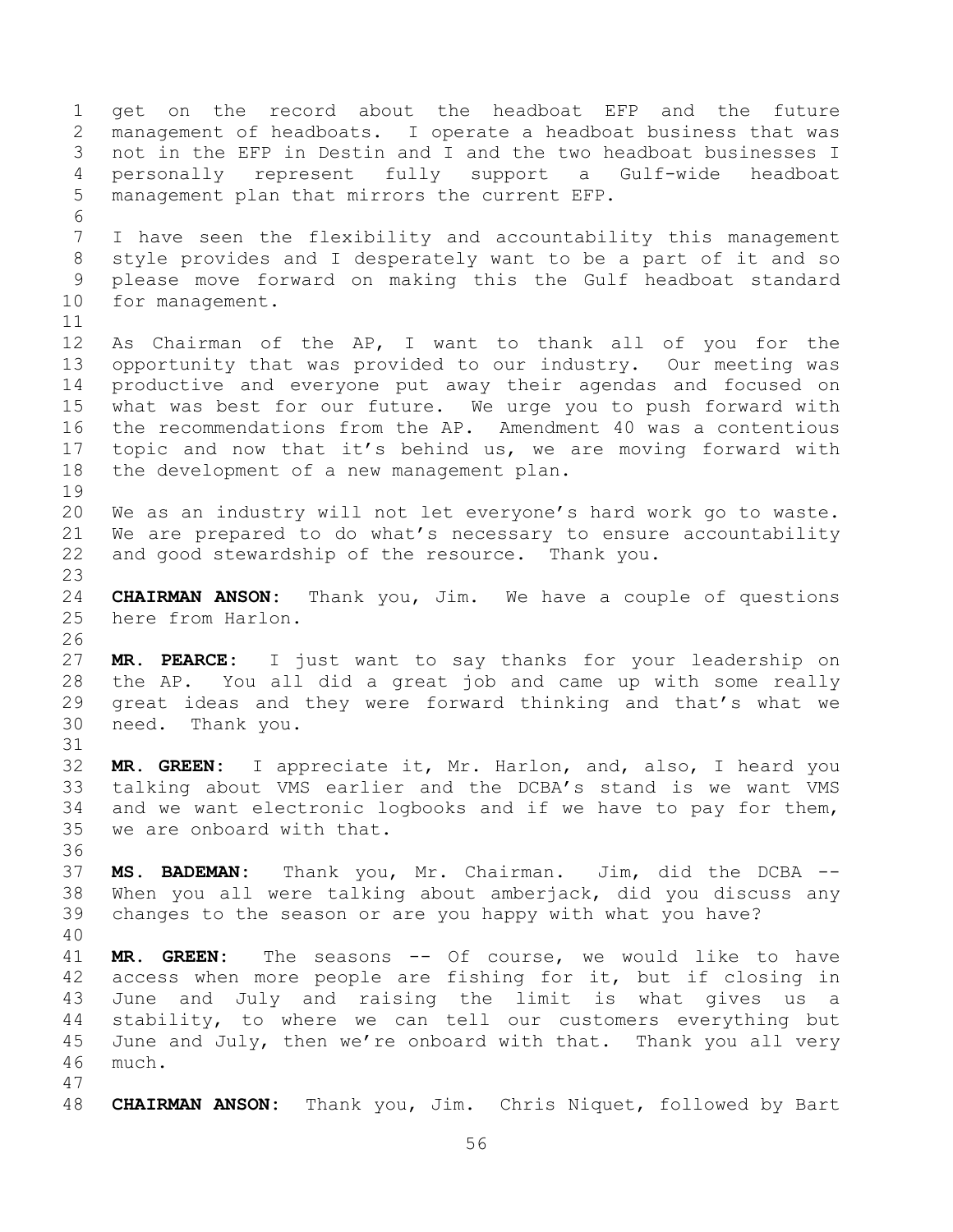get on the record about the headboat EFP and the future management of headboats. I operate a headboat business that was not in the EFP in Destin and I and the two headboat businesses I personally represent fully support a Gulf-wide headboat management plan that mirrors the current EFP. I have seen the flexibility and accountability this management style provides and I desperately want to be a part of it and so please move forward on making this the Gulf headboat standard for management. As Chairman of the AP, I want to thank all of you for the opportunity that was provided to our industry. Our meeting was productive and everyone put away their agendas and focused on what was best for our future. We urge you to push forward with the recommendations from the AP. Amendment 40 was a contentious topic and now that it's behind us, we are moving forward with the development of a new management plan. We as an industry will not let everyone's hard work go to waste. We are prepared to do what's necessary to ensure accountability and good stewardship of the resource. Thank you. **CHAIRMAN ANSON:** Thank you, Jim. We have a couple of questions here from Harlon. **MR. PEARCE:** I just want to say thanks for your leadership on the AP. You all did a great job and came up with some really great ideas and they were forward thinking and that's what we need. Thank you. **MR. GREEN:** I appreciate it, Mr. Harlon, and, also, I heard you talking about VMS earlier and the DCBA's stand is we want VMS and we want electronic logbooks and if we have to pay for them, we are onboard with that. **MS. BADEMAN:** Thank you, Mr. Chairman. Jim, did the DCBA -- When you all were talking about amberjack, did you discuss any changes to the season or are you happy with what you have? **MR. GREEN:** The seasons -- Of course, we would like to have access when more people are fishing for it, but if closing in June and July and raising the limit is what gives us a stability, to where we can tell our customers everything but June and July, then we're onboard with that. Thank you all very much. **CHAIRMAN ANSON:** Thank you, Jim. Chris Niquet, followed by Bart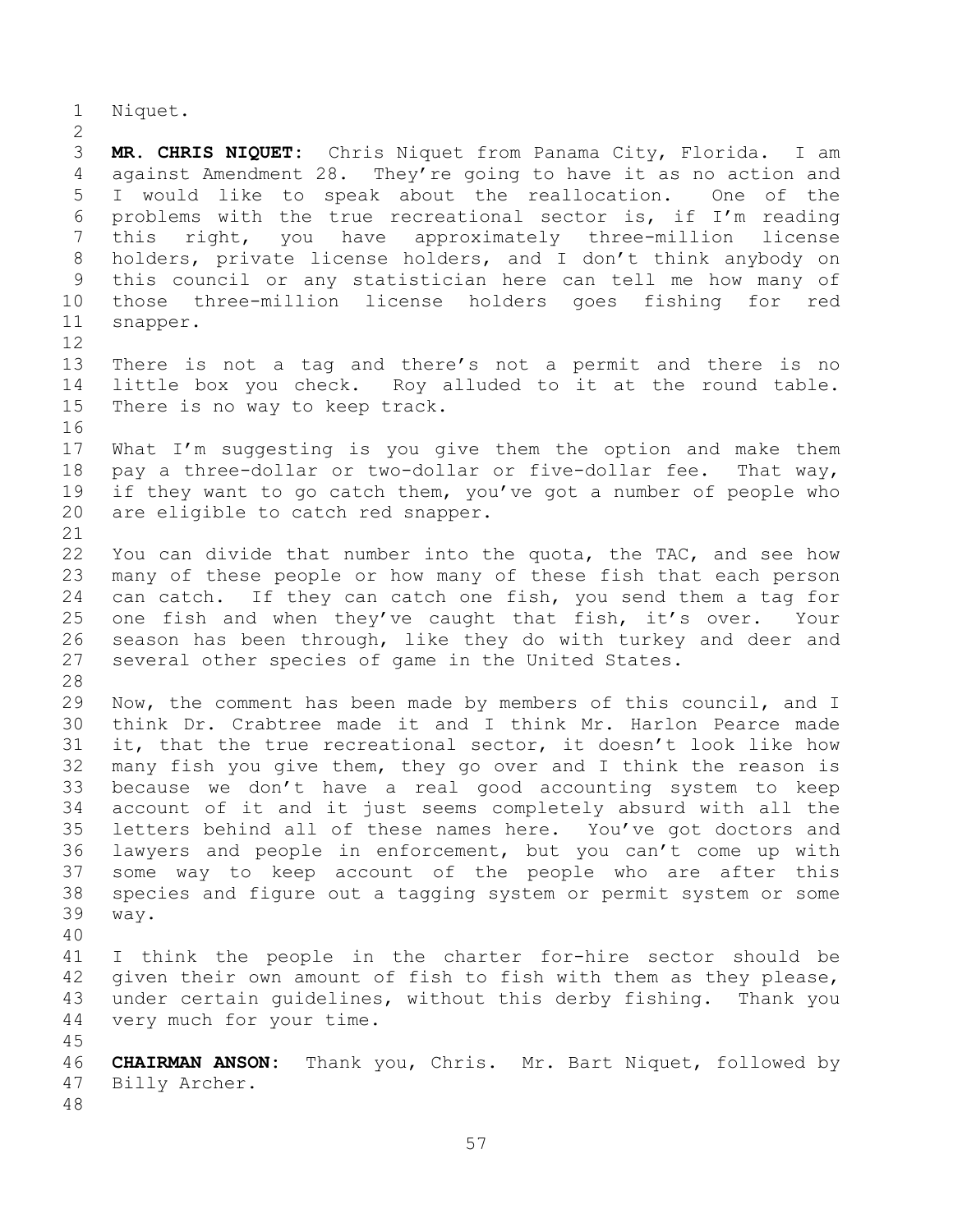Niquet.

 **MR. CHRIS NIQUET:** Chris Niquet from Panama City, Florida. I am against Amendment 28. They're going to have it as no action and I would like to speak about the reallocation. One of the problems with the true recreational sector is, if I'm reading this right, you have approximately three-million license holders, private license holders, and I don't think anybody on this council or any statistician here can tell me how many of those three-million license holders goes fishing for red snapper. 

 There is not a tag and there's not a permit and there is no little box you check. Roy alluded to it at the round table. There is no way to keep track.

 What I'm suggesting is you give them the option and make them pay a three-dollar or two-dollar or five-dollar fee. That way, if they want to go catch them, you've got a number of people who are eligible to catch red snapper.

 You can divide that number into the quota, the TAC, and see how many of these people or how many of these fish that each person can catch. If they can catch one fish, you send them a tag for one fish and when they've caught that fish, it's over. Your season has been through, like they do with turkey and deer and several other species of game in the United States.

 Now, the comment has been made by members of this council, and I think Dr. Crabtree made it and I think Mr. Harlon Pearce made it, that the true recreational sector, it doesn't look like how many fish you give them, they go over and I think the reason is because we don't have a real good accounting system to keep account of it and it just seems completely absurd with all the letters behind all of these names here. You've got doctors and lawyers and people in enforcement, but you can't come up with some way to keep account of the people who are after this species and figure out a tagging system or permit system or some way.

 I think the people in the charter for-hire sector should be given their own amount of fish to fish with them as they please, under certain guidelines, without this derby fishing. Thank you very much for your time.

 **CHAIRMAN ANSON:** Thank you, Chris. Mr. Bart Niquet, followed by Billy Archer.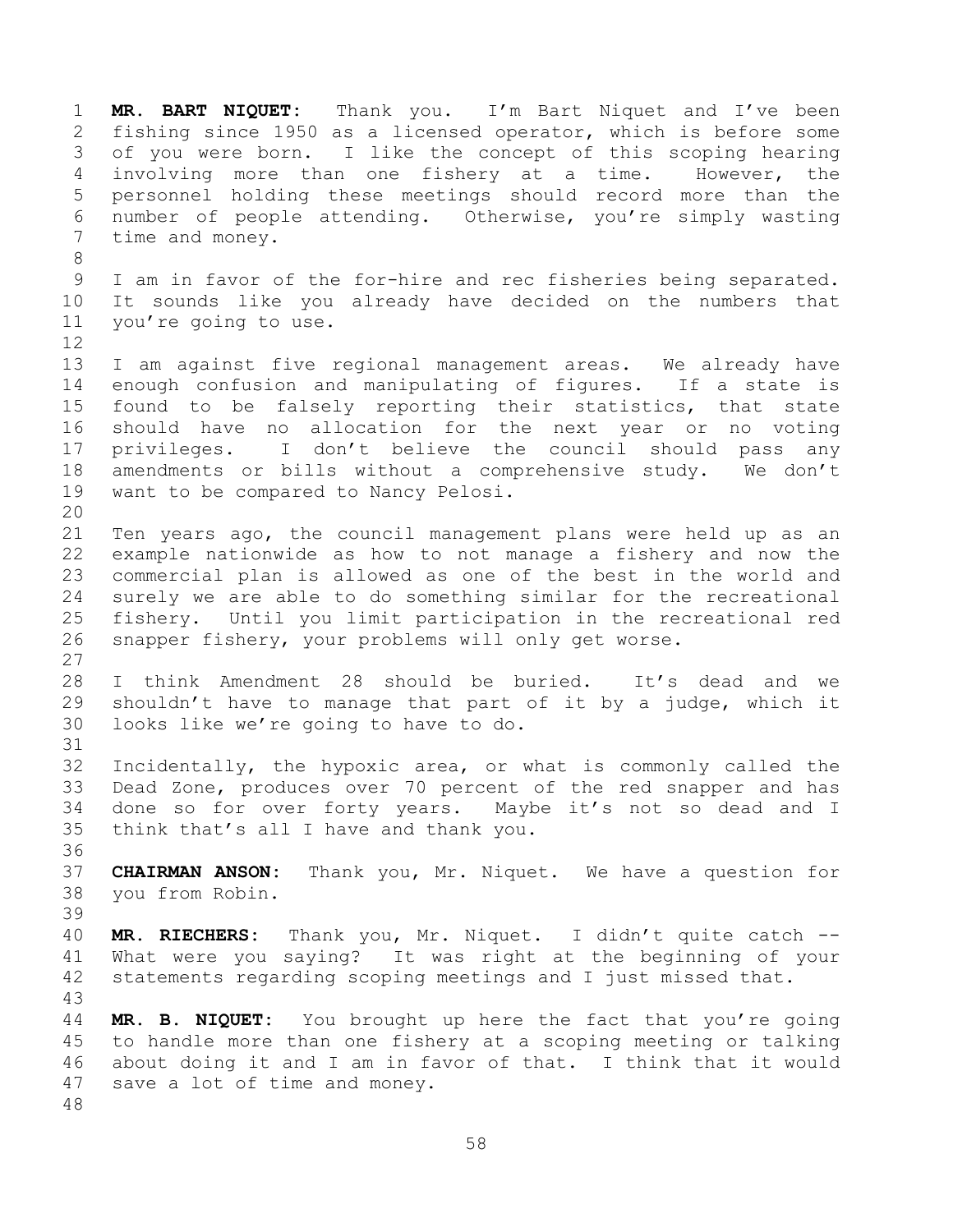**MR. BART NIQUET:** Thank you. I'm Bart Niquet and I've been fishing since 1950 as a licensed operator, which is before some of you were born. I like the concept of this scoping hearing involving more than one fishery at a time. However, the personnel holding these meetings should record more than the number of people attending. Otherwise, you're simply wasting time and money. I am in favor of the for-hire and rec fisheries being separated. It sounds like you already have decided on the numbers that you're going to use. I am against five regional management areas. We already have enough confusion and manipulating of figures. If a state is found to be falsely reporting their statistics, that state should have no allocation for the next year or no voting privileges. I don't believe the council should pass any amendments or bills without a comprehensive study. We don't want to be compared to Nancy Pelosi. Ten years ago, the council management plans were held up as an 22 example nationwide as how to not manage a fishery and now the<br>23 commercial plan is allowed as one of the best in the world and commercial plan is allowed as one of the best in the world and surely we are able to do something similar for the recreational fishery. Until you limit participation in the recreational red snapper fishery, your problems will only get worse. I think Amendment 28 should be buried. It's dead and we shouldn't have to manage that part of it by a judge, which it looks like we're going to have to do. Incidentally, the hypoxic area, or what is commonly called the Dead Zone, produces over 70 percent of the red snapper and has done so for over forty years. Maybe it's not so dead and I think that's all I have and thank you. **CHAIRMAN ANSON:** Thank you, Mr. Niquet. We have a question for you from Robin. **MR. RIECHERS:** Thank you, Mr. Niquet. I didn't quite catch -- What were you saying? It was right at the beginning of your statements regarding scoping meetings and I just missed that. **MR. B. NIQUET:** You brought up here the fact that you're going to handle more than one fishery at a scoping meeting or talking about doing it and I am in favor of that. I think that it would save a lot of time and money.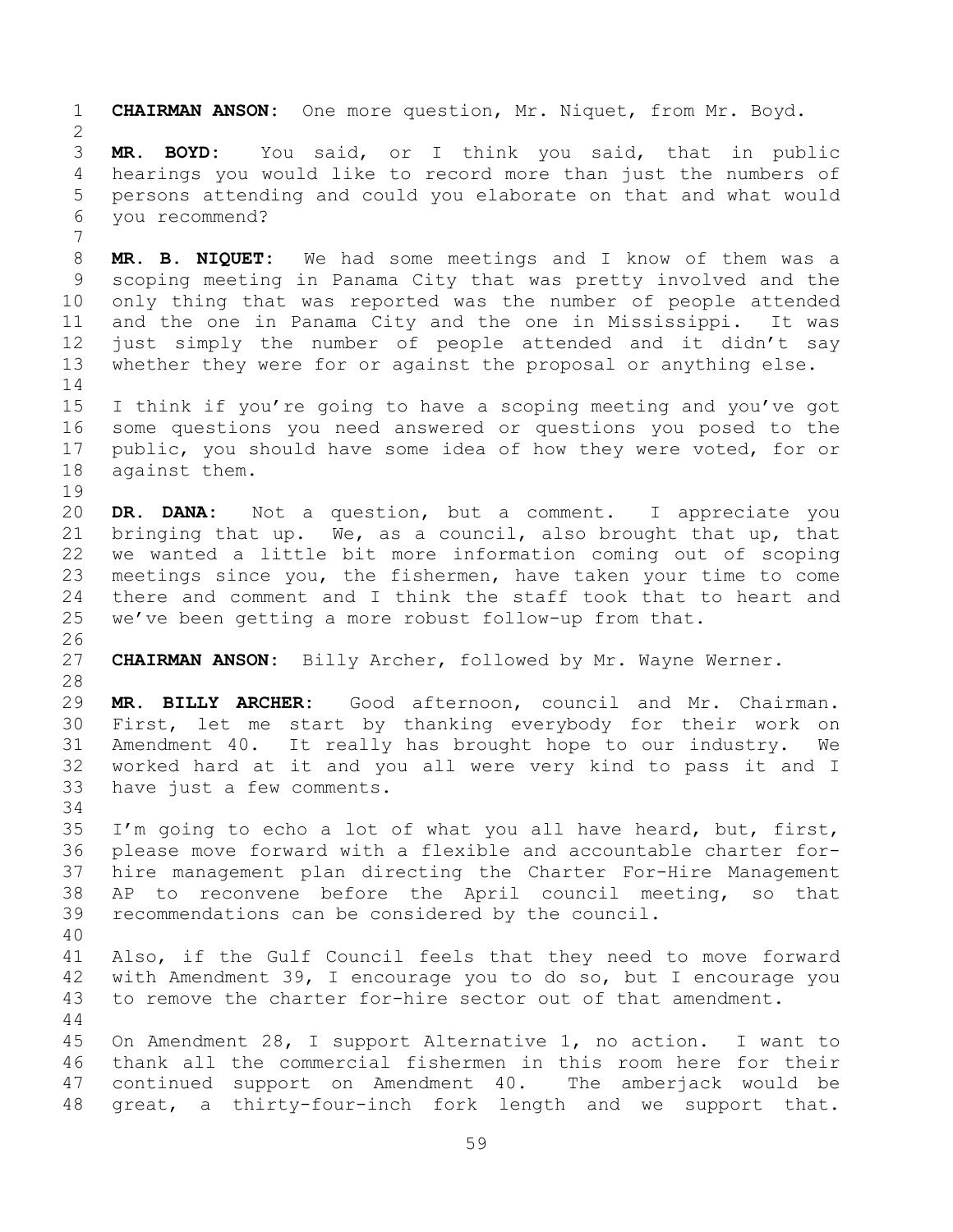**CHAIRMAN ANSON:** One more question, Mr. Niquet, from Mr. Boyd. **MR. BOYD:** You said, or I think you said, that in public hearings you would like to record more than just the numbers of persons attending and could you elaborate on that and what would you recommend? **MR. B. NIQUET:** We had some meetings and I know of them was a scoping meeting in Panama City that was pretty involved and the only thing that was reported was the number of people attended and the one in Panama City and the one in Mississippi. It was just simply the number of people attended and it didn't say whether they were for or against the proposal or anything else. I think if you're going to have a scoping meeting and you've got some questions you need answered or questions you posed to the 17 public, you should have some idea of how they were voted, for or against them. **DR. DANA:** Not a question, but a comment. I appreciate you bringing that up. We, as a council, also brought that up, that we wanted a little bit more information coming out of scoping meetings since you, the fishermen, have taken your time to come there and comment and I think the staff took that to heart and we've been getting a more robust follow-up from that. **CHAIRMAN ANSON:** Billy Archer, followed by Mr. Wayne Werner. **MR. BILLY ARCHER:** Good afternoon, council and Mr. Chairman. First, let me start by thanking everybody for their work on Amendment 40. It really has brought hope to our industry. We worked hard at it and you all were very kind to pass it and I have just a few comments. I'm going to echo a lot of what you all have heard, but, first, please move forward with a flexible and accountable charter for- hire management plan directing the Charter For-Hire Management AP to reconvene before the April council meeting, so that recommendations can be considered by the council. Also, if the Gulf Council feels that they need to move forward with Amendment 39, I encourage you to do so, but I encourage you to remove the charter for-hire sector out of that amendment. On Amendment 28, I support Alternative 1, no action. I want to thank all the commercial fishermen in this room here for their continued support on Amendment 40. The amberjack would be great, a thirty-four-inch fork length and we support that.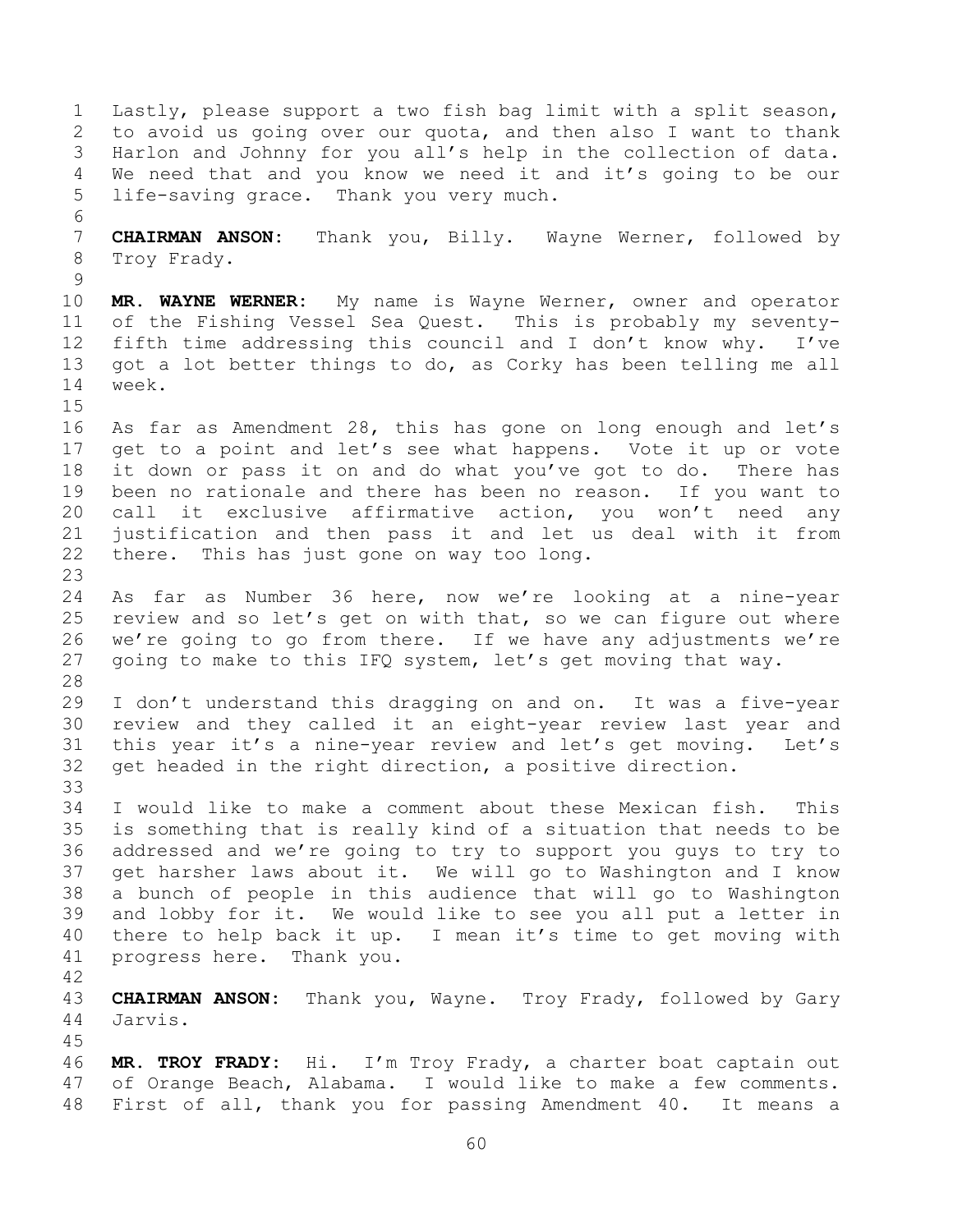Lastly, please support a two fish bag limit with a split season, to avoid us going over our quota, and then also I want to thank Harlon and Johnny for you all's help in the collection of data. We need that and you know we need it and it's going to be our life-saving grace. Thank you very much. **CHAIRMAN ANSON:** Thank you, Billy. Wayne Werner, followed by Troy Frady. **MR. WAYNE WERNER:** My name is Wayne Werner, owner and operator of the Fishing Vessel Sea Quest. This is probably my seventy- fifth time addressing this council and I don't know why. I've got a lot better things to do, as Corky has been telling me all week. As far as Amendment 28, this has gone on long enough and let's get to a point and let's see what happens. Vote it up or vote it down or pass it on and do what you've got to do. There has been no rationale and there has been no reason. If you want to call it exclusive affirmative action, you won't need any justification and then pass it and let us deal with it from there. This has just gone on way too long. As far as Number 36 here, now we're looking at a nine-year review and so let's get on with that, so we can figure out where we're going to go from there. If we have any adjustments we're going to make to this IFQ system, let's get moving that way. I don't understand this dragging on and on. It was a five-year review and they called it an eight-year review last year and this year it's a nine-year review and let's get moving. Let's get headed in the right direction, a positive direction. I would like to make a comment about these Mexican fish. This is something that is really kind of a situation that needs to be addressed and we're going to try to support you guys to try to get harsher laws about it. We will go to Washington and I know a bunch of people in this audience that will go to Washington and lobby for it. We would like to see you all put a letter in there to help back it up. I mean it's time to get moving with progress here. Thank you. **CHAIRMAN ANSON:** Thank you, Wayne. Troy Frady, followed by Gary Jarvis. **MR. TROY FRADY:** Hi. I'm Troy Frady, a charter boat captain out of Orange Beach, Alabama. I would like to make a few comments. First of all, thank you for passing Amendment 40. It means a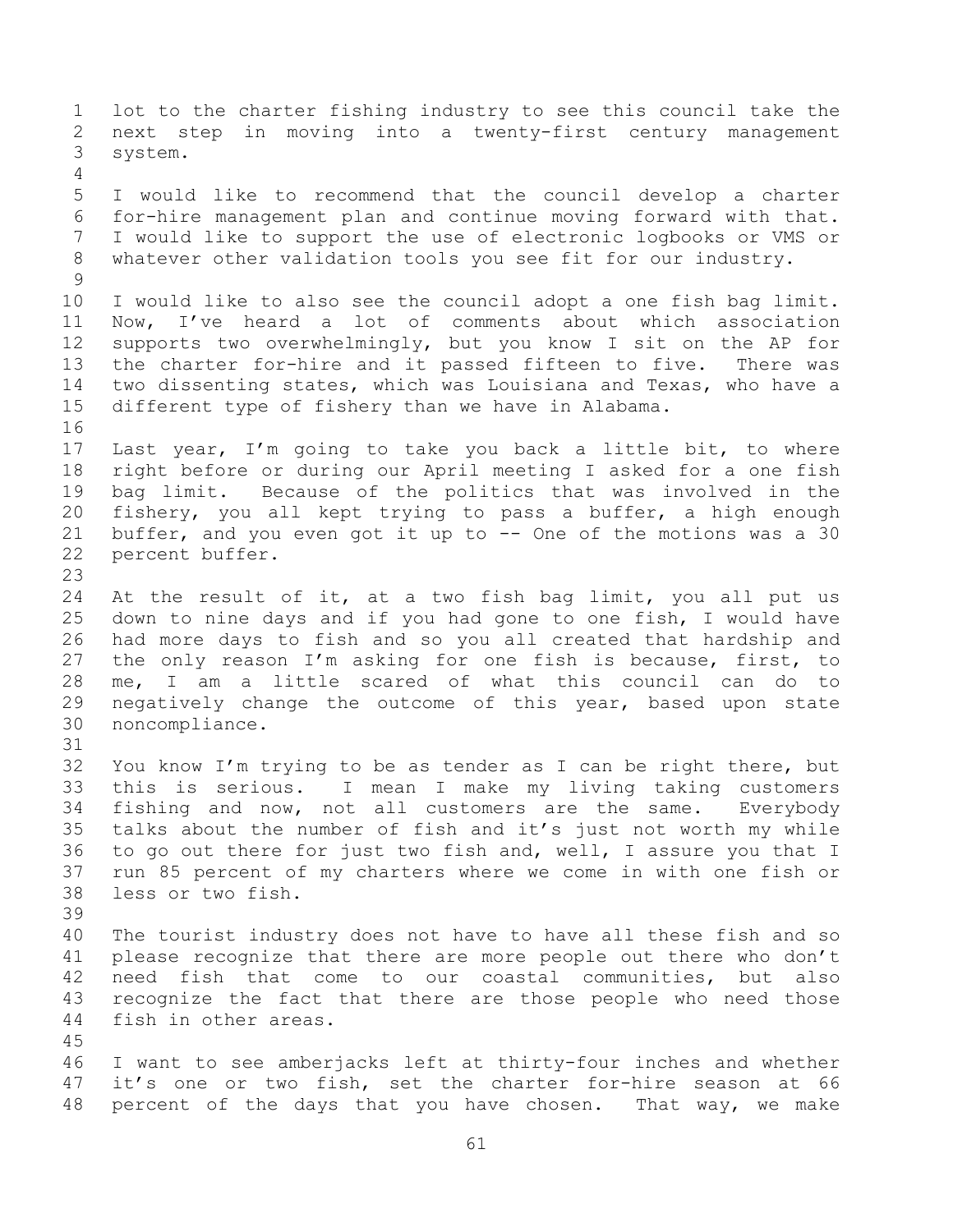lot to the charter fishing industry to see this council take the next step in moving into a twenty-first century management system. I would like to recommend that the council develop a charter for-hire management plan and continue moving forward with that. I would like to support the use of electronic logbooks or VMS or whatever other validation tools you see fit for our industry. I would like to also see the council adopt a one fish bag limit. Now, I've heard a lot of comments about which association supports two overwhelmingly, but you know I sit on the AP for the charter for-hire and it passed fifteen to five. There was two dissenting states, which was Louisiana and Texas, who have a different type of fishery than we have in Alabama. Last year, I'm going to take you back a little bit, to where right before or during our April meeting I asked for a one fish bag limit. Because of the politics that was involved in the fishery, you all kept trying to pass a buffer, a high enough buffer, and you even got it up to -- One of the motions was a 30 percent buffer. At the result of it, at a two fish bag limit, you all put us down to nine days and if you had gone to one fish, I would have had more days to fish and so you all created that hardship and the only reason I'm asking for one fish is because, first, to me, I am a little scared of what this council can do to negatively change the outcome of this year, based upon state noncompliance. You know I'm trying to be as tender as I can be right there, but this is serious. I mean I make my living taking customers fishing and now, not all customers are the same. Everybody talks about the number of fish and it's just not worth my while to go out there for just two fish and, well, I assure you that I run 85 percent of my charters where we come in with one fish or less or two fish. The tourist industry does not have to have all these fish and so please recognize that there are more people out there who don't need fish that come to our coastal communities, but also recognize the fact that there are those people who need those fish in other areas. I want to see amberjacks left at thirty-four inches and whether it's one or two fish, set the charter for-hire season at 66 percent of the days that you have chosen. That way, we make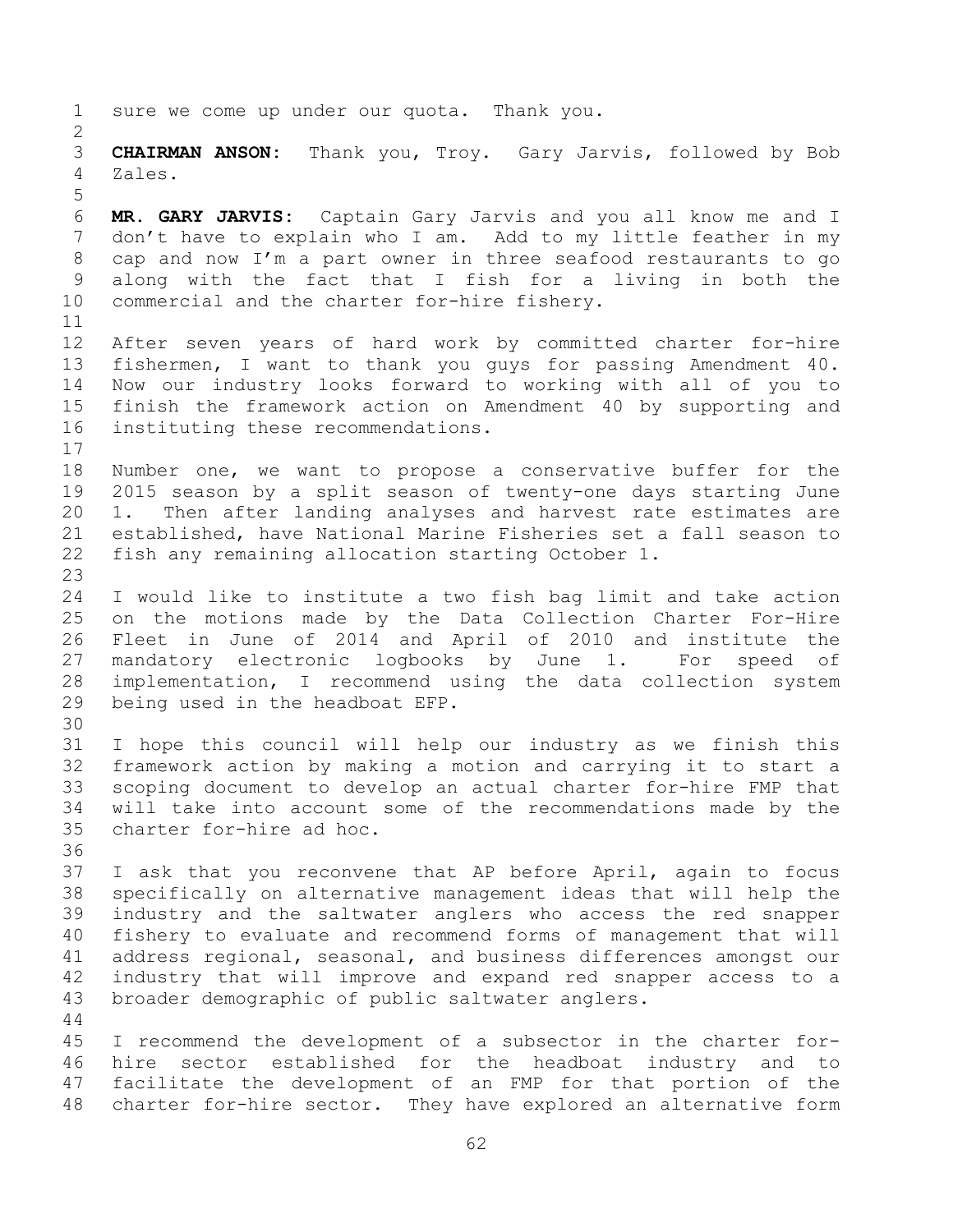sure we come up under our quota. Thank you. **CHAIRMAN ANSON:** Thank you, Troy. Gary Jarvis, followed by Bob Zales. **MR. GARY JARVIS:** Captain Gary Jarvis and you all know me and I don't have to explain who I am. Add to my little feather in my cap and now I'm a part owner in three seafood restaurants to go along with the fact that I fish for a living in both the commercial and the charter for-hire fishery. After seven years of hard work by committed charter for-hire fishermen, I want to thank you guys for passing Amendment 40. Now our industry looks forward to working with all of you to finish the framework action on Amendment 40 by supporting and instituting these recommendations. Number one, we want to propose a conservative buffer for the 2015 season by a split season of twenty-one days starting June 1. Then after landing analyses and harvest rate estimates are established, have National Marine Fisheries set a fall season to fish any remaining allocation starting October 1. I would like to institute a two fish bag limit and take action on the motions made by the Data Collection Charter For-Hire Fleet in June of 2014 and April of 2010 and institute the mandatory electronic logbooks by June 1. For speed of implementation, I recommend using the data collection system being used in the headboat EFP. I hope this council will help our industry as we finish this framework action by making a motion and carrying it to start a scoping document to develop an actual charter for-hire FMP that will take into account some of the recommendations made by the charter for-hire ad hoc. I ask that you reconvene that AP before April, again to focus specifically on alternative management ideas that will help the industry and the saltwater anglers who access the red snapper fishery to evaluate and recommend forms of management that will address regional, seasonal, and business differences amongst our industry that will improve and expand red snapper access to a broader demographic of public saltwater anglers. I recommend the development of a subsector in the charter for- hire sector established for the headboat industry and to facilitate the development of an FMP for that portion of the charter for-hire sector. They have explored an alternative form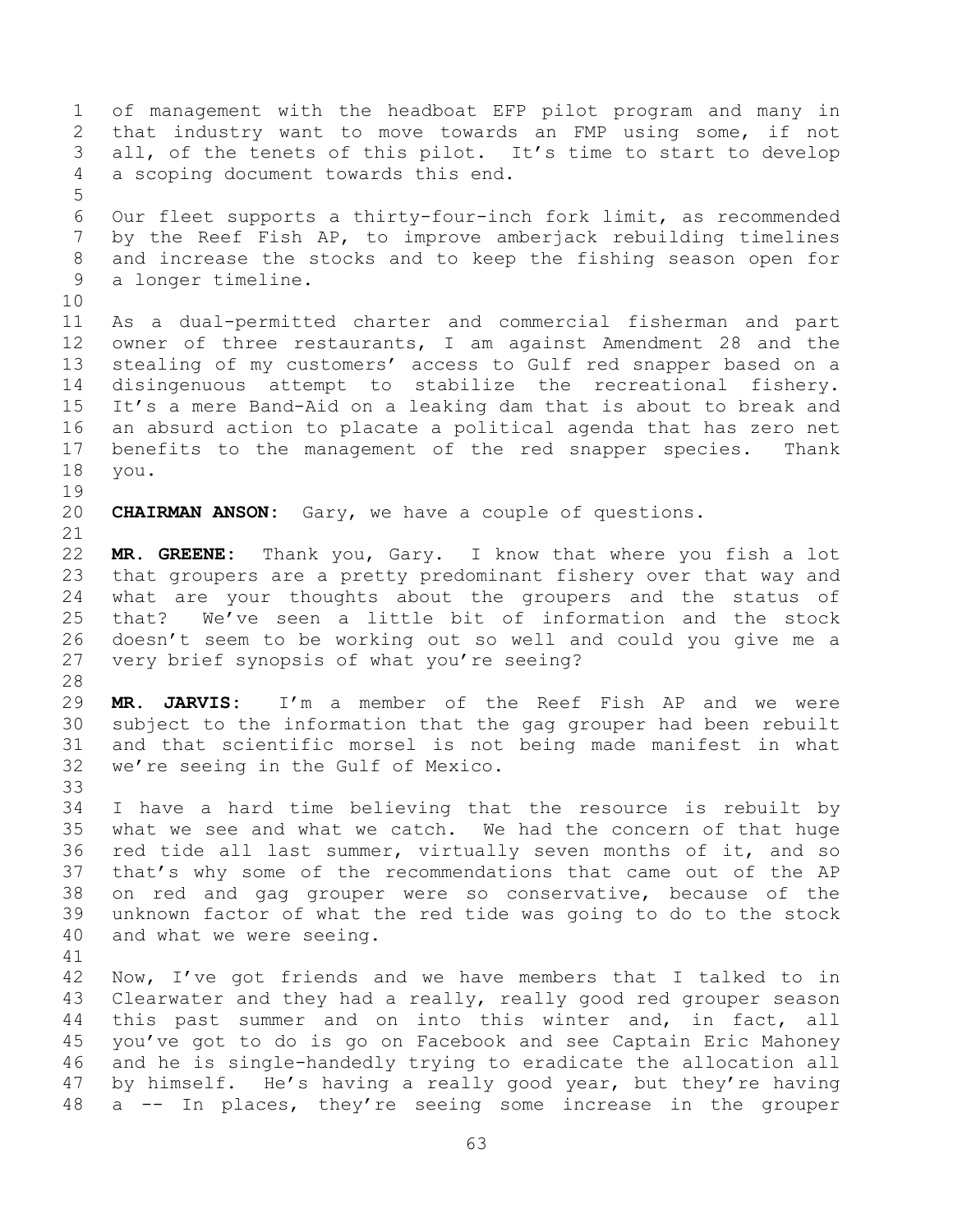of management with the headboat EFP pilot program and many in that industry want to move towards an FMP using some, if not all, of the tenets of this pilot. It's time to start to develop a scoping document towards this end. Our fleet supports a thirty-four-inch fork limit, as recommended by the Reef Fish AP, to improve amberjack rebuilding timelines and increase the stocks and to keep the fishing season open for a longer timeline. As a dual-permitted charter and commercial fisherman and part owner of three restaurants, I am against Amendment 28 and the stealing of my customers' access to Gulf red snapper based on a disingenuous attempt to stabilize the recreational fishery. It's a mere Band-Aid on a leaking dam that is about to break and an absurd action to placate a political agenda that has zero net benefits to the management of the red snapper species. Thank you. **CHAIRMAN ANSON:** Gary, we have a couple of questions. **MR. GREENE:** Thank you, Gary. I know that where you fish a lot that groupers are a pretty predominant fishery over that way and what are your thoughts about the groupers and the status of that? We've seen a little bit of information and the stock doesn't seem to be working out so well and could you give me a very brief synopsis of what you're seeing? **MR. JARVIS:** I'm a member of the Reef Fish AP and we were subject to the information that the gag grouper had been rebuilt and that scientific morsel is not being made manifest in what we're seeing in the Gulf of Mexico. I have a hard time believing that the resource is rebuilt by what we see and what we catch. We had the concern of that huge red tide all last summer, virtually seven months of it, and so that's why some of the recommendations that came out of the AP on red and gag grouper were so conservative, because of the unknown factor of what the red tide was going to do to the stock and what we were seeing. Now, I've got friends and we have members that I talked to in Clearwater and they had a really, really good red grouper season this past summer and on into this winter and, in fact, all you've got to do is go on Facebook and see Captain Eric Mahoney and he is single-handedly trying to eradicate the allocation all by himself. He's having a really good year, but they're having a -- In places, they're seeing some increase in the grouper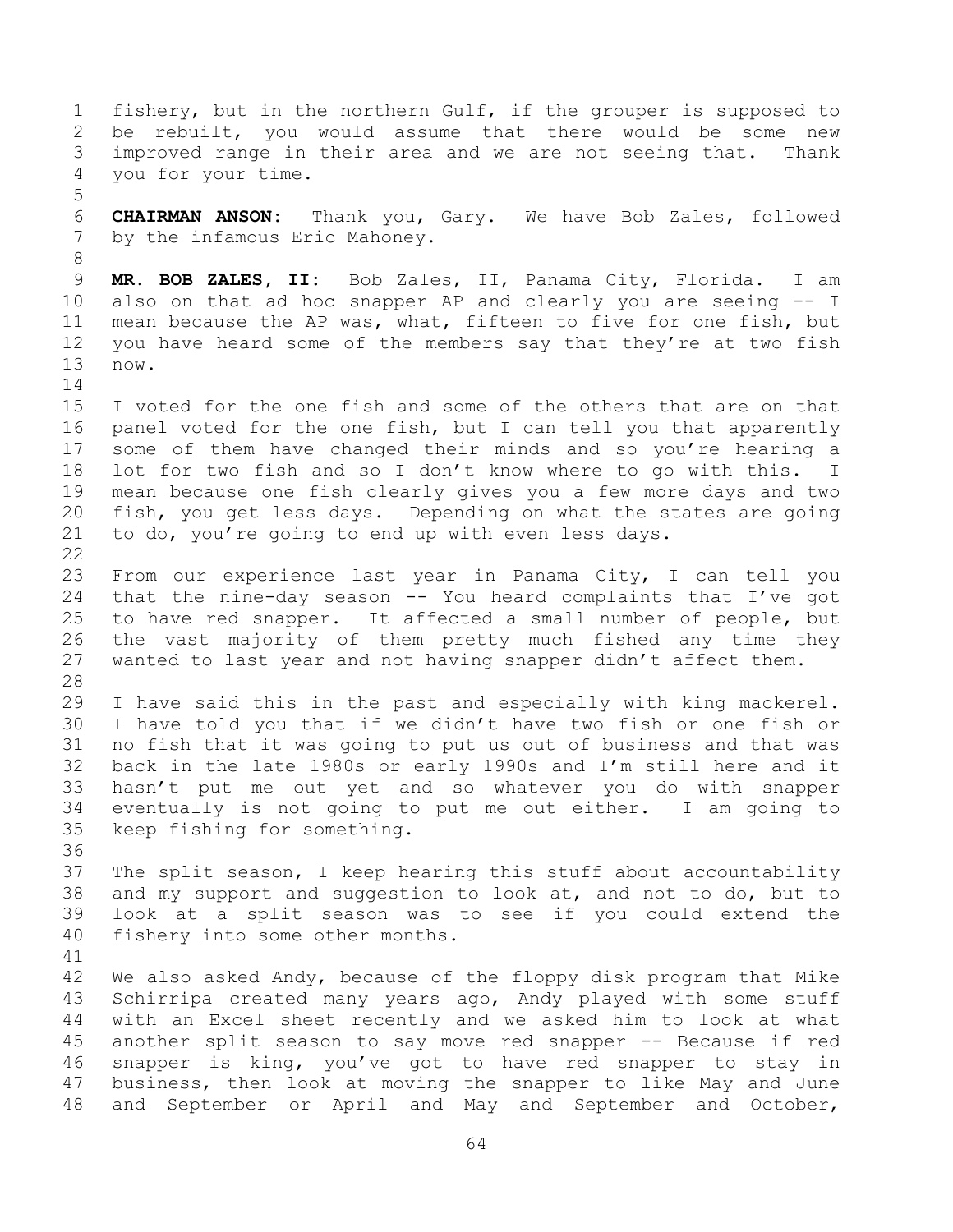fishery, but in the northern Gulf, if the grouper is supposed to be rebuilt, you would assume that there would be some new improved range in their area and we are not seeing that. Thank you for your time. **CHAIRMAN ANSON:** Thank you, Gary. We have Bob Zales, followed by the infamous Eric Mahoney. **MR. BOB ZALES, II:** Bob Zales, II, Panama City, Florida. I am also on that ad hoc snapper AP and clearly you are seeing -- I mean because the AP was, what, fifteen to five for one fish, but you have heard some of the members say that they're at two fish now. I voted for the one fish and some of the others that are on that panel voted for the one fish, but I can tell you that apparently some of them have changed their minds and so you're hearing a lot for two fish and so I don't know where to go with this. I mean because one fish clearly gives you a few more days and two fish, you get less days. Depending on what the states are going to do, you're going to end up with even less days. From our experience last year in Panama City, I can tell you that the nine-day season -- You heard complaints that I've got to have red snapper. It affected a small number of people, but the vast majority of them pretty much fished any time they wanted to last year and not having snapper didn't affect them. I have said this in the past and especially with king mackerel. I have told you that if we didn't have two fish or one fish or no fish that it was going to put us out of business and that was back in the late 1980s or early 1990s and I'm still here and it hasn't put me out yet and so whatever you do with snapper eventually is not going to put me out either. I am going to keep fishing for something. The split season, I keep hearing this stuff about accountability and my support and suggestion to look at, and not to do, but to look at a split season was to see if you could extend the fishery into some other months. 42 We also asked Andy, because of the floppy disk program that Mike Schirripa created many years ago, Andy played with some stuff with an Excel sheet recently and we asked him to look at what another split season to say move red snapper -- Because if red snapper is king, you've got to have red snapper to stay in business, then look at moving the snapper to like May and June and September or April and May and September and October,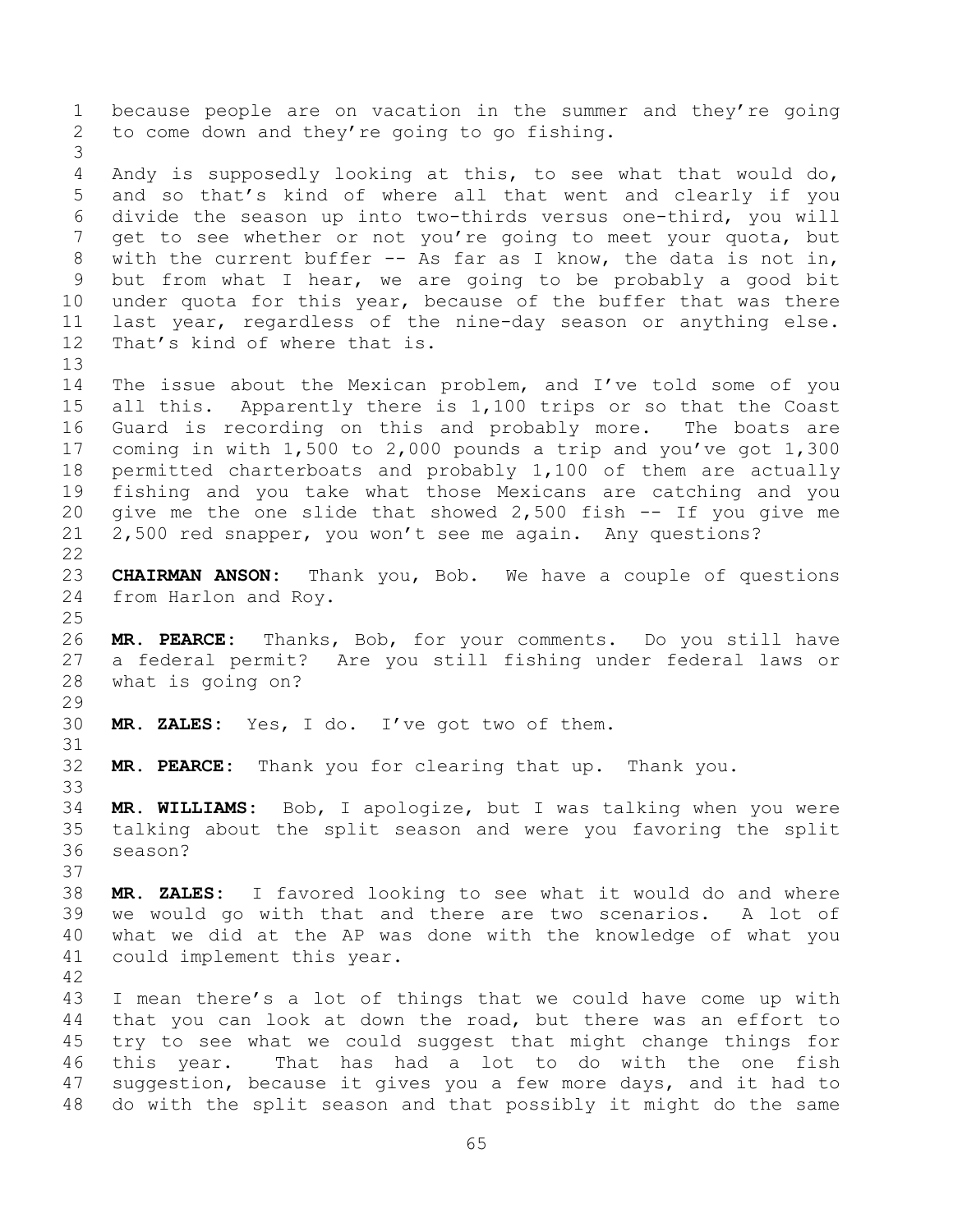because people are on vacation in the summer and they're going to come down and they're going to go fishing. Andy is supposedly looking at this, to see what that would do, and so that's kind of where all that went and clearly if you divide the season up into two-thirds versus one-third, you will get to see whether or not you're going to meet your quota, but with the current buffer -- As far as I know, the data is not in, but from what I hear, we are going to be probably a good bit under quota for this year, because of the buffer that was there last year, regardless of the nine-day season or anything else. That's kind of where that is. The issue about the Mexican problem, and I've told some of you all this. Apparently there is 1,100 trips or so that the Coast Guard is recording on this and probably more. The boats are coming in with 1,500 to 2,000 pounds a trip and you've got 1,300 permitted charterboats and probably 1,100 of them are actually fishing and you take what those Mexicans are catching and you give me the one slide that showed 2,500 fish -- If you give me 2,500 red snapper, you won't see me again. Any questions? **CHAIRMAN ANSON:** Thank you, Bob. We have a couple of questions from Harlon and Roy. **MR. PEARCE:** Thanks, Bob, for your comments. Do you still have a federal permit? Are you still fishing under federal laws or what is going on? **MR. ZALES:** Yes, I do. I've got two of them. **MR. PEARCE:** Thank you for clearing that up. Thank you. **MR. WILLIAMS:** Bob, I apologize, but I was talking when you were talking about the split season and were you favoring the split season? **MR. ZALES:** I favored looking to see what it would do and where we would go with that and there are two scenarios. A lot of what we did at the AP was done with the knowledge of what you could implement this year. I mean there's a lot of things that we could have come up with that you can look at down the road, but there was an effort to try to see what we could suggest that might change things for this year. That has had a lot to do with the one fish suggestion, because it gives you a few more days, and it had to

do with the split season and that possibly it might do the same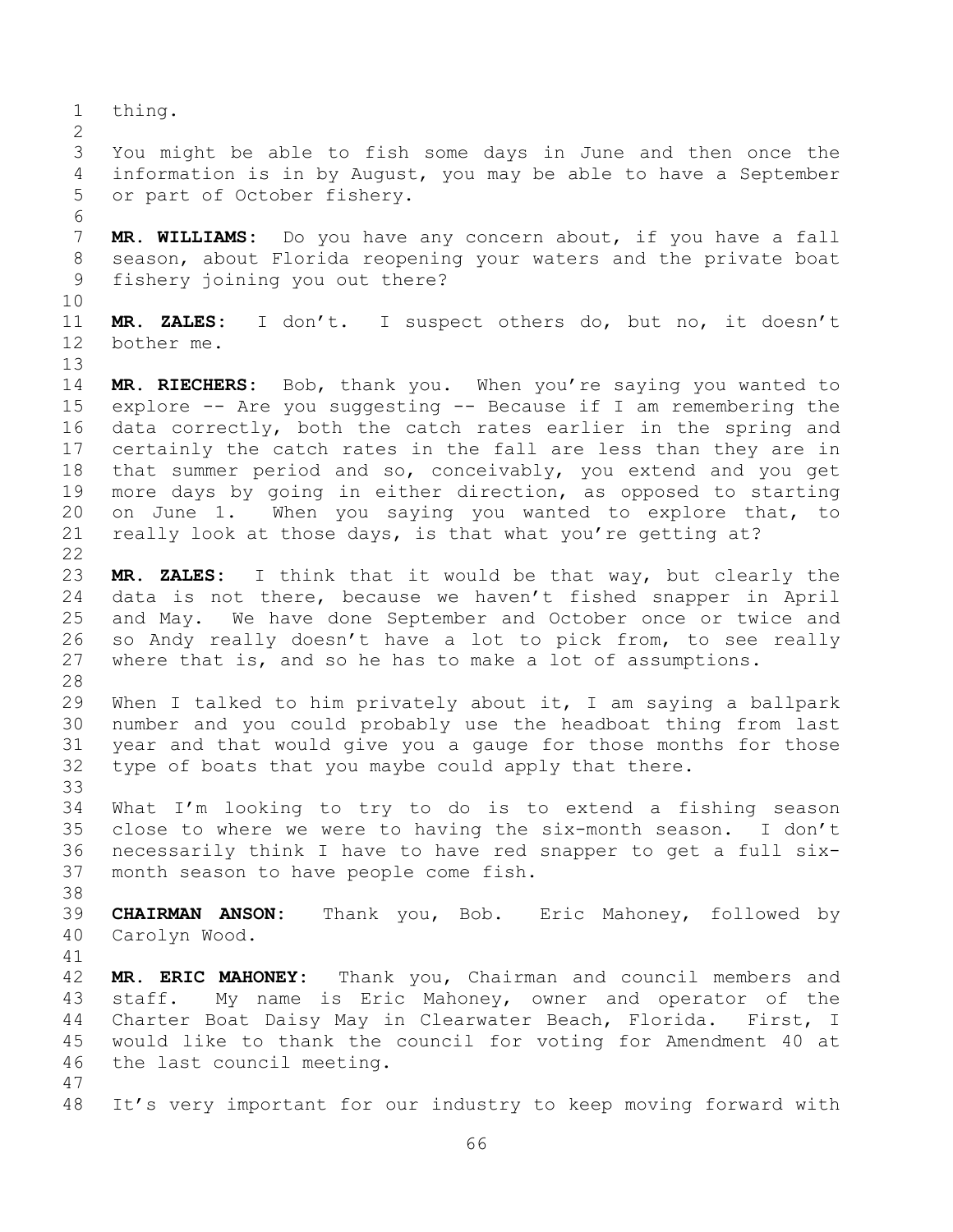thing. You might be able to fish some days in June and then once the information is in by August, you may be able to have a September or part of October fishery. **MR. WILLIAMS:** Do you have any concern about, if you have a fall season, about Florida reopening your waters and the private boat fishery joining you out there? **MR. ZALES:** I don't. I suspect others do, but no, it doesn't bother me. **MR. RIECHERS:** Bob, thank you. When you're saying you wanted to explore -- Are you suggesting -- Because if I am remembering the data correctly, both the catch rates earlier in the spring and certainly the catch rates in the fall are less than they are in that summer period and so, conceivably, you extend and you get more days by going in either direction, as opposed to starting on June 1. When you saying you wanted to explore that, to really look at those days, is that what you're getting at? **MR. ZALES:** I think that it would be that way, but clearly the data is not there, because we haven't fished snapper in April and May. We have done September and October once or twice and so Andy really doesn't have a lot to pick from, to see really where that is, and so he has to make a lot of assumptions. When I talked to him privately about it, I am saying a ballpark number and you could probably use the headboat thing from last year and that would give you a gauge for those months for those type of boats that you maybe could apply that there. What I'm looking to try to do is to extend a fishing season close to where we were to having the six-month season. I don't necessarily think I have to have red snapper to get a full six- month season to have people come fish. **CHAIRMAN ANSON:** Thank you, Bob. Eric Mahoney, followed by Carolyn Wood. **MR. ERIC MAHONEY:** Thank you, Chairman and council members and staff. My name is Eric Mahoney, owner and operator of the Charter Boat Daisy May in Clearwater Beach, Florida. First, I would like to thank the council for voting for Amendment 40 at the last council meeting. It's very important for our industry to keep moving forward with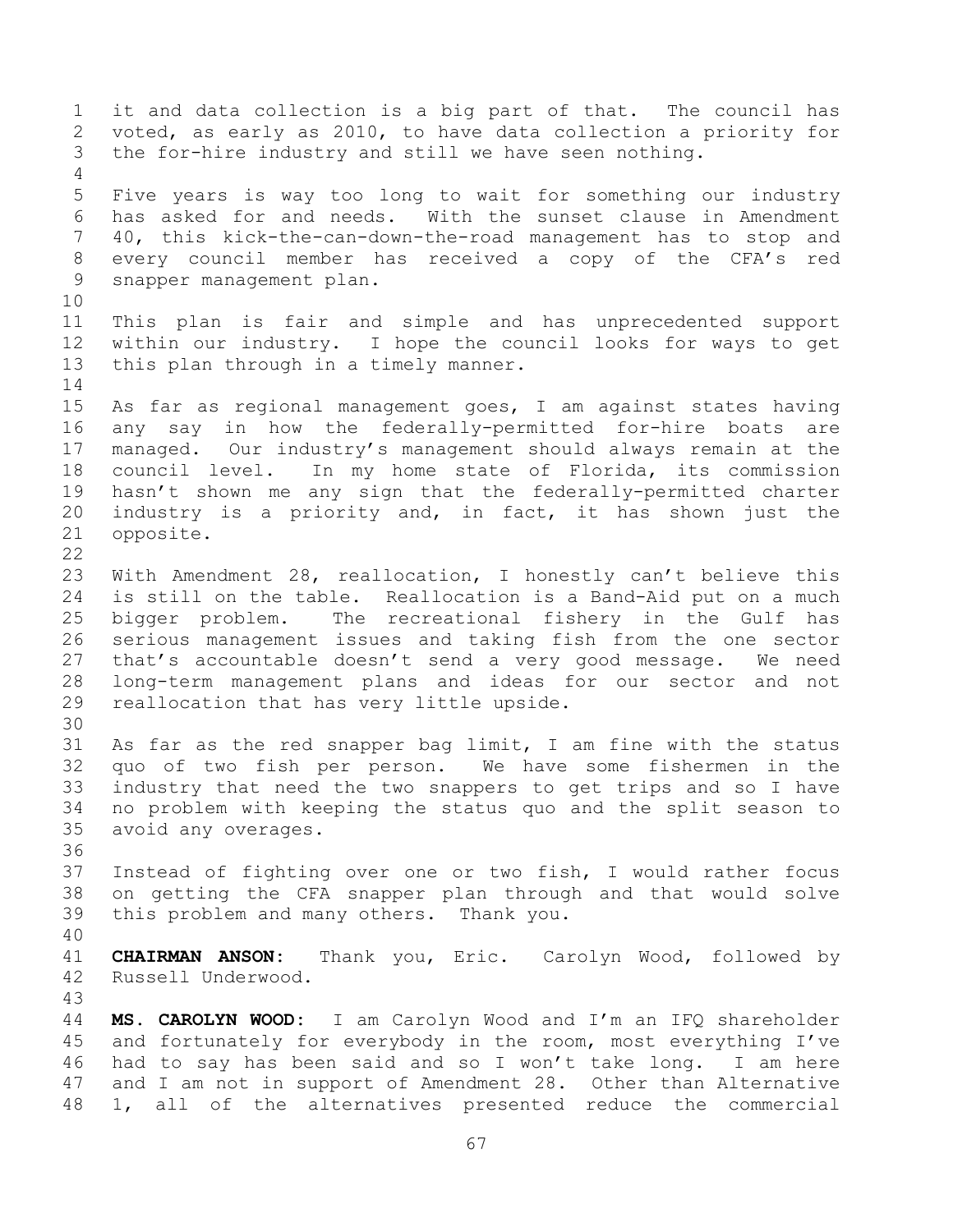it and data collection is a big part of that. The council has voted, as early as 2010, to have data collection a priority for the for-hire industry and still we have seen nothing. Five years is way too long to wait for something our industry has asked for and needs. With the sunset clause in Amendment 40, this kick-the-can-down-the-road management has to stop and every council member has received a copy of the CFA's red snapper management plan. This plan is fair and simple and has unprecedented support within our industry. I hope the council looks for ways to get this plan through in a timely manner. As far as regional management goes, I am against states having any say in how the federally-permitted for-hire boats are managed. Our industry's management should always remain at the council level. In my home state of Florida, its commission hasn't shown me any sign that the federally-permitted charter industry is a priority and, in fact, it has shown just the opposite. With Amendment 28, reallocation, I honestly can't believe this is still on the table. Reallocation is a Band-Aid put on a much bigger problem. The recreational fishery in the Gulf has serious management issues and taking fish from the one sector that's accountable doesn't send a very good message. We need long-term management plans and ideas for our sector and not reallocation that has very little upside. As far as the red snapper bag limit, I am fine with the status quo of two fish per person. We have some fishermen in the industry that need the two snappers to get trips and so I have no problem with keeping the status quo and the split season to avoid any overages. Instead of fighting over one or two fish, I would rather focus on getting the CFA snapper plan through and that would solve this problem and many others. Thank you. **CHAIRMAN ANSON:** Thank you, Eric. Carolyn Wood, followed by Russell Underwood. **MS. CAROLYN WOOD:** I am Carolyn Wood and I'm an IFQ shareholder and fortunately for everybody in the room, most everything I've had to say has been said and so I won't take long. I am here and I am not in support of Amendment 28. Other than Alternative 1, all of the alternatives presented reduce the commercial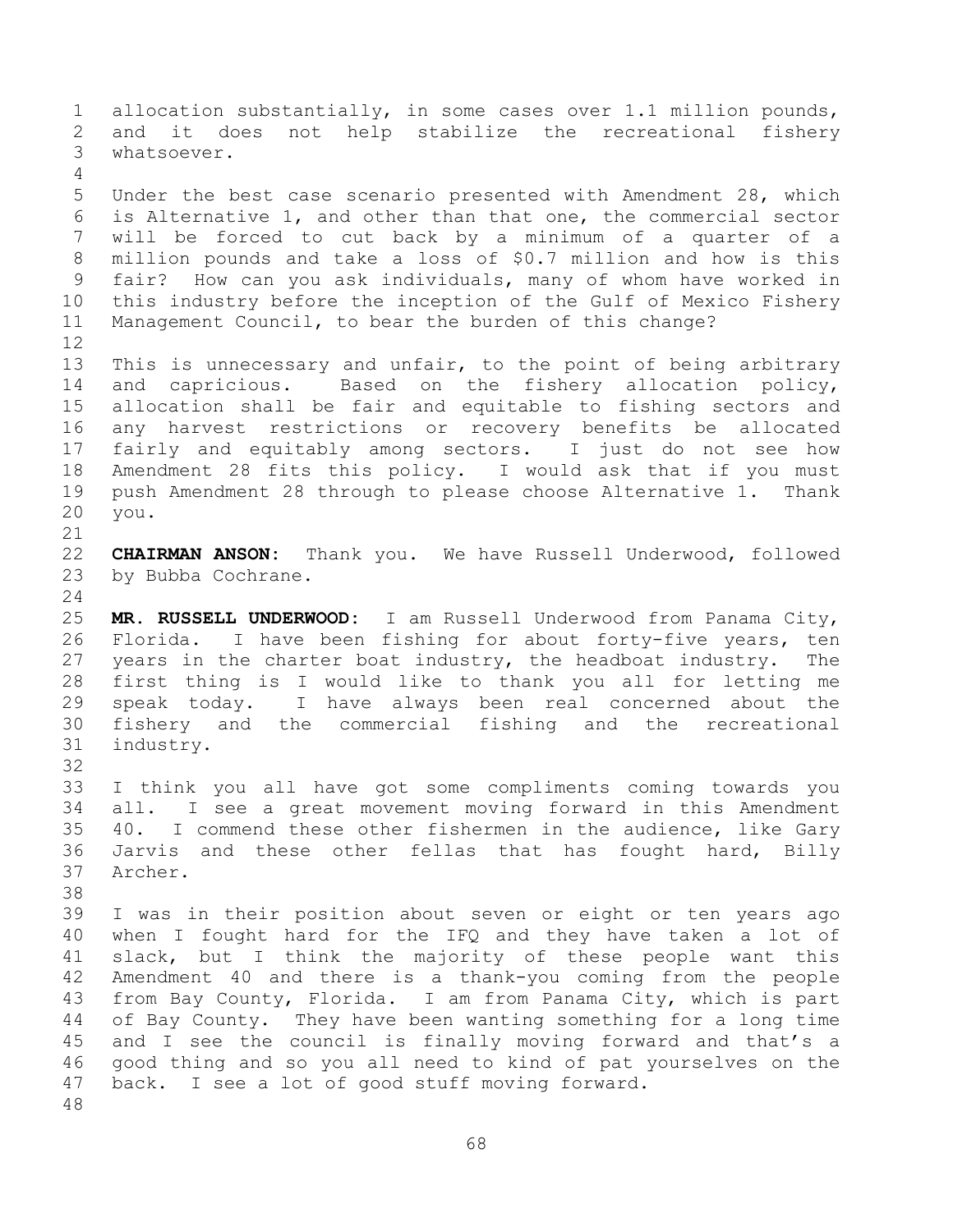allocation substantially, in some cases over 1.1 million pounds, and it does not help stabilize the recreational fishery whatsoever. Under the best case scenario presented with Amendment 28, which is Alternative 1, and other than that one, the commercial sector will be forced to cut back by a minimum of a quarter of a million pounds and take a loss of \$0.7 million and how is this fair? How can you ask individuals, many of whom have worked in this industry before the inception of the Gulf of Mexico Fishery Management Council, to bear the burden of this change? This is unnecessary and unfair, to the point of being arbitrary and capricious. Based on the fishery allocation policy, allocation shall be fair and equitable to fishing sectors and any harvest restrictions or recovery benefits be allocated fairly and equitably among sectors. I just do not see how Amendment 28 fits this policy. I would ask that if you must push Amendment 28 through to please choose Alternative 1. Thank you. **CHAIRMAN ANSON:** Thank you. We have Russell Underwood, followed by Bubba Cochrane. **MR. RUSSELL UNDERWOOD:** I am Russell Underwood from Panama City, Florida. I have been fishing for about forty-five years, ten years in the charter boat industry, the headboat industry. The first thing is I would like to thank you all for letting me speak today. I have always been real concerned about the fishery and the commercial fishing and the recreational

 industry. 

 I think you all have got some compliments coming towards you all. I see a great movement moving forward in this Amendment 40. I commend these other fishermen in the audience, like Gary Jarvis and these other fellas that has fought hard, Billy Archer.

 I was in their position about seven or eight or ten years ago when I fought hard for the IFQ and they have taken a lot of slack, but I think the majority of these people want this Amendment 40 and there is a thank-you coming from the people from Bay County, Florida. I am from Panama City, which is part of Bay County. They have been wanting something for a long time and I see the council is finally moving forward and that's a good thing and so you all need to kind of pat yourselves on the back. I see a lot of good stuff moving forward.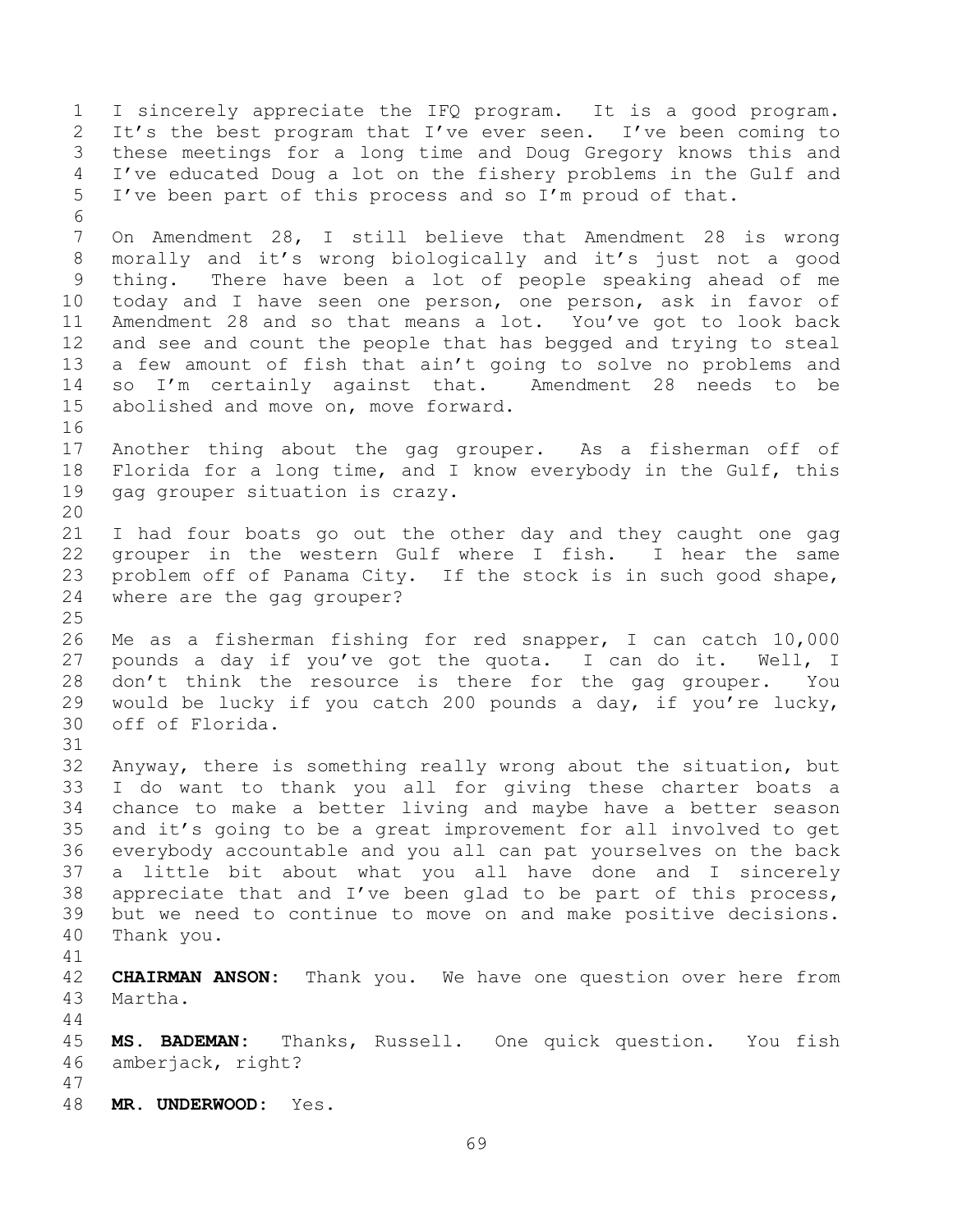I sincerely appreciate the IFQ program. It is a good program. It's the best program that I've ever seen. I've been coming to these meetings for a long time and Doug Gregory knows this and I've educated Doug a lot on the fishery problems in the Gulf and I've been part of this process and so I'm proud of that. On Amendment 28, I still believe that Amendment 28 is wrong morally and it's wrong biologically and it's just not a good thing. There have been a lot of people speaking ahead of me today and I have seen one person, one person, ask in favor of Amendment 28 and so that means a lot. You've got to look back and see and count the people that has begged and trying to steal a few amount of fish that ain't going to solve no problems and so I'm certainly against that. Amendment 28 needs to be abolished and move on, move forward. Another thing about the gag grouper. As a fisherman off of Florida for a long time, and I know everybody in the Gulf, this gag grouper situation is crazy. I had four boats go out the other day and they caught one gag grouper in the western Gulf where I fish. I hear the same problem off of Panama City. If the stock is in such good shape, where are the gag grouper? Me as a fisherman fishing for red snapper, I can catch 10,000 pounds a day if you've got the quota. I can do it. Well, I don't think the resource is there for the gag grouper. You would be lucky if you catch 200 pounds a day, if you're lucky, off of Florida. Anyway, there is something really wrong about the situation, but I do want to thank you all for giving these charter boats a chance to make a better living and maybe have a better season and it's going to be a great improvement for all involved to get everybody accountable and you all can pat yourselves on the back a little bit about what you all have done and I sincerely appreciate that and I've been glad to be part of this process, but we need to continue to move on and make positive decisions. Thank you. **CHAIRMAN ANSON:** Thank you. We have one question over here from Martha. **MS. BADEMAN:** Thanks, Russell. One quick question. You fish amberjack, right? **MR. UNDERWOOD:** Yes.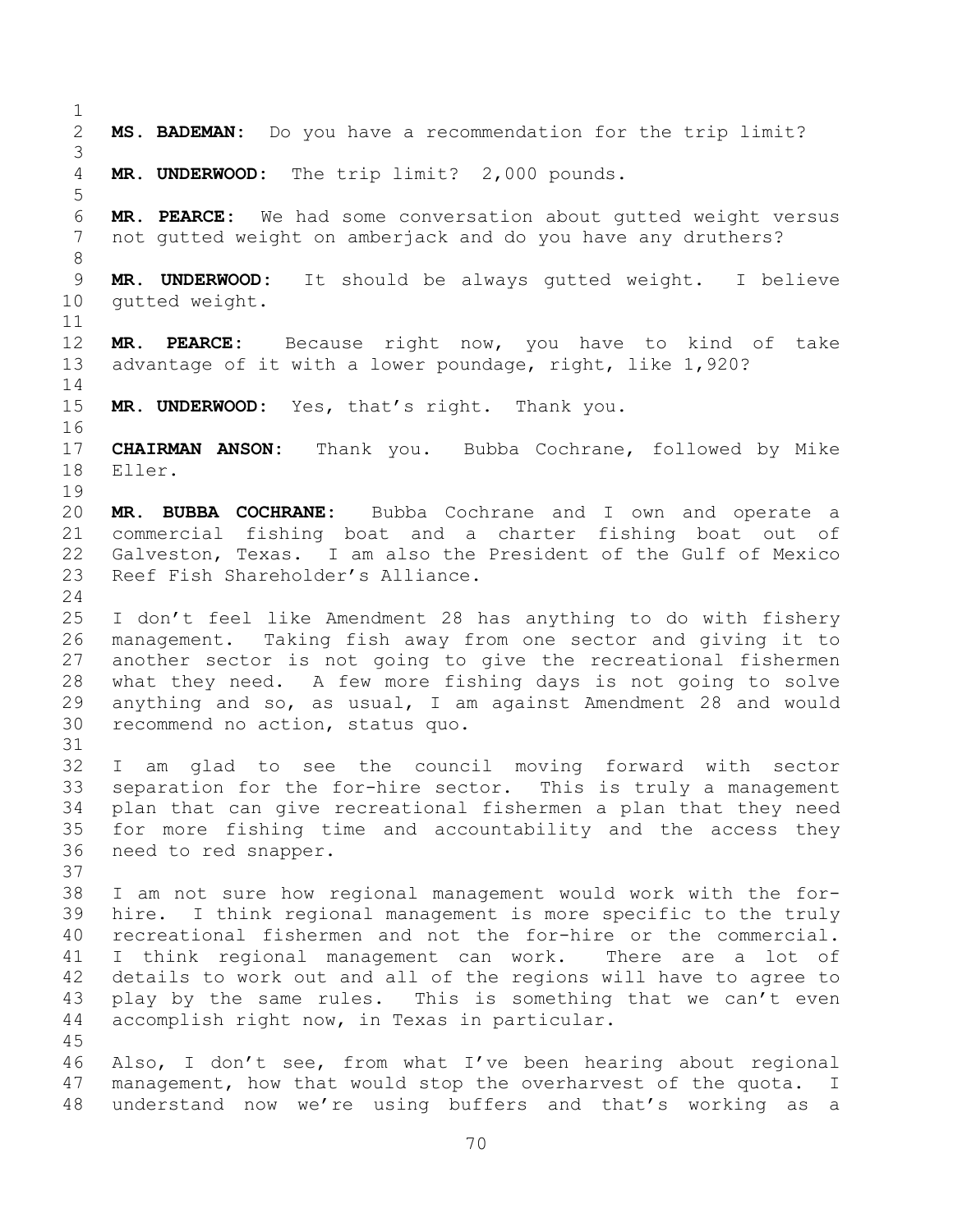**MS. BADEMAN:** Do you have a recommendation for the trip limit? **MR. UNDERWOOD:** The trip limit? 2,000 pounds. **MR. PEARCE:** We had some conversation about gutted weight versus not gutted weight on amberjack and do you have any druthers? **MR. UNDERWOOD:** It should be always gutted weight. I believe gutted weight. **MR. PEARCE:** Because right now, you have to kind of take advantage of it with a lower poundage, right, like 1,920? **MR. UNDERWOOD:** Yes, that's right. Thank you. **CHAIRMAN ANSON:** Thank you. Bubba Cochrane, followed by Mike Eller. **MR. BUBBA COCHRANE:** Bubba Cochrane and I own and operate a commercial fishing boat and a charter fishing boat out of 22 Galveston, Texas. I am also the President of the Gulf of Mexico<br>23 Reef Fish Shareholder's Alliance. Reef Fish Shareholder's Alliance. I don't feel like Amendment 28 has anything to do with fishery management. Taking fish away from one sector and giving it to another sector is not going to give the recreational fishermen what they need. A few more fishing days is not going to solve anything and so, as usual, I am against Amendment 28 and would recommend no action, status quo. I am glad to see the council moving forward with sector separation for the for-hire sector. This is truly a management plan that can give recreational fishermen a plan that they need for more fishing time and accountability and the access they need to red snapper. I am not sure how regional management would work with the for- hire. I think regional management is more specific to the truly recreational fishermen and not the for-hire or the commercial. I think regional management can work. There are a lot of details to work out and all of the regions will have to agree to play by the same rules. This is something that we can't even accomplish right now, in Texas in particular. Also, I don't see, from what I've been hearing about regional management, how that would stop the overharvest of the quota. I understand now we're using buffers and that's working as a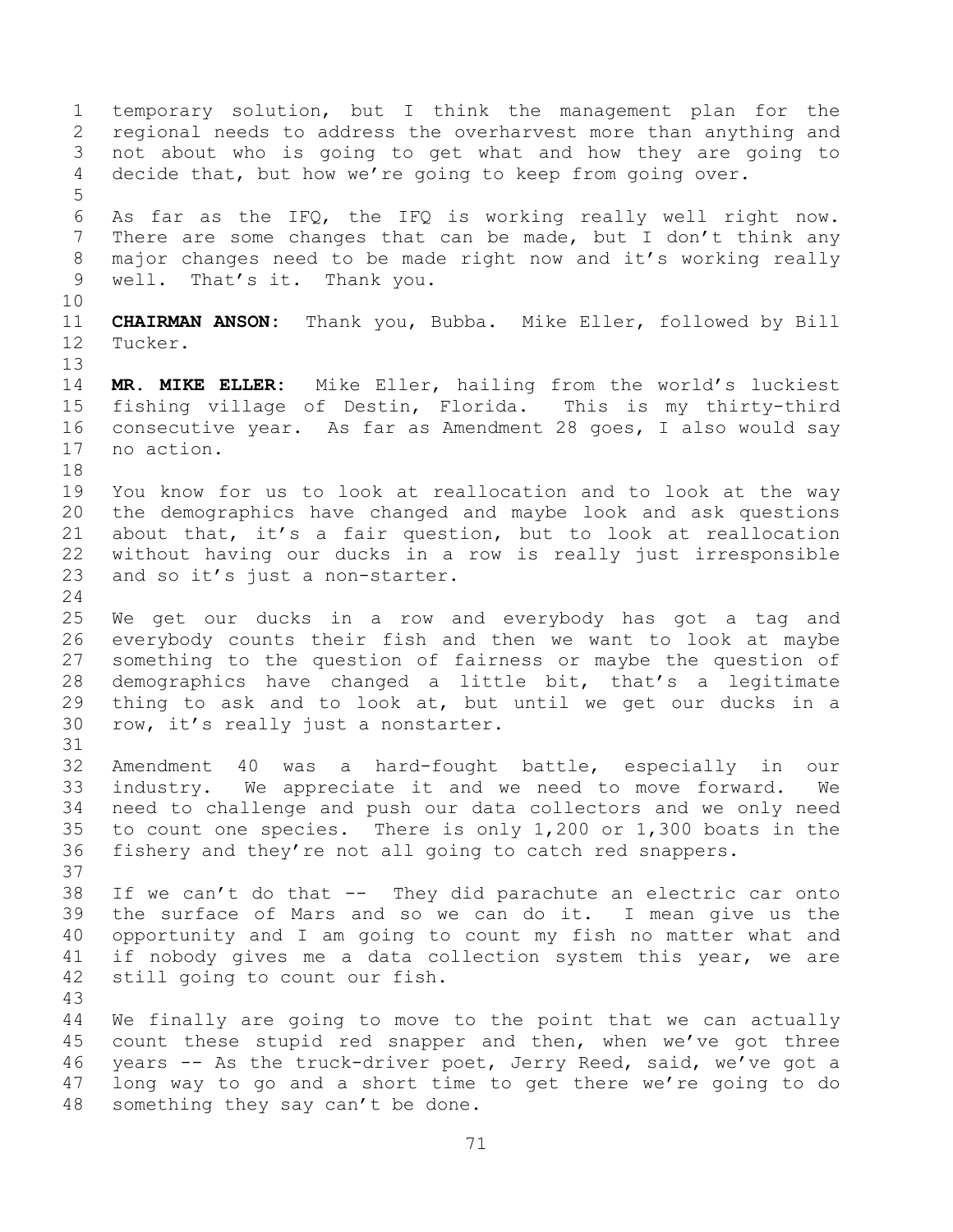temporary solution, but I think the management plan for the regional needs to address the overharvest more than anything and not about who is going to get what and how they are going to decide that, but how we're going to keep from going over. As far as the IFQ, the IFQ is working really well right now. There are some changes that can be made, but I don't think any major changes need to be made right now and it's working really well. That's it. Thank you. **CHAIRMAN ANSON:** Thank you, Bubba. Mike Eller, followed by Bill Tucker. **MR. MIKE ELLER:** Mike Eller, hailing from the world's luckiest fishing village of Destin, Florida. This is my thirty-third consecutive year. As far as Amendment 28 goes, I also would say no action. You know for us to look at reallocation and to look at the way the demographics have changed and maybe look and ask questions about that, it's a fair question, but to look at reallocation without having our ducks in a row is really just irresponsible and so it's just a non-starter. We get our ducks in a row and everybody has got a tag and everybody counts their fish and then we want to look at maybe something to the question of fairness or maybe the question of demographics have changed a little bit, that's a legitimate thing to ask and to look at, but until we get our ducks in a row, it's really just a nonstarter. Amendment 40 was a hard-fought battle, especially in our industry. We appreciate it and we need to move forward. We need to challenge and push our data collectors and we only need to count one species. There is only 1,200 or 1,300 boats in the fishery and they're not all going to catch red snappers. If we can't do that -- They did parachute an electric car onto the surface of Mars and so we can do it. I mean give us the opportunity and I am going to count my fish no matter what and if nobody gives me a data collection system this year, we are still going to count our fish. We finally are going to move to the point that we can actually count these stupid red snapper and then, when we've got three years -- As the truck-driver poet, Jerry Reed, said, we've got a long way to go and a short time to get there we're going to do something they say can't be done.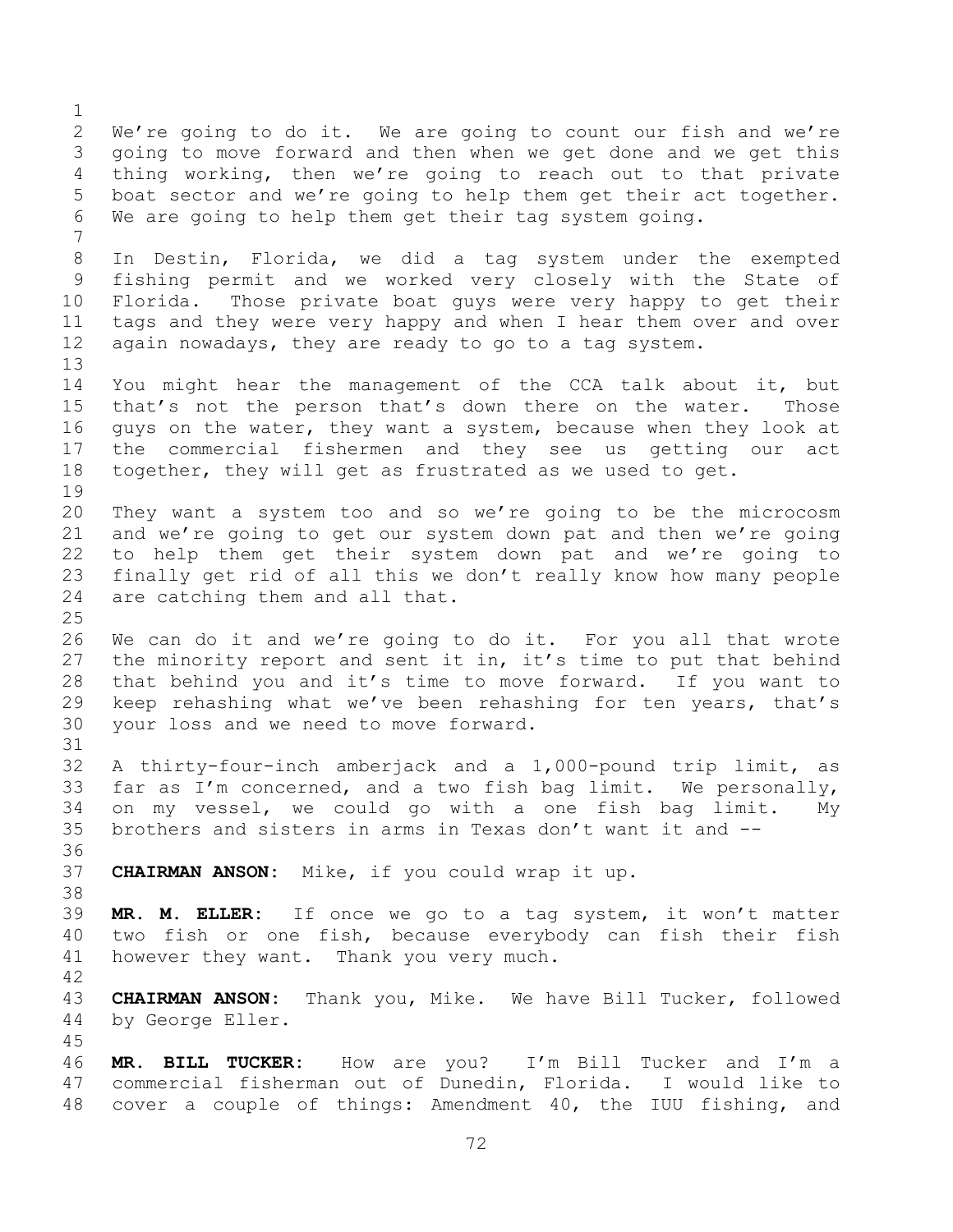We're going to do it. We are going to count our fish and we're going to move forward and then when we get done and we get this thing working, then we're going to reach out to that private boat sector and we're going to help them get their act together. We are going to help them get their tag system going. In Destin, Florida, we did a tag system under the exempted fishing permit and we worked very closely with the State of Florida. Those private boat guys were very happy to get their tags and they were very happy and when I hear them over and over again nowadays, they are ready to go to a tag system. You might hear the management of the CCA talk about it, but that's not the person that's down there on the water. Those guys on the water, they want a system, because when they look at the commercial fishermen and they see us getting our act together, they will get as frustrated as we used to get. They want a system too and so we're going to be the microcosm and we're going to get our system down pat and then we're going to help them get their system down pat and we're going to finally get rid of all this we don't really know how many people are catching them and all that. We can do it and we're going to do it. For you all that wrote the minority report and sent it in, it's time to put that behind that behind you and it's time to move forward. If you want to keep rehashing what we've been rehashing for ten years, that's your loss and we need to move forward. A thirty-four-inch amberjack and a 1,000-pound trip limit, as far as I'm concerned, and a two fish bag limit. We personally, on my vessel, we could go with a one fish bag limit. My brothers and sisters in arms in Texas don't want it and -- **CHAIRMAN ANSON:** Mike, if you could wrap it up. **MR. M. ELLER:** If once we go to a tag system, it won't matter two fish or one fish, because everybody can fish their fish however they want. Thank you very much. **CHAIRMAN ANSON:** Thank you, Mike. We have Bill Tucker, followed by George Eller. **MR. BILL TUCKER:** How are you? I'm Bill Tucker and I'm a commercial fisherman out of Dunedin, Florida. I would like to cover a couple of things: Amendment 40, the IUU fishing, and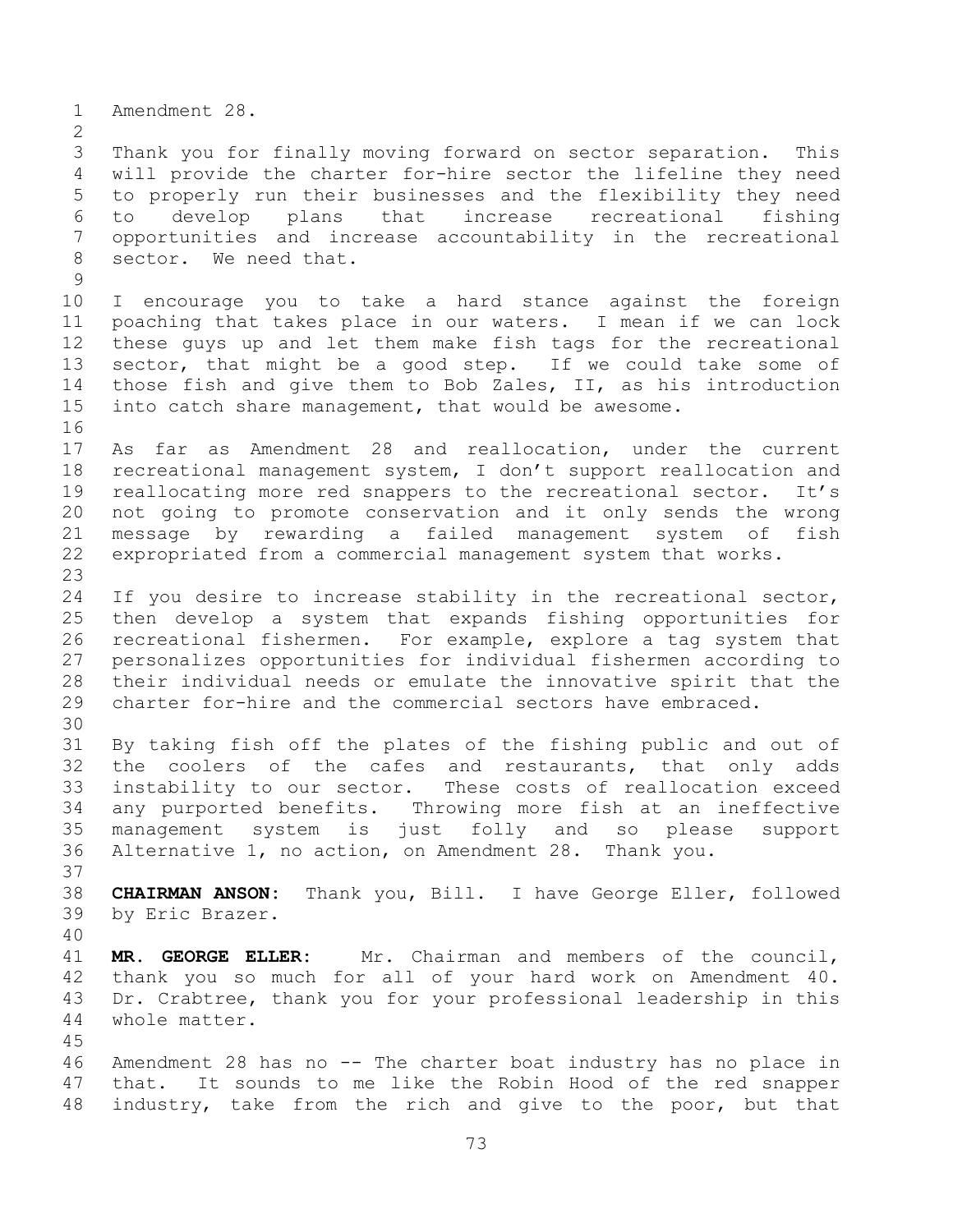Amendment 28. Thank you for finally moving forward on sector separation. This will provide the charter for-hire sector the lifeline they need to properly run their businesses and the flexibility they need to develop plans that increase recreational fishing opportunities and increase accountability in the recreational sector. We need that. I encourage you to take a hard stance against the foreign poaching that takes place in our waters. I mean if we can lock these guys up and let them make fish tags for the recreational sector, that might be a good step. If we could take some of those fish and give them to Bob Zales, II, as his introduction into catch share management, that would be awesome. As far as Amendment 28 and reallocation, under the current recreational management system, I don't support reallocation and reallocating more red snappers to the recreational sector. It's not going to promote conservation and it only sends the wrong message by rewarding a failed management system of fish expropriated from a commercial management system that works. If you desire to increase stability in the recreational sector, then develop a system that expands fishing opportunities for recreational fishermen. For example, explore a tag system that personalizes opportunities for individual fishermen according to their individual needs or emulate the innovative spirit that the charter for-hire and the commercial sectors have embraced. By taking fish off the plates of the fishing public and out of the coolers of the cafes and restaurants, that only adds instability to our sector. These costs of reallocation exceed any purported benefits. Throwing more fish at an ineffective management system is just folly and so please support Alternative 1, no action, on Amendment 28. Thank you. **CHAIRMAN ANSON:** Thank you, Bill. I have George Eller, followed by Eric Brazer. **MR. GEORGE ELLER:** Mr. Chairman and members of the council, thank you so much for all of your hard work on Amendment 40. Dr. Crabtree, thank you for your professional leadership in this whole matter. Amendment 28 has no -- The charter boat industry has no place in that. It sounds to me like the Robin Hood of the red snapper industry, take from the rich and give to the poor, but that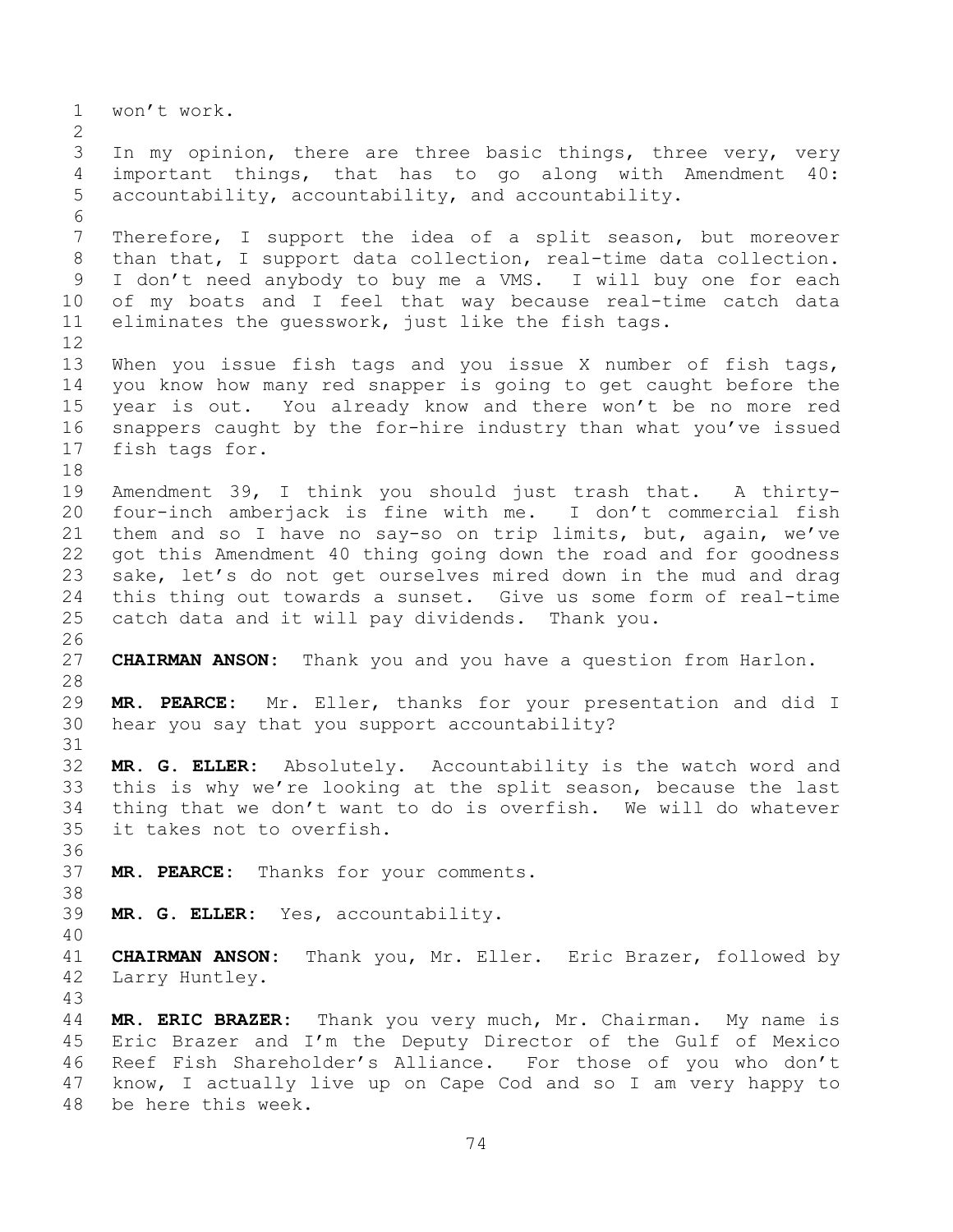won't work. 3 In my opinion, there are three basic things, three very, very important things, that has to go along with Amendment 40: accountability, accountability, and accountability. Therefore, I support the idea of a split season, but moreover than that, I support data collection, real-time data collection. I don't need anybody to buy me a VMS. I will buy one for each of my boats and I feel that way because real-time catch data eliminates the guesswork, just like the fish tags. When you issue fish tags and you issue X number of fish tags, you know how many red snapper is going to get caught before the year is out. You already know and there won't be no more red snappers caught by the for-hire industry than what you've issued fish tags for. Amendment 39, I think you should just trash that. A thirty- four-inch amberjack is fine with me. I don't commercial fish them and so I have no say-so on trip limits, but, again, we've got this Amendment 40 thing going down the road and for goodness sake, let's do not get ourselves mired down in the mud and drag this thing out towards a sunset. Give us some form of real-time catch data and it will pay dividends. Thank you. **CHAIRMAN ANSON:** Thank you and you have a question from Harlon. **MR. PEARCE:** Mr. Eller, thanks for your presentation and did I hear you say that you support accountability? **MR. G. ELLER:** Absolutely. Accountability is the watch word and this is why we're looking at the split season, because the last thing that we don't want to do is overfish. We will do whatever it takes not to overfish. **MR. PEARCE:** Thanks for your comments. **MR. G. ELLER:** Yes, accountability. **CHAIRMAN ANSON:** Thank you, Mr. Eller. Eric Brazer, followed by Larry Huntley. **MR. ERIC BRAZER:** Thank you very much, Mr. Chairman. My name is Eric Brazer and I'm the Deputy Director of the Gulf of Mexico Reef Fish Shareholder's Alliance. For those of you who don't know, I actually live up on Cape Cod and so I am very happy to

be here this week.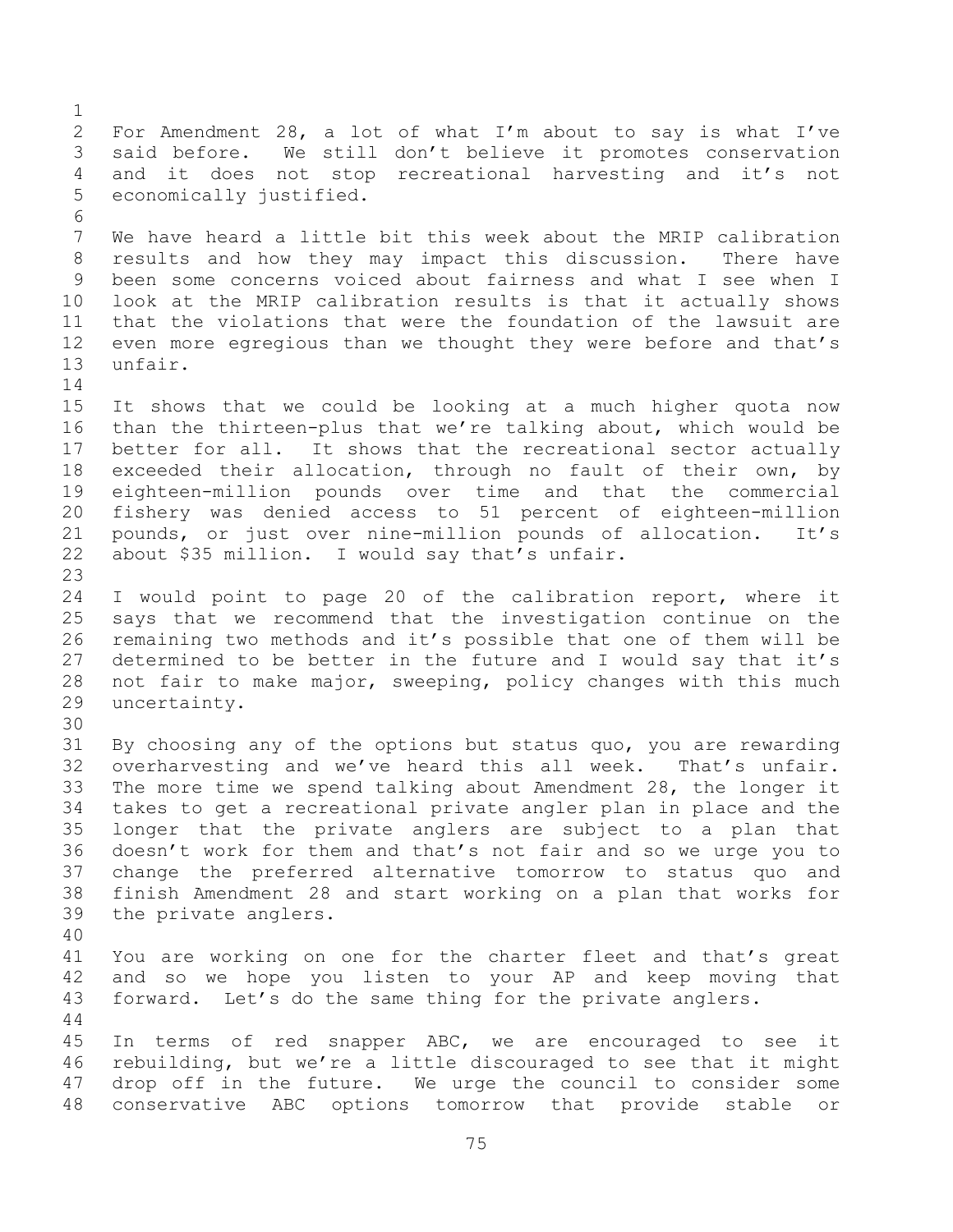For Amendment 28, a lot of what I'm about to say is what I've said before. We still don't believe it promotes conservation and it does not stop recreational harvesting and it's not economically justified. We have heard a little bit this week about the MRIP calibration results and how they may impact this discussion. There have been some concerns voiced about fairness and what I see when I look at the MRIP calibration results is that it actually shows that the violations that were the foundation of the lawsuit are even more egregious than we thought they were before and that's unfair. It shows that we could be looking at a much higher quota now than the thirteen-plus that we're talking about, which would be better for all. It shows that the recreational sector actually exceeded their allocation, through no fault of their own, by eighteen-million pounds over time and that the commercial fishery was denied access to 51 percent of eighteen-million pounds, or just over nine-million pounds of allocation. It's about \$35 million. I would say that's unfair. I would point to page 20 of the calibration report, where it says that we recommend that the investigation continue on the remaining two methods and it's possible that one of them will be determined to be better in the future and I would say that it's not fair to make major, sweeping, policy changes with this much uncertainty. By choosing any of the options but status quo, you are rewarding overharvesting and we've heard this all week. That's unfair. The more time we spend talking about Amendment 28, the longer it takes to get a recreational private angler plan in place and the longer that the private anglers are subject to a plan that doesn't work for them and that's not fair and so we urge you to change the preferred alternative tomorrow to status quo and finish Amendment 28 and start working on a plan that works for the private anglers. You are working on one for the charter fleet and that's great and so we hope you listen to your AP and keep moving that forward. Let's do the same thing for the private anglers. In terms of red snapper ABC, we are encouraged to see it rebuilding, but we're a little discouraged to see that it might drop off in the future. We urge the council to consider some conservative ABC options tomorrow that provide stable or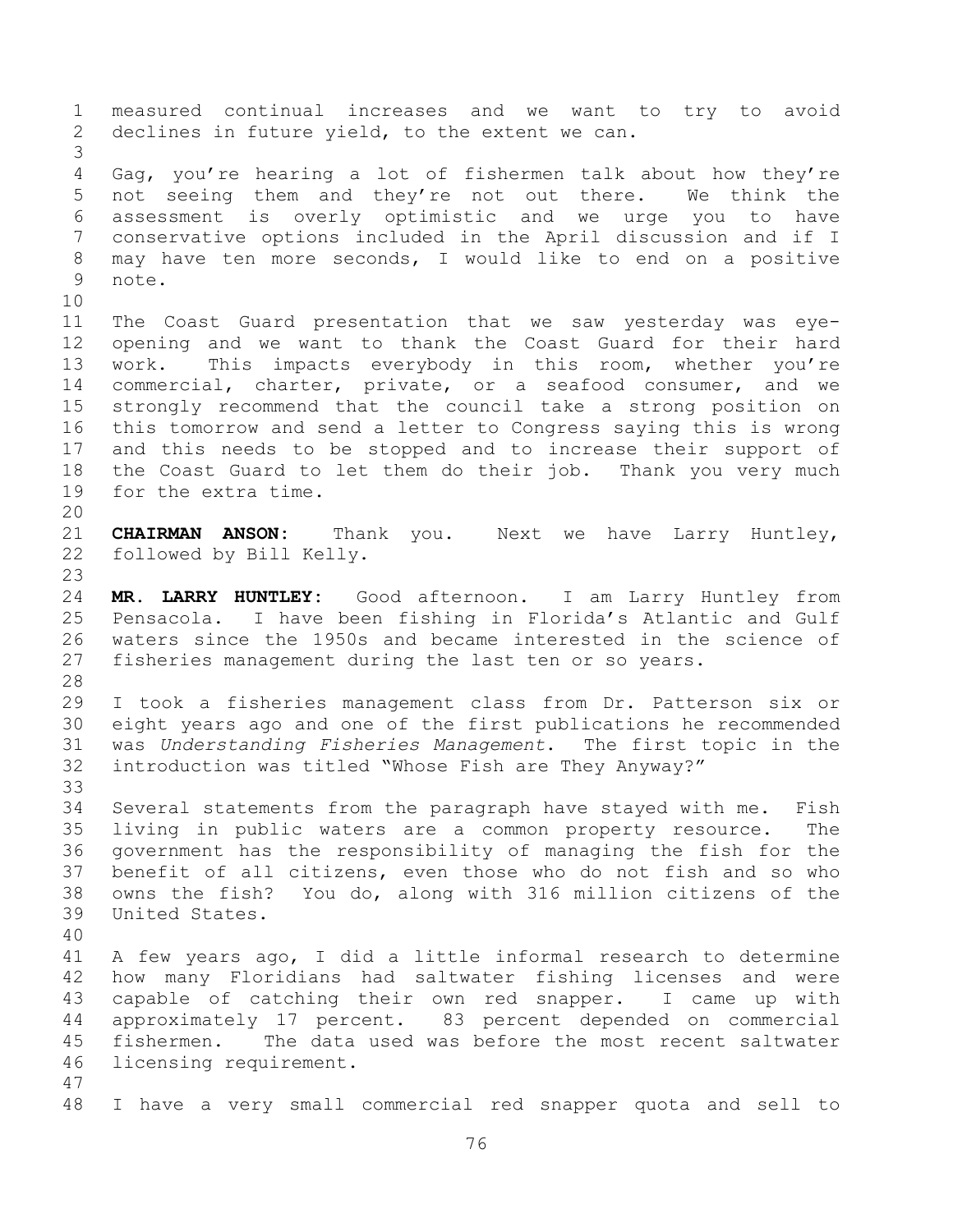measured continual increases and we want to try to avoid declines in future yield, to the extent we can. Gag, you're hearing a lot of fishermen talk about how they're not seeing them and they're not out there. We think the assessment is overly optimistic and we urge you to have conservative options included in the April discussion and if I may have ten more seconds, I would like to end on a positive note. The Coast Guard presentation that we saw yesterday was eye- opening and we want to thank the Coast Guard for their hard work. This impacts everybody in this room, whether you're commercial, charter, private, or a seafood consumer, and we strongly recommend that the council take a strong position on this tomorrow and send a letter to Congress saying this is wrong and this needs to be stopped and to increase their support of the Coast Guard to let them do their job. Thank you very much for the extra time. **CHAIRMAN ANSON:** Thank you. Next we have Larry Huntley, followed by Bill Kelly. **MR. LARRY HUNTLEY:** Good afternoon. I am Larry Huntley from Pensacola. I have been fishing in Florida's Atlantic and Gulf waters since the 1950s and became interested in the science of fisheries management during the last ten or so years. I took a fisheries management class from Dr. Patterson six or eight years ago and one of the first publications he recommended was *Understanding Fisheries Management*. The first topic in the introduction was titled "Whose Fish are They Anyway?" Several statements from the paragraph have stayed with me. Fish living in public waters are a common property resource. The government has the responsibility of managing the fish for the benefit of all citizens, even those who do not fish and so who owns the fish? You do, along with 316 million citizens of the United States. A few years ago, I did a little informal research to determine how many Floridians had saltwater fishing licenses and were capable of catching their own red snapper. I came up with approximately 17 percent. 83 percent depended on commercial fishermen. The data used was before the most recent saltwater licensing requirement. I have a very small commercial red snapper quota and sell to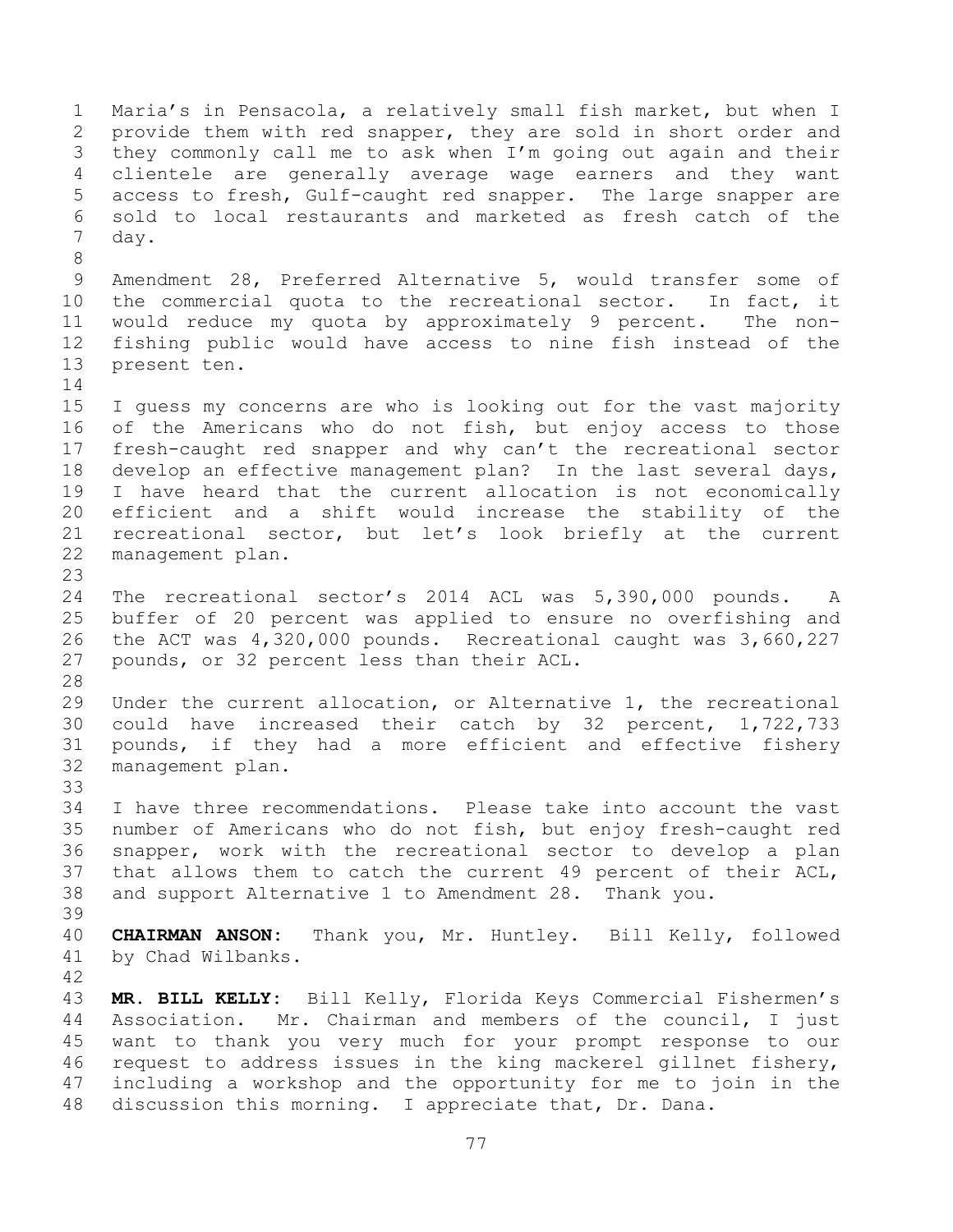Maria's in Pensacola, a relatively small fish market, but when I provide them with red snapper, they are sold in short order and they commonly call me to ask when I'm going out again and their clientele are generally average wage earners and they want access to fresh, Gulf-caught red snapper. The large snapper are sold to local restaurants and marketed as fresh catch of the day. Amendment 28, Preferred Alternative 5, would transfer some of the commercial quota to the recreational sector. In fact, it would reduce my quota by approximately 9 percent. The non- fishing public would have access to nine fish instead of the present ten. I guess my concerns are who is looking out for the vast majority of the Americans who do not fish, but enjoy access to those fresh-caught red snapper and why can't the recreational sector develop an effective management plan? In the last several days, I have heard that the current allocation is not economically efficient and a shift would increase the stability of the recreational sector, but let's look briefly at the current management plan. The recreational sector's 2014 ACL was 5,390,000 pounds. A buffer of 20 percent was applied to ensure no overfishing and the ACT was 4,320,000 pounds. Recreational caught was 3,660,227 pounds, or 32 percent less than their ACL. Under the current allocation, or Alternative 1, the recreational could have increased their catch by 32 percent, 1,722,733 pounds, if they had a more efficient and effective fishery management plan. I have three recommendations. Please take into account the vast number of Americans who do not fish, but enjoy fresh-caught red snapper, work with the recreational sector to develop a plan that allows them to catch the current 49 percent of their ACL, and support Alternative 1 to Amendment 28. Thank you. **CHAIRMAN ANSON:** Thank you, Mr. Huntley. Bill Kelly, followed by Chad Wilbanks. **MR. BILL KELLY:** Bill Kelly, Florida Keys Commercial Fishermen's Association. Mr. Chairman and members of the council, I just want to thank you very much for your prompt response to our request to address issues in the king mackerel gillnet fishery, including a workshop and the opportunity for me to join in the discussion this morning. I appreciate that, Dr. Dana.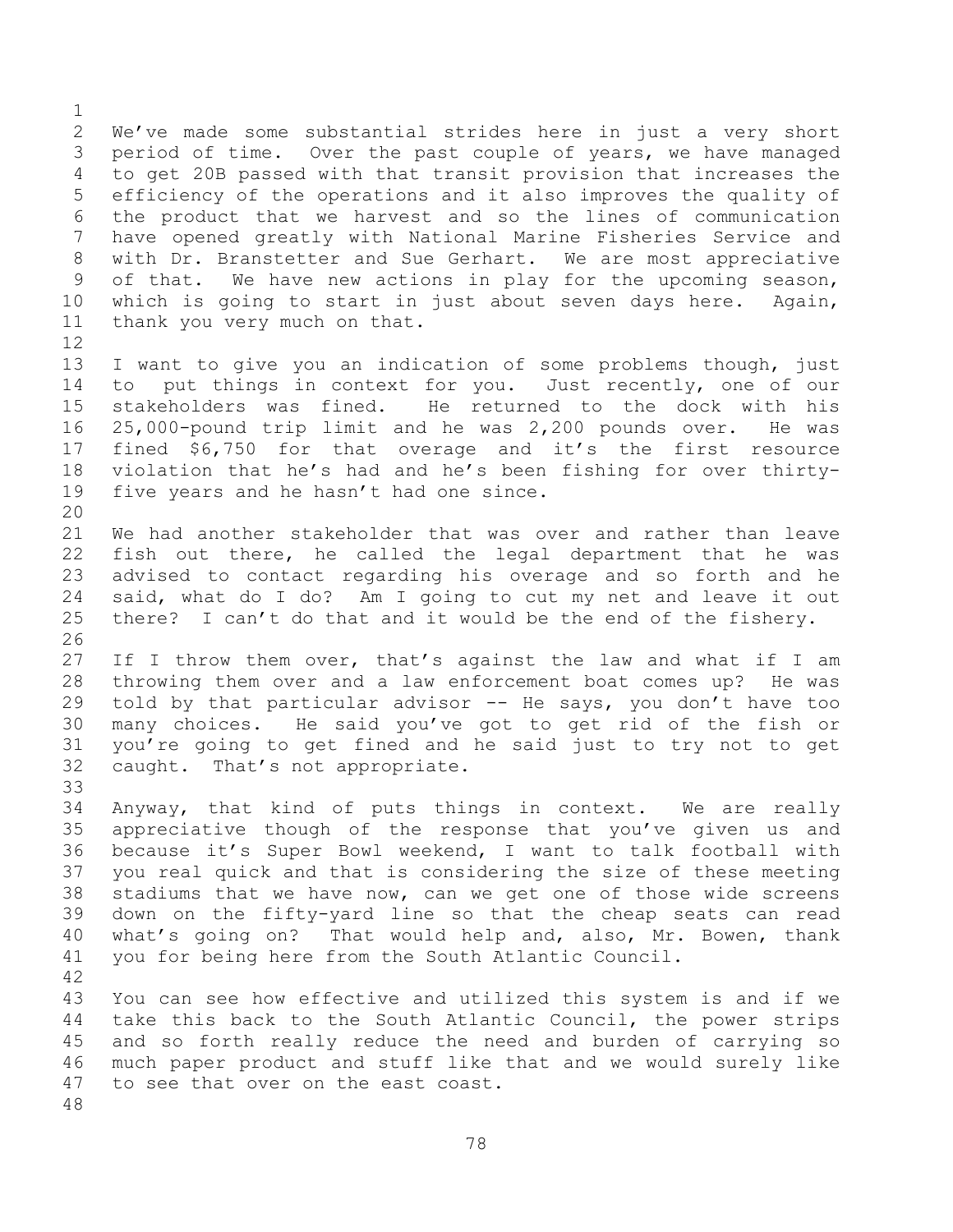We've made some substantial strides here in just a very short period of time. Over the past couple of years, we have managed to get 20B passed with that transit provision that increases the efficiency of the operations and it also improves the quality of the product that we harvest and so the lines of communication have opened greatly with National Marine Fisheries Service and with Dr. Branstetter and Sue Gerhart. We are most appreciative of that. We have new actions in play for the upcoming season, which is going to start in just about seven days here. Again, thank you very much on that. 

 I want to give you an indication of some problems though, just 14 to put things in context for you. Just recently, one of our stakeholders was fined. He returned to the dock with his 25,000-pound trip limit and he was 2,200 pounds over. He was fined \$6,750 for that overage and it's the first resource violation that he's had and he's been fishing for over thirty-five years and he hasn't had one since.

 We had another stakeholder that was over and rather than leave fish out there, he called the legal department that he was advised to contact regarding his overage and so forth and he said, what do I do? Am I going to cut my net and leave it out there? I can't do that and it would be the end of the fishery. 

 If I throw them over, that's against the law and what if I am throwing them over and a law enforcement boat comes up? He was told by that particular advisor -- He says, you don't have too many choices. He said you've got to get rid of the fish or you're going to get fined and he said just to try not to get caught. That's not appropriate. 

 Anyway, that kind of puts things in context. We are really appreciative though of the response that you've given us and because it's Super Bowl weekend, I want to talk football with you real quick and that is considering the size of these meeting stadiums that we have now, can we get one of those wide screens down on the fifty-yard line so that the cheap seats can read what's going on? That would help and, also, Mr. Bowen, thank you for being here from the South Atlantic Council. 

 You can see how effective and utilized this system is and if we take this back to the South Atlantic Council, the power strips and so forth really reduce the need and burden of carrying so much paper product and stuff like that and we would surely like to see that over on the east coast.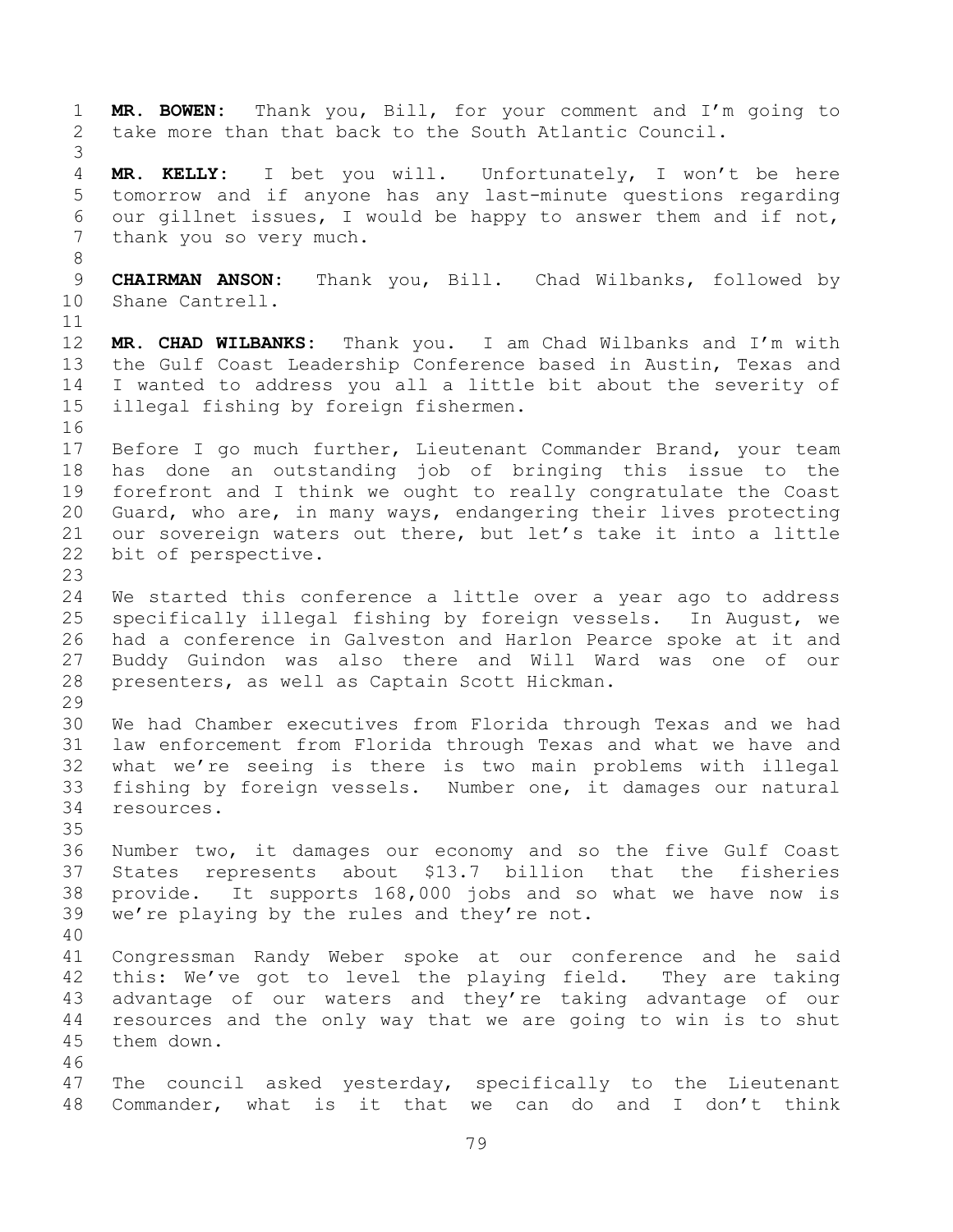**MR. BOWEN:** Thank you, Bill, for your comment and I'm going to take more than that back to the South Atlantic Council. **MR. KELLY:** I bet you will. Unfortunately, I won't be here tomorrow and if anyone has any last-minute questions regarding our gillnet issues, I would be happy to answer them and if not, thank you so very much. **CHAIRMAN ANSON:** Thank you, Bill. Chad Wilbanks, followed by Shane Cantrell. **MR. CHAD WILBANKS:** Thank you. I am Chad Wilbanks and I'm with the Gulf Coast Leadership Conference based in Austin, Texas and I wanted to address you all a little bit about the severity of illegal fishing by foreign fishermen. Before I go much further, Lieutenant Commander Brand, your team has done an outstanding job of bringing this issue to the forefront and I think we ought to really congratulate the Coast Guard, who are, in many ways, endangering their lives protecting our sovereign waters out there, but let's take it into a little bit of perspective. We started this conference a little over a year ago to address specifically illegal fishing by foreign vessels. In August, we had a conference in Galveston and Harlon Pearce spoke at it and Buddy Guindon was also there and Will Ward was one of our presenters, as well as Captain Scott Hickman. We had Chamber executives from Florida through Texas and we had law enforcement from Florida through Texas and what we have and what we're seeing is there is two main problems with illegal fishing by foreign vessels. Number one, it damages our natural resources. Number two, it damages our economy and so the five Gulf Coast States represents about \$13.7 billion that the fisheries provide. It supports 168,000 jobs and so what we have now is we're playing by the rules and they're not. Congressman Randy Weber spoke at our conference and he said this: We've got to level the playing field. They are taking advantage of our waters and they're taking advantage of our resources and the only way that we are going to win is to shut them down. The council asked yesterday, specifically to the Lieutenant Commander, what is it that we can do and I don't think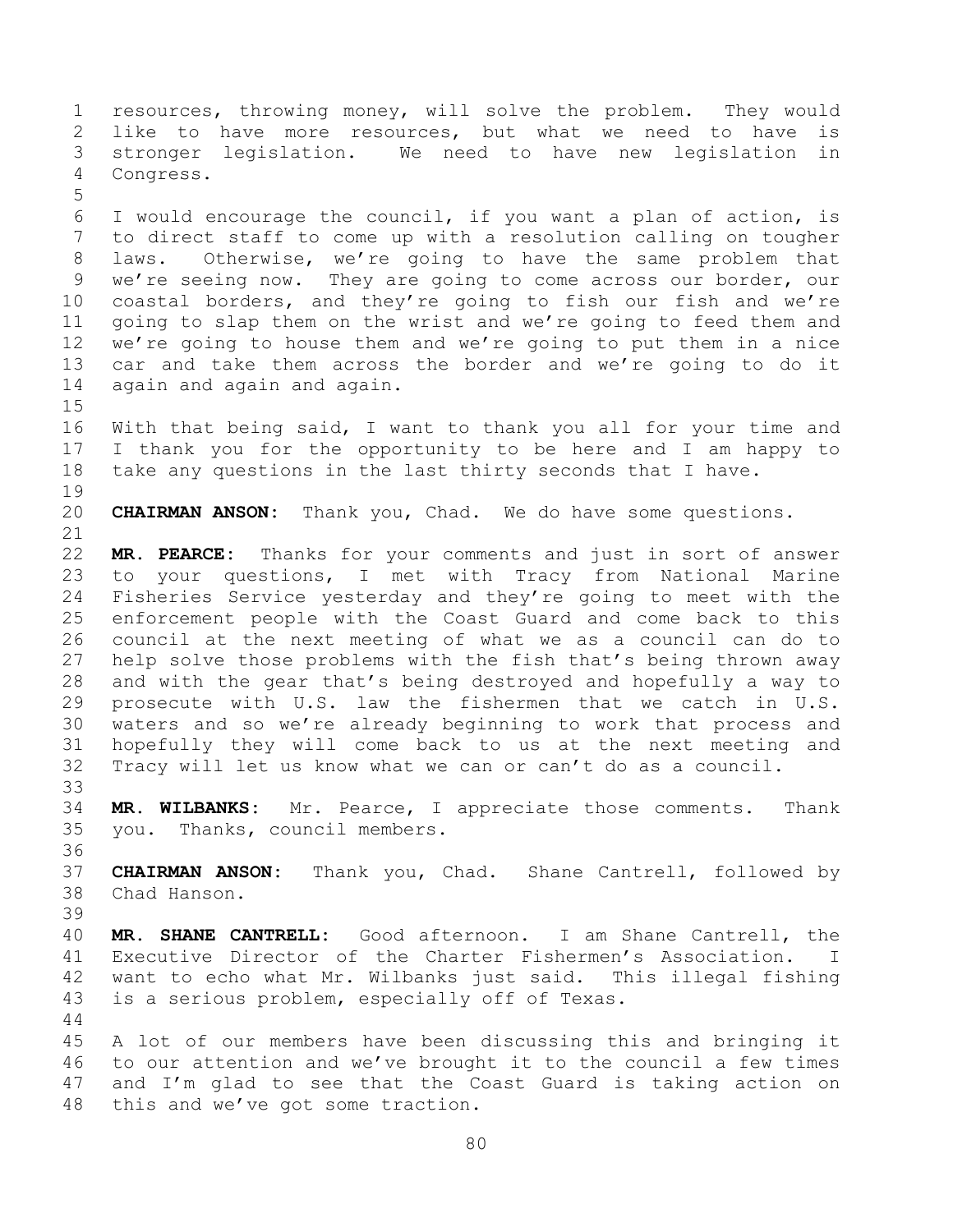resources, throwing money, will solve the problem. They would like to have more resources, but what we need to have is stronger legislation. We need to have new legislation in Congress. I would encourage the council, if you want a plan of action, is to direct staff to come up with a resolution calling on tougher laws. Otherwise, we're going to have the same problem that we're seeing now. They are going to come across our border, our coastal borders, and they're going to fish our fish and we're going to slap them on the wrist and we're going to feed them and we're going to house them and we're going to put them in a nice car and take them across the border and we're going to do it again and again and again. With that being said, I want to thank you all for your time and I thank you for the opportunity to be here and I am happy to take any questions in the last thirty seconds that I have. **CHAIRMAN ANSON:** Thank you, Chad. We do have some questions. **MR. PEARCE:** Thanks for your comments and just in sort of answer to your questions, I met with Tracy from National Marine Fisheries Service yesterday and they're going to meet with the enforcement people with the Coast Guard and come back to this council at the next meeting of what we as a council can do to help solve those problems with the fish that's being thrown away and with the gear that's being destroyed and hopefully a way to prosecute with U.S. law the fishermen that we catch in U.S. waters and so we're already beginning to work that process and hopefully they will come back to us at the next meeting and Tracy will let us know what we can or can't do as a council. **MR. WILBANKS:** Mr. Pearce, I appreciate those comments. Thank you. Thanks, council members. **CHAIRMAN ANSON:** Thank you, Chad. Shane Cantrell, followed by Chad Hanson. **MR. SHANE CANTRELL:** Good afternoon. I am Shane Cantrell, the Executive Director of the Charter Fishermen's Association. I want to echo what Mr. Wilbanks just said. This illegal fishing is a serious problem, especially off of Texas. A lot of our members have been discussing this and bringing it to our attention and we've brought it to the council a few times and I'm glad to see that the Coast Guard is taking action on this and we've got some traction.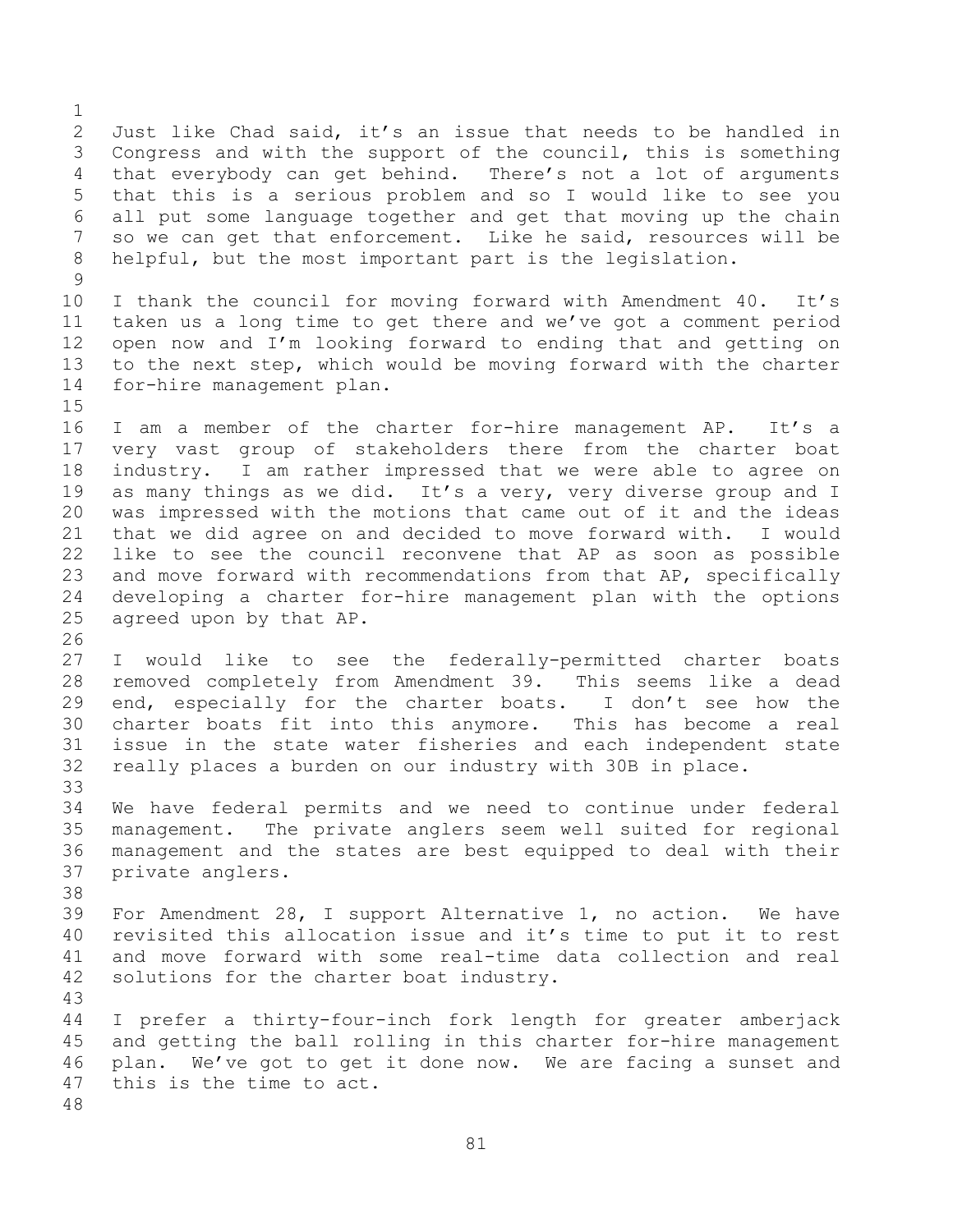Just like Chad said, it's an issue that needs to be handled in Congress and with the support of the council, this is something that everybody can get behind. There's not a lot of arguments that this is a serious problem and so I would like to see you all put some language together and get that moving up the chain so we can get that enforcement. Like he said, resources will be helpful, but the most important part is the legislation. I thank the council for moving forward with Amendment 40. It's taken us a long time to get there and we've got a comment period open now and I'm looking forward to ending that and getting on to the next step, which would be moving forward with the charter for-hire management plan. 16 I am a member of the charter for-hire management AP. It's a very vast group of stakeholders there from the charter boat industry. I am rather impressed that we were able to agree on as many things as we did. It's a very, very diverse group and I was impressed with the motions that came out of it and the ideas that we did agree on and decided to move forward with. I would like to see the council reconvene that AP as soon as possible and move forward with recommendations from that AP, specifically developing a charter for-hire management plan with the options agreed upon by that AP. I would like to see the federally-permitted charter boats removed completely from Amendment 39. This seems like a dead end, especially for the charter boats. I don't see how the charter boats fit into this anymore. This has become a real issue in the state water fisheries and each independent state really places a burden on our industry with 30B in place. We have federal permits and we need to continue under federal management. The private anglers seem well suited for regional management and the states are best equipped to deal with their private anglers. For Amendment 28, I support Alternative 1, no action. We have revisited this allocation issue and it's time to put it to rest and move forward with some real-time data collection and real solutions for the charter boat industry. I prefer a thirty-four-inch fork length for greater amberjack and getting the ball rolling in this charter for-hire management plan. We've got to get it done now. We are facing a sunset and this is the time to act.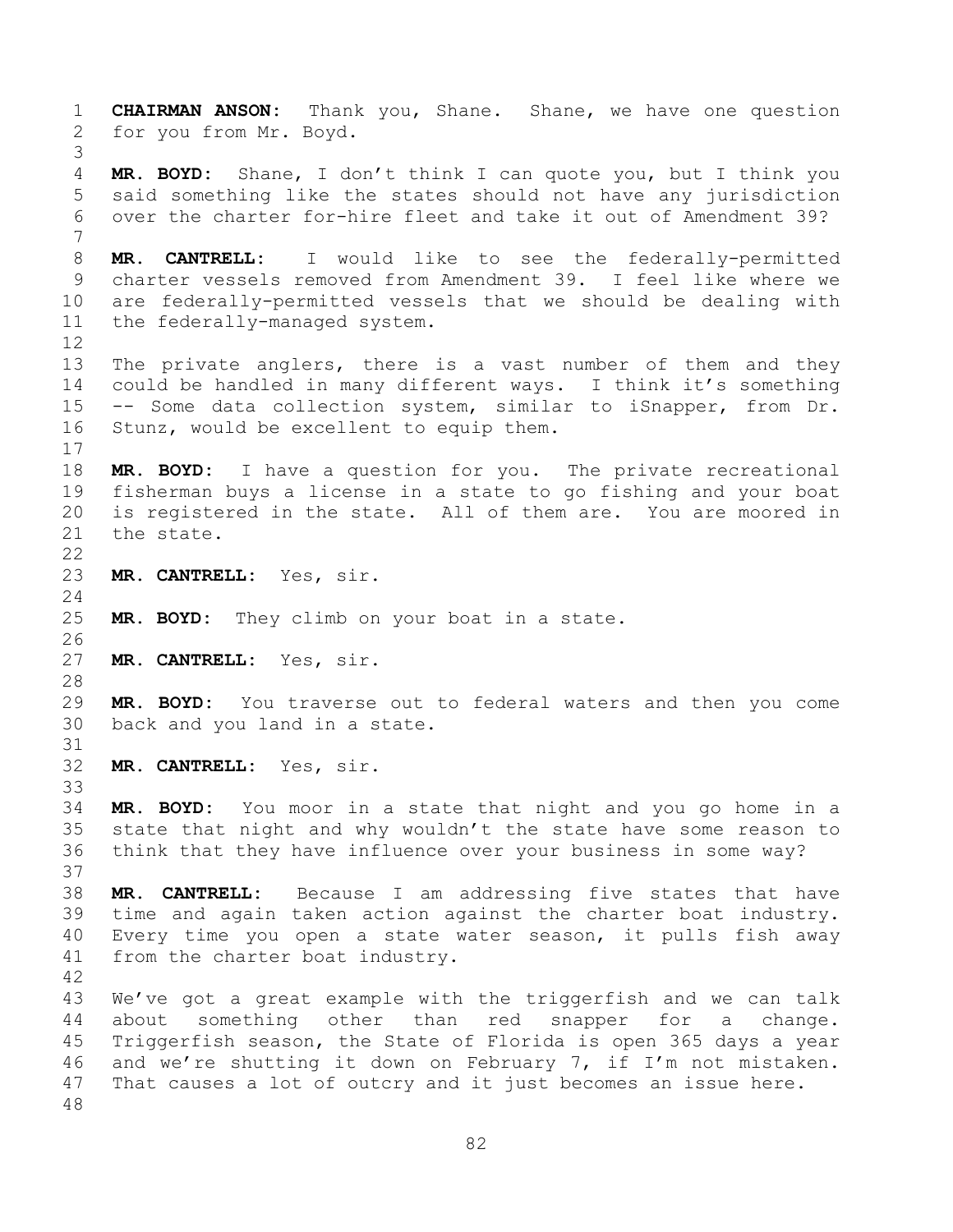**CHAIRMAN ANSON:** Thank you, Shane. Shane, we have one question for you from Mr. Boyd. **MR. BOYD:** Shane, I don't think I can quote you, but I think you said something like the states should not have any jurisdiction over the charter for-hire fleet and take it out of Amendment 39? **MR. CANTRELL:** I would like to see the federally-permitted charter vessels removed from Amendment 39. I feel like where we are federally-permitted vessels that we should be dealing with the federally-managed system. The private anglers, there is a vast number of them and they could be handled in many different ways. I think it's something -- Some data collection system, similar to iSnapper, from Dr. Stunz, would be excellent to equip them. **MR. BOYD:** I have a question for you. The private recreational fisherman buys a license in a state to go fishing and your boat is registered in the state. All of them are. You are moored in the state. **MR. CANTRELL:** Yes, sir. **MR. BOYD:** They climb on your boat in a state. **MR. CANTRELL:** Yes, sir. **MR. BOYD:** You traverse out to federal waters and then you come back and you land in a state. **MR. CANTRELL:** Yes, sir. **MR. BOYD:** You moor in a state that night and you go home in a state that night and why wouldn't the state have some reason to think that they have influence over your business in some way? **MR. CANTRELL:** Because I am addressing five states that have time and again taken action against the charter boat industry. Every time you open a state water season, it pulls fish away from the charter boat industry. We've got a great example with the triggerfish and we can talk about something other than red snapper for a change. Triggerfish season, the State of Florida is open 365 days a year and we're shutting it down on February 7, if I'm not mistaken. That causes a lot of outcry and it just becomes an issue here.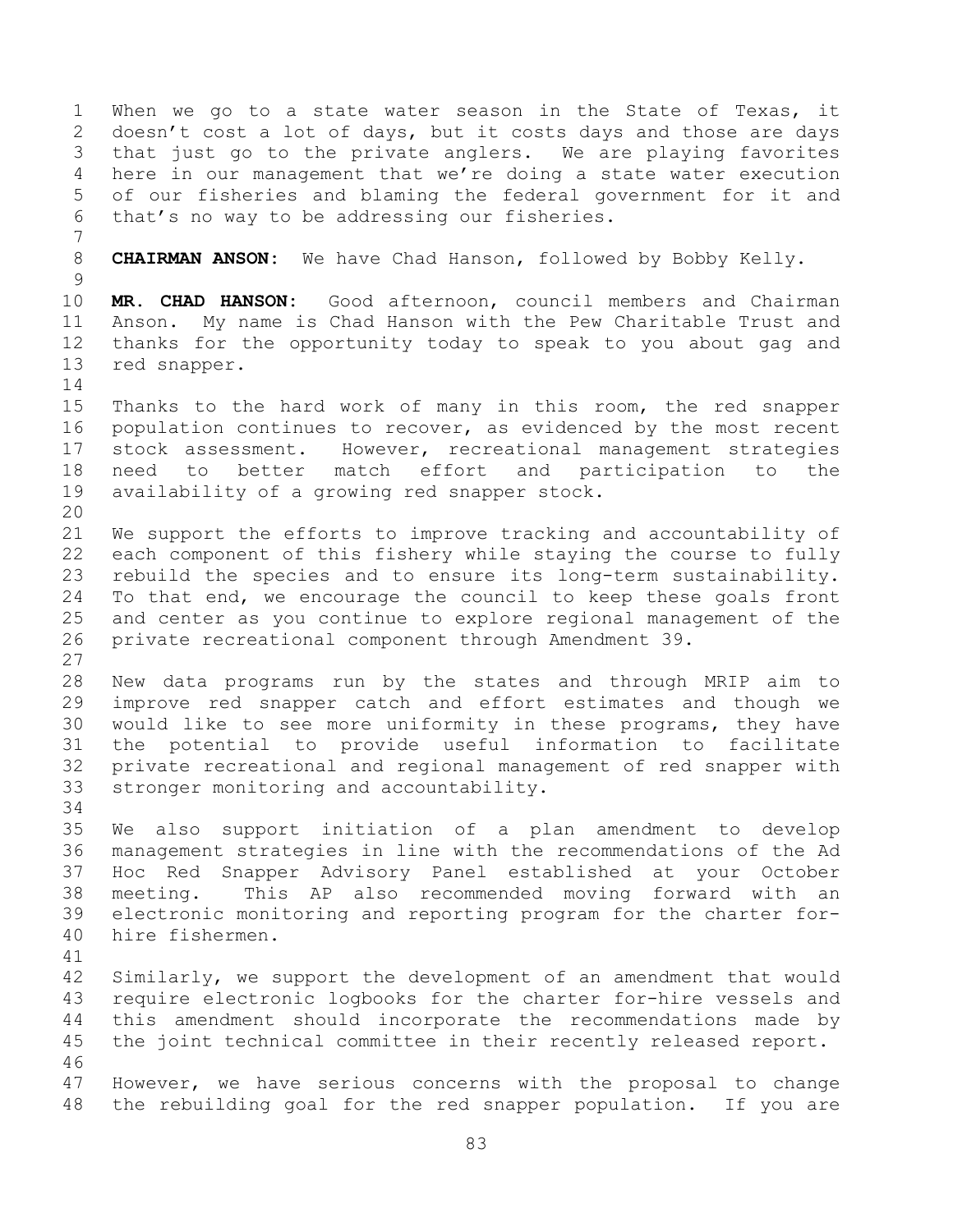When we go to a state water season in the State of Texas, it doesn't cost a lot of days, but it costs days and those are days that just go to the private anglers. We are playing favorites here in our management that we're doing a state water execution of our fisheries and blaming the federal government for it and that's no way to be addressing our fisheries. **CHAIRMAN ANSON:** We have Chad Hanson, followed by Bobby Kelly. **MR. CHAD HANSON:** Good afternoon, council members and Chairman Anson. My name is Chad Hanson with the Pew Charitable Trust and thanks for the opportunity today to speak to you about gag and red snapper. Thanks to the hard work of many in this room, the red snapper population continues to recover, as evidenced by the most recent stock assessment. However, recreational management strategies need to better match effort and participation to the availability of a growing red snapper stock. We support the efforts to improve tracking and accountability of each component of this fishery while staying the course to fully rebuild the species and to ensure its long-term sustainability. To that end, we encourage the council to keep these goals front and center as you continue to explore regional management of the private recreational component through Amendment 39. New data programs run by the states and through MRIP aim to improve red snapper catch and effort estimates and though we would like to see more uniformity in these programs, they have the potential to provide useful information to facilitate private recreational and regional management of red snapper with stronger monitoring and accountability. We also support initiation of a plan amendment to develop management strategies in line with the recommendations of the Ad Hoc Red Snapper Advisory Panel established at your October meeting. This AP also recommended moving forward with an electronic monitoring and reporting program for the charter for- hire fishermen. Similarly, we support the development of an amendment that would require electronic logbooks for the charter for-hire vessels and this amendment should incorporate the recommendations made by the joint technical committee in their recently released report. However, we have serious concerns with the proposal to change the rebuilding goal for the red snapper population. If you are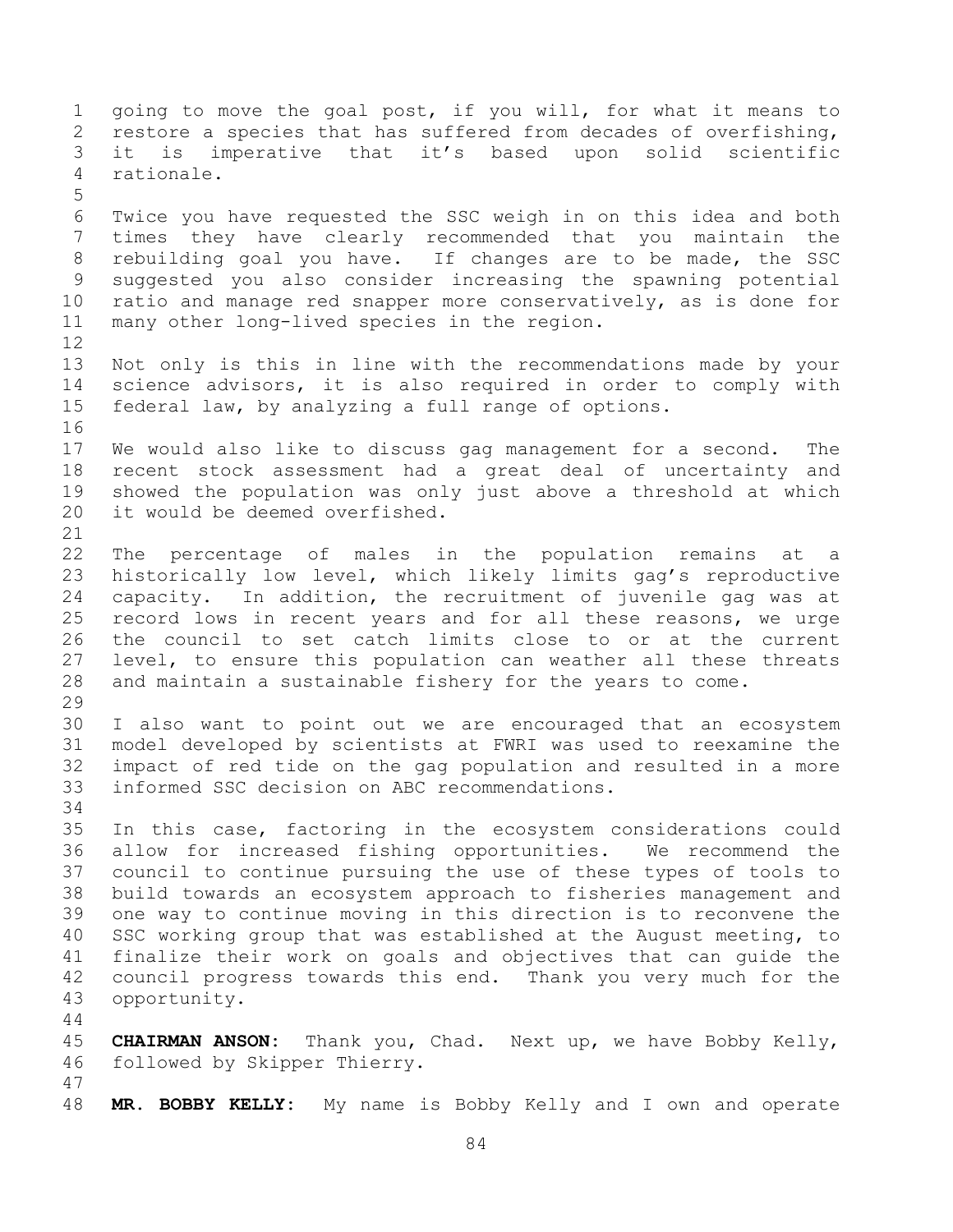going to move the goal post, if you will, for what it means to restore a species that has suffered from decades of overfishing, it is imperative that it's based upon solid scientific rationale. Twice you have requested the SSC weigh in on this idea and both times they have clearly recommended that you maintain the rebuilding goal you have. If changes are to be made, the SSC suggested you also consider increasing the spawning potential ratio and manage red snapper more conservatively, as is done for many other long-lived species in the region. Not only is this in line with the recommendations made by your science advisors, it is also required in order to comply with federal law, by analyzing a full range of options. We would also like to discuss gag management for a second. The recent stock assessment had a great deal of uncertainty and showed the population was only just above a threshold at which it would be deemed overfished. The percentage of males in the population remains at a historically low level, which likely limits gag's reproductive capacity. In addition, the recruitment of juvenile gag was at record lows in recent years and for all these reasons, we urge the council to set catch limits close to or at the current level, to ensure this population can weather all these threats and maintain a sustainable fishery for the years to come. I also want to point out we are encouraged that an ecosystem model developed by scientists at FWRI was used to reexamine the impact of red tide on the gag population and resulted in a more informed SSC decision on ABC recommendations. In this case, factoring in the ecosystem considerations could allow for increased fishing opportunities. We recommend the council to continue pursuing the use of these types of tools to build towards an ecosystem approach to fisheries management and one way to continue moving in this direction is to reconvene the SSC working group that was established at the August meeting, to finalize their work on goals and objectives that can guide the council progress towards this end. Thank you very much for the opportunity. **CHAIRMAN ANSON:** Thank you, Chad. Next up, we have Bobby Kelly, followed by Skipper Thierry. **MR. BOBBY KELLY:** My name is Bobby Kelly and I own and operate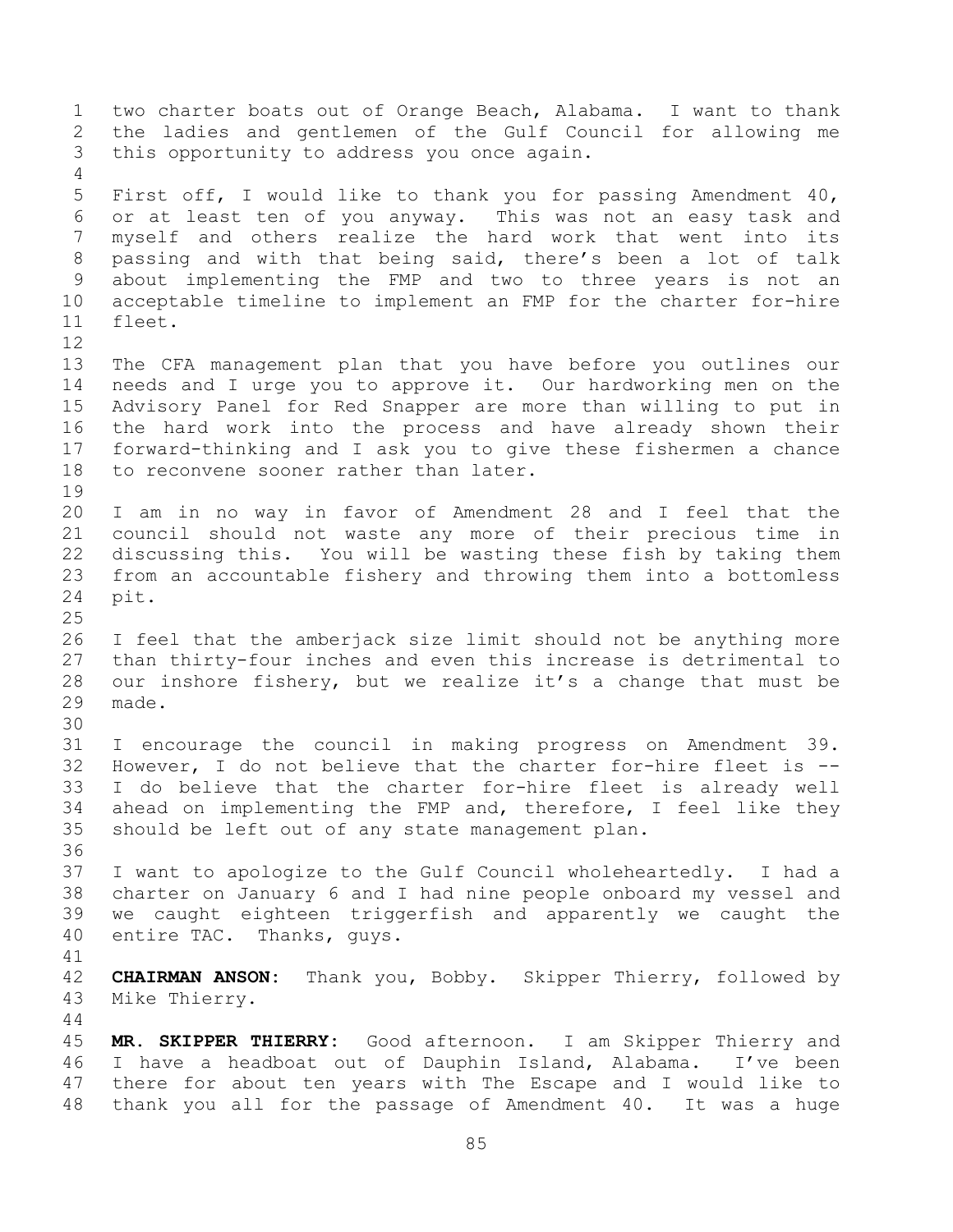two charter boats out of Orange Beach, Alabama. I want to thank the ladies and gentlemen of the Gulf Council for allowing me this opportunity to address you once again. First off, I would like to thank you for passing Amendment 40, or at least ten of you anyway. This was not an easy task and myself and others realize the hard work that went into its passing and with that being said, there's been a lot of talk about implementing the FMP and two to three years is not an acceptable timeline to implement an FMP for the charter for-hire fleet. The CFA management plan that you have before you outlines our needs and I urge you to approve it. Our hardworking men on the Advisory Panel for Red Snapper are more than willing to put in the hard work into the process and have already shown their forward-thinking and I ask you to give these fishermen a chance to reconvene sooner rather than later. I am in no way in favor of Amendment 28 and I feel that the council should not waste any more of their precious time in discussing this. You will be wasting these fish by taking them from an accountable fishery and throwing them into a bottomless pit. I feel that the amberjack size limit should not be anything more than thirty-four inches and even this increase is detrimental to our inshore fishery, but we realize it's a change that must be made. I encourage the council in making progress on Amendment 39. However, I do not believe that the charter for-hire fleet is -- I do believe that the charter for-hire fleet is already well ahead on implementing the FMP and, therefore, I feel like they should be left out of any state management plan. I want to apologize to the Gulf Council wholeheartedly. I had a charter on January 6 and I had nine people onboard my vessel and we caught eighteen triggerfish and apparently we caught the entire TAC. Thanks, guys. **CHAIRMAN ANSON:** Thank you, Bobby. Skipper Thierry, followed by Mike Thierry. **MR. SKIPPER THIERRY:** Good afternoon. I am Skipper Thierry and I have a headboat out of Dauphin Island, Alabama. I've been there for about ten years with The Escape and I would like to thank you all for the passage of Amendment 40. It was a huge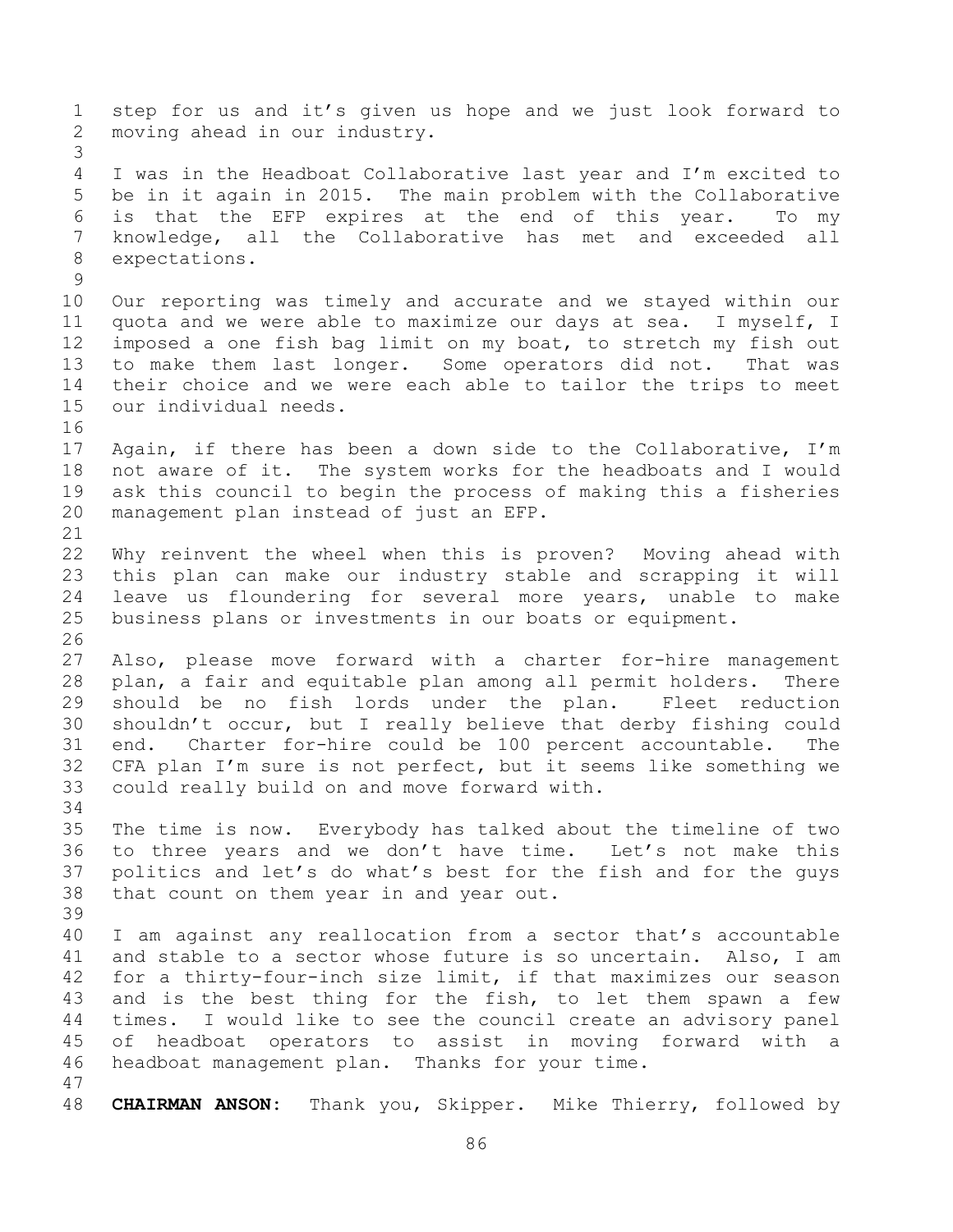step for us and it's given us hope and we just look forward to moving ahead in our industry. I was in the Headboat Collaborative last year and I'm excited to be in it again in 2015. The main problem with the Collaborative is that the EFP expires at the end of this year. To my knowledge, all the Collaborative has met and exceeded all expectations. Our reporting was timely and accurate and we stayed within our quota and we were able to maximize our days at sea. I myself, I imposed a one fish bag limit on my boat, to stretch my fish out to make them last longer. Some operators did not. That was their choice and we were each able to tailor the trips to meet our individual needs. Again, if there has been a down side to the Collaborative, I'm not aware of it. The system works for the headboats and I would ask this council to begin the process of making this a fisheries management plan instead of just an EFP. Why reinvent the wheel when this is proven? Moving ahead with this plan can make our industry stable and scrapping it will leave us floundering for several more years, unable to make business plans or investments in our boats or equipment. Also, please move forward with a charter for-hire management plan, a fair and equitable plan among all permit holders. There should be no fish lords under the plan. Fleet reduction shouldn't occur, but I really believe that derby fishing could end. Charter for-hire could be 100 percent accountable. The CFA plan I'm sure is not perfect, but it seems like something we could really build on and move forward with. The time is now. Everybody has talked about the timeline of two to three years and we don't have time. Let's not make this politics and let's do what's best for the fish and for the guys that count on them year in and year out. I am against any reallocation from a sector that's accountable and stable to a sector whose future is so uncertain. Also, I am for a thirty-four-inch size limit, if that maximizes our season and is the best thing for the fish, to let them spawn a few times. I would like to see the council create an advisory panel of headboat operators to assist in moving forward with a headboat management plan. Thanks for your time. **CHAIRMAN ANSON:** Thank you, Skipper. Mike Thierry, followed by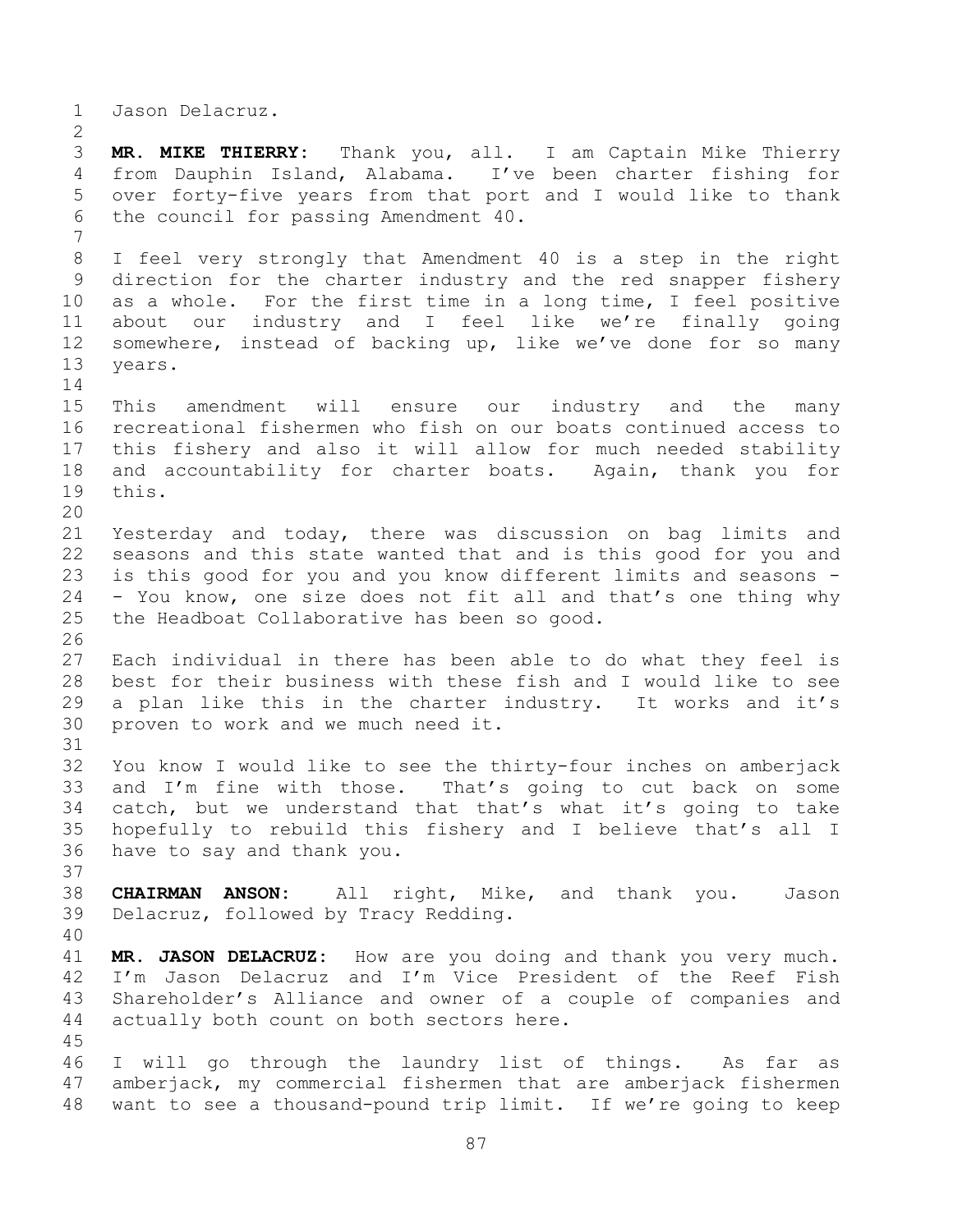Jason Delacruz.

 **MR. MIKE THIERRY:** Thank you, all. I am Captain Mike Thierry from Dauphin Island, Alabama. I've been charter fishing for over forty-five years from that port and I would like to thank the council for passing Amendment 40. I feel very strongly that Amendment 40 is a step in the right direction for the charter industry and the red snapper fishery as a whole. For the first time in a long time, I feel positive about our industry and I feel like we're finally going somewhere, instead of backing up, like we've done for so many years. This amendment will ensure our industry and the many recreational fishermen who fish on our boats continued access to this fishery and also it will allow for much needed stability and accountability for charter boats. Again, thank you for this. Yesterday and today, there was discussion on bag limits and seasons and this state wanted that and is this good for you and is this good for you and you know different limits and seasons - - You know, one size does not fit all and that's one thing why the Headboat Collaborative has been so good. Each individual in there has been able to do what they feel is best for their business with these fish and I would like to see a plan like this in the charter industry. It works and it's proven to work and we much need it. You know I would like to see the thirty-four inches on amberjack and I'm fine with those. That's going to cut back on some catch, but we understand that that's what it's going to take hopefully to rebuild this fishery and I believe that's all I have to say and thank you. **CHAIRMAN ANSON:** All right, Mike, and thank you. Jason Delacruz, followed by Tracy Redding. **MR. JASON DELACRUZ:** How are you doing and thank you very much. I'm Jason Delacruz and I'm Vice President of the Reef Fish Shareholder's Alliance and owner of a couple of companies and actually both count on both sectors here. I will go through the laundry list of things. As far as amberjack, my commercial fishermen that are amberjack fishermen want to see a thousand-pound trip limit. If we're going to keep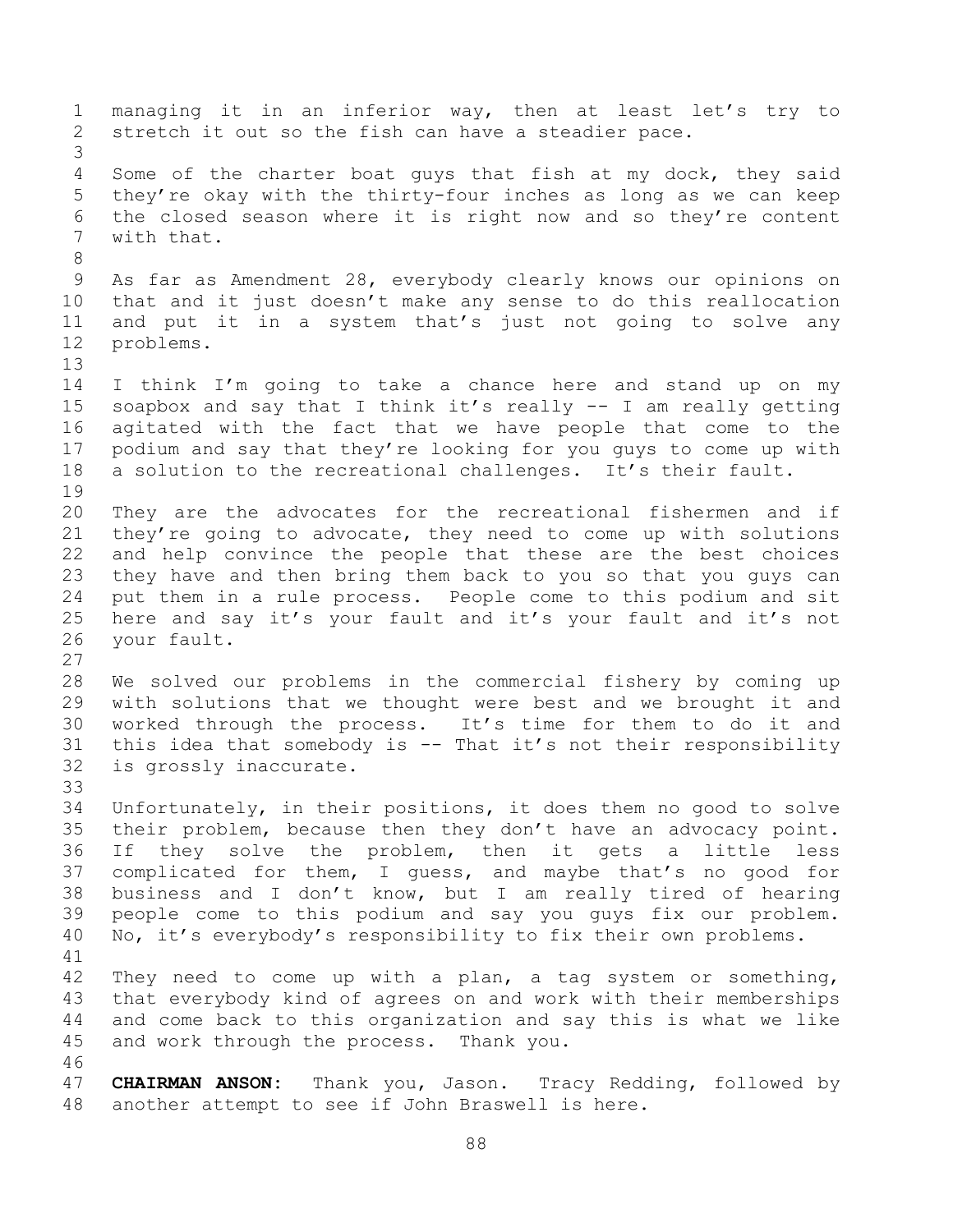managing it in an inferior way, then at least let's try to stretch it out so the fish can have a steadier pace. Some of the charter boat guys that fish at my dock, they said they're okay with the thirty-four inches as long as we can keep the closed season where it is right now and so they're content with that. As far as Amendment 28, everybody clearly knows our opinions on that and it just doesn't make any sense to do this reallocation and put it in a system that's just not going to solve any problems. I think I'm going to take a chance here and stand up on my soapbox and say that I think it's really -- I am really getting agitated with the fact that we have people that come to the podium and say that they're looking for you guys to come up with a solution to the recreational challenges. It's their fault. They are the advocates for the recreational fishermen and if they're going to advocate, they need to come up with solutions and help convince the people that these are the best choices they have and then bring them back to you so that you guys can put them in a rule process. People come to this podium and sit here and say it's your fault and it's your fault and it's not your fault. We solved our problems in the commercial fishery by coming up with solutions that we thought were best and we brought it and worked through the process. It's time for them to do it and this idea that somebody is -- That it's not their responsibility is grossly inaccurate. Unfortunately, in their positions, it does them no good to solve their problem, because then they don't have an advocacy point. If they solve the problem, then it gets a little less complicated for them, I guess, and maybe that's no good for business and I don't know, but I am really tired of hearing people come to this podium and say you guys fix our problem. No, it's everybody's responsibility to fix their own problems. They need to come up with a plan, a tag system or something, that everybody kind of agrees on and work with their memberships and come back to this organization and say this is what we like and work through the process. Thank you. **CHAIRMAN ANSON:** Thank you, Jason. Tracy Redding, followed by another attempt to see if John Braswell is here.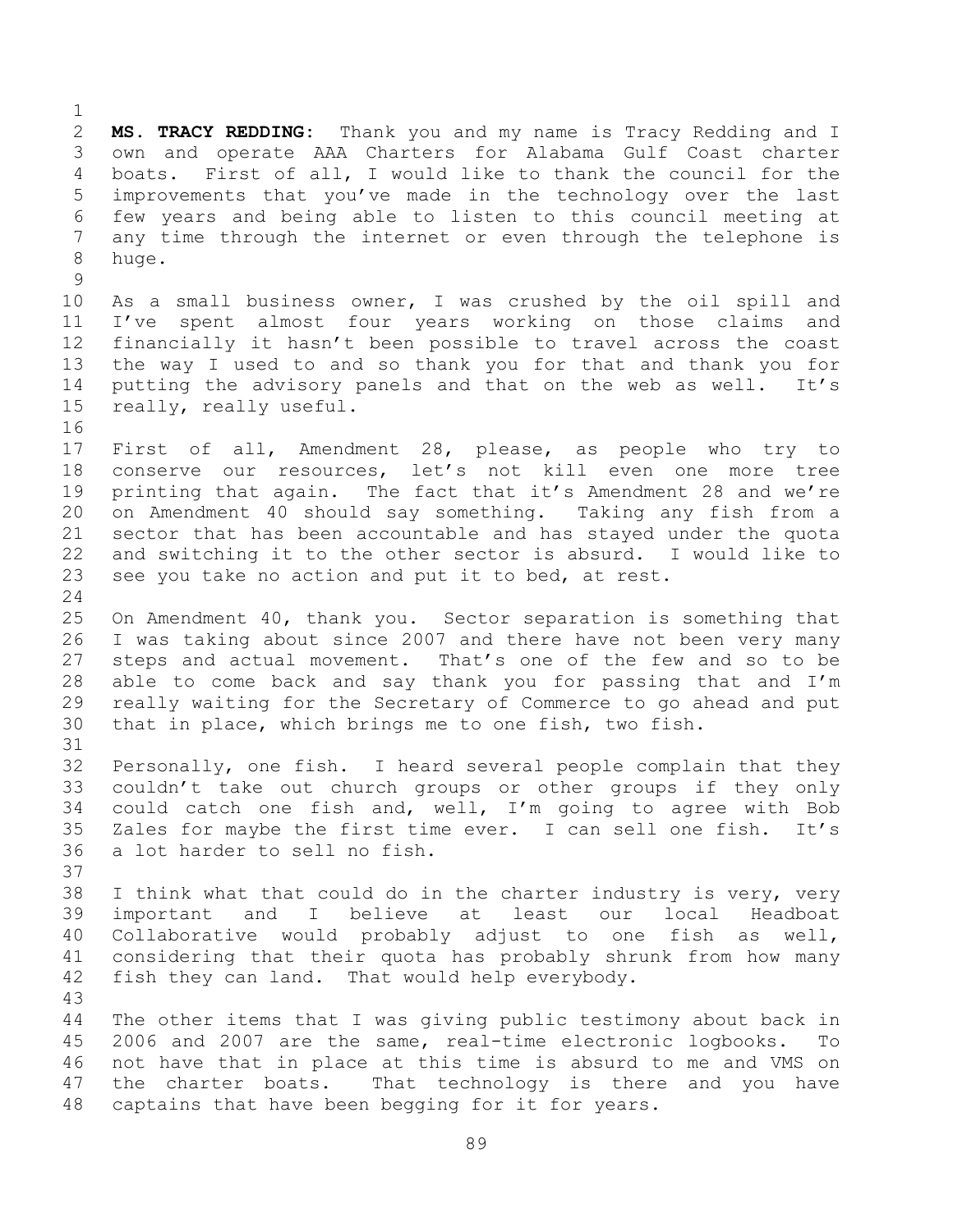**MS. TRACY REDDING:** Thank you and my name is Tracy Redding and I own and operate AAA Charters for Alabama Gulf Coast charter boats. First of all, I would like to thank the council for the improvements that you've made in the technology over the last few years and being able to listen to this council meeting at any time through the internet or even through the telephone is huge. 

 As a small business owner, I was crushed by the oil spill and I've spent almost four years working on those claims and financially it hasn't been possible to travel across the coast the way I used to and so thank you for that and thank you for putting the advisory panels and that on the web as well. It's really, really useful.

 First of all, Amendment 28, please, as people who try to conserve our resources, let's not kill even one more tree printing that again. The fact that it's Amendment 28 and we're on Amendment 40 should say something. Taking any fish from a sector that has been accountable and has stayed under the quota and switching it to the other sector is absurd. I would like to see you take no action and put it to bed, at rest.

 On Amendment 40, thank you. Sector separation is something that I was taking about since 2007 and there have not been very many steps and actual movement. That's one of the few and so to be able to come back and say thank you for passing that and I'm really waiting for the Secretary of Commerce to go ahead and put that in place, which brings me to one fish, two fish.

 Personally, one fish. I heard several people complain that they couldn't take out church groups or other groups if they only could catch one fish and, well, I'm going to agree with Bob Zales for maybe the first time ever. I can sell one fish. It's a lot harder to sell no fish.

 I think what that could do in the charter industry is very, very important and I believe at least our local Headboat Collaborative would probably adjust to one fish as well, considering that their quota has probably shrunk from how many fish they can land. That would help everybody.

 The other items that I was giving public testimony about back in 2006 and 2007 are the same, real-time electronic logbooks. To not have that in place at this time is absurd to me and VMS on the charter boats. That technology is there and you have captains that have been begging for it for years.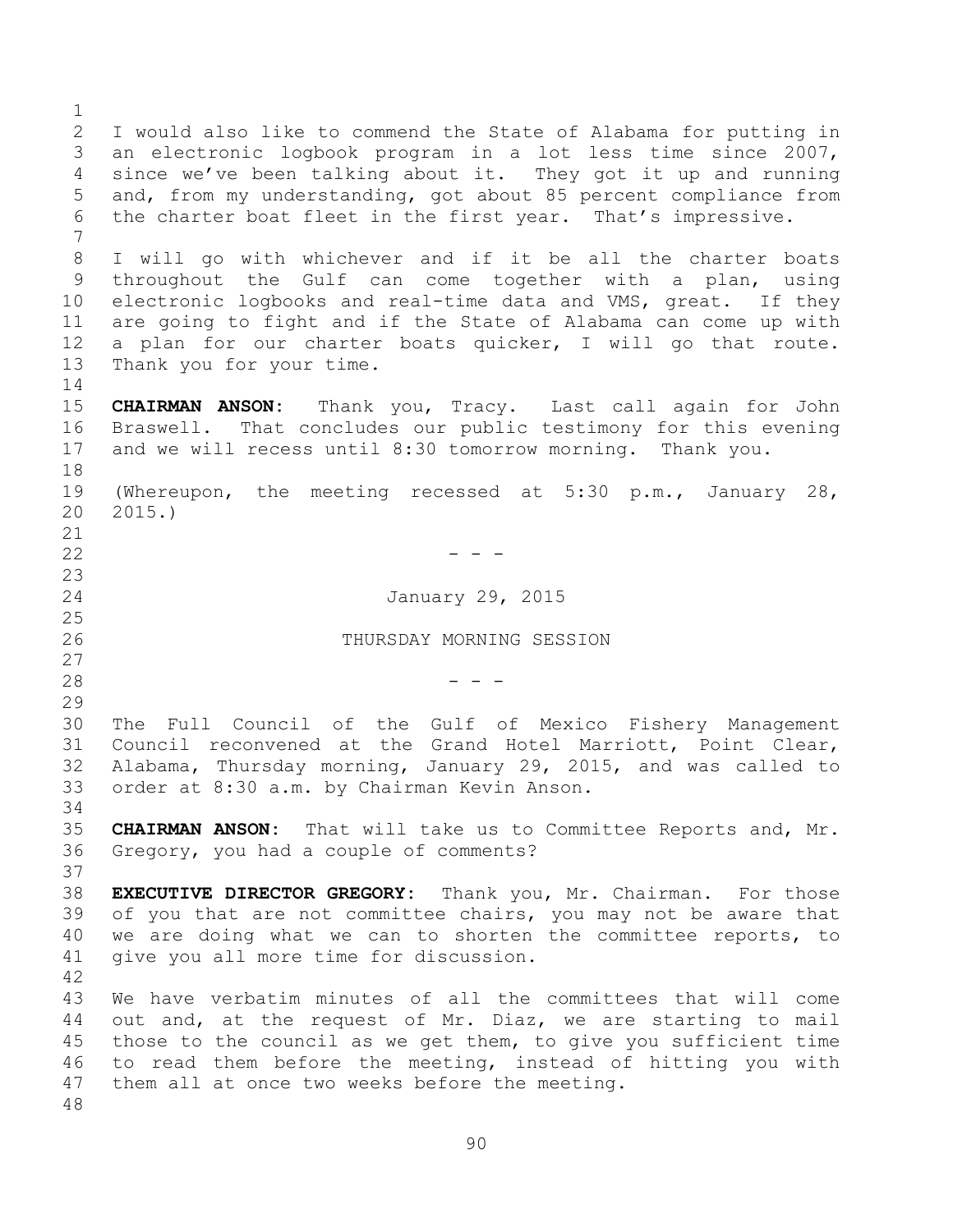I would also like to commend the State of Alabama for putting in an electronic logbook program in a lot less time since 2007, since we've been talking about it. They got it up and running and, from my understanding, got about 85 percent compliance from the charter boat fleet in the first year. That's impressive. I will go with whichever and if it be all the charter boats throughout the Gulf can come together with a plan, using electronic logbooks and real-time data and VMS, great. If they are going to fight and if the State of Alabama can come up with a plan for our charter boats quicker, I will go that route. Thank you for your time. **CHAIRMAN ANSON:** Thank you, Tracy. Last call again for John Braswell. That concludes our public testimony for this evening and we will recess until 8:30 tomorrow morning. Thank you. (Whereupon, the meeting recessed at 5:30 p.m., January 28, 2015.)  $-$  January 29, 2015 THURSDAY MORNING SESSION - - - The Full Council of the Gulf of Mexico Fishery Management Council reconvened at the Grand Hotel Marriott, Point Clear, Alabama, Thursday morning, January 29, 2015, and was called to order at 8:30 a.m. by Chairman Kevin Anson. **CHAIRMAN ANSON:** That will take us to Committee Reports and, Mr. Gregory, you had a couple of comments? **EXECUTIVE DIRECTOR GREGORY:** Thank you, Mr. Chairman. For those of you that are not committee chairs, you may not be aware that we are doing what we can to shorten the committee reports, to give you all more time for discussion. We have verbatim minutes of all the committees that will come out and, at the request of Mr. Diaz, we are starting to mail those to the council as we get them, to give you sufficient time to read them before the meeting, instead of hitting you with them all at once two weeks before the meeting.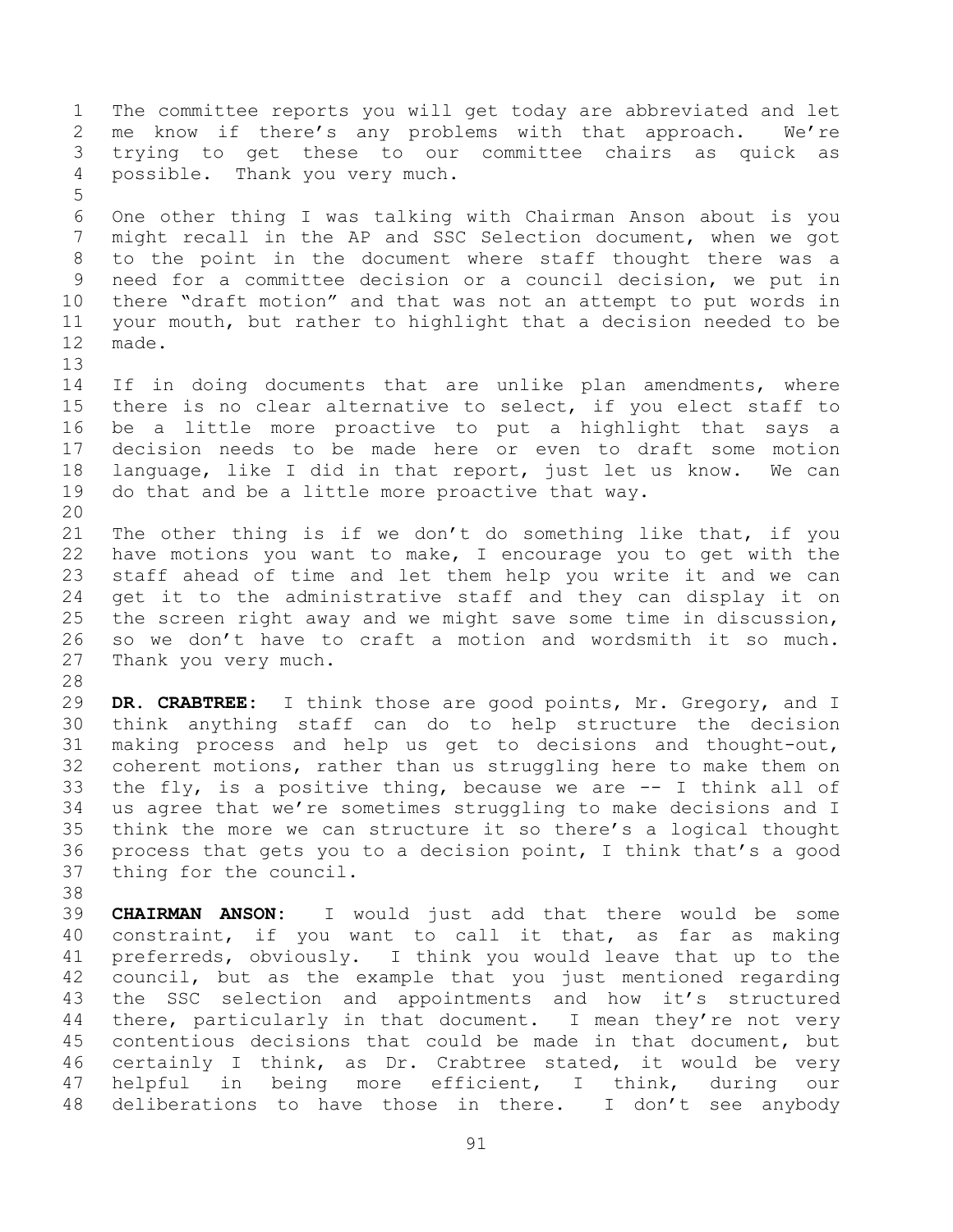The committee reports you will get today are abbreviated and let me know if there's any problems with that approach. We're trying to get these to our committee chairs as quick as possible. Thank you very much. One other thing I was talking with Chairman Anson about is you might recall in the AP and SSC Selection document, when we got to the point in the document where staff thought there was a need for a committee decision or a council decision, we put in there "draft motion" and that was not an attempt to put words in your mouth, but rather to highlight that a decision needed to be made. 14 If in doing documents that are unlike plan amendments, where there is no clear alternative to select, if you elect staff to be a little more proactive to put a highlight that says a decision needs to be made here or even to draft some motion language, like I did in that report, just let us know. We can do that and be a little more proactive that way. The other thing is if we don't do something like that, if you have motions you want to make, I encourage you to get with the staff ahead of time and let them help you write it and we can get it to the administrative staff and they can display it on the screen right away and we might save some time in discussion, so we don't have to craft a motion and wordsmith it so much. Thank you very much. **DR. CRABTREE:** I think those are good points, Mr. Gregory, and I think anything staff can do to help structure the decision making process and help us get to decisions and thought-out, coherent motions, rather than us struggling here to make them on the fly, is a positive thing, because we are -- I think all of us agree that we're sometimes struggling to make decisions and I think the more we can structure it so there's a logical thought process that gets you to a decision point, I think that's a good thing for the council. **CHAIRMAN ANSON:** I would just add that there would be some constraint, if you want to call it that, as far as making preferreds, obviously. I think you would leave that up to the council, but as the example that you just mentioned regarding the SSC selection and appointments and how it's structured 44 there, particularly in that document. I mean they're not very contentious decisions that could be made in that document, but certainly I think, as Dr. Crabtree stated, it would be very helpful in being more efficient, I think, during our deliberations to have those in there. I don't see anybody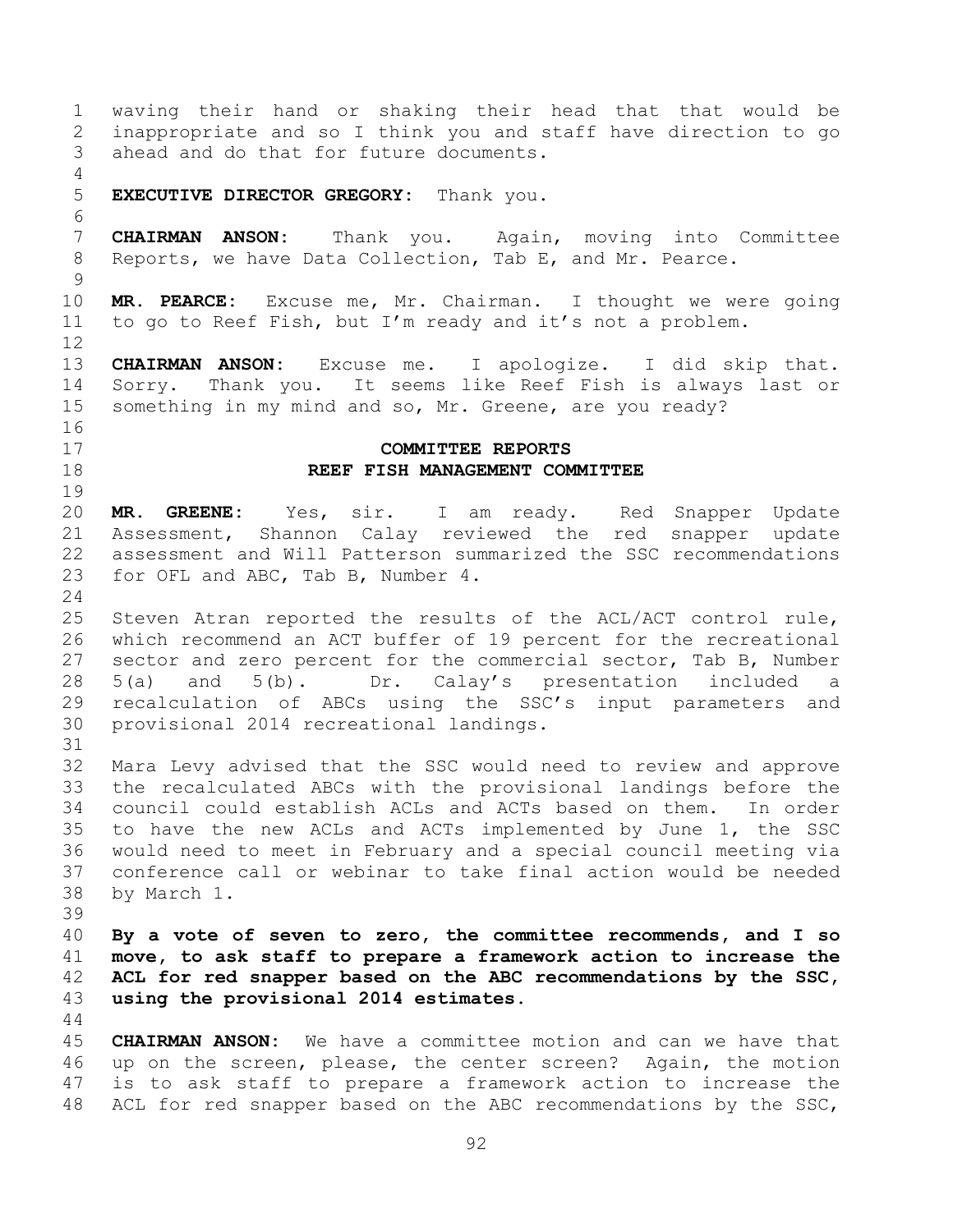waving their hand or shaking their head that that would be inappropriate and so I think you and staff have direction to go ahead and do that for future documents. **EXECUTIVE DIRECTOR GREGORY:** Thank you. **CHAIRMAN ANSON:** Thank you. Again, moving into Committee Reports, we have Data Collection, Tab E, and Mr. Pearce. **MR. PEARCE:** Excuse me, Mr. Chairman. I thought we were going to go to Reef Fish, but I'm ready and it's not a problem. **CHAIRMAN ANSON:** Excuse me. I apologize. I did skip that. Sorry. Thank you. It seems like Reef Fish is always last or something in my mind and so, Mr. Greene, are you ready? **COMMITTEE REPORTS REEF FISH MANAGEMENT COMMITTEE MR. GREENE:** Yes, sir. I am ready. Red Snapper Update Assessment, Shannon Calay reviewed the red snapper update assessment and Will Patterson summarized the SSC recommendations for OFL and ABC, Tab B, Number 4. Steven Atran reported the results of the ACL/ACT control rule, which recommend an ACT buffer of 19 percent for the recreational sector and zero percent for the commercial sector, Tab B, Number 5(a) and 5(b). Dr. Calay's presentation included a recalculation of ABCs using the SSC's input parameters and provisional 2014 recreational landings. Mara Levy advised that the SSC would need to review and approve the recalculated ABCs with the provisional landings before the council could establish ACLs and ACTs based on them. In order to have the new ACLs and ACTs implemented by June 1, the SSC would need to meet in February and a special council meeting via conference call or webinar to take final action would be needed by March 1. **By a vote of seven to zero, the committee recommends, and I so move, to ask staff to prepare a framework action to increase the ACL for red snapper based on the ABC recommendations by the SSC, using the provisional 2014 estimates. CHAIRMAN ANSON:** We have a committee motion and can we have that up on the screen, please, the center screen? Again, the motion is to ask staff to prepare a framework action to increase the 48 ACL for red snapper based on the ABC recommendations by the SSC,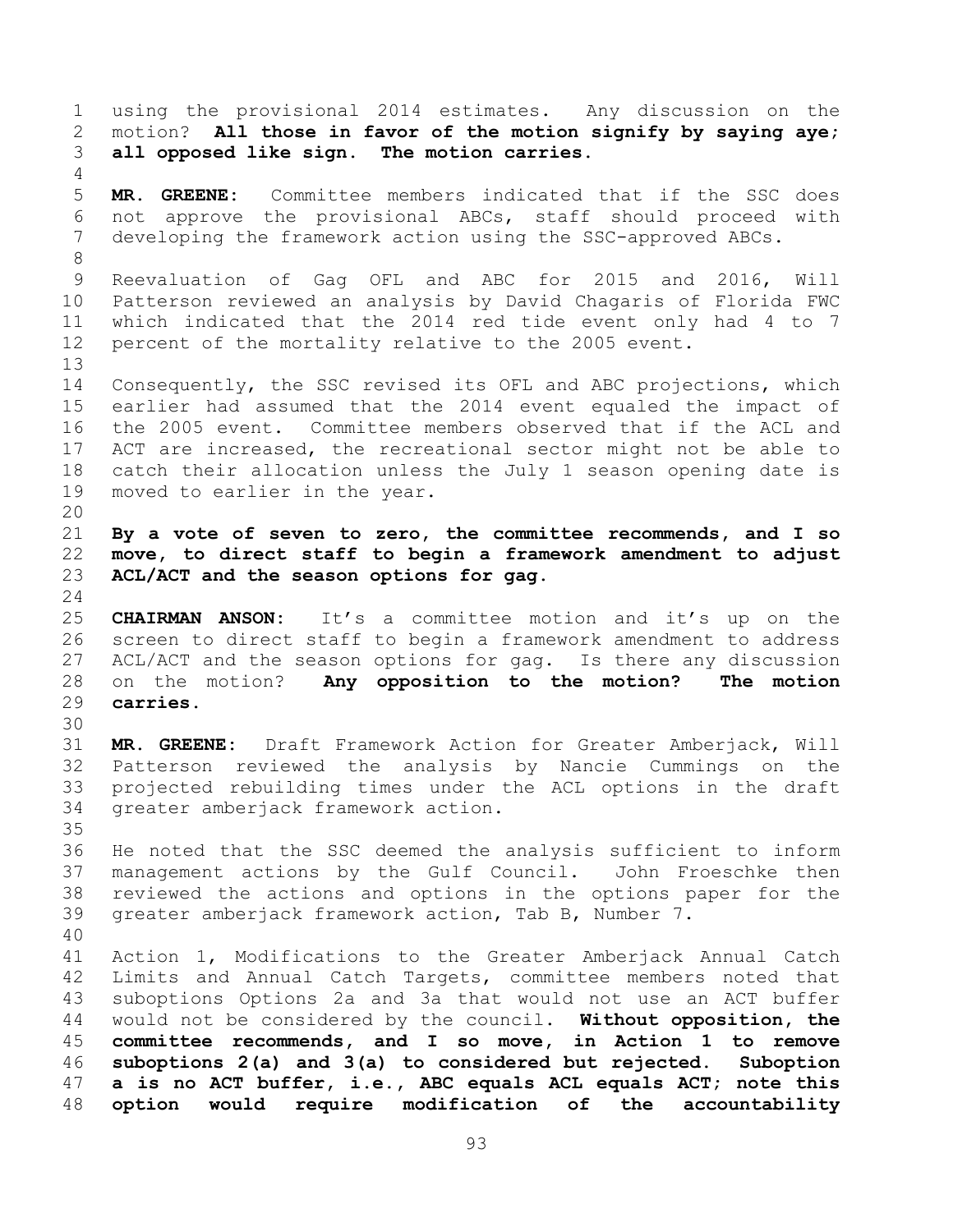using the provisional 2014 estimates. Any discussion on the motion? **All those in favor of the motion signify by saying aye; all opposed like sign. The motion carries. MR. GREENE:** Committee members indicated that if the SSC does not approve the provisional ABCs, staff should proceed with developing the framework action using the SSC-approved ABCs. Reevaluation of Gag OFL and ABC for 2015 and 2016, Will Patterson reviewed an analysis by David Chagaris of Florida FWC which indicated that the 2014 red tide event only had 4 to 7 percent of the mortality relative to the 2005 event. Consequently, the SSC revised its OFL and ABC projections, which earlier had assumed that the 2014 event equaled the impact of the 2005 event. Committee members observed that if the ACL and ACT are increased, the recreational sector might not be able to catch their allocation unless the July 1 season opening date is moved to earlier in the year. **By a vote of seven to zero, the committee recommends, and I so move, to direct staff to begin a framework amendment to adjust ACL/ACT and the season options for gag. CHAIRMAN ANSON:** It's a committee motion and it's up on the screen to direct staff to begin a framework amendment to address ACL/ACT and the season options for gag. Is there any discussion on the motion? **Any opposition to the motion? The motion carries. MR. GREENE:** Draft Framework Action for Greater Amberjack, Will Patterson reviewed the analysis by Nancie Cummings on the projected rebuilding times under the ACL options in the draft greater amberjack framework action. He noted that the SSC deemed the analysis sufficient to inform management actions by the Gulf Council. John Froeschke then reviewed the actions and options in the options paper for the greater amberjack framework action, Tab B, Number 7. Action 1, Modifications to the Greater Amberjack Annual Catch Limits and Annual Catch Targets, committee members noted that suboptions Options 2a and 3a that would not use an ACT buffer would not be considered by the council. **Without opposition, the committee recommends, and I so move, in Action 1 to remove suboptions 2(a) and 3(a) to considered but rejected. Suboption a is no ACT buffer, i.e., ABC equals ACL equals ACT; note this option would require modification of the accountability**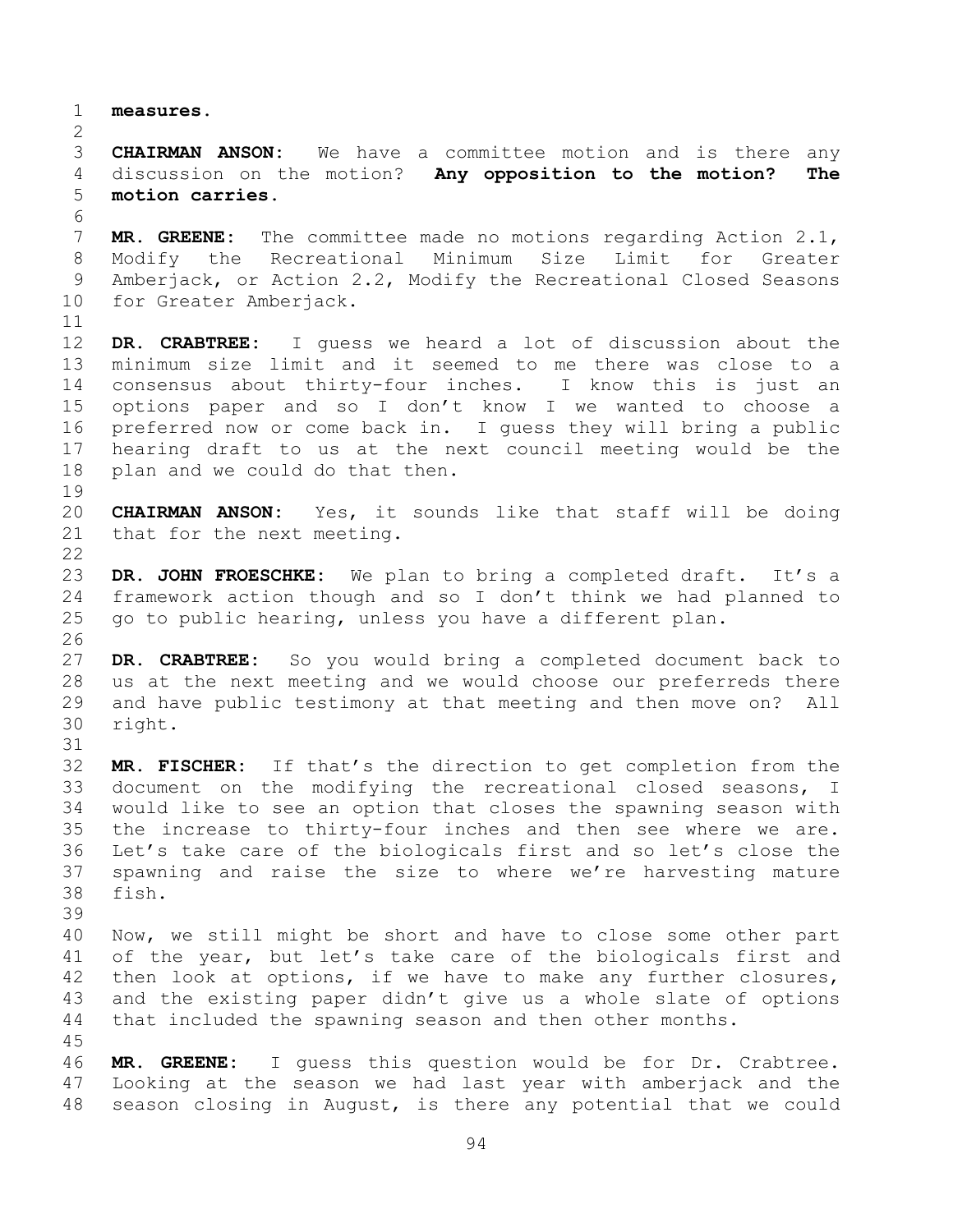**measures.**

 **CHAIRMAN ANSON:** We have a committee motion and is there any discussion on the motion? **Any opposition to the motion? The motion carries.**

 **MR. GREENE:** The committee made no motions regarding Action 2.1, Modify the Recreational Minimum Size Limit for Greater Amberjack, or Action 2.2, Modify the Recreational Closed Seasons for Greater Amberjack.

 **DR. CRABTREE:** I guess we heard a lot of discussion about the minimum size limit and it seemed to me there was close to a consensus about thirty-four inches. I know this is just an options paper and so I don't know I we wanted to choose a preferred now or come back in. I guess they will bring a public hearing draft to us at the next council meeting would be the plan and we could do that then.

 **CHAIRMAN ANSON:** Yes, it sounds like that staff will be doing that for the next meeting.

 **DR. JOHN FROESCHKE:** We plan to bring a completed draft. It's a framework action though and so I don't think we had planned to go to public hearing, unless you have a different plan.

 **DR. CRABTREE:** So you would bring a completed document back to us at the next meeting and we would choose our preferreds there and have public testimony at that meeting and then move on? All right.

 **MR. FISCHER:** If that's the direction to get completion from the document on the modifying the recreational closed seasons, I would like to see an option that closes the spawning season with the increase to thirty-four inches and then see where we are. Let's take care of the biologicals first and so let's close the spawning and raise the size to where we're harvesting mature fish.

 Now, we still might be short and have to close some other part of the year, but let's take care of the biologicals first and then look at options, if we have to make any further closures, and the existing paper didn't give us a whole slate of options that included the spawning season and then other months.

 **MR. GREENE:** I guess this question would be for Dr. Crabtree. Looking at the season we had last year with amberjack and the season closing in August, is there any potential that we could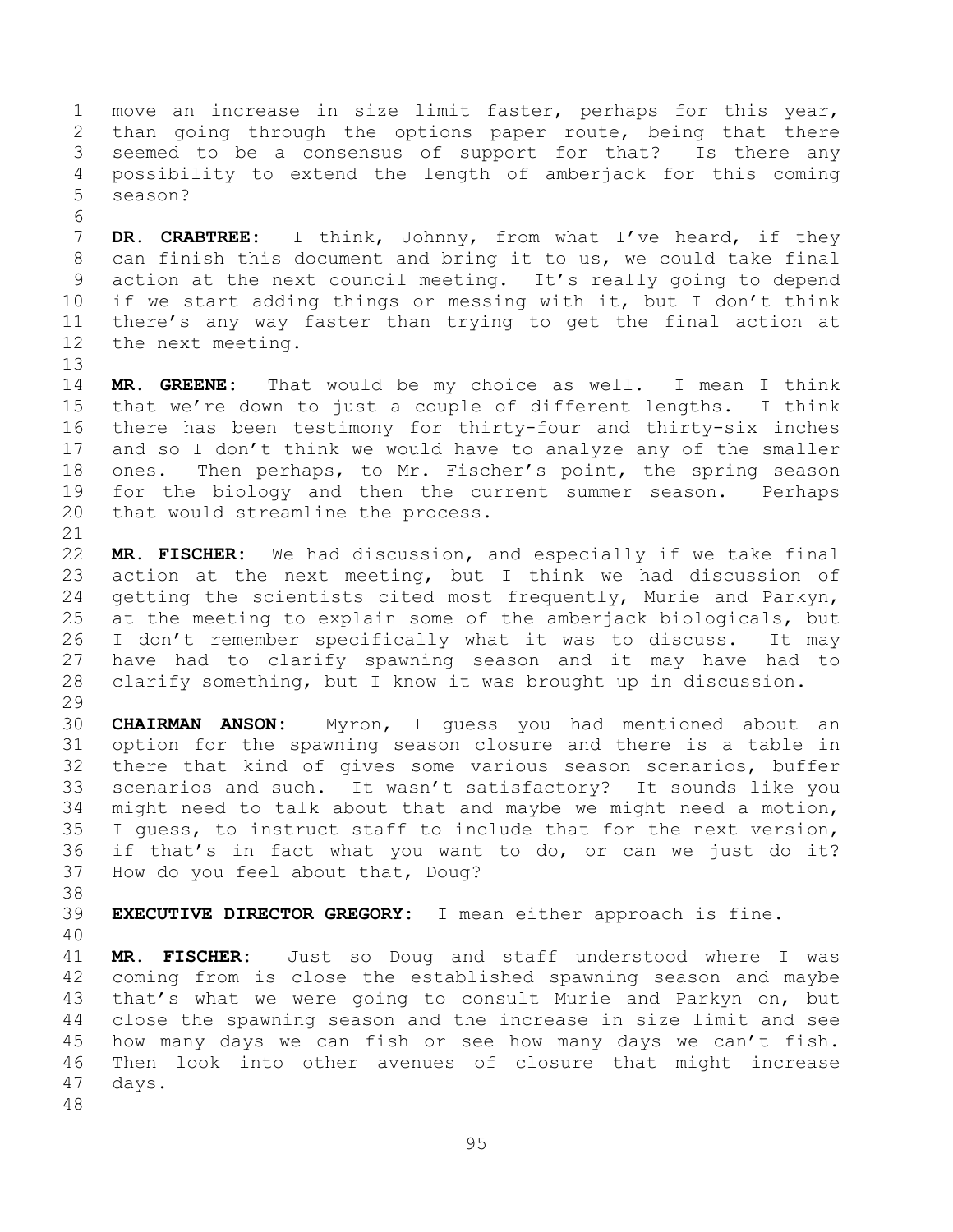move an increase in size limit faster, perhaps for this year, than going through the options paper route, being that there seemed to be a consensus of support for that? Is there any possibility to extend the length of amberjack for this coming season?

 **DR. CRABTREE:** I think, Johnny, from what I've heard, if they can finish this document and bring it to us, we could take final action at the next council meeting. It's really going to depend if we start adding things or messing with it, but I don't think there's any way faster than trying to get the final action at the next meeting.

 **MR. GREENE:** That would be my choice as well. I mean I think that we're down to just a couple of different lengths. I think there has been testimony for thirty-four and thirty-six inches and so I don't think we would have to analyze any of the smaller ones. Then perhaps, to Mr. Fischer's point, the spring season 19 for the biology and then the current summer season. Perhaps that would streamline the process.

 **MR. FISCHER:** We had discussion, and especially if we take final action at the next meeting, but I think we had discussion of getting the scientists cited most frequently, Murie and Parkyn, at the meeting to explain some of the amberjack biologicals, but I don't remember specifically what it was to discuss. It may have had to clarify spawning season and it may have had to clarify something, but I know it was brought up in discussion. 

 **CHAIRMAN ANSON:** Myron, I guess you had mentioned about an option for the spawning season closure and there is a table in there that kind of gives some various season scenarios, buffer scenarios and such. It wasn't satisfactory? It sounds like you might need to talk about that and maybe we might need a motion, I guess, to instruct staff to include that for the next version, if that's in fact what you want to do, or can we just do it? How do you feel about that, Doug?

**EXECUTIVE DIRECTOR GREGORY:** I mean either approach is fine.

 **MR. FISCHER:** Just so Doug and staff understood where I was coming from is close the established spawning season and maybe that's what we were going to consult Murie and Parkyn on, but close the spawning season and the increase in size limit and see how many days we can fish or see how many days we can't fish. Then look into other avenues of closure that might increase days.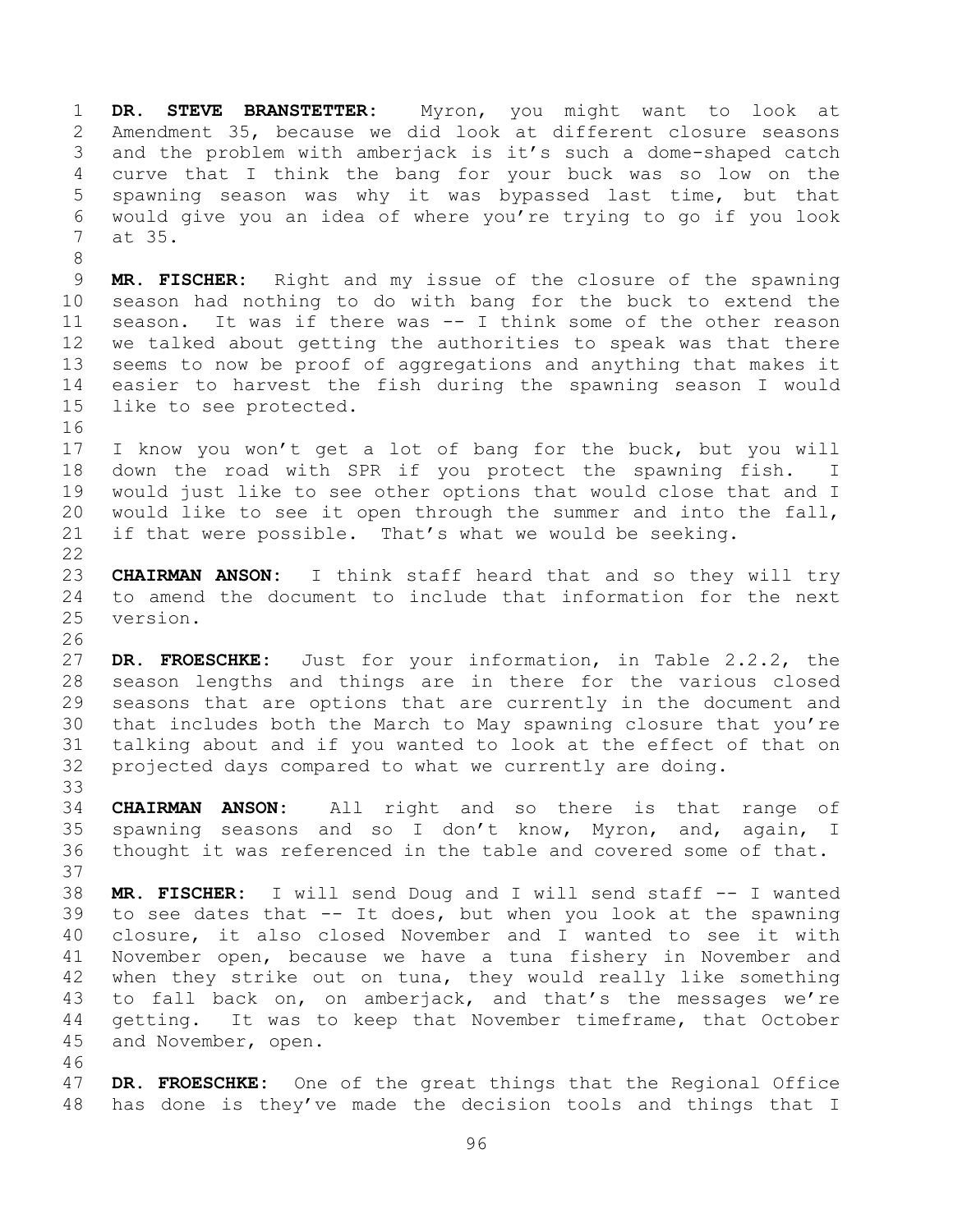**DR. STEVE BRANSTETTER:** Myron, you might want to look at Amendment 35, because we did look at different closure seasons and the problem with amberjack is it's such a dome-shaped catch curve that I think the bang for your buck was so low on the spawning season was why it was bypassed last time, but that would give you an idea of where you're trying to go if you look at 35.

 **MR. FISCHER:** Right and my issue of the closure of the spawning season had nothing to do with bang for the buck to extend the season. It was if there was -- I think some of the other reason we talked about getting the authorities to speak was that there seems to now be proof of aggregations and anything that makes it easier to harvest the fish during the spawning season I would like to see protected.

 I know you won't get a lot of bang for the buck, but you will down the road with SPR if you protect the spawning fish. I would just like to see other options that would close that and I would like to see it open through the summer and into the fall, if that were possible. That's what we would be seeking.

 **CHAIRMAN ANSON:** I think staff heard that and so they will try to amend the document to include that information for the next version.

 **DR. FROESCHKE:** Just for your information, in Table 2.2.2, the season lengths and things are in there for the various closed seasons that are options that are currently in the document and that includes both the March to May spawning closure that you're talking about and if you wanted to look at the effect of that on projected days compared to what we currently are doing. 

 **CHAIRMAN ANSON:** All right and so there is that range of spawning seasons and so I don't know, Myron, and, again, I thought it was referenced in the table and covered some of that. 

 **MR. FISCHER:** I will send Doug and I will send staff -- I wanted to see dates that -- It does, but when you look at the spawning closure, it also closed November and I wanted to see it with November open, because we have a tuna fishery in November and when they strike out on tuna, they would really like something to fall back on, on amberjack, and that's the messages we're getting. It was to keep that November timeframe, that October and November, open.

 **DR. FROESCHKE:** One of the great things that the Regional Office has done is they've made the decision tools and things that I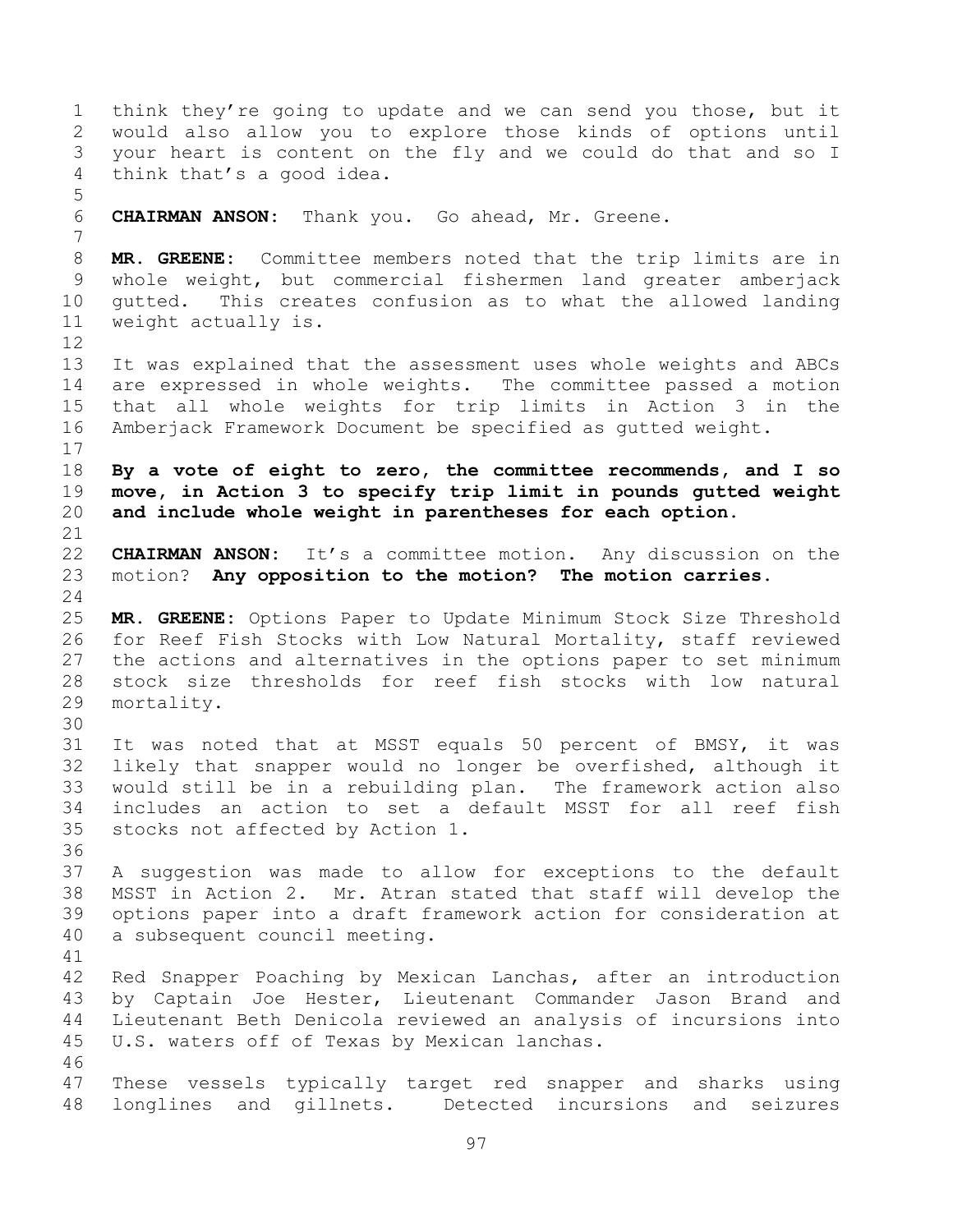think they're going to update and we can send you those, but it would also allow you to explore those kinds of options until your heart is content on the fly and we could do that and so I think that's a good idea. **CHAIRMAN ANSON:** Thank you. Go ahead, Mr. Greene. **MR. GREENE:** Committee members noted that the trip limits are in whole weight, but commercial fishermen land greater amberjack gutted. This creates confusion as to what the allowed landing weight actually is. It was explained that the assessment uses whole weights and ABCs are expressed in whole weights. The committee passed a motion that all whole weights for trip limits in Action 3 in the Amberjack Framework Document be specified as gutted weight. **By a vote of eight to zero, the committee recommends, and I so move, in Action 3 to specify trip limit in pounds gutted weight and include whole weight in parentheses for each option. CHAIRMAN ANSON:** It's a committee motion. Any discussion on the motion? **Any opposition to the motion? The motion carries. MR. GREENE:** Options Paper to Update Minimum Stock Size Threshold for Reef Fish Stocks with Low Natural Mortality, staff reviewed the actions and alternatives in the options paper to set minimum stock size thresholds for reef fish stocks with low natural mortality. It was noted that at MSST equals 50 percent of BMSY, it was likely that snapper would no longer be overfished, although it would still be in a rebuilding plan. The framework action also includes an action to set a default MSST for all reef fish stocks not affected by Action 1. A suggestion was made to allow for exceptions to the default MSST in Action 2. Mr. Atran stated that staff will develop the options paper into a draft framework action for consideration at a subsequent council meeting. Red Snapper Poaching by Mexican Lanchas, after an introduction by Captain Joe Hester, Lieutenant Commander Jason Brand and Lieutenant Beth Denicola reviewed an analysis of incursions into U.S. waters off of Texas by Mexican lanchas. These vessels typically target red snapper and sharks using longlines and gillnets. Detected incursions and seizures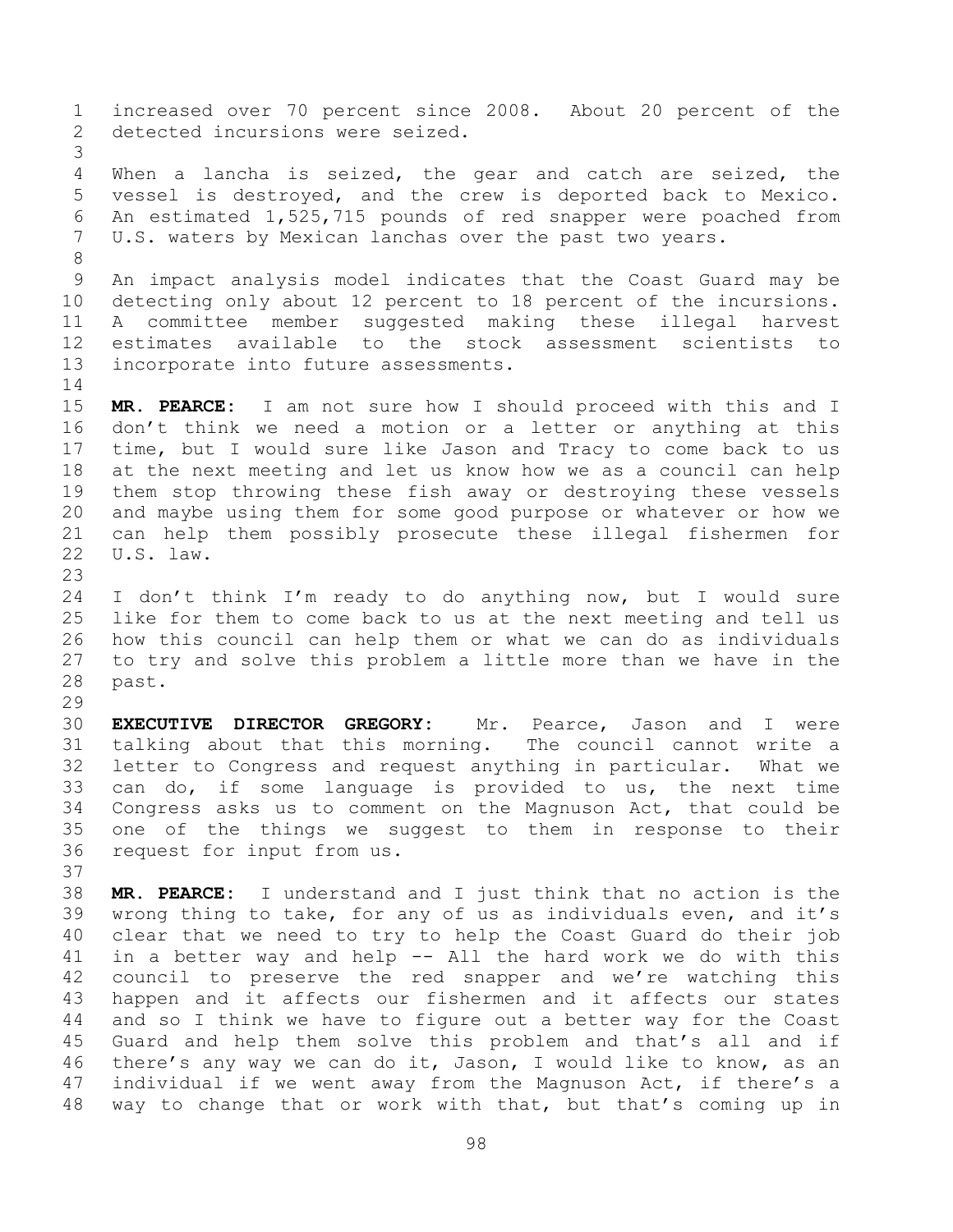increased over 70 percent since 2008. About 20 percent of the detected incursions were seized. When a lancha is seized, the gear and catch are seized, the vessel is destroyed, and the crew is deported back to Mexico. An estimated 1,525,715 pounds of red snapper were poached from U.S. waters by Mexican lanchas over the past two years. An impact analysis model indicates that the Coast Guard may be detecting only about 12 percent to 18 percent of the incursions. A committee member suggested making these illegal harvest estimates available to the stock assessment scientists to incorporate into future assessments. **MR. PEARCE:** I am not sure how I should proceed with this and I don't think we need a motion or a letter or anything at this time, but I would sure like Jason and Tracy to come back to us at the next meeting and let us know how we as a council can help them stop throwing these fish away or destroying these vessels and maybe using them for some good purpose or whatever or how we can help them possibly prosecute these illegal fishermen for U.S. law. I don't think I'm ready to do anything now, but I would sure like for them to come back to us at the next meeting and tell us how this council can help them or what we can do as individuals to try and solve this problem a little more than we have in the past. **EXECUTIVE DIRECTOR GREGORY:** Mr. Pearce, Jason and I were talking about that this morning. The council cannot write a letter to Congress and request anything in particular. What we can do, if some language is provided to us, the next time Congress asks us to comment on the Magnuson Act, that could be one of the things we suggest to them in response to their request for input from us. **MR. PEARCE:** I understand and I just think that no action is the wrong thing to take, for any of us as individuals even, and it's clear that we need to try to help the Coast Guard do their job in a better way and help -- All the hard work we do with this council to preserve the red snapper and we're watching this happen and it affects our fishermen and it affects our states and so I think we have to figure out a better way for the Coast Guard and help them solve this problem and that's all and if there's any way we can do it, Jason, I would like to know, as an individual if we went away from the Magnuson Act, if there's a way to change that or work with that, but that's coming up in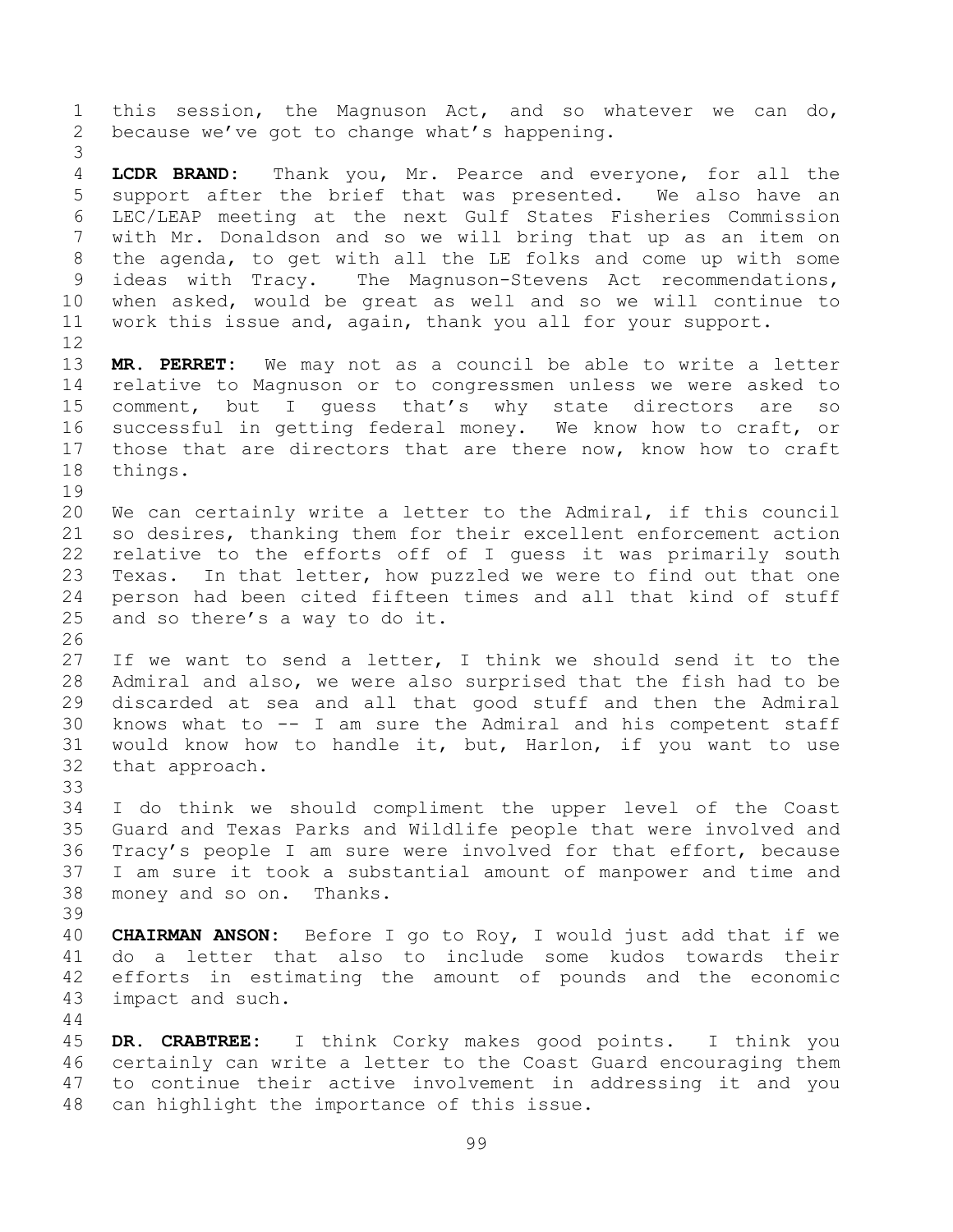this session, the Magnuson Act, and so whatever we can do, because we've got to change what's happening. **LCDR BRAND:** Thank you, Mr. Pearce and everyone, for all the support after the brief that was presented. We also have an LEC/LEAP meeting at the next Gulf States Fisheries Commission with Mr. Donaldson and so we will bring that up as an item on the agenda, to get with all the LE folks and come up with some ideas with Tracy. The Magnuson-Stevens Act recommendations, when asked, would be great as well and so we will continue to work this issue and, again, thank you all for your support. **MR. PERRET:** We may not as a council be able to write a letter relative to Magnuson or to congressmen unless we were asked to comment, but I guess that's why state directors are so successful in getting federal money. We know how to craft, or those that are directors that are there now, know how to craft things. We can certainly write a letter to the Admiral, if this council so desires, thanking them for their excellent enforcement action relative to the efforts off of I guess it was primarily south Texas. In that letter, how puzzled we were to find out that one person had been cited fifteen times and all that kind of stuff and so there's a way to do it. If we want to send a letter, I think we should send it to the Admiral and also, we were also surprised that the fish had to be discarded at sea and all that good stuff and then the Admiral knows what to -- I am sure the Admiral and his competent staff would know how to handle it, but, Harlon, if you want to use that approach. I do think we should compliment the upper level of the Coast Guard and Texas Parks and Wildlife people that were involved and Tracy's people I am sure were involved for that effort, because I am sure it took a substantial amount of manpower and time and money and so on. Thanks. **CHAIRMAN ANSON:** Before I go to Roy, I would just add that if we do a letter that also to include some kudos towards their efforts in estimating the amount of pounds and the economic impact and such. **DR. CRABTREE:** I think Corky makes good points. I think you certainly can write a letter to the Coast Guard encouraging them to continue their active involvement in addressing it and you can highlight the importance of this issue.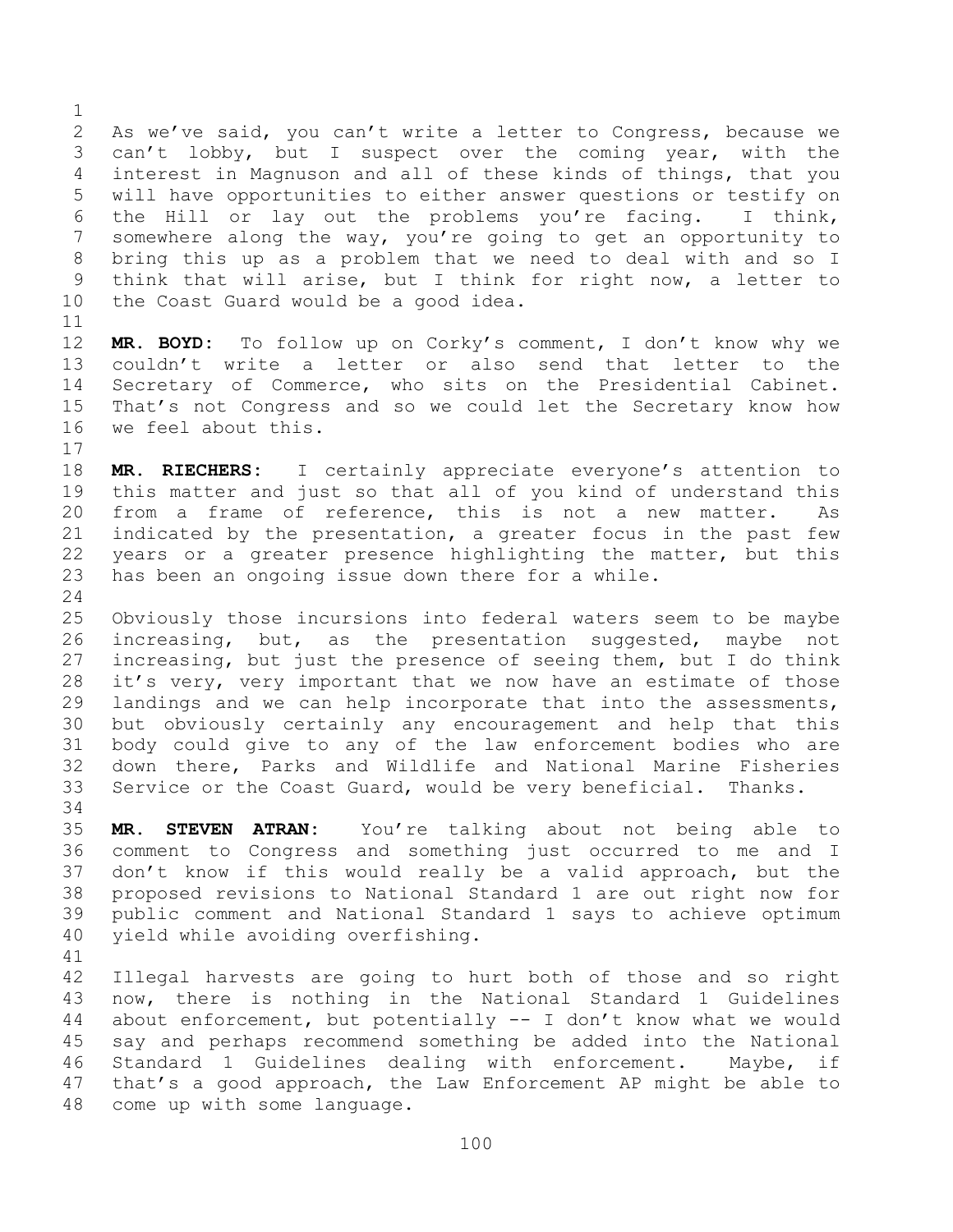As we've said, you can't write a letter to Congress, because we can't lobby, but I suspect over the coming year, with the interest in Magnuson and all of these kinds of things, that you will have opportunities to either answer questions or testify on the Hill or lay out the problems you're facing. I think, somewhere along the way, you're going to get an opportunity to bring this up as a problem that we need to deal with and so I think that will arise, but I think for right now, a letter to the Coast Guard would be a good idea.

 **MR. BOYD:** To follow up on Corky's comment, I don't know why we couldn't write a letter or also send that letter to the Secretary of Commerce, who sits on the Presidential Cabinet. That's not Congress and so we could let the Secretary know how we feel about this.

 **MR. RIECHERS:** I certainly appreciate everyone's attention to this matter and just so that all of you kind of understand this from a frame of reference, this is not a new matter. As indicated by the presentation, a greater focus in the past few years or a greater presence highlighting the matter, but this has been an ongoing issue down there for a while.

 Obviously those incursions into federal waters seem to be maybe increasing, but, as the presentation suggested, maybe not increasing, but just the presence of seeing them, but I do think it's very, very important that we now have an estimate of those landings and we can help incorporate that into the assessments, but obviously certainly any encouragement and help that this body could give to any of the law enforcement bodies who are down there, Parks and Wildlife and National Marine Fisheries Service or the Coast Guard, would be very beneficial. Thanks.

 **MR. STEVEN ATRAN:** You're talking about not being able to comment to Congress and something just occurred to me and I don't know if this would really be a valid approach, but the proposed revisions to National Standard 1 are out right now for public comment and National Standard 1 says to achieve optimum yield while avoiding overfishing.

 Illegal harvests are going to hurt both of those and so right now, there is nothing in the National Standard 1 Guidelines about enforcement, but potentially -- I don't know what we would say and perhaps recommend something be added into the National Standard 1 Guidelines dealing with enforcement. Maybe, if that's a good approach, the Law Enforcement AP might be able to come up with some language.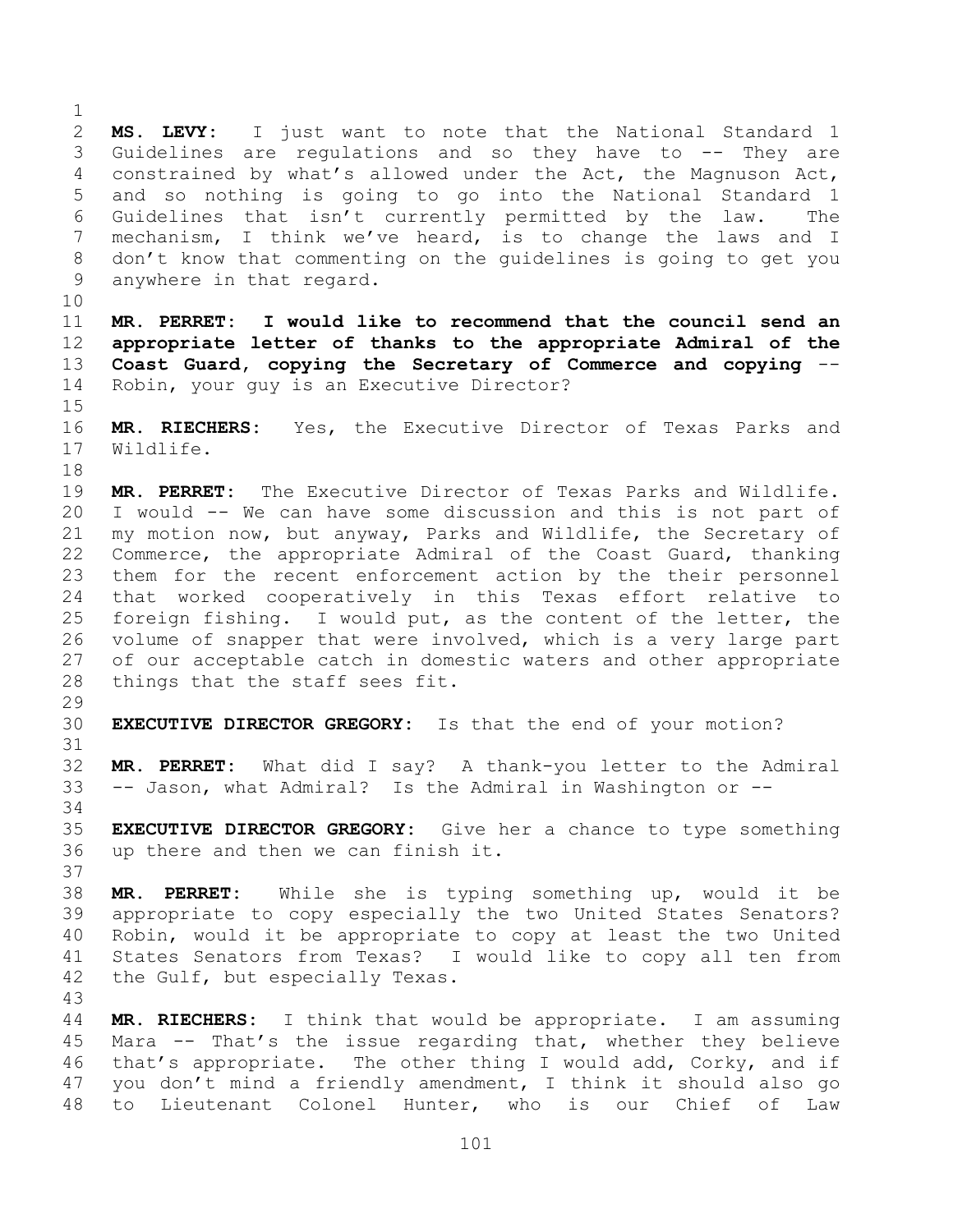**MS. LEVY:** I just want to note that the National Standard 1 Guidelines are regulations and so they have to -- They are constrained by what's allowed under the Act, the Magnuson Act, and so nothing is going to go into the National Standard 1 Guidelines that isn't currently permitted by the law. The mechanism, I think we've heard, is to change the laws and I don't know that commenting on the guidelines is going to get you anywhere in that regard. **MR. PERRET: I would like to recommend that the council send an appropriate letter of thanks to the appropriate Admiral of the Coast Guard, copying the Secretary of Commerce and copying** -- Robin, your guy is an Executive Director? **MR. RIECHERS:** Yes, the Executive Director of Texas Parks and Wildlife. **MR. PERRET:** The Executive Director of Texas Parks and Wildlife. I would -- We can have some discussion and this is not part of my motion now, but anyway, Parks and Wildlife, the Secretary of Commerce, the appropriate Admiral of the Coast Guard, thanking them for the recent enforcement action by the their personnel that worked cooperatively in this Texas effort relative to foreign fishing. I would put, as the content of the letter, the volume of snapper that were involved, which is a very large part of our acceptable catch in domestic waters and other appropriate things that the staff sees fit. **EXECUTIVE DIRECTOR GREGORY:** Is that the end of your motion? **MR. PERRET:** What did I say? A thank-you letter to the Admiral -- Jason, what Admiral? Is the Admiral in Washington or -- **EXECUTIVE DIRECTOR GREGORY:** Give her a chance to type something up there and then we can finish it. **MR. PERRET:** While she is typing something up, would it be appropriate to copy especially the two United States Senators? Robin, would it be appropriate to copy at least the two United States Senators from Texas? I would like to copy all ten from the Gulf, but especially Texas. **MR. RIECHERS:** I think that would be appropriate. I am assuming Mara -- That's the issue regarding that, whether they believe that's appropriate. The other thing I would add, Corky, and if you don't mind a friendly amendment, I think it should also go

to Lieutenant Colonel Hunter, who is our Chief of Law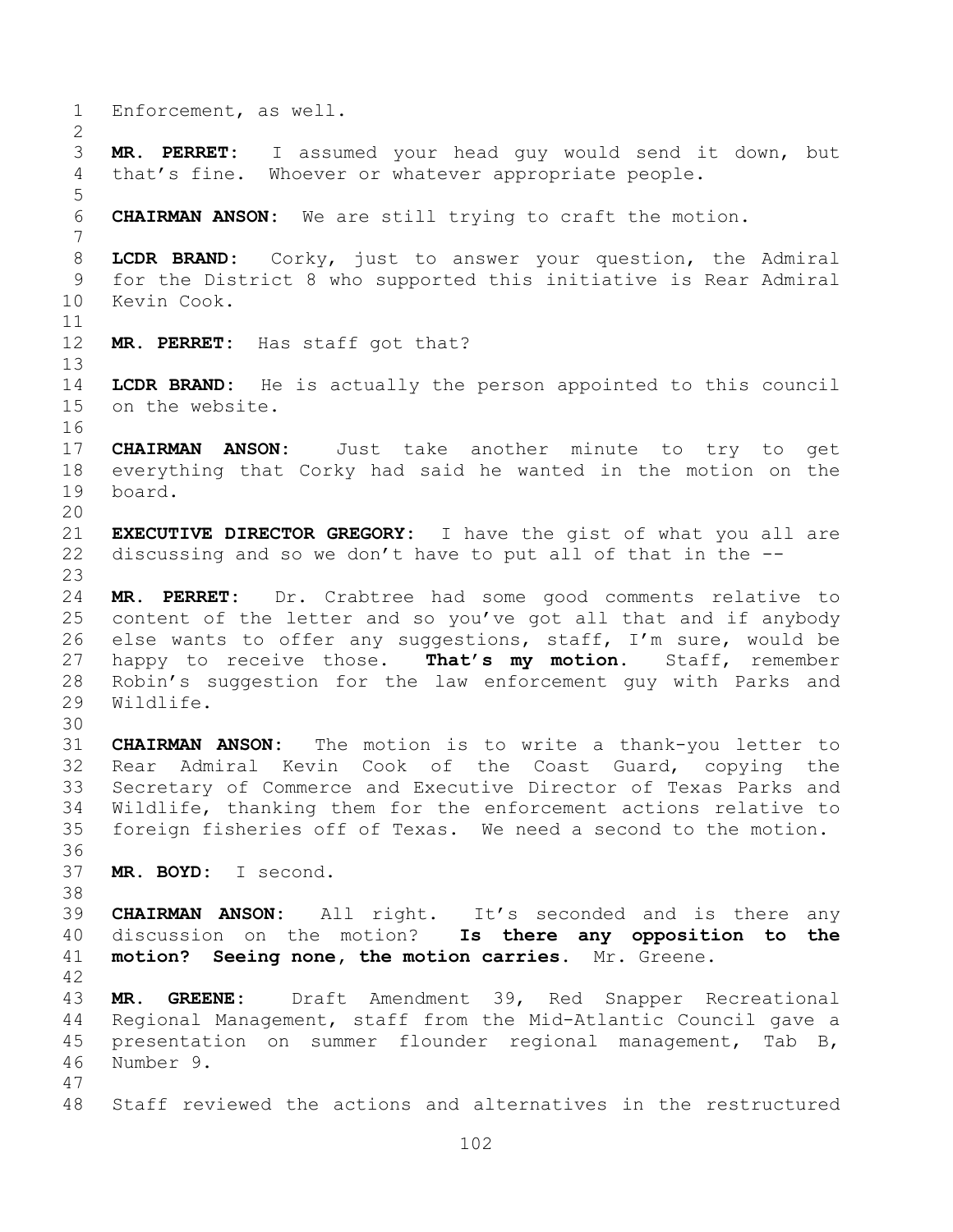Enforcement, as well. **MR. PERRET:** I assumed your head guy would send it down, but that's fine. Whoever or whatever appropriate people. **CHAIRMAN ANSON:** We are still trying to craft the motion. **LCDR BRAND:** Corky, just to answer your question, the Admiral for the District 8 who supported this initiative is Rear Admiral Kevin Cook. **MR. PERRET:** Has staff got that? **LCDR BRAND:** He is actually the person appointed to this council on the website. **CHAIRMAN ANSON:** Just take another minute to try to get everything that Corky had said he wanted in the motion on the board. **EXECUTIVE DIRECTOR GREGORY:** I have the gist of what you all are discussing and so we don't have to put all of that in the -- **MR. PERRET:** Dr. Crabtree had some good comments relative to content of the letter and so you've got all that and if anybody else wants to offer any suggestions, staff, I'm sure, would be happy to receive those. **That's my motion.** Staff, remember Robin's suggestion for the law enforcement guy with Parks and Wildlife. **CHAIRMAN ANSON:** The motion is to write a thank-you letter to Rear Admiral Kevin Cook of the Coast Guard, copying the Secretary of Commerce and Executive Director of Texas Parks and Wildlife, thanking them for the enforcement actions relative to foreign fisheries off of Texas. We need a second to the motion. **MR. BOYD:** I second. **CHAIRMAN ANSON:** All right. It's seconded and is there any discussion on the motion? **Is there any opposition to the motion? Seeing none, the motion carries.** Mr. Greene. **MR. GREENE:** Draft Amendment 39, Red Snapper Recreational Regional Management, staff from the Mid-Atlantic Council gave a presentation on summer flounder regional management, Tab B, Number 9. Staff reviewed the actions and alternatives in the restructured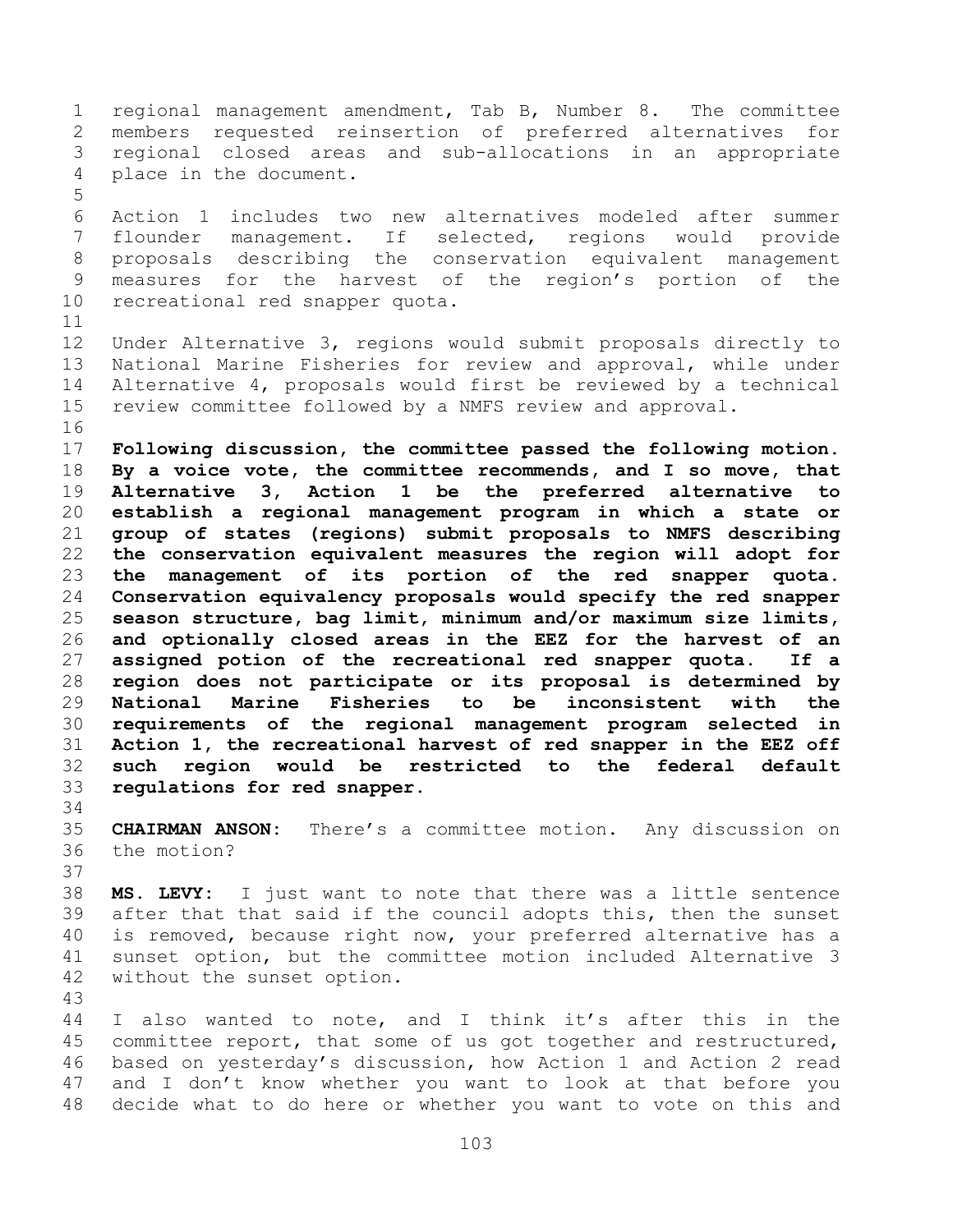regional management amendment, Tab B, Number 8. The committee members requested reinsertion of preferred alternatives for regional closed areas and sub-allocations in an appropriate place in the document.

 Action 1 includes two new alternatives modeled after summer flounder management. If selected, regions would provide proposals describing the conservation equivalent management measures for the harvest of the region's portion of the recreational red snapper quota.

 Under Alternative 3, regions would submit proposals directly to National Marine Fisheries for review and approval, while under Alternative 4, proposals would first be reviewed by a technical review committee followed by a NMFS review and approval. 

 **Following discussion, the committee passed the following motion. By a voice vote, the committee recommends, and I so move, that Alternative 3, Action 1 be the preferred alternative to establish a regional management program in which a state or group of states (regions) submit proposals to NMFS describing the conservation equivalent measures the region will adopt for the management of its portion of the red snapper quota. Conservation equivalency proposals would specify the red snapper season structure, bag limit, minimum and/or maximum size limits, and optionally closed areas in the EEZ for the harvest of an assigned potion of the recreational red snapper quota. If a region does not participate or its proposal is determined by National Marine Fisheries to be inconsistent with the requirements of the regional management program selected in Action 1, the recreational harvest of red snapper in the EEZ off such region would be restricted to the federal default regulations for red snapper.**

 **CHAIRMAN ANSON:** There's a committee motion. Any discussion on the motion?

 **MS. LEVY:** I just want to note that there was a little sentence after that that said if the council adopts this, then the sunset is removed, because right now, your preferred alternative has a sunset option, but the committee motion included Alternative 3 without the sunset option.

 I also wanted to note, and I think it's after this in the committee report, that some of us got together and restructured, based on yesterday's discussion, how Action 1 and Action 2 read and I don't know whether you want to look at that before you decide what to do here or whether you want to vote on this and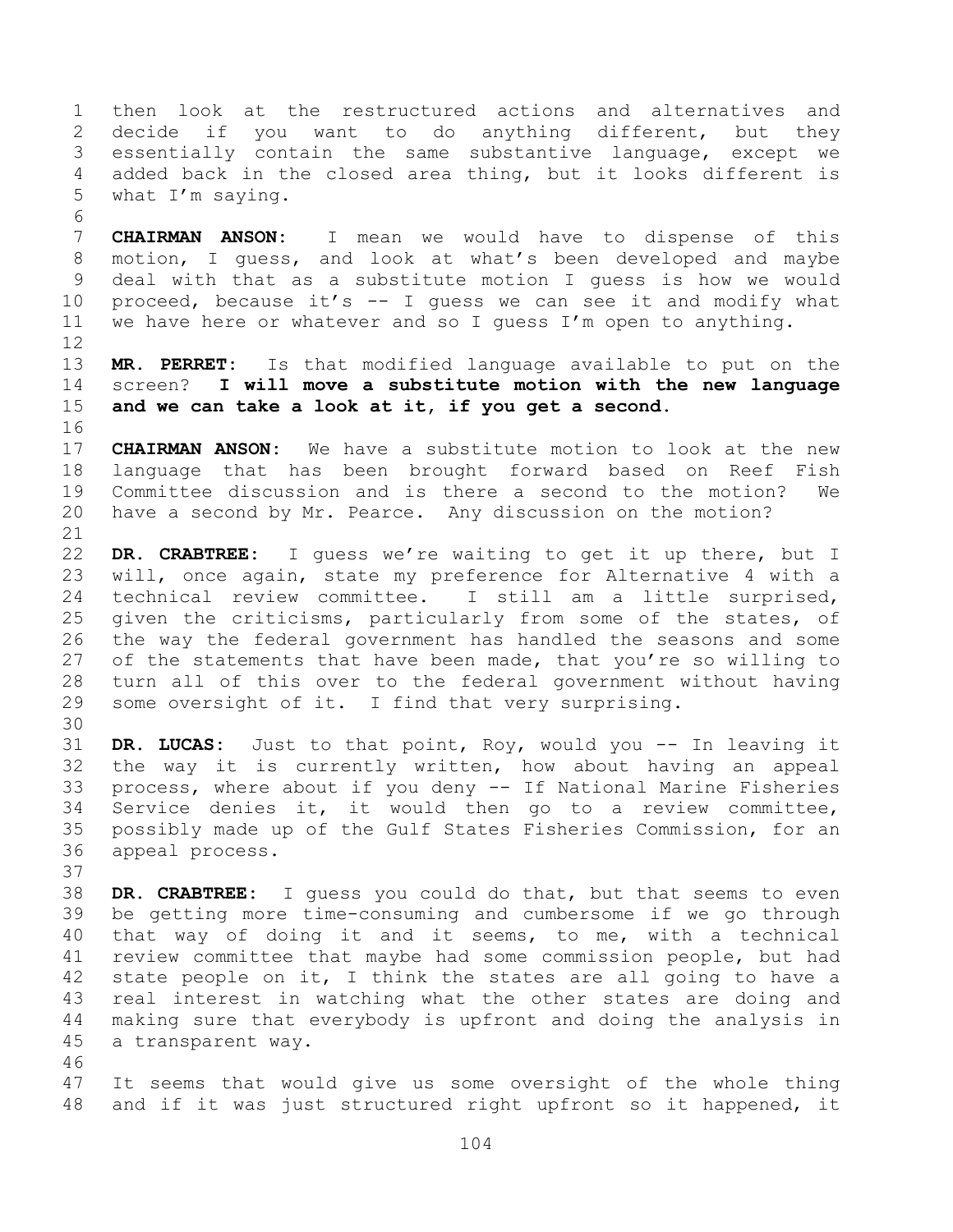then look at the restructured actions and alternatives and decide if you want to do anything different, but they essentially contain the same substantive language, except we added back in the closed area thing, but it looks different is what I'm saying.

 **CHAIRMAN ANSON:** I mean we would have to dispense of this motion, I guess, and look at what's been developed and maybe deal with that as a substitute motion I guess is how we would proceed, because it's -- I guess we can see it and modify what we have here or whatever and so I guess I'm open to anything.

 **MR. PERRET:** Is that modified language available to put on the screen? **I will move a substitute motion with the new language and we can take a look at it, if you get a second.**

 **CHAIRMAN ANSON:** We have a substitute motion to look at the new language that has been brought forward based on Reef Fish Committee discussion and is there a second to the motion? We have a second by Mr. Pearce. Any discussion on the motion?

 **DR. CRABTREE:** I guess we're waiting to get it up there, but I will, once again, state my preference for Alternative 4 with a technical review committee. I still am a little surprised, given the criticisms, particularly from some of the states, of the way the federal government has handled the seasons and some 27 of the statements that have been made, that you're so willing to turn all of this over to the federal government without having some oversight of it. I find that very surprising.

 **DR. LUCAS:** Just to that point, Roy, would you -- In leaving it the way it is currently written, how about having an appeal process, where about if you deny -- If National Marine Fisheries Service denies it, it would then go to a review committee, possibly made up of the Gulf States Fisheries Commission, for an appeal process.

 **DR. CRABTREE:** I guess you could do that, but that seems to even be getting more time-consuming and cumbersome if we go through that way of doing it and it seems, to me, with a technical review committee that maybe had some commission people, but had state people on it, I think the states are all going to have a real interest in watching what the other states are doing and making sure that everybody is upfront and doing the analysis in a transparent way. 

 It seems that would give us some oversight of the whole thing and if it was just structured right upfront so it happened, it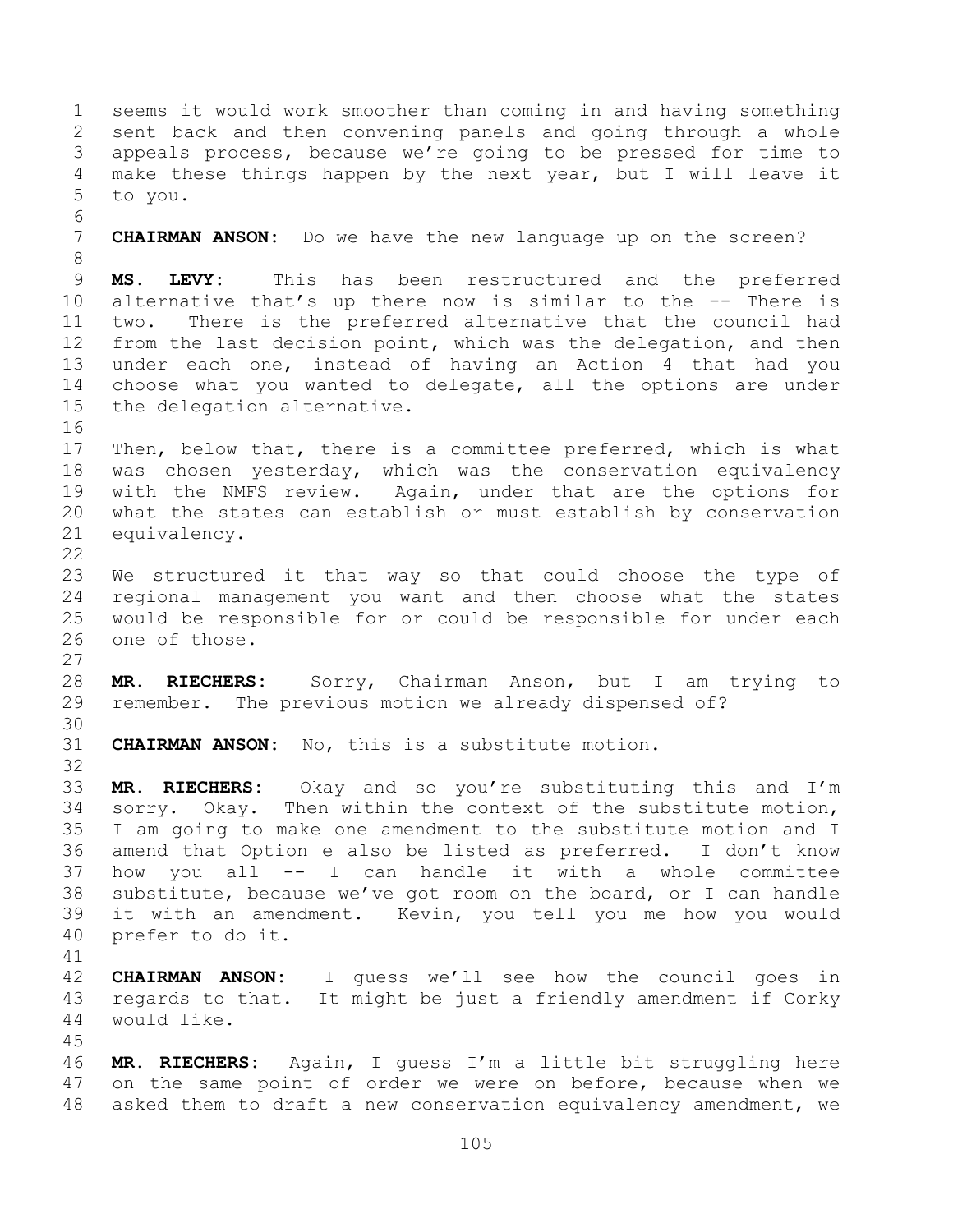seems it would work smoother than coming in and having something sent back and then convening panels and going through a whole appeals process, because we're going to be pressed for time to make these things happen by the next year, but I will leave it to you. 

 **CHAIRMAN ANSON:** Do we have the new language up on the screen? 

 **MS. LEVY:** This has been restructured and the preferred alternative that's up there now is similar to the -- There is two. There is the preferred alternative that the council had from the last decision point, which was the delegation, and then under each one, instead of having an Action 4 that had you choose what you wanted to delegate, all the options are under the delegation alternative.

 Then, below that, there is a committee preferred, which is what was chosen yesterday, which was the conservation equivalency with the NMFS review. Again, under that are the options for what the states can establish or must establish by conservation equivalency.

 We structured it that way so that could choose the type of regional management you want and then choose what the states would be responsible for or could be responsible for under each one of those.

 **MR. RIECHERS:** Sorry, Chairman Anson, but I am trying to remember. The previous motion we already dispensed of? 

**CHAIRMAN ANSON:** No, this is a substitute motion.

 **MR. RIECHERS:** Okay and so you're substituting this and I'm sorry. Okay. Then within the context of the substitute motion, I am going to make one amendment to the substitute motion and I amend that Option e also be listed as preferred. I don't know how you all -- I can handle it with a whole committee substitute, because we've got room on the board, or I can handle it with an amendment. Kevin, you tell you me how you would prefer to do it.

 **CHAIRMAN ANSON:** I guess we'll see how the council goes in regards to that. It might be just a friendly amendment if Corky would like.

 **MR. RIECHERS:** Again, I guess I'm a little bit struggling here on the same point of order we were on before, because when we asked them to draft a new conservation equivalency amendment, we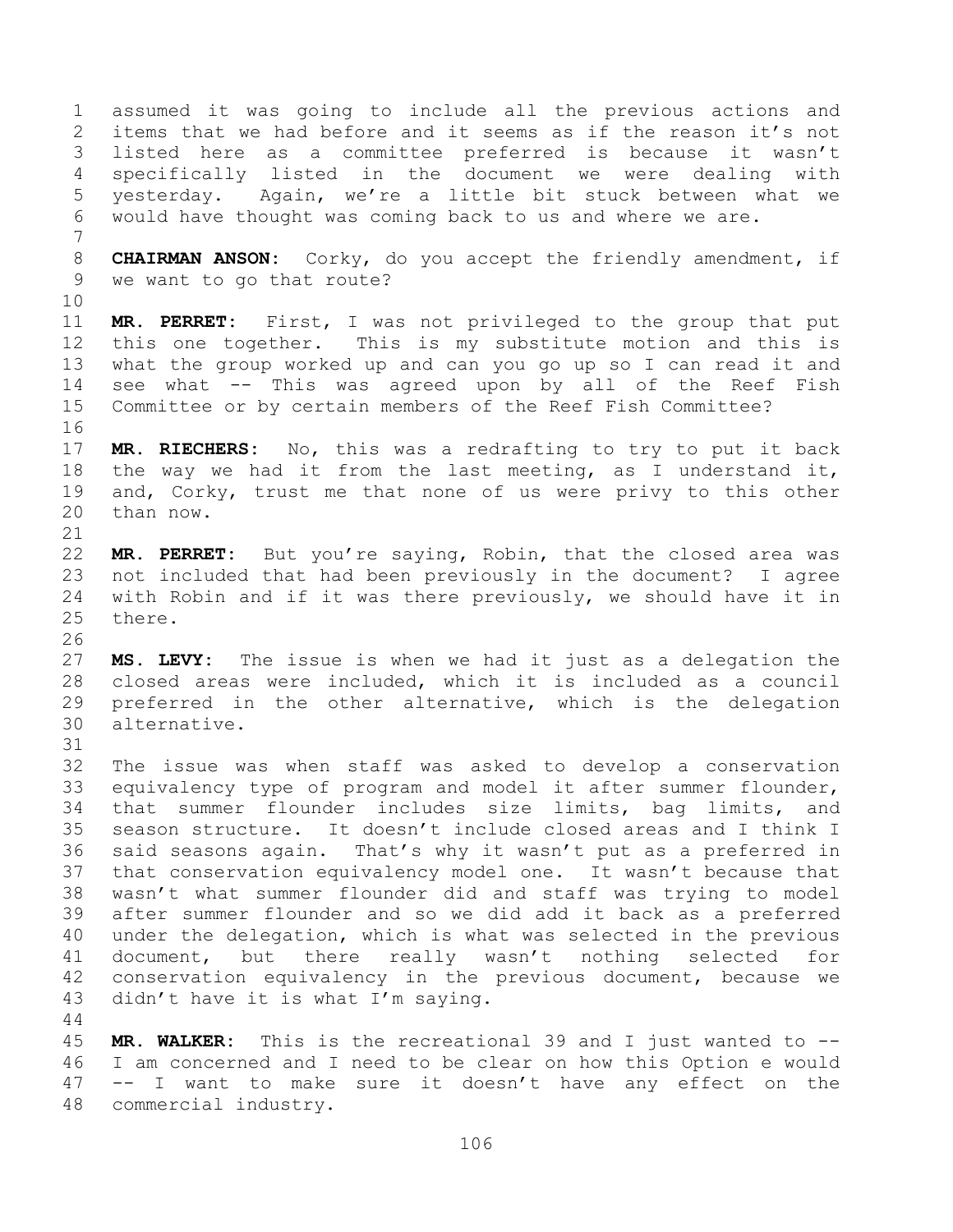assumed it was going to include all the previous actions and items that we had before and it seems as if the reason it's not listed here as a committee preferred is because it wasn't specifically listed in the document we were dealing with yesterday. Again, we're a little bit stuck between what we would have thought was coming back to us and where we are. **CHAIRMAN ANSON:** Corky, do you accept the friendly amendment, if we want to go that route? **MR. PERRET:** First, I was not privileged to the group that put this one together. This is my substitute motion and this is what the group worked up and can you go up so I can read it and see what -- This was agreed upon by all of the Reef Fish Committee or by certain members of the Reef Fish Committee? **MR. RIECHERS:** No, this was a redrafting to try to put it back the way we had it from the last meeting, as I understand it, and, Corky, trust me that none of us were privy to this other than now. **MR. PERRET:** But you're saying, Robin, that the closed area was not included that had been previously in the document? I agree with Robin and if it was there previously, we should have it in there. **MS. LEVY:** The issue is when we had it just as a delegation the closed areas were included, which it is included as a council preferred in the other alternative, which is the delegation alternative. The issue was when staff was asked to develop a conservation equivalency type of program and model it after summer flounder, that summer flounder includes size limits, bag limits, and season structure. It doesn't include closed areas and I think I said seasons again. That's why it wasn't put as a preferred in that conservation equivalency model one. It wasn't because that wasn't what summer flounder did and staff was trying to model after summer flounder and so we did add it back as a preferred under the delegation, which is what was selected in the previous document, but there really wasn't nothing selected for conservation equivalency in the previous document, because we didn't have it is what I'm saying. **MR. WALKER:** This is the recreational 39 and I just wanted to --

 I am concerned and I need to be clear on how this Option e would -- I want to make sure it doesn't have any effect on the commercial industry.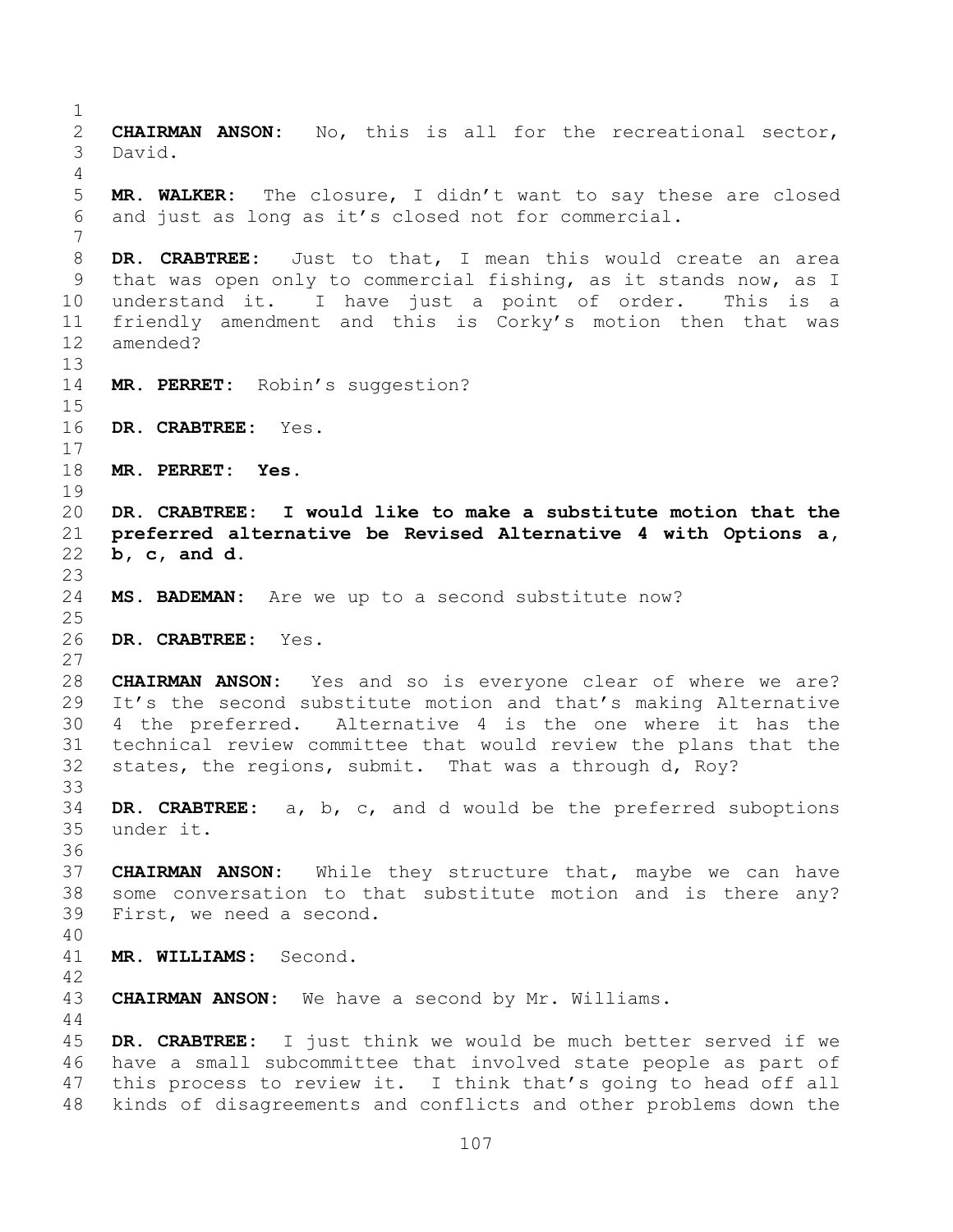**CHAIRMAN ANSON:** No, this is all for the recreational sector, David. **MR. WALKER:** The closure, I didn't want to say these are closed and just as long as it's closed not for commercial. **DR. CRABTREE:** Just to that, I mean this would create an area that was open only to commercial fishing, as it stands now, as I understand it. I have just a point of order. This is a friendly amendment and this is Corky's motion then that was amended? **MR. PERRET:** Robin's suggestion? **DR. CRABTREE:** Yes. **MR. PERRET: Yes. DR. CRABTREE: I would like to make a substitute motion that the preferred alternative be Revised Alternative 4 with Options a, b, c, and d. MS. BADEMAN:** Are we up to a second substitute now? **DR. CRABTREE:** Yes. **CHAIRMAN ANSON:** Yes and so is everyone clear of where we are? It's the second substitute motion and that's making Alternative 4 the preferred. Alternative 4 is the one where it has the technical review committee that would review the plans that the states, the regions, submit. That was a through d, Roy? **DR. CRABTREE:** a, b, c, and d would be the preferred suboptions under it. **CHAIRMAN ANSON:** While they structure that, maybe we can have some conversation to that substitute motion and is there any? First, we need a second. **MR. WILLIAMS:** Second. **CHAIRMAN ANSON:** We have a second by Mr. Williams. **DR. CRABTREE:** I just think we would be much better served if we have a small subcommittee that involved state people as part of this process to review it. I think that's going to head off all kinds of disagreements and conflicts and other problems down the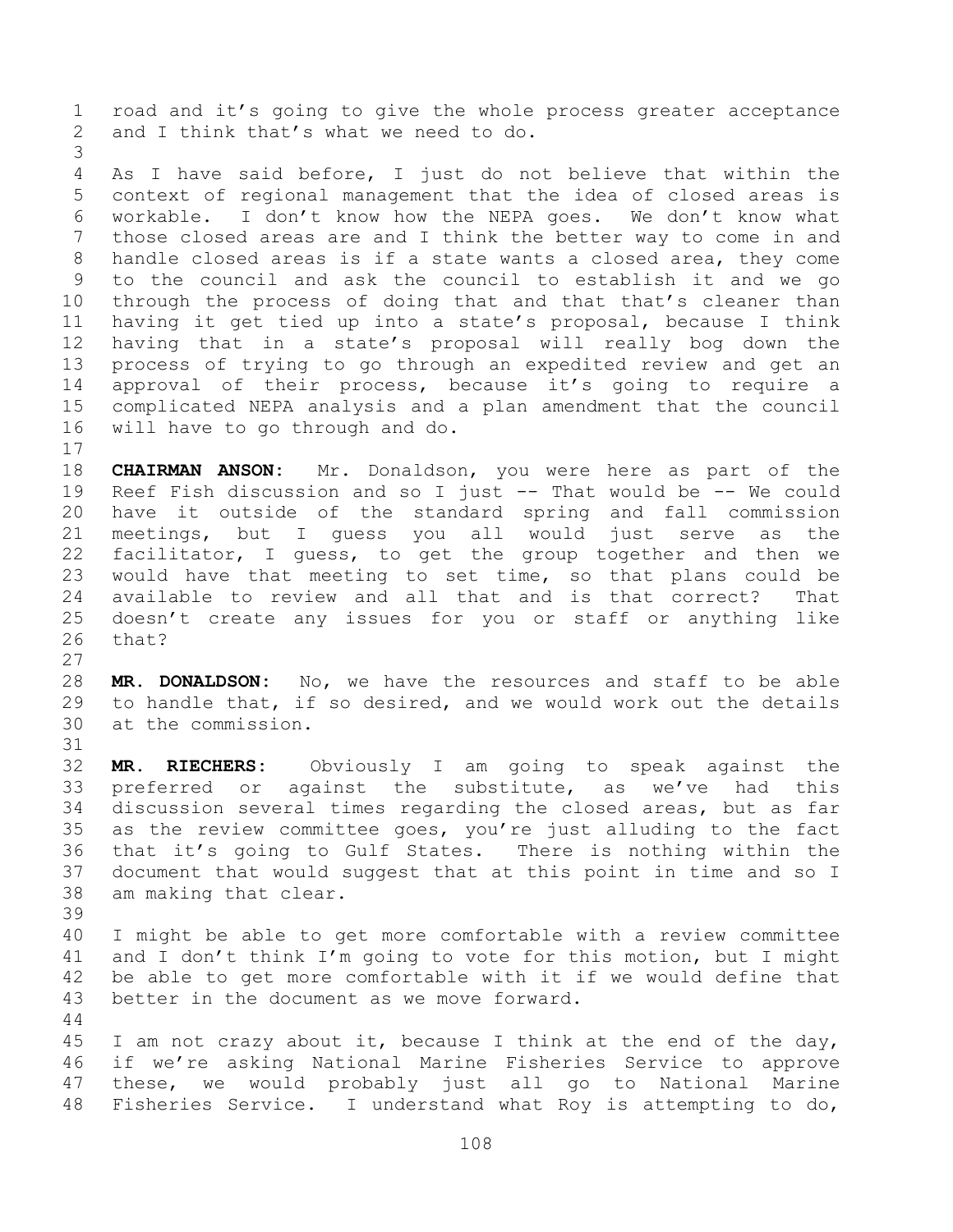road and it's going to give the whole process greater acceptance and I think that's what we need to do.

 As I have said before, I just do not believe that within the context of regional management that the idea of closed areas is workable. I don't know how the NEPA goes. We don't know what those closed areas are and I think the better way to come in and handle closed areas is if a state wants a closed area, they come to the council and ask the council to establish it and we go through the process of doing that and that that's cleaner than having it get tied up into a state's proposal, because I think having that in a state's proposal will really bog down the process of trying to go through an expedited review and get an approval of their process, because it's going to require a complicated NEPA analysis and a plan amendment that the council will have to go through and do.

 **CHAIRMAN ANSON:** Mr. Donaldson, you were here as part of the Reef Fish discussion and so I just -- That would be -- We could have it outside of the standard spring and fall commission meetings, but I guess you all would just serve as the facilitator, I guess, to get the group together and then we would have that meeting to set time, so that plans could be available to review and all that and is that correct? That doesn't create any issues for you or staff or anything like that?

 **MR. DONALDSON:** No, we have the resources and staff to be able to handle that, if so desired, and we would work out the details at the commission.

 **MR. RIECHERS:** Obviously I am going to speak against the preferred or against the substitute, as we've had this discussion several times regarding the closed areas, but as far as the review committee goes, you're just alluding to the fact that it's going to Gulf States. There is nothing within the document that would suggest that at this point in time and so I am making that clear.

 I might be able to get more comfortable with a review committee and I don't think I'm going to vote for this motion, but I might be able to get more comfortable with it if we would define that better in the document as we move forward.

 I am not crazy about it, because I think at the end of the day, if we're asking National Marine Fisheries Service to approve these, we would probably just all go to National Marine Fisheries Service. I understand what Roy is attempting to do,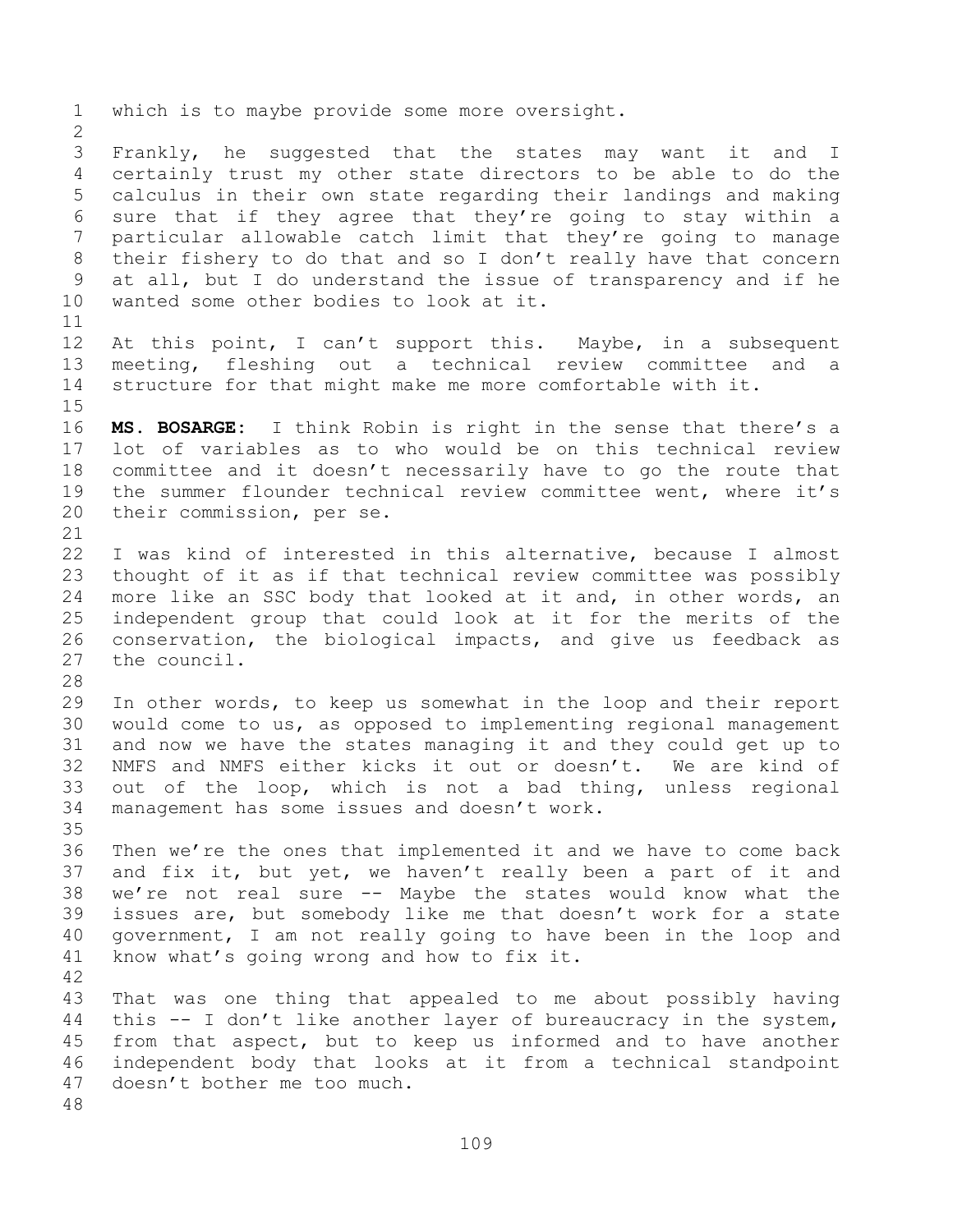which is to maybe provide some more oversight. Frankly, he suggested that the states may want it and I certainly trust my other state directors to be able to do the calculus in their own state regarding their landings and making sure that if they agree that they're going to stay within a particular allowable catch limit that they're going to manage their fishery to do that and so I don't really have that concern at all, but I do understand the issue of transparency and if he wanted some other bodies to look at it. 12 At this point, I can't support this. Maybe, in a subsequent meeting, fleshing out a technical review committee and a structure for that might make me more comfortable with it. **MS. BOSARGE:** I think Robin is right in the sense that there's a lot of variables as to who would be on this technical review committee and it doesn't necessarily have to go the route that the summer flounder technical review committee went, where it's their commission, per se. I was kind of interested in this alternative, because I almost thought of it as if that technical review committee was possibly more like an SSC body that looked at it and, in other words, an independent group that could look at it for the merits of the conservation, the biological impacts, and give us feedback as the council. In other words, to keep us somewhat in the loop and their report would come to us, as opposed to implementing regional management and now we have the states managing it and they could get up to NMFS and NMFS either kicks it out or doesn't. We are kind of out of the loop, which is not a bad thing, unless regional management has some issues and doesn't work. Then we're the ones that implemented it and we have to come back and fix it, but yet, we haven't really been a part of it and we're not real sure -- Maybe the states would know what the issues are, but somebody like me that doesn't work for a state government, I am not really going to have been in the loop and know what's going wrong and how to fix it. That was one thing that appealed to me about possibly having this -- I don't like another layer of bureaucracy in the system, from that aspect, but to keep us informed and to have another independent body that looks at it from a technical standpoint doesn't bother me too much.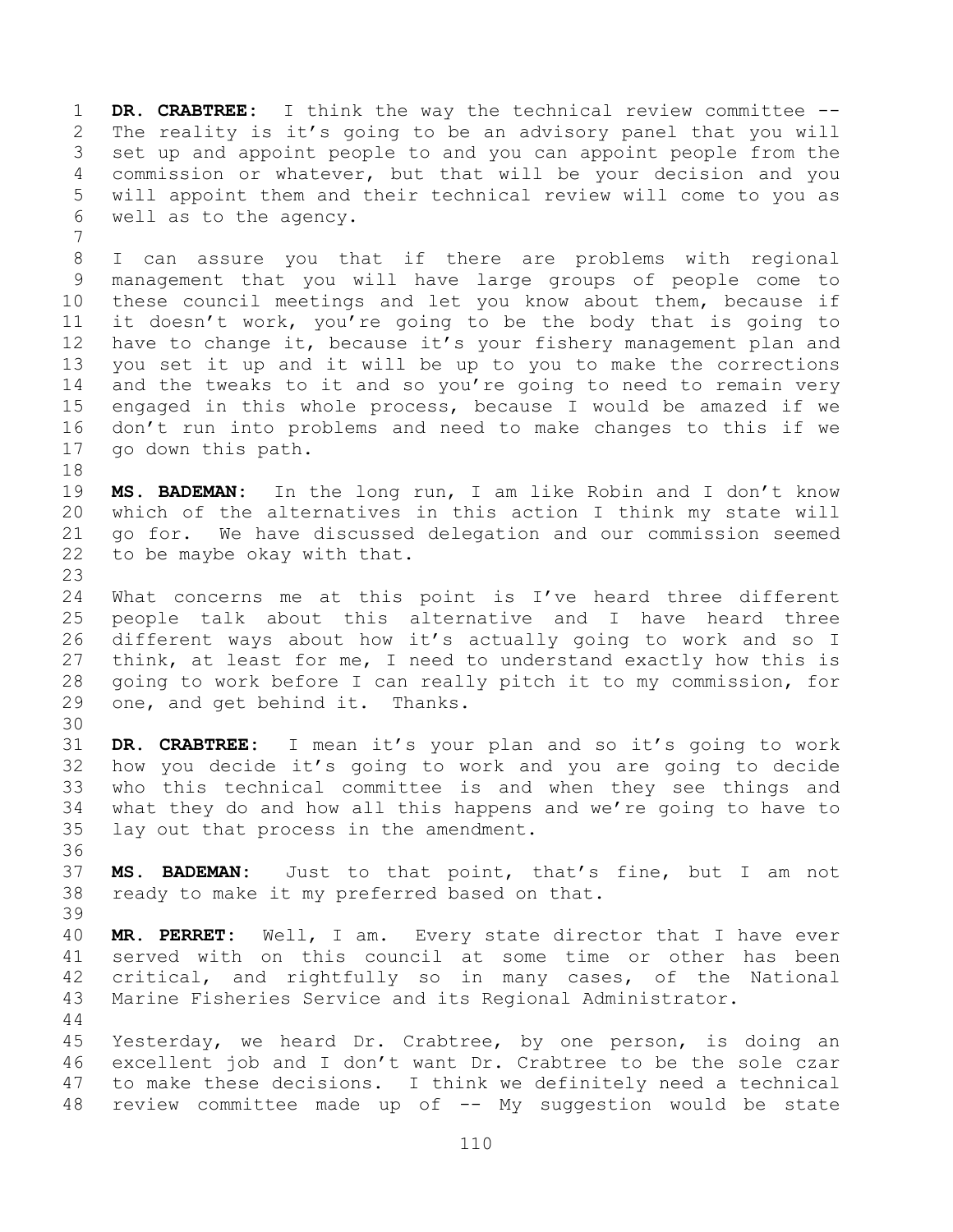**DR. CRABTREE:** I think the way the technical review committee -- The reality is it's going to be an advisory panel that you will set up and appoint people to and you can appoint people from the commission or whatever, but that will be your decision and you will appoint them and their technical review will come to you as well as to the agency. 

 I can assure you that if there are problems with regional management that you will have large groups of people come to these council meetings and let you know about them, because if it doesn't work, you're going to be the body that is going to have to change it, because it's your fishery management plan and you set it up and it will be up to you to make the corrections and the tweaks to it and so you're going to need to remain very engaged in this whole process, because I would be amazed if we don't run into problems and need to make changes to this if we go down this path.

 **MS. BADEMAN:** In the long run, I am like Robin and I don't know which of the alternatives in this action I think my state will go for. We have discussed delegation and our commission seemed to be maybe okay with that.

 What concerns me at this point is I've heard three different people talk about this alternative and I have heard three different ways about how it's actually going to work and so I think, at least for me, I need to understand exactly how this is going to work before I can really pitch it to my commission, for one, and get behind it. Thanks.

 **DR. CRABTREE:** I mean it's your plan and so it's going to work how you decide it's going to work and you are going to decide who this technical committee is and when they see things and what they do and how all this happens and we're going to have to lay out that process in the amendment.

 **MS. BADEMAN:** Just to that point, that's fine, but I am not ready to make it my preferred based on that. 

 **MR. PERRET:** Well, I am. Every state director that I have ever served with on this council at some time or other has been critical, and rightfully so in many cases, of the National Marine Fisheries Service and its Regional Administrator.

 Yesterday, we heard Dr. Crabtree, by one person, is doing an excellent job and I don't want Dr. Crabtree to be the sole czar to make these decisions. I think we definitely need a technical review committee made up of -- My suggestion would be state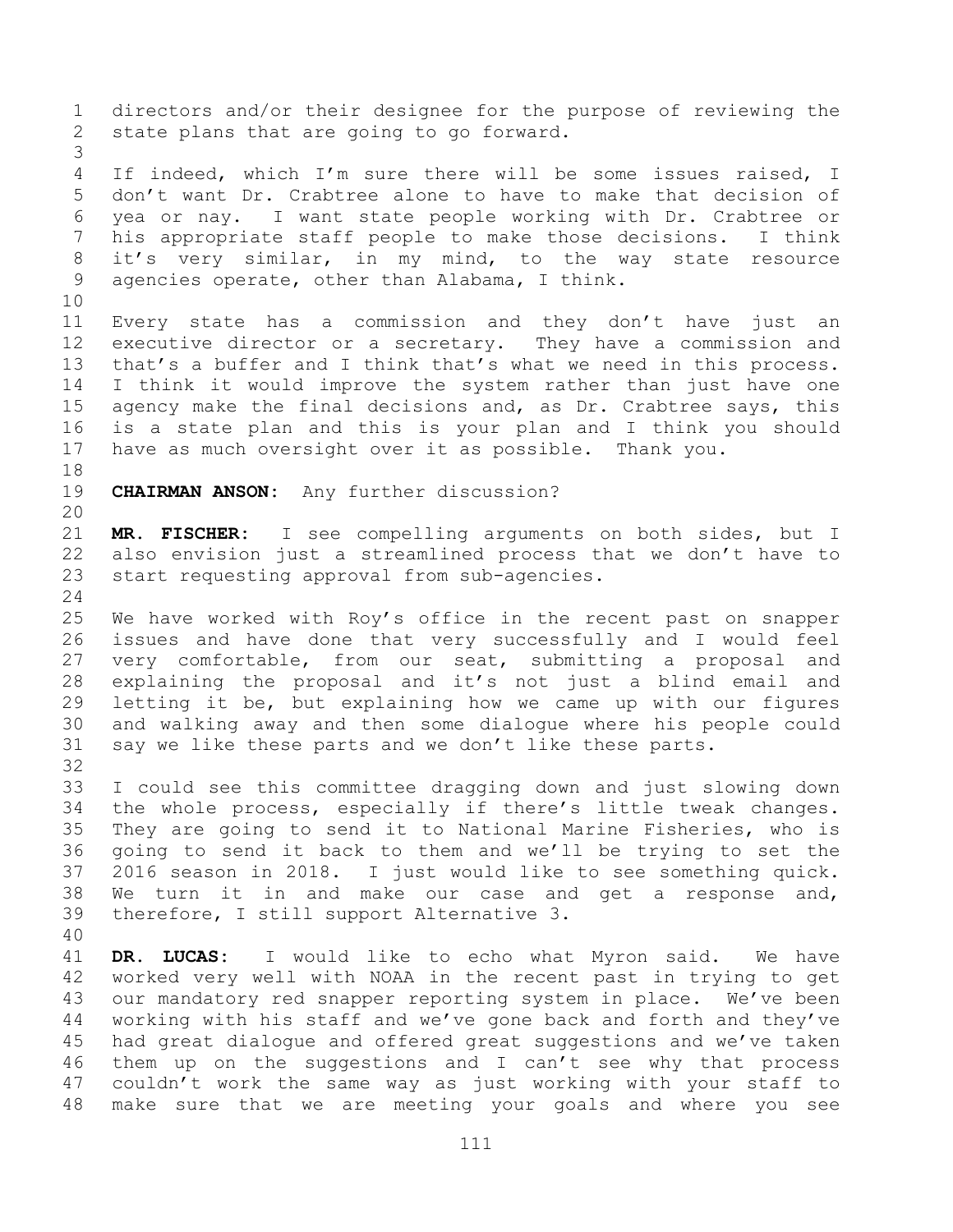directors and/or their designee for the purpose of reviewing the state plans that are going to go forward. If indeed, which I'm sure there will be some issues raised, I don't want Dr. Crabtree alone to have to make that decision of yea or nay. I want state people working with Dr. Crabtree or his appropriate staff people to make those decisions. I think it's very similar, in my mind, to the way state resource agencies operate, other than Alabama, I think. Every state has a commission and they don't have just an executive director or a secretary. They have a commission and that's a buffer and I think that's what we need in this process. I think it would improve the system rather than just have one agency make the final decisions and, as Dr. Crabtree says, this is a state plan and this is your plan and I think you should have as much oversight over it as possible. Thank you. **CHAIRMAN ANSON:** Any further discussion? **MR. FISCHER:** I see compelling arguments on both sides, but I also envision just a streamlined process that we don't have to start requesting approval from sub-agencies. We have worked with Roy's office in the recent past on snapper issues and have done that very successfully and I would feel very comfortable, from our seat, submitting a proposal and explaining the proposal and it's not just a blind email and letting it be, but explaining how we came up with our figures and walking away and then some dialogue where his people could say we like these parts and we don't like these parts. I could see this committee dragging down and just slowing down the whole process, especially if there's little tweak changes. They are going to send it to National Marine Fisheries, who is going to send it back to them and we'll be trying to set the 2016 season in 2018. I just would like to see something quick. We turn it in and make our case and get a response and, therefore, I still support Alternative 3. **DR. LUCAS:** I would like to echo what Myron said. We have worked very well with NOAA in the recent past in trying to get our mandatory red snapper reporting system in place. We've been working with his staff and we've gone back and forth and they've had great dialogue and offered great suggestions and we've taken them up on the suggestions and I can't see why that process couldn't work the same way as just working with your staff to make sure that we are meeting your goals and where you see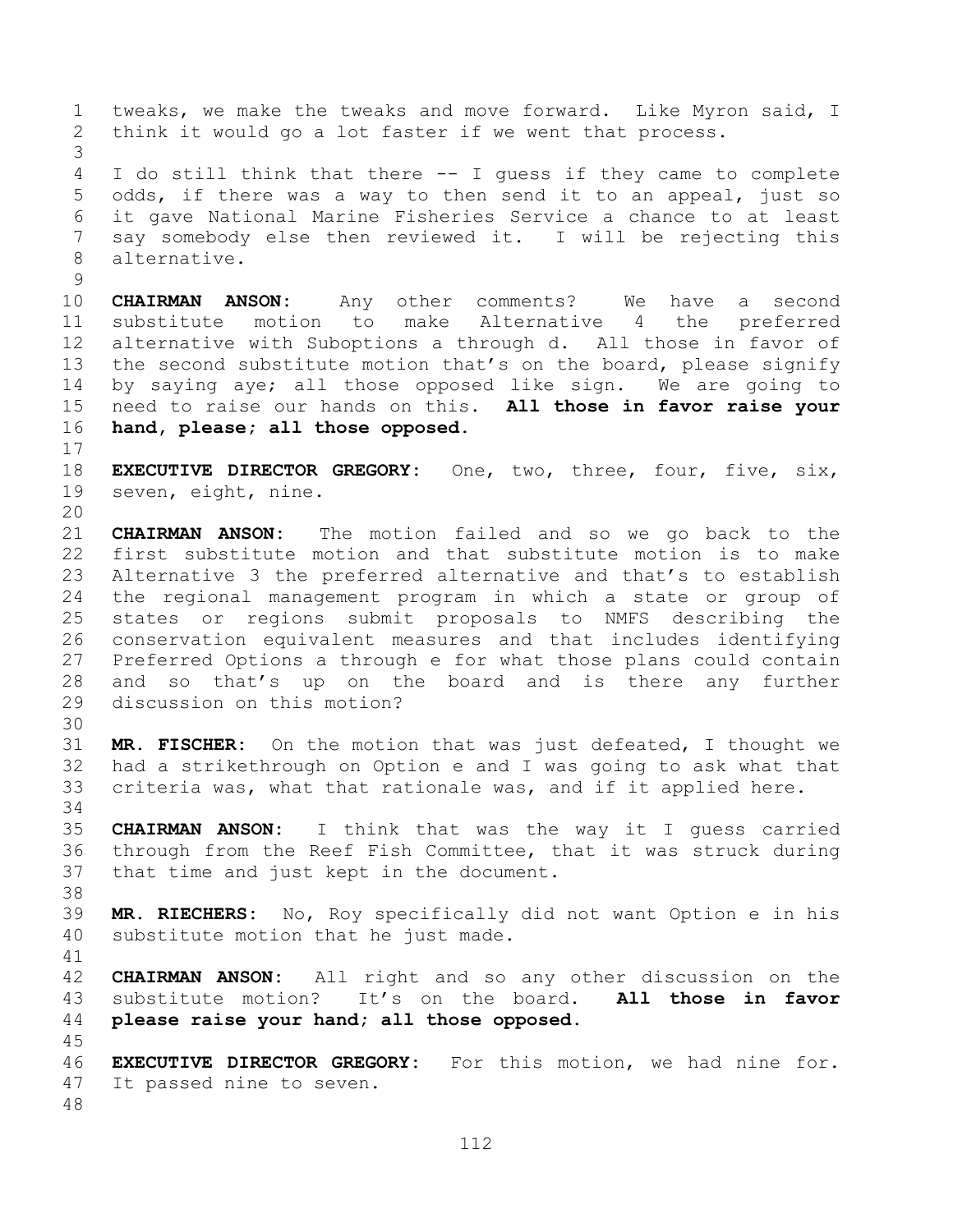tweaks, we make the tweaks and move forward. Like Myron said, I think it would go a lot faster if we went that process. I do still think that there -- I guess if they came to complete odds, if there was a way to then send it to an appeal, just so it gave National Marine Fisheries Service a chance to at least say somebody else then reviewed it. I will be rejecting this alternative. **CHAIRMAN ANSON:** Any other comments? We have a second substitute motion to make Alternative 4 the preferred alternative with Suboptions a through d. All those in favor of 13 the second substitute motion that's on the board, please signify by saying aye; all those opposed like sign. We are going to need to raise our hands on this. **All those in favor raise your hand, please; all those opposed. EXECUTIVE DIRECTOR GREGORY:** One, two, three, four, five, six, seven, eight, nine. **CHAIRMAN ANSON:** The motion failed and so we go back to the first substitute motion and that substitute motion is to make Alternative 3 the preferred alternative and that's to establish the regional management program in which a state or group of states or regions submit proposals to NMFS describing the conservation equivalent measures and that includes identifying Preferred Options a through e for what those plans could contain and so that's up on the board and is there any further discussion on this motion? **MR. FISCHER:** On the motion that was just defeated, I thought we had a strikethrough on Option e and I was going to ask what that criteria was, what that rationale was, and if it applied here. **CHAIRMAN ANSON:** I think that was the way it I guess carried through from the Reef Fish Committee, that it was struck during that time and just kept in the document. **MR. RIECHERS:** No, Roy specifically did not want Option e in his substitute motion that he just made. **CHAIRMAN ANSON:** All right and so any other discussion on the substitute motion? It's on the board. **All those in favor please raise your hand; all those opposed. EXECUTIVE DIRECTOR GREGORY:** For this motion, we had nine for. It passed nine to seven.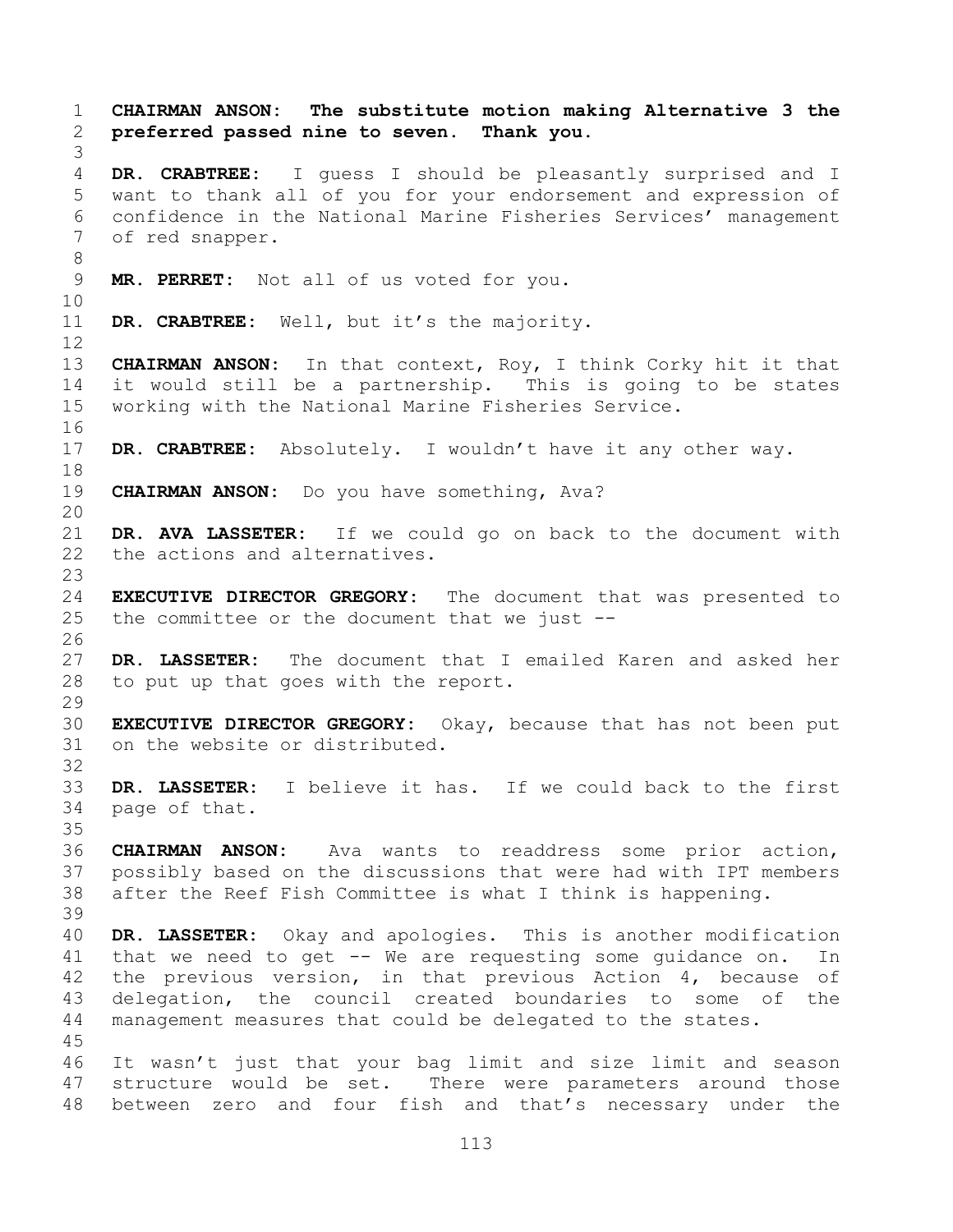**CHAIRMAN ANSON: The substitute motion making Alternative 3 the preferred passed nine to seven. Thank you. DR. CRABTREE:** I guess I should be pleasantly surprised and I want to thank all of you for your endorsement and expression of confidence in the National Marine Fisheries Services' management of red snapper. **MR. PERRET:** Not all of us voted for you. **DR. CRABTREE:** Well, but it's the majority. **CHAIRMAN ANSON:** In that context, Roy, I think Corky hit it that it would still be a partnership. This is going to be states working with the National Marine Fisheries Service. **DR. CRABTREE:** Absolutely. I wouldn't have it any other way. **CHAIRMAN ANSON:** Do you have something, Ava? **DR. AVA LASSETER:** If we could go on back to the document with the actions and alternatives. **EXECUTIVE DIRECTOR GREGORY:** The document that was presented to the committee or the document that we just -- **DR. LASSETER:** The document that I emailed Karen and asked her to put up that goes with the report. **EXECUTIVE DIRECTOR GREGORY:** Okay, because that has not been put on the website or distributed. **DR. LASSETER:** I believe it has. If we could back to the first page of that. **CHAIRMAN ANSON:** Ava wants to readdress some prior action, possibly based on the discussions that were had with IPT members after the Reef Fish Committee is what I think is happening. **DR. LASSETER:** Okay and apologies. This is another modification that we need to get -- We are requesting some guidance on. In the previous version, in that previous Action 4, because of delegation, the council created boundaries to some of the management measures that could be delegated to the states. It wasn't just that your bag limit and size limit and season structure would be set. There were parameters around those between zero and four fish and that's necessary under the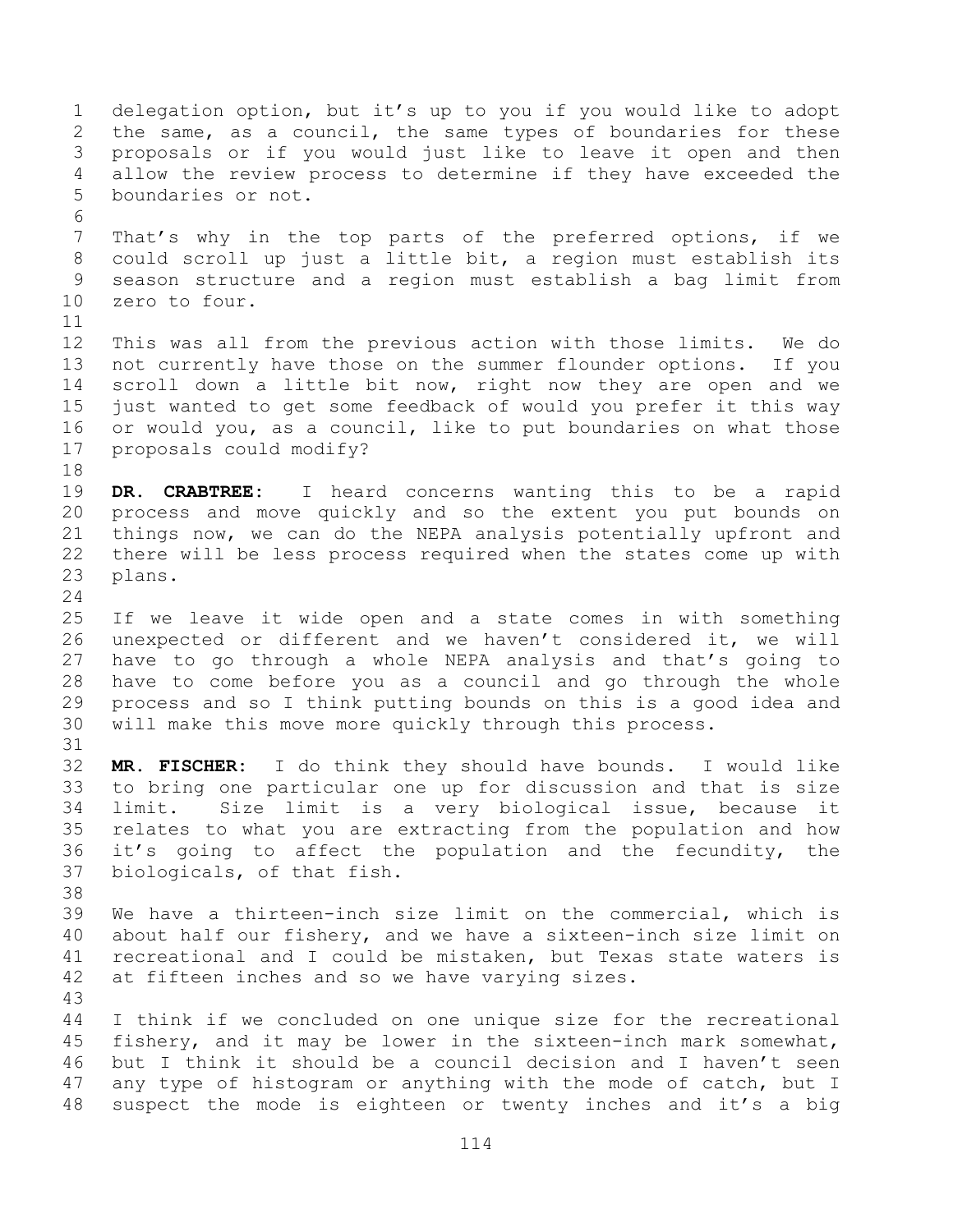delegation option, but it's up to you if you would like to adopt the same, as a council, the same types of boundaries for these proposals or if you would just like to leave it open and then allow the review process to determine if they have exceeded the boundaries or not. That's why in the top parts of the preferred options, if we could scroll up just a little bit, a region must establish its season structure and a region must establish a bag limit from zero to four. This was all from the previous action with those limits. We do not currently have those on the summer flounder options. If you scroll down a little bit now, right now they are open and we just wanted to get some feedback of would you prefer it this way or would you, as a council, like to put boundaries on what those proposals could modify? **DR. CRABTREE:** I heard concerns wanting this to be a rapid process and move quickly and so the extent you put bounds on things now, we can do the NEPA analysis potentially upfront and there will be less process required when the states come up with plans. If we leave it wide open and a state comes in with something unexpected or different and we haven't considered it, we will have to go through a whole NEPA analysis and that's going to have to come before you as a council and go through the whole process and so I think putting bounds on this is a good idea and will make this move more quickly through this process. **MR. FISCHER:** I do think they should have bounds. I would like to bring one particular one up for discussion and that is size limit. Size limit is a very biological issue, because it relates to what you are extracting from the population and how it's going to affect the population and the fecundity, the biologicals, of that fish. We have a thirteen-inch size limit on the commercial, which is about half our fishery, and we have a sixteen-inch size limit on recreational and I could be mistaken, but Texas state waters is at fifteen inches and so we have varying sizes. I think if we concluded on one unique size for the recreational fishery, and it may be lower in the sixteen-inch mark somewhat, but I think it should be a council decision and I haven't seen any type of histogram or anything with the mode of catch, but I suspect the mode is eighteen or twenty inches and it's a big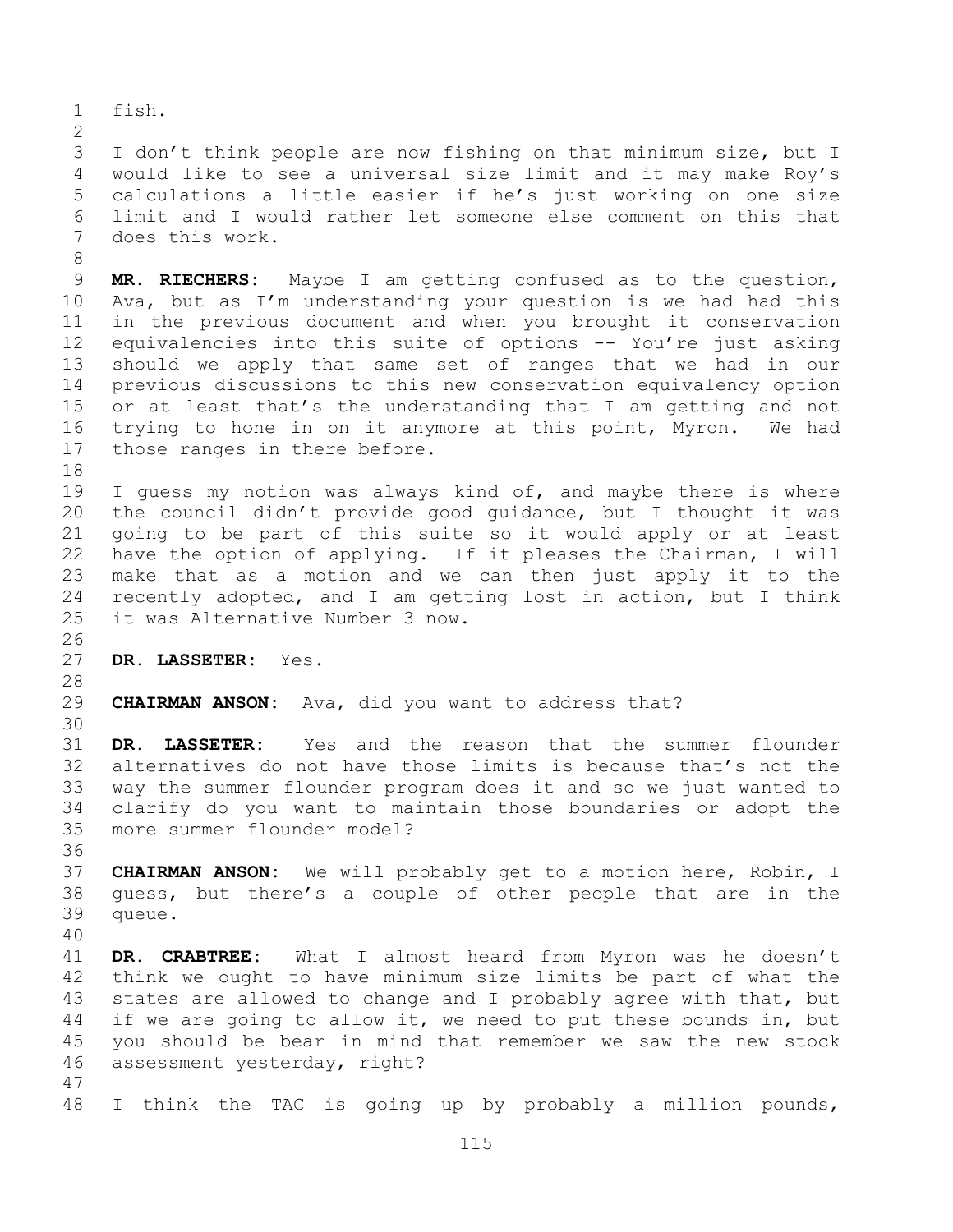fish.

 I don't think people are now fishing on that minimum size, but I would like to see a universal size limit and it may make Roy's calculations a little easier if he's just working on one size limit and I would rather let someone else comment on this that does this work.

 **MR. RIECHERS:** Maybe I am getting confused as to the question, Ava, but as I'm understanding your question is we had had this in the previous document and when you brought it conservation equivalencies into this suite of options -- You're just asking should we apply that same set of ranges that we had in our previous discussions to this new conservation equivalency option or at least that's the understanding that I am getting and not trying to hone in on it anymore at this point, Myron. We had those ranges in there before.

 I guess my notion was always kind of, and maybe there is where the council didn't provide good guidance, but I thought it was going to be part of this suite so it would apply or at least have the option of applying. If it pleases the Chairman, I will make that as a motion and we can then just apply it to the recently adopted, and I am getting lost in action, but I think it was Alternative Number 3 now.

- **DR. LASSETER:** Yes.
- **CHAIRMAN ANSON:** Ava, did you want to address that?

 **DR. LASSETER:** Yes and the reason that the summer flounder alternatives do not have those limits is because that's not the way the summer flounder program does it and so we just wanted to clarify do you want to maintain those boundaries or adopt the more summer flounder model?

- **CHAIRMAN ANSON:** We will probably get to a motion here, Robin, I guess, but there's a couple of other people that are in the queue.
- 

 **DR. CRABTREE:** What I almost heard from Myron was he doesn't think we ought to have minimum size limits be part of what the states are allowed to change and I probably agree with that, but 44 if we are going to allow it, we need to put these bounds in, but you should be bear in mind that remember we saw the new stock assessment yesterday, right? 

I think the TAC is going up by probably a million pounds,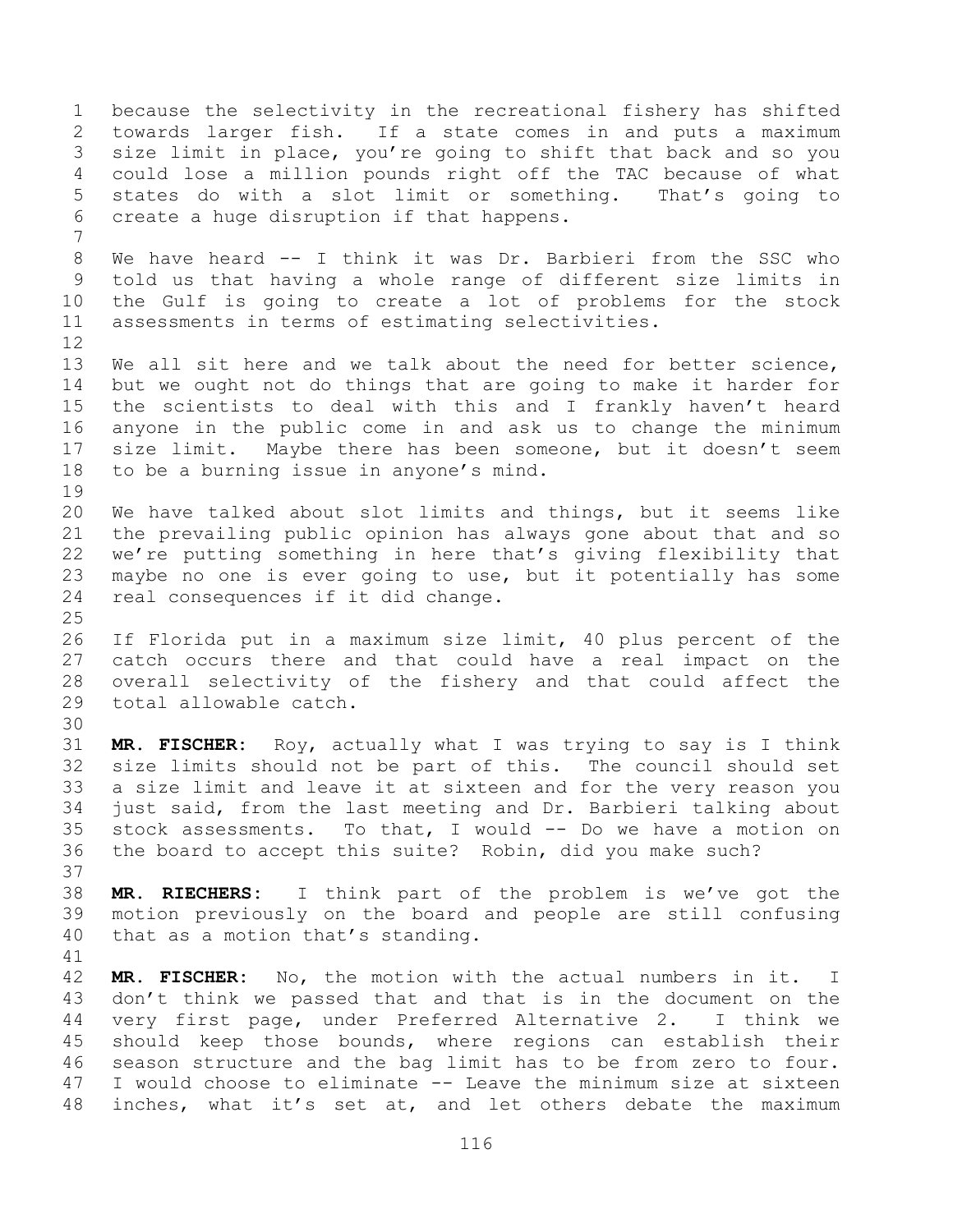because the selectivity in the recreational fishery has shifted towards larger fish. If a state comes in and puts a maximum size limit in place, you're going to shift that back and so you could lose a million pounds right off the TAC because of what states do with a slot limit or something. That's going to create a huge disruption if that happens. We have heard -- I think it was Dr. Barbieri from the SSC who told us that having a whole range of different size limits in the Gulf is going to create a lot of problems for the stock assessments in terms of estimating selectivities. We all sit here and we talk about the need for better science, but we ought not do things that are going to make it harder for the scientists to deal with this and I frankly haven't heard anyone in the public come in and ask us to change the minimum size limit. Maybe there has been someone, but it doesn't seem to be a burning issue in anyone's mind. We have talked about slot limits and things, but it seems like the prevailing public opinion has always gone about that and so we're putting something in here that's giving flexibility that maybe no one is ever going to use, but it potentially has some real consequences if it did change. If Florida put in a maximum size limit, 40 plus percent of the catch occurs there and that could have a real impact on the overall selectivity of the fishery and that could affect the total allowable catch. **MR. FISCHER:** Roy, actually what I was trying to say is I think size limits should not be part of this. The council should set a size limit and leave it at sixteen and for the very reason you just said, from the last meeting and Dr. Barbieri talking about stock assessments. To that, I would -- Do we have a motion on the board to accept this suite? Robin, did you make such? **MR. RIECHERS:** I think part of the problem is we've got the motion previously on the board and people are still confusing that as a motion that's standing. **MR. FISCHER:** No, the motion with the actual numbers in it. I don't think we passed that and that is in the document on the very first page, under Preferred Alternative 2. I think we should keep those bounds, where regions can establish their season structure and the bag limit has to be from zero to four. I would choose to eliminate -- Leave the minimum size at sixteen inches, what it's set at, and let others debate the maximum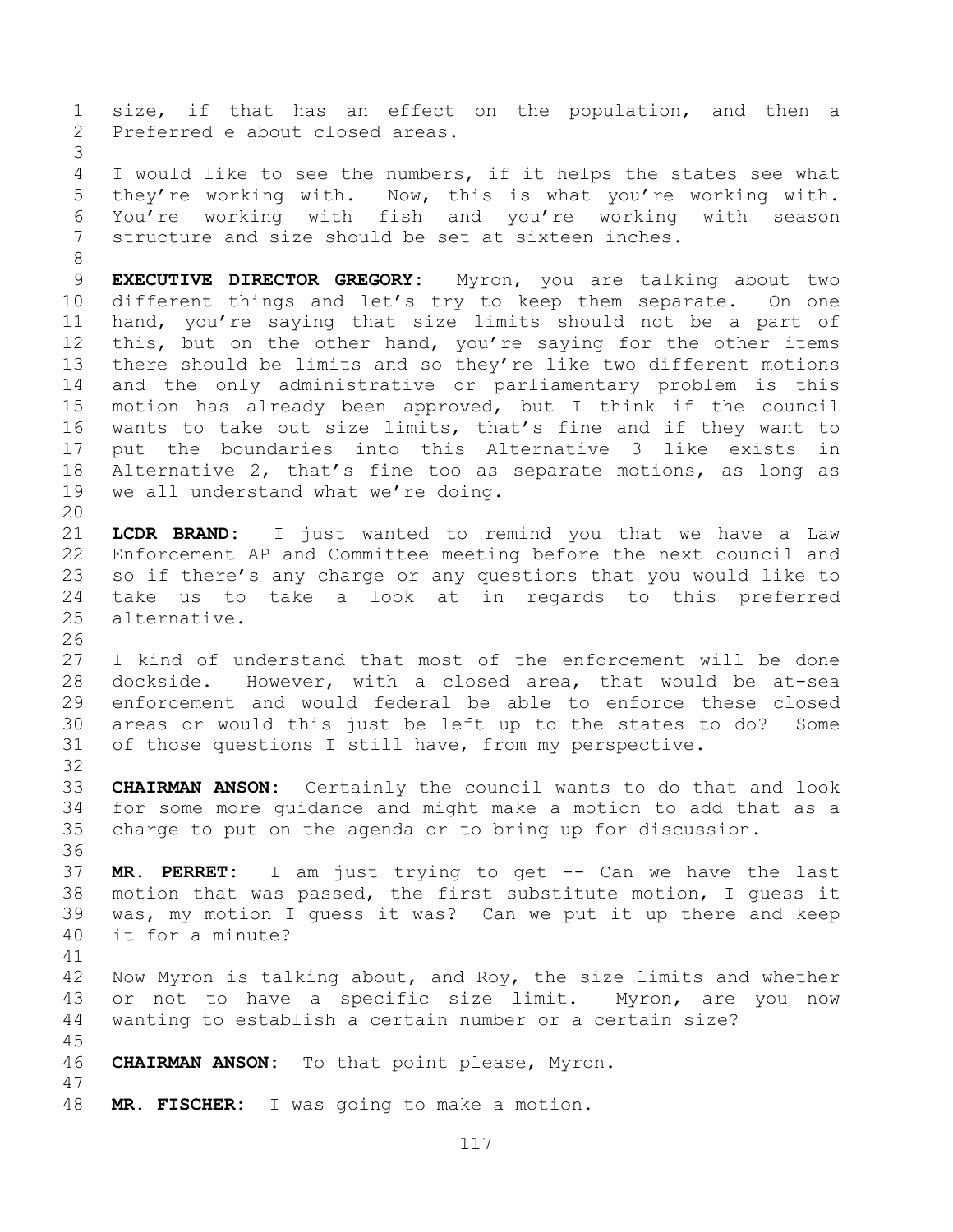size, if that has an effect on the population, and then a Preferred e about closed areas.

 I would like to see the numbers, if it helps the states see what they're working with. Now, this is what you're working with. You're working with fish and you're working with season structure and size should be set at sixteen inches.

 **EXECUTIVE DIRECTOR GREGORY:** Myron, you are talking about two different things and let's try to keep them separate. On one hand, you're saying that size limits should not be a part of 12 this, but on the other hand, you're saying for the other items there should be limits and so they're like two different motions and the only administrative or parliamentary problem is this motion has already been approved, but I think if the council wants to take out size limits, that's fine and if they want to put the boundaries into this Alternative 3 like exists in Alternative 2, that's fine too as separate motions, as long as we all understand what we're doing. 

 **LCDR BRAND:** I just wanted to remind you that we have a Law Enforcement AP and Committee meeting before the next council and so if there's any charge or any questions that you would like to take us to take a look at in regards to this preferred alternative.

 I kind of understand that most of the enforcement will be done dockside. However, with a closed area, that would be at-sea enforcement and would federal be able to enforce these closed areas or would this just be left up to the states to do? Some of those questions I still have, from my perspective.

 **CHAIRMAN ANSON:** Certainly the council wants to do that and look for some more guidance and might make a motion to add that as a charge to put on the agenda or to bring up for discussion.

 **MR. PERRET:** I am just trying to get -- Can we have the last motion that was passed, the first substitute motion, I guess it was, my motion I guess it was? Can we put it up there and keep it for a minute?

 Now Myron is talking about, and Roy, the size limits and whether or not to have a specific size limit. Myron, are you now wanting to establish a certain number or a certain size?

 **CHAIRMAN ANSON:** To that point please, Myron. 

**MR. FISCHER:** I was going to make a motion.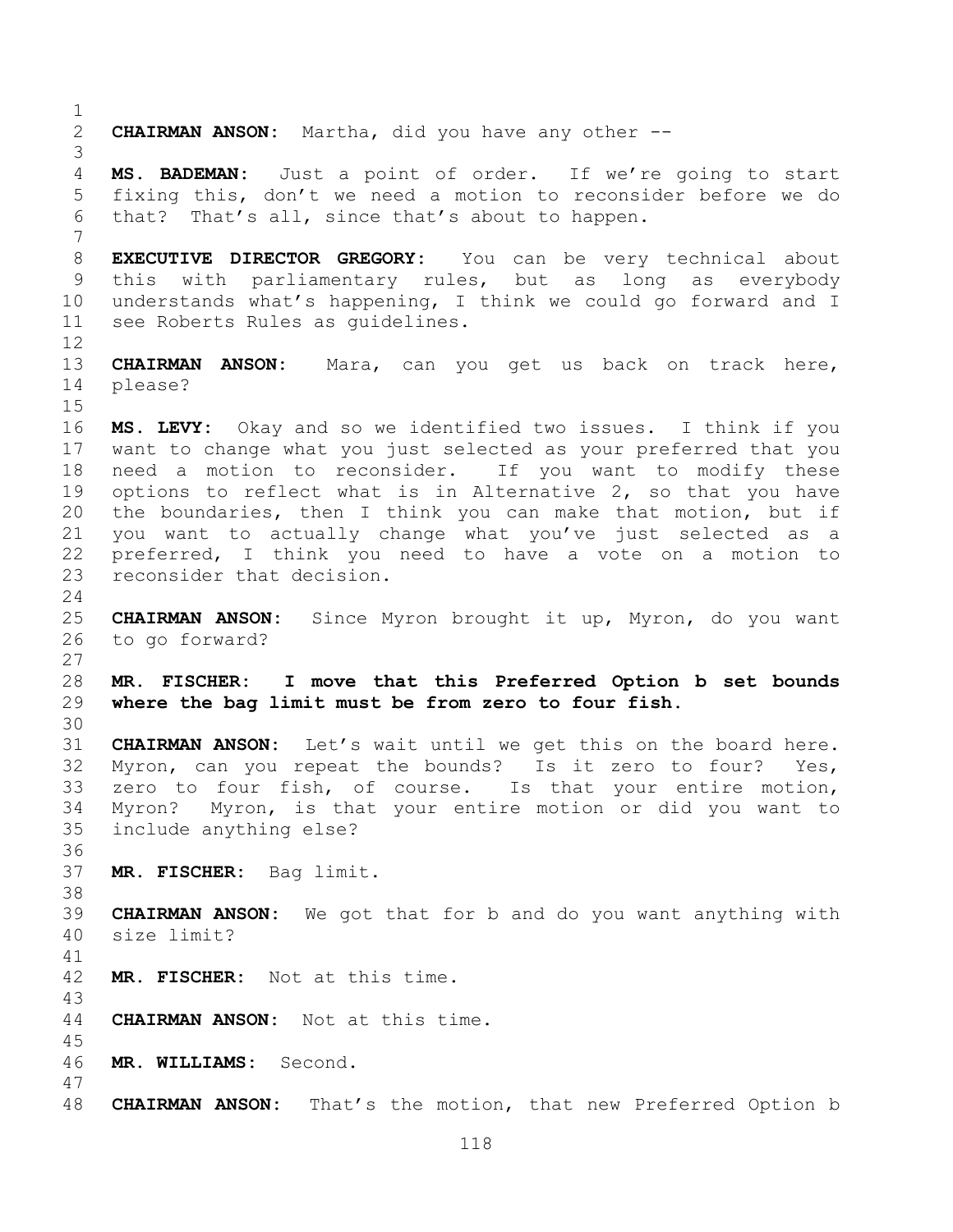**CHAIRMAN ANSON:** Martha, did you have any other -- **MS. BADEMAN:** Just a point of order. If we're going to start fixing this, don't we need a motion to reconsider before we do that? That's all, since that's about to happen. **EXECUTIVE DIRECTOR GREGORY:** You can be very technical about this with parliamentary rules, but as long as everybody understands what's happening, I think we could go forward and I see Roberts Rules as guidelines. **CHAIRMAN ANSON:** Mara, can you get us back on track here, please? **MS. LEVY:** Okay and so we identified two issues. I think if you want to change what you just selected as your preferred that you need a motion to reconsider. If you want to modify these options to reflect what is in Alternative 2, so that you have the boundaries, then I think you can make that motion, but if you want to actually change what you've just selected as a preferred, I think you need to have a vote on a motion to reconsider that decision. **CHAIRMAN ANSON:** Since Myron brought it up, Myron, do you want to go forward? **MR. FISCHER: I move that this Preferred Option b set bounds where the bag limit must be from zero to four fish. CHAIRMAN ANSON:** Let's wait until we get this on the board here. Myron, can you repeat the bounds? Is it zero to four? Yes, zero to four fish, of course. Is that your entire motion, Myron? Myron, is that your entire motion or did you want to include anything else? **MR. FISCHER:** Bag limit. **CHAIRMAN ANSON:** We got that for b and do you want anything with size limit? **MR. FISCHER:** Not at this time. **CHAIRMAN ANSON:** Not at this time. **MR. WILLIAMS:** Second. **CHAIRMAN ANSON:** That's the motion, that new Preferred Option b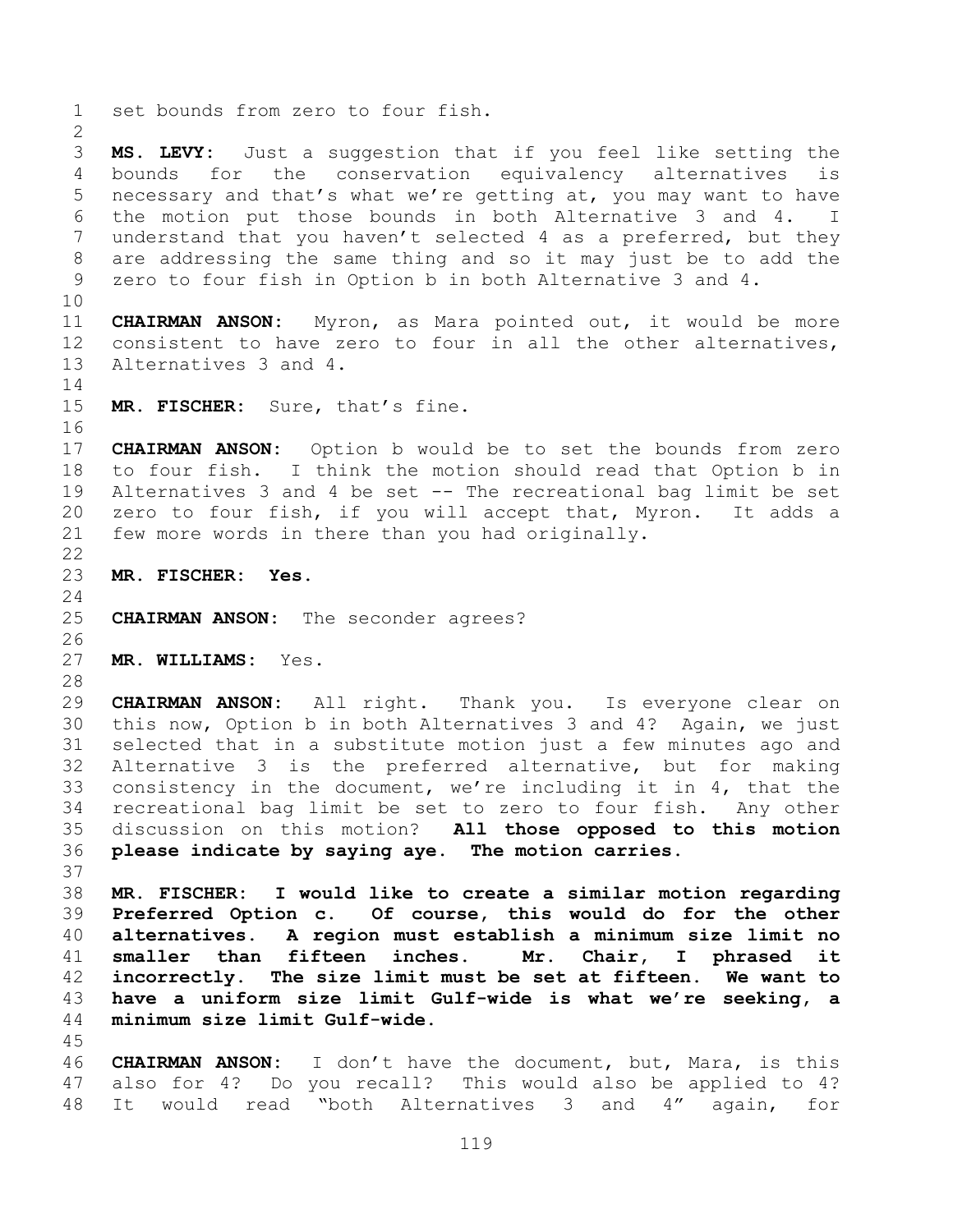set bounds from zero to four fish. **MS. LEVY:** Just a suggestion that if you feel like setting the bounds for the conservation equivalency alternatives is necessary and that's what we're getting at, you may want to have the motion put those bounds in both Alternative 3 and 4. I understand that you haven't selected 4 as a preferred, but they are addressing the same thing and so it may just be to add the zero to four fish in Option b in both Alternative 3 and 4. **CHAIRMAN ANSON:** Myron, as Mara pointed out, it would be more consistent to have zero to four in all the other alternatives, Alternatives 3 and 4. **MR. FISCHER:** Sure, that's fine. **CHAIRMAN ANSON:** Option b would be to set the bounds from zero to four fish. I think the motion should read that Option b in Alternatives 3 and 4 be set -- The recreational bag limit be set zero to four fish, if you will accept that, Myron. It adds a few more words in there than you had originally. **MR. FISCHER: Yes. CHAIRMAN ANSON:** The seconder agrees? **MR. WILLIAMS:** Yes. **CHAIRMAN ANSON:** All right. Thank you. Is everyone clear on this now, Option b in both Alternatives 3 and 4? Again, we just selected that in a substitute motion just a few minutes ago and Alternative 3 is the preferred alternative, but for making consistency in the document, we're including it in 4, that the recreational bag limit be set to zero to four fish. Any other discussion on this motion? **All those opposed to this motion please indicate by saying aye. The motion carries. MR. FISCHER: I would like to create a similar motion regarding Preferred Option c. Of course, this would do for the other alternatives. A region must establish a minimum size limit no smaller than fifteen inches. Mr. Chair, I phrased it incorrectly. The size limit must be set at fifteen. We want to have a uniform size limit Gulf-wide is what we're seeking, a minimum size limit Gulf-wide. CHAIRMAN ANSON:** I don't have the document, but, Mara, is this also for 4? Do you recall? This would also be applied to 4?

It would read "both Alternatives 3 and 4" again, for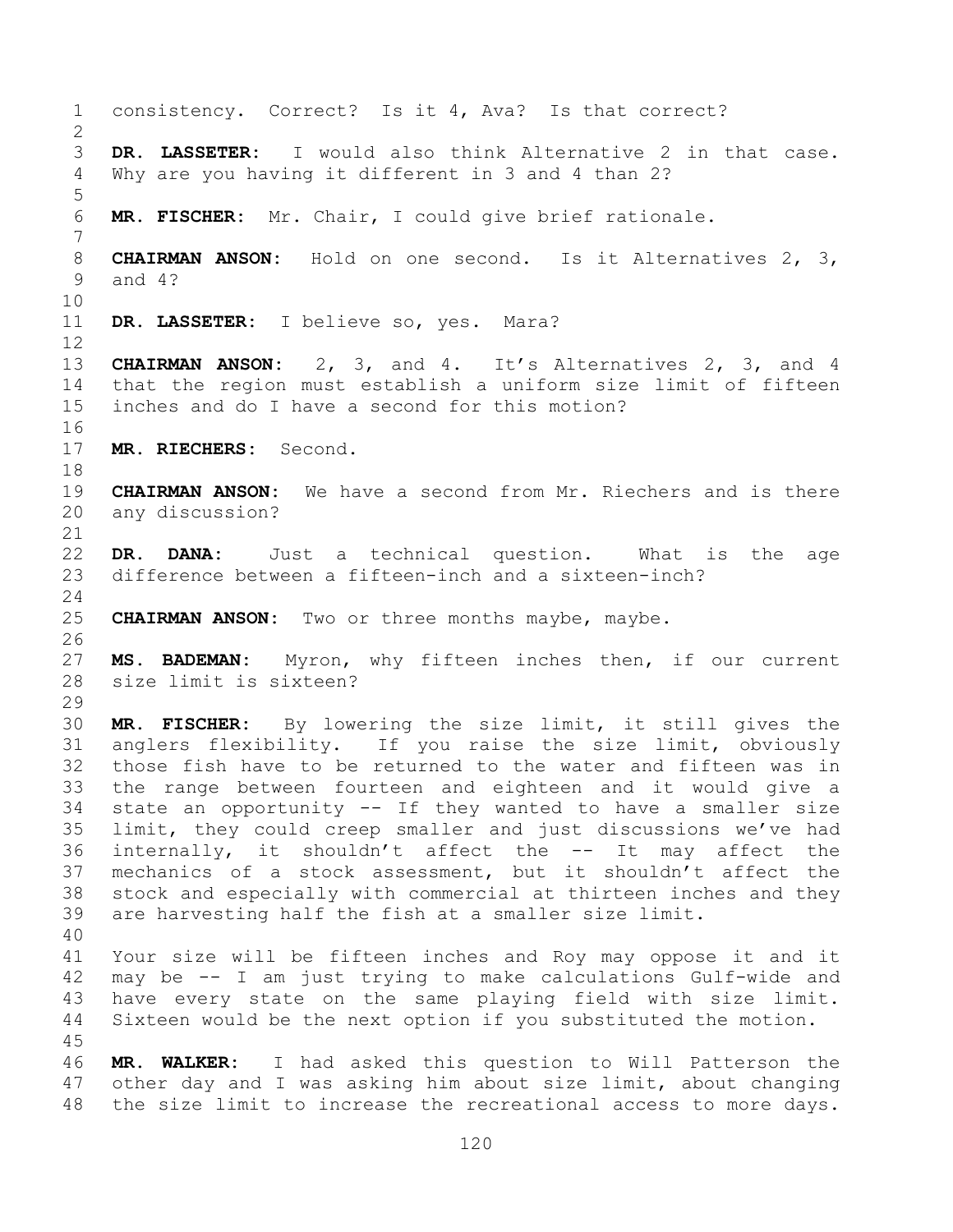consistency. Correct? Is it 4, Ava? Is that correct? **DR. LASSETER:** I would also think Alternative 2 in that case. Why are you having it different in 3 and 4 than 2? **MR. FISCHER:** Mr. Chair, I could give brief rationale. **CHAIRMAN ANSON:** Hold on one second. Is it Alternatives 2, 3, and 4? **DR. LASSETER:** I believe so, yes. Mara? **CHAIRMAN ANSON:** 2, 3, and 4. It's Alternatives 2, 3, and 4 that the region must establish a uniform size limit of fifteen inches and do I have a second for this motion? **MR. RIECHERS:** Second. **CHAIRMAN ANSON:** We have a second from Mr. Riechers and is there any discussion? **DR. DANA:** Just a technical question. What is the age<br>23 difference between a fifteen-inch and a sixteen-inch? difference between a fifteen-inch and a sixteen-inch? **CHAIRMAN ANSON:** Two or three months maybe, maybe. **MS. BADEMAN:** Myron, why fifteen inches then, if our current size limit is sixteen? **MR. FISCHER:** By lowering the size limit, it still gives the anglers flexibility. If you raise the size limit, obviously those fish have to be returned to the water and fifteen was in the range between fourteen and eighteen and it would give a state an opportunity -- If they wanted to have a smaller size limit, they could creep smaller and just discussions we've had internally, it shouldn't affect the -- It may affect the mechanics of a stock assessment, but it shouldn't affect the stock and especially with commercial at thirteen inches and they are harvesting half the fish at a smaller size limit. Your size will be fifteen inches and Roy may oppose it and it may be -- I am just trying to make calculations Gulf-wide and have every state on the same playing field with size limit. Sixteen would be the next option if you substituted the motion. **MR. WALKER:** I had asked this question to Will Patterson the other day and I was asking him about size limit, about changing the size limit to increase the recreational access to more days.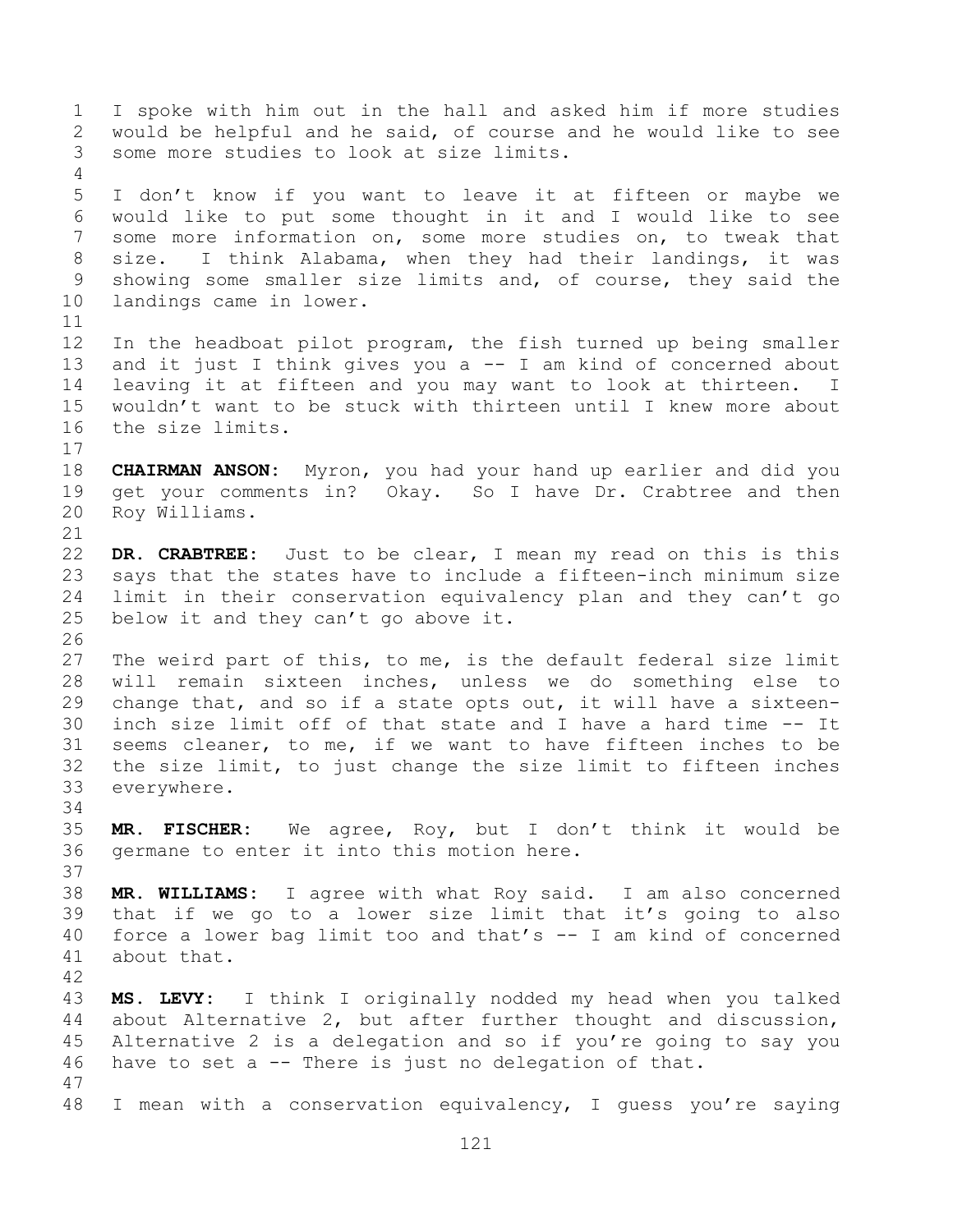I spoke with him out in the hall and asked him if more studies would be helpful and he said, of course and he would like to see some more studies to look at size limits. I don't know if you want to leave it at fifteen or maybe we would like to put some thought in it and I would like to see some more information on, some more studies on, to tweak that size. I think Alabama, when they had their landings, it was showing some smaller size limits and, of course, they said the landings came in lower. In the headboat pilot program, the fish turned up being smaller and it just I think gives you a -- I am kind of concerned about leaving it at fifteen and you may want to look at thirteen. I wouldn't want to be stuck with thirteen until I knew more about the size limits. **CHAIRMAN ANSON:** Myron, you had your hand up earlier and did you get your comments in? Okay. So I have Dr. Crabtree and then Roy Williams. **DR. CRABTREE:** Just to be clear, I mean my read on this is this says that the states have to include a fifteen-inch minimum size limit in their conservation equivalency plan and they can't go below it and they can't go above it. The weird part of this, to me, is the default federal size limit will remain sixteen inches, unless we do something else to change that, and so if a state opts out, it will have a sixteen- inch size limit off of that state and I have a hard time -- It seems cleaner, to me, if we want to have fifteen inches to be the size limit, to just change the size limit to fifteen inches everywhere. **MR. FISCHER:** We agree, Roy, but I don't think it would be germane to enter it into this motion here. **MR. WILLIAMS:** I agree with what Roy said. I am also concerned that if we go to a lower size limit that it's going to also force a lower bag limit too and that's -- I am kind of concerned about that. **MS. LEVY:** I think I originally nodded my head when you talked about Alternative 2, but after further thought and discussion, Alternative 2 is a delegation and so if you're going to say you have to set a -- There is just no delegation of that. I mean with a conservation equivalency, I guess you're saying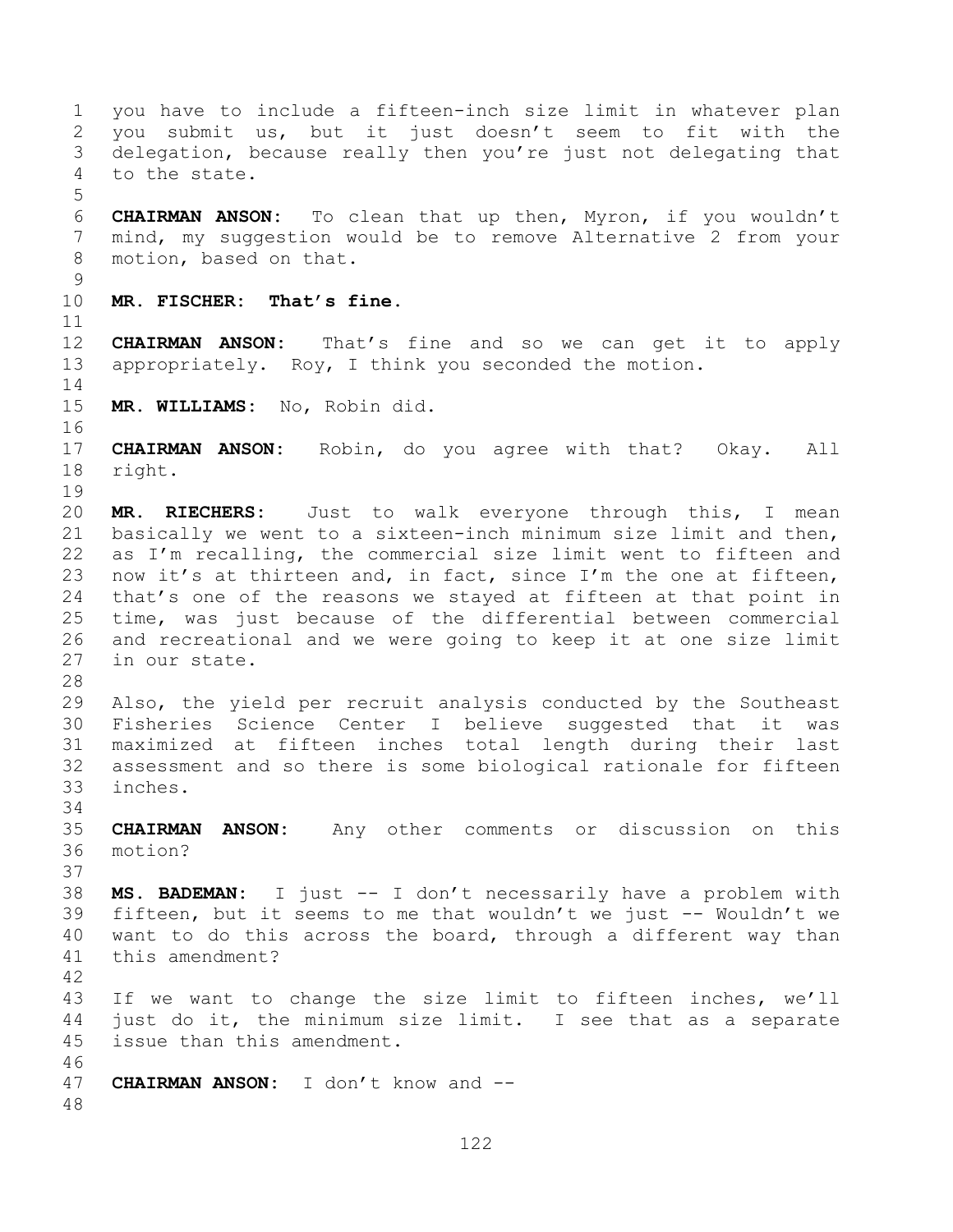you have to include a fifteen-inch size limit in whatever plan you submit us, but it just doesn't seem to fit with the delegation, because really then you're just not delegating that to the state. **CHAIRMAN ANSON:** To clean that up then, Myron, if you wouldn't mind, my suggestion would be to remove Alternative 2 from your motion, based on that. **MR. FISCHER: That's fine. CHAIRMAN ANSON:** That's fine and so we can get it to apply appropriately. Roy, I think you seconded the motion. **MR. WILLIAMS:** No, Robin did. **CHAIRMAN ANSON:** Robin, do you agree with that? Okay. All right. **MR. RIECHERS:** Just to walk everyone through this, I mean basically we went to a sixteen-inch minimum size limit and then, as I'm recalling, the commercial size limit went to fifteen and 23 now it's at thirteen and, in fact, since I'm the one at fifteen, that's one of the reasons we stayed at fifteen at that point in time, was just because of the differential between commercial and recreational and we were going to keep it at one size limit in our state. Also, the yield per recruit analysis conducted by the Southeast Fisheries Science Center I believe suggested that it was maximized at fifteen inches total length during their last assessment and so there is some biological rationale for fifteen inches. **CHAIRMAN ANSON:** Any other comments or discussion on this motion? **MS. BADEMAN:** I just -- I don't necessarily have a problem with fifteen, but it seems to me that wouldn't we just -- Wouldn't we want to do this across the board, through a different way than this amendment? If we want to change the size limit to fifteen inches, we'll just do it, the minimum size limit. I see that as a separate issue than this amendment. **CHAIRMAN ANSON:** I don't know and --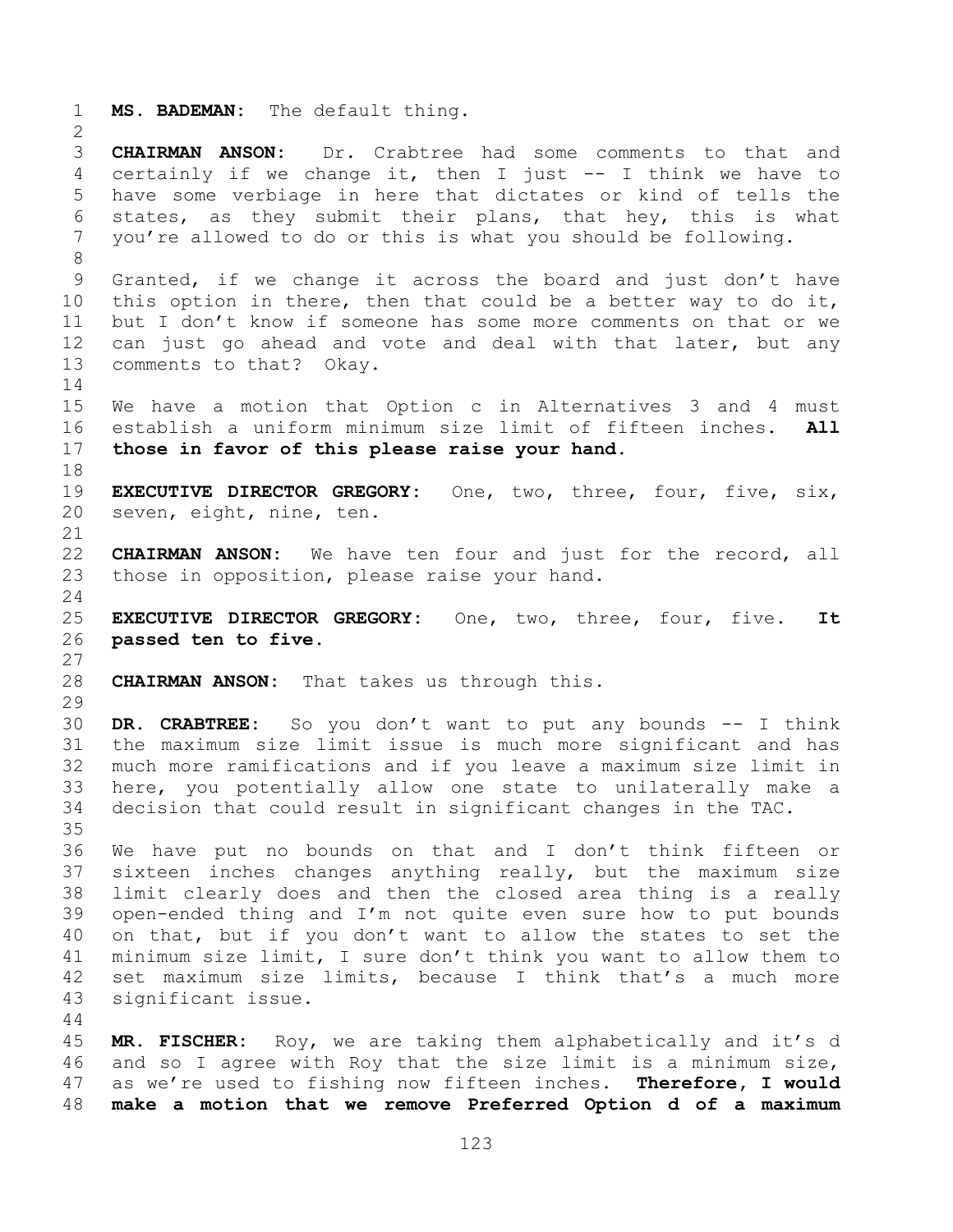**MS. BADEMAN:** The default thing. **CHAIRMAN ANSON:** Dr. Crabtree had some comments to that and certainly if we change it, then I just -- I think we have to have some verbiage in here that dictates or kind of tells the states, as they submit their plans, that hey, this is what you're allowed to do or this is what you should be following. Granted, if we change it across the board and just don't have this option in there, then that could be a better way to do it, but I don't know if someone has some more comments on that or we can just go ahead and vote and deal with that later, but any comments to that? Okay. We have a motion that Option c in Alternatives 3 and 4 must establish a uniform minimum size limit of fifteen inches. **All those in favor of this please raise your hand. EXECUTIVE DIRECTOR GREGORY:** One, two, three, four, five, six, seven, eight, nine, ten. **CHAIRMAN ANSON:** We have ten four and just for the record, all those in opposition, please raise your hand. **EXECUTIVE DIRECTOR GREGORY:** One, two, three, four, five. **It passed ten to five. CHAIRMAN ANSON:** That takes us through this. **DR. CRABTREE:** So you don't want to put any bounds -- I think the maximum size limit issue is much more significant and has much more ramifications and if you leave a maximum size limit in here, you potentially allow one state to unilaterally make a decision that could result in significant changes in the TAC. We have put no bounds on that and I don't think fifteen or sixteen inches changes anything really, but the maximum size limit clearly does and then the closed area thing is a really open-ended thing and I'm not quite even sure how to put bounds on that, but if you don't want to allow the states to set the minimum size limit, I sure don't think you want to allow them to set maximum size limits, because I think that's a much more significant issue. **MR. FISCHER:** Roy, we are taking them alphabetically and it's d and so I agree with Roy that the size limit is a minimum size, as we're used to fishing now fifteen inches. **Therefore, I would** 

**make a motion that we remove Preferred Option d of a maximum**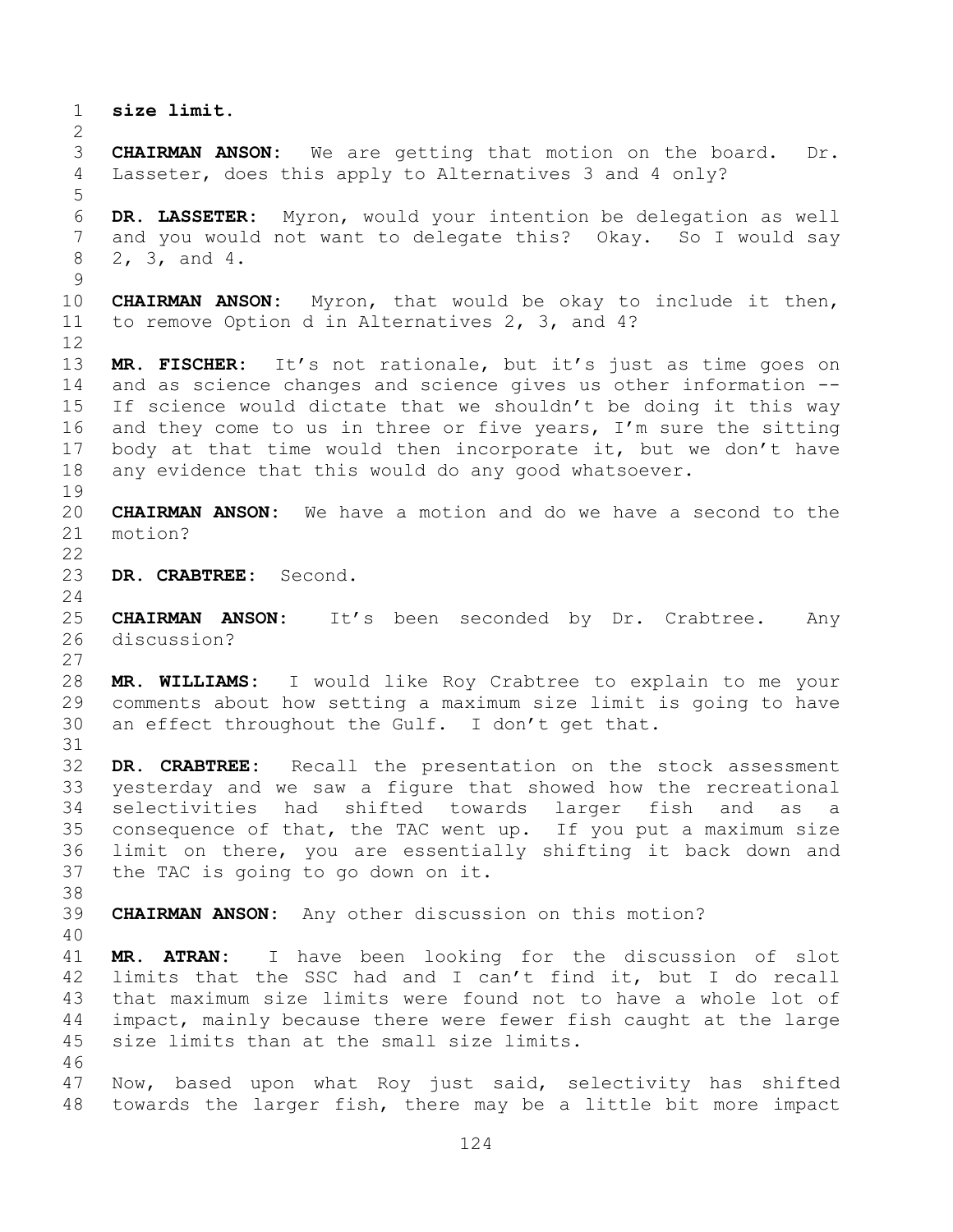**size limit. CHAIRMAN ANSON:** We are getting that motion on the board. Dr. Lasseter, does this apply to Alternatives 3 and 4 only? **DR. LASSETER:** Myron, would your intention be delegation as well and you would not want to delegate this? Okay. So I would say 2, 3, and 4. **CHAIRMAN ANSON:** Myron, that would be okay to include it then, to remove Option d in Alternatives 2, 3, and 4? **MR. FISCHER:** It's not rationale, but it's just as time goes on and as science changes and science gives us other information -- If science would dictate that we shouldn't be doing it this way 16 and they come to us in three or five years, I'm sure the sitting body at that time would then incorporate it, but we don't have any evidence that this would do any good whatsoever. **CHAIRMAN ANSON:** We have a motion and do we have a second to the motion? **DR. CRABTREE:** Second. **CHAIRMAN ANSON:** It's been seconded by Dr. Crabtree. Any discussion? **MR. WILLIAMS:** I would like Roy Crabtree to explain to me your comments about how setting a maximum size limit is going to have an effect throughout the Gulf. I don't get that. **DR. CRABTREE:** Recall the presentation on the stock assessment yesterday and we saw a figure that showed how the recreational selectivities had shifted towards larger fish and as a consequence of that, the TAC went up. If you put a maximum size limit on there, you are essentially shifting it back down and the TAC is going to go down on it. **CHAIRMAN ANSON:** Any other discussion on this motion? **MR. ATRAN:** I have been looking for the discussion of slot limits that the SSC had and I can't find it, but I do recall that maximum size limits were found not to have a whole lot of impact, mainly because there were fewer fish caught at the large size limits than at the small size limits. Now, based upon what Roy just said, selectivity has shifted towards the larger fish, there may be a little bit more impact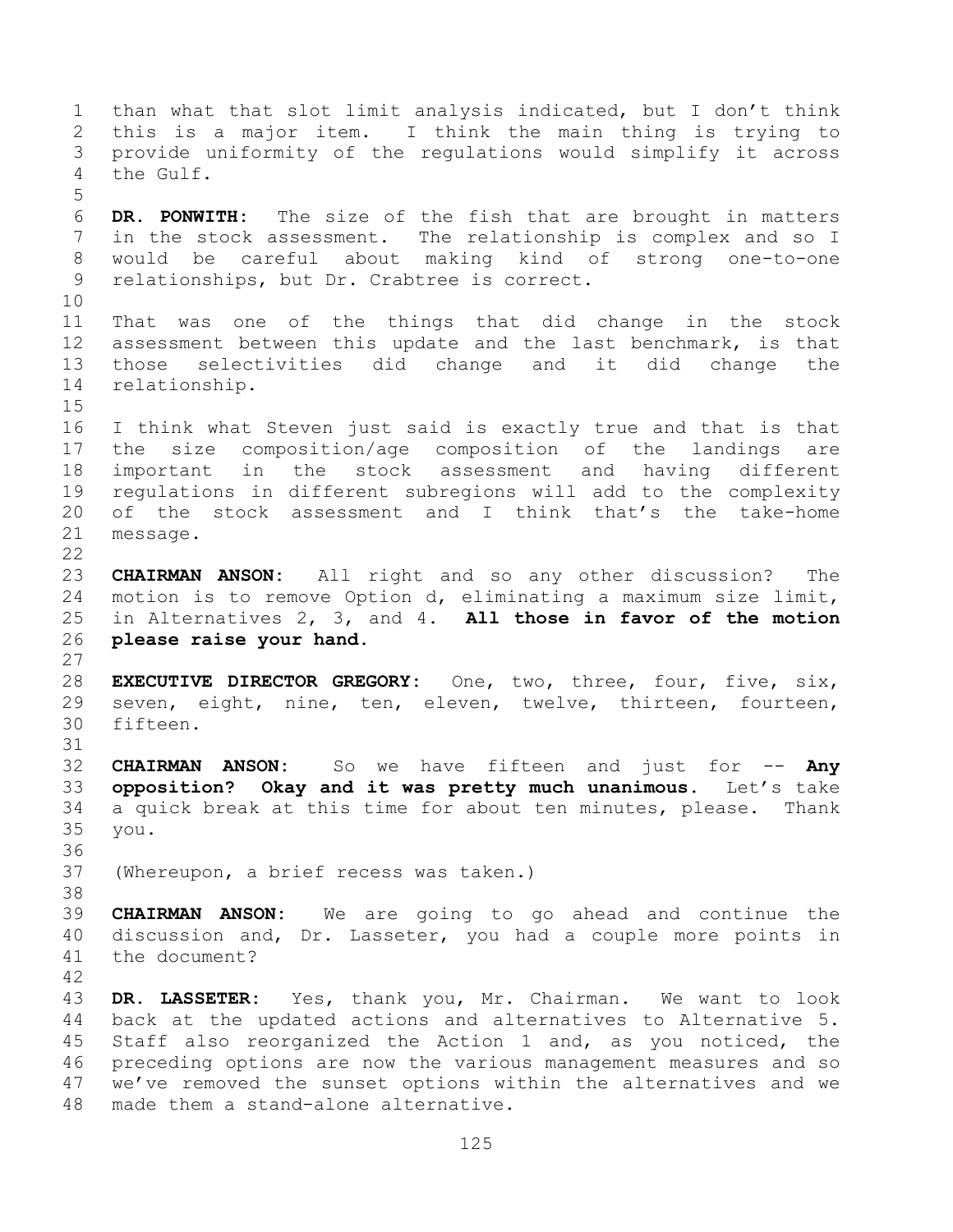than what that slot limit analysis indicated, but I don't think this is a major item. I think the main thing is trying to provide uniformity of the regulations would simplify it across the Gulf. **DR. PONWITH:** The size of the fish that are brought in matters in the stock assessment. The relationship is complex and so I would be careful about making kind of strong one-to-one relationships, but Dr. Crabtree is correct. That was one of the things that did change in the stock assessment between this update and the last benchmark, is that those selectivities did change and it did change the relationship. I think what Steven just said is exactly true and that is that the size composition/age composition of the landings are important in the stock assessment and having different regulations in different subregions will add to the complexity of the stock assessment and I think that's the take-home message.  $\begin{array}{c} 22 \\ 23 \end{array}$ **CHAIRMAN ANSON:** All right and so any other discussion? The motion is to remove Option d, eliminating a maximum size limit, in Alternatives 2, 3, and 4. **All those in favor of the motion please raise your hand. EXECUTIVE DIRECTOR GREGORY:** One, two, three, four, five, six, seven, eight, nine, ten, eleven, twelve, thirteen, fourteen, fifteen. **CHAIRMAN ANSON:** So we have fifteen and just for -- **Any opposition? Okay and it was pretty much unanimous.** Let's take a quick break at this time for about ten minutes, please. Thank you. (Whereupon, a brief recess was taken.) **CHAIRMAN ANSON:** We are going to go ahead and continue the discussion and, Dr. Lasseter, you had a couple more points in the document? **DR. LASSETER:** Yes, thank you, Mr. Chairman. We want to look back at the updated actions and alternatives to Alternative 5. Staff also reorganized the Action 1 and, as you noticed, the preceding options are now the various management measures and so we've removed the sunset options within the alternatives and we

made them a stand-alone alternative.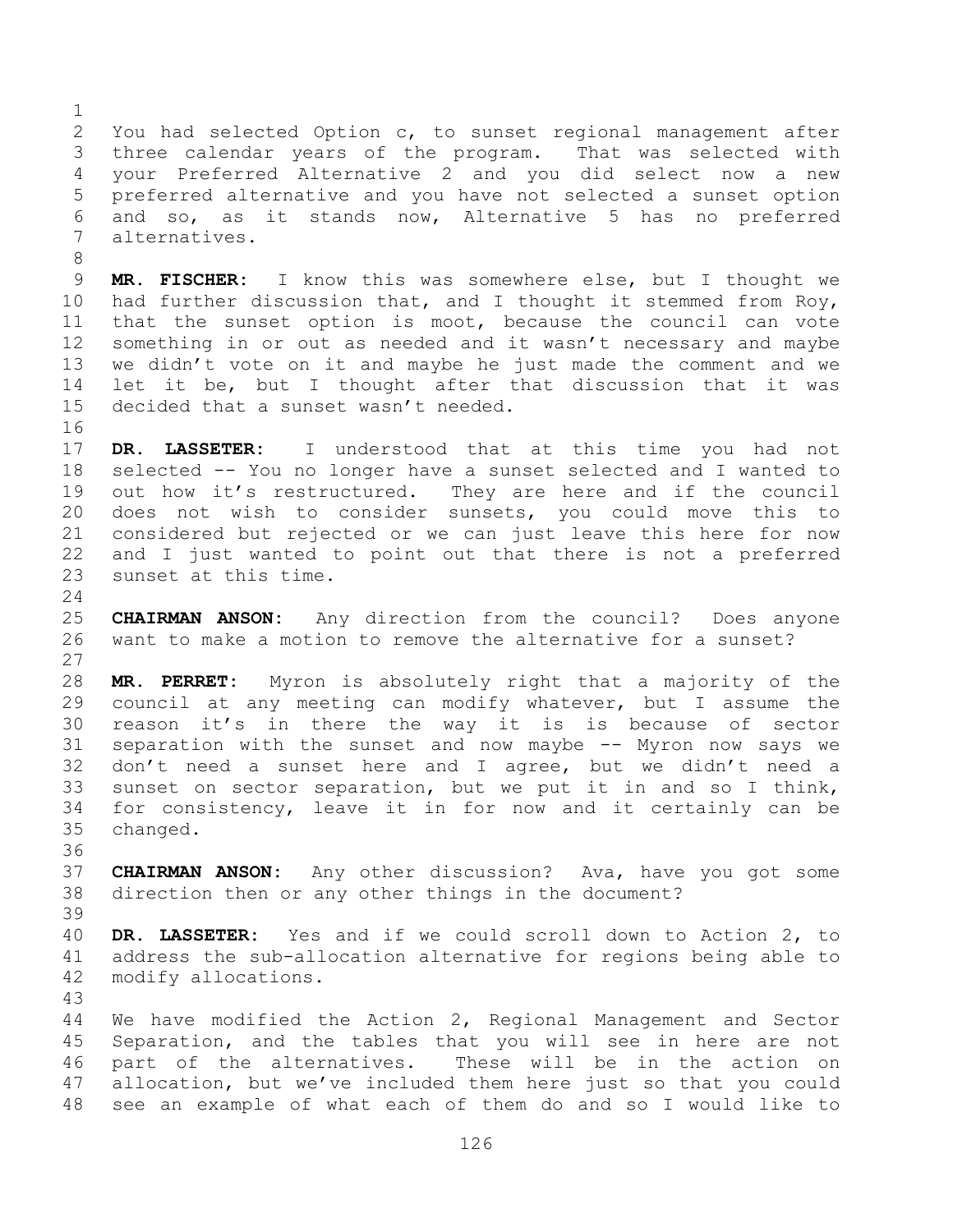You had selected Option c, to sunset regional management after three calendar years of the program. That was selected with your Preferred Alternative 2 and you did select now a new preferred alternative and you have not selected a sunset option and so, as it stands now, Alternative 5 has no preferred alternatives.

 **MR. FISCHER:** I know this was somewhere else, but I thought we had further discussion that, and I thought it stemmed from Roy, that the sunset option is moot, because the council can vote something in or out as needed and it wasn't necessary and maybe we didn't vote on it and maybe he just made the comment and we let it be, but I thought after that discussion that it was decided that a sunset wasn't needed.

 **DR. LASSETER:** I understood that at this time you had not selected -- You no longer have a sunset selected and I wanted to out how it's restructured. They are here and if the council does not wish to consider sunsets, you could move this to considered but rejected or we can just leave this here for now and I just wanted to point out that there is not a preferred sunset at this time.

 **CHAIRMAN ANSON:** Any direction from the council? Does anyone want to make a motion to remove the alternative for a sunset? 

 **MR. PERRET:** Myron is absolutely right that a majority of the council at any meeting can modify whatever, but I assume the reason it's in there the way it is is because of sector separation with the sunset and now maybe -- Myron now says we don't need a sunset here and I agree, but we didn't need a sunset on sector separation, but we put it in and so I think, for consistency, leave it in for now and it certainly can be changed.

 **CHAIRMAN ANSON:** Any other discussion? Ava, have you got some direction then or any other things in the document? 

 **DR. LASSETER:** Yes and if we could scroll down to Action 2, to address the sub-allocation alternative for regions being able to modify allocations.

 We have modified the Action 2, Regional Management and Sector Separation, and the tables that you will see in here are not part of the alternatives. These will be in the action on allocation, but we've included them here just so that you could see an example of what each of them do and so I would like to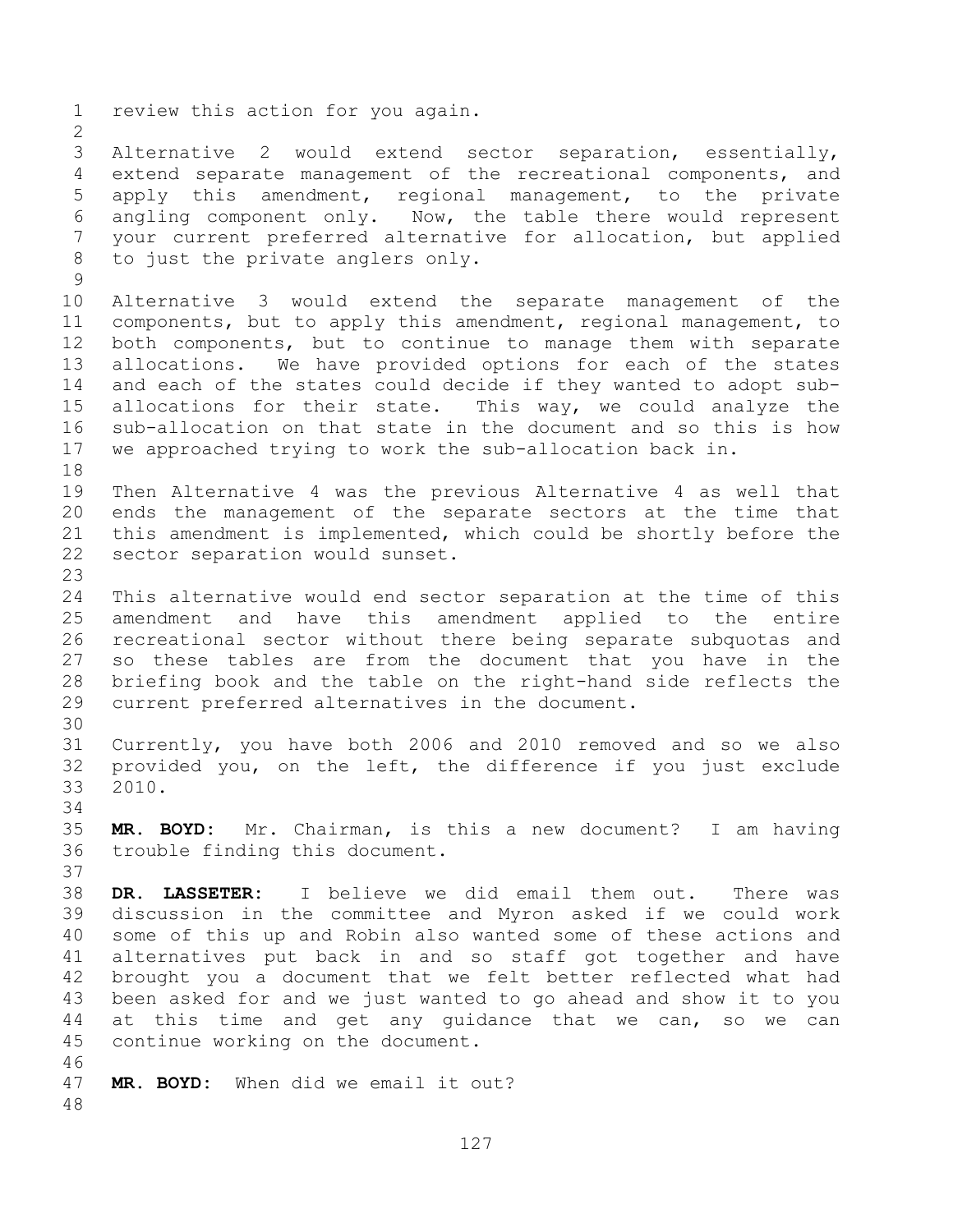review this action for you again. Alternative 2 would extend sector separation, essentially, extend separate management of the recreational components, and apply this amendment, regional management, to the private angling component only. Now, the table there would represent your current preferred alternative for allocation, but applied to just the private anglers only. Alternative 3 would extend the separate management of the components, but to apply this amendment, regional management, to both components, but to continue to manage them with separate allocations. We have provided options for each of the states and each of the states could decide if they wanted to adopt sub- allocations for their state. This way, we could analyze the sub-allocation on that state in the document and so this is how we approached trying to work the sub-allocation back in. Then Alternative 4 was the previous Alternative 4 as well that ends the management of the separate sectors at the time that this amendment is implemented, which could be shortly before the sector separation would sunset. This alternative would end sector separation at the time of this amendment and have this amendment applied to the entire recreational sector without there being separate subquotas and so these tables are from the document that you have in the briefing book and the table on the right-hand side reflects the current preferred alternatives in the document. Currently, you have both 2006 and 2010 removed and so we also provided you, on the left, the difference if you just exclude 2010. **MR. BOYD:** Mr. Chairman, is this a new document? I am having trouble finding this document. **DR. LASSETER:** I believe we did email them out. There was discussion in the committee and Myron asked if we could work some of this up and Robin also wanted some of these actions and alternatives put back in and so staff got together and have brought you a document that we felt better reflected what had been asked for and we just wanted to go ahead and show it to you at this time and get any guidance that we can, so we can continue working on the document. **MR. BOYD:** When did we email it out?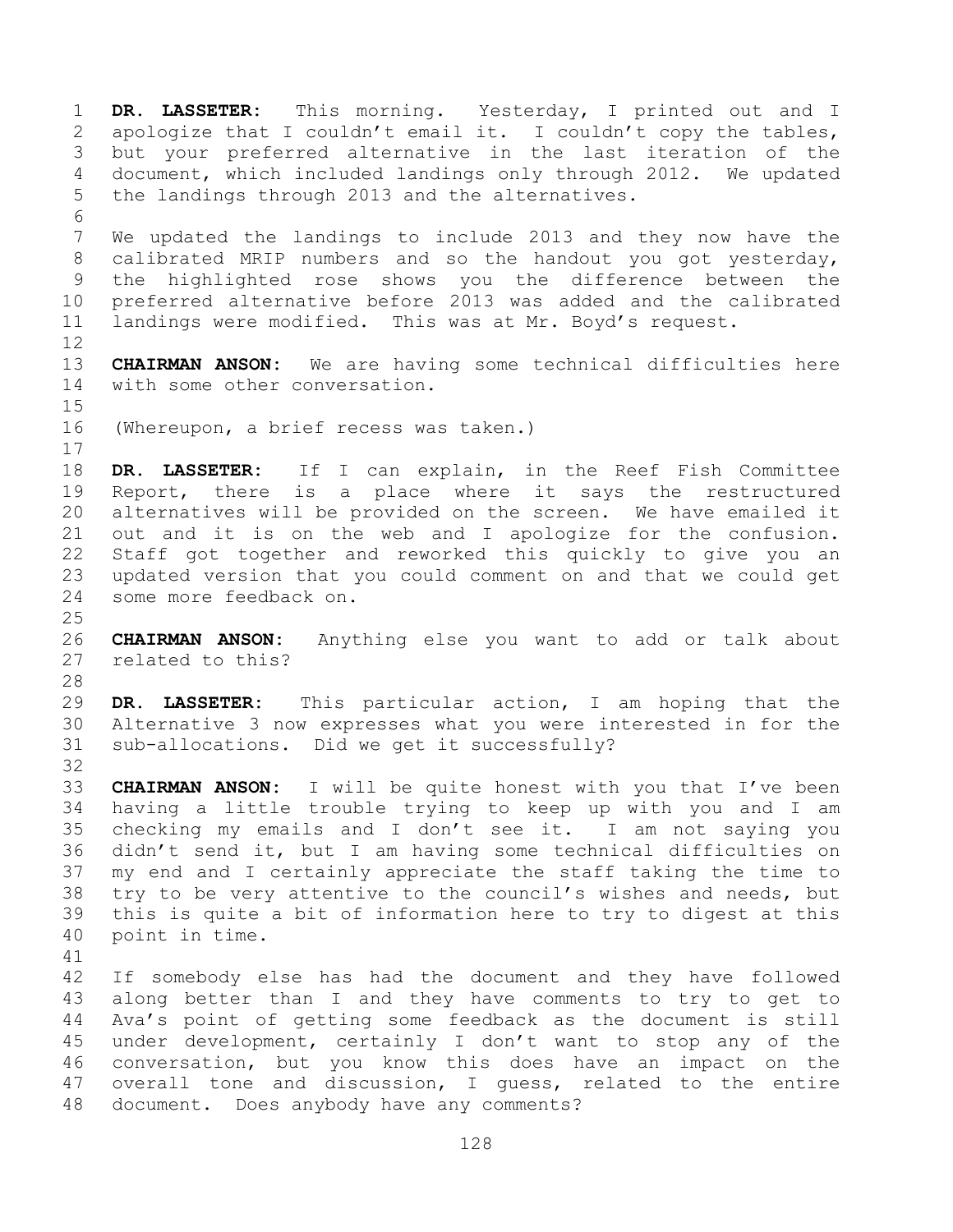**DR. LASSETER:** This morning. Yesterday, I printed out and I apologize that I couldn't email it. I couldn't copy the tables, but your preferred alternative in the last iteration of the document, which included landings only through 2012. We updated the landings through 2013 and the alternatives. We updated the landings to include 2013 and they now have the calibrated MRIP numbers and so the handout you got yesterday, the highlighted rose shows you the difference between the preferred alternative before 2013 was added and the calibrated landings were modified. This was at Mr. Boyd's request. **CHAIRMAN ANSON:** We are having some technical difficulties here with some other conversation. (Whereupon, a brief recess was taken.) **DR. LASSETER:** If I can explain, in the Reef Fish Committee Report, there is a place where it says the restructured alternatives will be provided on the screen. We have emailed it out and it is on the web and I apologize for the confusion. Staff got together and reworked this quickly to give you an updated version that you could comment on and that we could get some more feedback on. **CHAIRMAN ANSON:** Anything else you want to add or talk about related to this? **DR. LASSETER:** This particular action, I am hoping that the Alternative 3 now expresses what you were interested in for the sub-allocations. Did we get it successfully? **CHAIRMAN ANSON:** I will be quite honest with you that I've been having a little trouble trying to keep up with you and I am checking my emails and I don't see it. I am not saying you didn't send it, but I am having some technical difficulties on my end and I certainly appreciate the staff taking the time to try to be very attentive to the council's wishes and needs, but this is quite a bit of information here to try to digest at this point in time. If somebody else has had the document and they have followed along better than I and they have comments to try to get to Ava's point of getting some feedback as the document is still under development, certainly I don't want to stop any of the conversation, but you know this does have an impact on the overall tone and discussion, I guess, related to the entire

document. Does anybody have any comments?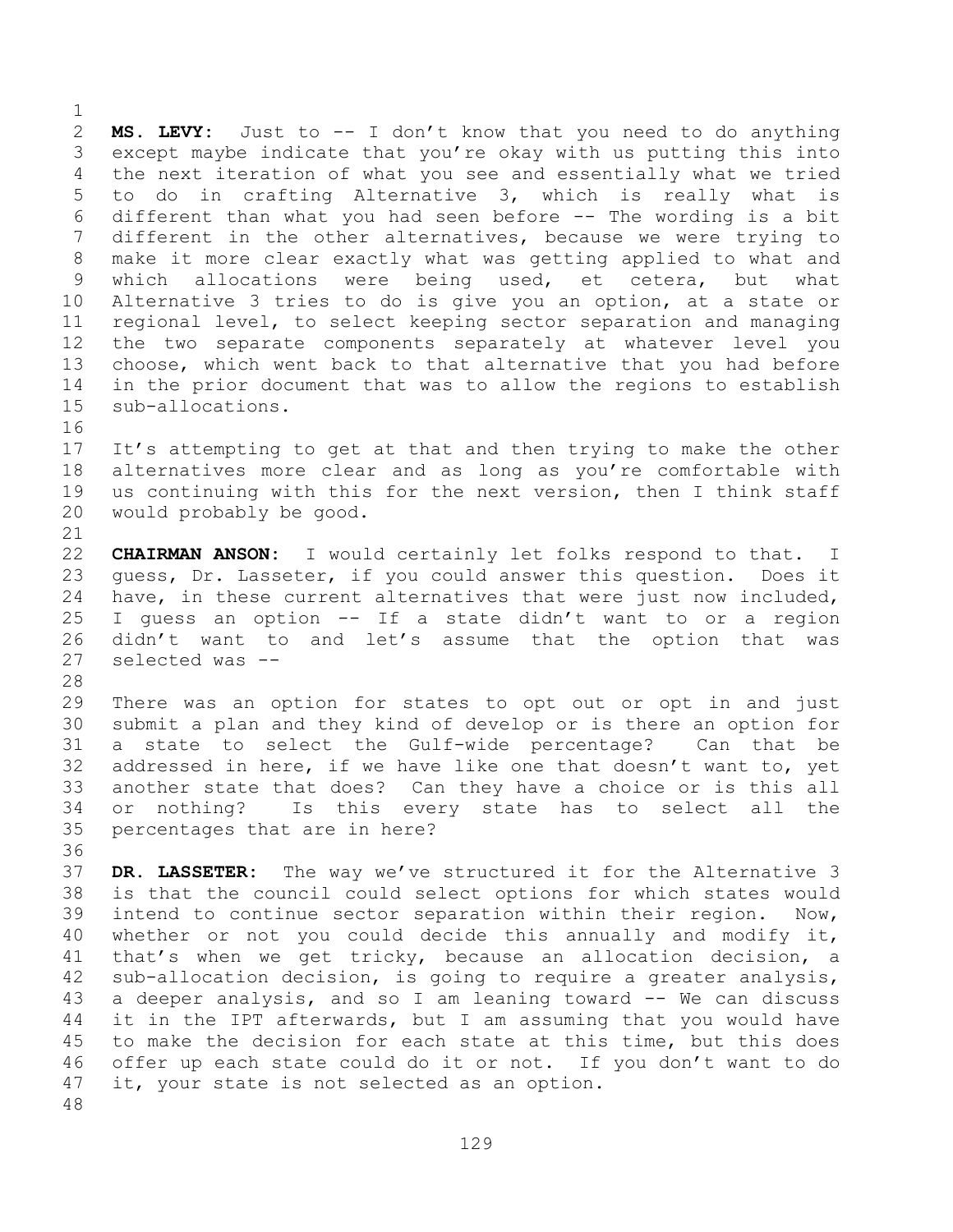**MS. LEVY:** Just to -- I don't know that you need to do anything except maybe indicate that you're okay with us putting this into the next iteration of what you see and essentially what we tried to do in crafting Alternative 3, which is really what is different than what you had seen before -- The wording is a bit different in the other alternatives, because we were trying to make it more clear exactly what was getting applied to what and which allocations were being used, et cetera, but what Alternative 3 tries to do is give you an option, at a state or regional level, to select keeping sector separation and managing the two separate components separately at whatever level you choose, which went back to that alternative that you had before in the prior document that was to allow the regions to establish sub-allocations. 

 It's attempting to get at that and then trying to make the other alternatives more clear and as long as you're comfortable with us continuing with this for the next version, then I think staff would probably be good.

 **CHAIRMAN ANSON:** I would certainly let folks respond to that. I guess, Dr. Lasseter, if you could answer this question. Does it have, in these current alternatives that were just now included, I guess an option -- If a state didn't want to or a region didn't want to and let's assume that the option that was selected was --

 There was an option for states to opt out or opt in and just submit a plan and they kind of develop or is there an option for a state to select the Gulf-wide percentage? Can that be addressed in here, if we have like one that doesn't want to, yet another state that does? Can they have a choice or is this all or nothing? Is this every state has to select all the percentages that are in here?

 **DR. LASSETER:** The way we've structured it for the Alternative 3 is that the council could select options for which states would intend to continue sector separation within their region. Now, whether or not you could decide this annually and modify it, that's when we get tricky, because an allocation decision, a sub-allocation decision, is going to require a greater analysis, a deeper analysis, and so I am leaning toward -- We can discuss it in the IPT afterwards, but I am assuming that you would have to make the decision for each state at this time, but this does offer up each state could do it or not. If you don't want to do it, your state is not selected as an option.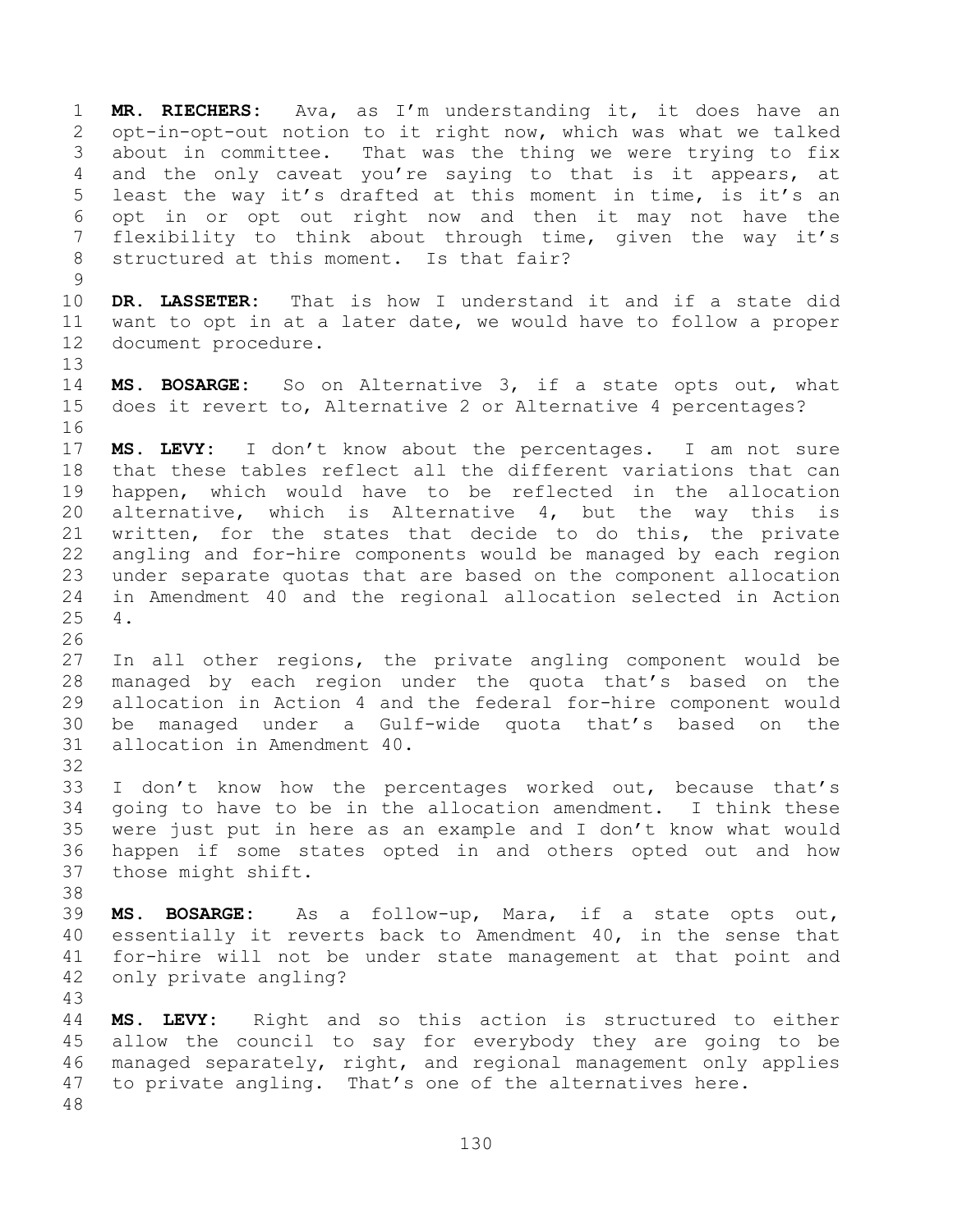**MR. RIECHERS:** Ava, as I'm understanding it, it does have an opt-in-opt-out notion to it right now, which was what we talked about in committee. That was the thing we were trying to fix and the only caveat you're saying to that is it appears, at least the way it's drafted at this moment in time, is it's an opt in or opt out right now and then it may not have the flexibility to think about through time, given the way it's structured at this moment. Is that fair? **DR. LASSETER:** That is how I understand it and if a state did want to opt in at a later date, we would have to follow a proper document procedure. **MS. BOSARGE:** So on Alternative 3, if a state opts out, what does it revert to, Alternative 2 or Alternative 4 percentages? **MS. LEVY:** I don't know about the percentages. I am not sure that these tables reflect all the different variations that can happen, which would have to be reflected in the allocation alternative, which is Alternative 4, but the way this is written, for the states that decide to do this, the private angling and for-hire components would be managed by each region under separate quotas that are based on the component allocation in Amendment 40 and the regional allocation selected in Action 4. In all other regions, the private angling component would be managed by each region under the quota that's based on the allocation in Action 4 and the federal for-hire component would be managed under a Gulf-wide quota that's based on the allocation in Amendment 40. I don't know how the percentages worked out, because that's going to have to be in the allocation amendment. I think these were just put in here as an example and I don't know what would happen if some states opted in and others opted out and how those might shift. **MS. BOSARGE:** As a follow-up, Mara, if a state opts out, essentially it reverts back to Amendment 40, in the sense that for-hire will not be under state management at that point and only private angling? **MS. LEVY:** Right and so this action is structured to either allow the council to say for everybody they are going to be managed separately, right, and regional management only applies to private angling. That's one of the alternatives here.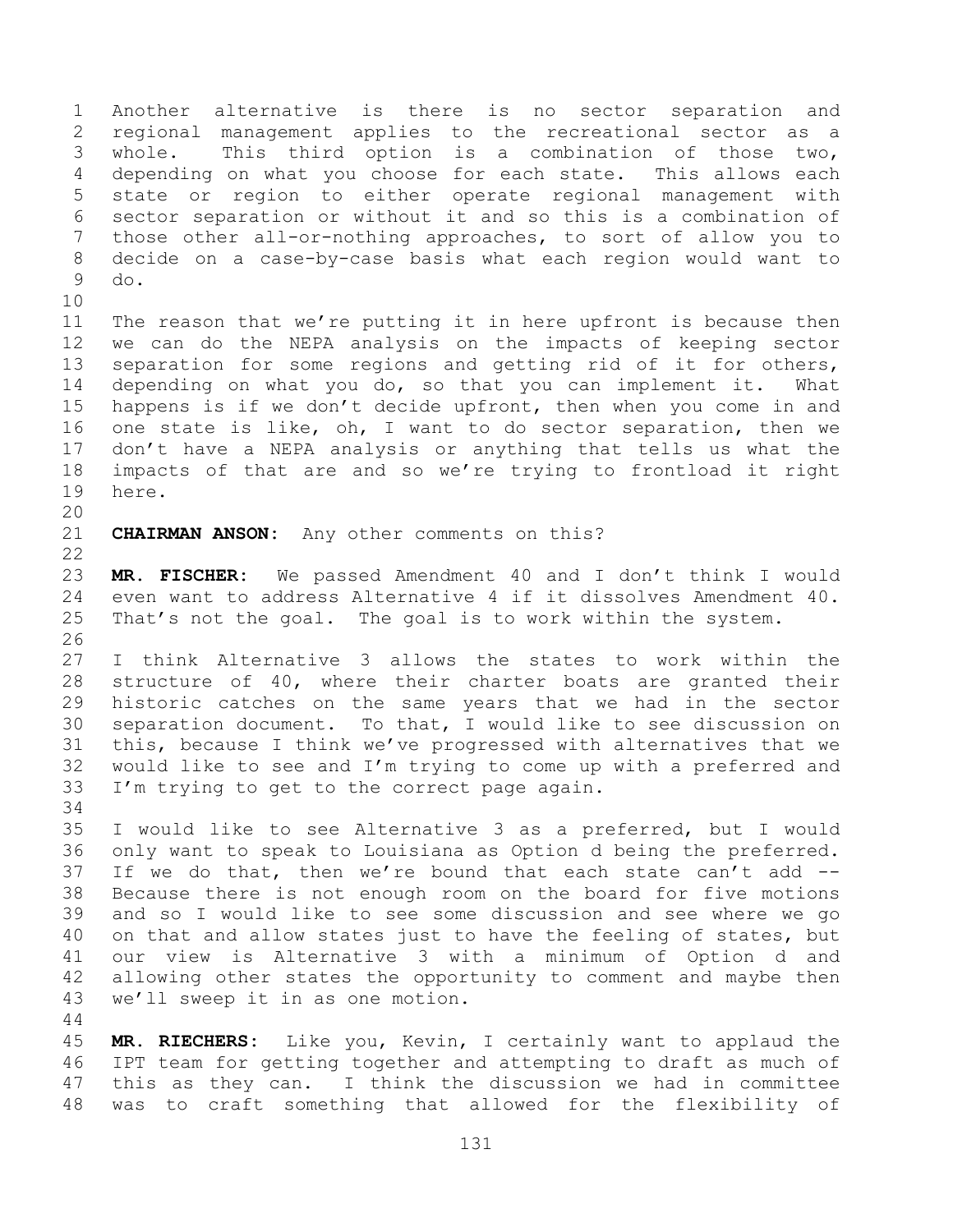Another alternative is there is no sector separation and regional management applies to the recreational sector as a whole. This third option is a combination of those two, depending on what you choose for each state. This allows each state or region to either operate regional management with sector separation or without it and so this is a combination of those other all-or-nothing approaches, to sort of allow you to decide on a case-by-case basis what each region would want to do. The reason that we're putting it in here upfront is because then

 we can do the NEPA analysis on the impacts of keeping sector separation for some regions and getting rid of it for others, depending on what you do, so that you can implement it. What happens is if we don't decide upfront, then when you come in and one state is like, oh, I want to do sector separation, then we don't have a NEPA analysis or anything that tells us what the impacts of that are and so we're trying to frontload it right here.

**CHAIRMAN ANSON:** Any other comments on this?

 **MR. FISCHER:** We passed Amendment 40 and I don't think I would even want to address Alternative 4 if it dissolves Amendment 40. That's not the goal. The goal is to work within the system. 

 I think Alternative 3 allows the states to work within the structure of 40, where their charter boats are granted their historic catches on the same years that we had in the sector separation document. To that, I would like to see discussion on this, because I think we've progressed with alternatives that we would like to see and I'm trying to come up with a preferred and I'm trying to get to the correct page again.

 I would like to see Alternative 3 as a preferred, but I would only want to speak to Louisiana as Option d being the preferred. If we do that, then we're bound that each state can't add -- Because there is not enough room on the board for five motions and so I would like to see some discussion and see where we go on that and allow states just to have the feeling of states, but our view is Alternative 3 with a minimum of Option d and allowing other states the opportunity to comment and maybe then we'll sweep it in as one motion.

 **MR. RIECHERS:** Like you, Kevin, I certainly want to applaud the IPT team for getting together and attempting to draft as much of this as they can. I think the discussion we had in committee was to craft something that allowed for the flexibility of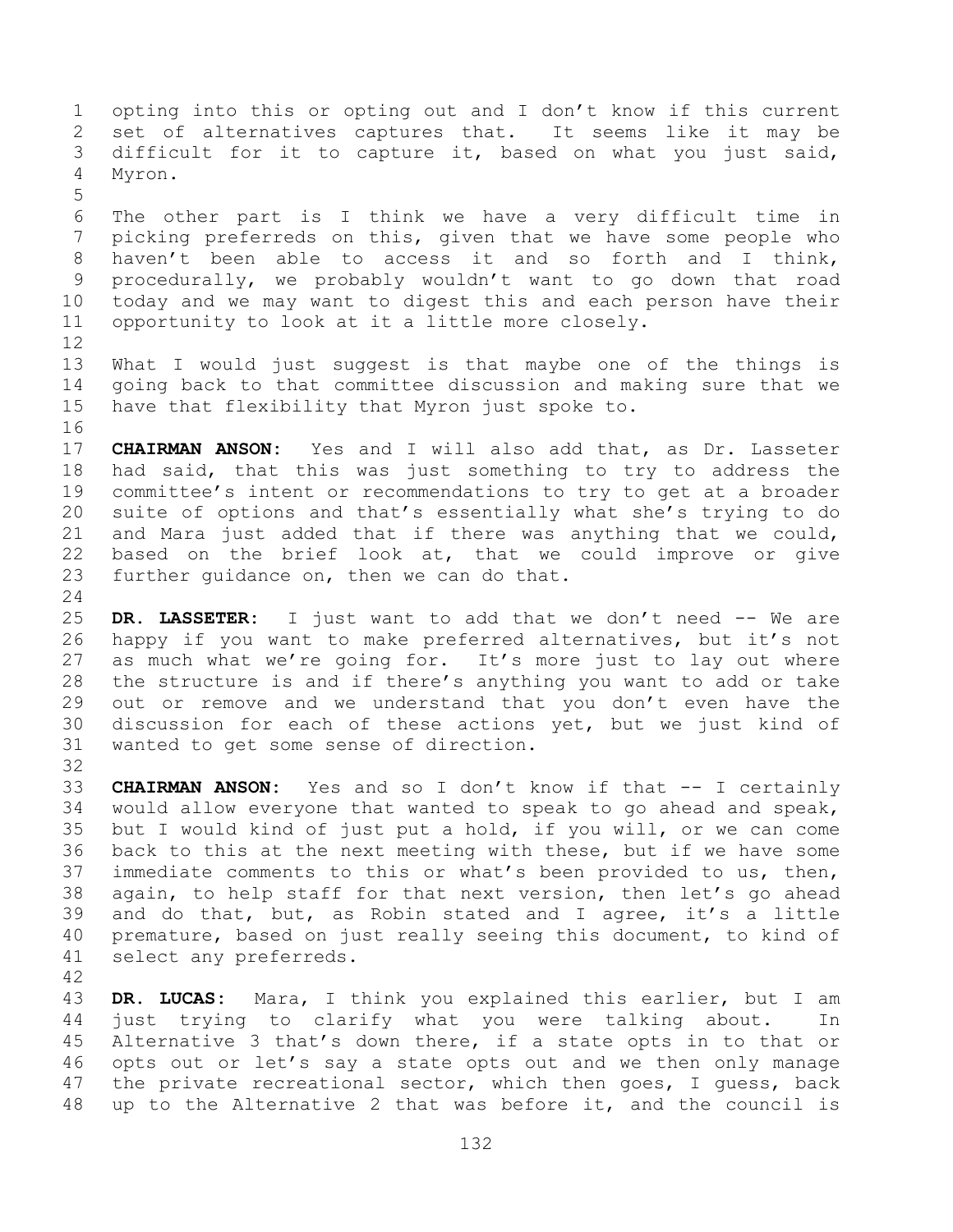opting into this or opting out and I don't know if this current set of alternatives captures that. It seems like it may be difficult for it to capture it, based on what you just said, Myron. The other part is I think we have a very difficult time in picking preferreds on this, given that we have some people who haven't been able to access it and so forth and I think, procedurally, we probably wouldn't want to go down that road today and we may want to digest this and each person have their opportunity to look at it a little more closely. What I would just suggest is that maybe one of the things is going back to that committee discussion and making sure that we have that flexibility that Myron just spoke to.

 **CHAIRMAN ANSON:** Yes and I will also add that, as Dr. Lasseter had said, that this was just something to try to address the committee's intent or recommendations to try to get at a broader suite of options and that's essentially what she's trying to do and Mara just added that if there was anything that we could, based on the brief look at, that we could improve or give further guidance on, then we can do that.

 **DR. LASSETER:** I just want to add that we don't need -- We are happy if you want to make preferred alternatives, but it's not as much what we're going for. It's more just to lay out where the structure is and if there's anything you want to add or take out or remove and we understand that you don't even have the discussion for each of these actions yet, but we just kind of wanted to get some sense of direction.

 **CHAIRMAN ANSON:** Yes and so I don't know if that -- I certainly would allow everyone that wanted to speak to go ahead and speak, but I would kind of just put a hold, if you will, or we can come back to this at the next meeting with these, but if we have some immediate comments to this or what's been provided to us, then, again, to help staff for that next version, then let's go ahead and do that, but, as Robin stated and I agree, it's a little premature, based on just really seeing this document, to kind of select any preferreds.

 **DR. LUCAS:** Mara, I think you explained this earlier, but I am just trying to clarify what you were talking about. In Alternative 3 that's down there, if a state opts in to that or opts out or let's say a state opts out and we then only manage 47 the private recreational sector, which then goes, I guess, back up to the Alternative 2 that was before it, and the council is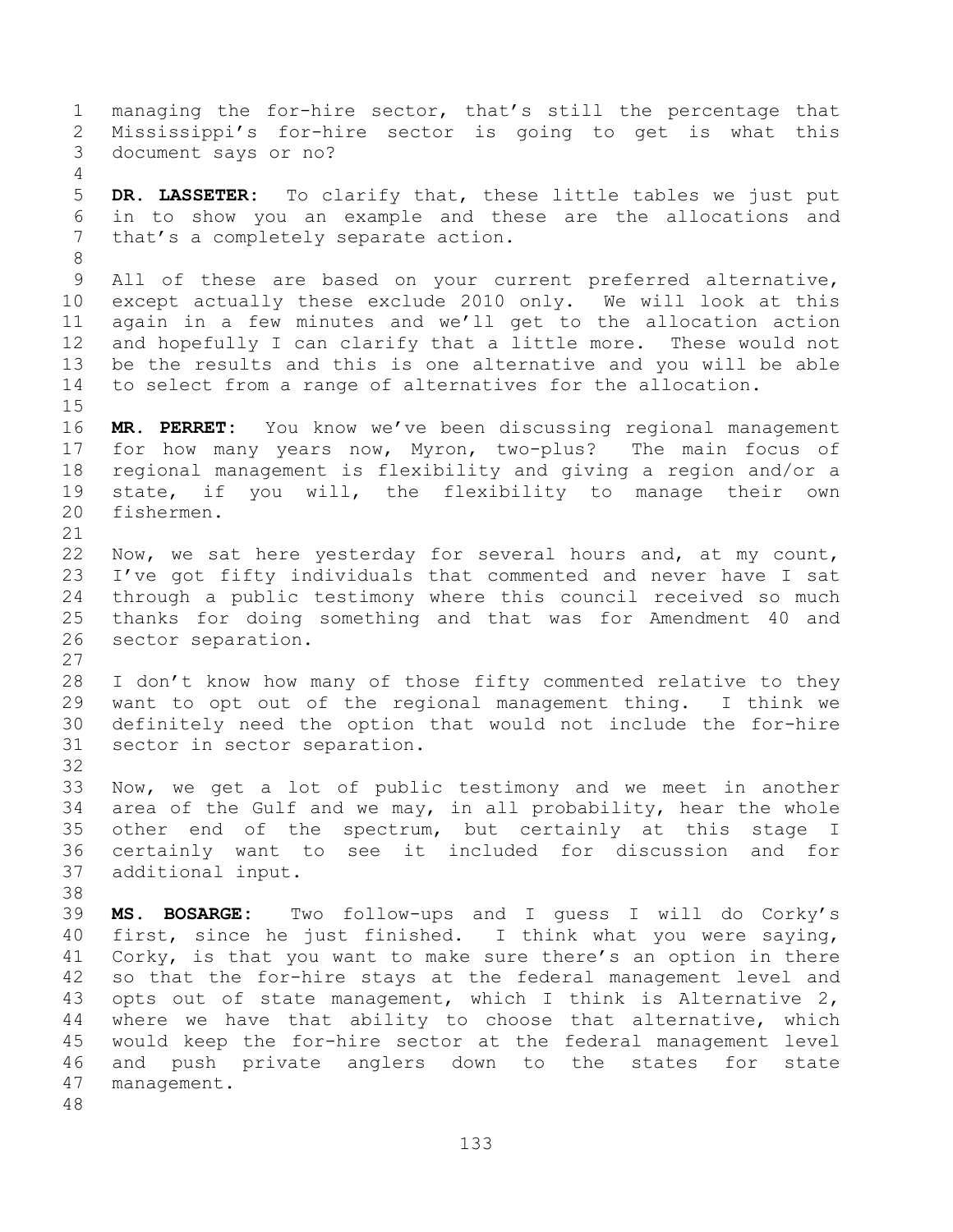managing the for-hire sector, that's still the percentage that Mississippi's for-hire sector is going to get is what this document says or no? **DR. LASSETER:** To clarify that, these little tables we just put in to show you an example and these are the allocations and that's a completely separate action. All of these are based on your current preferred alternative, except actually these exclude 2010 only. We will look at this again in a few minutes and we'll get to the allocation action and hopefully I can clarify that a little more. These would not be the results and this is one alternative and you will be able to select from a range of alternatives for the allocation. **MR. PERRET:** You know we've been discussing regional management for how many years now, Myron, two-plus? The main focus of regional management is flexibility and giving a region and/or a state, if you will, the flexibility to manage their own fishermen. Now, we sat here yesterday for several hours and, at my count, I've got fifty individuals that commented and never have I sat through a public testimony where this council received so much thanks for doing something and that was for Amendment 40 and sector separation. I don't know how many of those fifty commented relative to they want to opt out of the regional management thing. I think we definitely need the option that would not include the for-hire sector in sector separation. Now, we get a lot of public testimony and we meet in another area of the Gulf and we may, in all probability, hear the whole other end of the spectrum, but certainly at this stage I certainly want to see it included for discussion and for additional input. **MS. BOSARGE:** Two follow-ups and I guess I will do Corky's first, since he just finished. I think what you were saying, Corky, is that you want to make sure there's an option in there so that the for-hire stays at the federal management level and opts out of state management, which I think is Alternative 2, where we have that ability to choose that alternative, which would keep the for-hire sector at the federal management level and push private anglers down to the states for state management.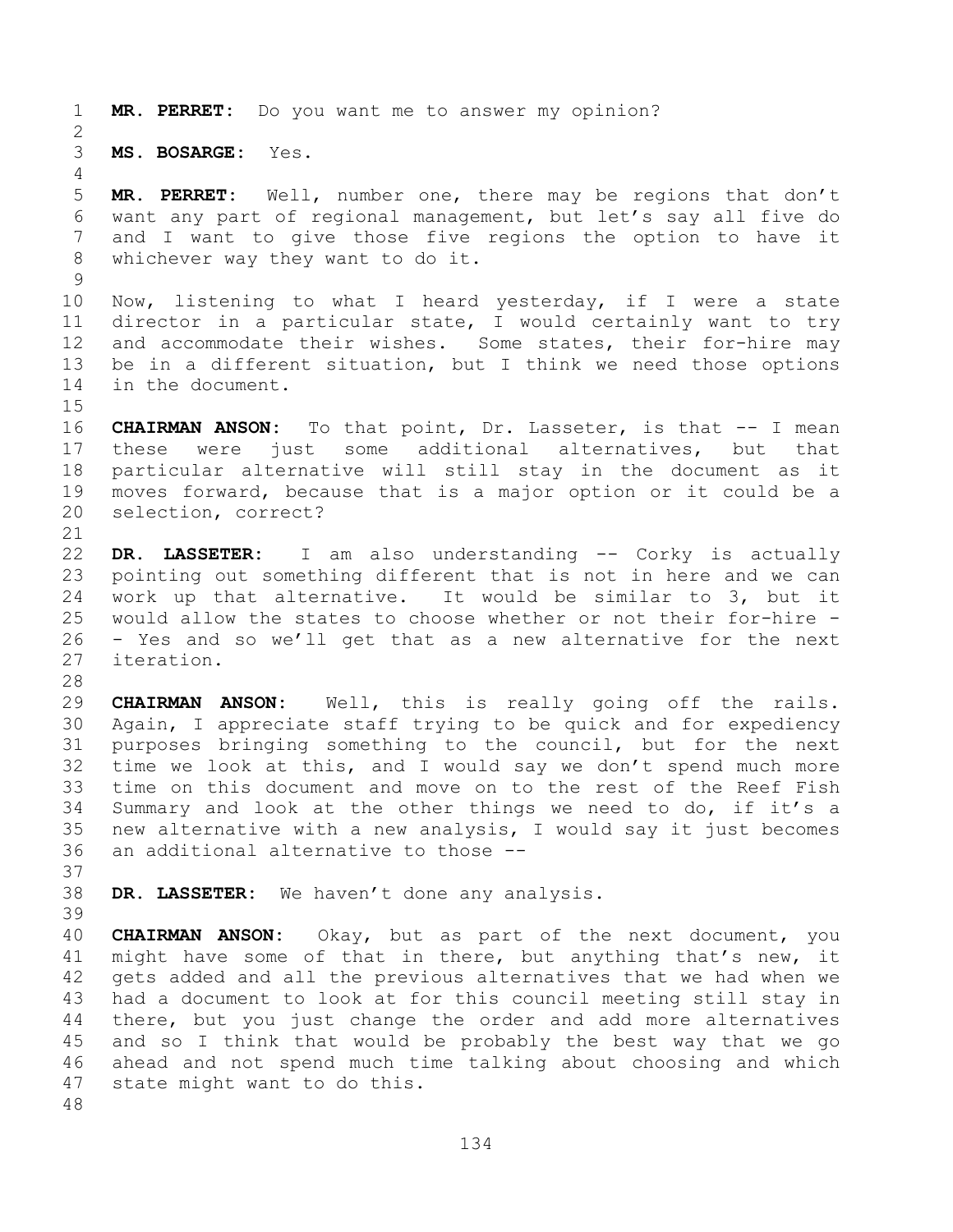**MR. PERRET:** Do you want me to answer my opinion?

**MS. BOSARGE:** Yes.

 **MR. PERRET:** Well, number one, there may be regions that don't want any part of regional management, but let's say all five do and I want to give those five regions the option to have it whichever way they want to do it.

 Now, listening to what I heard yesterday, if I were a state director in a particular state, I would certainly want to try and accommodate their wishes. Some states, their for-hire may be in a different situation, but I think we need those options in the document.

 **CHAIRMAN ANSON:** To that point, Dr. Lasseter, is that -- I mean these were just some additional alternatives, but that particular alternative will still stay in the document as it moves forward, because that is a major option or it could be a selection, correct?

 **DR. LASSETER:** I am also understanding -- Corky is actually pointing out something different that is not in here and we can work up that alternative. It would be similar to 3, but it would allow the states to choose whether or not their for-hire - - Yes and so we'll get that as a new alternative for the next iteration.

 **CHAIRMAN ANSON:** Well, this is really going off the rails. Again, I appreciate staff trying to be quick and for expediency purposes bringing something to the council, but for the next time we look at this, and I would say we don't spend much more time on this document and move on to the rest of the Reef Fish Summary and look at the other things we need to do, if it's a new alternative with a new analysis, I would say it just becomes an additional alternative to those --

 **DR. LASSETER:** We haven't done any analysis. 

 **CHAIRMAN ANSON:** Okay, but as part of the next document, you might have some of that in there, but anything that's new, it gets added and all the previous alternatives that we had when we had a document to look at for this council meeting still stay in there, but you just change the order and add more alternatives and so I think that would be probably the best way that we go ahead and not spend much time talking about choosing and which state might want to do this.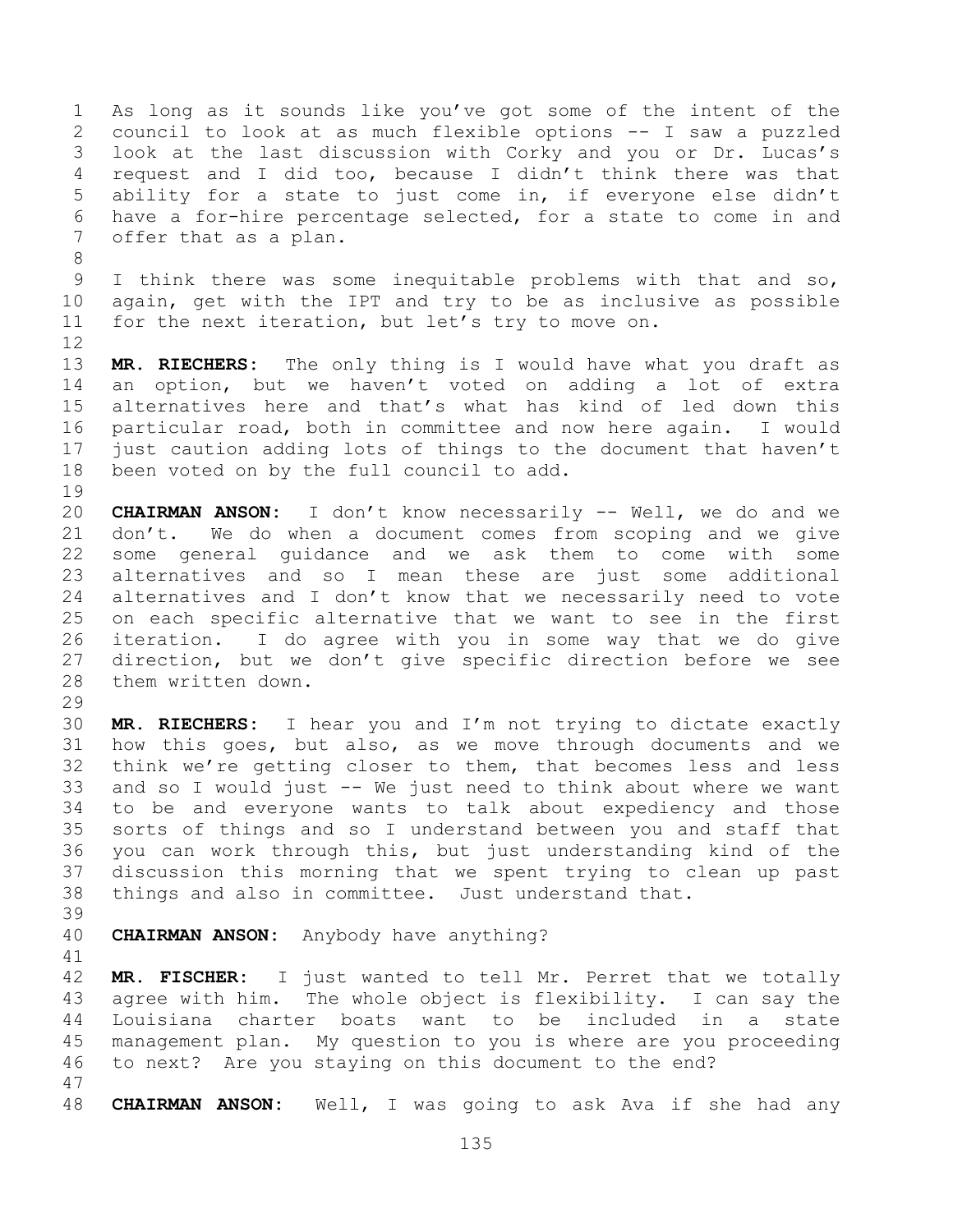As long as it sounds like you've got some of the intent of the council to look at as much flexible options -- I saw a puzzled look at the last discussion with Corky and you or Dr. Lucas's request and I did too, because I didn't think there was that ability for a state to just come in, if everyone else didn't have a for-hire percentage selected, for a state to come in and offer that as a plan. I think there was some inequitable problems with that and so, again, get with the IPT and try to be as inclusive as possible for the next iteration, but let's try to move on. **MR. RIECHERS:** The only thing is I would have what you draft as an option, but we haven't voted on adding a lot of extra alternatives here and that's what has kind of led down this particular road, both in committee and now here again. I would just caution adding lots of things to the document that haven't been voted on by the full council to add. **CHAIRMAN ANSON:** I don't know necessarily -- Well, we do and we don't. We do when a document comes from scoping and we give some general guidance and we ask them to come with some alternatives and so I mean these are just some additional alternatives and I don't know that we necessarily need to vote on each specific alternative that we want to see in the first iteration. I do agree with you in some way that we do give direction, but we don't give specific direction before we see them written down. **MR. RIECHERS:** I hear you and I'm not trying to dictate exactly how this goes, but also, as we move through documents and we think we're getting closer to them, that becomes less and less and so I would just -- We just need to think about where we want to be and everyone wants to talk about expediency and those sorts of things and so I understand between you and staff that you can work through this, but just understanding kind of the discussion this morning that we spent trying to clean up past things and also in committee. Just understand that. **CHAIRMAN ANSON:** Anybody have anything? **MR. FISCHER:** I just wanted to tell Mr. Perret that we totally agree with him. The whole object is flexibility. I can say the Louisiana charter boats want to be included in a state management plan. My question to you is where are you proceeding

**CHAIRMAN ANSON:** Well, I was going to ask Ava if she had any

to next? Are you staying on this document to the end?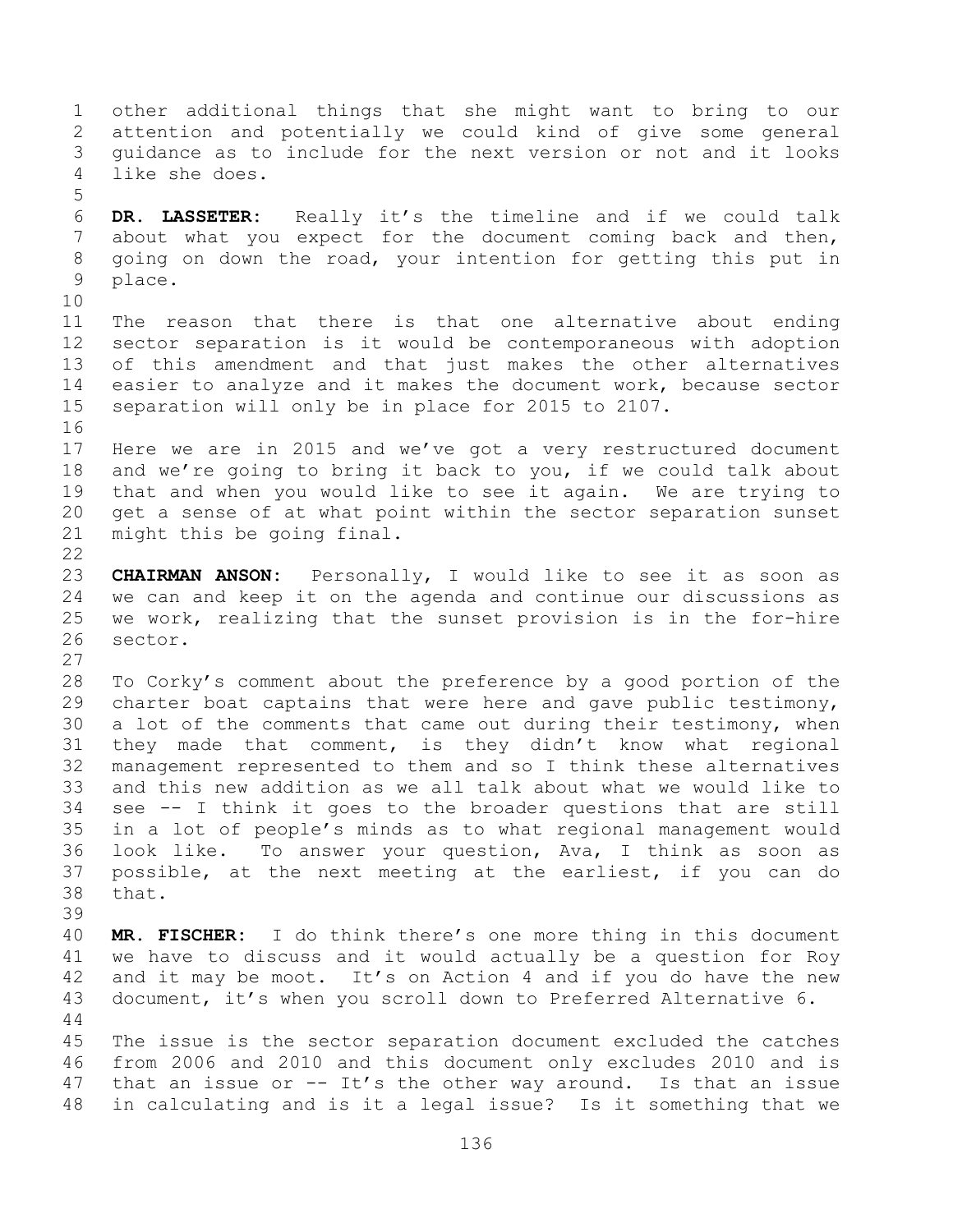other additional things that she might want to bring to our attention and potentially we could kind of give some general guidance as to include for the next version or not and it looks like she does. **DR. LASSETER:** Really it's the timeline and if we could talk about what you expect for the document coming back and then, going on down the road, your intention for getting this put in place. The reason that there is that one alternative about ending sector separation is it would be contemporaneous with adoption of this amendment and that just makes the other alternatives easier to analyze and it makes the document work, because sector separation will only be in place for 2015 to 2107. Here we are in 2015 and we've got a very restructured document and we're going to bring it back to you, if we could talk about that and when you would like to see it again. We are trying to get a sense of at what point within the sector separation sunset might this be going final. **CHAIRMAN ANSON:** Personally, I would like to see it as soon as we can and keep it on the agenda and continue our discussions as we work, realizing that the sunset provision is in the for-hire sector. To Corky's comment about the preference by a good portion of the charter boat captains that were here and gave public testimony, a lot of the comments that came out during their testimony, when they made that comment, is they didn't know what regional management represented to them and so I think these alternatives and this new addition as we all talk about what we would like to see -- I think it goes to the broader questions that are still in a lot of people's minds as to what regional management would look like. To answer your question, Ava, I think as soon as possible, at the next meeting at the earliest, if you can do that. **MR. FISCHER:** I do think there's one more thing in this document we have to discuss and it would actually be a question for Roy 42 and it may be moot. It's on Action 4 and if you do have the new document, it's when you scroll down to Preferred Alternative 6. The issue is the sector separation document excluded the catches from 2006 and 2010 and this document only excludes 2010 and is 47 that an issue or  $-$  It's the other way around. Is that an issue in calculating and is it a legal issue? Is it something that we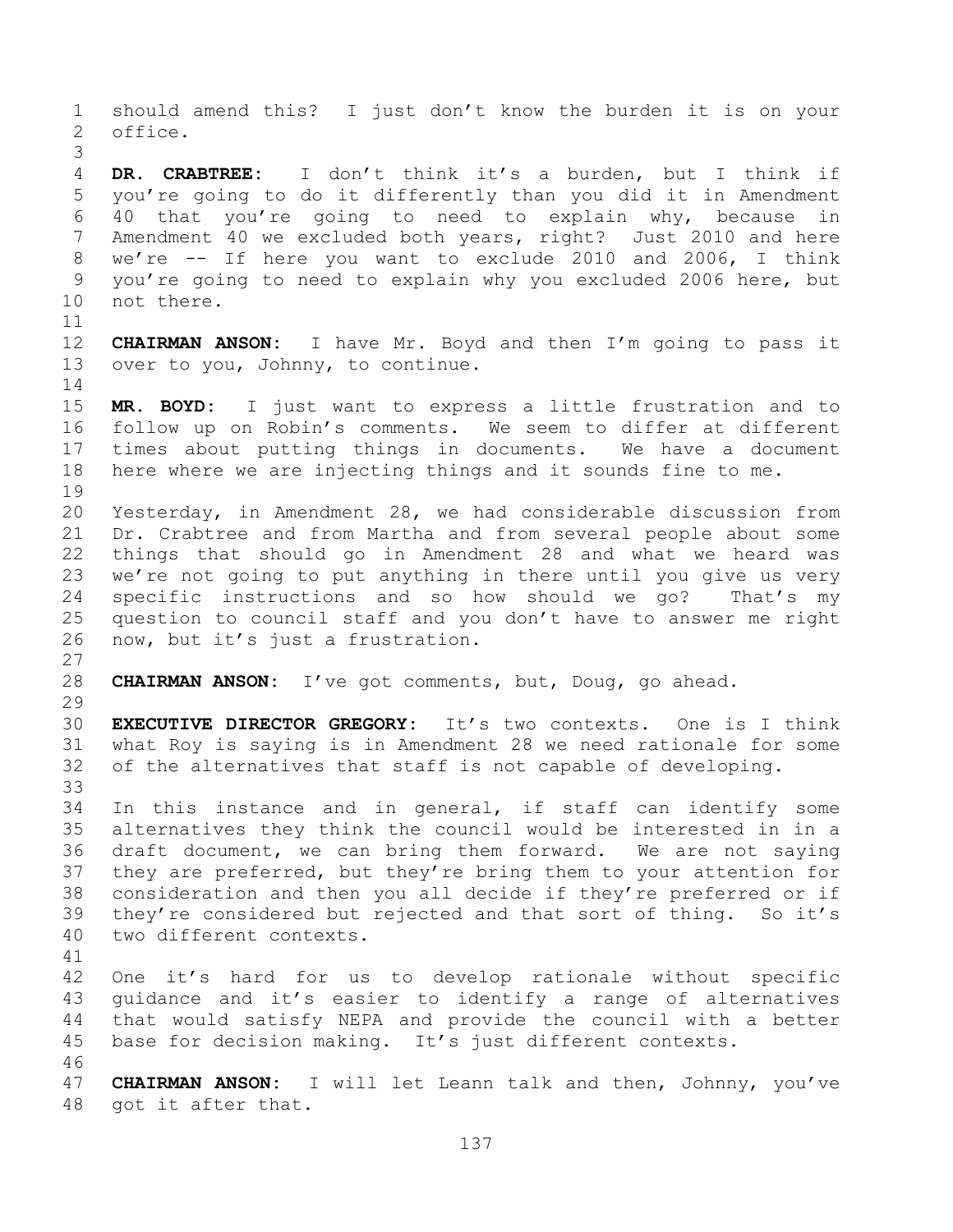should amend this? I just don't know the burden it is on your office. **DR. CRABTREE:** I don't think it's a burden, but I think if you're going to do it differently than you did it in Amendment 40 that you're going to need to explain why, because in Amendment 40 we excluded both years, right? Just 2010 and here we're -- If here you want to exclude 2010 and 2006, I think you're going to need to explain why you excluded 2006 here, but not there. **CHAIRMAN ANSON:** I have Mr. Boyd and then I'm going to pass it over to you, Johnny, to continue. **MR. BOYD:** I just want to express a little frustration and to follow up on Robin's comments. We seem to differ at different times about putting things in documents. We have a document here where we are injecting things and it sounds fine to me. Yesterday, in Amendment 28, we had considerable discussion from Dr. Crabtree and from Martha and from several people about some things that should go in Amendment 28 and what we heard was we're not going to put anything in there until you give us very specific instructions and so how should we go? That's my question to council staff and you don't have to answer me right now, but it's just a frustration. **CHAIRMAN ANSON:** I've got comments, but, Doug, go ahead. **EXECUTIVE DIRECTOR GREGORY:** It's two contexts. One is I think what Roy is saying is in Amendment 28 we need rationale for some of the alternatives that staff is not capable of developing. In this instance and in general, if staff can identify some alternatives they think the council would be interested in in a draft document, we can bring them forward. We are not saying they are preferred, but they're bring them to your attention for consideration and then you all decide if they're preferred or if they're considered but rejected and that sort of thing. So it's two different contexts. One it's hard for us to develop rationale without specific guidance and it's easier to identify a range of alternatives that would satisfy NEPA and provide the council with a better base for decision making. It's just different contexts. **CHAIRMAN ANSON:** I will let Leann talk and then, Johnny, you've got it after that.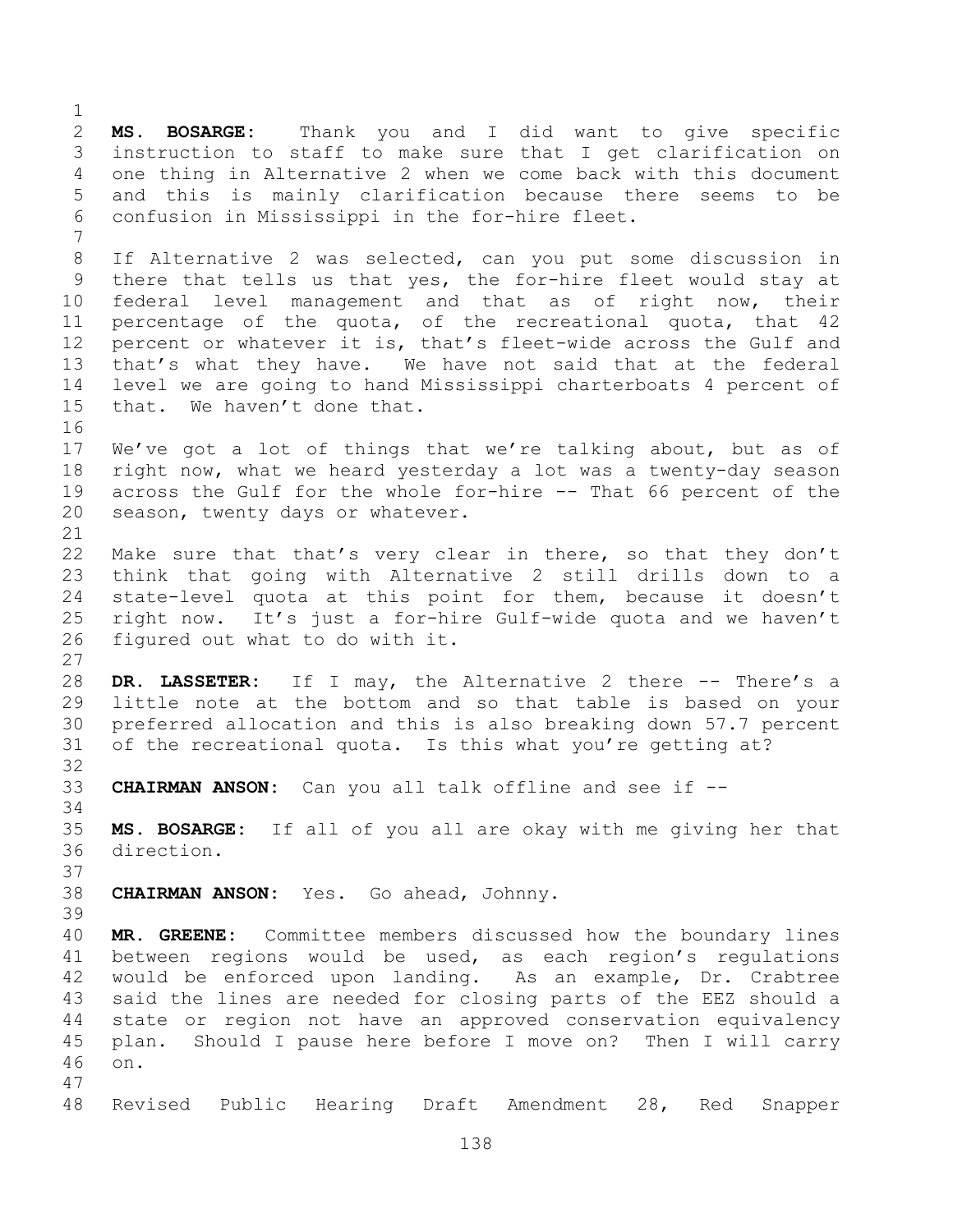**MS. BOSARGE:** Thank you and I did want to give specific instruction to staff to make sure that I get clarification on one thing in Alternative 2 when we come back with this document and this is mainly clarification because there seems to be confusion in Mississippi in the for-hire fleet. If Alternative 2 was selected, can you put some discussion in there that tells us that yes, the for-hire fleet would stay at federal level management and that as of right now, their percentage of the quota, of the recreational quota, that 42 percent or whatever it is, that's fleet-wide across the Gulf and that's what they have. We have not said that at the federal level we are going to hand Mississippi charterboats 4 percent of that. We haven't done that. We've got a lot of things that we're talking about, but as of right now, what we heard yesterday a lot was a twenty-day season across the Gulf for the whole for-hire -- That 66 percent of the season, twenty days or whatever. Make sure that that's very clear in there, so that they don't think that going with Alternative 2 still drills down to a state-level quota at this point for them, because it doesn't right now. It's just a for-hire Gulf-wide quota and we haven't figured out what to do with it. **DR. LASSETER:** If I may, the Alternative 2 there -- There's a little note at the bottom and so that table is based on your preferred allocation and this is also breaking down 57.7 percent of the recreational quota. Is this what you're getting at? **CHAIRMAN ANSON:** Can you all talk offline and see if -- **MS. BOSARGE:** If all of you all are okay with me giving her that direction. **CHAIRMAN ANSON:** Yes. Go ahead, Johnny. **MR. GREENE:** Committee members discussed how the boundary lines between regions would be used, as each region's regulations would be enforced upon landing. As an example, Dr. Crabtree said the lines are needed for closing parts of the EEZ should a state or region not have an approved conservation equivalency plan. Should I pause here before I move on? Then I will carry on. Revised Public Hearing Draft Amendment 28, Red Snapper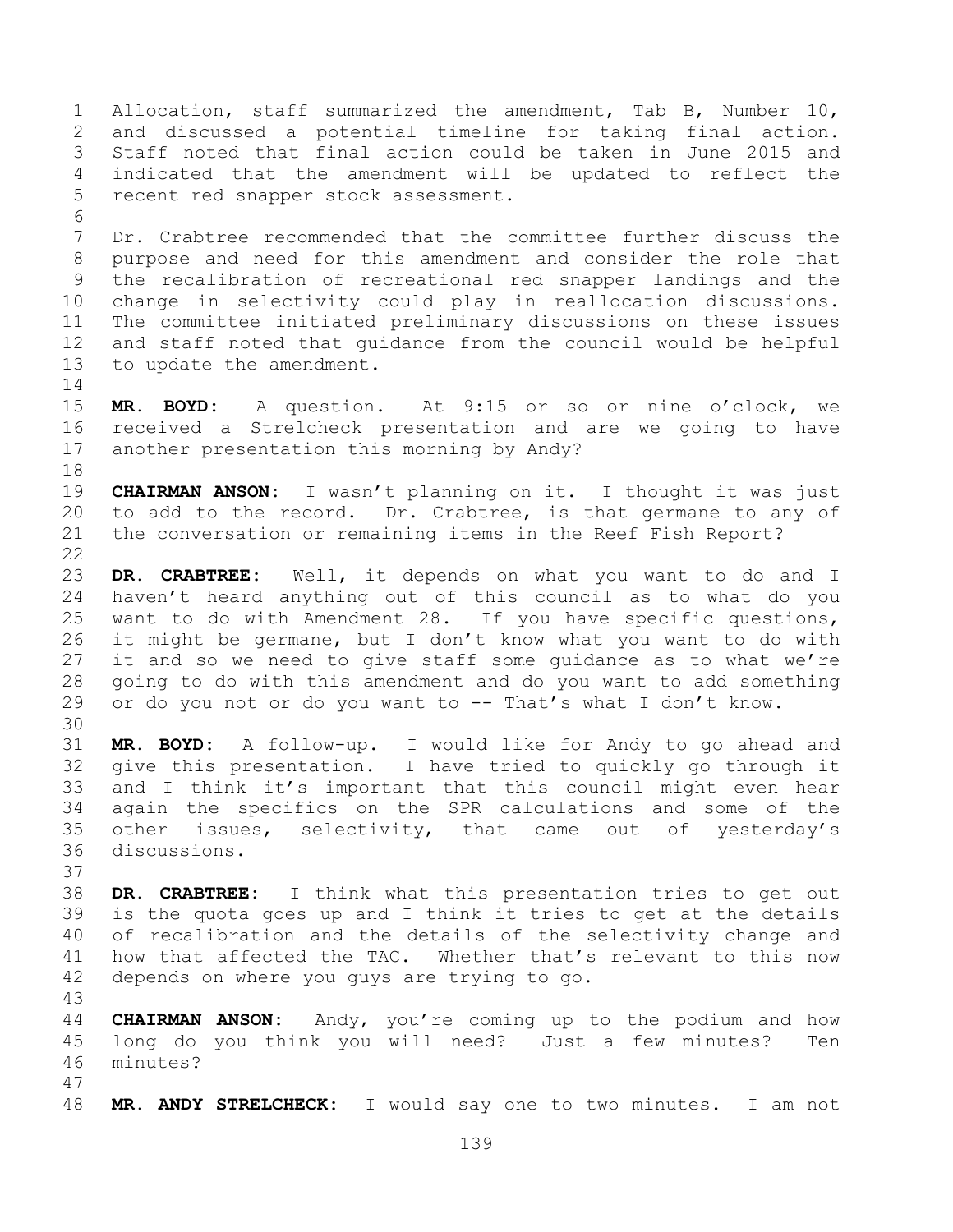Allocation, staff summarized the amendment, Tab B, Number 10, and discussed a potential timeline for taking final action. Staff noted that final action could be taken in June 2015 and indicated that the amendment will be updated to reflect the recent red snapper stock assessment. Dr. Crabtree recommended that the committee further discuss the purpose and need for this amendment and consider the role that the recalibration of recreational red snapper landings and the change in selectivity could play in reallocation discussions. The committee initiated preliminary discussions on these issues and staff noted that guidance from the council would be helpful to update the amendment. **MR. BOYD:** A question. At 9:15 or so or nine o'clock, we received a Strelcheck presentation and are we going to have another presentation this morning by Andy? **CHAIRMAN ANSON:** I wasn't planning on it. I thought it was just to add to the record. Dr. Crabtree, is that germane to any of the conversation or remaining items in the Reef Fish Report? **DR. CRABTREE:** Well, it depends on what you want to do and I haven't heard anything out of this council as to what do you want to do with Amendment 28. If you have specific questions, it might be germane, but I don't know what you want to do with it and so we need to give staff some guidance as to what we're going to do with this amendment and do you want to add something 29 or do you not or do you want to -- That's what I don't know. **MR. BOYD:** A follow-up. I would like for Andy to go ahead and give this presentation. I have tried to quickly go through it and I think it's important that this council might even hear again the specifics on the SPR calculations and some of the other issues, selectivity, that came out of yesterday's discussions. **DR. CRABTREE:** I think what this presentation tries to get out is the quota goes up and I think it tries to get at the details of recalibration and the details of the selectivity change and how that affected the TAC. Whether that's relevant to this now depends on where you guys are trying to go. **CHAIRMAN ANSON:** Andy, you're coming up to the podium and how long do you think you will need? Just a few minutes? Ten minutes? **MR. ANDY STRELCHECK:** I would say one to two minutes. I am not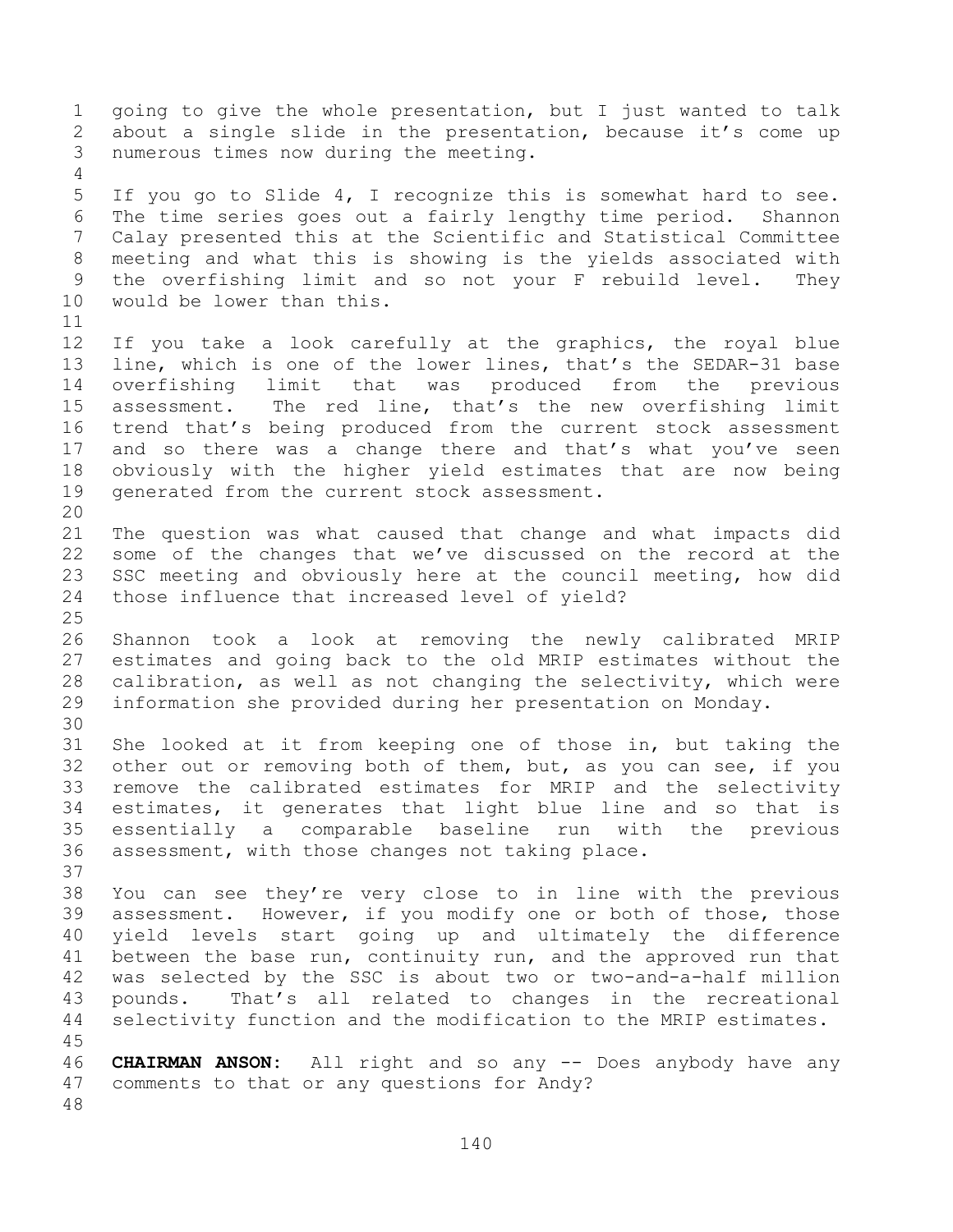going to give the whole presentation, but I just wanted to talk about a single slide in the presentation, because it's come up numerous times now during the meeting. If you go to Slide 4, I recognize this is somewhat hard to see. The time series goes out a fairly lengthy time period. Shannon Calay presented this at the Scientific and Statistical Committee meeting and what this is showing is the yields associated with the overfishing limit and so not your F rebuild level. They would be lower than this. If you take a look carefully at the graphics, the royal blue line, which is one of the lower lines, that's the SEDAR-31 base overfishing limit that was produced from the previous assessment. The red line, that's the new overfishing limit trend that's being produced from the current stock assessment 17 and so there was a change there and that's what you've seen obviously with the higher yield estimates that are now being generated from the current stock assessment. The question was what caused that change and what impacts did some of the changes that we've discussed on the record at the SSC meeting and obviously here at the council meeting, how did those influence that increased level of yield? Shannon took a look at removing the newly calibrated MRIP estimates and going back to the old MRIP estimates without the calibration, as well as not changing the selectivity, which were information she provided during her presentation on Monday. She looked at it from keeping one of those in, but taking the other out or removing both of them, but, as you can see, if you remove the calibrated estimates for MRIP and the selectivity estimates, it generates that light blue line and so that is essentially a comparable baseline run with the previous assessment, with those changes not taking place. You can see they're very close to in line with the previous assessment. However, if you modify one or both of those, those yield levels start going up and ultimately the difference between the base run, continuity run, and the approved run that was selected by the SSC is about two or two-and-a-half million pounds. That's all related to changes in the recreational selectivity function and the modification to the MRIP estimates. **CHAIRMAN ANSON:** All right and so any -- Does anybody have any comments to that or any questions for Andy?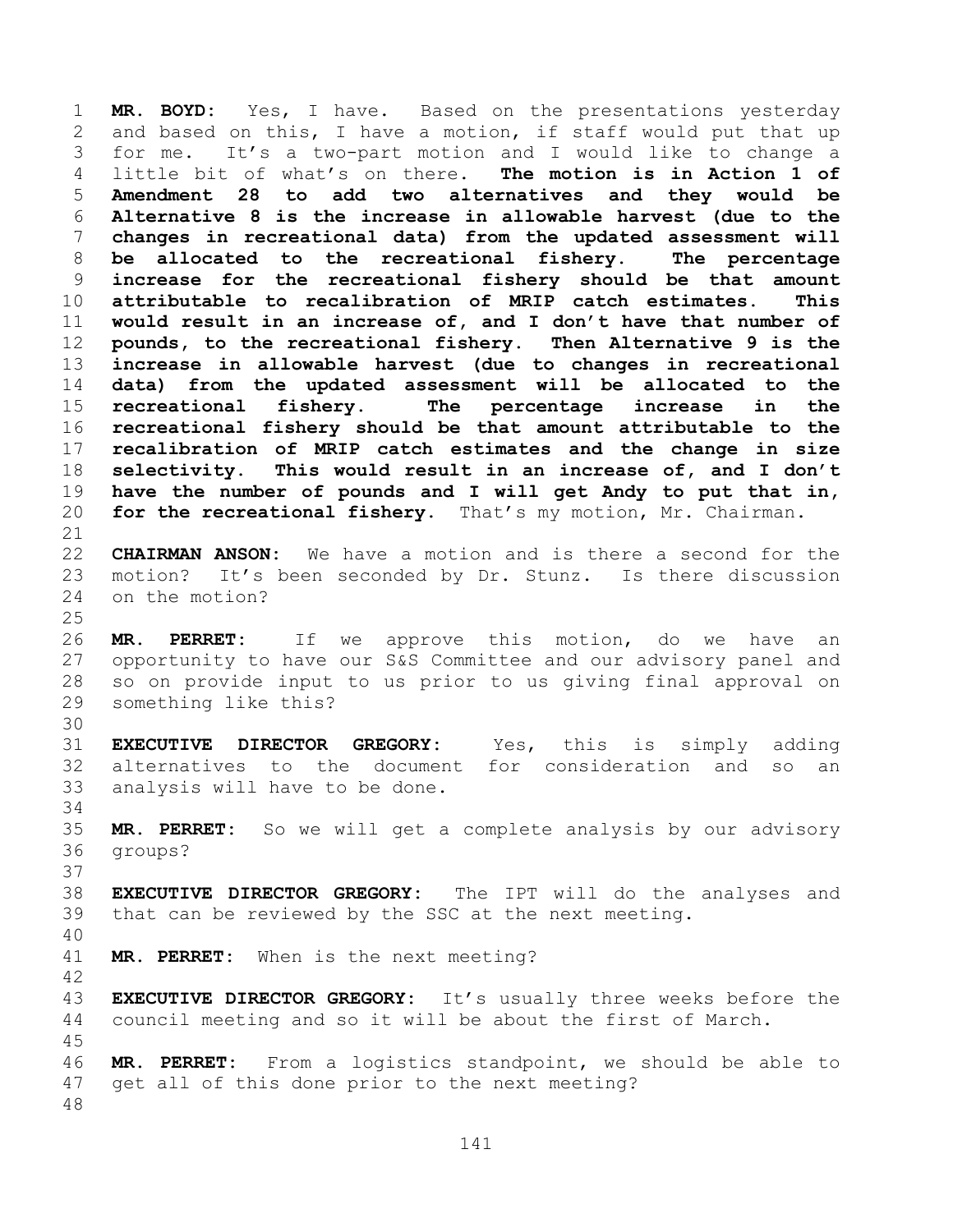**MR. BOYD:** Yes, I have. Based on the presentations yesterday and based on this, I have a motion, if staff would put that up for me. It's a two-part motion and I would like to change a little bit of what's on there. **The motion is in Action 1 of Amendment 28 to add two alternatives and they would be Alternative 8 is the increase in allowable harvest (due to the changes in recreational data) from the updated assessment will be allocated to the recreational fishery. The percentage increase for the recreational fishery should be that amount attributable to recalibration of MRIP catch estimates. This would result in an increase of, and I don't have that number of pounds, to the recreational fishery. Then Alternative 9 is the increase in allowable harvest (due to changes in recreational data) from the updated assessment will be allocated to the recreational fishery. The percentage increase in the recreational fishery should be that amount attributable to the recalibration of MRIP catch estimates and the change in size selectivity. This would result in an increase of, and I don't have the number of pounds and I will get Andy to put that in, for the recreational fishery.** That's my motion, Mr. Chairman. **CHAIRMAN ANSON:** We have a motion and is there a second for the motion? It's been seconded by Dr. Stunz. Is there discussion on the motion? **MR. PERRET:** If we approve this motion, do we have an opportunity to have our S&S Committee and our advisory panel and so on provide input to us prior to us giving final approval on something like this? **EXECUTIVE DIRECTOR GREGORY:** Yes, this is simply adding alternatives to the document for consideration and so an analysis will have to be done. **MR. PERRET:** So we will get a complete analysis by our advisory groups? **EXECUTIVE DIRECTOR GREGORY:** The IPT will do the analyses and that can be reviewed by the SSC at the next meeting. **MR. PERRET:** When is the next meeting? **EXECUTIVE DIRECTOR GREGORY:** It's usually three weeks before the council meeting and so it will be about the first of March. **MR. PERRET:** From a logistics standpoint, we should be able to get all of this done prior to the next meeting?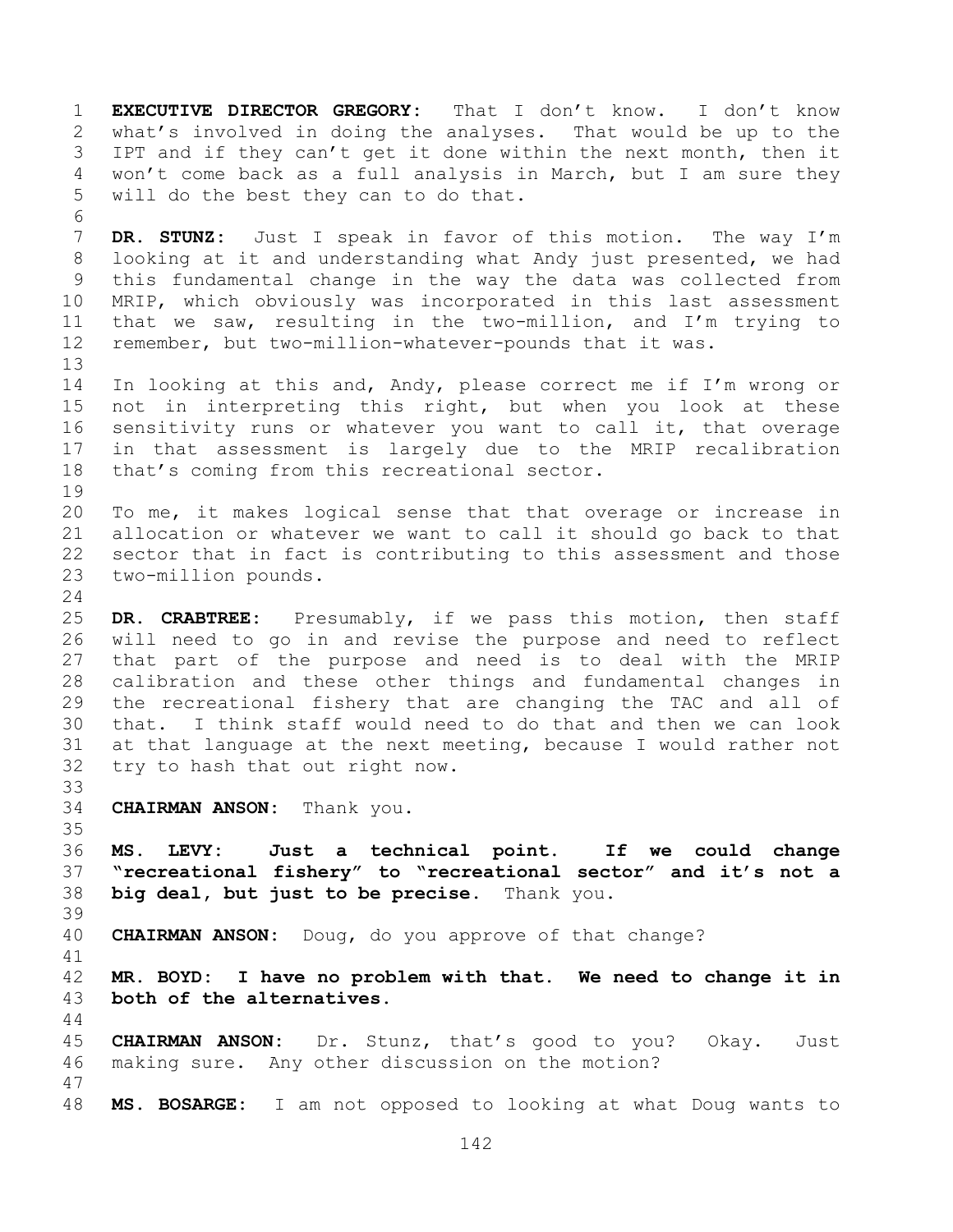**EXECUTIVE DIRECTOR GREGORY:** That I don't know. I don't know what's involved in doing the analyses. That would be up to the IPT and if they can't get it done within the next month, then it won't come back as a full analysis in March, but I am sure they will do the best they can to do that. **DR. STUNZ:** Just I speak in favor of this motion. The way I'm looking at it and understanding what Andy just presented, we had this fundamental change in the way the data was collected from MRIP, which obviously was incorporated in this last assessment that we saw, resulting in the two-million, and I'm trying to remember, but two-million-whatever-pounds that it was. In looking at this and, Andy, please correct me if I'm wrong or not in interpreting this right, but when you look at these sensitivity runs or whatever you want to call it, that overage in that assessment is largely due to the MRIP recalibration that's coming from this recreational sector. To me, it makes logical sense that that overage or increase in allocation or whatever we want to call it should go back to that sector that in fact is contributing to this assessment and those two-million pounds. **DR. CRABTREE:** Presumably, if we pass this motion, then staff will need to go in and revise the purpose and need to reflect that part of the purpose and need is to deal with the MRIP calibration and these other things and fundamental changes in the recreational fishery that are changing the TAC and all of that. I think staff would need to do that and then we can look at that language at the next meeting, because I would rather not try to hash that out right now. **CHAIRMAN ANSON:** Thank you. **MS. LEVY: Just a technical point. If we could change "recreational fishery" to "recreational sector" and it's not a big deal, but just to be precise.** Thank you. **CHAIRMAN ANSON:** Doug, do you approve of that change? **MR. BOYD: I have no problem with that. We need to change it in both of the alternatives. CHAIRMAN ANSON:** Dr. Stunz, that's good to you? Okay. Just making sure. Any other discussion on the motion? **MS. BOSARGE:** I am not opposed to looking at what Doug wants to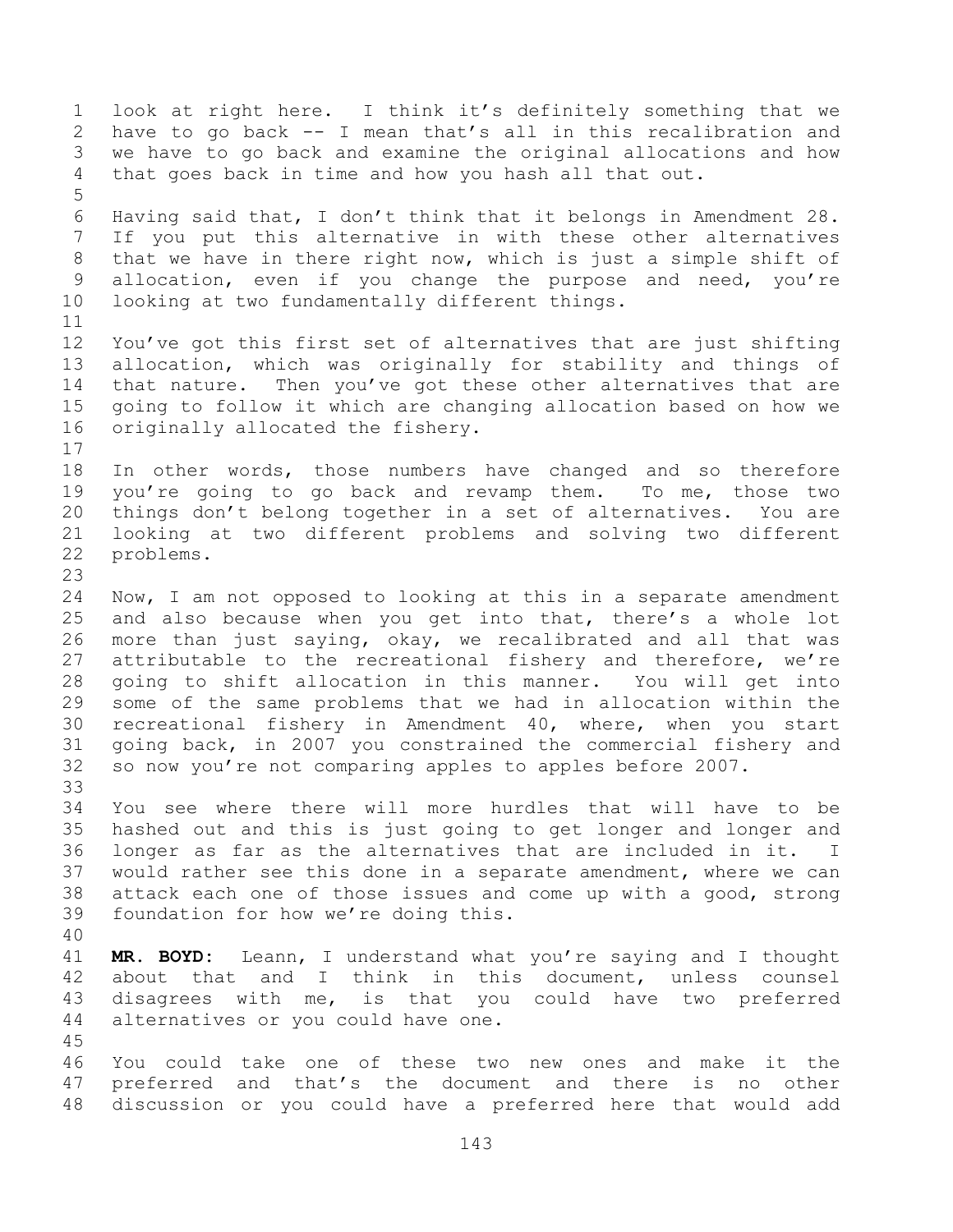look at right here. I think it's definitely something that we have to go back -- I mean that's all in this recalibration and we have to go back and examine the original allocations and how that goes back in time and how you hash all that out. Having said that, I don't think that it belongs in Amendment 28. If you put this alternative in with these other alternatives that we have in there right now, which is just a simple shift of 9 allocation, even if you change the purpose and need, you're looking at two fundamentally different things. You've got this first set of alternatives that are just shifting allocation, which was originally for stability and things of that nature. Then you've got these other alternatives that are going to follow it which are changing allocation based on how we originally allocated the fishery. In other words, those numbers have changed and so therefore you're going to go back and revamp them. To me, those two things don't belong together in a set of alternatives. You are looking at two different problems and solving two different problems. Now, I am not opposed to looking at this in a separate amendment and also because when you get into that, there's a whole lot more than just saying, okay, we recalibrated and all that was attributable to the recreational fishery and therefore, we're going to shift allocation in this manner. You will get into some of the same problems that we had in allocation within the recreational fishery in Amendment 40, where, when you start going back, in 2007 you constrained the commercial fishery and so now you're not comparing apples to apples before 2007. You see where there will more hurdles that will have to be hashed out and this is just going to get longer and longer and longer as far as the alternatives that are included in it. I would rather see this done in a separate amendment, where we can attack each one of those issues and come up with a good, strong foundation for how we're doing this. **MR. BOYD:** Leann, I understand what you're saying and I thought about that and I think in this document, unless counsel disagrees with me, is that you could have two preferred alternatives or you could have one. You could take one of these two new ones and make it the preferred and that's the document and there is no other discussion or you could have a preferred here that would add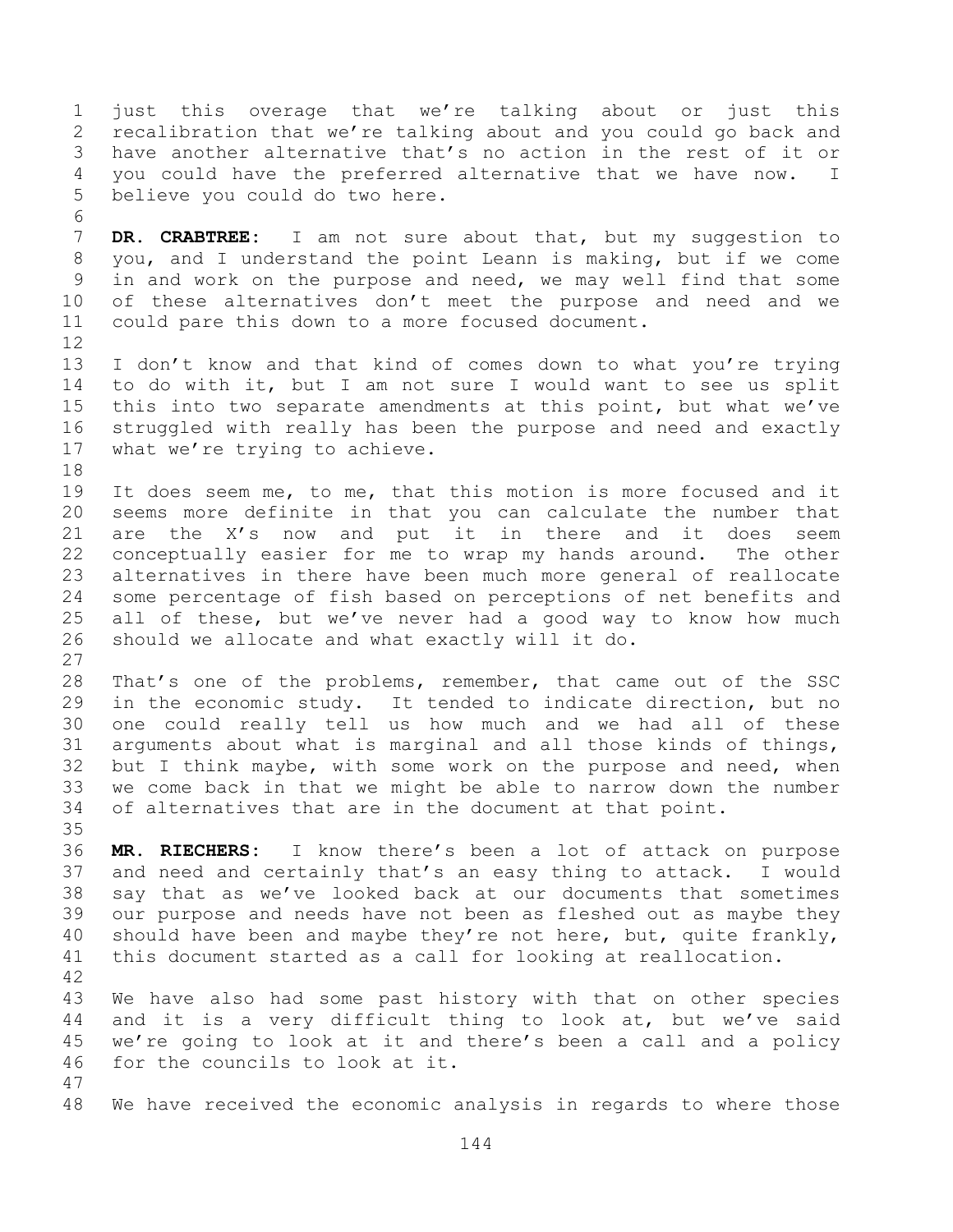just this overage that we're talking about or just this recalibration that we're talking about and you could go back and have another alternative that's no action in the rest of it or you could have the preferred alternative that we have now. I believe you could do two here. **DR. CRABTREE:** I am not sure about that, but my suggestion to you, and I understand the point Leann is making, but if we come in and work on the purpose and need, we may well find that some of these alternatives don't meet the purpose and need and we could pare this down to a more focused document. I don't know and that kind of comes down to what you're trying to do with it, but I am not sure I would want to see us split this into two separate amendments at this point, but what we've struggled with really has been the purpose and need and exactly what we're trying to achieve. It does seem me, to me, that this motion is more focused and it seems more definite in that you can calculate the number that are the X's now and put it in there and it does seem conceptually easier for me to wrap my hands around. The other alternatives in there have been much more general of reallocate some percentage of fish based on perceptions of net benefits and all of these, but we've never had a good way to know how much should we allocate and what exactly will it do. That's one of the problems, remember, that came out of the SSC in the economic study. It tended to indicate direction, but no one could really tell us how much and we had all of these arguments about what is marginal and all those kinds of things, but I think maybe, with some work on the purpose and need, when we come back in that we might be able to narrow down the number of alternatives that are in the document at that point. **MR. RIECHERS:** I know there's been a lot of attack on purpose and need and certainly that's an easy thing to attack. I would say that as we've looked back at our documents that sometimes our purpose and needs have not been as fleshed out as maybe they 40 should have been and maybe they're not here, but, quite frankly, this document started as a call for looking at reallocation. We have also had some past history with that on other species and it is a very difficult thing to look at, but we've said we're going to look at it and there's been a call and a policy for the councils to look at it. 

We have received the economic analysis in regards to where those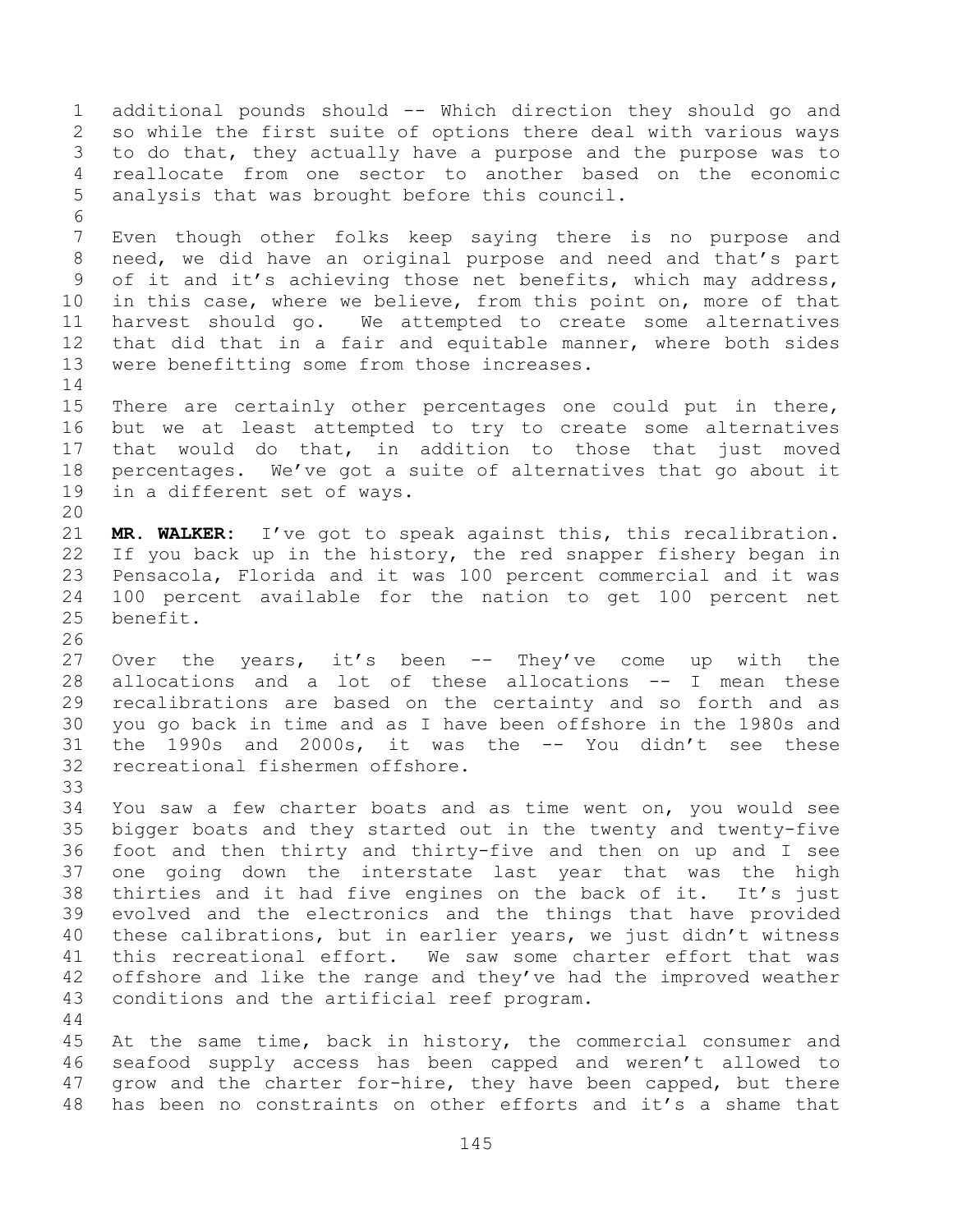additional pounds should -- Which direction they should go and so while the first suite of options there deal with various ways to do that, they actually have a purpose and the purpose was to reallocate from one sector to another based on the economic analysis that was brought before this council. Even though other folks keep saying there is no purpose and need, we did have an original purpose and need and that's part of it and it's achieving those net benefits, which may address, in this case, where we believe, from this point on, more of that harvest should go. We attempted to create some alternatives that did that in a fair and equitable manner, where both sides were benefitting some from those increases. There are certainly other percentages one could put in there, but we at least attempted to try to create some alternatives that would do that, in addition to those that just moved percentages. We've got a suite of alternatives that go about it in a different set of ways. **MR. WALKER:** I've got to speak against this, this recalibration. If you back up in the history, the red snapper fishery began in Pensacola, Florida and it was 100 percent commercial and it was 100 percent available for the nation to get 100 percent net benefit. Over the years, it's been -- They've come up with the allocations and a lot of these allocations -- I mean these recalibrations are based on the certainty and so forth and as you go back in time and as I have been offshore in the 1980s and the 1990s and 2000s, it was the -- You didn't see these recreational fishermen offshore. You saw a few charter boats and as time went on, you would see bigger boats and they started out in the twenty and twenty-five foot and then thirty and thirty-five and then on up and I see one going down the interstate last year that was the high thirties and it had five engines on the back of it. It's just evolved and the electronics and the things that have provided these calibrations, but in earlier years, we just didn't witness this recreational effort. We saw some charter effort that was offshore and like the range and they've had the improved weather conditions and the artificial reef program. At the same time, back in history, the commercial consumer and

 seafood supply access has been capped and weren't allowed to 47 grow and the charter for-hire, they have been capped, but there has been no constraints on other efforts and it's a shame that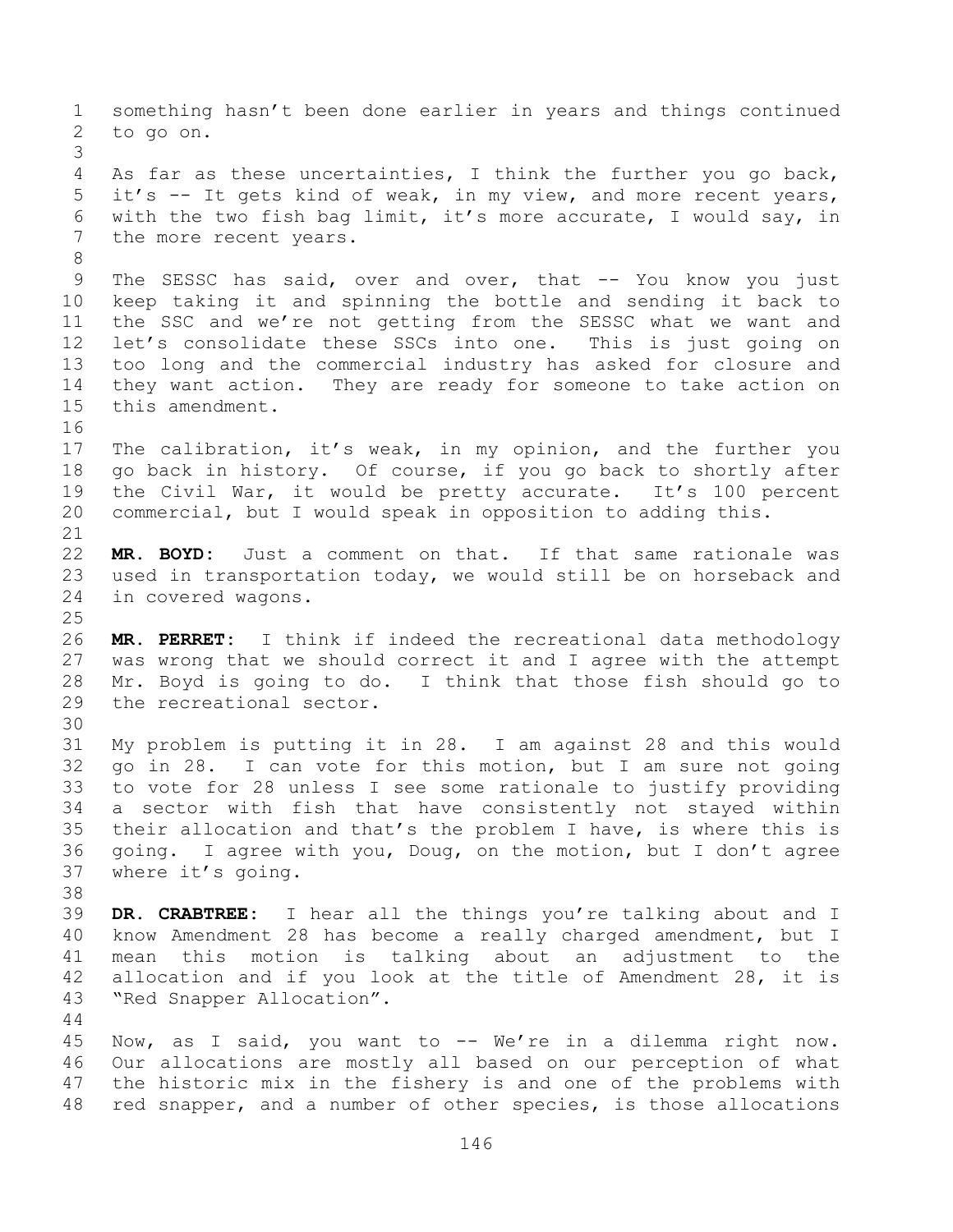something hasn't been done earlier in years and things continued to go on. As far as these uncertainties, I think the further you go back, it's -- It gets kind of weak, in my view, and more recent years, with the two fish bag limit, it's more accurate, I would say, in the more recent years. 9 The SESSC has said, over and over, that -- You know you just keep taking it and spinning the bottle and sending it back to the SSC and we're not getting from the SESSC what we want and let's consolidate these SSCs into one. This is just going on too long and the commercial industry has asked for closure and they want action. They are ready for someone to take action on this amendment. The calibration, it's weak, in my opinion, and the further you go back in history. Of course, if you go back to shortly after the Civil War, it would be pretty accurate. It's 100 percent commercial, but I would speak in opposition to adding this. **MR. BOYD:** Just a comment on that. If that same rationale was used in transportation today, we would still be on horseback and in covered wagons. **MR. PERRET:** I think if indeed the recreational data methodology was wrong that we should correct it and I agree with the attempt Mr. Boyd is going to do. I think that those fish should go to the recreational sector. My problem is putting it in 28. I am against 28 and this would go in 28. I can vote for this motion, but I am sure not going to vote for 28 unless I see some rationale to justify providing a sector with fish that have consistently not stayed within their allocation and that's the problem I have, is where this is going. I agree with you, Doug, on the motion, but I don't agree where it's going. **DR. CRABTREE:** I hear all the things you're talking about and I know Amendment 28 has become a really charged amendment, but I mean this motion is talking about an adjustment to the allocation and if you look at the title of Amendment 28, it is "Red Snapper Allocation". Now, as I said, you want to -- We're in a dilemma right now. Our allocations are mostly all based on our perception of what the historic mix in the fishery is and one of the problems with red snapper, and a number of other species, is those allocations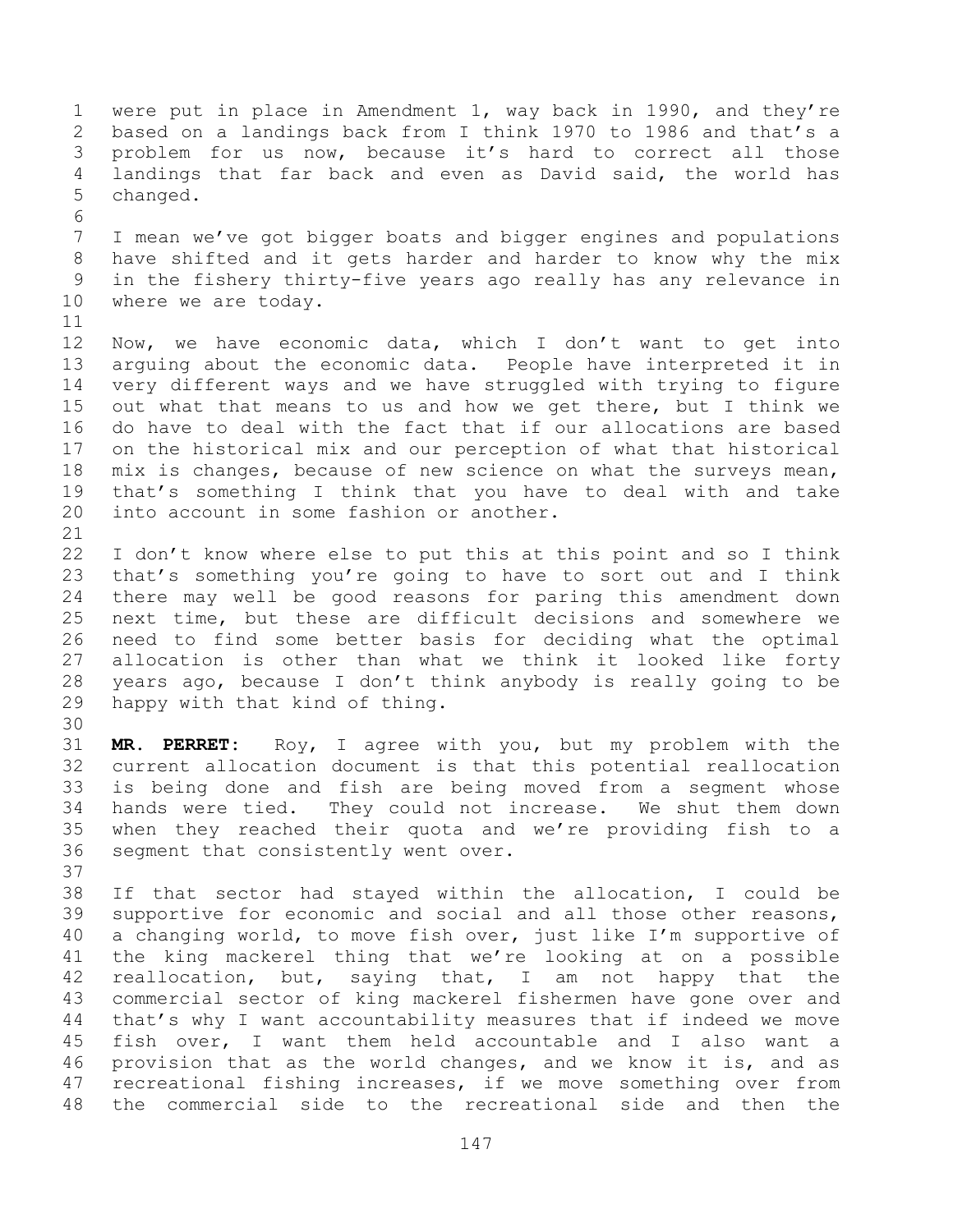were put in place in Amendment 1, way back in 1990, and they're based on a landings back from I think 1970 to 1986 and that's a problem for us now, because it's hard to correct all those landings that far back and even as David said, the world has changed. 

 I mean we've got bigger boats and bigger engines and populations have shifted and it gets harder and harder to know why the mix in the fishery thirty-five years ago really has any relevance in where we are today.

 Now, we have economic data, which I don't want to get into arguing about the economic data. People have interpreted it in very different ways and we have struggled with trying to figure out what that means to us and how we get there, but I think we do have to deal with the fact that if our allocations are based on the historical mix and our perception of what that historical mix is changes, because of new science on what the surveys mean, that's something I think that you have to deal with and take into account in some fashion or another.

 I don't know where else to put this at this point and so I think that's something you're going to have to sort out and I think there may well be good reasons for paring this amendment down next time, but these are difficult decisions and somewhere we need to find some better basis for deciding what the optimal allocation is other than what we think it looked like forty years ago, because I don't think anybody is really going to be happy with that kind of thing.

 **MR. PERRET:** Roy, I agree with you, but my problem with the current allocation document is that this potential reallocation is being done and fish are being moved from a segment whose hands were tied. They could not increase. We shut them down when they reached their quota and we're providing fish to a segment that consistently went over.

 If that sector had stayed within the allocation, I could be supportive for economic and social and all those other reasons, a changing world, to move fish over, just like I'm supportive of the king mackerel thing that we're looking at on a possible reallocation, but, saying that, I am not happy that the commercial sector of king mackerel fishermen have gone over and that's why I want accountability measures that if indeed we move fish over, I want them held accountable and I also want a provision that as the world changes, and we know it is, and as recreational fishing increases, if we move something over from the commercial side to the recreational side and then the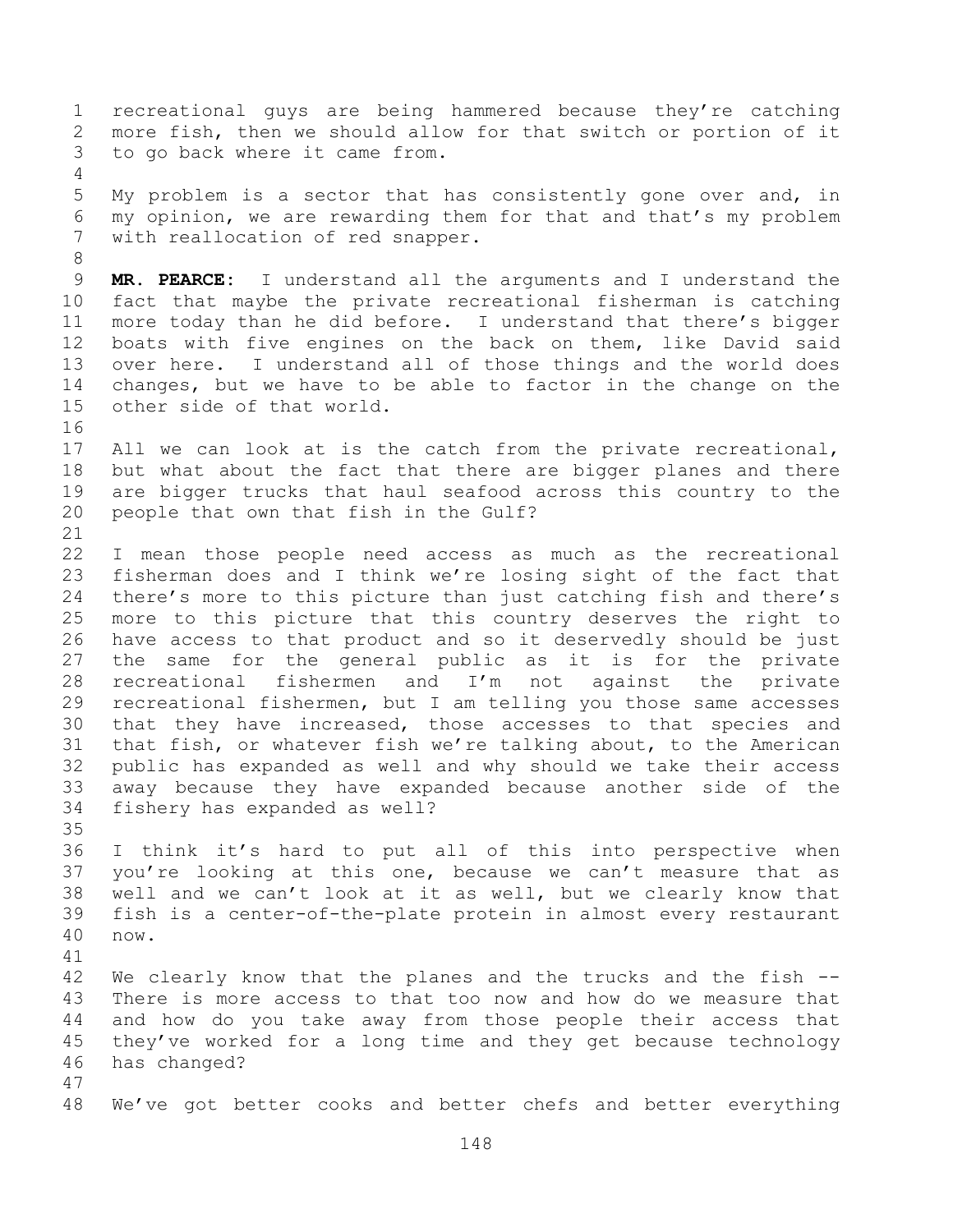recreational guys are being hammered because they're catching more fish, then we should allow for that switch or portion of it to go back where it came from.

 My problem is a sector that has consistently gone over and, in my opinion, we are rewarding them for that and that's my problem with reallocation of red snapper.

 **MR. PEARCE:** I understand all the arguments and I understand the fact that maybe the private recreational fisherman is catching more today than he did before. I understand that there's bigger boats with five engines on the back on them, like David said over here. I understand all of those things and the world does changes, but we have to be able to factor in the change on the other side of that world.

 All we can look at is the catch from the private recreational, but what about the fact that there are bigger planes and there are bigger trucks that haul seafood across this country to the people that own that fish in the Gulf?

 I mean those people need access as much as the recreational fisherman does and I think we're losing sight of the fact that there's more to this picture than just catching fish and there's more to this picture that this country deserves the right to have access to that product and so it deservedly should be just the same for the general public as it is for the private recreational fishermen and I'm not against the private recreational fishermen, but I am telling you those same accesses that they have increased, those accesses to that species and that fish, or whatever fish we're talking about, to the American public has expanded as well and why should we take their access away because they have expanded because another side of the fishery has expanded as well?

 I think it's hard to put all of this into perspective when you're looking at this one, because we can't measure that as well and we can't look at it as well, but we clearly know that fish is a center-of-the-plate protein in almost every restaurant now. 

 We clearly know that the planes and the trucks and the fish -- There is more access to that too now and how do we measure that and how do you take away from those people their access that they've worked for a long time and they get because technology has changed?

We've got better cooks and better chefs and better everything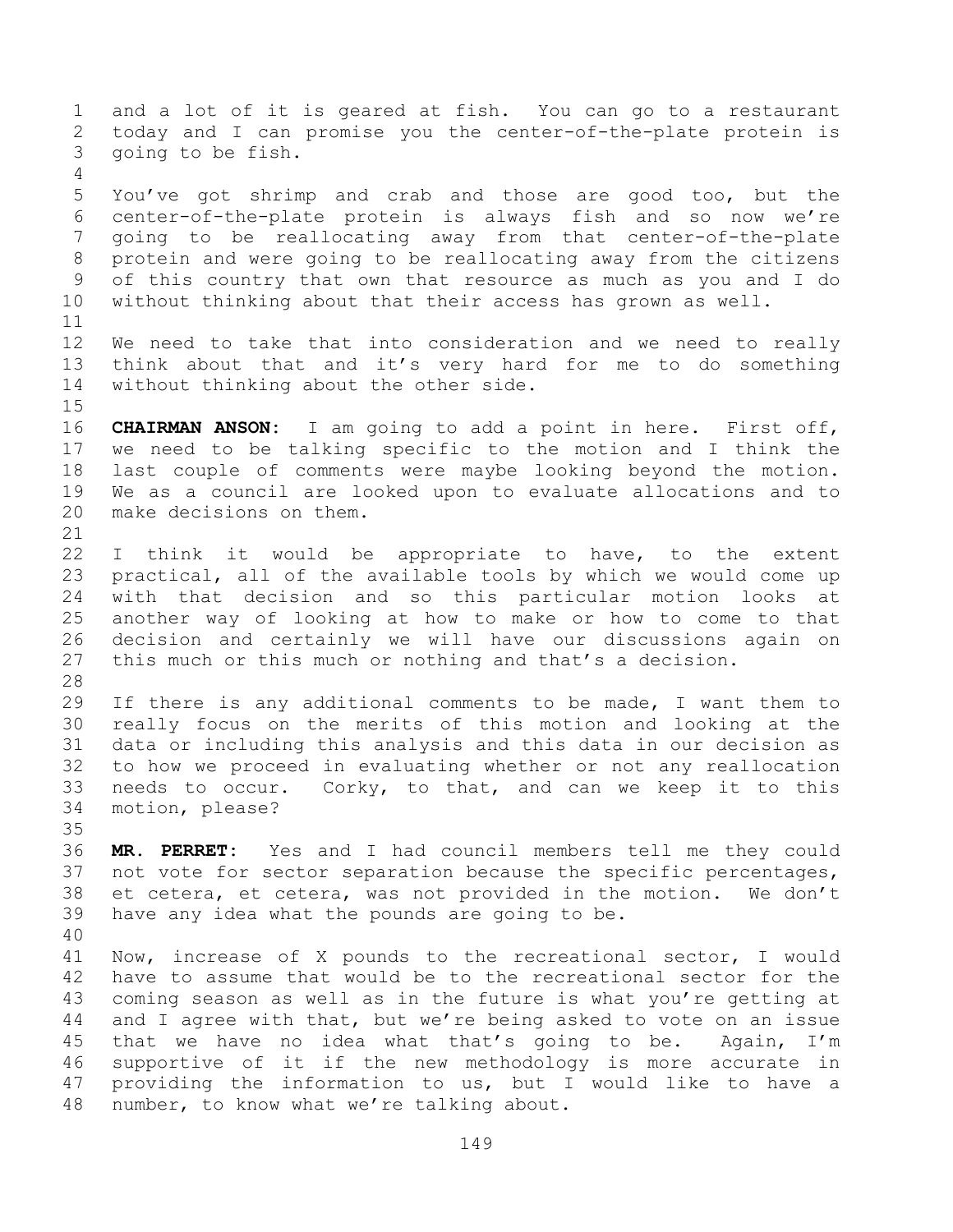and a lot of it is geared at fish. You can go to a restaurant today and I can promise you the center-of-the-plate protein is going to be fish. You've got shrimp and crab and those are good too, but the center-of-the-plate protein is always fish and so now we're going to be reallocating away from that center-of-the-plate protein and were going to be reallocating away from the citizens of this country that own that resource as much as you and I do without thinking about that their access has grown as well. We need to take that into consideration and we need to really think about that and it's very hard for me to do something without thinking about the other side. **CHAIRMAN ANSON:** I am going to add a point in here. First off, we need to be talking specific to the motion and I think the last couple of comments were maybe looking beyond the motion. We as a council are looked upon to evaluate allocations and to make decisions on them. I think it would be appropriate to have, to the extent practical, all of the available tools by which we would come up with that decision and so this particular motion looks at another way of looking at how to make or how to come to that decision and certainly we will have our discussions again on this much or this much or nothing and that's a decision. If there is any additional comments to be made, I want them to really focus on the merits of this motion and looking at the data or including this analysis and this data in our decision as to how we proceed in evaluating whether or not any reallocation needs to occur. Corky, to that, and can we keep it to this motion, please? **MR. PERRET:** Yes and I had council members tell me they could 37 not vote for sector separation because the specific percentages, et cetera, et cetera, was not provided in the motion. We don't have any idea what the pounds are going to be. Now, increase of X pounds to the recreational sector, I would have to assume that would be to the recreational sector for the coming season as well as in the future is what you're getting at and I agree with that, but we're being asked to vote on an issue that we have no idea what that's going to be. Again, I'm supportive of it if the new methodology is more accurate in providing the information to us, but I would like to have a number, to know what we're talking about.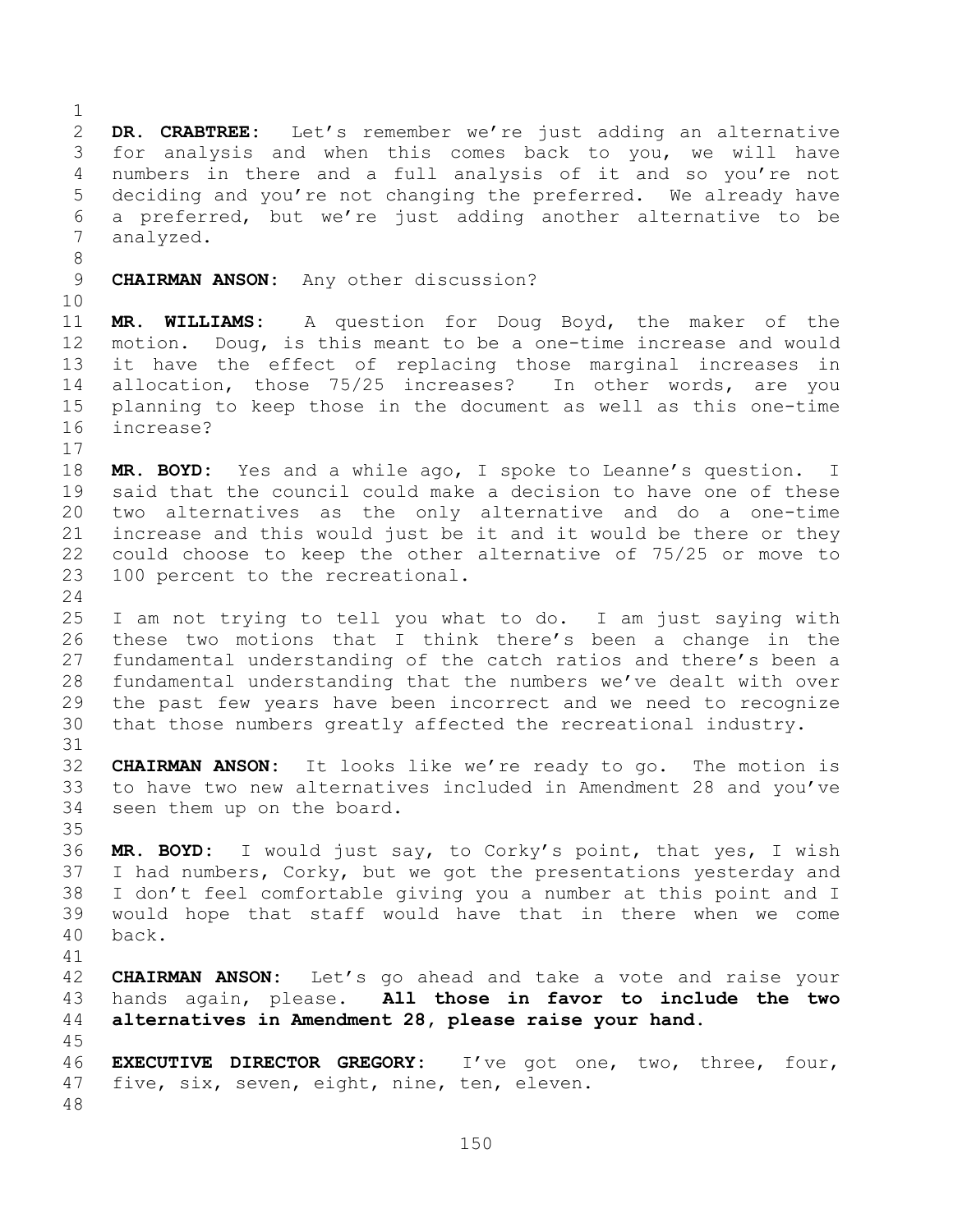**DR. CRABTREE:** Let's remember we're just adding an alternative for analysis and when this comes back to you, we will have numbers in there and a full analysis of it and so you're not deciding and you're not changing the preferred. We already have a preferred, but we're just adding another alternative to be analyzed. **CHAIRMAN ANSON:** Any other discussion? **MR. WILLIAMS:** A question for Doug Boyd, the maker of the motion. Doug, is this meant to be a one-time increase and would it have the effect of replacing those marginal increases in allocation, those 75/25 increases? In other words, are you planning to keep those in the document as well as this one-time increase? **MR. BOYD:** Yes and a while ago, I spoke to Leanne's question. I said that the council could make a decision to have one of these two alternatives as the only alternative and do a one-time increase and this would just be it and it would be there or they could choose to keep the other alternative of 75/25 or move to 100 percent to the recreational. I am not trying to tell you what to do. I am just saying with these two motions that I think there's been a change in the fundamental understanding of the catch ratios and there's been a fundamental understanding that the numbers we've dealt with over the past few years have been incorrect and we need to recognize that those numbers greatly affected the recreational industry. **CHAIRMAN ANSON:** It looks like we're ready to go. The motion is to have two new alternatives included in Amendment 28 and you've seen them up on the board. **MR. BOYD:** I would just say, to Corky's point, that yes, I wish I had numbers, Corky, but we got the presentations yesterday and I don't feel comfortable giving you a number at this point and I would hope that staff would have that in there when we come back. **CHAIRMAN ANSON:** Let's go ahead and take a vote and raise your hands again, please. **All those in favor to include the two alternatives in Amendment 28, please raise your hand. EXECUTIVE DIRECTOR GREGORY:** I've got one, two, three, four, five, six, seven, eight, nine, ten, eleven.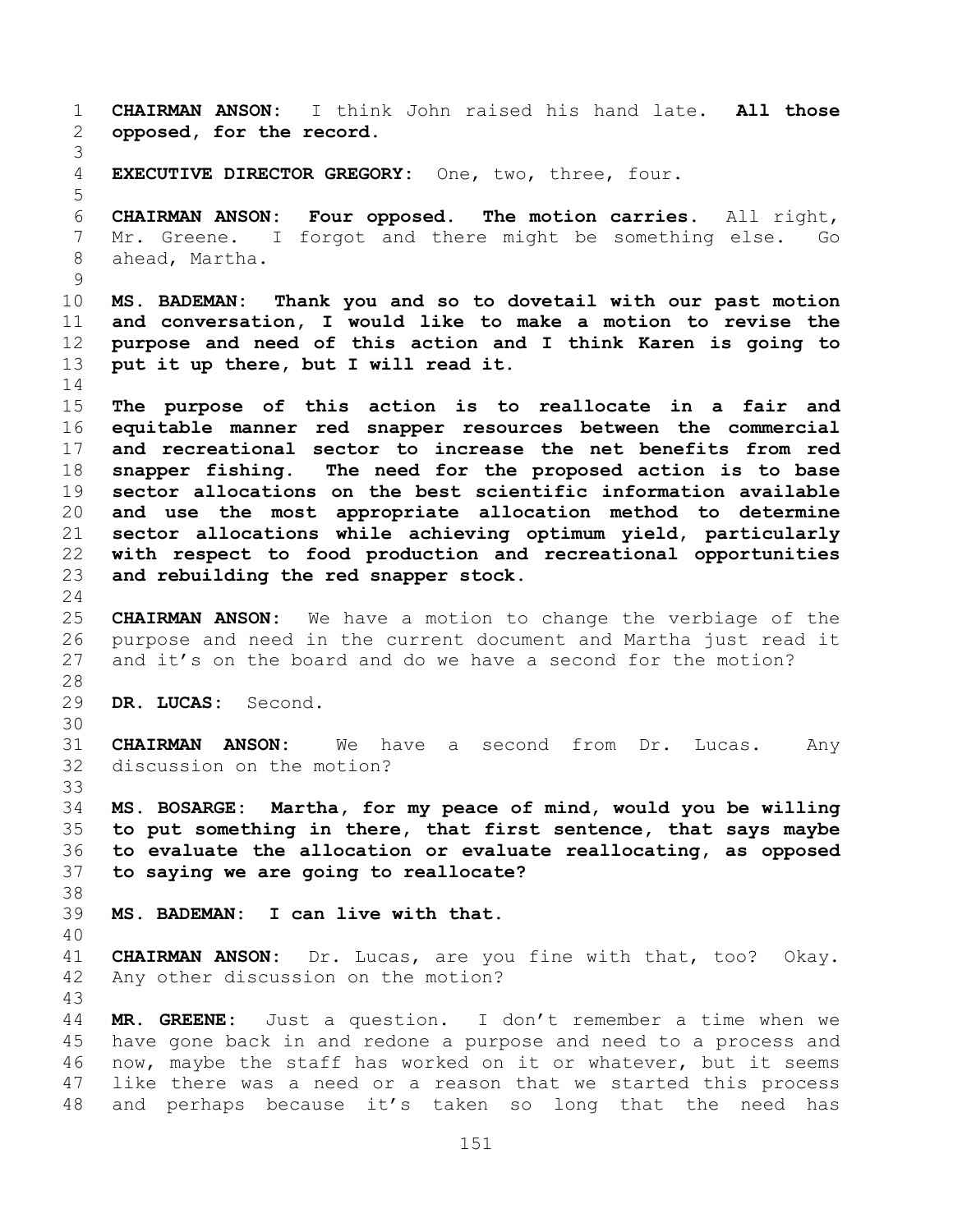**CHAIRMAN ANSON:** I think John raised his hand late. **All those opposed, for the record. EXECUTIVE DIRECTOR GREGORY:** One, two, three, four. **CHAIRMAN ANSON: Four opposed. The motion carries.** All right, Mr. Greene. I forgot and there might be something else. Go ahead, Martha. **MS. BADEMAN: Thank you and so to dovetail with our past motion and conversation, I would like to make a motion to revise the purpose and need of this action and I think Karen is going to put it up there, but I will read it. The purpose of this action is to reallocate in a fair and equitable manner red snapper resources between the commercial and recreational sector to increase the net benefits from red snapper fishing. The need for the proposed action is to base sector allocations on the best scientific information available and use the most appropriate allocation method to determine sector allocations while achieving optimum yield, particularly with respect to food production and recreational opportunities and rebuilding the red snapper stock. CHAIRMAN ANSON:** We have a motion to change the verbiage of the purpose and need in the current document and Martha just read it and it's on the board and do we have a second for the motion? **DR. LUCAS:** Second. **CHAIRMAN ANSON:** We have a second from Dr. Lucas. Any discussion on the motion? **MS. BOSARGE: Martha, for my peace of mind, would you be willing to put something in there, that first sentence, that says maybe to evaluate the allocation or evaluate reallocating, as opposed to saying we are going to reallocate? MS. BADEMAN: I can live with that. CHAIRMAN ANSON:** Dr. Lucas, are you fine with that, too? Okay. Any other discussion on the motion? **MR. GREENE:** Just a question. I don't remember a time when we have gone back in and redone a purpose and need to a process and now, maybe the staff has worked on it or whatever, but it seems like there was a need or a reason that we started this process and perhaps because it's taken so long that the need has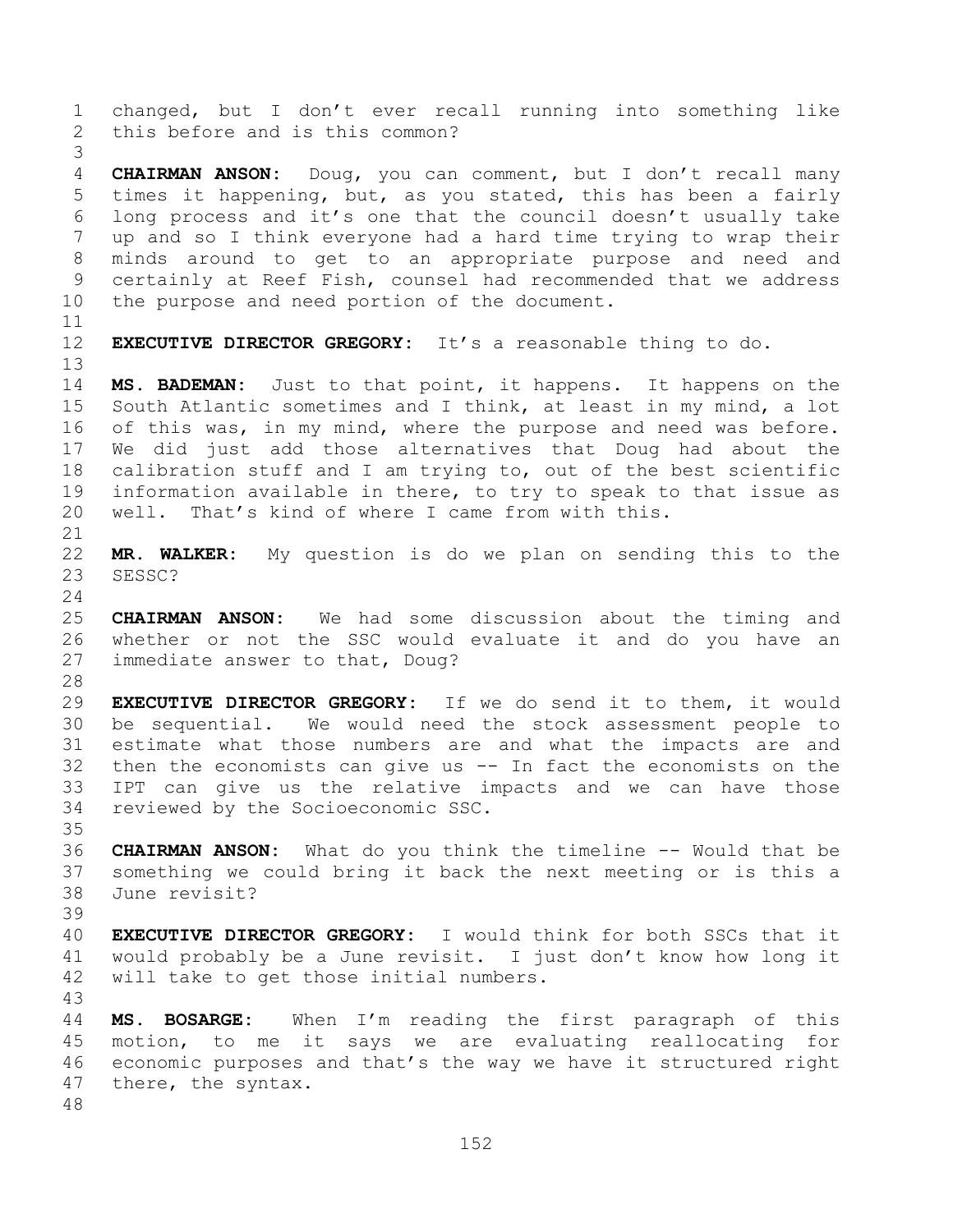changed, but I don't ever recall running into something like this before and is this common? **CHAIRMAN ANSON:** Doug, you can comment, but I don't recall many times it happening, but, as you stated, this has been a fairly long process and it's one that the council doesn't usually take up and so I think everyone had a hard time trying to wrap their minds around to get to an appropriate purpose and need and certainly at Reef Fish, counsel had recommended that we address the purpose and need portion of the document. **EXECUTIVE DIRECTOR GREGORY:** It's a reasonable thing to do. **MS. BADEMAN:** Just to that point, it happens. It happens on the South Atlantic sometimes and I think, at least in my mind, a lot of this was, in my mind, where the purpose and need was before. We did just add those alternatives that Doug had about the calibration stuff and I am trying to, out of the best scientific information available in there, to try to speak to that issue as well. That's kind of where I came from with this. **MR. WALKER:** My question is do we plan on sending this to the SESSC? **CHAIRMAN ANSON:** We had some discussion about the timing and whether or not the SSC would evaluate it and do you have an immediate answer to that, Doug? **EXECUTIVE DIRECTOR GREGORY:** If we do send it to them, it would be sequential. We would need the stock assessment people to estimate what those numbers are and what the impacts are and then the economists can give us -- In fact the economists on the IPT can give us the relative impacts and we can have those reviewed by the Socioeconomic SSC. **CHAIRMAN ANSON:** What do you think the timeline -- Would that be something we could bring it back the next meeting or is this a June revisit? **EXECUTIVE DIRECTOR GREGORY:** I would think for both SSCs that it would probably be a June revisit. I just don't know how long it will take to get those initial numbers. **MS. BOSARGE:** When I'm reading the first paragraph of this motion, to me it says we are evaluating reallocating for economic purposes and that's the way we have it structured right there, the syntax.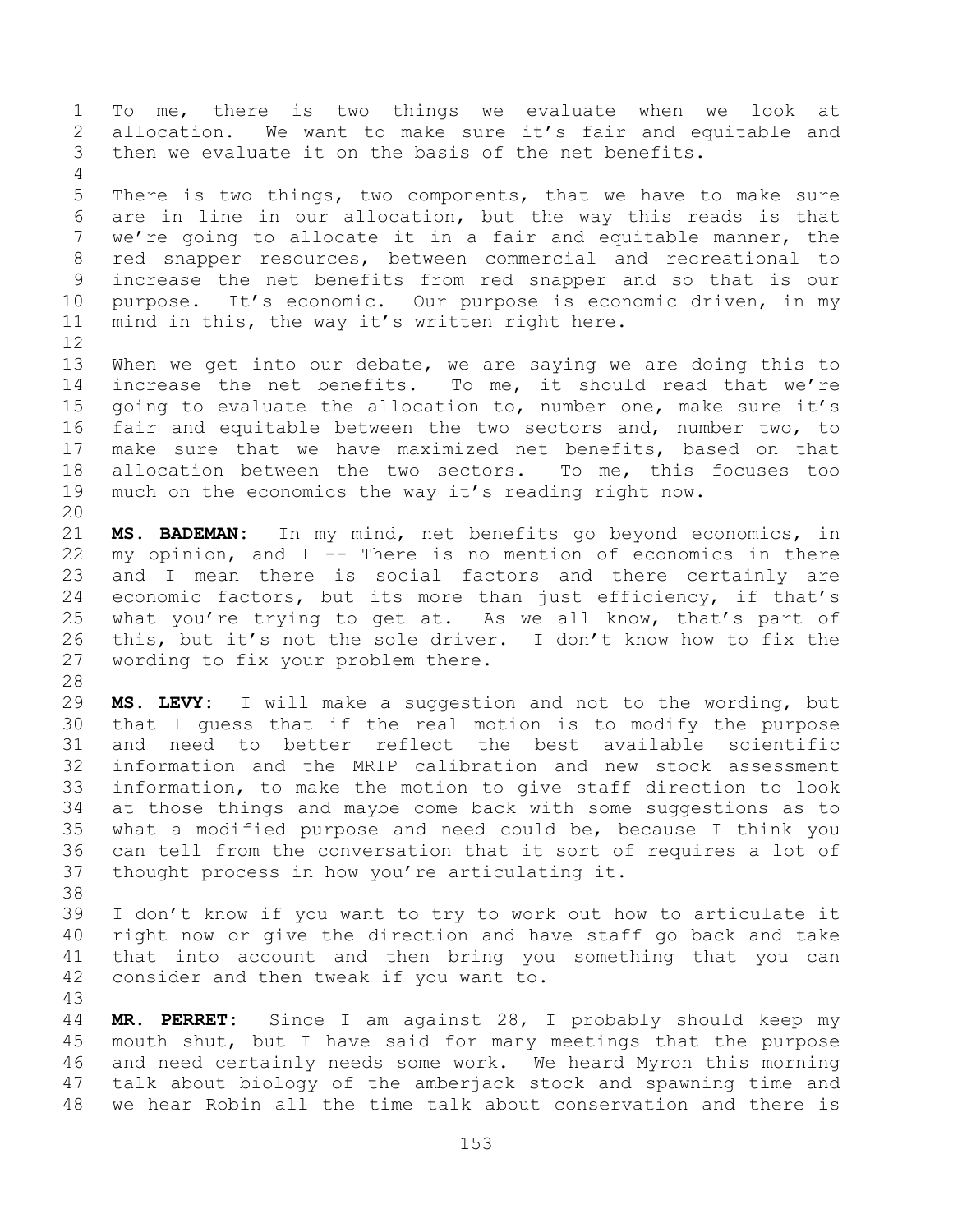To me, there is two things we evaluate when we look at allocation. We want to make sure it's fair and equitable and then we evaluate it on the basis of the net benefits. There is two things, two components, that we have to make sure are in line in our allocation, but the way this reads is that we're going to allocate it in a fair and equitable manner, the red snapper resources, between commercial and recreational to increase the net benefits from red snapper and so that is our purpose. It's economic. Our purpose is economic driven, in my mind in this, the way it's written right here. When we get into our debate, we are saying we are doing this to increase the net benefits. To me, it should read that we're going to evaluate the allocation to, number one, make sure it's fair and equitable between the two sectors and, number two, to make sure that we have maximized net benefits, based on that allocation between the two sectors. To me, this focuses too much on the economics the way it's reading right now. **MS. BADEMAN:** In my mind, net benefits go beyond economics, in my opinion, and I -- There is no mention of economics in there and I mean there is social factors and there certainly are economic factors, but its more than just efficiency, if that's 25 what you're trying to get at. As we all know, that's part of this, but it's not the sole driver. I don't know how to fix the wording to fix your problem there. **MS. LEVY:** I will make a suggestion and not to the wording, but that I guess that if the real motion is to modify the purpose and need to better reflect the best available scientific information and the MRIP calibration and new stock assessment information, to make the motion to give staff direction to look at those things and maybe come back with some suggestions as to what a modified purpose and need could be, because I think you can tell from the conversation that it sort of requires a lot of thought process in how you're articulating it. I don't know if you want to try to work out how to articulate it right now or give the direction and have staff go back and take that into account and then bring you something that you can consider and then tweak if you want to. **MR. PERRET:** Since I am against 28, I probably should keep my

 mouth shut, but I have said for many meetings that the purpose and need certainly needs some work. We heard Myron this morning talk about biology of the amberjack stock and spawning time and we hear Robin all the time talk about conservation and there is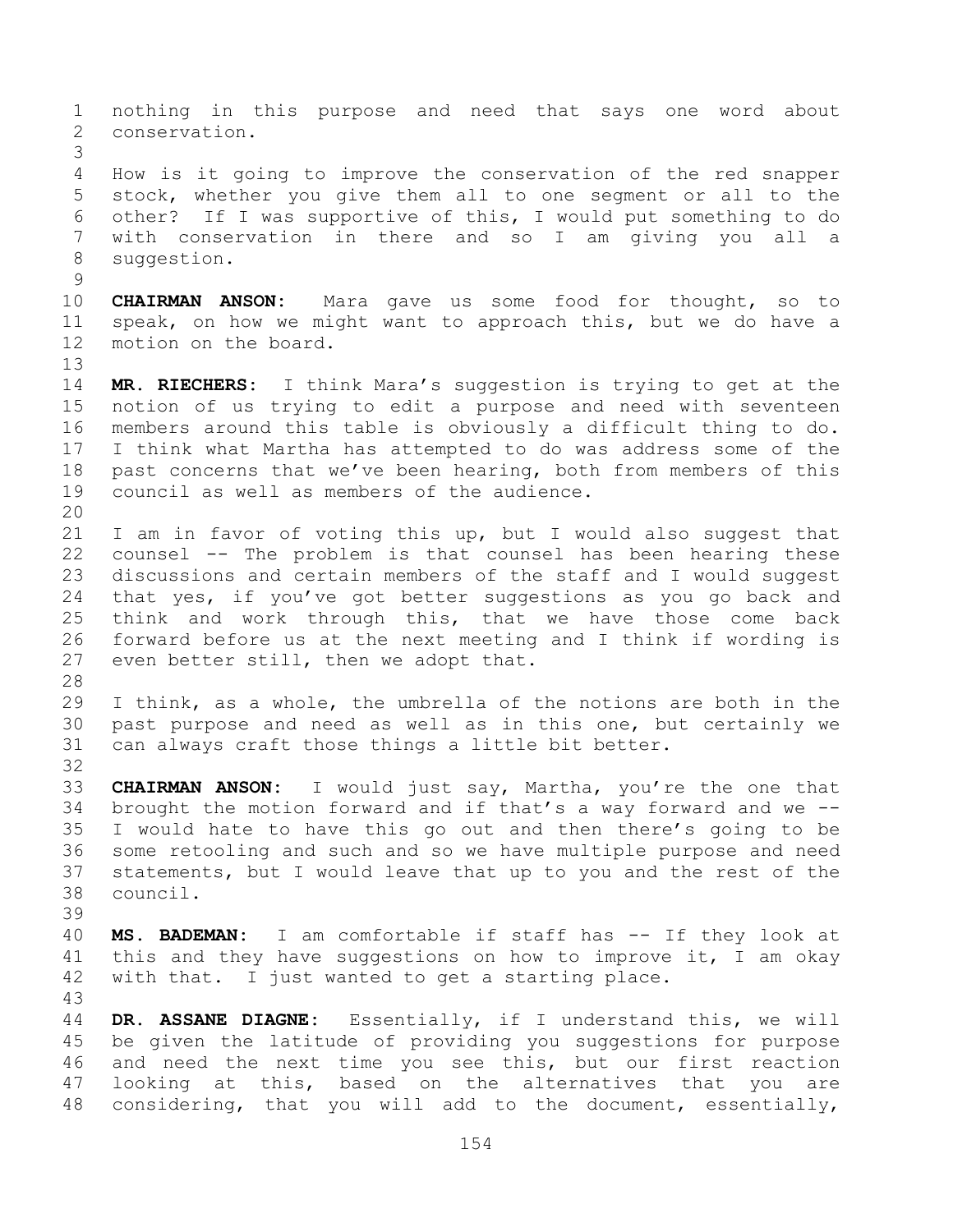nothing in this purpose and need that says one word about conservation. How is it going to improve the conservation of the red snapper stock, whether you give them all to one segment or all to the other? If I was supportive of this, I would put something to do with conservation in there and so I am giving you all a 8 suggestion. **CHAIRMAN ANSON:** Mara gave us some food for thought, so to speak, on how we might want to approach this, but we do have a motion on the board. **MR. RIECHERS:** I think Mara's suggestion is trying to get at the notion of us trying to edit a purpose and need with seventeen members around this table is obviously a difficult thing to do. I think what Martha has attempted to do was address some of the past concerns that we've been hearing, both from members of this council as well as members of the audience. I am in favor of voting this up, but I would also suggest that counsel -- The problem is that counsel has been hearing these discussions and certain members of the staff and I would suggest that yes, if you've got better suggestions as you go back and think and work through this, that we have those come back forward before us at the next meeting and I think if wording is even better still, then we adopt that. I think, as a whole, the umbrella of the notions are both in the past purpose and need as well as in this one, but certainly we can always craft those things a little bit better. **CHAIRMAN ANSON:** I would just say, Martha, you're the one that brought the motion forward and if that's a way forward and we -- I would hate to have this go out and then there's going to be some retooling and such and so we have multiple purpose and need statements, but I would leave that up to you and the rest of the council. **MS. BADEMAN:** I am comfortable if staff has -- If they look at this and they have suggestions on how to improve it, I am okay with that. I just wanted to get a starting place. **DR. ASSANE DIAGNE:** Essentially, if I understand this, we will be given the latitude of providing you suggestions for purpose and need the next time you see this, but our first reaction looking at this, based on the alternatives that you are considering, that you will add to the document, essentially,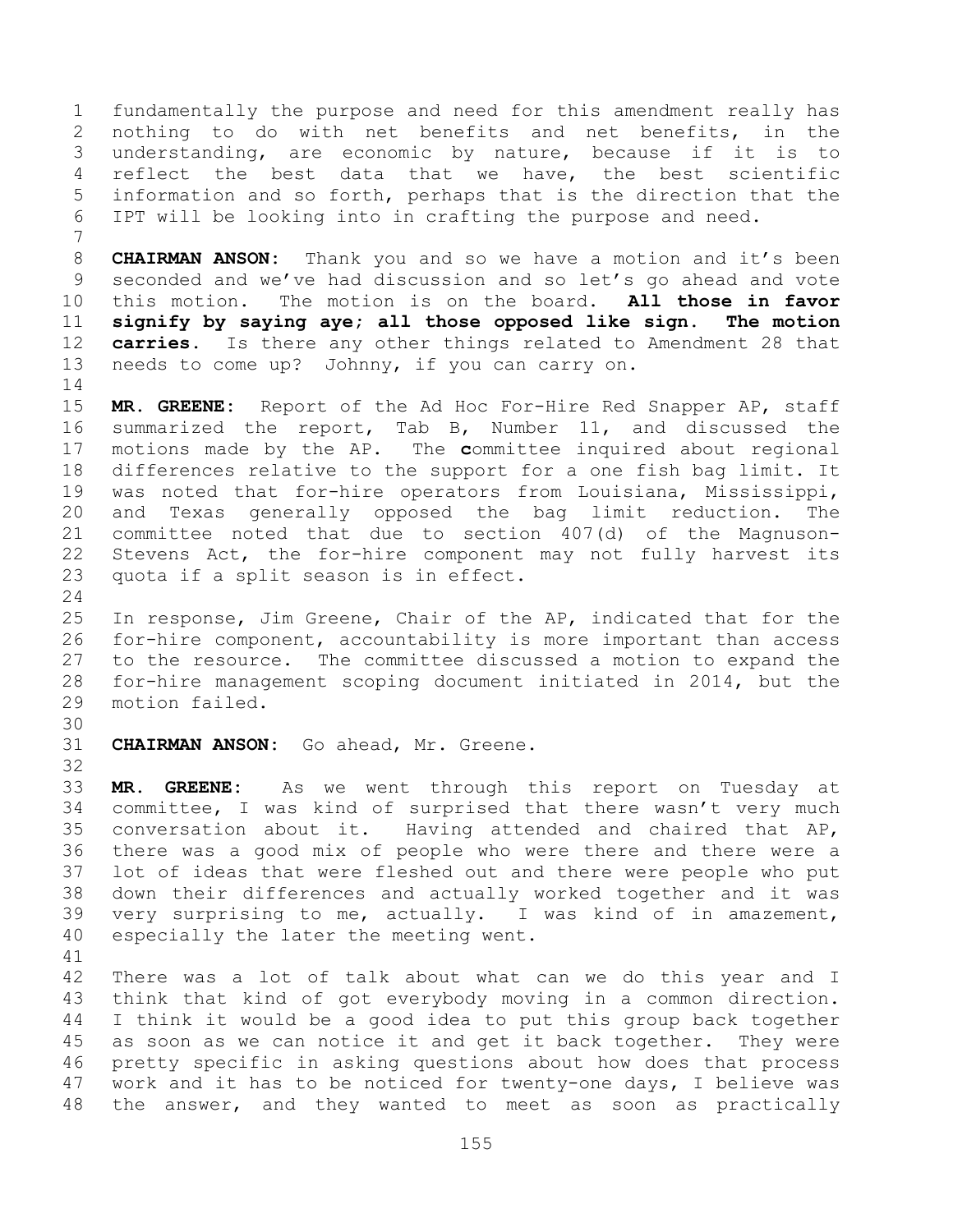fundamentally the purpose and need for this amendment really has nothing to do with net benefits and net benefits, in the understanding, are economic by nature, because if it is to reflect the best data that we have, the best scientific information and so forth, perhaps that is the direction that the IPT will be looking into in crafting the purpose and need.

 **CHAIRMAN ANSON:** Thank you and so we have a motion and it's been seconded and we've had discussion and so let's go ahead and vote this motion. The motion is on the board. **All those in favor signify by saying aye; all those opposed like sign. The motion carries.** Is there any other things related to Amendment 28 that needs to come up? Johnny, if you can carry on. 

 **MR. GREENE:** Report of the Ad Hoc For-Hire Red Snapper AP, staff summarized the report, Tab B, Number 11, and discussed the motions made by the AP. The **c**ommittee inquired about regional differences relative to the support for a one fish bag limit. It was noted that for-hire operators from Louisiana, Mississippi, and Texas generally opposed the bag limit reduction. The committee noted that due to section 407(d) of the Magnuson- Stevens Act, the for-hire component may not fully harvest its quota if a split season is in effect.

 In response, Jim Greene, Chair of the AP, indicated that for the for-hire component, accountability is more important than access to the resource. The committee discussed a motion to expand the for-hire management scoping document initiated in 2014, but the motion failed.

**CHAIRMAN ANSON:** Go ahead, Mr. Greene.

 **MR. GREENE:** As we went through this report on Tuesday at committee, I was kind of surprised that there wasn't very much conversation about it. Having attended and chaired that AP, there was a good mix of people who were there and there were a lot of ideas that were fleshed out and there were people who put down their differences and actually worked together and it was very surprising to me, actually. I was kind of in amazement, especially the later the meeting went.

 There was a lot of talk about what can we do this year and I think that kind of got everybody moving in a common direction. I think it would be a good idea to put this group back together as soon as we can notice it and get it back together. They were pretty specific in asking questions about how does that process work and it has to be noticed for twenty-one days, I believe was the answer, and they wanted to meet as soon as practically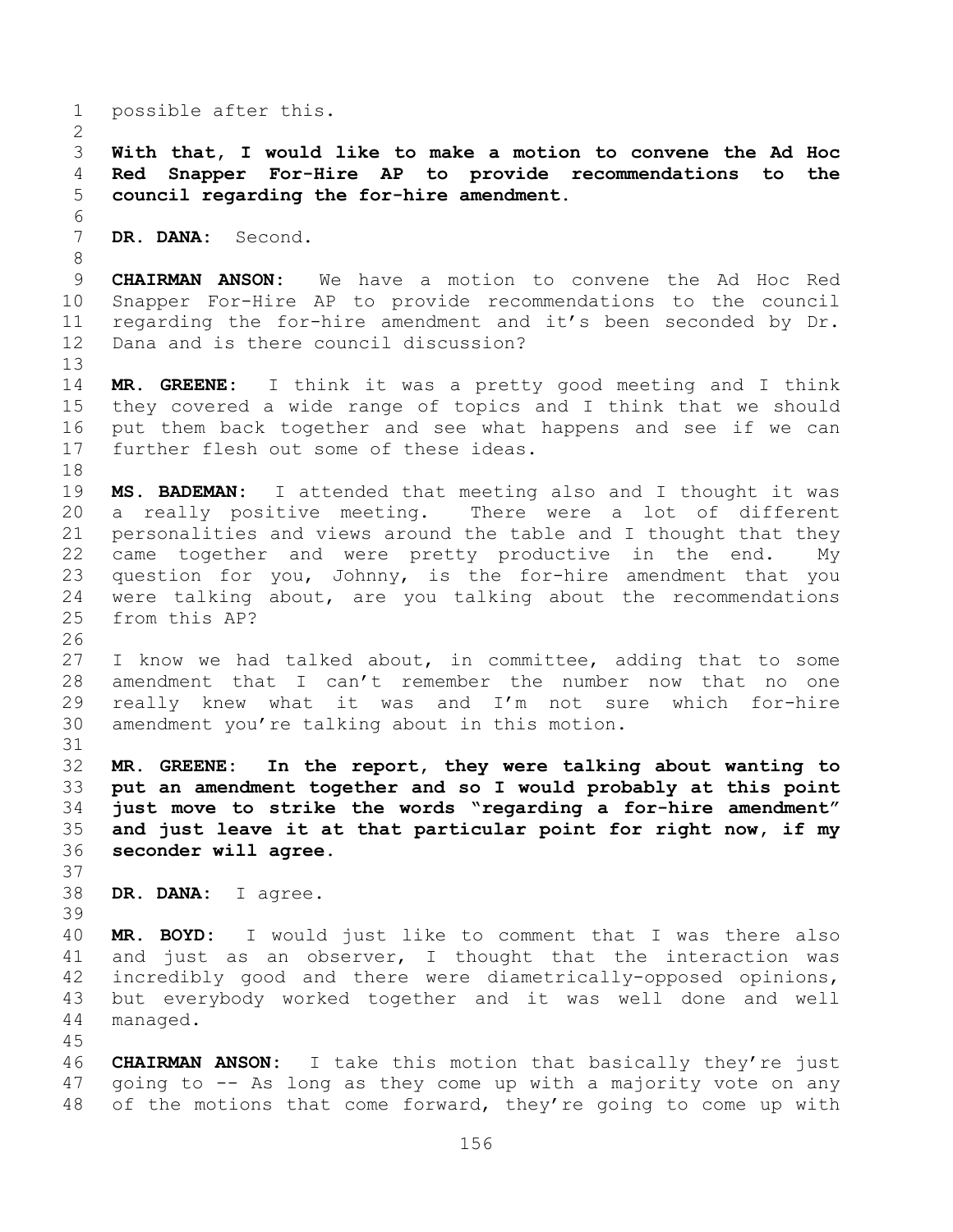possible after this. **With that, I would like to make a motion to convene the Ad Hoc Red Snapper For-Hire AP to provide recommendations to the council regarding the for-hire amendment. DR. DANA:** Second. **CHAIRMAN ANSON:** We have a motion to convene the Ad Hoc Red Snapper For-Hire AP to provide recommendations to the council regarding the for-hire amendment and it's been seconded by Dr. Dana and is there council discussion? **MR. GREENE:** I think it was a pretty good meeting and I think they covered a wide range of topics and I think that we should put them back together and see what happens and see if we can further flesh out some of these ideas. **MS. BADEMAN:** I attended that meeting also and I thought it was a really positive meeting. There were a lot of different personalities and views around the table and I thought that they came together and were pretty productive in the end. My question for you, Johnny, is the for-hire amendment that you were talking about, are you talking about the recommendations from this AP? I know we had talked about, in committee, adding that to some amendment that I can't remember the number now that no one really knew what it was and I'm not sure which for-hire amendment you're talking about in this motion. **MR. GREENE: In the report, they were talking about wanting to put an amendment together and so I would probably at this point just move to strike the words "regarding a for-hire amendment" and just leave it at that particular point for right now, if my seconder will agree. DR. DANA:** I agree. **MR. BOYD:** I would just like to comment that I was there also and just as an observer, I thought that the interaction was incredibly good and there were diametrically-opposed opinions, but everybody worked together and it was well done and well managed. **CHAIRMAN ANSON:** I take this motion that basically they're just going to -- As long as they come up with a majority vote on any

of the motions that come forward, they're going to come up with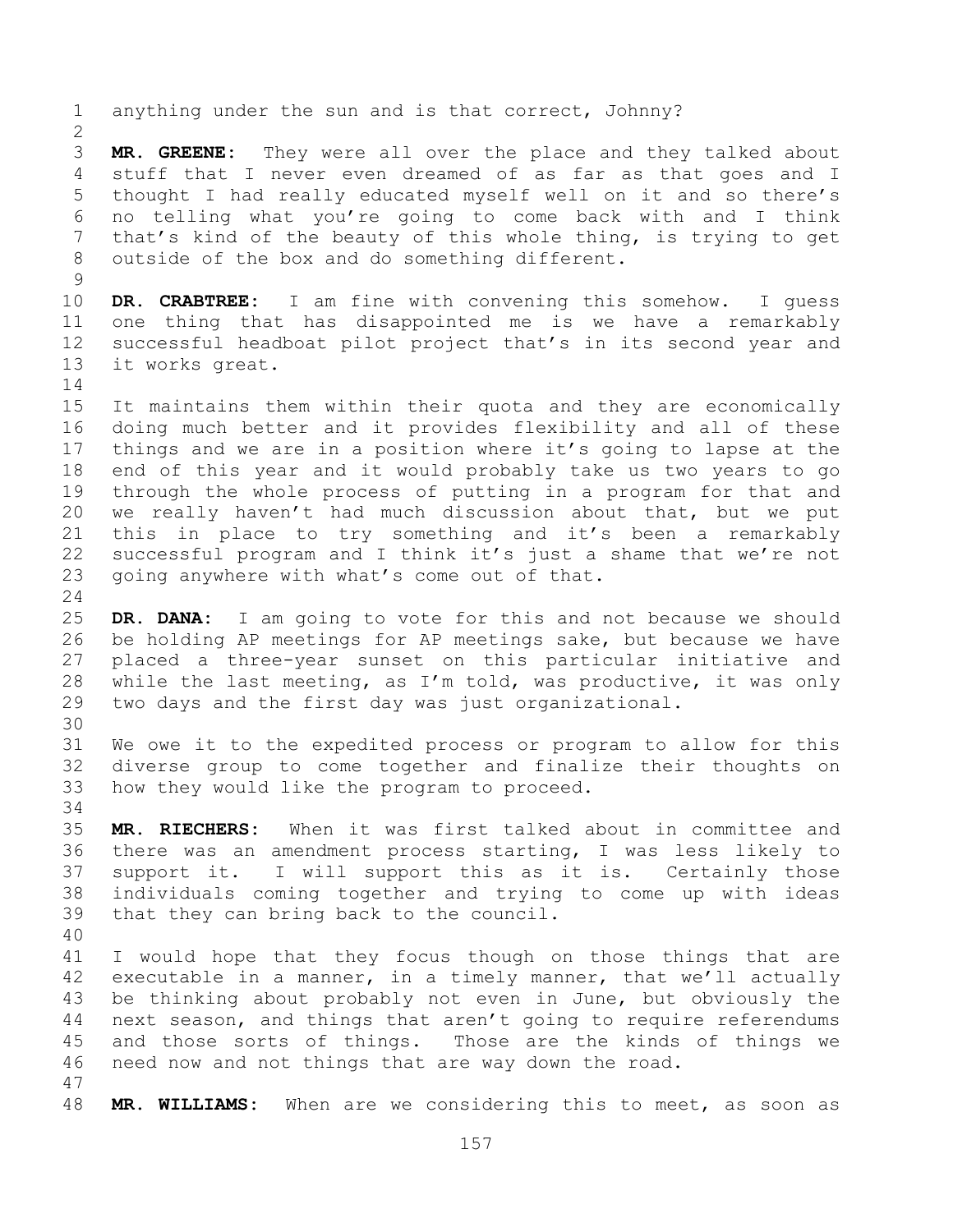anything under the sun and is that correct, Johnny? **MR. GREENE:** They were all over the place and they talked about stuff that I never even dreamed of as far as that goes and I thought I had really educated myself well on it and so there's no telling what you're going to come back with and I think that's kind of the beauty of this whole thing, is trying to get outside of the box and do something different. **DR. CRABTREE:** I am fine with convening this somehow. I guess one thing that has disappointed me is we have a remarkably successful headboat pilot project that's in its second year and it works great. It maintains them within their quota and they are economically doing much better and it provides flexibility and all of these things and we are in a position where it's going to lapse at the end of this year and it would probably take us two years to go through the whole process of putting in a program for that and we really haven't had much discussion about that, but we put this in place to try something and it's been a remarkably successful program and I think it's just a shame that we're not going anywhere with what's come out of that. **DR. DANA:** I am going to vote for this and not because we should be holding AP meetings for AP meetings sake, but because we have placed a three-year sunset on this particular initiative and while the last meeting, as I'm told, was productive, it was only two days and the first day was just organizational. We owe it to the expedited process or program to allow for this diverse group to come together and finalize their thoughts on how they would like the program to proceed. **MR. RIECHERS:** When it was first talked about in committee and there was an amendment process starting, I was less likely to support it. I will support this as it is. Certainly those individuals coming together and trying to come up with ideas that they can bring back to the council. I would hope that they focus though on those things that are executable in a manner, in a timely manner, that we'll actually be thinking about probably not even in June, but obviously the next season, and things that aren't going to require referendums and those sorts of things. Those are the kinds of things we need now and not things that are way down the road. **MR. WILLIAMS:** When are we considering this to meet, as soon as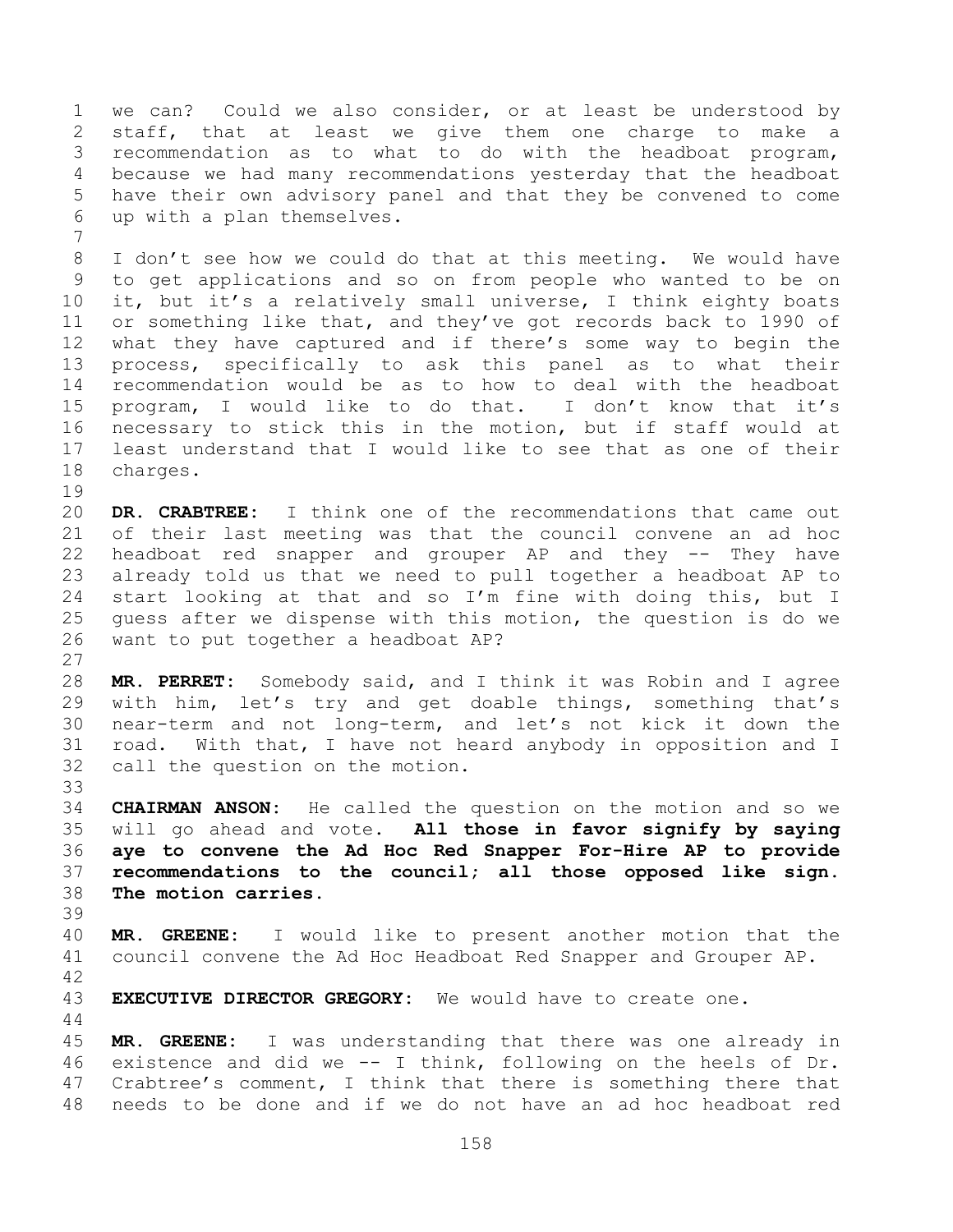we can? Could we also consider, or at least be understood by staff, that at least we give them one charge to make a recommendation as to what to do with the headboat program, because we had many recommendations yesterday that the headboat have their own advisory panel and that they be convened to come up with a plan themselves.

 I don't see how we could do that at this meeting. We would have to get applications and so on from people who wanted to be on it, but it's a relatively small universe, I think eighty boats or something like that, and they've got records back to 1990 of what they have captured and if there's some way to begin the process, specifically to ask this panel as to what their recommendation would be as to how to deal with the headboat program, I would like to do that. I don't know that it's necessary to stick this in the motion, but if staff would at least understand that I would like to see that as one of their charges.

 **DR. CRABTREE:** I think one of the recommendations that came out of their last meeting was that the council convene an ad hoc headboat red snapper and grouper AP and they -- They have already told us that we need to pull together a headboat AP to start looking at that and so I'm fine with doing this, but I guess after we dispense with this motion, the question is do we want to put together a headboat AP?

 **MR. PERRET:** Somebody said, and I think it was Robin and I agree with him, let's try and get doable things, something that's near-term and not long-term, and let's not kick it down the road. With that, I have not heard anybody in opposition and I call the question on the motion.

 **CHAIRMAN ANSON:** He called the question on the motion and so we will go ahead and vote. **All those in favor signify by saying aye to convene the Ad Hoc Red Snapper For-Hire AP to provide recommendations to the council; all those opposed like sign. The motion carries.**

 **MR. GREENE:** I would like to present another motion that the council convene the Ad Hoc Headboat Red Snapper and Grouper AP. 

**EXECUTIVE DIRECTOR GREGORY:** We would have to create one.

 **MR. GREENE:** I was understanding that there was one already in existence and did we -- I think, following on the heels of Dr. Crabtree's comment, I think that there is something there that needs to be done and if we do not have an ad hoc headboat red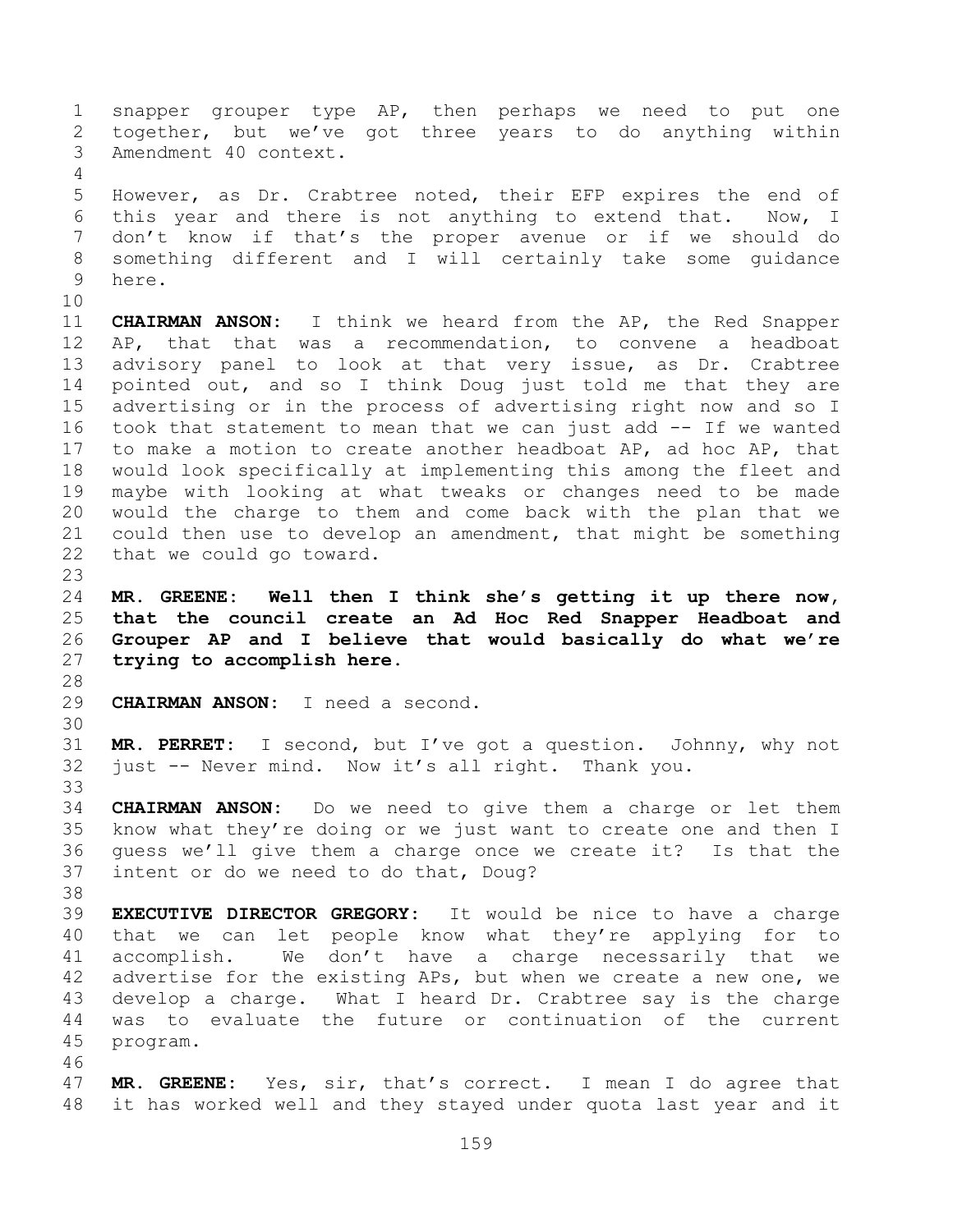snapper grouper type AP, then perhaps we need to put one together, but we've got three years to do anything within Amendment 40 context. However, as Dr. Crabtree noted, their EFP expires the end of this year and there is not anything to extend that. Now, I don't know if that's the proper avenue or if we should do something different and I will certainly take some guidance here. **CHAIRMAN ANSON:** I think we heard from the AP, the Red Snapper AP, that that was a recommendation, to convene a headboat advisory panel to look at that very issue, as Dr. Crabtree pointed out, and so I think Doug just told me that they are advertising or in the process of advertising right now and so I took that statement to mean that we can just add -- If we wanted to make a motion to create another headboat AP, ad hoc AP, that would look specifically at implementing this among the fleet and maybe with looking at what tweaks or changes need to be made would the charge to them and come back with the plan that we could then use to develop an amendment, that might be something that we could go toward. **MR. GREENE: Well then I think she's getting it up there now, that the council create an Ad Hoc Red Snapper Headboat and Grouper AP and I believe that would basically do what we're trying to accomplish here. CHAIRMAN ANSON:** I need a second. **MR. PERRET:** I second, but I've got a question. Johnny, why not just -- Never mind. Now it's all right. Thank you. **CHAIRMAN ANSON:** Do we need to give them a charge or let them know what they're doing or we just want to create one and then I guess we'll give them a charge once we create it? Is that the intent or do we need to do that, Doug? **EXECUTIVE DIRECTOR GREGORY:** It would be nice to have a charge that we can let people know what they're applying for to accomplish. We don't have a charge necessarily that we advertise for the existing APs, but when we create a new one, we develop a charge. What I heard Dr. Crabtree say is the charge was to evaluate the future or continuation of the current program. **MR. GREENE:** Yes, sir, that's correct. I mean I do agree that it has worked well and they stayed under quota last year and it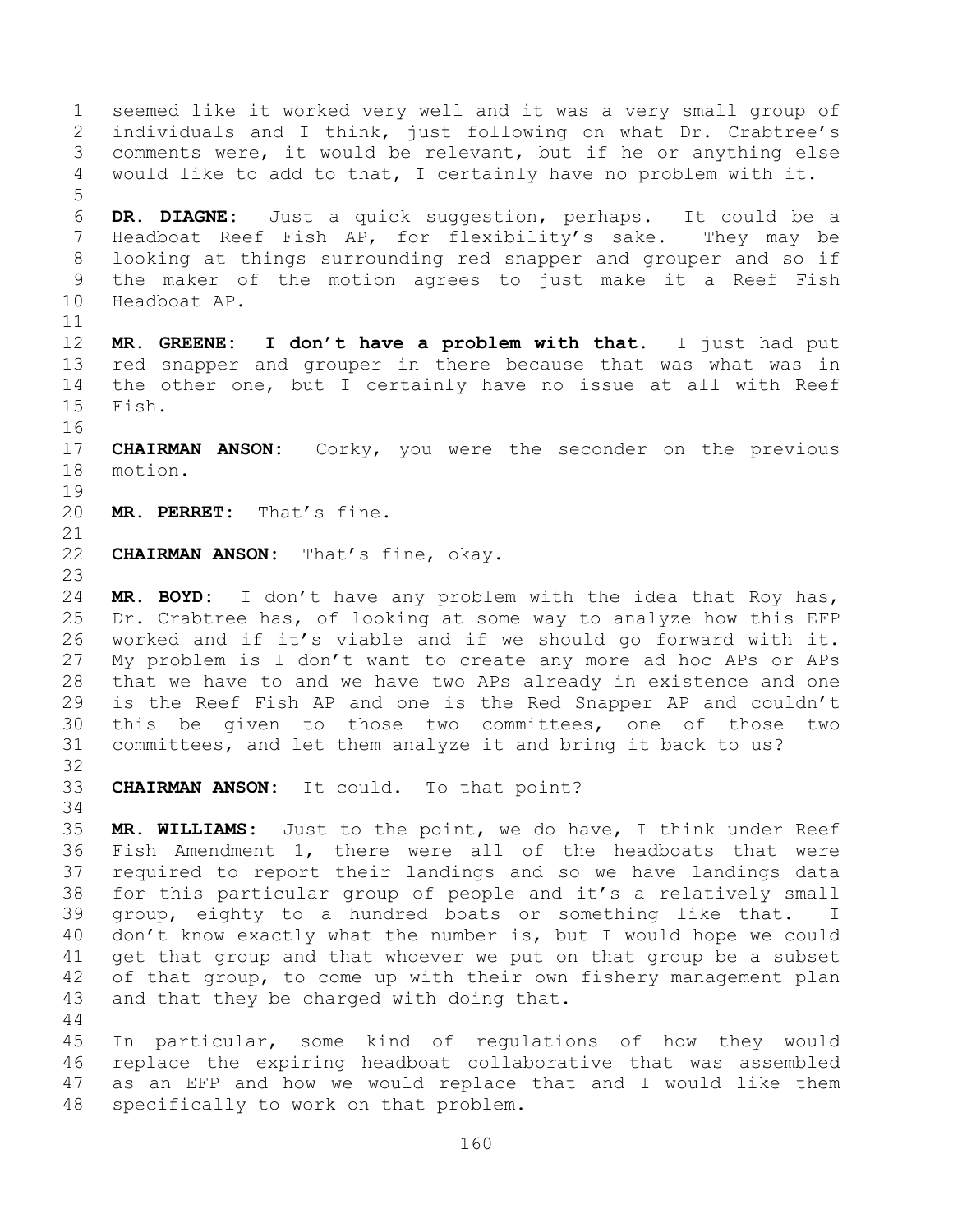seemed like it worked very well and it was a very small group of individuals and I think, just following on what Dr. Crabtree's comments were, it would be relevant, but if he or anything else would like to add to that, I certainly have no problem with it. **DR. DIAGNE:** Just a quick suggestion, perhaps. It could be a Headboat Reef Fish AP, for flexibility's sake. They may be looking at things surrounding red snapper and grouper and so if the maker of the motion agrees to just make it a Reef Fish Headboat AP. **MR. GREENE: I don't have a problem with that.** I just had put red snapper and grouper in there because that was what was in the other one, but I certainly have no issue at all with Reef Fish. **CHAIRMAN ANSON:** Corky, you were the seconder on the previous motion. **MR. PERRET:** That's fine. **CHAIRMAN ANSON:** That's fine, okay. **MR. BOYD:** I don't have any problem with the idea that Roy has, Dr. Crabtree has, of looking at some way to analyze how this EFP worked and if it's viable and if we should go forward with it. My problem is I don't want to create any more ad hoc APs or APs that we have to and we have two APs already in existence and one is the Reef Fish AP and one is the Red Snapper AP and couldn't this be given to those two committees, one of those two committees, and let them analyze it and bring it back to us? **CHAIRMAN ANSON:** It could. To that point? **MR. WILLIAMS:** Just to the point, we do have, I think under Reef Fish Amendment 1, there were all of the headboats that were required to report their landings and so we have landings data for this particular group of people and it's a relatively small group, eighty to a hundred boats or something like that. I don't know exactly what the number is, but I would hope we could get that group and that whoever we put on that group be a subset of that group, to come up with their own fishery management plan and that they be charged with doing that. In particular, some kind of regulations of how they would replace the expiring headboat collaborative that was assembled as an EFP and how we would replace that and I would like them

specifically to work on that problem.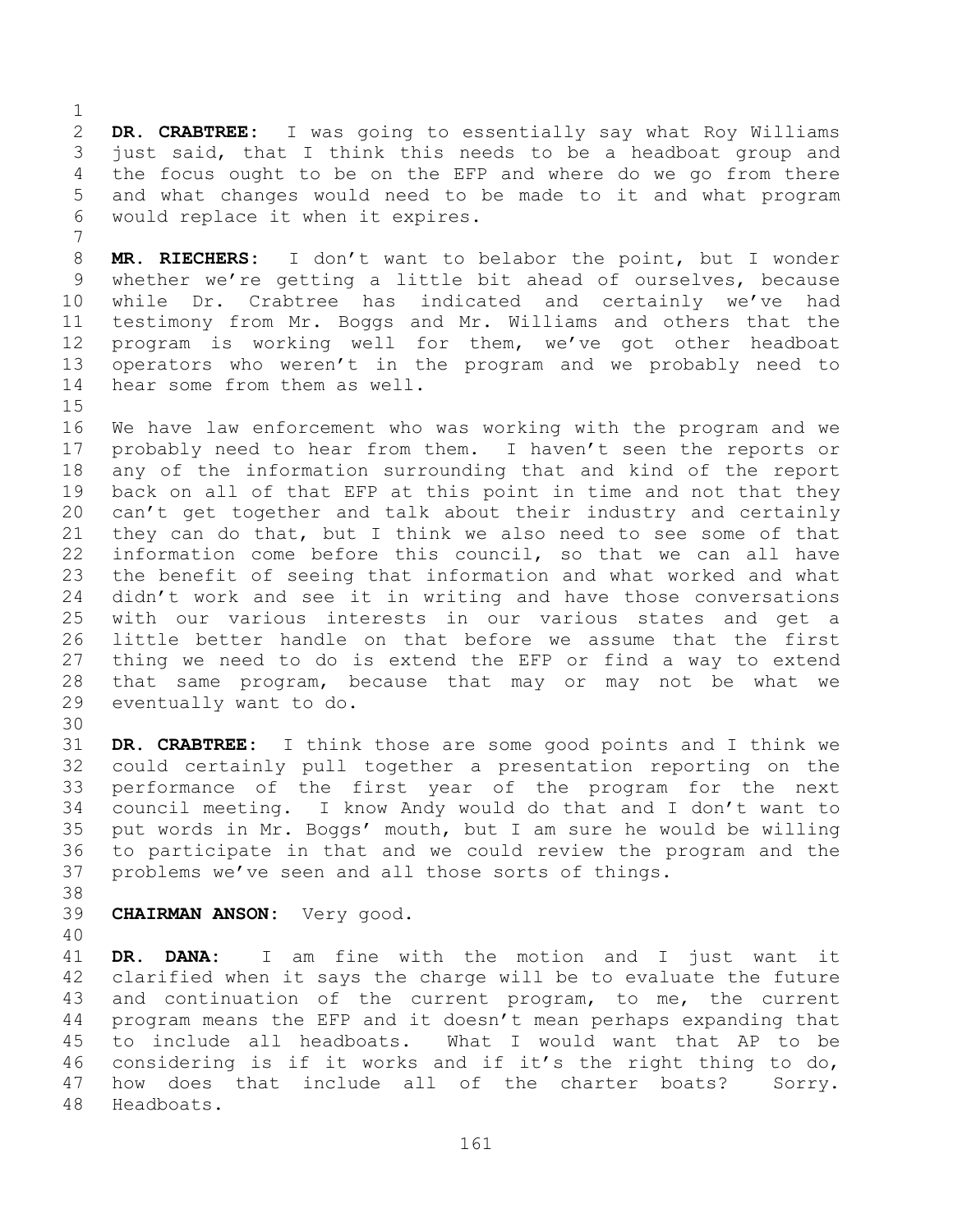**DR. CRABTREE:** I was going to essentially say what Roy Williams just said, that I think this needs to be a headboat group and the focus ought to be on the EFP and where do we go from there and what changes would need to be made to it and what program would replace it when it expires.

 **MR. RIECHERS:** I don't want to belabor the point, but I wonder whether we're getting a little bit ahead of ourselves, because while Dr. Crabtree has indicated and certainly we've had testimony from Mr. Boggs and Mr. Williams and others that the program is working well for them, we've got other headboat operators who weren't in the program and we probably need to hear some from them as well.

 We have law enforcement who was working with the program and we probably need to hear from them. I haven't seen the reports or any of the information surrounding that and kind of the report back on all of that EFP at this point in time and not that they can't get together and talk about their industry and certainly they can do that, but I think we also need to see some of that information come before this council, so that we can all have the benefit of seeing that information and what worked and what didn't work and see it in writing and have those conversations with our various interests in our various states and get a little better handle on that before we assume that the first thing we need to do is extend the EFP or find a way to extend that same program, because that may or may not be what we eventually want to do.

 **DR. CRABTREE:** I think those are some good points and I think we could certainly pull together a presentation reporting on the performance of the first year of the program for the next council meeting. I know Andy would do that and I don't want to put words in Mr. Boggs' mouth, but I am sure he would be willing to participate in that and we could review the program and the problems we've seen and all those sorts of things.

**CHAIRMAN ANSON:** Very good.

 **DR. DANA:** I am fine with the motion and I just want it clarified when it says the charge will be to evaluate the future and continuation of the current program, to me, the current program means the EFP and it doesn't mean perhaps expanding that to include all headboats. What I would want that AP to be considering is if it works and if it's the right thing to do, how does that include all of the charter boats? Sorry. Headboats.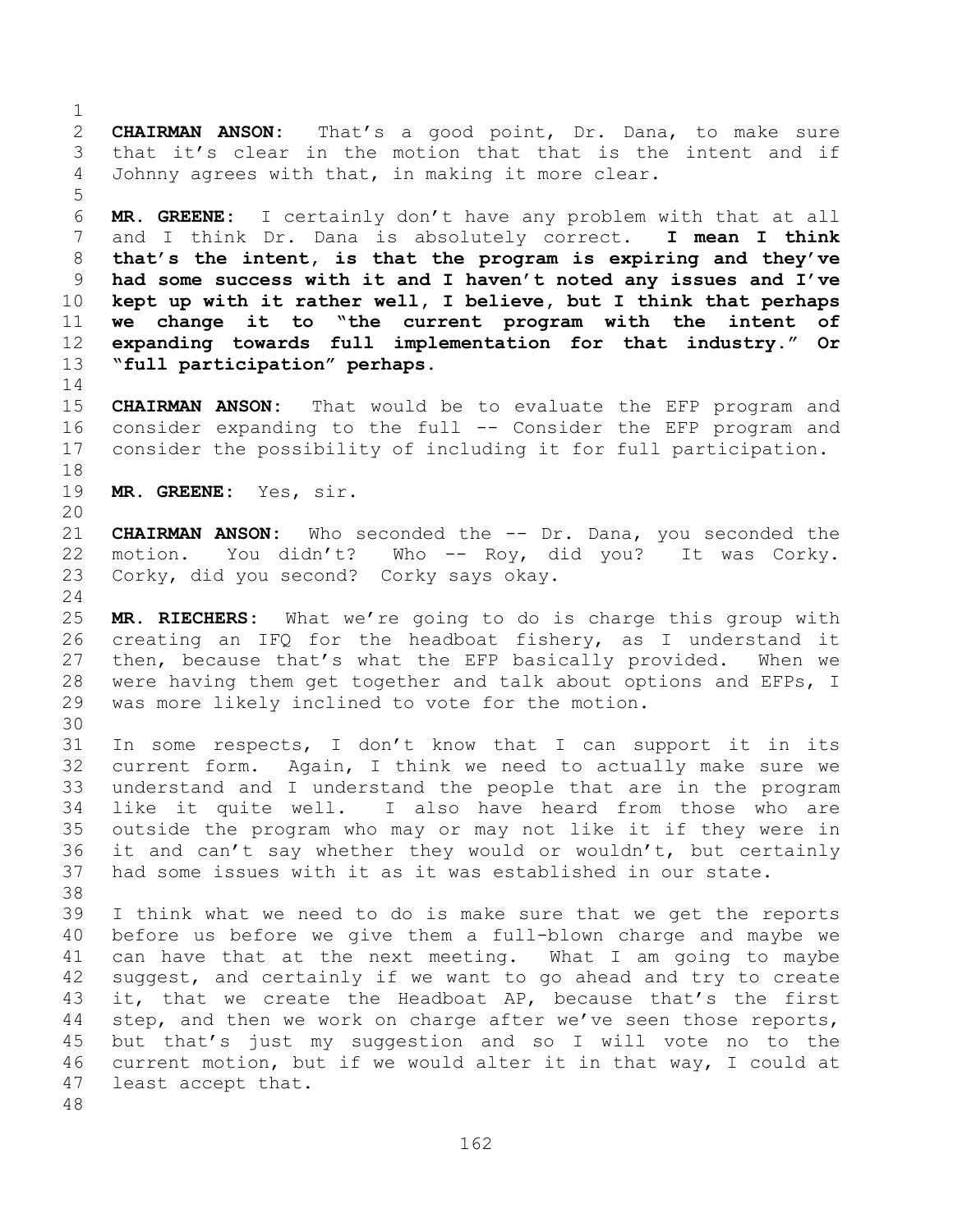**CHAIRMAN ANSON:** That's a good point, Dr. Dana, to make sure that it's clear in the motion that that is the intent and if Johnny agrees with that, in making it more clear. 

 **MR. GREENE:** I certainly don't have any problem with that at all and I think Dr. Dana is absolutely correct. **I mean I think that's the intent, is that the program is expiring and they've had some success with it and I haven't noted any issues and I've kept up with it rather well, I believe, but I think that perhaps we change it to "the current program with the intent of expanding towards full implementation for that industry." Or "full participation" perhaps.**

 **CHAIRMAN ANSON:** That would be to evaluate the EFP program and consider expanding to the full -- Consider the EFP program and consider the possibility of including it for full participation.

**MR. GREENE:** Yes, sir.

 **CHAIRMAN ANSON:** Who seconded the -- Dr. Dana, you seconded the motion. You didn't? Who -- Roy, did you? It was Corky. Corky, did you second? Corky says okay.

 **MR. RIECHERS:** What we're going to do is charge this group with creating an IFQ for the headboat fishery, as I understand it then, because that's what the EFP basically provided. When we were having them get together and talk about options and EFPs, I was more likely inclined to vote for the motion.

 In some respects, I don't know that I can support it in its current form. Again, I think we need to actually make sure we understand and I understand the people that are in the program like it quite well. I also have heard from those who are outside the program who may or may not like it if they were in it and can't say whether they would or wouldn't, but certainly

 had some issues with it as it was established in our state. I think what we need to do is make sure that we get the reports before us before we give them a full-blown charge and maybe we can have that at the next meeting. What I am going to maybe suggest, and certainly if we want to go ahead and try to create it, that we create the Headboat AP, because that's the first step, and then we work on charge after we've seen those reports, but that's just my suggestion and so I will vote no to the current motion, but if we would alter it in that way, I could at least accept that.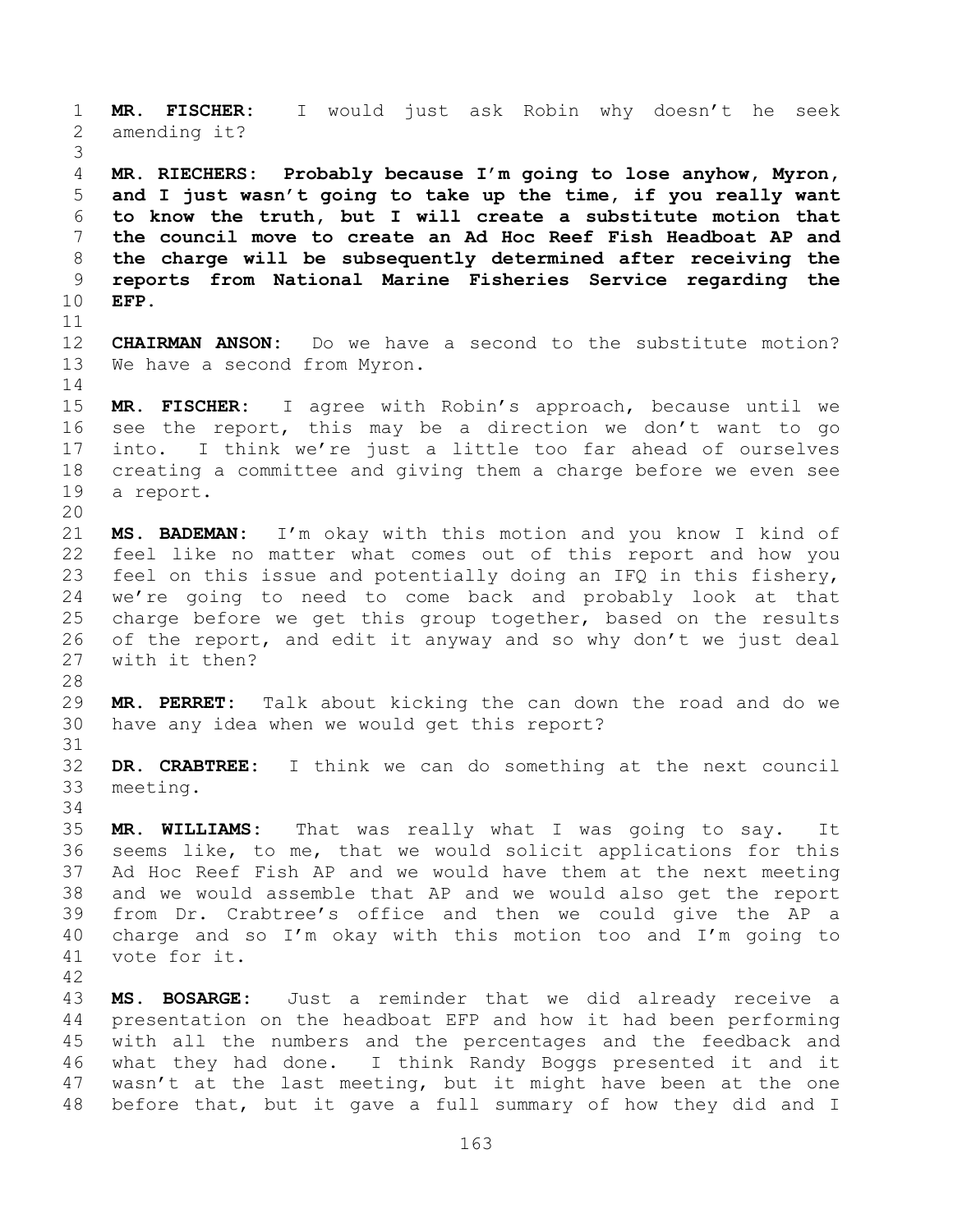**MR. FISCHER:** I would just ask Robin why doesn't he seek amending it? **MR. RIECHERS: Probably because I'm going to lose anyhow, Myron, and I just wasn't going to take up the time, if you really want to know the truth, but I will create a substitute motion that the council move to create an Ad Hoc Reef Fish Headboat AP and the charge will be subsequently determined after receiving the reports from National Marine Fisheries Service regarding the EFP. CHAIRMAN ANSON:** Do we have a second to the substitute motion? We have a second from Myron. **MR. FISCHER:** I agree with Robin's approach, because until we see the report, this may be a direction we don't want to go into. I think we're just a little too far ahead of ourselves creating a committee and giving them a charge before we even see a report. **MS. BADEMAN:** I'm okay with this motion and you know I kind of feel like no matter what comes out of this report and how you feel on this issue and potentially doing an IFQ in this fishery, we're going to need to come back and probably look at that charge before we get this group together, based on the results of the report, and edit it anyway and so why don't we just deal with it then? **MR. PERRET:** Talk about kicking the can down the road and do we have any idea when we would get this report? **DR. CRABTREE:** I think we can do something at the next council meeting. **MR. WILLIAMS:** That was really what I was going to say. It seems like, to me, that we would solicit applications for this Ad Hoc Reef Fish AP and we would have them at the next meeting and we would assemble that AP and we would also get the report from Dr. Crabtree's office and then we could give the AP a charge and so I'm okay with this motion too and I'm going to vote for it. **MS. BOSARGE:** Just a reminder that we did already receive a presentation on the headboat EFP and how it had been performing with all the numbers and the percentages and the feedback and what they had done. I think Randy Boggs presented it and it wasn't at the last meeting, but it might have been at the one

before that, but it gave a full summary of how they did and I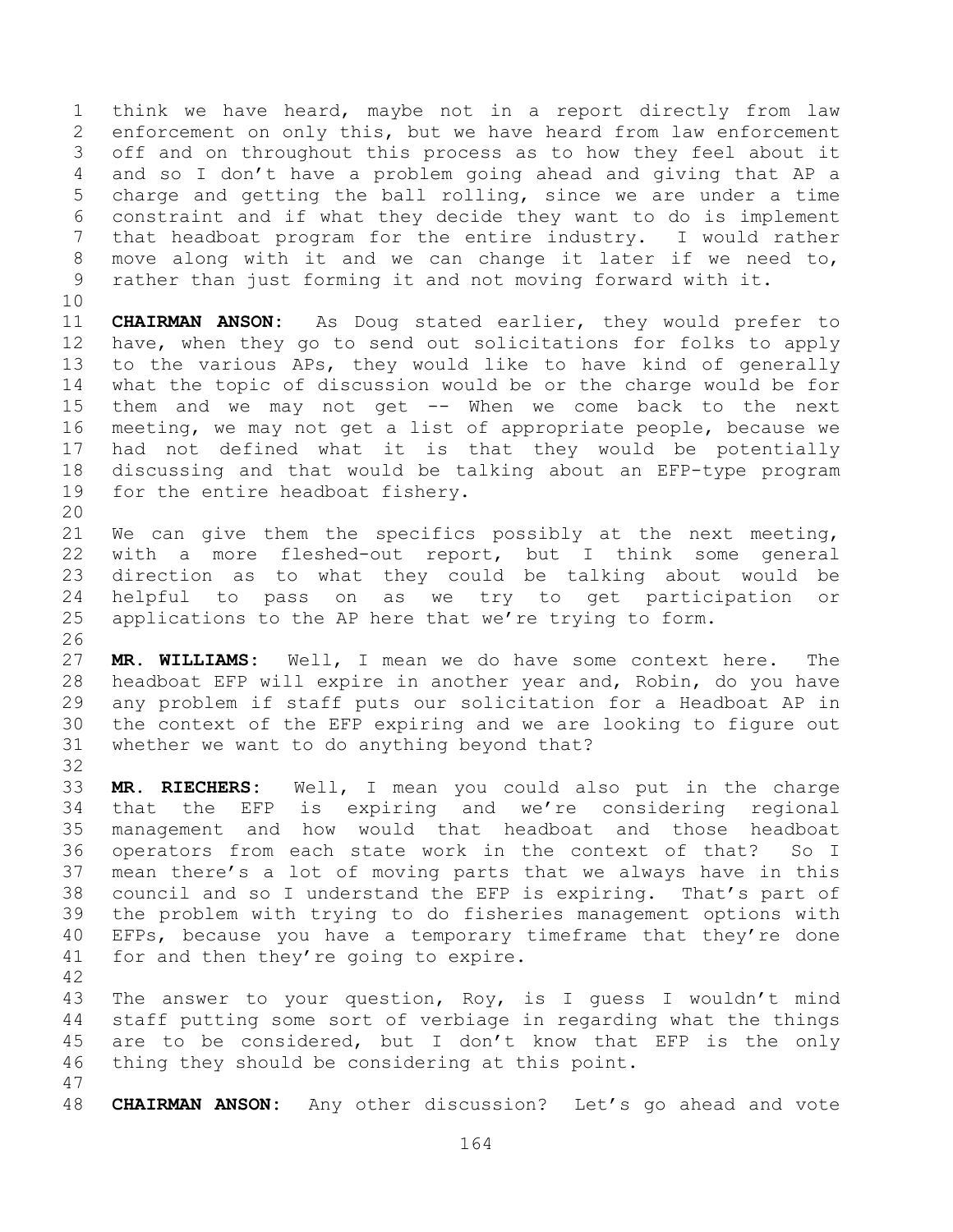think we have heard, maybe not in a report directly from law enforcement on only this, but we have heard from law enforcement off and on throughout this process as to how they feel about it and so I don't have a problem going ahead and giving that AP a charge and getting the ball rolling, since we are under a time constraint and if what they decide they want to do is implement that headboat program for the entire industry. I would rather move along with it and we can change it later if we need to, rather than just forming it and not moving forward with it.

 **CHAIRMAN ANSON:** As Doug stated earlier, they would prefer to have, when they go to send out solicitations for folks to apply to the various APs, they would like to have kind of generally what the topic of discussion would be or the charge would be for them and we may not get -- When we come back to the next meeting, we may not get a list of appropriate people, because we had not defined what it is that they would be potentially discussing and that would be talking about an EFP-type program for the entire headboat fishery.

 We can give them the specifics possibly at the next meeting, with a more fleshed-out report, but I think some general direction as to what they could be talking about would be helpful to pass on as we try to get participation or applications to the AP here that we're trying to form.

 **MR. WILLIAMS:** Well, I mean we do have some context here. The headboat EFP will expire in another year and, Robin, do you have any problem if staff puts our solicitation for a Headboat AP in the context of the EFP expiring and we are looking to figure out whether we want to do anything beyond that?

 **MR. RIECHERS:** Well, I mean you could also put in the charge that the EFP is expiring and we're considering regional management and how would that headboat and those headboat operators from each state work in the context of that? So I mean there's a lot of moving parts that we always have in this council and so I understand the EFP is expiring. That's part of the problem with trying to do fisheries management options with EFPs, because you have a temporary timeframe that they're done for and then they're going to expire. 

 The answer to your question, Roy, is I guess I wouldn't mind staff putting some sort of verbiage in regarding what the things 45 are to be considered, but I don't know that EFP is the only thing they should be considering at this point.

**CHAIRMAN ANSON:** Any other discussion? Let's go ahead and vote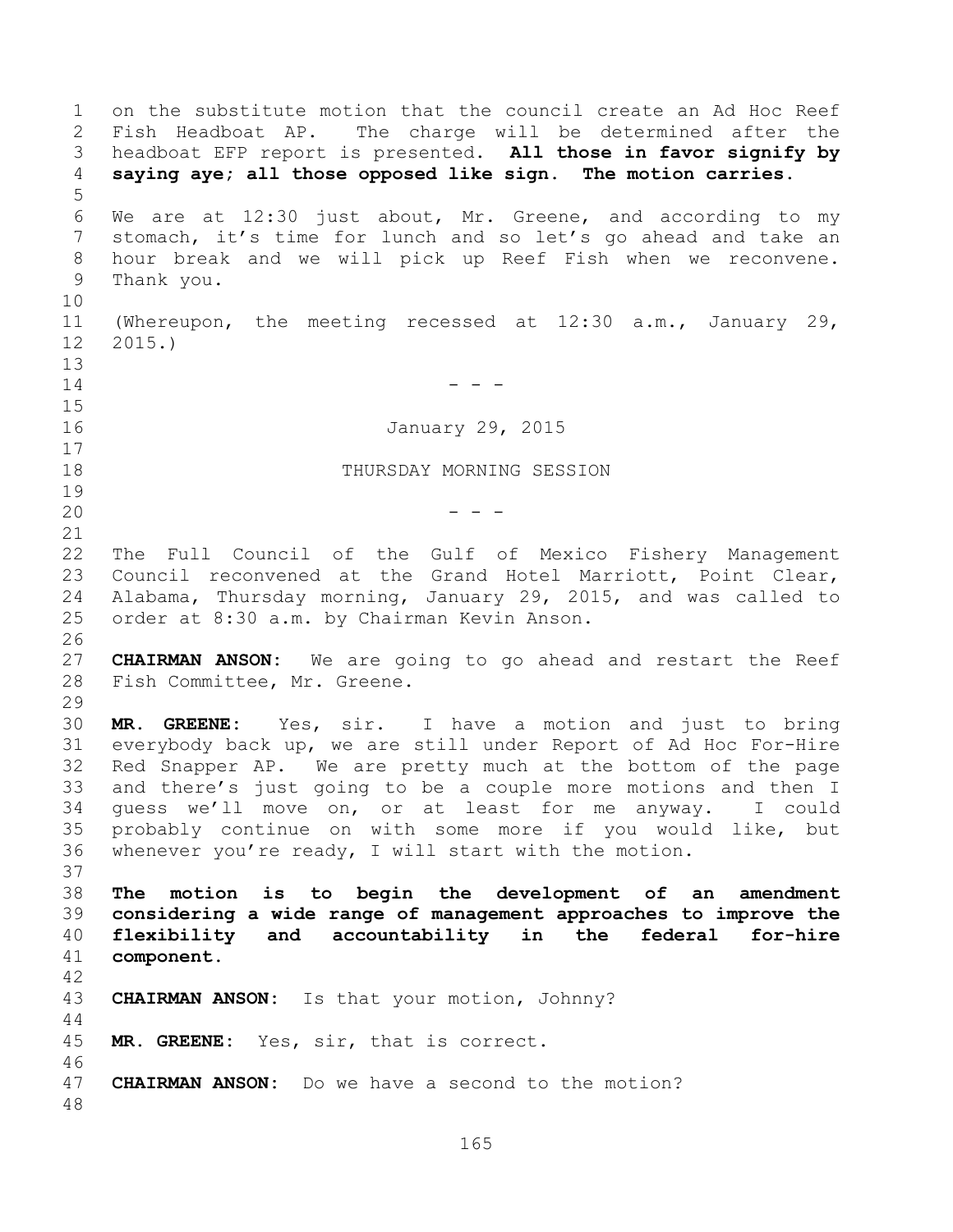on the substitute motion that the council create an Ad Hoc Reef Fish Headboat AP. The charge will be determined after the headboat EFP report is presented. **All those in favor signify by saying aye; all those opposed like sign. The motion carries.**  We are at 12:30 just about, Mr. Greene, and according to my stomach, it's time for lunch and so let's go ahead and take an hour break and we will pick up Reef Fish when we reconvene. Thank you. (Whereupon, the meeting recessed at 12:30 a.m., January 29, 2015.) - - - January 29, 2015 THURSDAY MORNING SESSION - - - The Full Council of the Gulf of Mexico Fishery Management Council reconvened at the Grand Hotel Marriott, Point Clear, Alabama, Thursday morning, January 29, 2015, and was called to order at 8:30 a.m. by Chairman Kevin Anson. **CHAIRMAN ANSON:** We are going to go ahead and restart the Reef Fish Committee, Mr. Greene. **MR. GREENE:** Yes, sir. I have a motion and just to bring everybody back up, we are still under Report of Ad Hoc For-Hire Red Snapper AP. We are pretty much at the bottom of the page and there's just going to be a couple more motions and then I guess we'll move on, or at least for me anyway. I could probably continue on with some more if you would like, but whenever you're ready, I will start with the motion. **The motion is to begin the development of an amendment considering a wide range of management approaches to improve the flexibility and accountability in the federal for-hire component. CHAIRMAN ANSON:** Is that your motion, Johnny? **MR. GREENE:** Yes, sir, that is correct. **CHAIRMAN ANSON:** Do we have a second to the motion?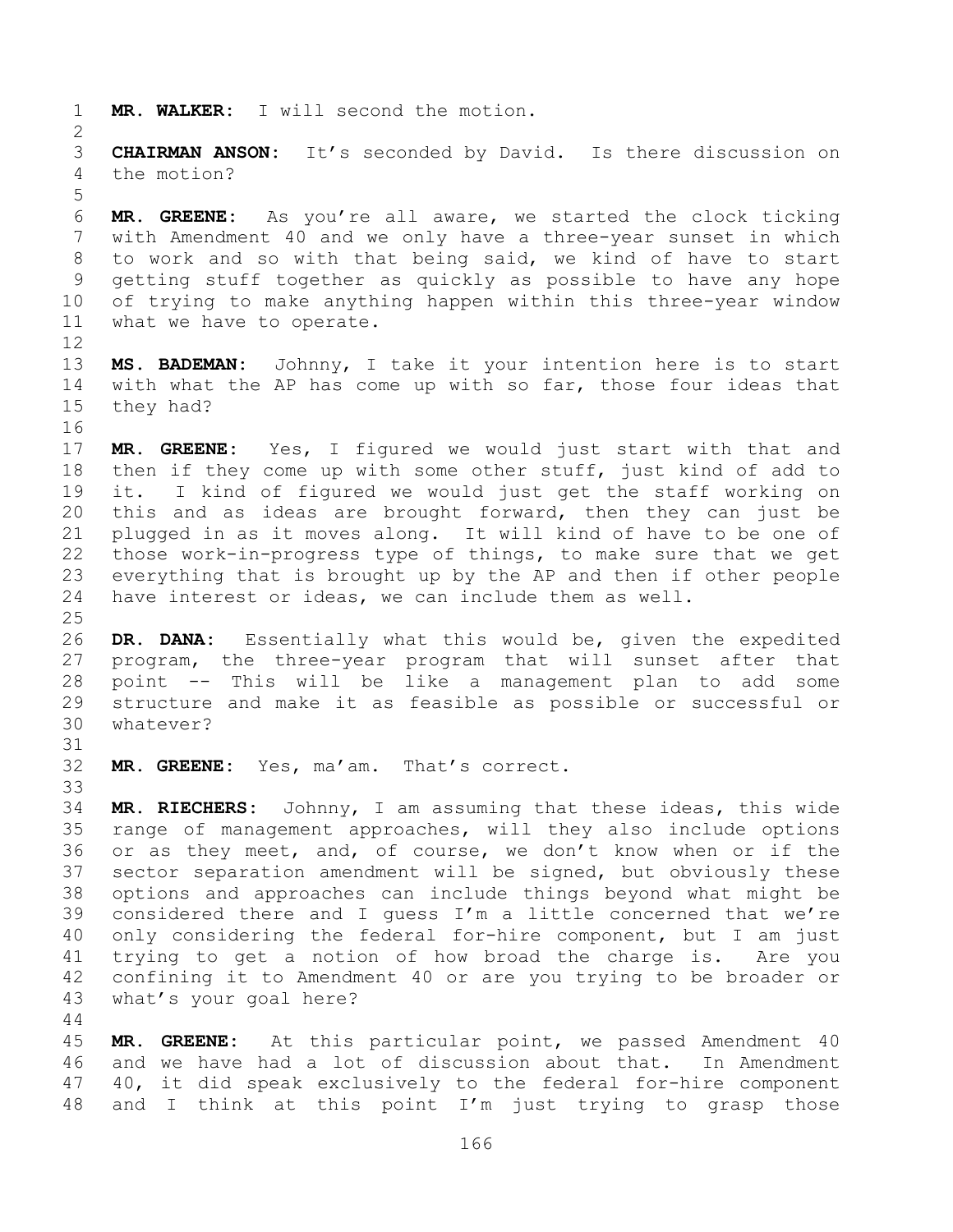**MR. WALKER:** I will second the motion.

 **CHAIRMAN ANSON:** It's seconded by David. Is there discussion on the motion?

 **MR. GREENE:** As you're all aware, we started the clock ticking with Amendment 40 and we only have a three-year sunset in which to work and so with that being said, we kind of have to start getting stuff together as quickly as possible to have any hope of trying to make anything happen within this three-year window what we have to operate.

 **MS. BADEMAN:** Johnny, I take it your intention here is to start with what the AP has come up with so far, those four ideas that they had?

 **MR. GREENE:** Yes, I figured we would just start with that and then if they come up with some other stuff, just kind of add to it. I kind of figured we would just get the staff working on this and as ideas are brought forward, then they can just be plugged in as it moves along. It will kind of have to be one of those work-in-progress type of things, to make sure that we get everything that is brought up by the AP and then if other people have interest or ideas, we can include them as well.

 **DR. DANA:** Essentially what this would be, given the expedited program, the three-year program that will sunset after that point -- This will be like a management plan to add some structure and make it as feasible as possible or successful or whatever?

**MR. GREENE:** Yes, ma'am. That's correct.

 **MR. RIECHERS:** Johnny, I am assuming that these ideas, this wide range of management approaches, will they also include options or as they meet, and, of course, we don't know when or if the sector separation amendment will be signed, but obviously these options and approaches can include things beyond what might be considered there and I guess I'm a little concerned that we're only considering the federal for-hire component, but I am just trying to get a notion of how broad the charge is. Are you confining it to Amendment 40 or are you trying to be broader or what's your goal here?

 **MR. GREENE:** At this particular point, we passed Amendment 40 and we have had a lot of discussion about that. In Amendment 40, it did speak exclusively to the federal for-hire component and I think at this point I'm just trying to grasp those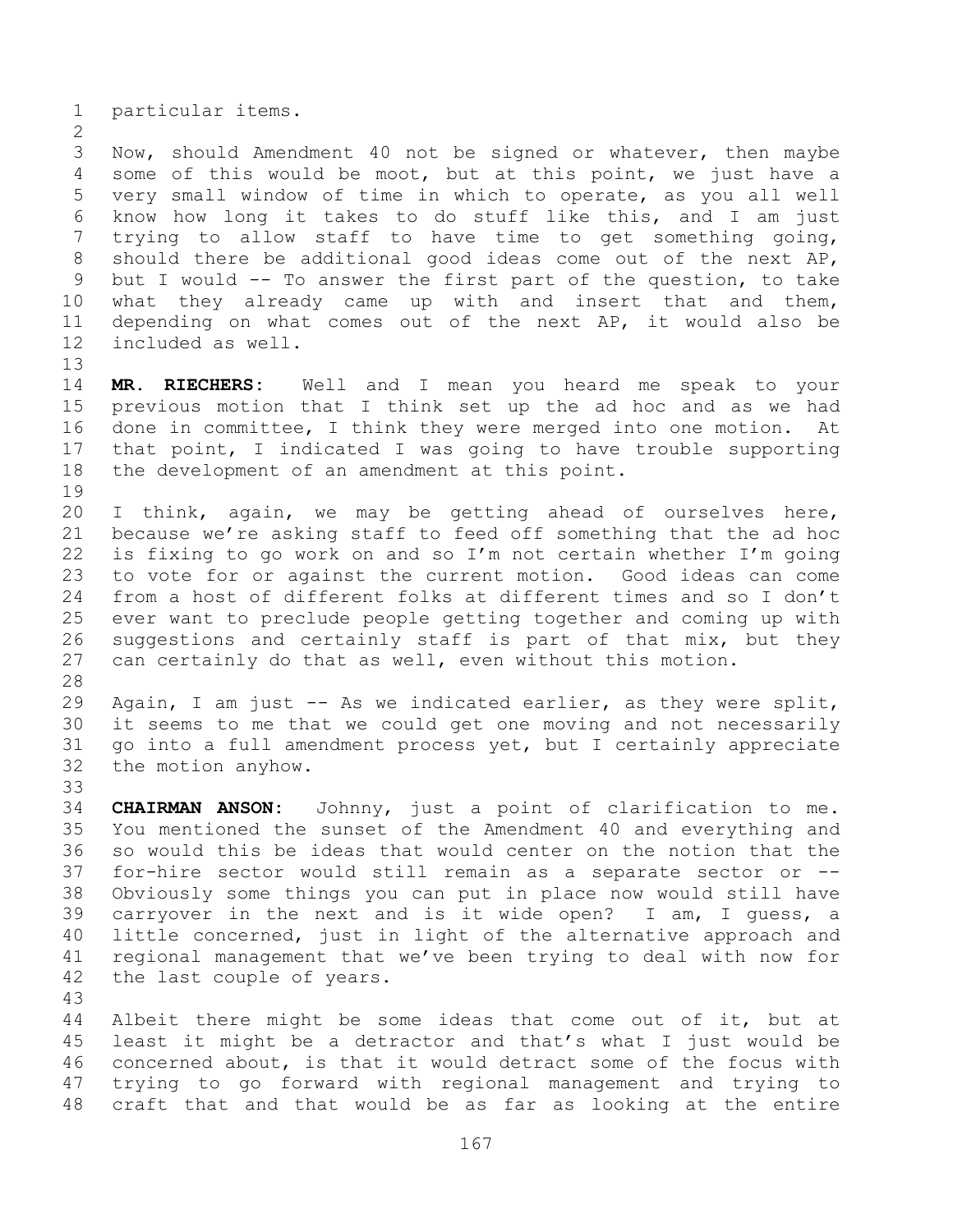particular items.

 Now, should Amendment 40 not be signed or whatever, then maybe some of this would be moot, but at this point, we just have a very small window of time in which to operate, as you all well know how long it takes to do stuff like this, and I am just trying to allow staff to have time to get something going, should there be additional good ideas come out of the next AP, but I would -- To answer the first part of the question, to take what they already came up with and insert that and them, depending on what comes out of the next AP, it would also be included as well.

- **MR. RIECHERS:** Well and I mean you heard me speak to your previous motion that I think set up the ad hoc and as we had done in committee, I think they were merged into one motion. At that point, I indicated I was going to have trouble supporting the development of an amendment at this point.
- 

- I think, again, we may be getting ahead of ourselves here, because we're asking staff to feed off something that the ad hoc is fixing to go work on and so I'm not certain whether I'm going to vote for or against the current motion. Good ideas can come from a host of different folks at different times and so I don't ever want to preclude people getting together and coming up with suggestions and certainly staff is part of that mix, but they can certainly do that as well, even without this motion.
- 

 Again, I am just -- As we indicated earlier, as they were split, it seems to me that we could get one moving and not necessarily go into a full amendment process yet, but I certainly appreciate the motion anyhow.

 **CHAIRMAN ANSON:** Johnny, just a point of clarification to me. You mentioned the sunset of the Amendment 40 and everything and so would this be ideas that would center on the notion that the for-hire sector would still remain as a separate sector or -- Obviously some things you can put in place now would still have carryover in the next and is it wide open? I am, I guess, a little concerned, just in light of the alternative approach and regional management that we've been trying to deal with now for the last couple of years.

 Albeit there might be some ideas that come out of it, but at least it might be a detractor and that's what I just would be concerned about, is that it would detract some of the focus with trying to go forward with regional management and trying to craft that and that would be as far as looking at the entire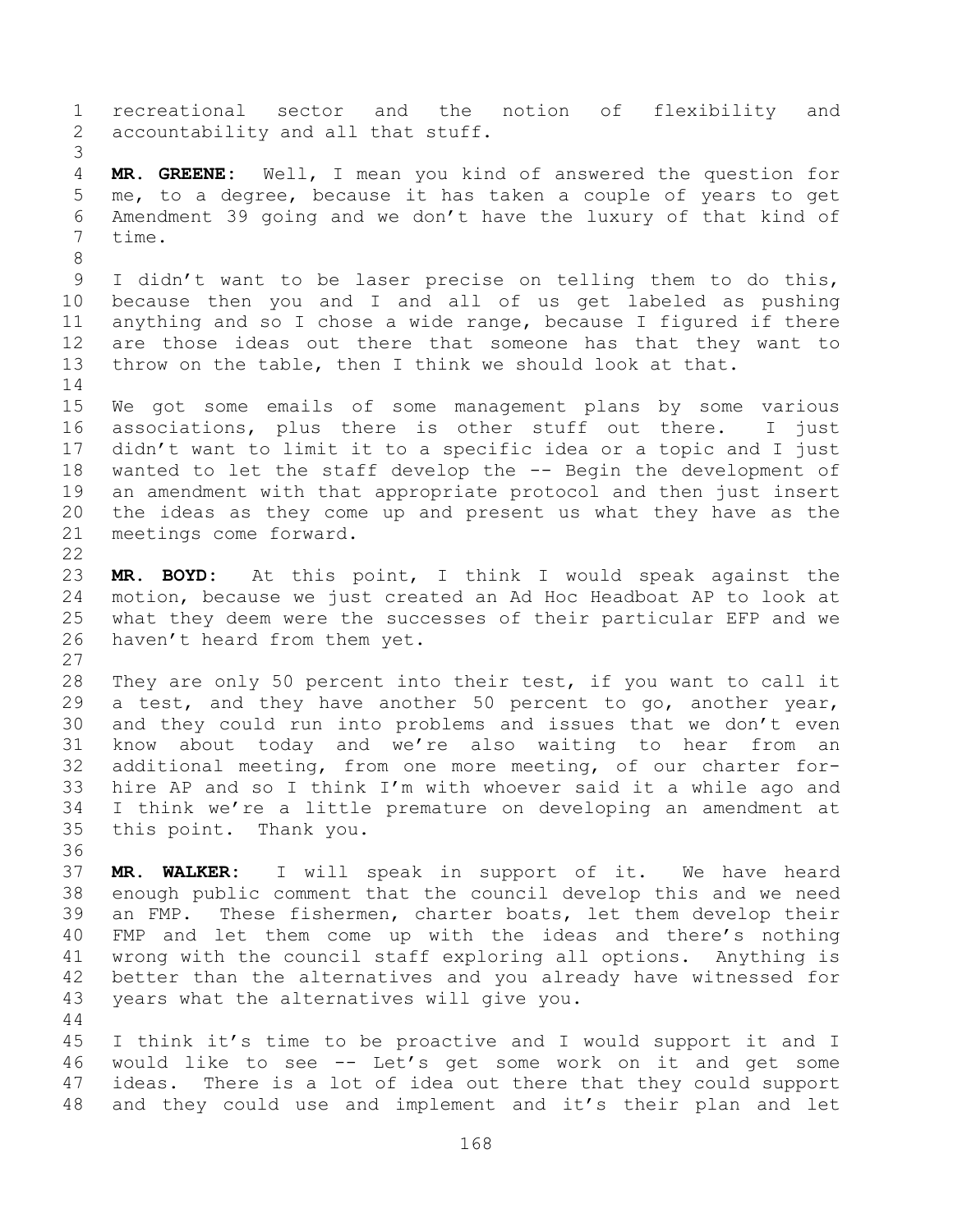recreational sector and the notion of flexibility and 2 accountability and all that stuff. **MR. GREENE:** Well, I mean you kind of answered the question for me, to a degree, because it has taken a couple of years to get Amendment 39 going and we don't have the luxury of that kind of time. I didn't want to be laser precise on telling them to do this, because then you and I and all of us get labeled as pushing anything and so I chose a wide range, because I figured if there are those ideas out there that someone has that they want to throw on the table, then I think we should look at that. We got some emails of some management plans by some various associations, plus there is other stuff out there. I just didn't want to limit it to a specific idea or a topic and I just wanted to let the staff develop the -- Begin the development of an amendment with that appropriate protocol and then just insert the ideas as they come up and present us what they have as the meetings come forward. **MR. BOYD:** At this point, I think I would speak against the motion, because we just created an Ad Hoc Headboat AP to look at what they deem were the successes of their particular EFP and we haven't heard from them yet. They are only 50 percent into their test, if you want to call it a test, and they have another 50 percent to go, another year, and they could run into problems and issues that we don't even know about today and we're also waiting to hear from an additional meeting, from one more meeting, of our charter for- hire AP and so I think I'm with whoever said it a while ago and I think we're a little premature on developing an amendment at this point. Thank you. **MR. WALKER:** I will speak in support of it. We have heard enough public comment that the council develop this and we need an FMP. These fishermen, charter boats, let them develop their FMP and let them come up with the ideas and there's nothing wrong with the council staff exploring all options. Anything is better than the alternatives and you already have witnessed for years what the alternatives will give you. I think it's time to be proactive and I would support it and I

 would like to see -- Let's get some work on it and get some ideas. There is a lot of idea out there that they could support and they could use and implement and it's their plan and let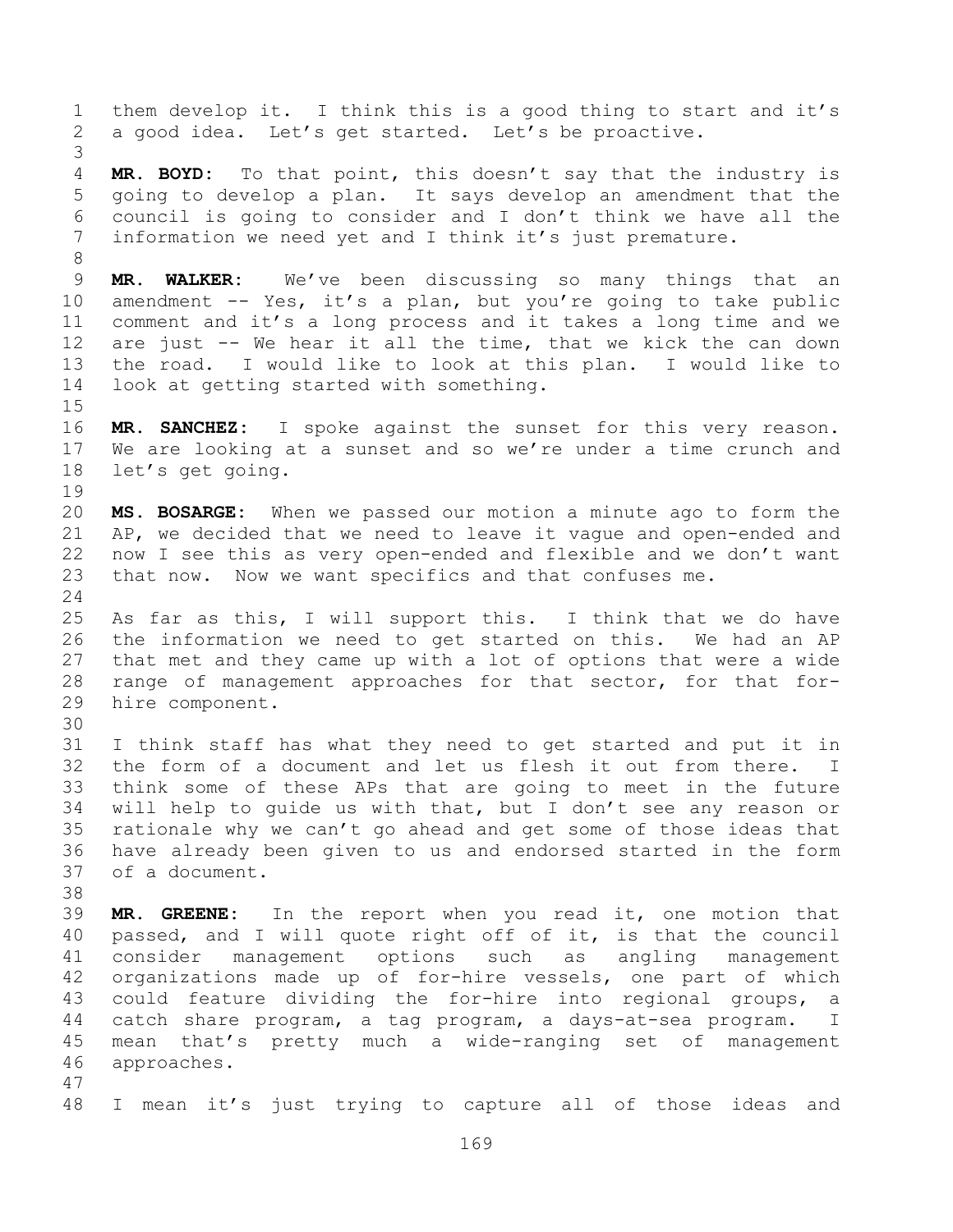them develop it. I think this is a good thing to start and it's a good idea. Let's get started. Let's be proactive. **MR. BOYD:** To that point, this doesn't say that the industry is going to develop a plan. It says develop an amendment that the council is going to consider and I don't think we have all the information we need yet and I think it's just premature. **MR. WALKER:** We've been discussing so many things that an amendment -- Yes, it's a plan, but you're going to take public comment and it's a long process and it takes a long time and we are just -- We hear it all the time, that we kick the can down the road. I would like to look at this plan. I would like to look at getting started with something. **MR. SANCHEZ:** I spoke against the sunset for this very reason. We are looking at a sunset and so we're under a time crunch and let's get going. **MS. BOSARGE:** When we passed our motion a minute ago to form the AP, we decided that we need to leave it vague and open-ended and now I see this as very open-ended and flexible and we don't want that now. Now we want specifics and that confuses me. As far as this, I will support this. I think that we do have the information we need to get started on this. We had an AP that met and they came up with a lot of options that were a wide range of management approaches for that sector, for that for- hire component. I think staff has what they need to get started and put it in the form of a document and let us flesh it out from there. I think some of these APs that are going to meet in the future will help to guide us with that, but I don't see any reason or rationale why we can't go ahead and get some of those ideas that have already been given to us and endorsed started in the form of a document. **MR. GREENE:** In the report when you read it, one motion that passed, and I will quote right off of it, is that the council consider management options such as angling management organizations made up of for-hire vessels, one part of which could feature dividing the for-hire into regional groups, a catch share program, a tag program, a days-at-sea program. I mean that's pretty much a wide-ranging set of management approaches. I mean it's just trying to capture all of those ideas and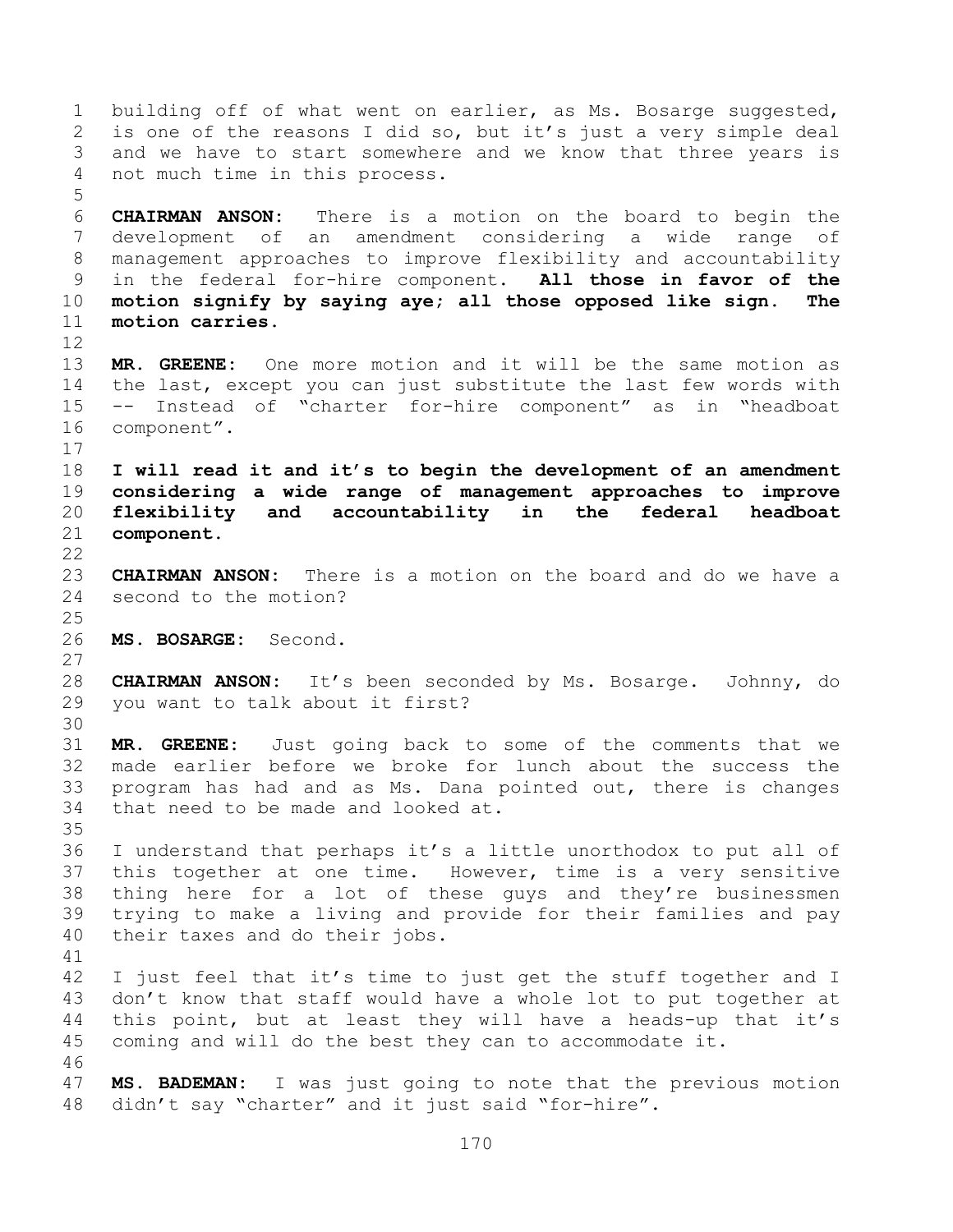building off of what went on earlier, as Ms. Bosarge suggested, is one of the reasons I did so, but it's just a very simple deal and we have to start somewhere and we know that three years is not much time in this process. **CHAIRMAN ANSON:** There is a motion on the board to begin the development of an amendment considering a wide range of management approaches to improve flexibility and accountability in the federal for-hire component. **All those in favor of the motion signify by saying aye; all those opposed like sign. The motion carries. MR. GREENE:** One more motion and it will be the same motion as the last, except you can just substitute the last few words with -- Instead of "charter for-hire component" as in "headboat component". **I will read it and it's to begin the development of an amendment considering a wide range of management approaches to improve flexibility and accountability in the federal headboat component. CHAIRMAN ANSON:** There is a motion on the board and do we have a second to the motion? **MS. BOSARGE:** Second. **CHAIRMAN ANSON:** It's been seconded by Ms. Bosarge. Johnny, do you want to talk about it first? **MR. GREENE:** Just going back to some of the comments that we made earlier before we broke for lunch about the success the program has had and as Ms. Dana pointed out, there is changes that need to be made and looked at. I understand that perhaps it's a little unorthodox to put all of this together at one time. However, time is a very sensitive thing here for a lot of these guys and they're businessmen trying to make a living and provide for their families and pay their taxes and do their jobs. I just feel that it's time to just get the stuff together and I don't know that staff would have a whole lot to put together at this point, but at least they will have a heads-up that it's coming and will do the best they can to accommodate it. **MS. BADEMAN:** I was just going to note that the previous motion didn't say "charter" and it just said "for-hire".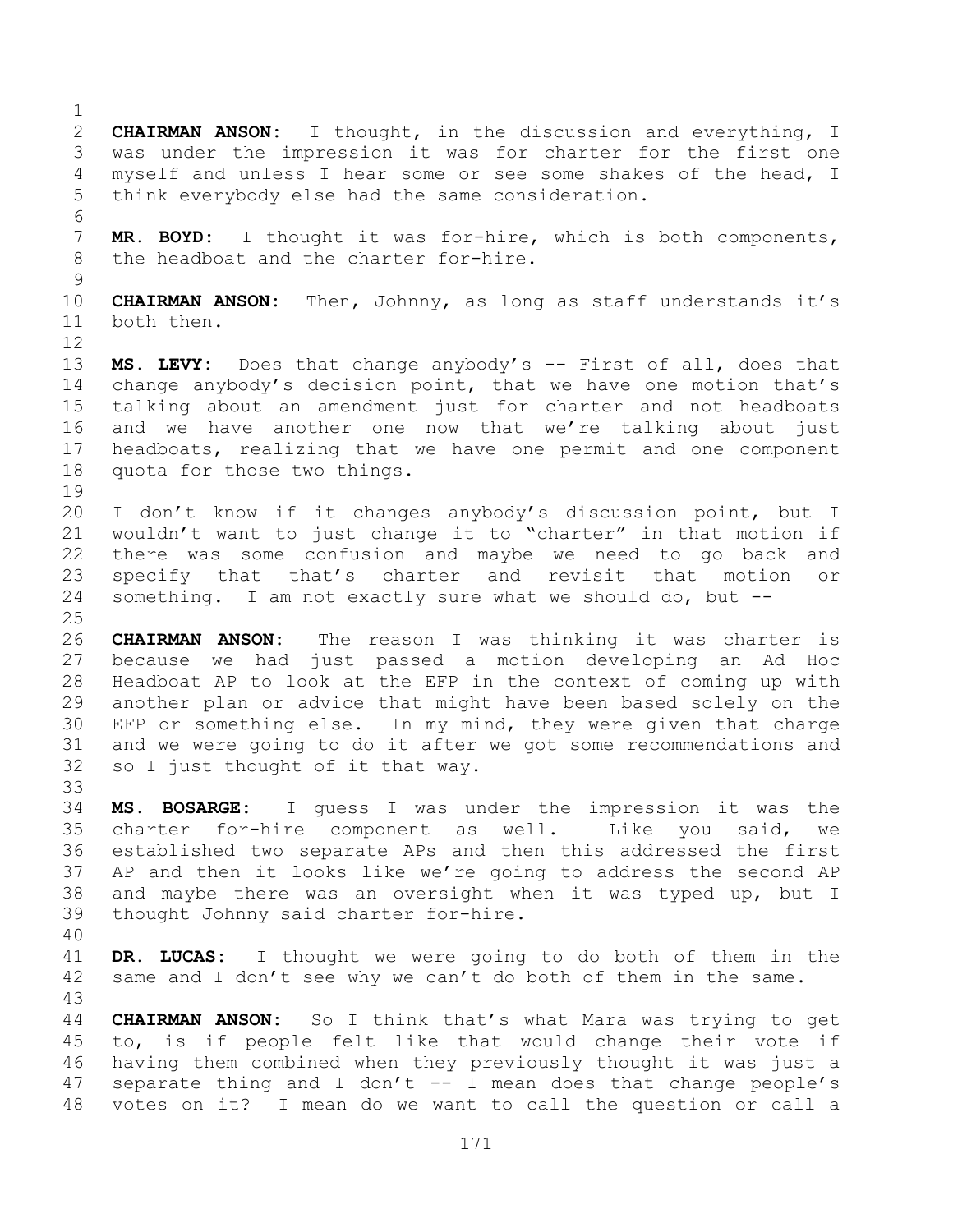**CHAIRMAN ANSON:** I thought, in the discussion and everything, I was under the impression it was for charter for the first one myself and unless I hear some or see some shakes of the head, I think everybody else had the same consideration. **MR. BOYD:** I thought it was for-hire, which is both components, the headboat and the charter for-hire. **CHAIRMAN ANSON:** Then, Johnny, as long as staff understands it's both then. **MS. LEVY:** Does that change anybody's -- First of all, does that change anybody's decision point, that we have one motion that's talking about an amendment just for charter and not headboats and we have another one now that we're talking about just headboats, realizing that we have one permit and one component quota for those two things. I don't know if it changes anybody's discussion point, but I wouldn't want to just change it to "charter" in that motion if there was some confusion and maybe we need to go back and specify that that's charter and revisit that motion or something. I am not exactly sure what we should do, but -- **CHAIRMAN ANSON:** The reason I was thinking it was charter is because we had just passed a motion developing an Ad Hoc Headboat AP to look at the EFP in the context of coming up with another plan or advice that might have been based solely on the EFP or something else. In my mind, they were given that charge and we were going to do it after we got some recommendations and so I just thought of it that way. **MS. BOSARGE:** I guess I was under the impression it was the charter for-hire component as well. Like you said, we established two separate APs and then this addressed the first AP and then it looks like we're going to address the second AP and maybe there was an oversight when it was typed up, but I thought Johnny said charter for-hire. **DR. LUCAS:** I thought we were going to do both of them in the same and I don't see why we can't do both of them in the same. **CHAIRMAN ANSON:** So I think that's what Mara was trying to get to, is if people felt like that would change their vote if having them combined when they previously thought it was just a separate thing and I don't -- I mean does that change people's votes on it? I mean do we want to call the question or call a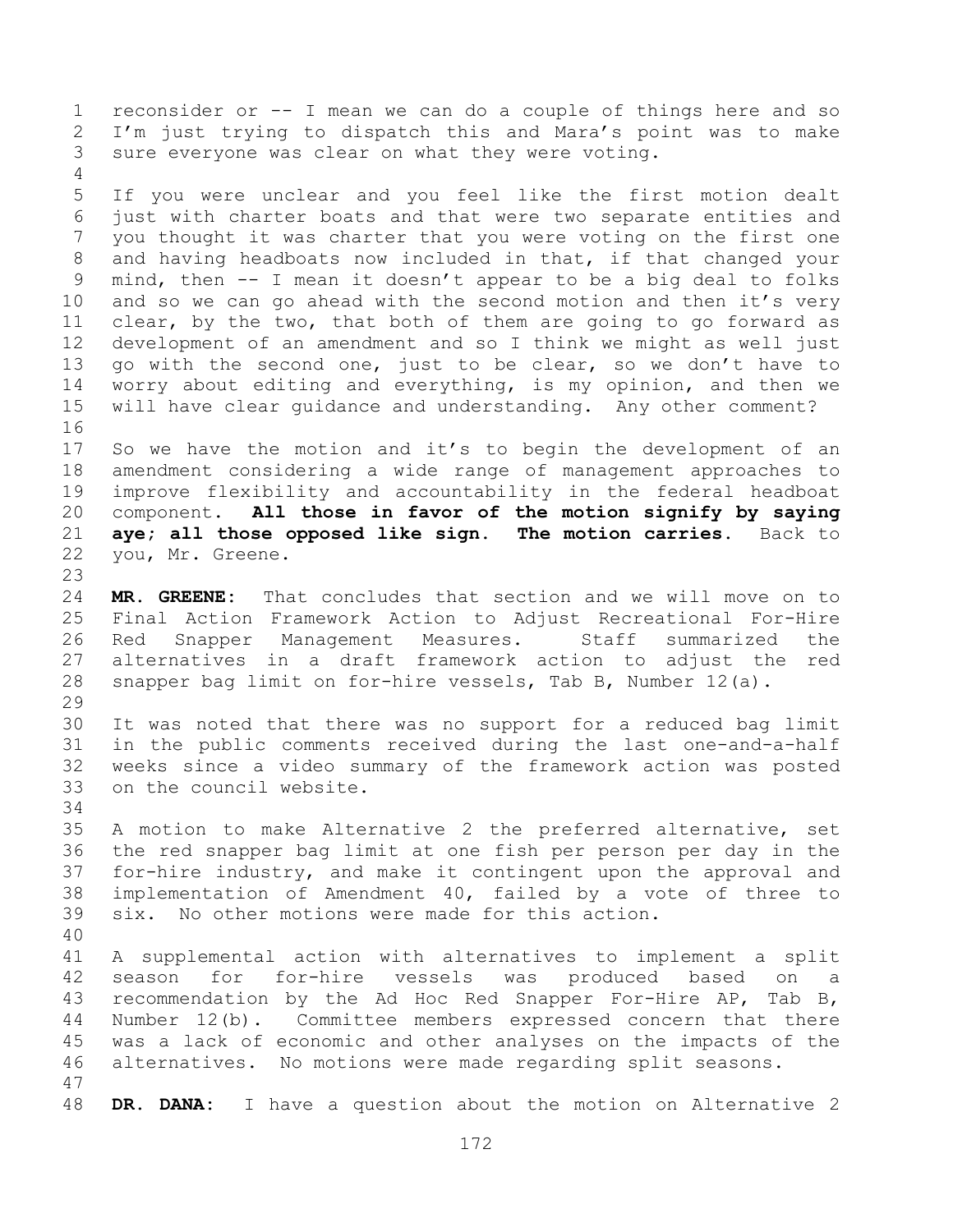reconsider or -- I mean we can do a couple of things here and so I'm just trying to dispatch this and Mara's point was to make sure everyone was clear on what they were voting. 

 If you were unclear and you feel like the first motion dealt just with charter boats and that were two separate entities and you thought it was charter that you were voting on the first one and having headboats now included in that, if that changed your mind, then -- I mean it doesn't appear to be a big deal to folks 10 and so we can go ahead with the second motion and then it's very clear, by the two, that both of them are going to go forward as development of an amendment and so I think we might as well just go with the second one, just to be clear, so we don't have to worry about editing and everything, is my opinion, and then we will have clear guidance and understanding. Any other comment? 

 So we have the motion and it's to begin the development of an amendment considering a wide range of management approaches to improve flexibility and accountability in the federal headboat component. **All those in favor of the motion signify by saying aye; all those opposed like sign. The motion carries.** Back to you, Mr. Greene. 

 **MR. GREENE:** That concludes that section and we will move on to Final Action Framework Action to Adjust Recreational For-Hire Red Snapper Management Measures. Staff summarized the alternatives in a draft framework action to adjust the red snapper bag limit on for-hire vessels, Tab B, Number 12(a).

 It was noted that there was no support for a reduced bag limit in the public comments received during the last one-and-a-half weeks since a video summary of the framework action was posted on the council website.

 A motion to make Alternative 2 the preferred alternative, set the red snapper bag limit at one fish per person per day in the for-hire industry, and make it contingent upon the approval and implementation of Amendment 40, failed by a vote of three to six. No other motions were made for this action.

 A supplemental action with alternatives to implement a split season for for-hire vessels was produced based on a recommendation by the Ad Hoc Red Snapper For-Hire AP, Tab B, Number 12(b). Committee members expressed concern that there was a lack of economic and other analyses on the impacts of the alternatives. No motions were made regarding split seasons. 

**DR. DANA:** I have a question about the motion on Alternative 2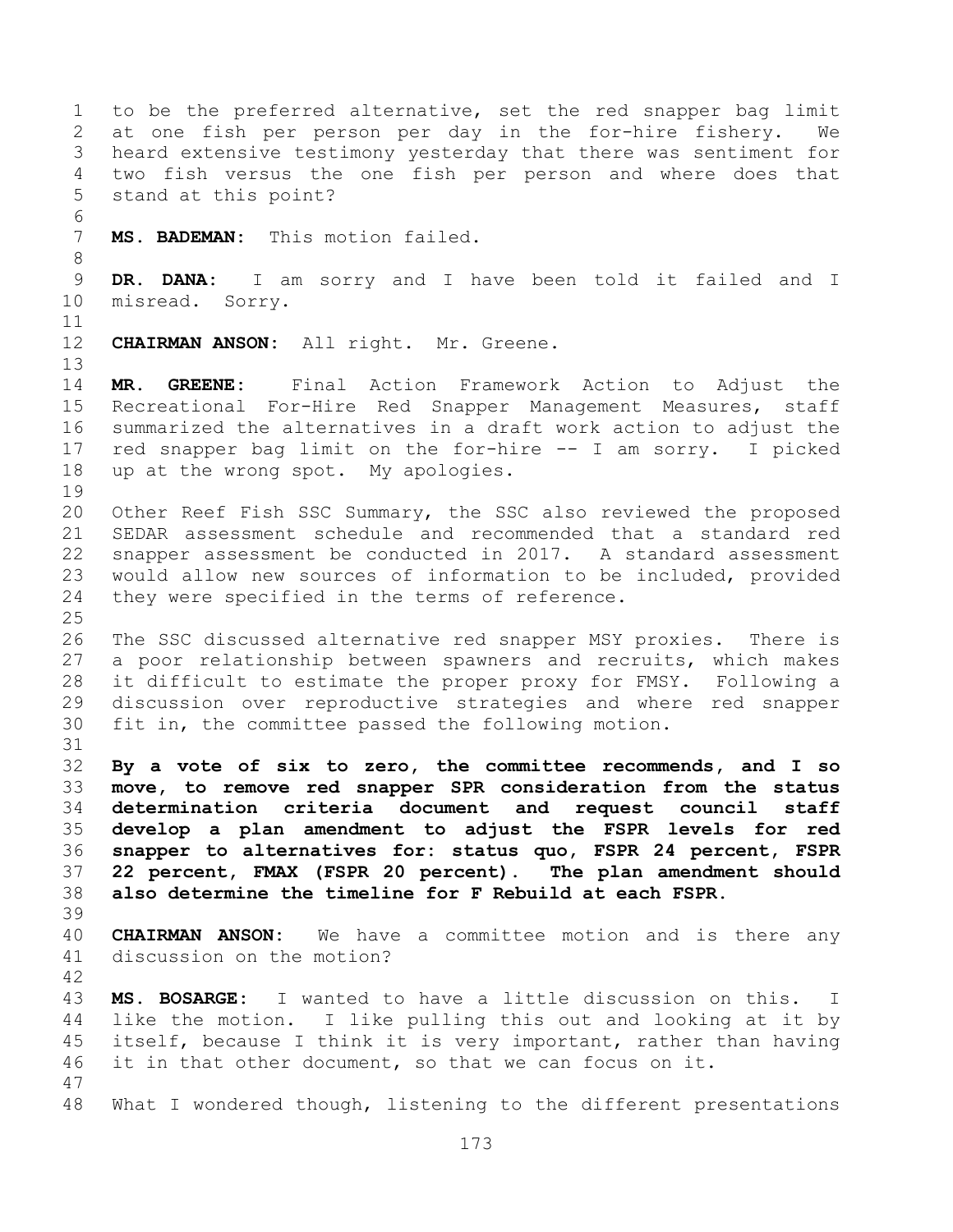to be the preferred alternative, set the red snapper bag limit at one fish per person per day in the for-hire fishery. We heard extensive testimony yesterday that there was sentiment for two fish versus the one fish per person and where does that stand at this point? **MS. BADEMAN:** This motion failed. **DR. DANA:** I am sorry and I have been told it failed and I misread. Sorry. **CHAIRMAN ANSON:** All right. Mr. Greene. **MR. GREENE:** Final Action Framework Action to Adjust the Recreational For-Hire Red Snapper Management Measures, staff summarized the alternatives in a draft work action to adjust the red snapper bag limit on the for-hire -- I am sorry. I picked up at the wrong spot. My apologies. Other Reef Fish SSC Summary, the SSC also reviewed the proposed SEDAR assessment schedule and recommended that a standard red snapper assessment be conducted in 2017. A standard assessment would allow new sources of information to be included, provided they were specified in the terms of reference. The SSC discussed alternative red snapper MSY proxies. There is a poor relationship between spawners and recruits, which makes it difficult to estimate the proper proxy for FMSY. Following a discussion over reproductive strategies and where red snapper fit in, the committee passed the following motion. **By a vote of six to zero, the committee recommends, and I so move, to remove red snapper SPR consideration from the status determination criteria document and request council staff develop a plan amendment to adjust the FSPR levels for red snapper to alternatives for: status quo, FSPR 24 percent, FSPR 22 percent, FMAX (FSPR 20 percent). The plan amendment should also determine the timeline for F Rebuild at each FSPR. CHAIRMAN ANSON:** We have a committee motion and is there any discussion on the motion? **MS. BOSARGE:** I wanted to have a little discussion on this. I like the motion. I like pulling this out and looking at it by itself, because I think it is very important, rather than having it in that other document, so that we can focus on it. What I wondered though, listening to the different presentations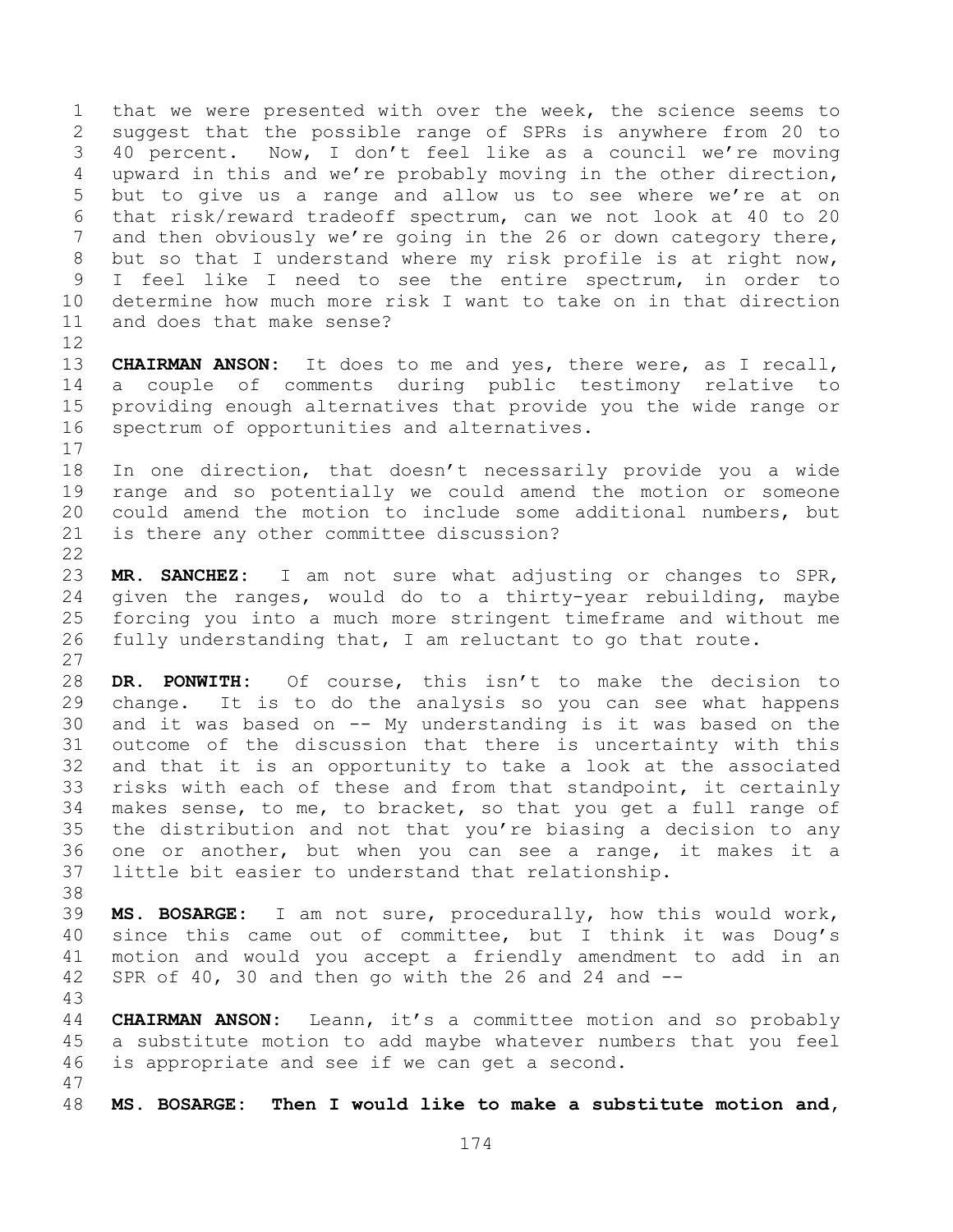that we were presented with over the week, the science seems to suggest that the possible range of SPRs is anywhere from 20 to 40 percent. Now, I don't feel like as a council we're moving upward in this and we're probably moving in the other direction, but to give us a range and allow us to see where we're at on that risk/reward tradeoff spectrum, can we not look at 40 to 20 and then obviously we're going in the 26 or down category there, but so that I understand where my risk profile is at right now, I feel like I need to see the entire spectrum, in order to determine how much more risk I want to take on in that direction and does that make sense? 

 **CHAIRMAN ANSON:** It does to me and yes, there were, as I recall, a couple of comments during public testimony relative to providing enough alternatives that provide you the wide range or spectrum of opportunities and alternatives.

 In one direction, that doesn't necessarily provide you a wide range and so potentially we could amend the motion or someone could amend the motion to include some additional numbers, but is there any other committee discussion?

 **MR. SANCHEZ:** I am not sure what adjusting or changes to SPR, given the ranges, would do to a thirty-year rebuilding, maybe forcing you into a much more stringent timeframe and without me fully understanding that, I am reluctant to go that route. 

 **DR. PONWITH:** Of course, this isn't to make the decision to change. It is to do the analysis so you can see what happens and it was based on -- My understanding is it was based on the outcome of the discussion that there is uncertainty with this and that it is an opportunity to take a look at the associated risks with each of these and from that standpoint, it certainly makes sense, to me, to bracket, so that you get a full range of the distribution and not that you're biasing a decision to any one or another, but when you can see a range, it makes it a little bit easier to understand that relationship.

 **MS. BOSARGE:** I am not sure, procedurally, how this would work, since this came out of committee, but I think it was Doug's motion and would you accept a friendly amendment to add in an SPR of 40, 30 and then go with the 26 and 24 and --

 **CHAIRMAN ANSON:** Leann, it's a committee motion and so probably a substitute motion to add maybe whatever numbers that you feel is appropriate and see if we can get a second. 

**MS. BOSARGE: Then I would like to make a substitute motion and,**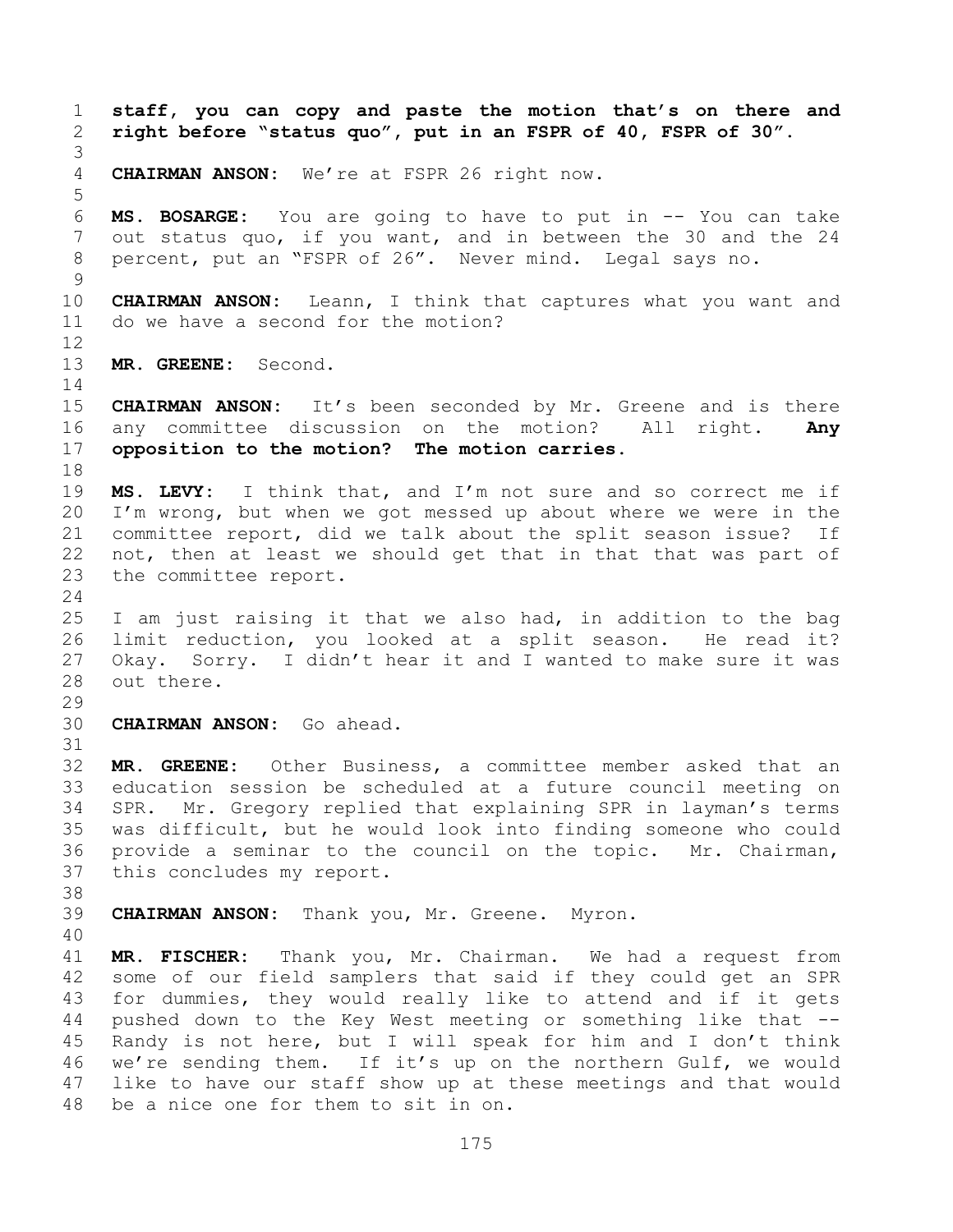**staff, you can copy and paste the motion that's on there and right before "status quo", put in an FSPR of 40, FSPR of 30". CHAIRMAN ANSON:** We're at FSPR 26 right now. **MS. BOSARGE:** You are going to have to put in -- You can take out status quo, if you want, and in between the 30 and the 24 percent, put an "FSPR of 26". Never mind. Legal says no. **CHAIRMAN ANSON:** Leann, I think that captures what you want and do we have a second for the motion? **MR. GREENE:** Second. **CHAIRMAN ANSON:** It's been seconded by Mr. Greene and is there any committee discussion on the motion? All right. **Any opposition to the motion? The motion carries. MS. LEVY:** I think that, and I'm not sure and so correct me if I'm wrong, but when we got messed up about where we were in the committee report, did we talk about the split season issue? If not, then at least we should get that in that that was part of the committee report. I am just raising it that we also had, in addition to the bag limit reduction, you looked at a split season. He read it? Okay. Sorry. I didn't hear it and I wanted to make sure it was out there. **CHAIRMAN ANSON:** Go ahead. **MR. GREENE:** Other Business, a committee member asked that an education session be scheduled at a future council meeting on SPR. Mr. Gregory replied that explaining SPR in layman's terms was difficult, but he would look into finding someone who could provide a seminar to the council on the topic. Mr. Chairman, this concludes my report. **CHAIRMAN ANSON:** Thank you, Mr. Greene. Myron. **MR. FISCHER:** Thank you, Mr. Chairman. We had a request from some of our field samplers that said if they could get an SPR for dummies, they would really like to attend and if it gets pushed down to the Key West meeting or something like that -- Randy is not here, but I will speak for him and I don't think we're sending them. If it's up on the northern Gulf, we would like to have our staff show up at these meetings and that would be a nice one for them to sit in on.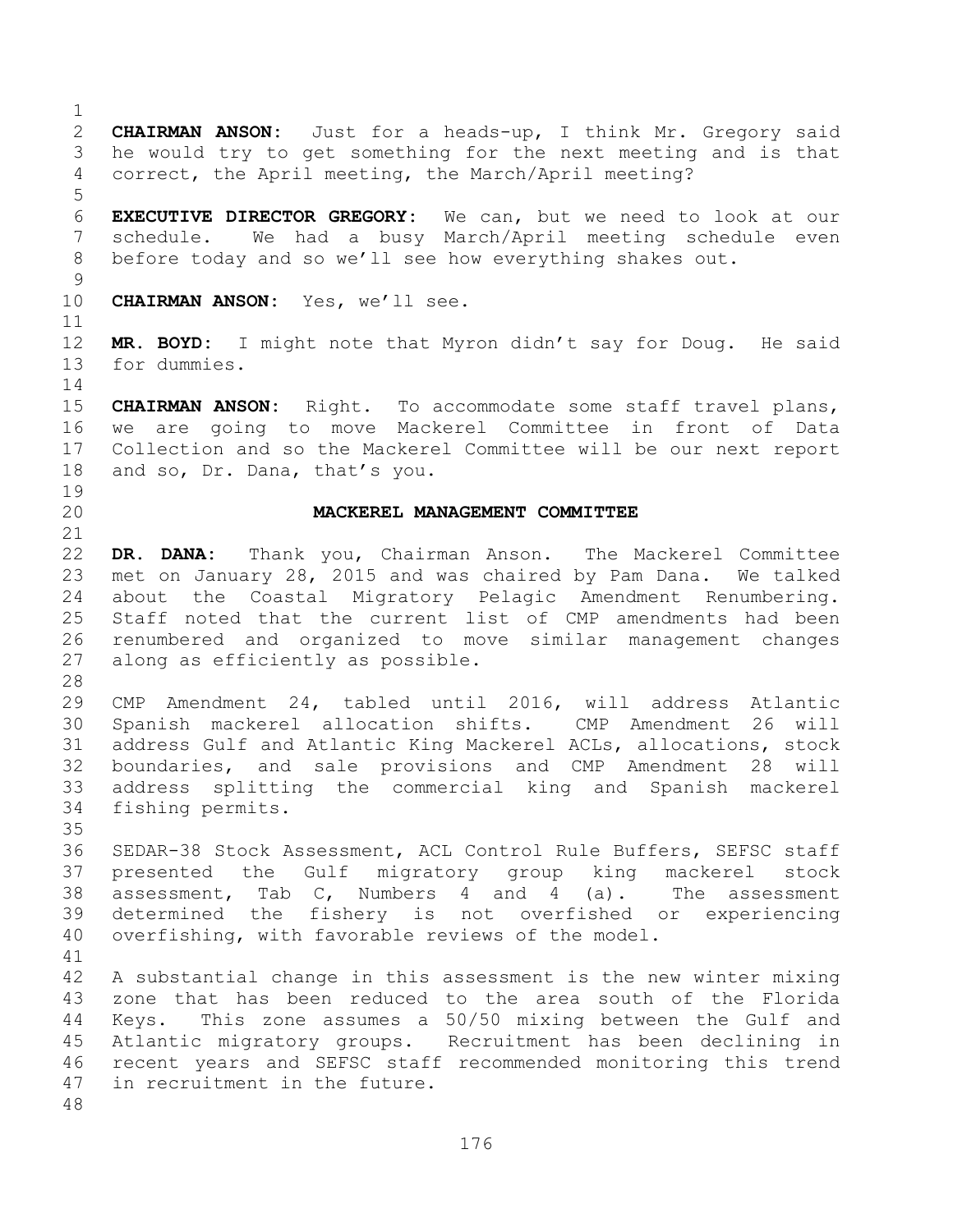**CHAIRMAN ANSON:** Just for a heads-up, I think Mr. Gregory said he would try to get something for the next meeting and is that correct, the April meeting, the March/April meeting? **EXECUTIVE DIRECTOR GREGORY:** We can, but we need to look at our schedule. We had a busy March/April meeting schedule even before today and so we'll see how everything shakes out. **CHAIRMAN ANSON:** Yes, we'll see. **MR. BOYD:** I might note that Myron didn't say for Doug. He said for dummies. **CHAIRMAN ANSON:** Right. To accommodate some staff travel plans, we are going to move Mackerel Committee in front of Data Collection and so the Mackerel Committee will be our next report and so, Dr. Dana, that's you. **MACKEREL MANAGEMENT COMMITTEE DR. DANA:** Thank you, Chairman Anson. The Mackerel Committee met on January 28, 2015 and was chaired by Pam Dana. We talked about the Coastal Migratory Pelagic Amendment Renumbering. Staff noted that the current list of CMP amendments had been renumbered and organized to move similar management changes along as efficiently as possible. CMP Amendment 24, tabled until 2016, will address Atlantic Spanish mackerel allocation shifts. CMP Amendment 26 will address Gulf and Atlantic King Mackerel ACLs, allocations, stock boundaries, and sale provisions and CMP Amendment 28 will address splitting the commercial king and Spanish mackerel fishing permits. SEDAR-38 Stock Assessment, ACL Control Rule Buffers, SEFSC staff presented the Gulf migratory group king mackerel stock assessment, Tab C, Numbers 4 and 4 (a). The assessment determined the fishery is not overfished or experiencing overfishing, with favorable reviews of the model. A substantial change in this assessment is the new winter mixing zone that has been reduced to the area south of the Florida Keys. This zone assumes a 50/50 mixing between the Gulf and Atlantic migratory groups. Recruitment has been declining in recent years and SEFSC staff recommended monitoring this trend in recruitment in the future.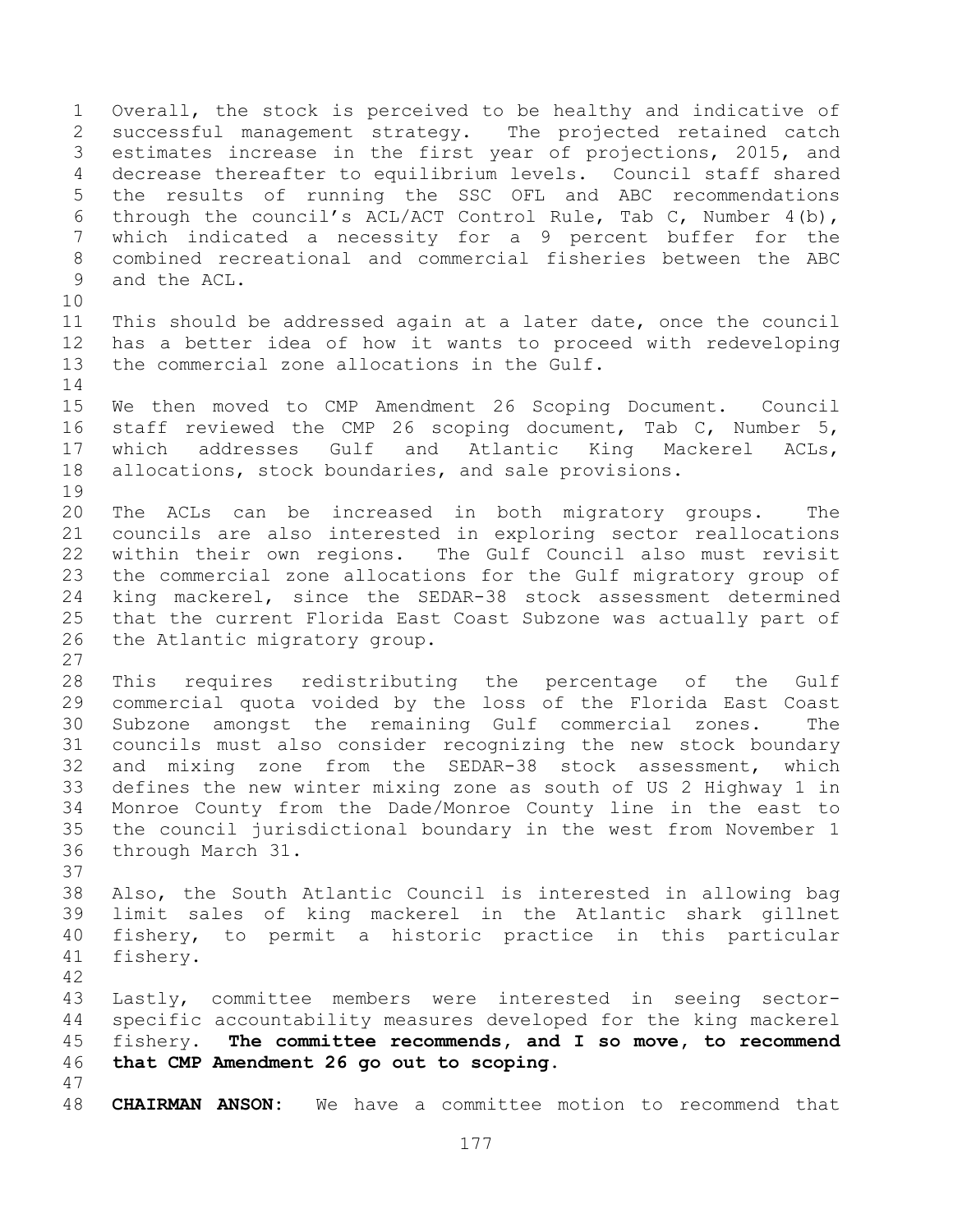Overall, the stock is perceived to be healthy and indicative of successful management strategy. The projected retained catch estimates increase in the first year of projections, 2015, and decrease thereafter to equilibrium levels. Council staff shared the results of running the SSC OFL and ABC recommendations through the council's ACL/ACT Control Rule, Tab C, Number 4(b), which indicated a necessity for a 9 percent buffer for the combined recreational and commercial fisheries between the ABC and the ACL. This should be addressed again at a later date, once the council has a better idea of how it wants to proceed with redeveloping the commercial zone allocations in the Gulf. We then moved to CMP Amendment 26 Scoping Document. Council staff reviewed the CMP 26 scoping document, Tab C, Number 5, which addresses Gulf and Atlantic King Mackerel ACLs, allocations, stock boundaries, and sale provisions. The ACLs can be increased in both migratory groups. The councils are also interested in exploring sector reallocations within their own regions. The Gulf Council also must revisit the commercial zone allocations for the Gulf migratory group of king mackerel, since the SEDAR-38 stock assessment determined that the current Florida East Coast Subzone was actually part of the Atlantic migratory group. This requires redistributing the percentage of the Gulf commercial quota voided by the loss of the Florida East Coast Subzone amongst the remaining Gulf commercial zones. The councils must also consider recognizing the new stock boundary and mixing zone from the SEDAR-38 stock assessment, which defines the new winter mixing zone as south of US 2 Highway 1 in Monroe County from the Dade/Monroe County line in the east to the council jurisdictional boundary in the west from November 1 through March 31. Also, the South Atlantic Council is interested in allowing bag limit sales of king mackerel in the Atlantic shark gillnet fishery, to permit a historic practice in this particular fishery. Lastly, committee members were interested in seeing sector- specific accountability measures developed for the king mackerel fishery. **The committee recommends, and I so move, to recommend that CMP Amendment 26 go out to scoping. CHAIRMAN ANSON:** We have a committee motion to recommend that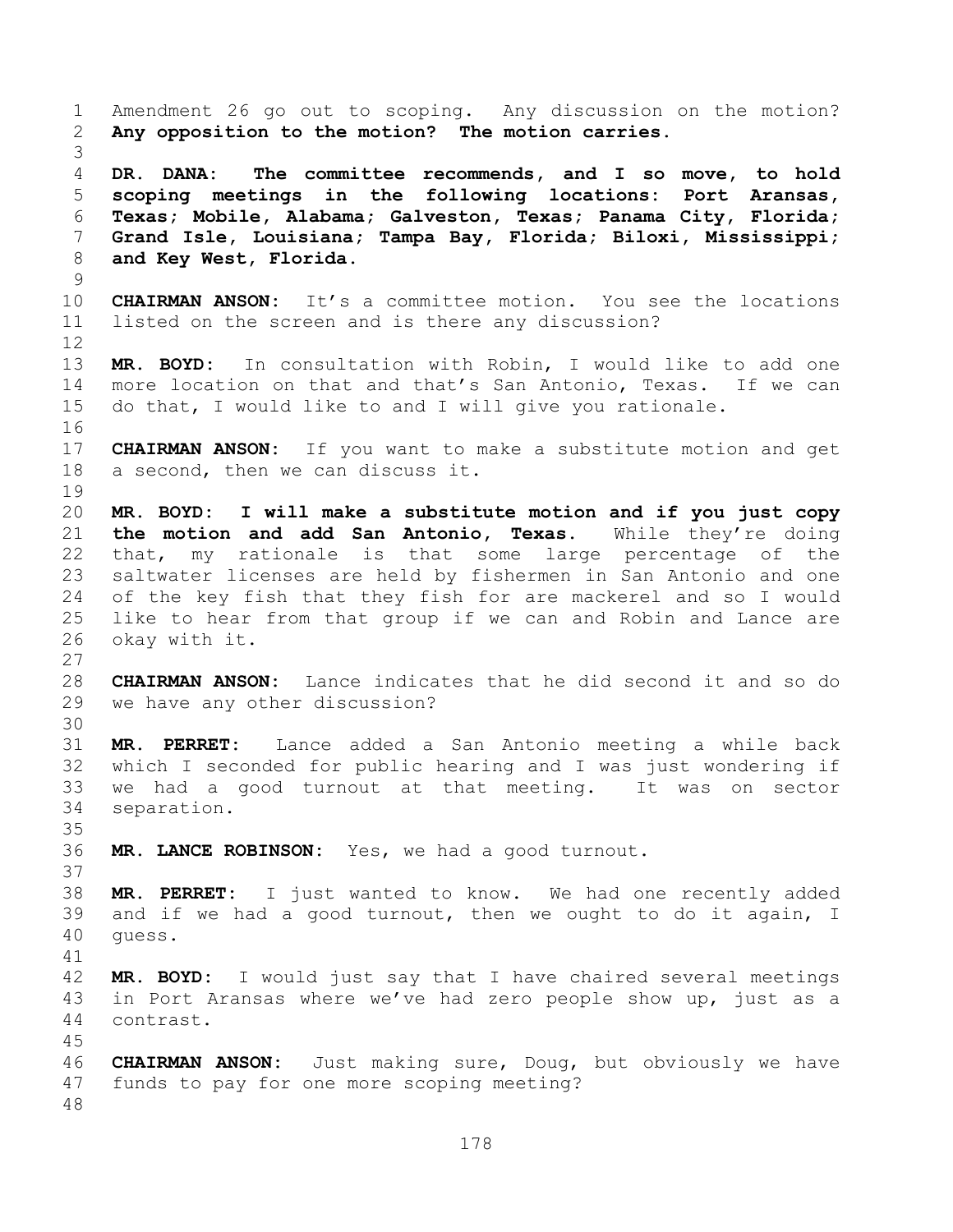Amendment 26 go out to scoping. Any discussion on the motion? **Any opposition to the motion? The motion carries. DR. DANA: The committee recommends, and I so move, to hold scoping meetings in the following locations: Port Aransas, Texas; Mobile, Alabama; Galveston, Texas; Panama City, Florida; Grand Isle, Louisiana; Tampa Bay, Florida; Biloxi, Mississippi; and Key West, Florida. CHAIRMAN ANSON:** It's a committee motion. You see the locations listed on the screen and is there any discussion? **MR. BOYD:** In consultation with Robin, I would like to add one more location on that and that's San Antonio, Texas. If we can do that, I would like to and I will give you rationale. **CHAIRMAN ANSON:** If you want to make a substitute motion and get a second, then we can discuss it. **MR. BOYD: I will make a substitute motion and if you just copy the motion and add San Antonio, Texas.** While they're doing that, my rationale is that some large percentage of the saltwater licenses are held by fishermen in San Antonio and one of the key fish that they fish for are mackerel and so I would like to hear from that group if we can and Robin and Lance are okay with it. **CHAIRMAN ANSON:** Lance indicates that he did second it and so do we have any other discussion? **MR. PERRET:** Lance added a San Antonio meeting a while back which I seconded for public hearing and I was just wondering if we had a good turnout at that meeting. It was on sector separation. **MR. LANCE ROBINSON:** Yes, we had a good turnout. **MR. PERRET:** I just wanted to know. We had one recently added and if we had a good turnout, then we ought to do it again, I guess. **MR. BOYD:** I would just say that I have chaired several meetings in Port Aransas where we've had zero people show up, just as a contrast. **CHAIRMAN ANSON:** Just making sure, Doug, but obviously we have funds to pay for one more scoping meeting?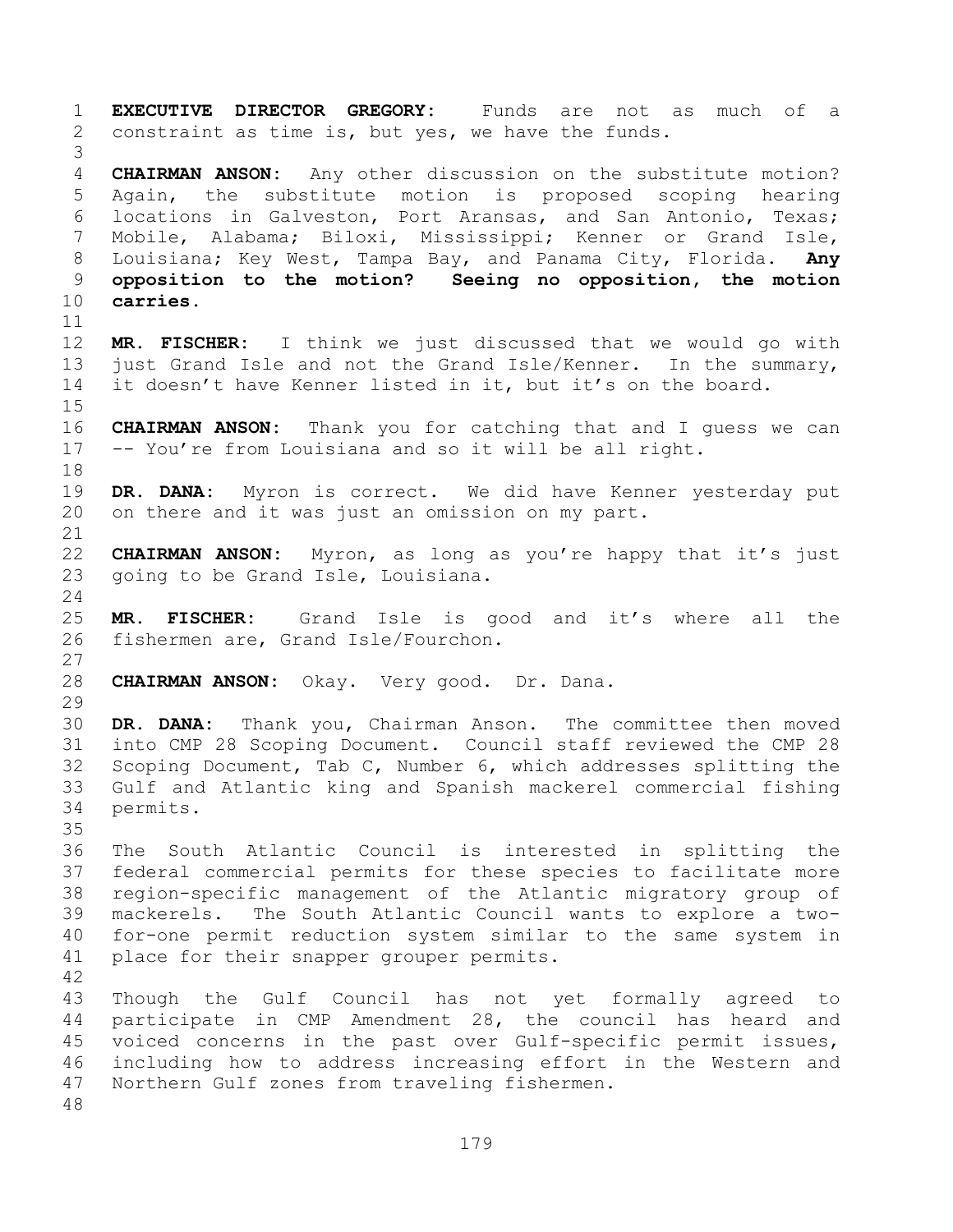**EXECUTIVE DIRECTOR GREGORY:** Funds are not as much of a constraint as time is, but yes, we have the funds. **CHAIRMAN ANSON:** Any other discussion on the substitute motion? Again, the substitute motion is proposed scoping hearing locations in Galveston, Port Aransas, and San Antonio, Texas; Mobile, Alabama; Biloxi, Mississippi; Kenner or Grand Isle, Louisiana; Key West, Tampa Bay, and Panama City, Florida. **Any opposition to the motion? Seeing no opposition, the motion carries. MR. FISCHER:** I think we just discussed that we would go with just Grand Isle and not the Grand Isle/Kenner. In the summary, it doesn't have Kenner listed in it, but it's on the board. **CHAIRMAN ANSON:** Thank you for catching that and I guess we can -- You're from Louisiana and so it will be all right. **DR. DANA:** Myron is correct. We did have Kenner yesterday put on there and it was just an omission on my part. **CHAIRMAN ANSON:** Myron, as long as you're happy that it's just going to be Grand Isle, Louisiana. **MR. FISCHER:** Grand Isle is good and it's where all the fishermen are, Grand Isle/Fourchon. **CHAIRMAN ANSON:** Okay. Very good. Dr. Dana. **DR. DANA:** Thank you, Chairman Anson. The committee then moved into CMP 28 Scoping Document. Council staff reviewed the CMP 28 Scoping Document, Tab C, Number 6, which addresses splitting the Gulf and Atlantic king and Spanish mackerel commercial fishing permits. The South Atlantic Council is interested in splitting the federal commercial permits for these species to facilitate more region-specific management of the Atlantic migratory group of mackerels. The South Atlantic Council wants to explore a two- for-one permit reduction system similar to the same system in place for their snapper grouper permits. Though the Gulf Council has not yet formally agreed to participate in CMP Amendment 28, the council has heard and voiced concerns in the past over Gulf-specific permit issues, including how to address increasing effort in the Western and Northern Gulf zones from traveling fishermen.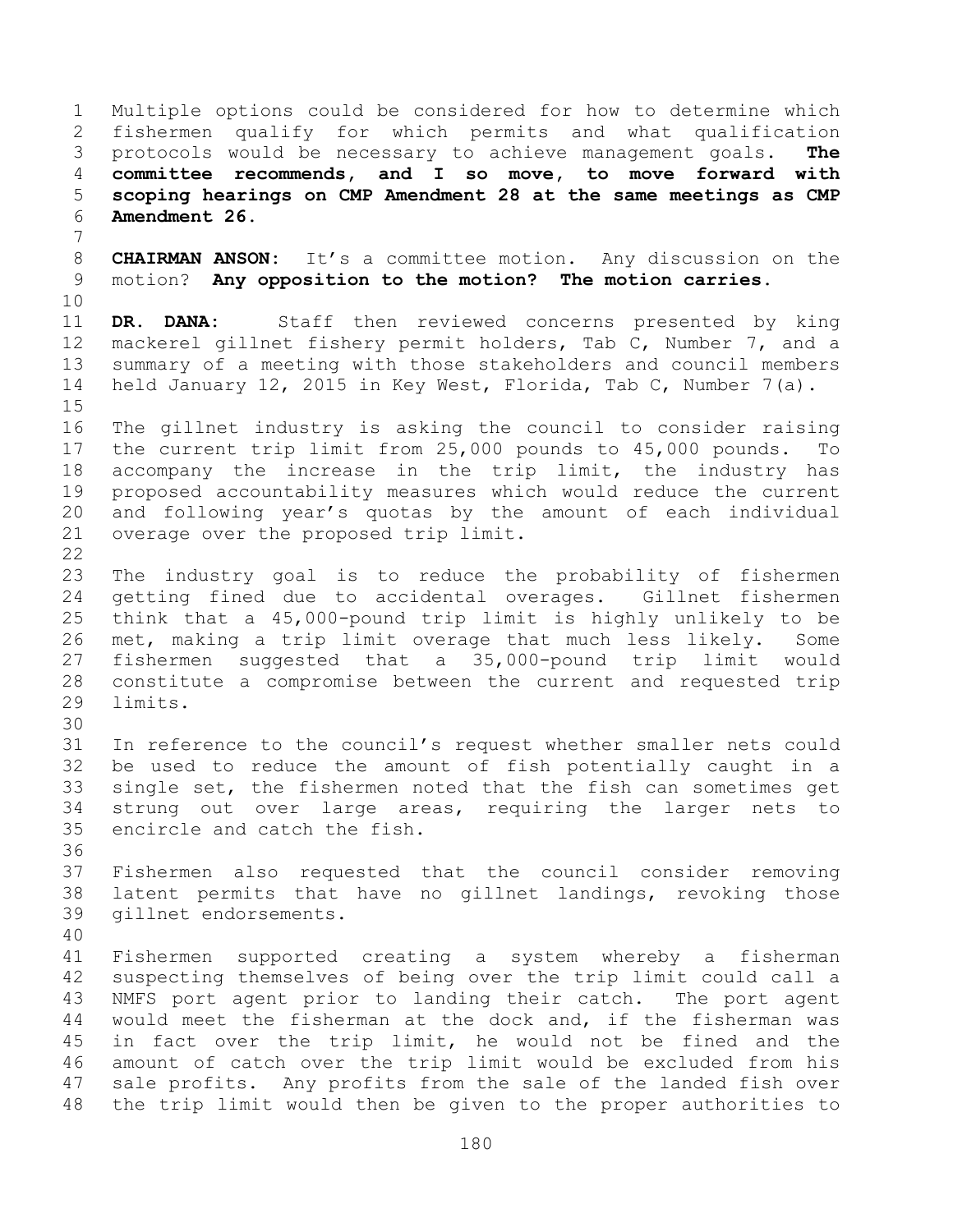Multiple options could be considered for how to determine which fishermen qualify for which permits and what qualification protocols would be necessary to achieve management goals. **The committee recommends, and I so move, to move forward with scoping hearings on CMP Amendment 28 at the same meetings as CMP Amendment 26. CHAIRMAN ANSON:** It's a committee motion. Any discussion on the

 motion? **Any opposition to the motion? The motion carries.** 

 **DR. DANA:** Staff then reviewed concerns presented by king mackerel gillnet fishery permit holders, Tab C, Number 7, and a summary of a meeting with those stakeholders and council members held January 12, 2015 in Key West, Florida, Tab C, Number 7(a).

 The gillnet industry is asking the council to consider raising the current trip limit from 25,000 pounds to 45,000 pounds. To accompany the increase in the trip limit, the industry has proposed accountability measures which would reduce the current and following year's quotas by the amount of each individual overage over the proposed trip limit. 

 The industry goal is to reduce the probability of fishermen getting fined due to accidental overages. Gillnet fishermen think that a 45,000-pound trip limit is highly unlikely to be met, making a trip limit overage that much less likely. Some fishermen suggested that a 35,000-pound trip limit would constitute a compromise between the current and requested trip limits.

 In reference to the council's request whether smaller nets could be used to reduce the amount of fish potentially caught in a single set, the fishermen noted that the fish can sometimes get strung out over large areas, requiring the larger nets to encircle and catch the fish.

 Fishermen also requested that the council consider removing latent permits that have no gillnet landings, revoking those gillnet endorsements.

 Fishermen supported creating a system whereby a fisherman suspecting themselves of being over the trip limit could call a NMFS port agent prior to landing their catch. The port agent would meet the fisherman at the dock and, if the fisherman was in fact over the trip limit, he would not be fined and the amount of catch over the trip limit would be excluded from his sale profits. Any profits from the sale of the landed fish over the trip limit would then be given to the proper authorities to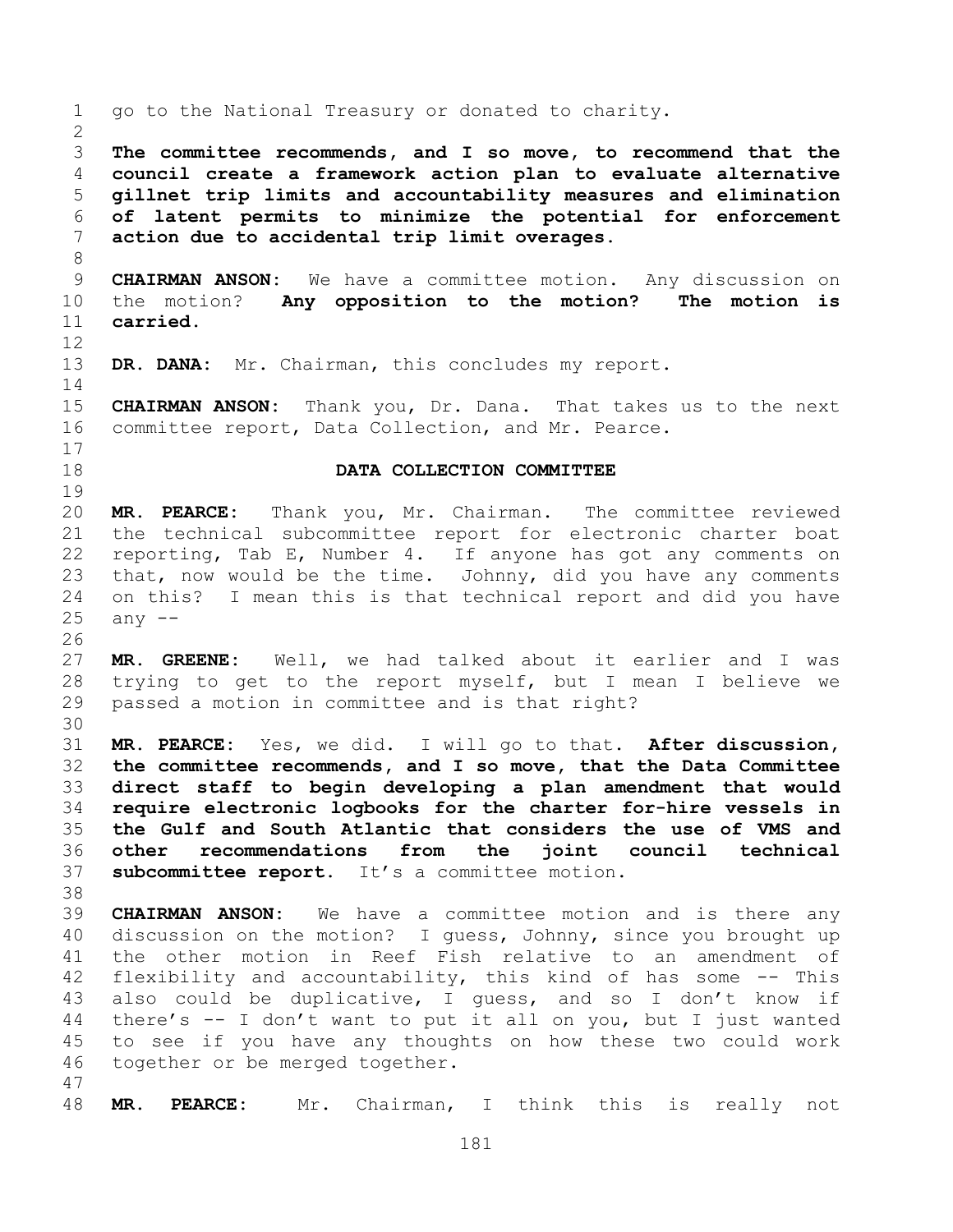go to the National Treasury or donated to charity. **The committee recommends, and I so move, to recommend that the council create a framework action plan to evaluate alternative gillnet trip limits and accountability measures and elimination of latent permits to minimize the potential for enforcement action due to accidental trip limit overages. CHAIRMAN ANSON:** We have a committee motion. Any discussion on the motion? **Any opposition to the motion? The motion is carried. DR. DANA:** Mr. Chairman, this concludes my report. **CHAIRMAN ANSON:** Thank you, Dr. Dana. That takes us to the next committee report, Data Collection, and Mr. Pearce. **DATA COLLECTION COMMITTEE MR. PEARCE:** Thank you, Mr. Chairman. The committee reviewed the technical subcommittee report for electronic charter boat reporting, Tab E, Number 4. If anyone has got any comments on that, now would be the time. Johnny, did you have any comments on this? I mean this is that technical report and did you have any  $-$  **MR. GREENE:** Well, we had talked about it earlier and I was trying to get to the report myself, but I mean I believe we passed a motion in committee and is that right? **MR. PEARCE:** Yes, we did. I will go to that. **After discussion, the committee recommends, and I so move, that the Data Committee direct staff to begin developing a plan amendment that would require electronic logbooks for the charter for-hire vessels in the Gulf and South Atlantic that considers the use of VMS and other recommendations from the joint council technical subcommittee report.** It's a committee motion. **CHAIRMAN ANSON:** We have a committee motion and is there any discussion on the motion? I guess, Johnny, since you brought up the other motion in Reef Fish relative to an amendment of flexibility and accountability, this kind of has some -- This also could be duplicative, I guess, and so I don't know if there's -- I don't want to put it all on you, but I just wanted to see if you have any thoughts on how these two could work together or be merged together. **MR. PEARCE:** Mr. Chairman, I think this is really not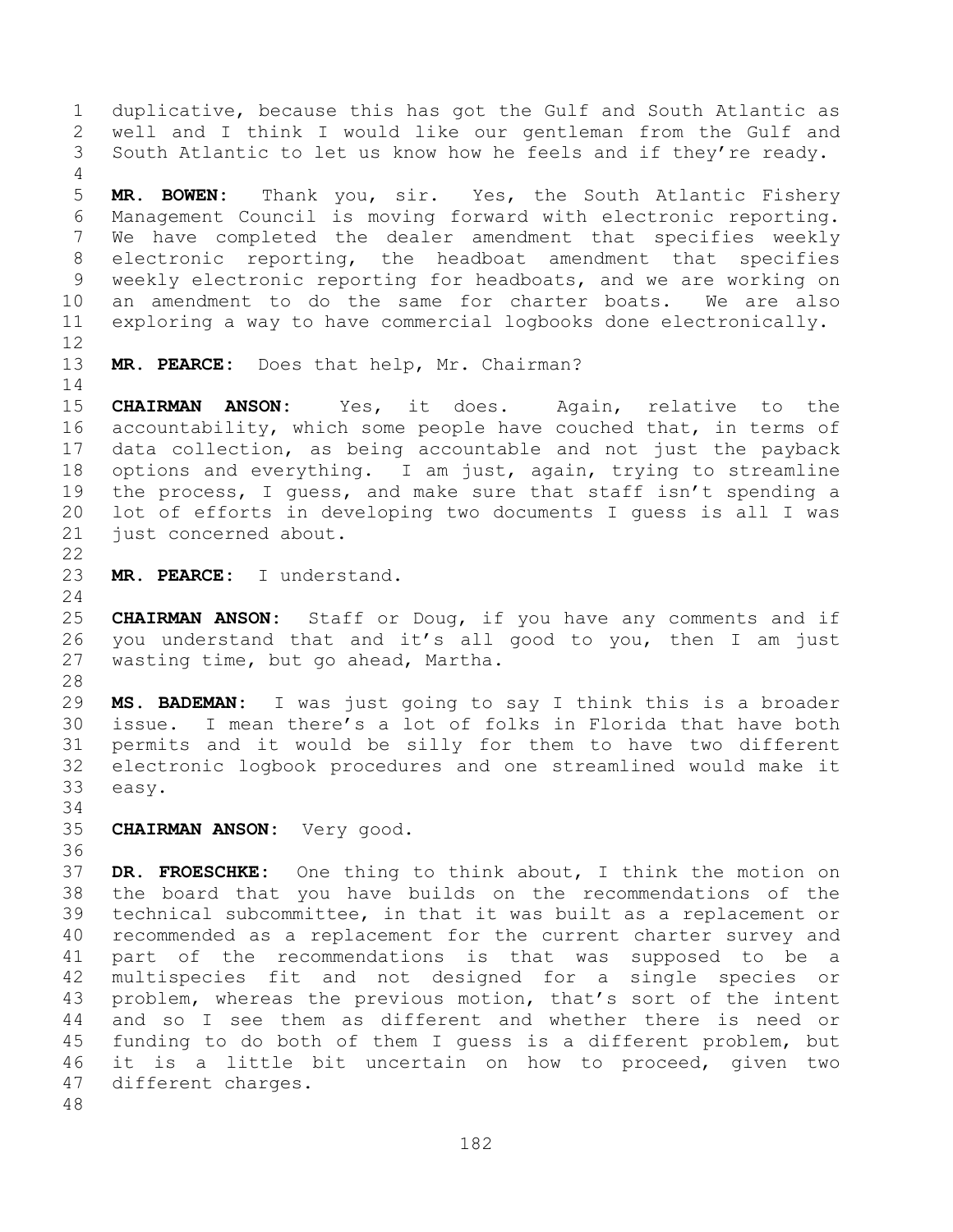duplicative, because this has got the Gulf and South Atlantic as well and I think I would like our gentleman from the Gulf and South Atlantic to let us know how he feels and if they're ready. **MR. BOWEN:** Thank you, sir. Yes, the South Atlantic Fishery Management Council is moving forward with electronic reporting. We have completed the dealer amendment that specifies weekly electronic reporting, the headboat amendment that specifies weekly electronic reporting for headboats, and we are working on an amendment to do the same for charter boats. We are also exploring a way to have commercial logbooks done electronically. **MR. PEARCE:** Does that help, Mr. Chairman? **CHAIRMAN ANSON:** Yes, it does. Again, relative to the accountability, which some people have couched that, in terms of data collection, as being accountable and not just the payback options and everything. I am just, again, trying to streamline the process, I guess, and make sure that staff isn't spending a lot of efforts in developing two documents I guess is all I was just concerned about. **MR. PEARCE:** I understand. **CHAIRMAN ANSON:** Staff or Doug, if you have any comments and if you understand that and it's all good to you, then I am just wasting time, but go ahead, Martha. **MS. BADEMAN:** I was just going to say I think this is a broader issue. I mean there's a lot of folks in Florida that have both permits and it would be silly for them to have two different electronic logbook procedures and one streamlined would make it easy. **CHAIRMAN ANSON:** Very good. **DR. FROESCHKE:** One thing to think about, I think the motion on the board that you have builds on the recommendations of the technical subcommittee, in that it was built as a replacement or recommended as a replacement for the current charter survey and part of the recommendations is that was supposed to be a multispecies fit and not designed for a single species or problem, whereas the previous motion, that's sort of the intent and so I see them as different and whether there is need or funding to do both of them I guess is a different problem, but it is a little bit uncertain on how to proceed, given two different charges.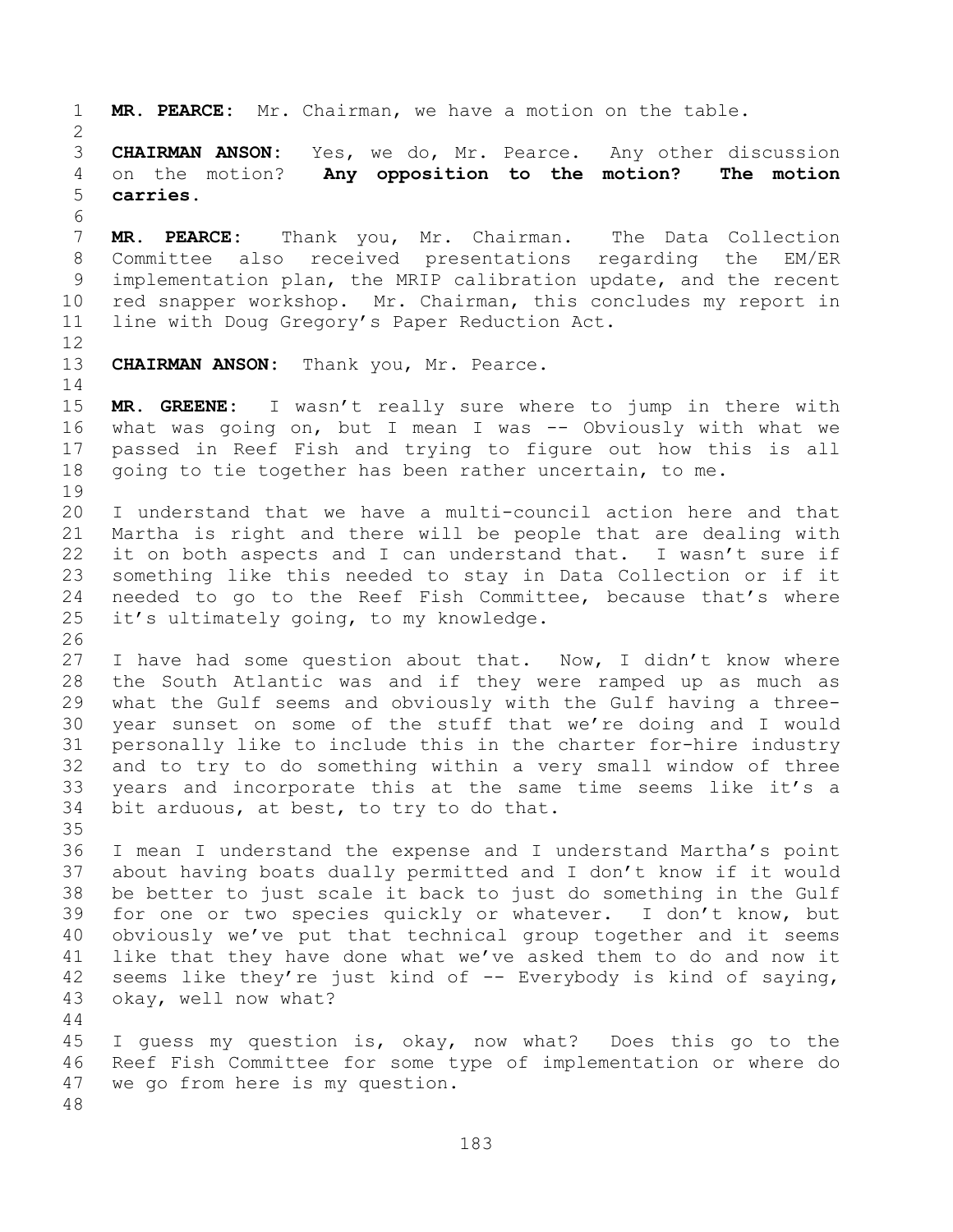**MR. PEARCE:** Mr. Chairman, we have a motion on the table. **CHAIRMAN ANSON:** Yes, we do, Mr. Pearce. Any other discussion on the motion? **Any opposition to the motion? The motion carries. MR. PEARCE:** Thank you, Mr. Chairman. The Data Collection Committee also received presentations regarding the EM/ER implementation plan, the MRIP calibration update, and the recent red snapper workshop. Mr. Chairman, this concludes my report in line with Doug Gregory's Paper Reduction Act. **CHAIRMAN ANSON:** Thank you, Mr. Pearce. **MR. GREENE:** I wasn't really sure where to jump in there with what was going on, but I mean I was -- Obviously with what we passed in Reef Fish and trying to figure out how this is all going to tie together has been rather uncertain, to me. I understand that we have a multi-council action here and that Martha is right and there will be people that are dealing with it on both aspects and I can understand that. I wasn't sure if something like this needed to stay in Data Collection or if it needed to go to the Reef Fish Committee, because that's where it's ultimately going, to my knowledge. I have had some question about that. Now, I didn't know where the South Atlantic was and if they were ramped up as much as what the Gulf seems and obviously with the Gulf having a three- year sunset on some of the stuff that we're doing and I would personally like to include this in the charter for-hire industry and to try to do something within a very small window of three years and incorporate this at the same time seems like it's a bit arduous, at best, to try to do that. I mean I understand the expense and I understand Martha's point about having boats dually permitted and I don't know if it would be better to just scale it back to just do something in the Gulf for one or two species quickly or whatever. I don't know, but obviously we've put that technical group together and it seems like that they have done what we've asked them to do and now it 42 seems like they're just kind of -- Everybody is kind of saying, okay, well now what? I guess my question is, okay, now what? Does this go to the Reef Fish Committee for some type of implementation or where do we go from here is my question.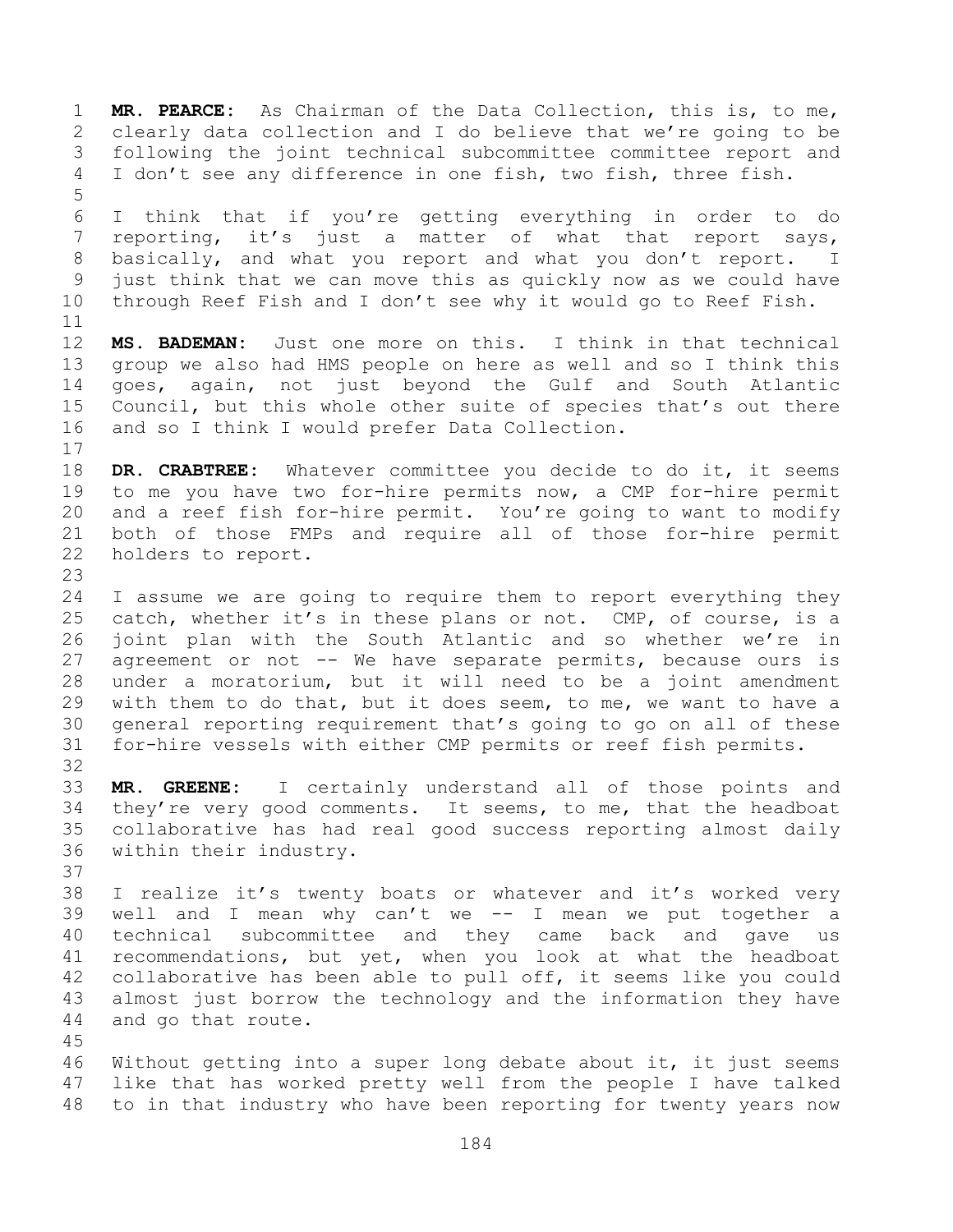**MR. PEARCE:** As Chairman of the Data Collection, this is, to me, clearly data collection and I do believe that we're going to be following the joint technical subcommittee committee report and I don't see any difference in one fish, two fish, three fish. I think that if you're getting everything in order to do reporting, it's just a matter of what that report says, basically, and what you report and what you don't report. I just think that we can move this as quickly now as we could have through Reef Fish and I don't see why it would go to Reef Fish. **MS. BADEMAN:** Just one more on this. I think in that technical group we also had HMS people on here as well and so I think this goes, again, not just beyond the Gulf and South Atlantic Council, but this whole other suite of species that's out there and so I think I would prefer Data Collection. **DR. CRABTREE:** Whatever committee you decide to do it, it seems to me you have two for-hire permits now, a CMP for-hire permit and a reef fish for-hire permit. You're going to want to modify both of those FMPs and require all of those for-hire permit holders to report. I assume we are going to require them to report everything they 25 catch, whether it's in these plans or not. CMP, of course, is a joint plan with the South Atlantic and so whether we're in 27 agreement or not -- We have separate permits, because ours is under a moratorium, but it will need to be a joint amendment with them to do that, but it does seem, to me, we want to have a general reporting requirement that's going to go on all of these for-hire vessels with either CMP permits or reef fish permits. **MR. GREENE:** I certainly understand all of those points and they're very good comments. It seems, to me, that the headboat collaborative has had real good success reporting almost daily within their industry. I realize it's twenty boats or whatever and it's worked very well and I mean why can't we -- I mean we put together a technical subcommittee and they came back and gave us recommendations, but yet, when you look at what the headboat collaborative has been able to pull off, it seems like you could almost just borrow the technology and the information they have and go that route. Without getting into a super long debate about it, it just seems like that has worked pretty well from the people I have talked to in that industry who have been reporting for twenty years now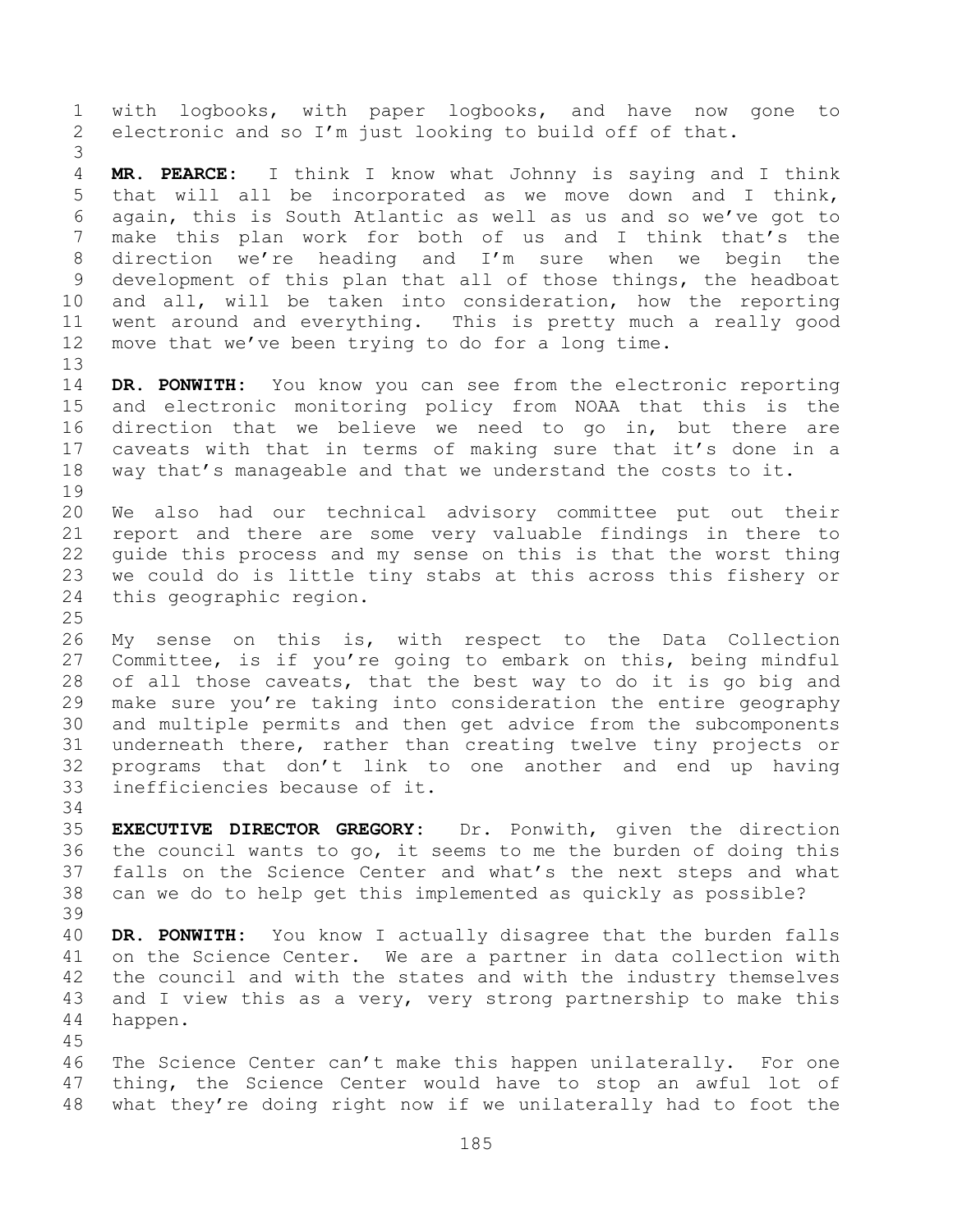with logbooks, with paper logbooks, and have now gone to electronic and so I'm just looking to build off of that. **MR. PEARCE:** I think I know what Johnny is saying and I think that will all be incorporated as we move down and I think, again, this is South Atlantic as well as us and so we've got to make this plan work for both of us and I think that's the direction we're heading and I'm sure when we begin the development of this plan that all of those things, the headboat and all, will be taken into consideration, how the reporting went around and everything. This is pretty much a really good move that we've been trying to do for a long time. **DR. PONWITH:** You know you can see from the electronic reporting and electronic monitoring policy from NOAA that this is the direction that we believe we need to go in, but there are caveats with that in terms of making sure that it's done in a way that's manageable and that we understand the costs to it. We also had our technical advisory committee put out their report and there are some very valuable findings in there to guide this process and my sense on this is that the worst thing we could do is little tiny stabs at this across this fishery or this geographic region. My sense on this is, with respect to the Data Collection Committee, is if you're going to embark on this, being mindful of all those caveats, that the best way to do it is go big and make sure you're taking into consideration the entire geography and multiple permits and then get advice from the subcomponents underneath there, rather than creating twelve tiny projects or programs that don't link to one another and end up having inefficiencies because of it. **EXECUTIVE DIRECTOR GREGORY:** Dr. Ponwith, given the direction the council wants to go, it seems to me the burden of doing this falls on the Science Center and what's the next steps and what can we do to help get this implemented as quickly as possible? **DR. PONWITH:** You know I actually disagree that the burden falls on the Science Center. We are a partner in data collection with the council and with the states and with the industry themselves and I view this as a very, very strong partnership to make this happen. The Science Center can't make this happen unilaterally. For one thing, the Science Center would have to stop an awful lot of what they're doing right now if we unilaterally had to foot the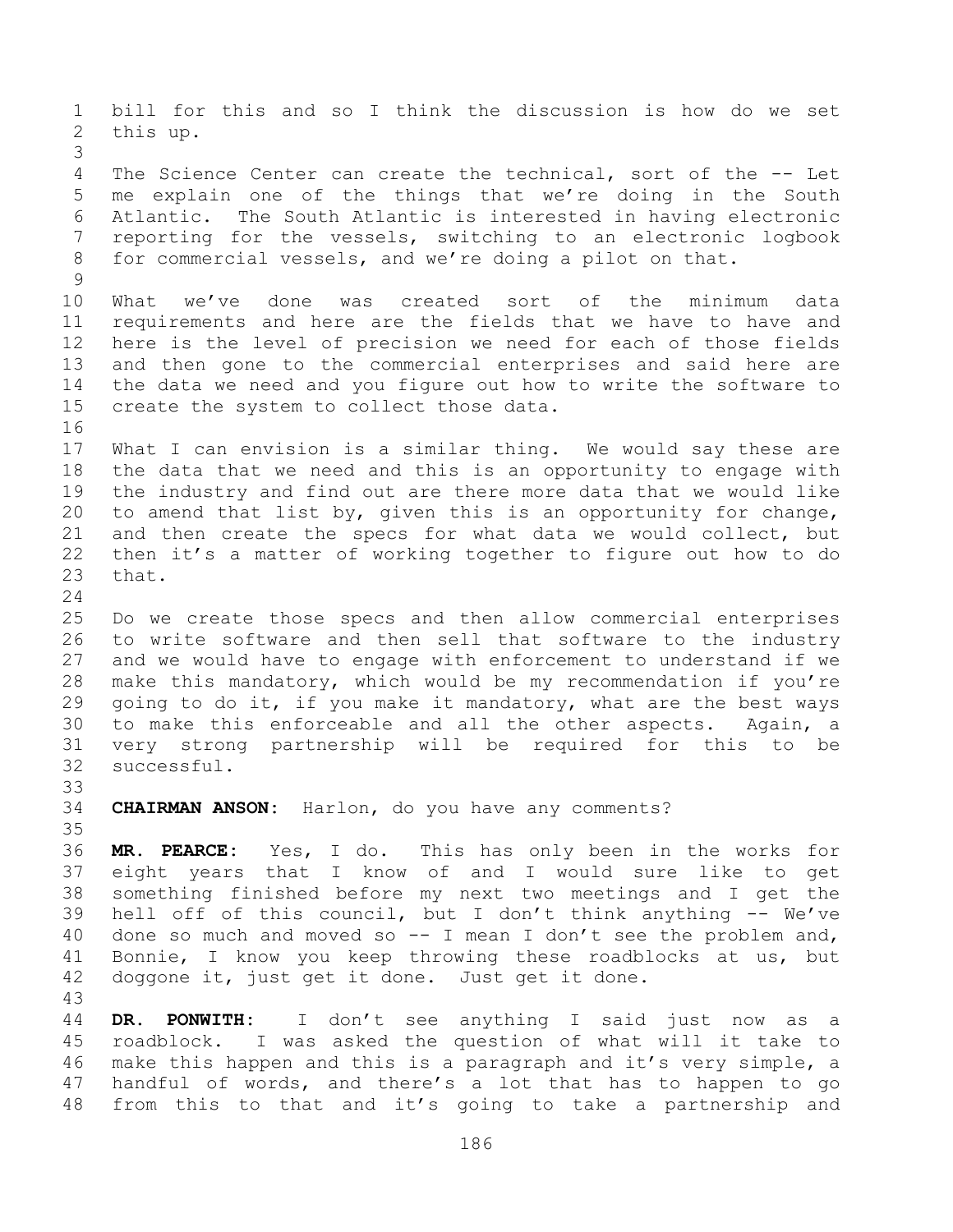bill for this and so I think the discussion is how do we set this up. The Science Center can create the technical, sort of the -- Let me explain one of the things that we're doing in the South Atlantic. The South Atlantic is interested in having electronic reporting for the vessels, switching to an electronic logbook for commercial vessels, and we're doing a pilot on that. What we've done was created sort of the minimum data requirements and here are the fields that we have to have and here is the level of precision we need for each of those fields and then gone to the commercial enterprises and said here are the data we need and you figure out how to write the software to create the system to collect those data. What I can envision is a similar thing. We would say these are the data that we need and this is an opportunity to engage with the industry and find out are there more data that we would like to amend that list by, given this is an opportunity for change, and then create the specs for what data we would collect, but then it's a matter of working together to figure out how to do that. Do we create those specs and then allow commercial enterprises to write software and then sell that software to the industry and we would have to engage with enforcement to understand if we make this mandatory, which would be my recommendation if you're 29 qoing to do it, if you make it mandatory, what are the best ways to make this enforceable and all the other aspects. Again, a very strong partnership will be required for this to be successful. **CHAIRMAN ANSON:** Harlon, do you have any comments? **MR. PEARCE:** Yes, I do. This has only been in the works for eight years that I know of and I would sure like to get something finished before my next two meetings and I get the hell off of this council, but I don't think anything -- We've done so much and moved so -- I mean I don't see the problem and, Bonnie, I know you keep throwing these roadblocks at us, but doggone it, just get it done. Just get it done. **DR. PONWITH:** I don't see anything I said just now as a roadblock. I was asked the question of what will it take to make this happen and this is a paragraph and it's very simple, a handful of words, and there's a lot that has to happen to go from this to that and it's going to take a partnership and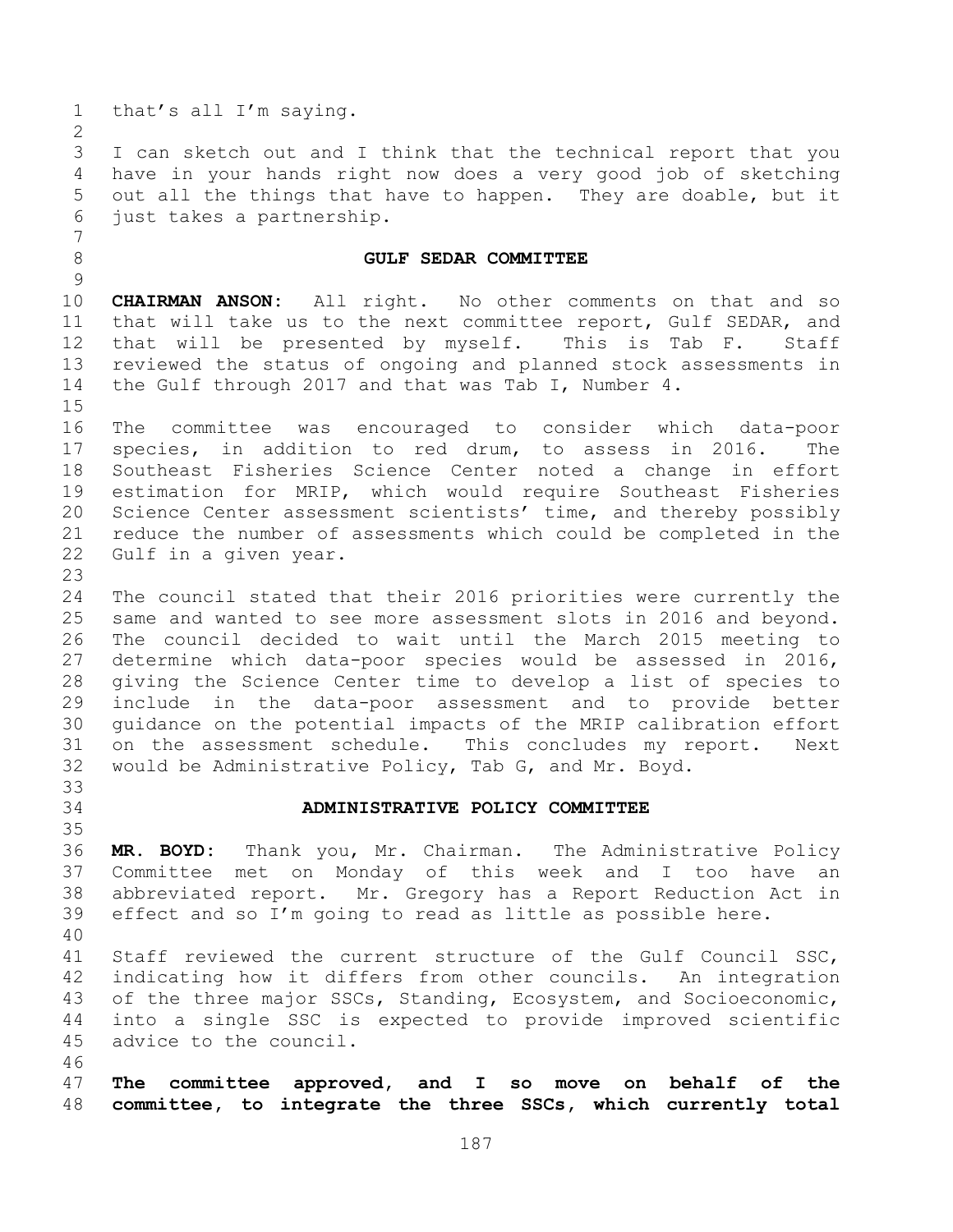that's all I'm saying.

 I can sketch out and I think that the technical report that you have in your hands right now does a very good job of sketching out all the things that have to happen. They are doable, but it just takes a partnership.

## **GULF SEDAR COMMITTEE**

 **CHAIRMAN ANSON:** All right. No other comments on that and so that will take us to the next committee report, Gulf SEDAR, and that will be presented by myself. This is Tab F. Staff reviewed the status of ongoing and planned stock assessments in the Gulf through 2017 and that was Tab I, Number 4.

 The committee was encouraged to consider which data-poor species, in addition to red drum, to assess in 2016. The Southeast Fisheries Science Center noted a change in effort estimation for MRIP, which would require Southeast Fisheries Science Center assessment scientists' time, and thereby possibly reduce the number of assessments which could be completed in the Gulf in a given year.

 The council stated that their 2016 priorities were currently the same and wanted to see more assessment slots in 2016 and beyond. The council decided to wait until the March 2015 meeting to determine which data-poor species would be assessed in 2016, giving the Science Center time to develop a list of species to include in the data-poor assessment and to provide better guidance on the potential impacts of the MRIP calibration effort on the assessment schedule. This concludes my report. Next would be Administrative Policy, Tab G, and Mr. Boyd.

 

## **ADMINISTRATIVE POLICY COMMITTEE**

 **MR. BOYD:** Thank you, Mr. Chairman. The Administrative Policy Committee met on Monday of this week and I too have an abbreviated report. Mr. Gregory has a Report Reduction Act in effect and so I'm going to read as little as possible here. 

 Staff reviewed the current structure of the Gulf Council SSC, indicating how it differs from other councils. An integration of the three major SSCs, Standing, Ecosystem, and Socioeconomic, into a single SSC is expected to provide improved scientific advice to the council.

 **The committee approved, and I so move on behalf of the committee, to integrate the three SSCs, which currently total**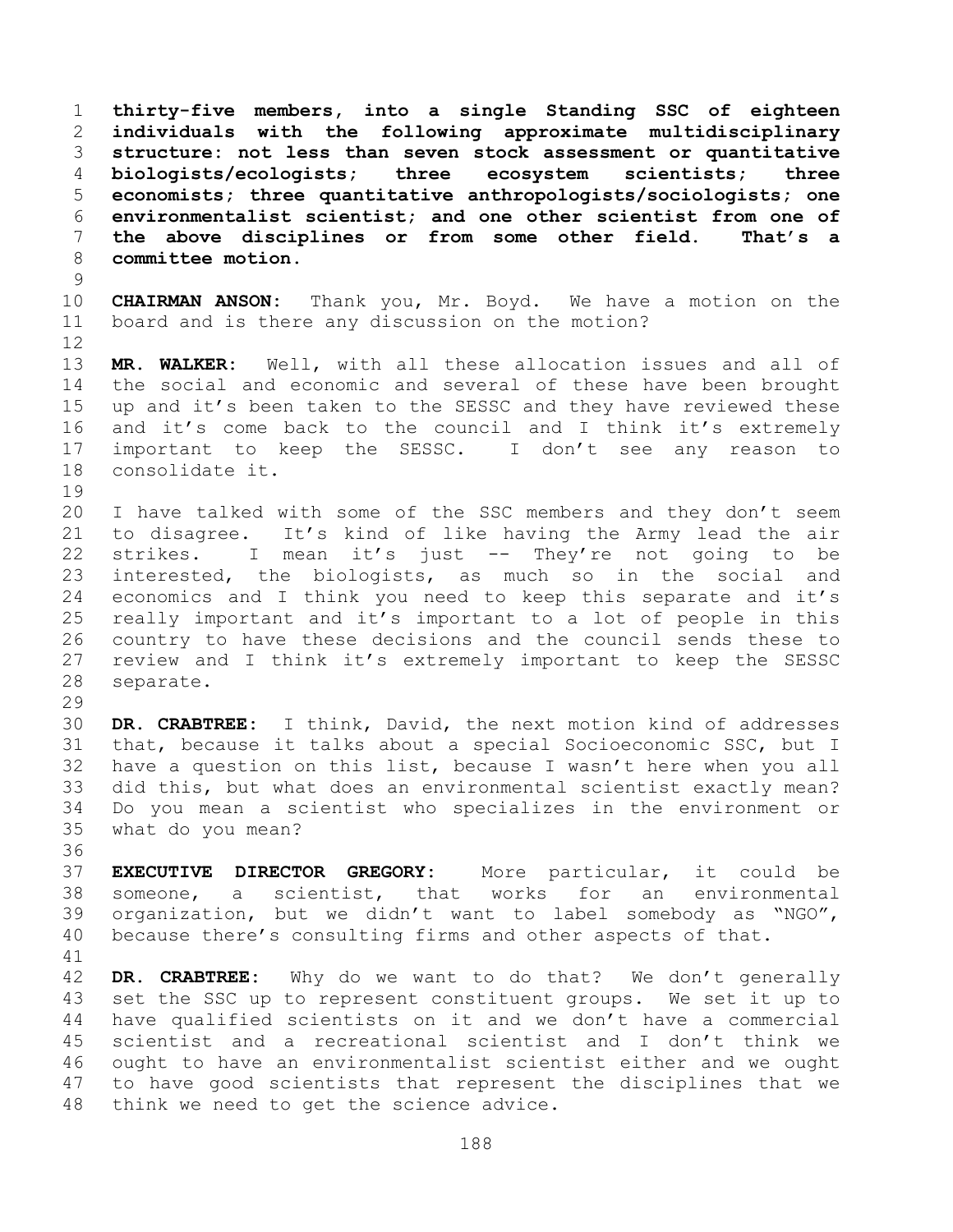**thirty-five members, into a single Standing SSC of eighteen individuals with the following approximate multidisciplinary structure: not less than seven stock assessment or quantitative biologists/ecologists; three ecosystem scientists; three economists; three quantitative anthropologists/sociologists; one environmentalist scientist; and one other scientist from one of the above disciplines or from some other field. That's a committee motion.**

 **CHAIRMAN ANSON:** Thank you, Mr. Boyd. We have a motion on the board and is there any discussion on the motion? 

 **MR. WALKER:** Well, with all these allocation issues and all of the social and economic and several of these have been brought up and it's been taken to the SESSC and they have reviewed these and it's come back to the council and I think it's extremely important to keep the SESSC. I don't see any reason to consolidate it.

 I have talked with some of the SSC members and they don't seem to disagree. It's kind of like having the Army lead the air strikes. I mean it's just -- They're not going to be interested, the biologists, as much so in the social and economics and I think you need to keep this separate and it's really important and it's important to a lot of people in this country to have these decisions and the council sends these to review and I think it's extremely important to keep the SESSC separate.

 **DR. CRABTREE:** I think, David, the next motion kind of addresses that, because it talks about a special Socioeconomic SSC, but I have a question on this list, because I wasn't here when you all did this, but what does an environmental scientist exactly mean? Do you mean a scientist who specializes in the environment or what do you mean?

 **EXECUTIVE DIRECTOR GREGORY:** More particular, it could be someone, a scientist, that works for an environmental organization, but we didn't want to label somebody as "NGO", because there's consulting firms and other aspects of that.

 **DR. CRABTREE:** Why do we want to do that? We don't generally set the SSC up to represent constituent groups. We set it up to have qualified scientists on it and we don't have a commercial scientist and a recreational scientist and I don't think we ought to have an environmentalist scientist either and we ought to have good scientists that represent the disciplines that we think we need to get the science advice.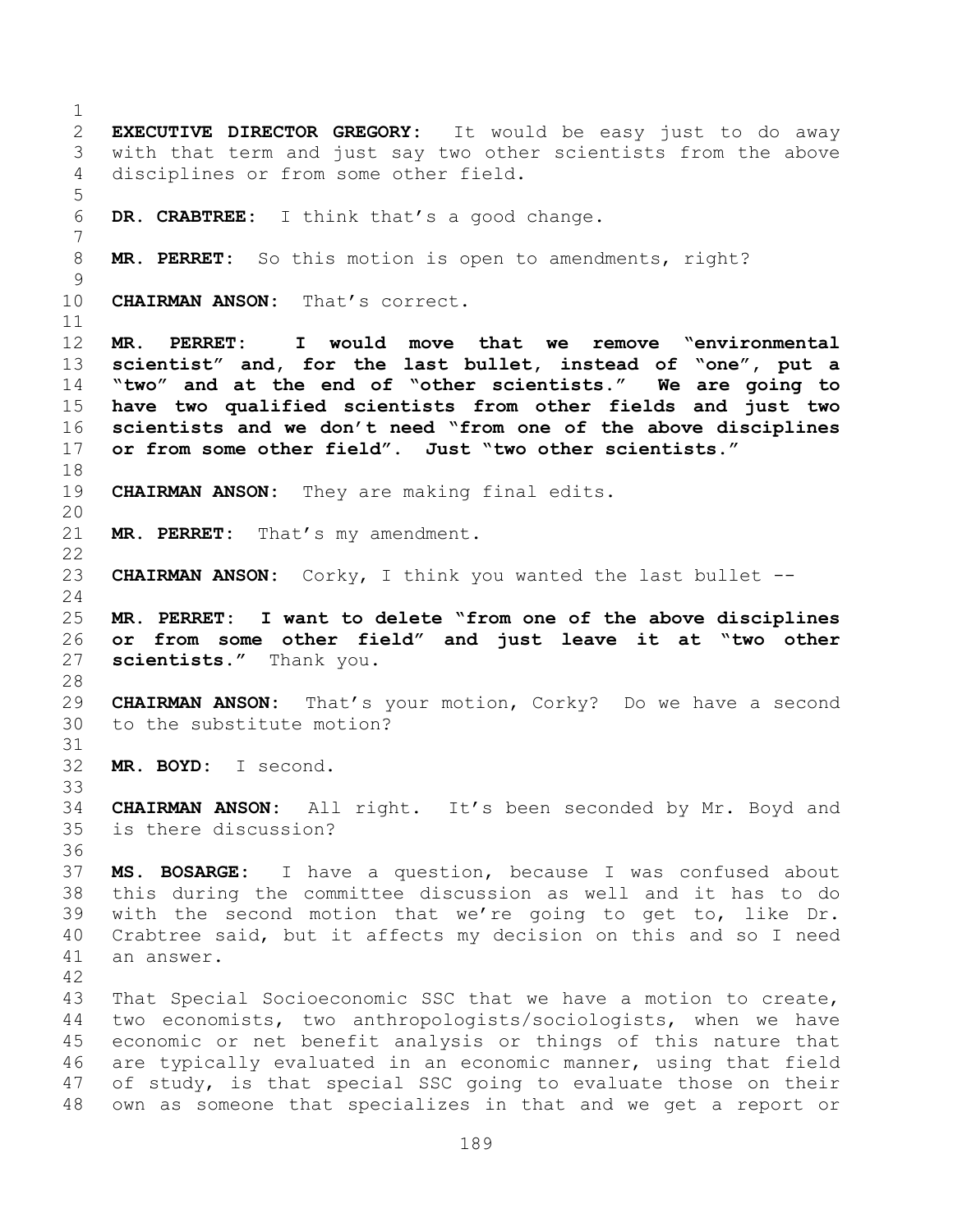**EXECUTIVE DIRECTOR GREGORY:** It would be easy just to do away with that term and just say two other scientists from the above disciplines or from some other field. **DR. CRABTREE:** I think that's a good change. **MR. PERRET:** So this motion is open to amendments, right? **CHAIRMAN ANSON:** That's correct. **MR. PERRET: I would move that we remove "environmental scientist" and, for the last bullet, instead of "one", put a "two" and at the end of "other scientists." We are going to have two qualified scientists from other fields and just two scientists and we don't need "from one of the above disciplines or from some other field". Just "two other scientists." CHAIRMAN ANSON:** They are making final edits. **MR. PERRET:** That's my amendment. **CHAIRMAN ANSON:** Corky, I think you wanted the last bullet -- **MR. PERRET: I want to delete "from one of the above disciplines or from some other field" and just leave it at "two other scientists."** Thank you. **CHAIRMAN ANSON:** That's your motion, Corky? Do we have a second to the substitute motion? **MR. BOYD:** I second. **CHAIRMAN ANSON:** All right. It's been seconded by Mr. Boyd and is there discussion? **MS. BOSARGE:** I have a question, because I was confused about this during the committee discussion as well and it has to do with the second motion that we're going to get to, like Dr. Crabtree said, but it affects my decision on this and so I need an answer. That Special Socioeconomic SSC that we have a motion to create, two economists, two anthropologists/sociologists, when we have economic or net benefit analysis or things of this nature that are typically evaluated in an economic manner, using that field of study, is that special SSC going to evaluate those on their own as someone that specializes in that and we get a report or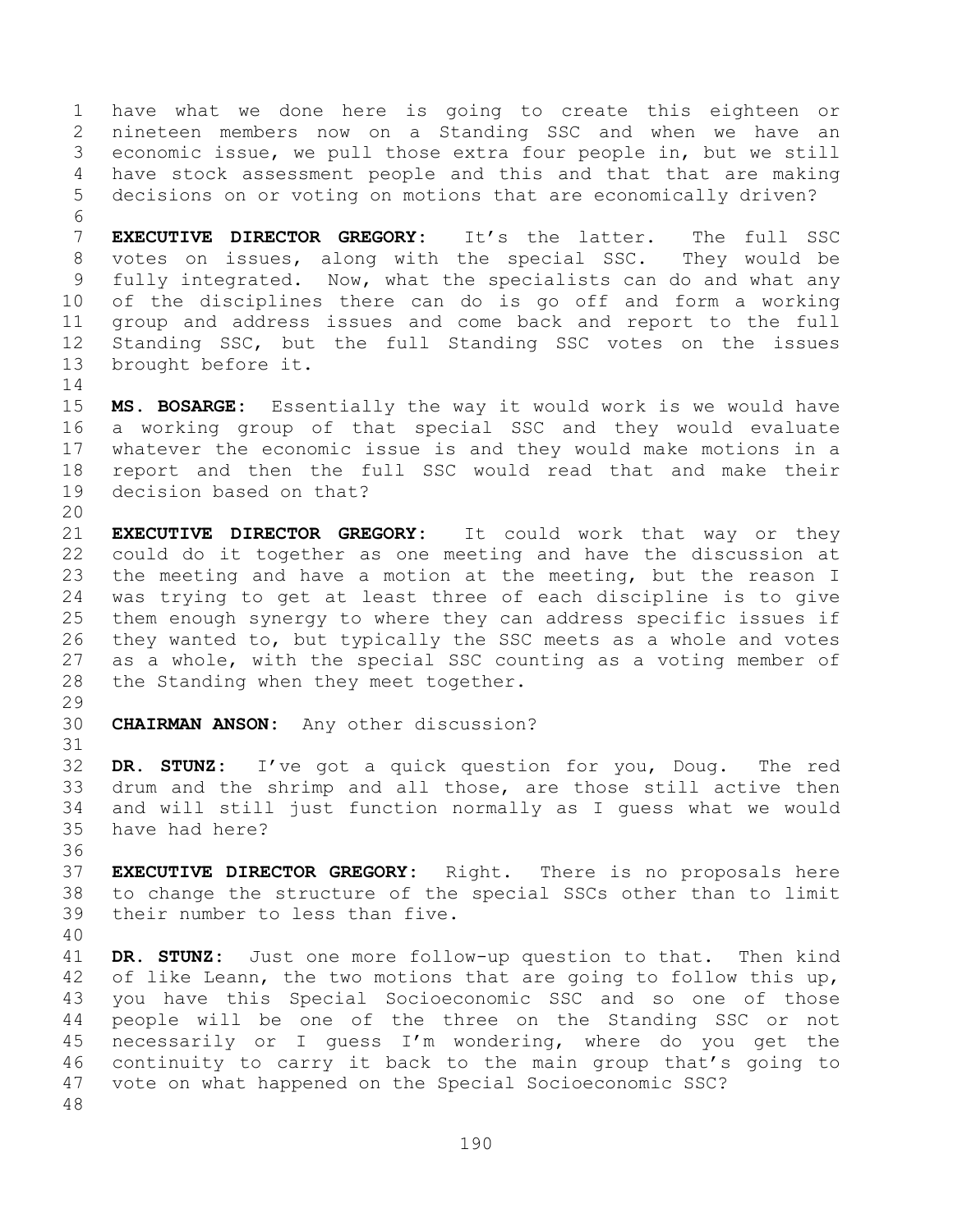have what we done here is going to create this eighteen or nineteen members now on a Standing SSC and when we have an economic issue, we pull those extra four people in, but we still have stock assessment people and this and that that are making decisions on or voting on motions that are economically driven? 

 **EXECUTIVE DIRECTOR GREGORY:** It's the latter. The full SSC votes on issues, along with the special SSC. They would be fully integrated. Now, what the specialists can do and what any of the disciplines there can do is go off and form a working group and address issues and come back and report to the full Standing SSC, but the full Standing SSC votes on the issues brought before it.

 **MS. BOSARGE:** Essentially the way it would work is we would have a working group of that special SSC and they would evaluate whatever the economic issue is and they would make motions in a report and then the full SSC would read that and make their decision based on that?

 **EXECUTIVE DIRECTOR GREGORY:** It could work that way or they could do it together as one meeting and have the discussion at the meeting and have a motion at the meeting, but the reason I was trying to get at least three of each discipline is to give them enough synergy to where they can address specific issues if they wanted to, but typically the SSC meets as a whole and votes as a whole, with the special SSC counting as a voting member of the Standing when they meet together.

**CHAIRMAN ANSON:** Any other discussion?

 **DR. STUNZ:** I've got a quick question for you, Doug. The red drum and the shrimp and all those, are those still active then and will still just function normally as I guess what we would have had here?

 **EXECUTIVE DIRECTOR GREGORY:** Right. There is no proposals here to change the structure of the special SSCs other than to limit their number to less than five.

 **DR. STUNZ:** Just one more follow-up question to that. Then kind of like Leann, the two motions that are going to follow this up, you have this Special Socioeconomic SSC and so one of those people will be one of the three on the Standing SSC or not necessarily or I guess I'm wondering, where do you get the continuity to carry it back to the main group that's going to vote on what happened on the Special Socioeconomic SSC?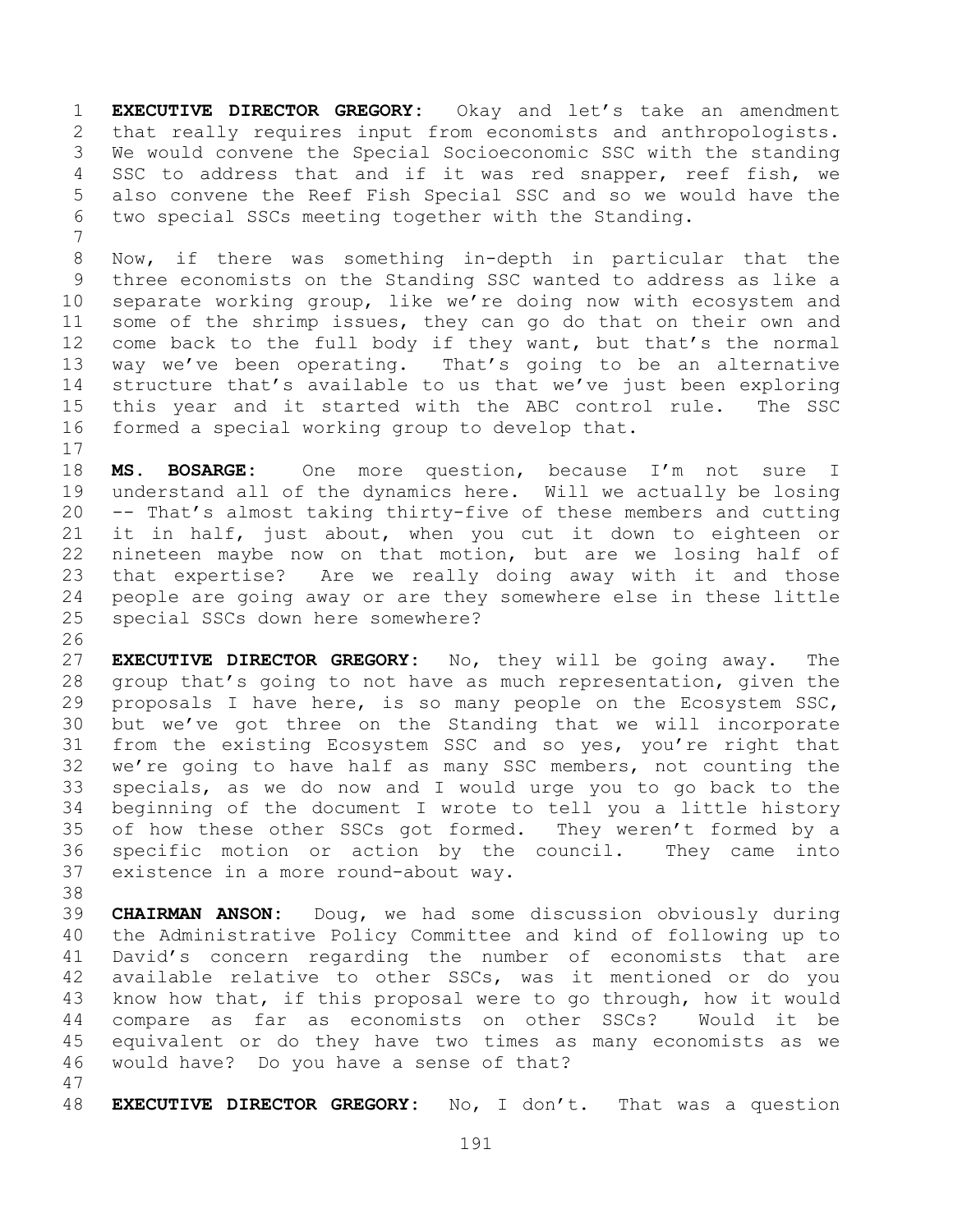**EXECUTIVE DIRECTOR GREGORY:** Okay and let's take an amendment that really requires input from economists and anthropologists. We would convene the Special Socioeconomic SSC with the standing SSC to address that and if it was red snapper, reef fish, we also convene the Reef Fish Special SSC and so we would have the two special SSCs meeting together with the Standing.

 Now, if there was something in-depth in particular that the three economists on the Standing SSC wanted to address as like a separate working group, like we're doing now with ecosystem and some of the shrimp issues, they can go do that on their own and come back to the full body if they want, but that's the normal way we've been operating. That's going to be an alternative structure that's available to us that we've just been exploring this year and it started with the ABC control rule. The SSC formed a special working group to develop that.

 **MS. BOSARGE:** One more question, because I'm not sure I understand all of the dynamics here. Will we actually be losing -- That's almost taking thirty-five of these members and cutting it in half, just about, when you cut it down to eighteen or nineteen maybe now on that motion, but are we losing half of that expertise? Are we really doing away with it and those people are going away or are they somewhere else in these little special SSCs down here somewhere?

 **EXECUTIVE DIRECTOR GREGORY:** No, they will be going away. The group that's going to not have as much representation, given the proposals I have here, is so many people on the Ecosystem SSC, but we've got three on the Standing that we will incorporate from the existing Ecosystem SSC and so yes, you're right that we're going to have half as many SSC members, not counting the specials, as we do now and I would urge you to go back to the beginning of the document I wrote to tell you a little history 35 of how these other SSCs got formed. They weren't formed by a specific motion or action by the council. They came into existence in a more round-about way.

 **CHAIRMAN ANSON:** Doug, we had some discussion obviously during the Administrative Policy Committee and kind of following up to David's concern regarding the number of economists that are available relative to other SSCs, was it mentioned or do you know how that, if this proposal were to go through, how it would compare as far as economists on other SSCs? Would it be equivalent or do they have two times as many economists as we would have? Do you have a sense of that?

**EXECUTIVE DIRECTOR GREGORY:** No, I don't. That was a question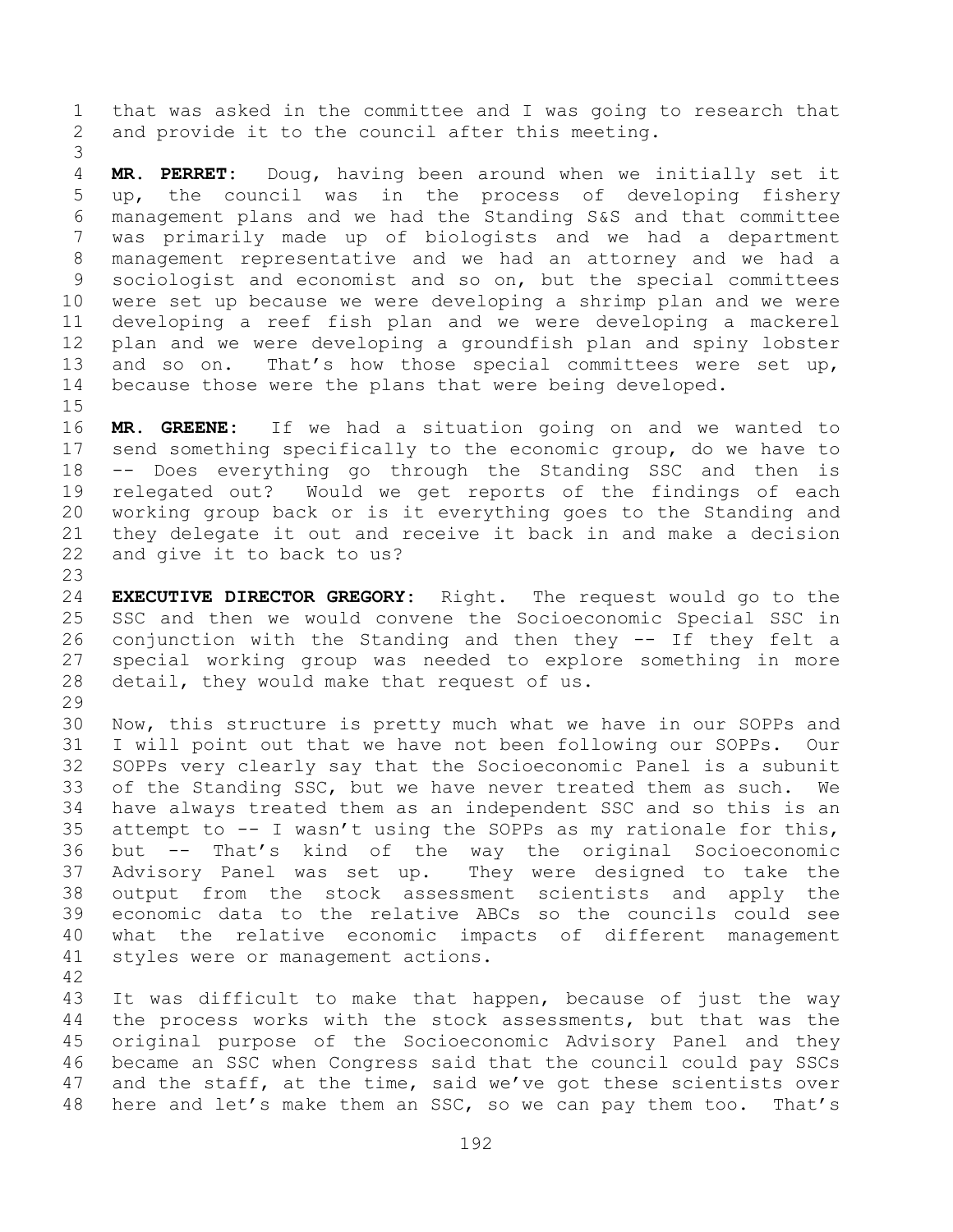that was asked in the committee and I was going to research that and provide it to the council after this meeting.

 **MR. PERRET:** Doug, having been around when we initially set it up, the council was in the process of developing fishery management plans and we had the Standing S&S and that committee was primarily made up of biologists and we had a department management representative and we had an attorney and we had a sociologist and economist and so on, but the special committees were set up because we were developing a shrimp plan and we were developing a reef fish plan and we were developing a mackerel plan and we were developing a groundfish plan and spiny lobster 13 and so on. That's how those special committees were set up, because those were the plans that were being developed.

 **MR. GREENE:** If we had a situation going on and we wanted to send something specifically to the economic group, do we have to -- Does everything go through the Standing SSC and then is relegated out? Would we get reports of the findings of each 20 working group back or is it everything goes to the Standing and<br>21 thev delegate it out and receive it back in and make a decision they delegate it out and receive it back in and make a decision and give it to back to us?

 **EXECUTIVE DIRECTOR GREGORY:** Right. The request would go to the SSC and then we would convene the Socioeconomic Special SSC in conjunction with the Standing and then they -- If they felt a special working group was needed to explore something in more detail, they would make that request of us.

 Now, this structure is pretty much what we have in our SOPPs and I will point out that we have not been following our SOPPs. Our SOPPs very clearly say that the Socioeconomic Panel is a subunit of the Standing SSC, but we have never treated them as such. We have always treated them as an independent SSC and so this is an attempt to -- I wasn't using the SOPPs as my rationale for this, but -- That's kind of the way the original Socioeconomic Advisory Panel was set up. They were designed to take the output from the stock assessment scientists and apply the economic data to the relative ABCs so the councils could see what the relative economic impacts of different management styles were or management actions.

 It was difficult to make that happen, because of just the way the process works with the stock assessments, but that was the original purpose of the Socioeconomic Advisory Panel and they became an SSC when Congress said that the council could pay SSCs 47 and the staff, at the time, said we've got these scientists over here and let's make them an SSC, so we can pay them too. That's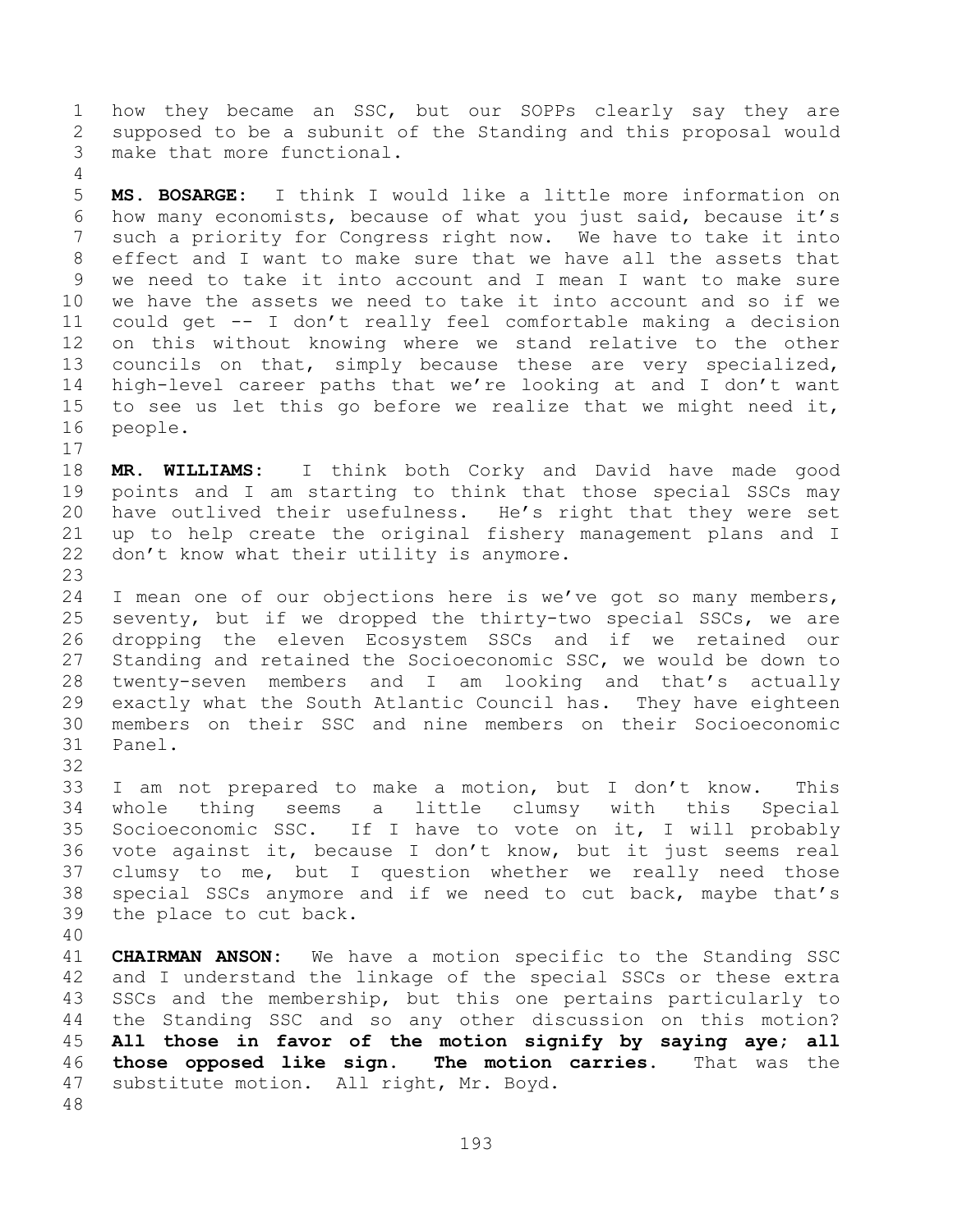how they became an SSC, but our SOPPs clearly say they are supposed to be a subunit of the Standing and this proposal would make that more functional.

 **MS. BOSARGE:** I think I would like a little more information on how many economists, because of what you just said, because it's such a priority for Congress right now. We have to take it into effect and I want to make sure that we have all the assets that we need to take it into account and I mean I want to make sure we have the assets we need to take it into account and so if we could get -- I don't really feel comfortable making a decision on this without knowing where we stand relative to the other councils on that, simply because these are very specialized, high-level career paths that we're looking at and I don't want to see us let this go before we realize that we might need it, people.

 **MR. WILLIAMS:** I think both Corky and David have made good points and I am starting to think that those special SSCs may have outlived their usefulness. He's right that they were set up to help create the original fishery management plans and I don't know what their utility is anymore.

 I mean one of our objections here is we've got so many members, seventy, but if we dropped the thirty-two special SSCs, we are dropping the eleven Ecosystem SSCs and if we retained our Standing and retained the Socioeconomic SSC, we would be down to twenty-seven members and I am looking and that's actually exactly what the South Atlantic Council has. They have eighteen members on their SSC and nine members on their Socioeconomic Panel.

 I am not prepared to make a motion, but I don't know. This whole thing seems a little clumsy with this Special Socioeconomic SSC. If I have to vote on it, I will probably vote against it, because I don't know, but it just seems real clumsy to me, but I question whether we really need those special SSCs anymore and if we need to cut back, maybe that's the place to cut back.

 **CHAIRMAN ANSON:** We have a motion specific to the Standing SSC and I understand the linkage of the special SSCs or these extra SSCs and the membership, but this one pertains particularly to the Standing SSC and so any other discussion on this motion? **All those in favor of the motion signify by saying aye; all those opposed like sign. The motion carries.** That was the substitute motion. All right, Mr. Boyd.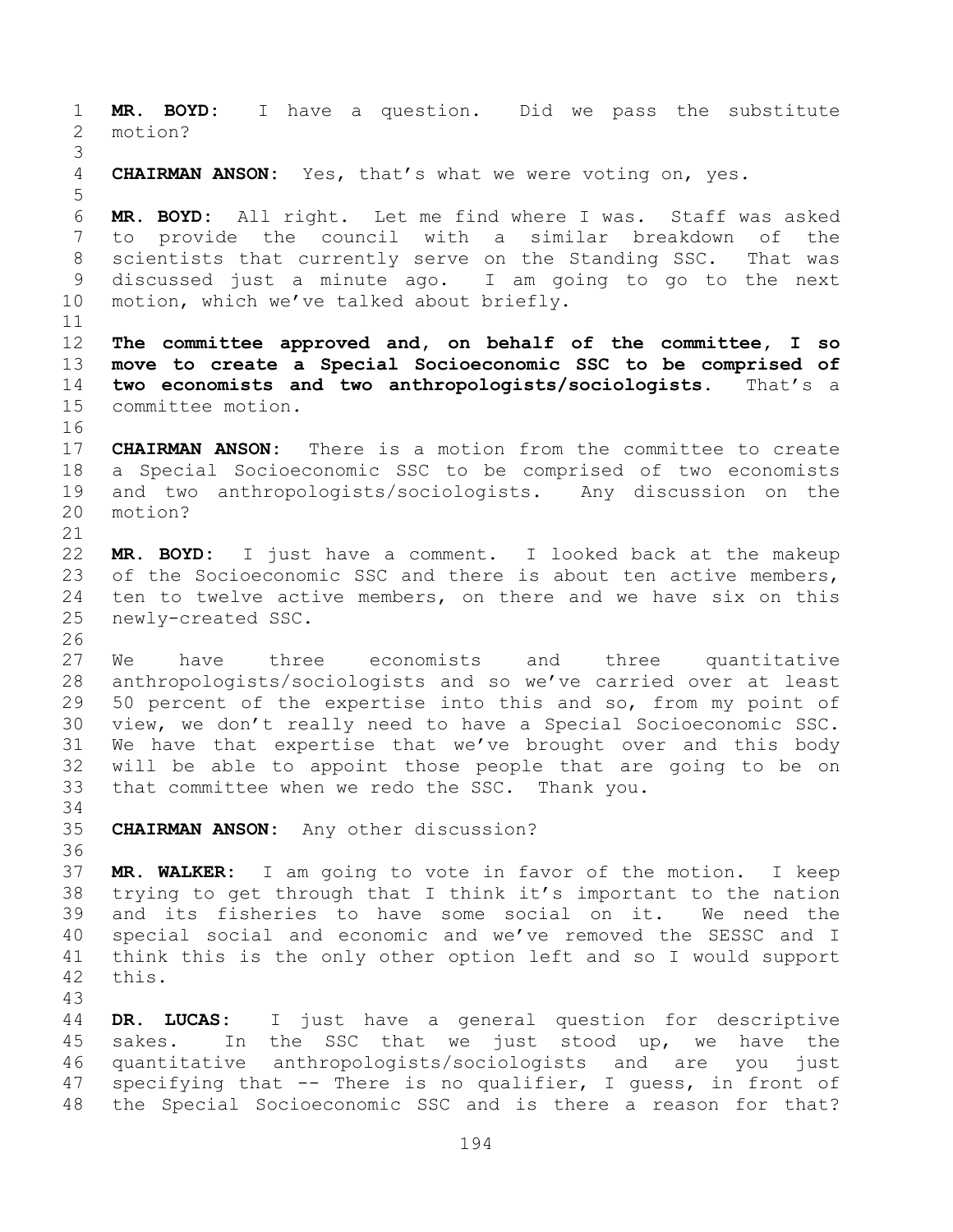**MR. BOYD:** I have a question. Did we pass the substitute motion? **CHAIRMAN ANSON:** Yes, that's what we were voting on, yes. **MR. BOYD:** All right. Let me find where I was. Staff was asked to provide the council with a similar breakdown of the scientists that currently serve on the Standing SSC. That was discussed just a minute ago. I am going to go to the next motion, which we've talked about briefly. **The committee approved and, on behalf of the committee, I so move to create a Special Socioeconomic SSC to be comprised of two economists and two anthropologists/sociologists.** That's a committee motion. **CHAIRMAN ANSON:** There is a motion from the committee to create a Special Socioeconomic SSC to be comprised of two economists and two anthropologists/sociologists. Any discussion on the motion? **MR. BOYD:** I just have a comment. I looked back at the makeup 23 of the Socioeconomic SSC and there is about ten active members, ten to twelve active members, on there and we have six on this newly-created SSC. We have three economists and three quantitative anthropologists/sociologists and so we've carried over at least 50 percent of the expertise into this and so, from my point of view, we don't really need to have a Special Socioeconomic SSC. We have that expertise that we've brought over and this body will be able to appoint those people that are going to be on that committee when we redo the SSC. Thank you. **CHAIRMAN ANSON:** Any other discussion? **MR. WALKER:** I am going to vote in favor of the motion. I keep trying to get through that I think it's important to the nation and its fisheries to have some social on it. We need the special social and economic and we've removed the SESSC and I think this is the only other option left and so I would support this. **DR. LUCAS:** I just have a general question for descriptive sakes. In the SSC that we just stood up, we have the quantitative anthropologists/sociologists and are you just specifying that -- There is no qualifier, I guess, in front of the Special Socioeconomic SSC and is there a reason for that?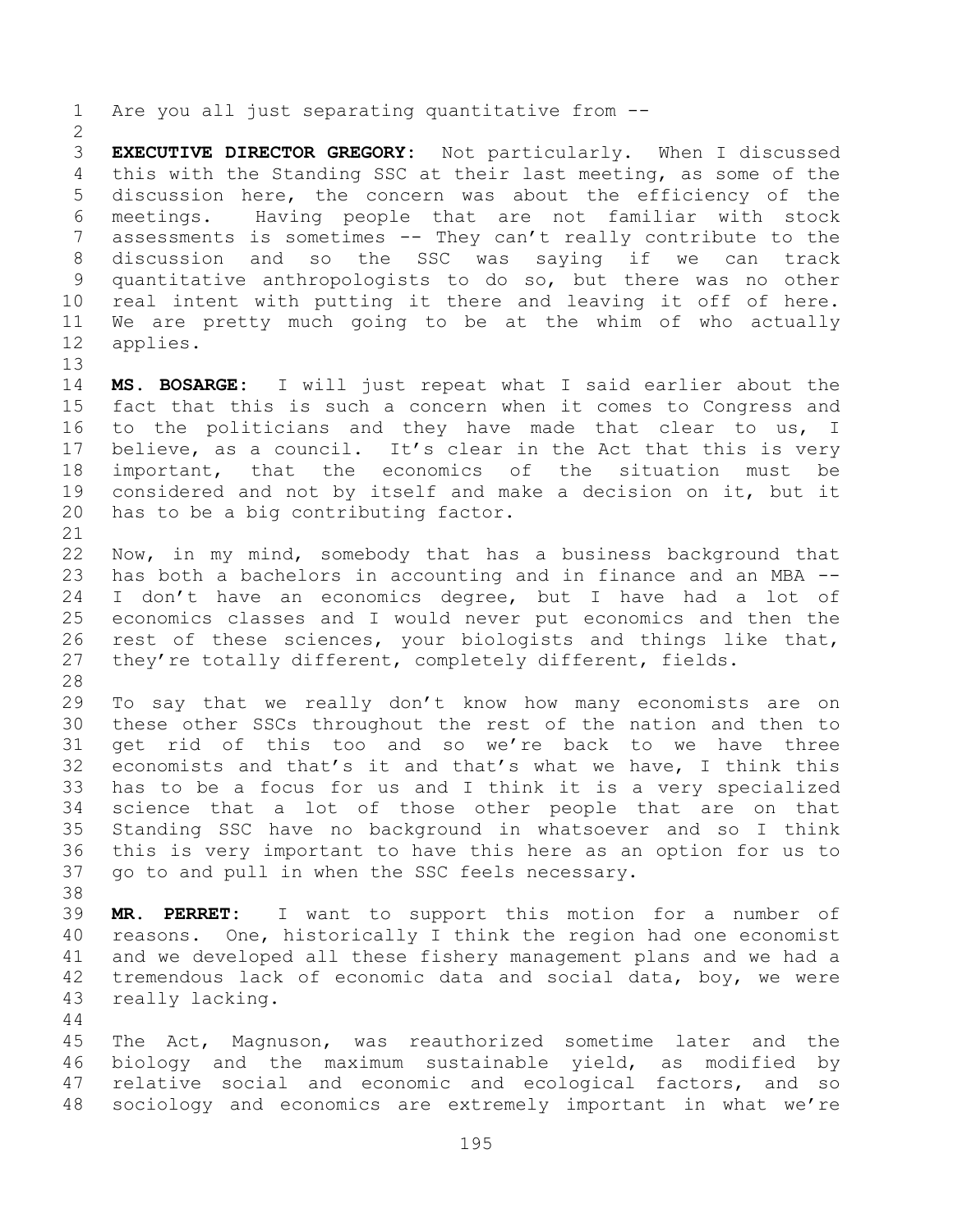Are you all just separating quantitative from --

 **EXECUTIVE DIRECTOR GREGORY:** Not particularly. When I discussed this with the Standing SSC at their last meeting, as some of the discussion here, the concern was about the efficiency of the meetings. Having people that are not familiar with stock assessments is sometimes -- They can't really contribute to the discussion and so the SSC was saying if we can track quantitative anthropologists to do so, but there was no other real intent with putting it there and leaving it off of here. We are pretty much going to be at the whim of who actually applies.

 **MS. BOSARGE:** I will just repeat what I said earlier about the fact that this is such a concern when it comes to Congress and to the politicians and they have made that clear to us, I believe, as a council. It's clear in the Act that this is very important, that the economics of the situation must be considered and not by itself and make a decision on it, but it has to be a big contributing factor.

 Now, in my mind, somebody that has a business background that has both a bachelors in accounting and in finance and an MBA -- I don't have an economics degree, but I have had a lot of economics classes and I would never put economics and then the rest of these sciences, your biologists and things like that, they're totally different, completely different, fields.

 To say that we really don't know how many economists are on these other SSCs throughout the rest of the nation and then to get rid of this too and so we're back to we have three economists and that's it and that's what we have, I think this has to be a focus for us and I think it is a very specialized science that a lot of those other people that are on that Standing SSC have no background in whatsoever and so I think this is very important to have this here as an option for us to go to and pull in when the SSC feels necessary.

 **MR. PERRET:** I want to support this motion for a number of reasons. One, historically I think the region had one economist and we developed all these fishery management plans and we had a tremendous lack of economic data and social data, boy, we were really lacking.

 The Act, Magnuson, was reauthorized sometime later and the biology and the maximum sustainable yield, as modified by relative social and economic and ecological factors, and so sociology and economics are extremely important in what we're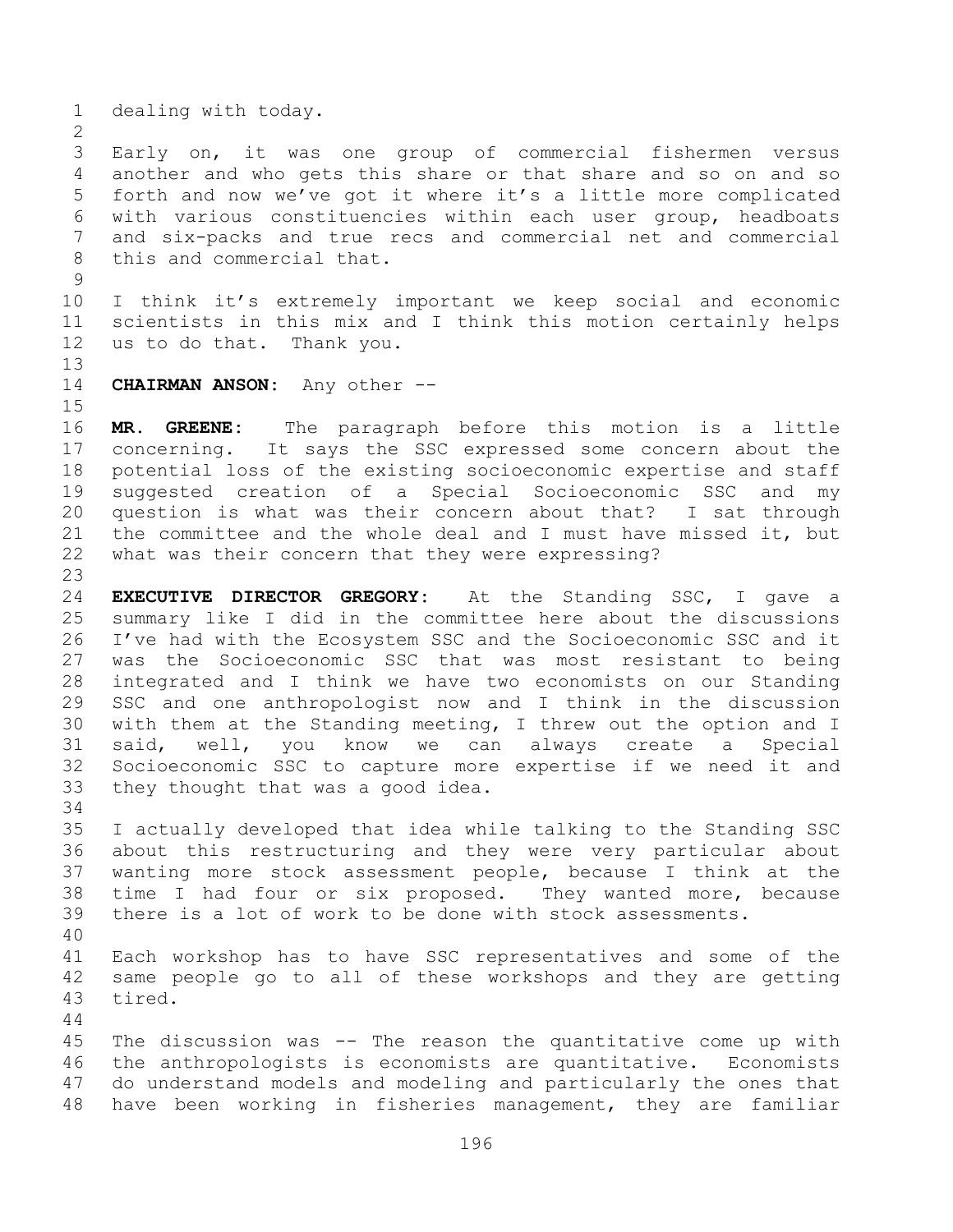dealing with today.

 Early on, it was one group of commercial fishermen versus another and who gets this share or that share and so on and so forth and now we've got it where it's a little more complicated with various constituencies within each user group, headboats and six-packs and true recs and commercial net and commercial this and commercial that.

 I think it's extremely important we keep social and economic scientists in this mix and I think this motion certainly helps us to do that. Thank you.

**CHAIRMAN ANSON:** Any other --

 **MR. GREENE:** The paragraph before this motion is a little concerning. It says the SSC expressed some concern about the potential loss of the existing socioeconomic expertise and staff suggested creation of a Special Socioeconomic SSC and my question is what was their concern about that? I sat through the committee and the whole deal and I must have missed it, but what was their concern that they were expressing?

 **EXECUTIVE DIRECTOR GREGORY:** At the Standing SSC, I gave a summary like I did in the committee here about the discussions I've had with the Ecosystem SSC and the Socioeconomic SSC and it was the Socioeconomic SSC that was most resistant to being integrated and I think we have two economists on our Standing SSC and one anthropologist now and I think in the discussion with them at the Standing meeting, I threw out the option and I said, well, you know we can always create a Special Socioeconomic SSC to capture more expertise if we need it and they thought that was a good idea.

 I actually developed that idea while talking to the Standing SSC about this restructuring and they were very particular about wanting more stock assessment people, because I think at the time I had four or six proposed. They wanted more, because there is a lot of work to be done with stock assessments.

 Each workshop has to have SSC representatives and some of the same people go to all of these workshops and they are getting tired.

 The discussion was -- The reason the quantitative come up with the anthropologists is economists are quantitative. Economists do understand models and modeling and particularly the ones that have been working in fisheries management, they are familiar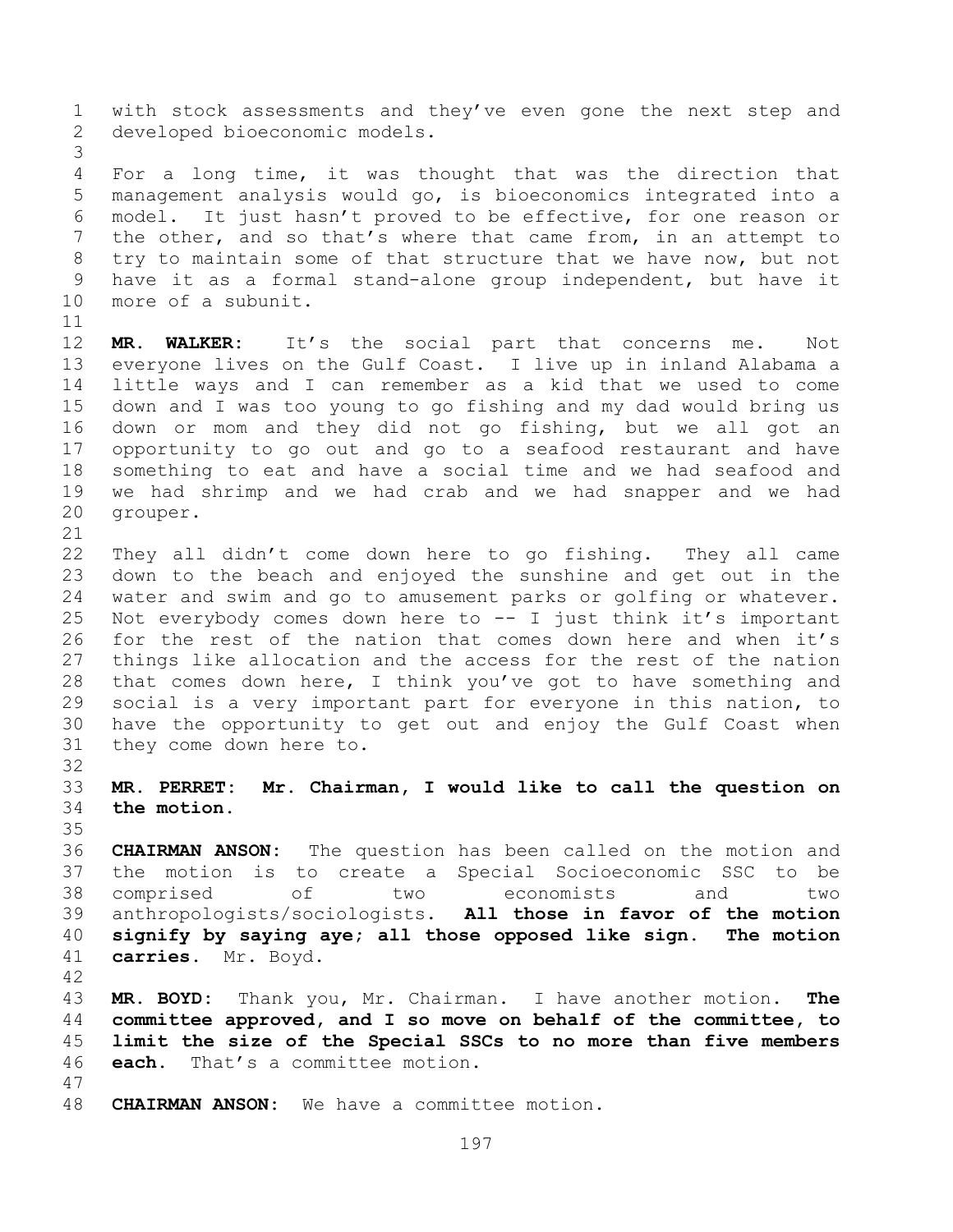with stock assessments and they've even gone the next step and developed bioeconomic models.

 For a long time, it was thought that was the direction that management analysis would go, is bioeconomics integrated into a model. It just hasn't proved to be effective, for one reason or the other, and so that's where that came from, in an attempt to try to maintain some of that structure that we have now, but not have it as a formal stand-alone group independent, but have it more of a subunit.

 **MR. WALKER:** It's the social part that concerns me. Not everyone lives on the Gulf Coast. I live up in inland Alabama a little ways and I can remember as a kid that we used to come down and I was too young to go fishing and my dad would bring us down or mom and they did not go fishing, but we all got an opportunity to go out and go to a seafood restaurant and have something to eat and have a social time and we had seafood and we had shrimp and we had crab and we had snapper and we had grouper.

 They all didn't come down here to go fishing. They all came down to the beach and enjoyed the sunshine and get out in the water and swim and go to amusement parks or golfing or whatever. Not everybody comes down here to -- I just think it's important for the rest of the nation that comes down here and when it's things like allocation and the access for the rest of the nation that comes down here, I think you've got to have something and social is a very important part for everyone in this nation, to have the opportunity to get out and enjoy the Gulf Coast when they come down here to.

 **MR. PERRET: Mr. Chairman, I would like to call the question on the motion.**

 **CHAIRMAN ANSON:** The question has been called on the motion and the motion is to create a Special Socioeconomic SSC to be comprised of two economists and two anthropologists/sociologists. **All those in favor of the motion signify by saying aye; all those opposed like sign. The motion carries.** Mr. Boyd.

 **MR. BOYD:** Thank you, Mr. Chairman. I have another motion. **The committee approved, and I so move on behalf of the committee, to limit the size of the Special SSCs to no more than five members each.** That's a committee motion.

**CHAIRMAN ANSON:** We have a committee motion.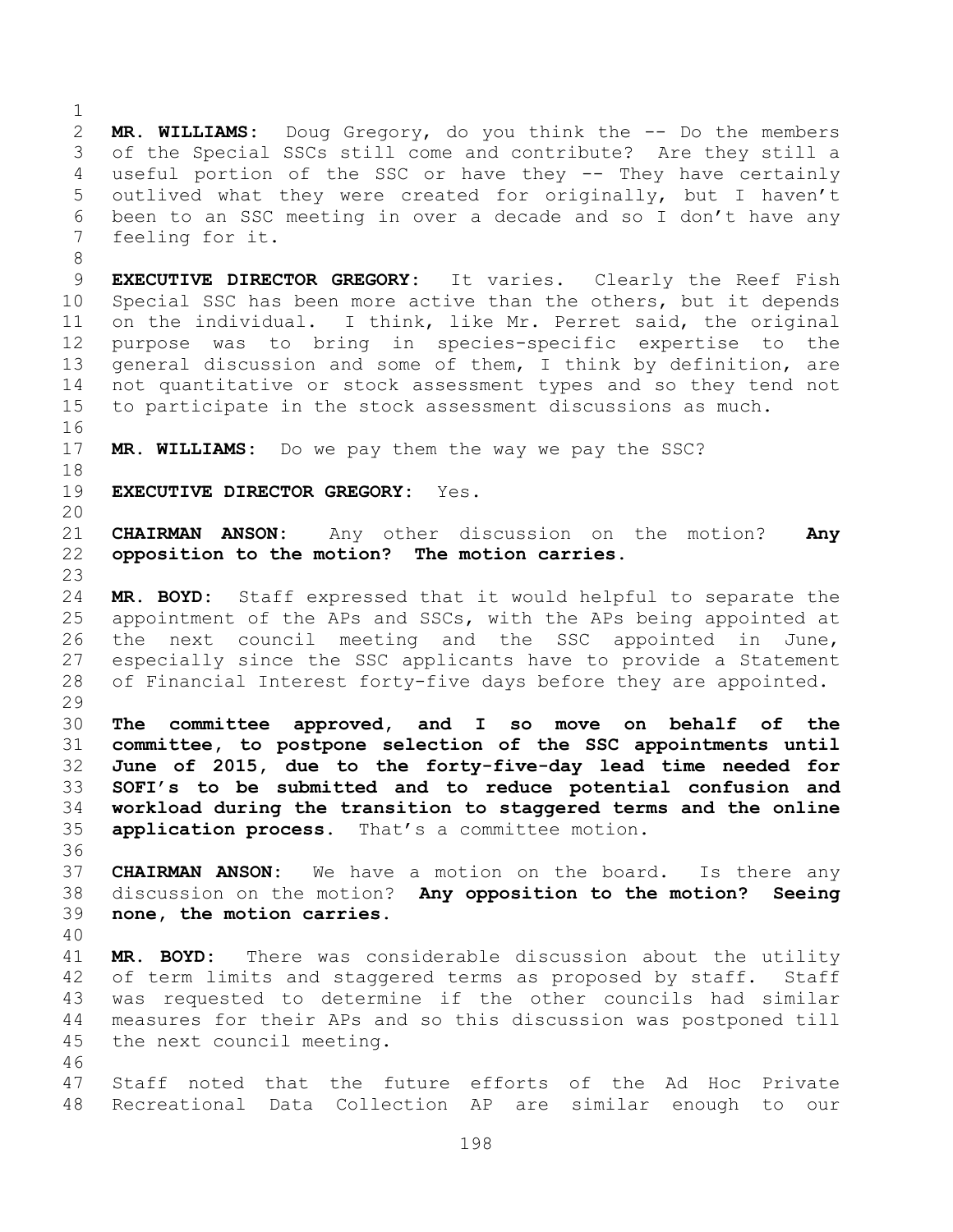**MR. WILLIAMS:** Doug Gregory, do you think the -- Do the members of the Special SSCs still come and contribute? Are they still a useful portion of the SSC or have they -- They have certainly outlived what they were created for originally, but I haven't been to an SSC meeting in over a decade and so I don't have any feeling for it.

- **EXECUTIVE DIRECTOR GREGORY:** It varies. Clearly the Reef Fish Special SSC has been more active than the others, but it depends on the individual. I think, like Mr. Perret said, the original purpose was to bring in species-specific expertise to the general discussion and some of them, I think by definition, are not quantitative or stock assessment types and so they tend not to participate in the stock assessment discussions as much.
- **MR. WILLIAMS:** Do we pay them the way we pay the SSC?
- **EXECUTIVE DIRECTOR GREGORY:** Yes.
- 

- **CHAIRMAN ANSON:** Any other discussion on the motion? **Any opposition to the motion? The motion carries.**
- **MR. BOYD:** Staff expressed that it would helpful to separate the appointment of the APs and SSCs, with the APs being appointed at the next council meeting and the SSC appointed in June, especially since the SSC applicants have to provide a Statement of Financial Interest forty-five days before they are appointed.
- **The committee approved, and I so move on behalf of the committee, to postpone selection of the SSC appointments until June of 2015, due to the forty-five-day lead time needed for SOFI's to be submitted and to reduce potential confusion and workload during the transition to staggered terms and the online application process.** That's a committee motion.
- **CHAIRMAN ANSON:** We have a motion on the board. Is there any discussion on the motion? **Any opposition to the motion? Seeing none, the motion carries.**
- 

- **MR. BOYD:** There was considerable discussion about the utility 42 of term limits and staggered terms as proposed by staff. Staff was requested to determine if the other councils had similar measures for their APs and so this discussion was postponed till the next council meeting.
- Staff noted that the future efforts of the Ad Hoc Private Recreational Data Collection AP are similar enough to our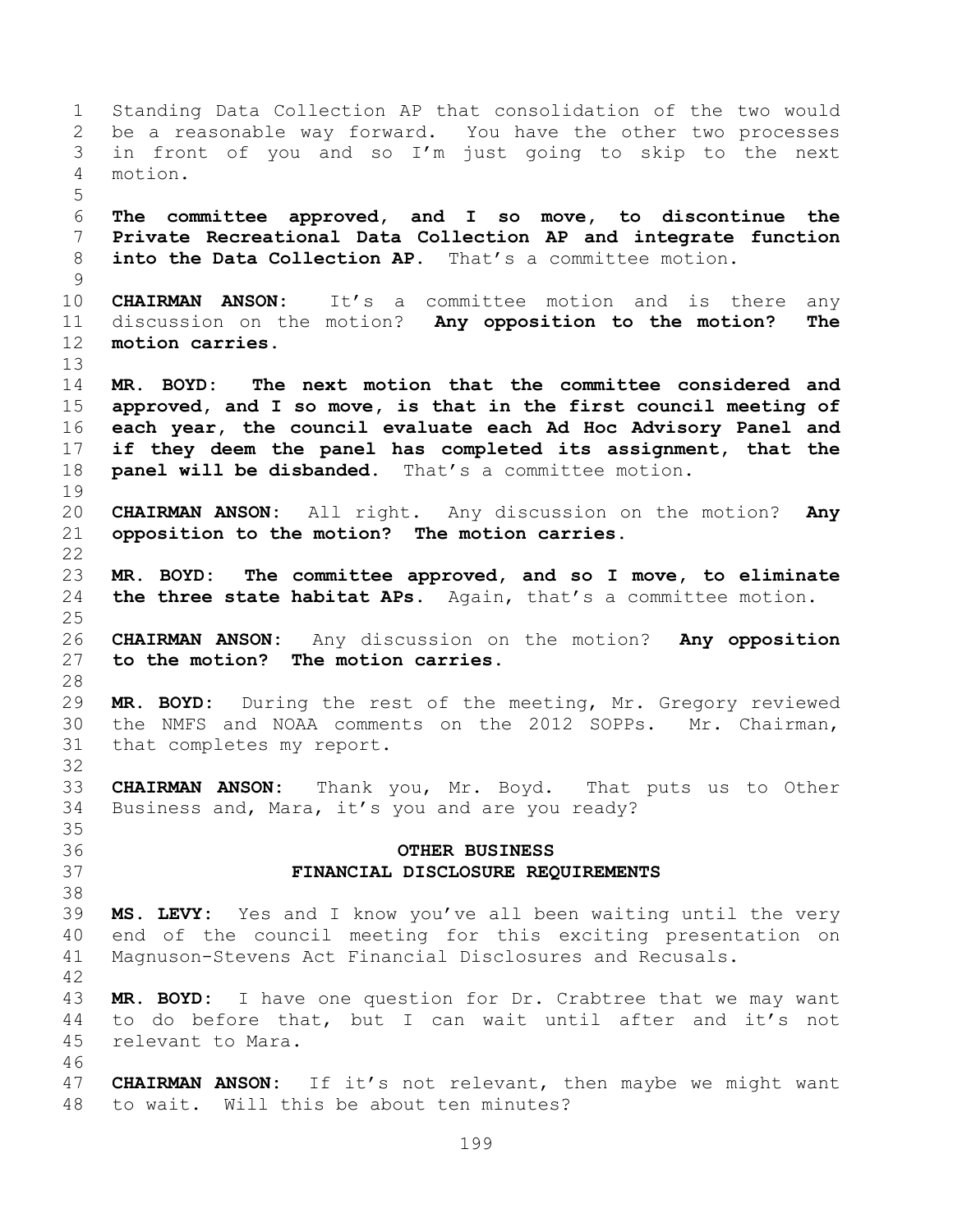Standing Data Collection AP that consolidation of the two would be a reasonable way forward. You have the other two processes in front of you and so I'm just going to skip to the next motion. **The committee approved, and I so move, to discontinue the Private Recreational Data Collection AP and integrate function into the Data Collection AP.** That's a committee motion. **CHAIRMAN ANSON:** It's a committee motion and is there any discussion on the motion? **Any opposition to the motion? The motion carries. MR. BOYD: The next motion that the committee considered and approved, and I so move, is that in the first council meeting of each year, the council evaluate each Ad Hoc Advisory Panel and if they deem the panel has completed its assignment, that the panel will be disbanded.** That's a committee motion. **CHAIRMAN ANSON:** All right. Any discussion on the motion? **Any opposition to the motion? The motion carries. MR. BOYD: The committee approved, and so I move, to eliminate the three state habitat APs.** Again, that's a committee motion. **CHAIRMAN ANSON:** Any discussion on the motion? **Any opposition to the motion? The motion carries. MR. BOYD:** During the rest of the meeting, Mr. Gregory reviewed the NMFS and NOAA comments on the 2012 SOPPs. Mr. Chairman, that completes my report. **CHAIRMAN ANSON:** Thank you, Mr. Boyd. That puts us to Other Business and, Mara, it's you and are you ready? **OTHER BUSINESS FINANCIAL DISCLOSURE REQUIREMENTS MS. LEVY:** Yes and I know you've all been waiting until the very end of the council meeting for this exciting presentation on Magnuson-Stevens Act Financial Disclosures and Recusals. **MR. BOYD:** I have one question for Dr. Crabtree that we may want to do before that, but I can wait until after and it's not relevant to Mara. **CHAIRMAN ANSON:** If it's not relevant, then maybe we might want to wait. Will this be about ten minutes?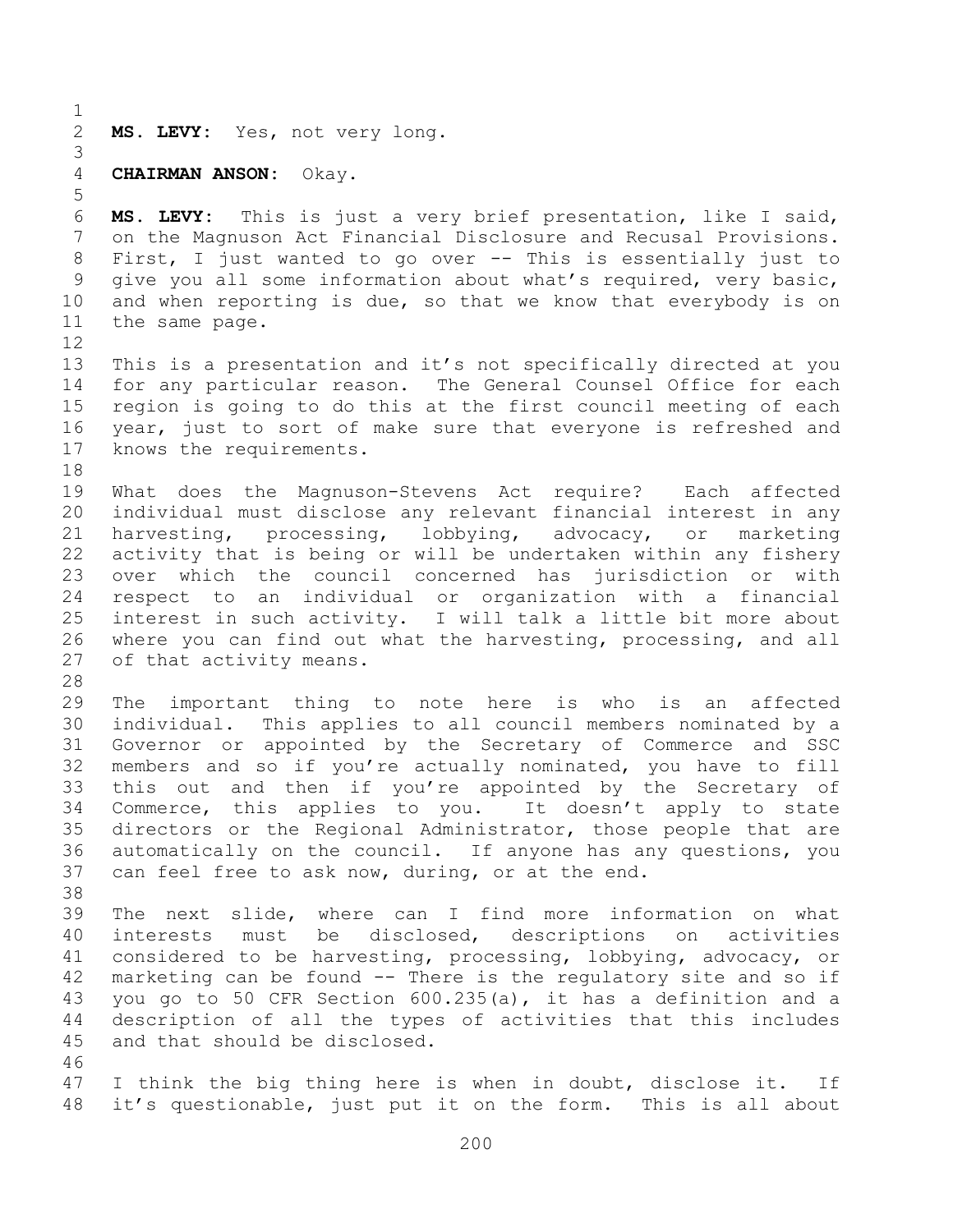**MS. LEVY:** Yes, not very long.

## **CHAIRMAN ANSON:** Okay.

 **MS. LEVY:** This is just a very brief presentation, like I said, on the Magnuson Act Financial Disclosure and Recusal Provisions. First, I just wanted to go over -- This is essentially just to give you all some information about what's required, very basic, and when reporting is due, so that we know that everybody is on the same page.

 This is a presentation and it's not specifically directed at you for any particular reason. The General Counsel Office for each region is going to do this at the first council meeting of each year, just to sort of make sure that everyone is refreshed and knows the requirements.

- What does the Magnuson-Stevens Act require? Each affected individual must disclose any relevant financial interest in any harvesting, processing, lobbying, advocacy, or marketing activity that is being or will be undertaken within any fishery over which the council concerned has jurisdiction or with respect to an individual or organization with a financial interest in such activity. I will talk a little bit more about where you can find out what the harvesting, processing, and all of that activity means.
- 

 The important thing to note here is who is an affected individual. This applies to all council members nominated by a Governor or appointed by the Secretary of Commerce and SSC members and so if you're actually nominated, you have to fill this out and then if you're appointed by the Secretary of Commerce, this applies to you. It doesn't apply to state directors or the Regional Administrator, those people that are automatically on the council. If anyone has any questions, you can feel free to ask now, during, or at the end.

 The next slide, where can I find more information on what interests must be disclosed, descriptions on activities considered to be harvesting, processing, lobbying, advocacy, or marketing can be found -- There is the regulatory site and so if you go to 50 CFR Section 600.235(a), it has a definition and a description of all the types of activities that this includes and that should be disclosed. 

 I think the big thing here is when in doubt, disclose it. If it's questionable, just put it on the form. This is all about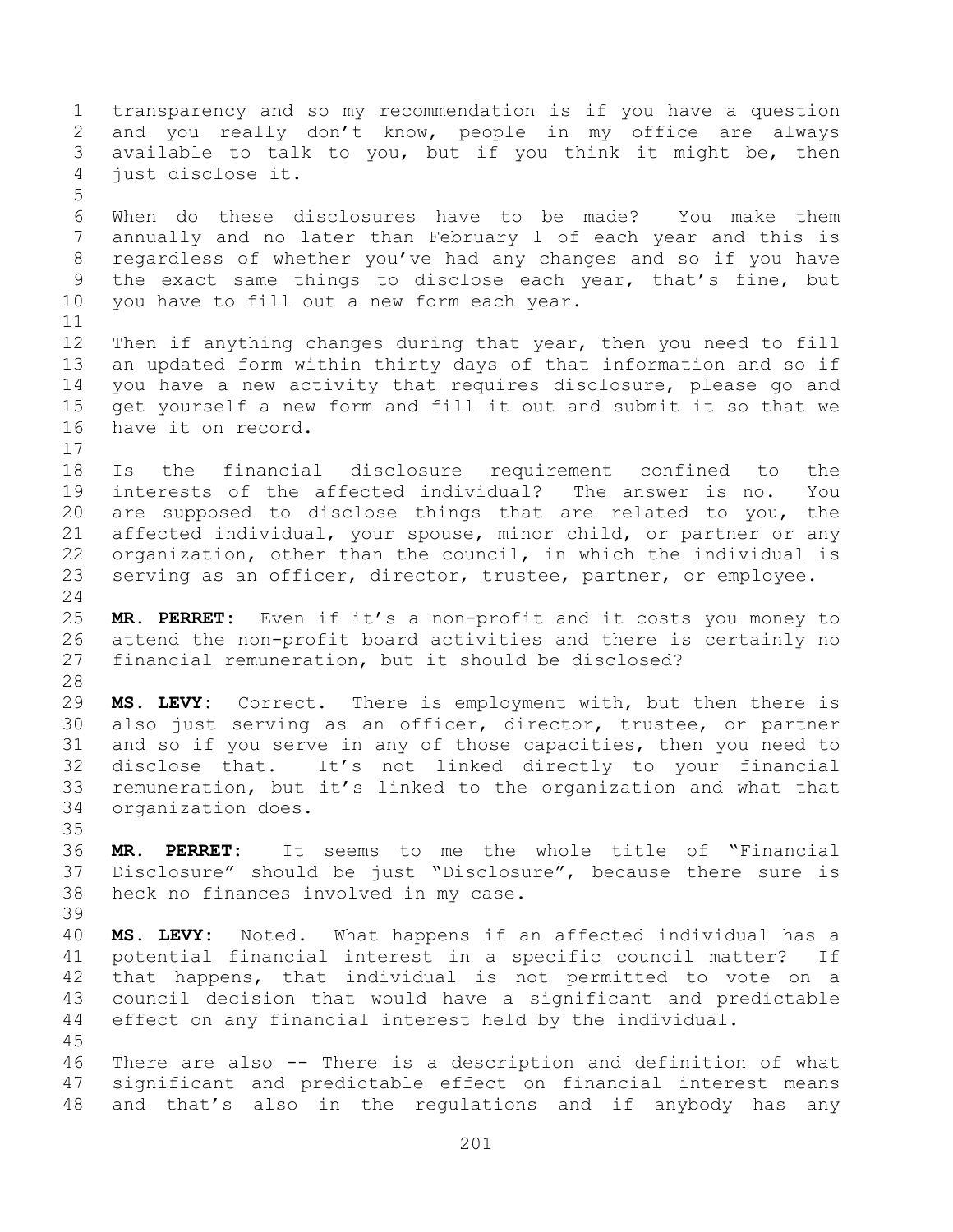transparency and so my recommendation is if you have a question and you really don't know, people in my office are always available to talk to you, but if you think it might be, then just disclose it. When do these disclosures have to be made? You make them annually and no later than February 1 of each year and this is regardless of whether you've had any changes and so if you have the exact same things to disclose each year, that's fine, but you have to fill out a new form each year. Then if anything changes during that year, then you need to fill an updated form within thirty days of that information and so if you have a new activity that requires disclosure, please go and get yourself a new form and fill it out and submit it so that we have it on record. Is the financial disclosure requirement confined to the interests of the affected individual? The answer is no. You are supposed to disclose things that are related to you, the affected individual, your spouse, minor child, or partner or any organization, other than the council, in which the individual is serving as an officer, director, trustee, partner, or employee. **MR. PERRET:** Even if it's a non-profit and it costs you money to attend the non-profit board activities and there is certainly no financial remuneration, but it should be disclosed? **MS. LEVY:** Correct. There is employment with, but then there is also just serving as an officer, director, trustee, or partner and so if you serve in any of those capacities, then you need to disclose that. It's not linked directly to your financial remuneration, but it's linked to the organization and what that organization does. **MR. PERRET:** It seems to me the whole title of "Financial Disclosure" should be just "Disclosure", because there sure is heck no finances involved in my case. **MS. LEVY:** Noted. What happens if an affected individual has a potential financial interest in a specific council matter? If that happens, that individual is not permitted to vote on a council decision that would have a significant and predictable effect on any financial interest held by the individual. There are also -- There is a description and definition of what significant and predictable effect on financial interest means and that's also in the regulations and if anybody has any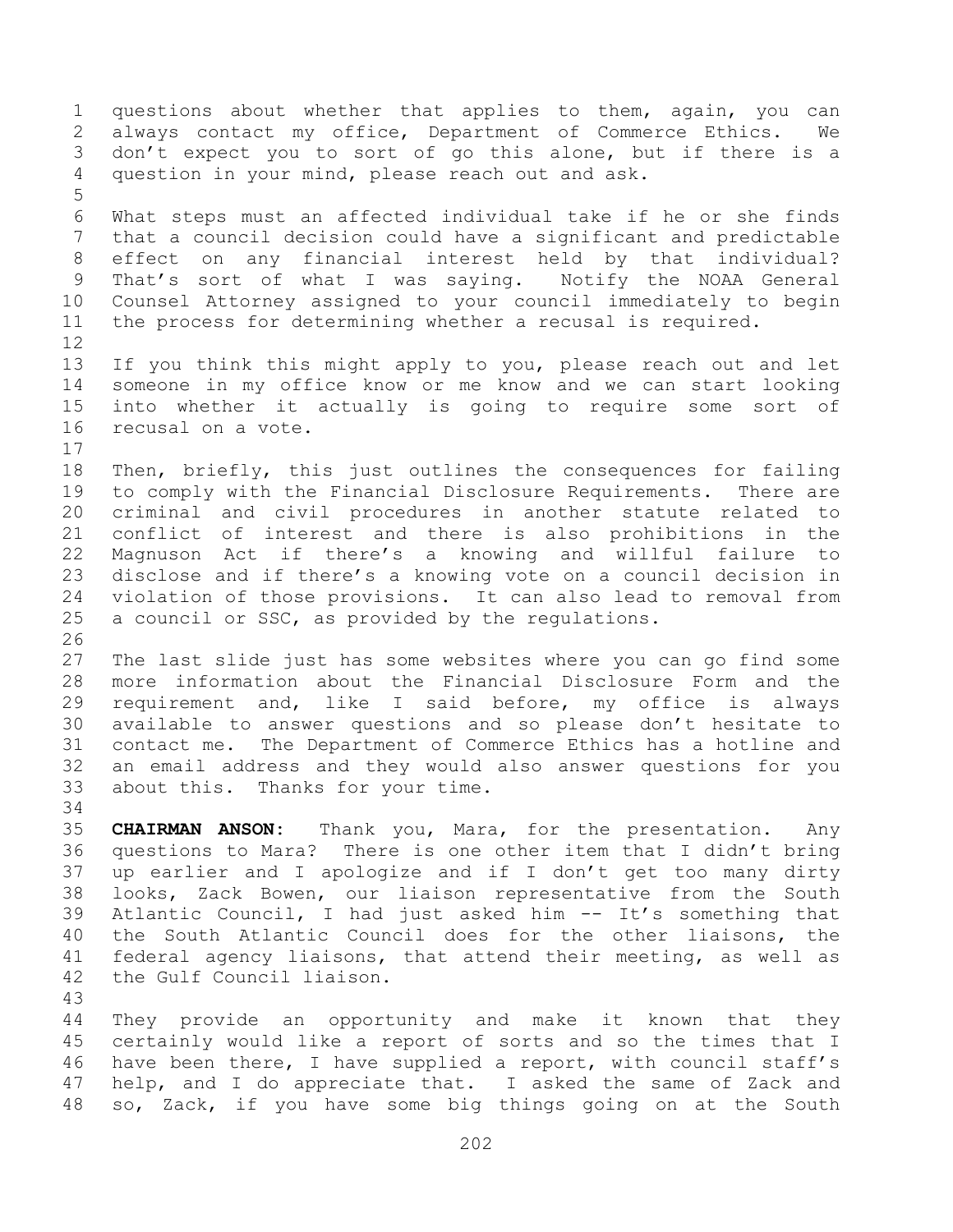questions about whether that applies to them, again, you can always contact my office, Department of Commerce Ethics. We don't expect you to sort of go this alone, but if there is a question in your mind, please reach out and ask. What steps must an affected individual take if he or she finds that a council decision could have a significant and predictable effect on any financial interest held by that individual? That's sort of what I was saying. Notify the NOAA General Counsel Attorney assigned to your council immediately to begin the process for determining whether a recusal is required. If you think this might apply to you, please reach out and let someone in my office know or me know and we can start looking into whether it actually is going to require some sort of recusal on a vote. Then, briefly, this just outlines the consequences for failing to comply with the Financial Disclosure Requirements. There are criminal and civil procedures in another statute related to conflict of interest and there is also prohibitions in the Magnuson Act if there's a knowing and willful failure to disclose and if there's a knowing vote on a council decision in violation of those provisions. It can also lead to removal from a council or SSC, as provided by the regulations. The last slide just has some websites where you can go find some more information about the Financial Disclosure Form and the requirement and, like I said before, my office is always available to answer questions and so please don't hesitate to contact me. The Department of Commerce Ethics has a hotline and an email address and they would also answer questions for you about this. Thanks for your time. **CHAIRMAN ANSON:** Thank you, Mara, for the presentation. Any questions to Mara? There is one other item that I didn't bring up earlier and I apologize and if I don't get too many dirty looks, Zack Bowen, our liaison representative from the South Atlantic Council, I had just asked him -- It's something that the South Atlantic Council does for the other liaisons, the federal agency liaisons, that attend their meeting, as well as the Gulf Council liaison. 

 They provide an opportunity and make it known that they certainly would like a report of sorts and so the times that I have been there, I have supplied a report, with council staff's help, and I do appreciate that. I asked the same of Zack and so, Zack, if you have some big things going on at the South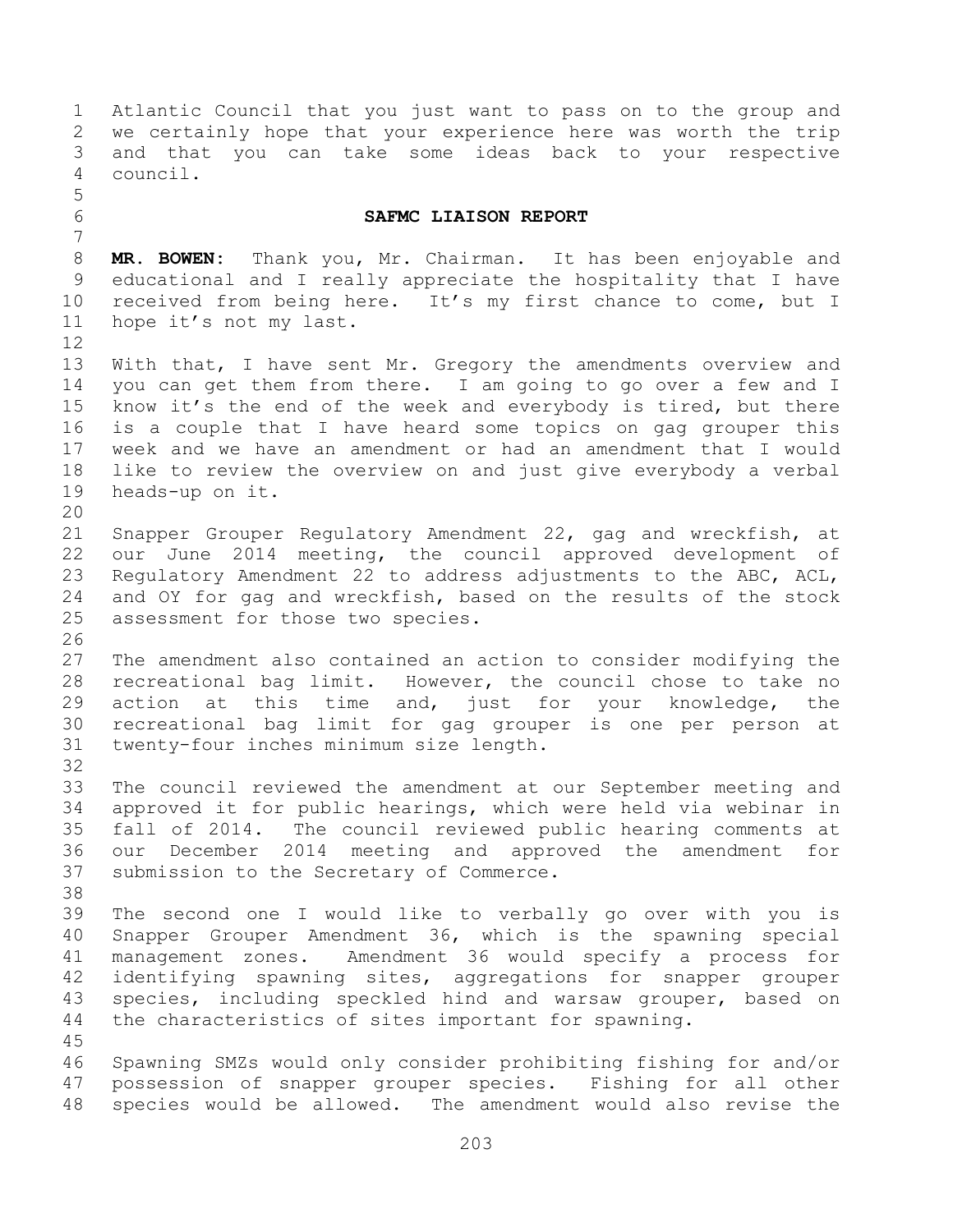Atlantic Council that you just want to pass on to the group and we certainly hope that your experience here was worth the trip and that you can take some ideas back to your respective council. **SAFMC LIAISON REPORT MR. BOWEN:** Thank you, Mr. Chairman. It has been enjoyable and educational and I really appreciate the hospitality that I have received from being here. It's my first chance to come, but I hope it's not my last. With that, I have sent Mr. Gregory the amendments overview and you can get them from there. I am going to go over a few and I know it's the end of the week and everybody is tired, but there is a couple that I have heard some topics on gag grouper this week and we have an amendment or had an amendment that I would like to review the overview on and just give everybody a verbal heads-up on it. Snapper Grouper Regulatory Amendment 22, gag and wreckfish, at our June 2014 meeting, the council approved development of Regulatory Amendment 22 to address adjustments to the ABC, ACL, and OY for gag and wreckfish, based on the results of the stock assessment for those two species. The amendment also contained an action to consider modifying the recreational bag limit. However, the council chose to take no action at this time and, just for your knowledge, the recreational bag limit for gag grouper is one per person at twenty-four inches minimum size length. The council reviewed the amendment at our September meeting and approved it for public hearings, which were held via webinar in fall of 2014. The council reviewed public hearing comments at our December 2014 meeting and approved the amendment for submission to the Secretary of Commerce. The second one I would like to verbally go over with you is Snapper Grouper Amendment 36, which is the spawning special management zones. Amendment 36 would specify a process for identifying spawning sites, aggregations for snapper grouper species, including speckled hind and warsaw grouper, based on the characteristics of sites important for spawning. Spawning SMZs would only consider prohibiting fishing for and/or possession of snapper grouper species. Fishing for all other species would be allowed. The amendment would also revise the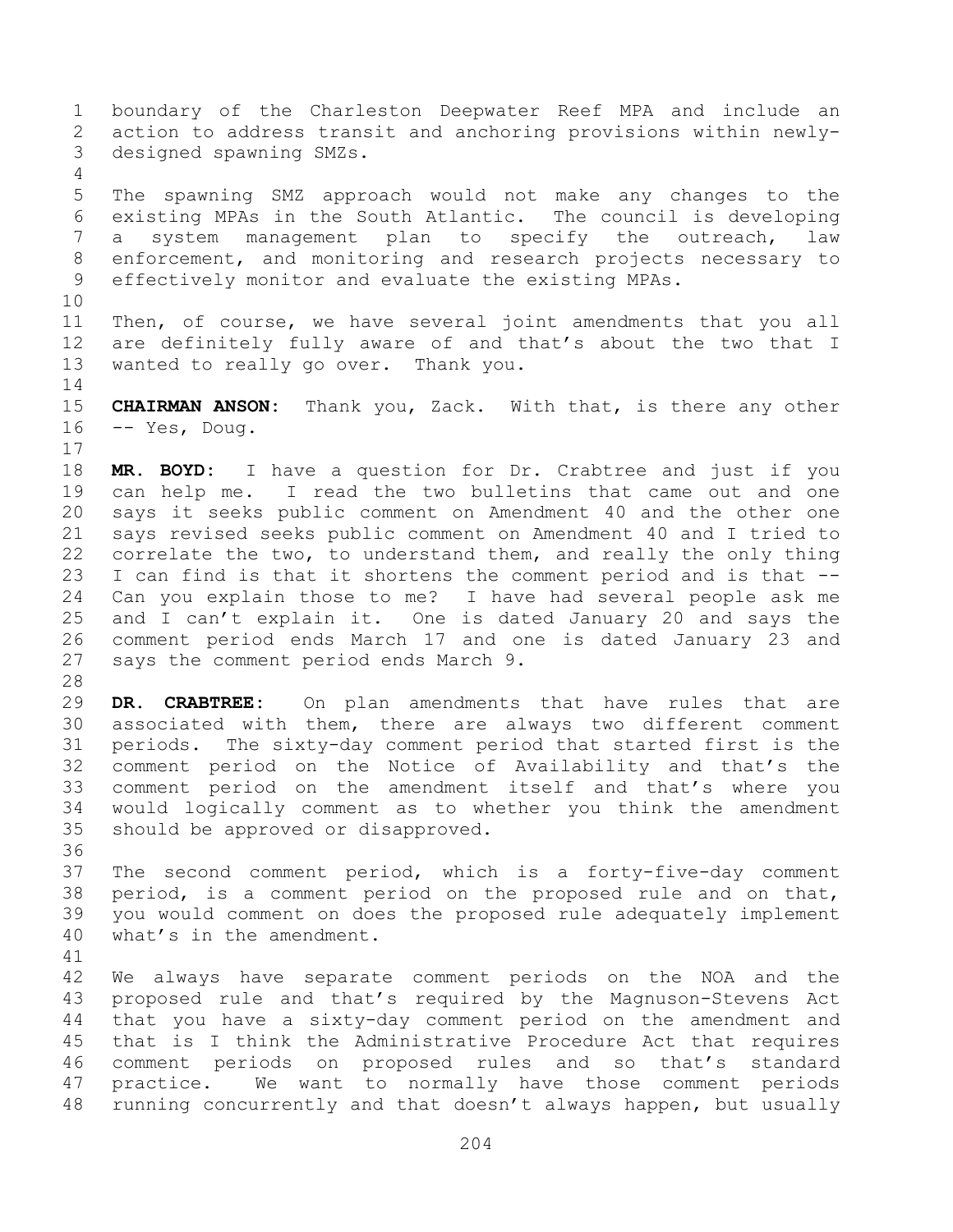boundary of the Charleston Deepwater Reef MPA and include an action to address transit and anchoring provisions within newly- designed spawning SMZs. The spawning SMZ approach would not make any changes to the existing MPAs in the South Atlantic. The council is developing a system management plan to specify the outreach, law enforcement, and monitoring and research projects necessary to effectively monitor and evaluate the existing MPAs. Then, of course, we have several joint amendments that you all are definitely fully aware of and that's about the two that I wanted to really go over. Thank you. **CHAIRMAN ANSON:** Thank you, Zack. With that, is there any other -- Yes, Doug. **MR. BOYD:** I have a question for Dr. Crabtree and just if you can help me. I read the two bulletins that came out and one says it seeks public comment on Amendment 40 and the other one says revised seeks public comment on Amendment 40 and I tried to correlate the two, to understand them, and really the only thing I can find is that it shortens the comment period and is that -- Can you explain those to me? I have had several people ask me and I can't explain it. One is dated January 20 and says the comment period ends March 17 and one is dated January 23 and says the comment period ends March 9. **DR. CRABTREE:** On plan amendments that have rules that are associated with them, there are always two different comment periods. The sixty-day comment period that started first is the comment period on the Notice of Availability and that's the comment period on the amendment itself and that's where you would logically comment as to whether you think the amendment should be approved or disapproved. The second comment period, which is a forty-five-day comment period, is a comment period on the proposed rule and on that, you would comment on does the proposed rule adequately implement what's in the amendment. We always have separate comment periods on the NOA and the proposed rule and that's required by the Magnuson-Stevens Act that you have a sixty-day comment period on the amendment and that is I think the Administrative Procedure Act that requires comment periods on proposed rules and so that's standard practice. We want to normally have those comment periods running concurrently and that doesn't always happen, but usually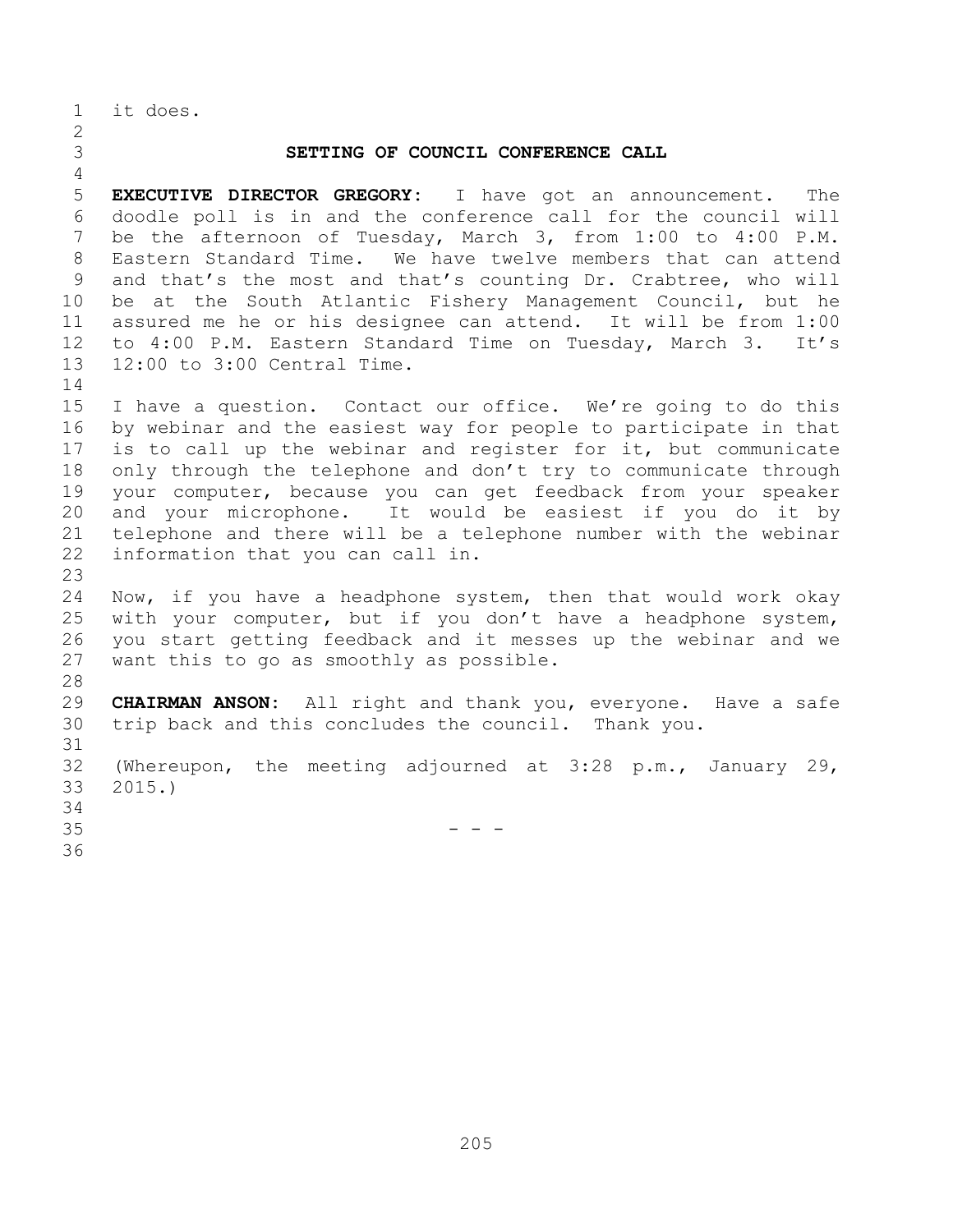it does.

## **SETTING OF COUNCIL CONFERENCE CALL EXECUTIVE DIRECTOR GREGORY:** I have got an announcement. The doodle poll is in and the conference call for the council will be the afternoon of Tuesday, March 3, from 1:00 to 4:00 P.M. Eastern Standard Time. We have twelve members that can attend and that's the most and that's counting Dr. Crabtree, who will be at the South Atlantic Fishery Management Council, but he assured me he or his designee can attend. It will be from 1:00 to 4:00 P.M. Eastern Standard Time on Tuesday, March 3. It's 12:00 to 3:00 Central Time. I have a question. Contact our office. We're going to do this by webinar and the easiest way for people to participate in that is to call up the webinar and register for it, but communicate only through the telephone and don't try to communicate through your computer, because you can get feedback from your speaker and your microphone. It would be easiest if you do it by telephone and there will be a telephone number with the webinar information that you can call in. Now, if you have a headphone system, then that would work okay with your computer, but if you don't have a headphone system, you start getting feedback and it messes up the webinar and we want this to go as smoothly as possible. **CHAIRMAN ANSON:** All right and thank you, everyone. Have a safe trip back and this concludes the council. Thank you. (Whereupon, the meeting adjourned at 3:28 p.m., January 29, 2015.) - - -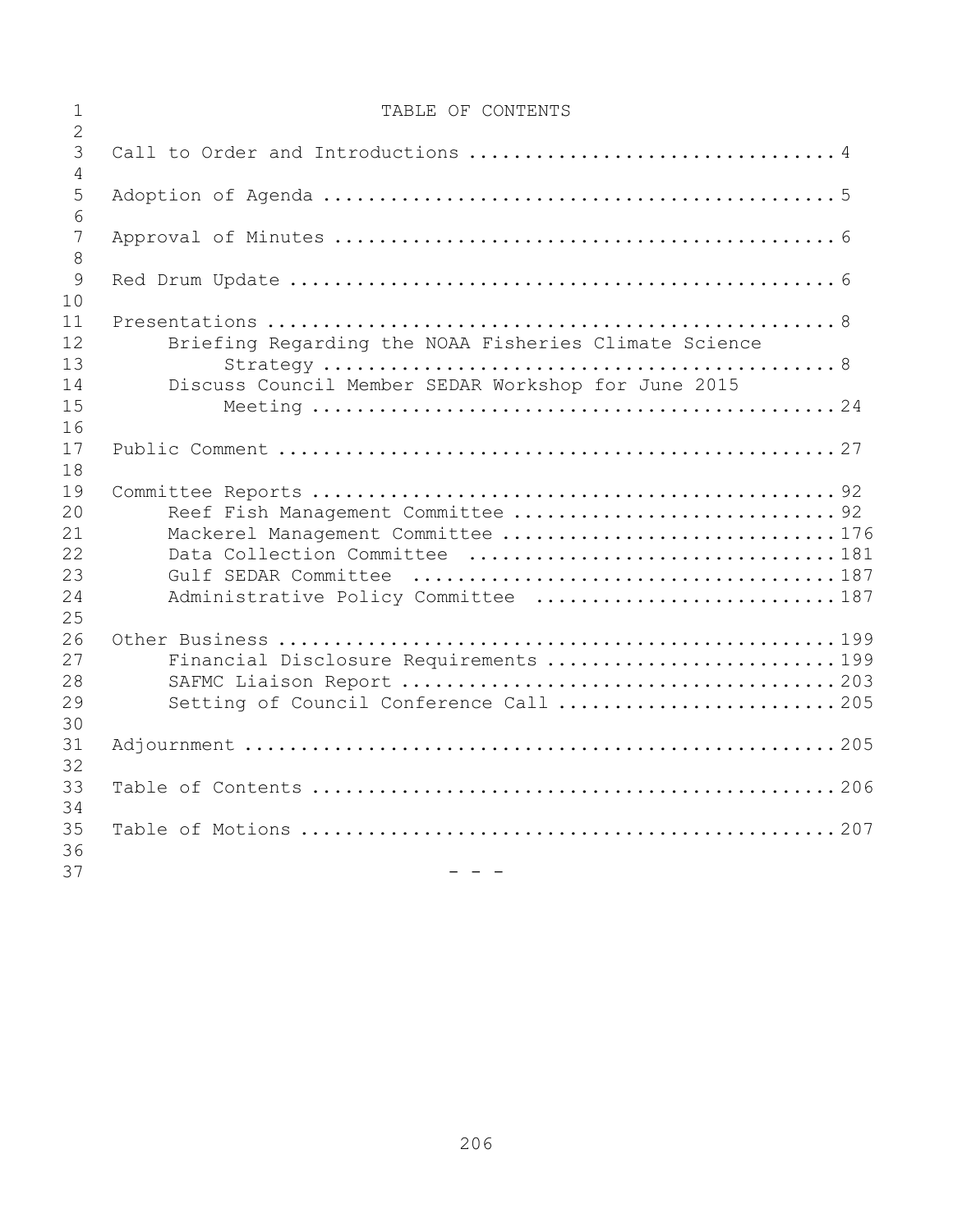| $\overline{2}$<br>3<br>$\overline{4}$<br>5<br>6<br>7<br>8<br>9<br>10<br>11<br>12<br>Briefing Regarding the NOAA Fisheries Climate Science<br>13<br>14<br>Discuss Council Member SEDAR Workshop for June 2015 |  |
|--------------------------------------------------------------------------------------------------------------------------------------------------------------------------------------------------------------|--|
|                                                                                                                                                                                                              |  |
|                                                                                                                                                                                                              |  |
|                                                                                                                                                                                                              |  |
|                                                                                                                                                                                                              |  |
|                                                                                                                                                                                                              |  |
|                                                                                                                                                                                                              |  |
|                                                                                                                                                                                                              |  |
|                                                                                                                                                                                                              |  |
|                                                                                                                                                                                                              |  |
|                                                                                                                                                                                                              |  |
|                                                                                                                                                                                                              |  |
|                                                                                                                                                                                                              |  |
| 15                                                                                                                                                                                                           |  |
| 16                                                                                                                                                                                                           |  |
| 17                                                                                                                                                                                                           |  |
| 18                                                                                                                                                                                                           |  |
| 19                                                                                                                                                                                                           |  |
| 20<br>Reef Fish Management Committee  92                                                                                                                                                                     |  |
| 21<br>Mackerel Management Committee 176                                                                                                                                                                      |  |
| 22<br>23                                                                                                                                                                                                     |  |
| 24                                                                                                                                                                                                           |  |
| Administrative Policy Committee  187<br>25                                                                                                                                                                   |  |
| 26                                                                                                                                                                                                           |  |
| Financial Disclosure Requirements 199<br>27                                                                                                                                                                  |  |
| 28                                                                                                                                                                                                           |  |
| 29<br>Setting of Council Conference Call 205                                                                                                                                                                 |  |
| 30                                                                                                                                                                                                           |  |
| 31                                                                                                                                                                                                           |  |
| 32                                                                                                                                                                                                           |  |
| 33                                                                                                                                                                                                           |  |
| 34                                                                                                                                                                                                           |  |
| 35<br>36<br>37                                                                                                                                                                                               |  |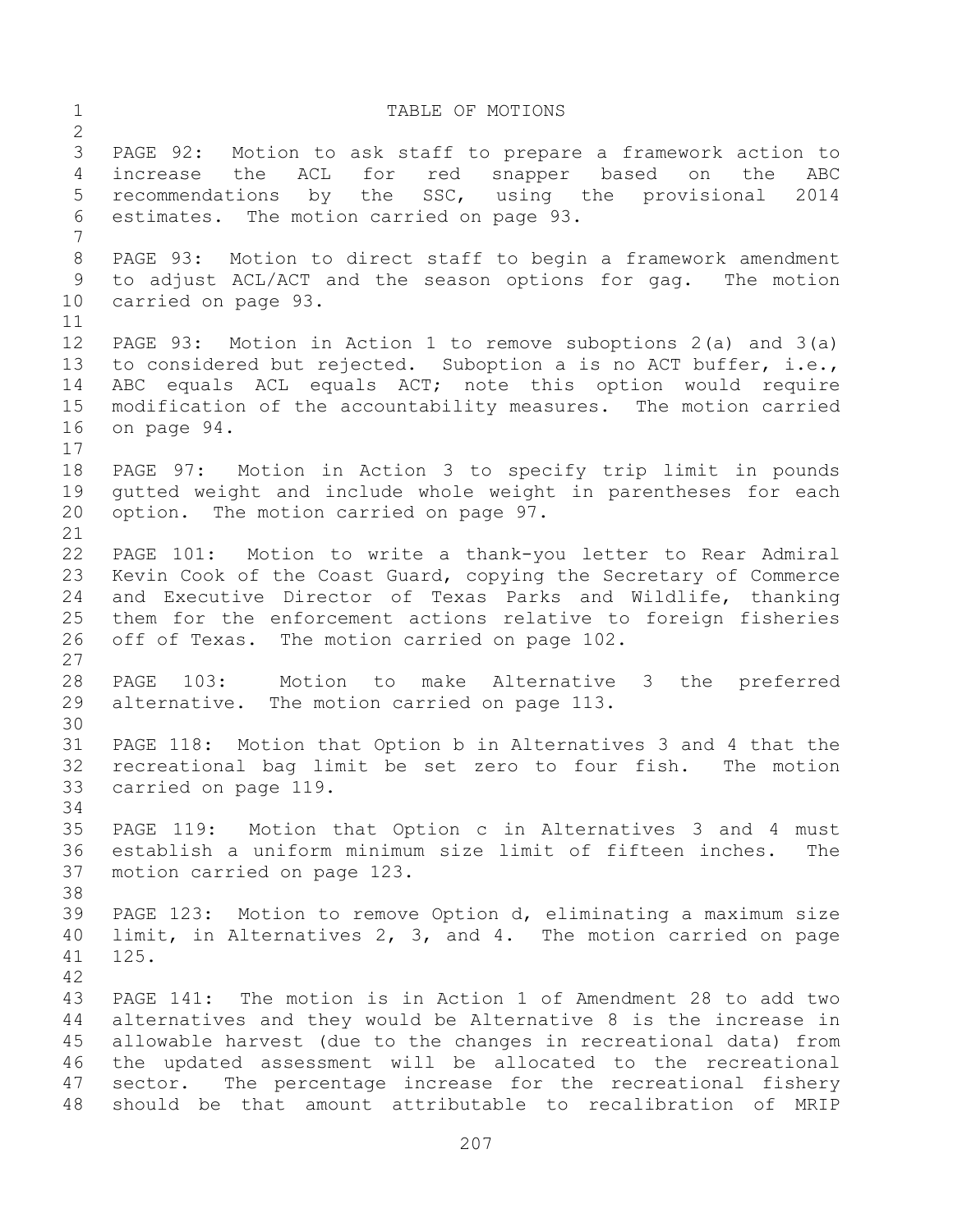1 TABLE OF MOTIONS PAGE 92: Motion to ask staff to prepare a framework action to increase the ACL for red snapper based on the ABC recommendations by the SSC, using the provisional 2014 estimates. The motion carried on page 93. PAGE 93: Motion to direct staff to begin a framework amendment to adjust ACL/ACT and the season options for gag. The motion carried on page 93. PAGE 93: Motion in Action 1 to remove suboptions 2(a) and 3(a) to considered but rejected. Suboption a is no ACT buffer, i.e., ABC equals ACL equals ACT; note this option would require modification of the accountability measures. The motion carried on page 94. PAGE 97: Motion in Action 3 to specify trip limit in pounds gutted weight and include whole weight in parentheses for each option. The motion carried on page 97. PAGE 101: Motion to write a thank-you letter to Rear Admiral Kevin Cook of the Coast Guard, copying the Secretary of Commerce and Executive Director of Texas Parks and Wildlife, thanking them for the enforcement actions relative to foreign fisheries off of Texas. The motion carried on page 102. PAGE 103: Motion to make Alternative 3 the preferred alternative. The motion carried on page 113. PAGE 118: Motion that Option b in Alternatives 3 and 4 that the recreational bag limit be set zero to four fish. The motion carried on page 119. PAGE 119: Motion that Option c in Alternatives 3 and 4 must establish a uniform minimum size limit of fifteen inches. The motion carried on page 123. PAGE 123: Motion to remove Option d, eliminating a maximum size limit, in Alternatives 2, 3, and 4. The motion carried on page 125. PAGE 141: The motion is in Action 1 of Amendment 28 to add two alternatives and they would be Alternative 8 is the increase in allowable harvest (due to the changes in recreational data) from the updated assessment will be allocated to the recreational sector. The percentage increase for the recreational fishery should be that amount attributable to recalibration of MRIP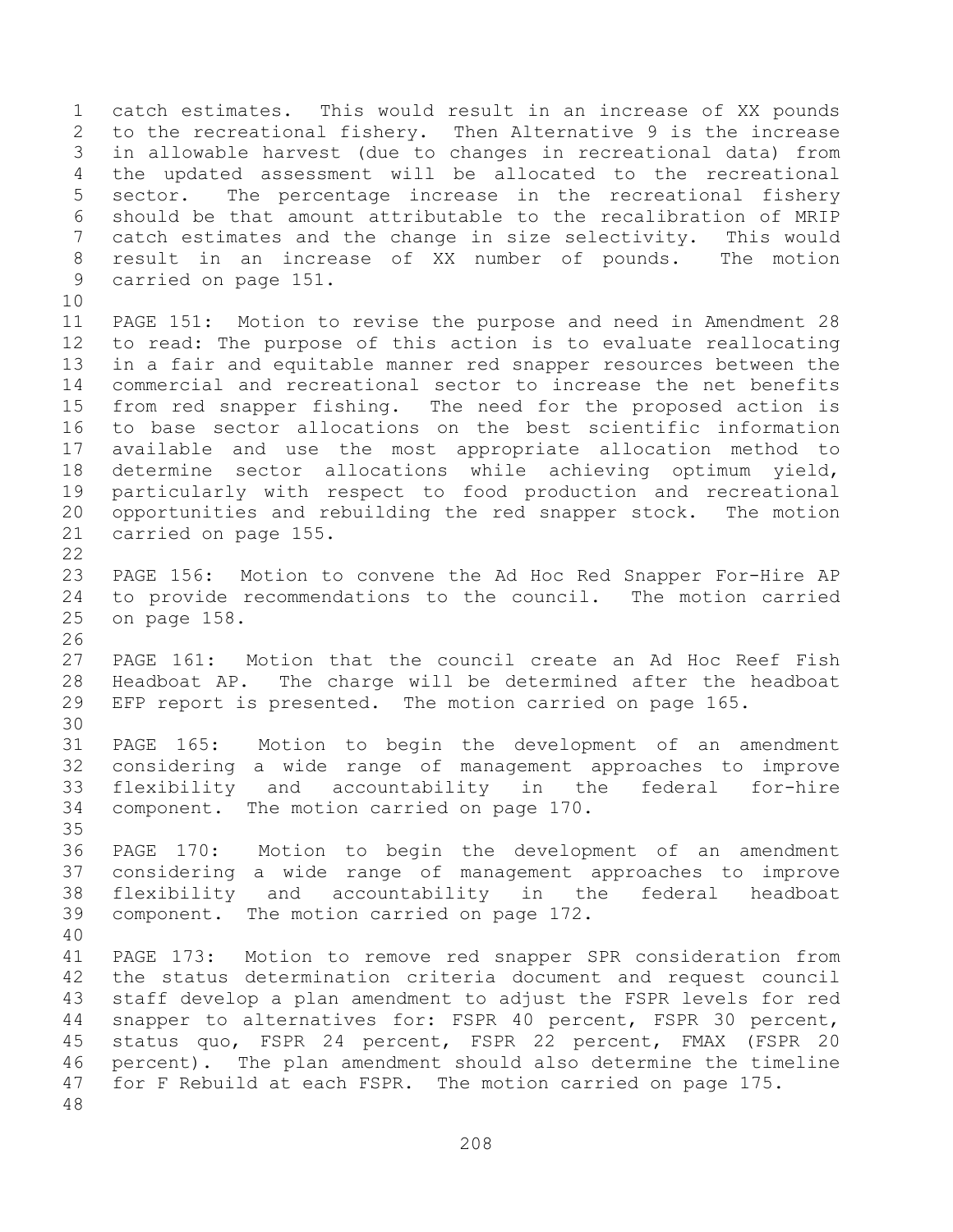catch estimates. This would result in an increase of XX pounds to the recreational fishery. Then Alternative 9 is the increase in allowable harvest (due to changes in recreational data) from the updated assessment will be allocated to the recreational sector. The percentage increase in the recreational fishery should be that amount attributable to the recalibration of MRIP catch estimates and the change in size selectivity. This would result in an increase of XX number of pounds. The motion carried on page 151. PAGE 151: Motion to revise the purpose and need in Amendment 28 to read: The purpose of this action is to evaluate reallocating in a fair and equitable manner red snapper resources between the commercial and recreational sector to increase the net benefits from red snapper fishing. The need for the proposed action is to base sector allocations on the best scientific information available and use the most appropriate allocation method to determine sector allocations while achieving optimum yield, particularly with respect to food production and recreational opportunities and rebuilding the red snapper stock. The motion carried on page 155. PAGE 156: Motion to convene the Ad Hoc Red Snapper For-Hire AP to provide recommendations to the council. The motion carried on page 158. PAGE 161: Motion that the council create an Ad Hoc Reef Fish Headboat AP. The charge will be determined after the headboat EFP report is presented. The motion carried on page 165. PAGE 165: Motion to begin the development of an amendment considering a wide range of management approaches to improve flexibility and accountability in the federal for-hire component. The motion carried on page 170. PAGE 170: Motion to begin the development of an amendment considering a wide range of management approaches to improve flexibility and accountability in the federal headboat component. The motion carried on page 172. PAGE 173: Motion to remove red snapper SPR consideration from the status determination criteria document and request council staff develop a plan amendment to adjust the FSPR levels for red snapper to alternatives for: FSPR 40 percent, FSPR 30 percent, status quo, FSPR 24 percent, FSPR 22 percent, FMAX (FSPR 20 percent). The plan amendment should also determine the timeline for F Rebuild at each FSPR. The motion carried on page 175.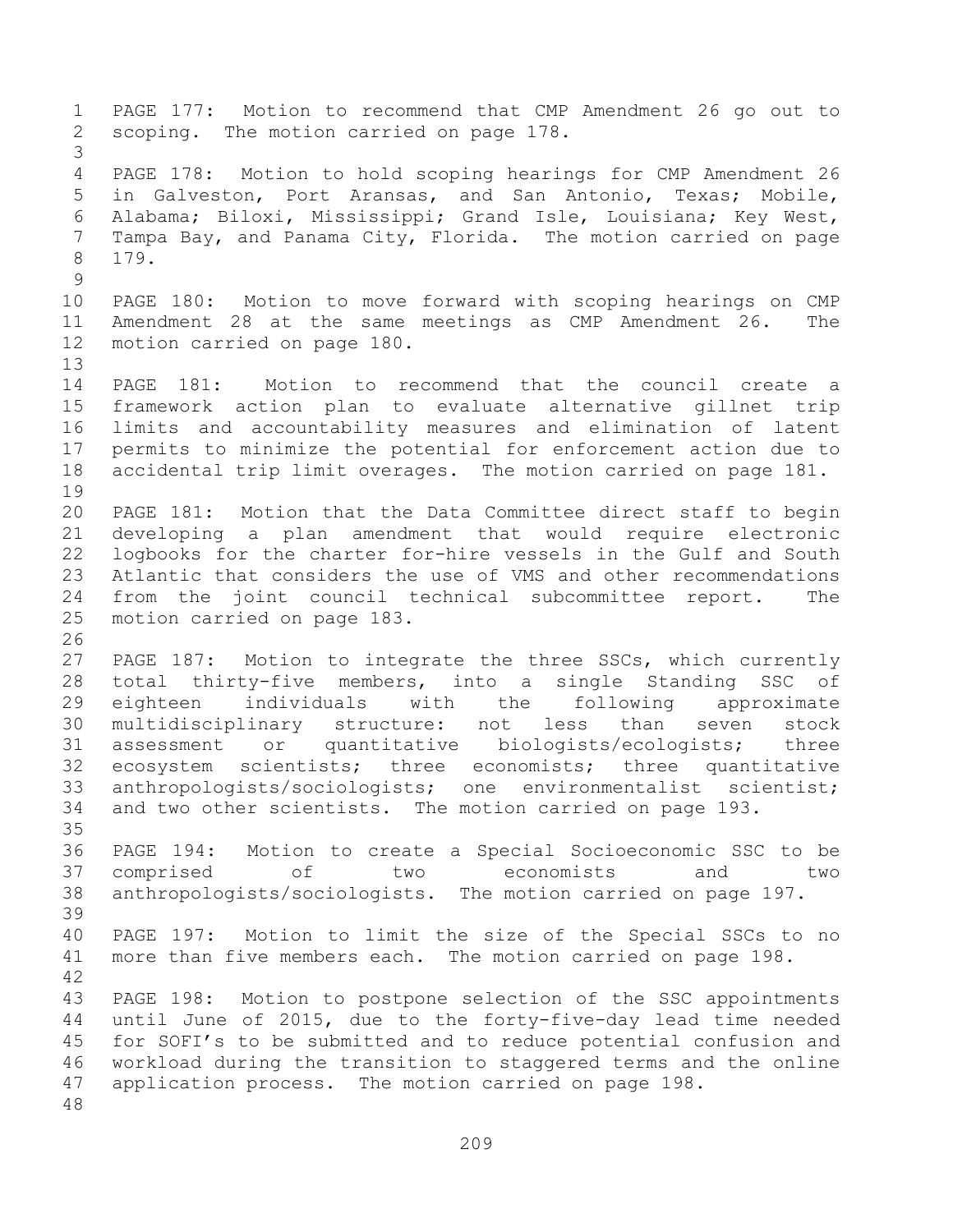PAGE 177: Motion to recommend that CMP Amendment 26 go out to scoping. The motion carried on page 178. PAGE 178: Motion to hold scoping hearings for CMP Amendment 26 in Galveston, Port Aransas, and San Antonio, Texas; Mobile, Alabama; Biloxi, Mississippi; Grand Isle, Louisiana; Key West, Tampa Bay, and Panama City, Florida. The motion carried on page 179. PAGE 180: Motion to move forward with scoping hearings on CMP Amendment 28 at the same meetings as CMP Amendment 26. The motion carried on page 180. PAGE 181: Motion to recommend that the council create a framework action plan to evaluate alternative gillnet trip limits and accountability measures and elimination of latent permits to minimize the potential for enforcement action due to accidental trip limit overages. The motion carried on page 181. PAGE 181: Motion that the Data Committee direct staff to begin developing a plan amendment that would require electronic logbooks for the charter for-hire vessels in the Gulf and South Atlantic that considers the use of VMS and other recommendations from the joint council technical subcommittee report. The motion carried on page 183. PAGE 187: Motion to integrate the three SSCs, which currently total thirty-five members, into a single Standing SSC of eighteen individuals with the following approximate multidisciplinary structure: not less than seven stock assessment or quantitative biologists/ecologists; three ecosystem scientists; three economists; three quantitative anthropologists/sociologists; one environmentalist scientist; and two other scientists. The motion carried on page 193. PAGE 194: Motion to create a Special Socioeconomic SSC to be comprised of two economists and two anthropologists/sociologists. The motion carried on page 197. PAGE 197: Motion to limit the size of the Special SSCs to no more than five members each. The motion carried on page 198. PAGE 198: Motion to postpone selection of the SSC appointments until June of 2015, due to the forty-five-day lead time needed for SOFI's to be submitted and to reduce potential confusion and workload during the transition to staggered terms and the online application process. The motion carried on page 198.